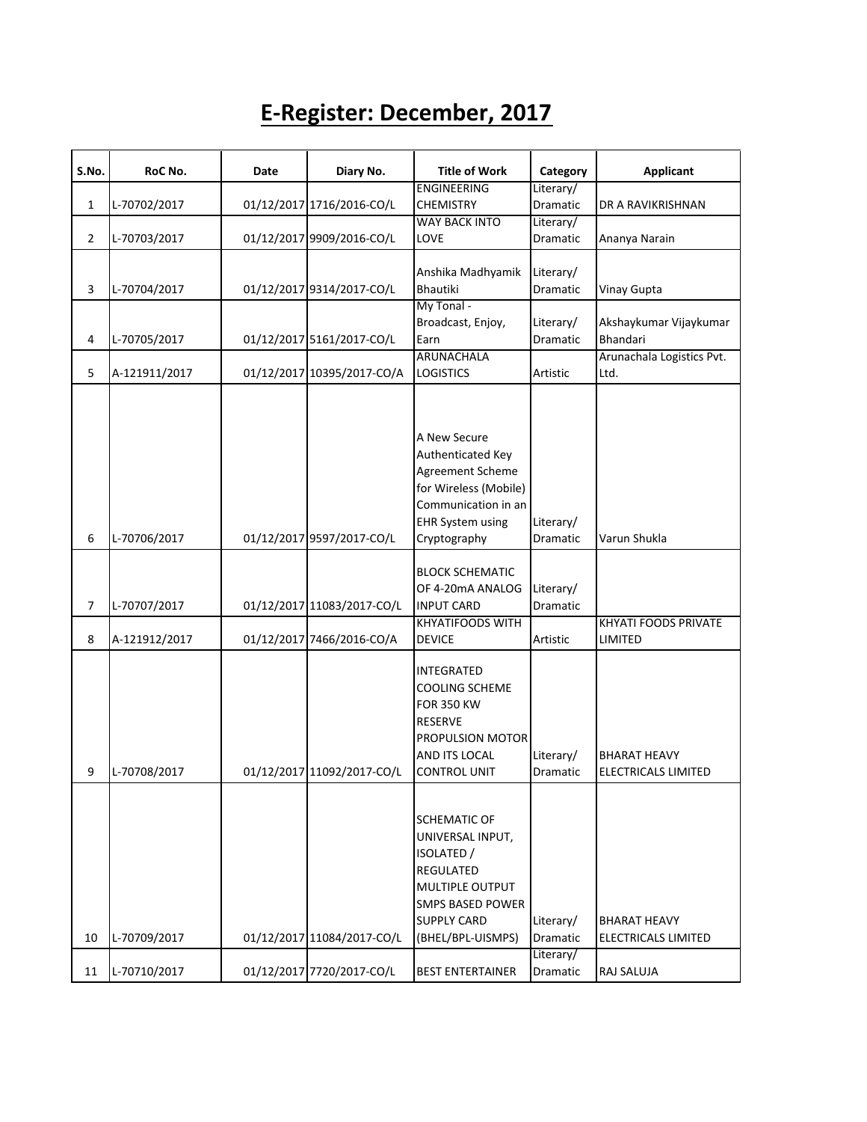## **E-Register: December, 2017**

| S.No.          | RoC No.       | Date | Diary No.                  | <b>Title of Work</b>                                                                                                                                               | Category                           | <b>Applicant</b>                           |
|----------------|---------------|------|----------------------------|--------------------------------------------------------------------------------------------------------------------------------------------------------------------|------------------------------------|--------------------------------------------|
|                |               |      |                            | <b>ENGINEERING</b>                                                                                                                                                 | Literary/                          |                                            |
| 1              | L-70702/2017  |      | 01/12/2017 1716/2016-CO/L  | <b>CHEMISTRY</b>                                                                                                                                                   | Dramatic                           | DR A RAVIKRISHNAN                          |
|                |               |      |                            | <b>WAY BACK INTO</b>                                                                                                                                               | Literary/                          |                                            |
| $\overline{2}$ | L-70703/2017  |      | 01/12/2017 9909/2016-CO/L  | LOVE                                                                                                                                                               | Dramatic                           | Ananya Narain                              |
|                |               |      |                            |                                                                                                                                                                    |                                    |                                            |
|                |               |      |                            | Anshika Madhyamik                                                                                                                                                  | Literary/                          |                                            |
| 3              | L-70704/2017  |      | 01/12/2017 9314/2017-CO/L  | Bhautiki                                                                                                                                                           | <b>Dramatic</b>                    | Vinay Gupta                                |
|                |               |      |                            | My Tonal -                                                                                                                                                         |                                    |                                            |
|                |               |      |                            | Broadcast, Enjoy,                                                                                                                                                  | Literary/                          | Akshaykumar Vijaykumar                     |
| 4              | L-70705/2017  |      | 01/12/2017 5161/2017-CO/L  | Earn                                                                                                                                                               | <b>Dramatic</b>                    | Bhandari                                   |
|                |               |      |                            | <b>ARUNACHALA</b>                                                                                                                                                  |                                    | Arunachala Logistics Pvt.                  |
| 5              | A-121911/2017 |      | 01/12/2017 10395/2017-CO/A | <b>LOGISTICS</b>                                                                                                                                                   | Artistic                           | Ltd.                                       |
| 6              | L-70706/2017  |      | 01/12/2017 9597/2017-CO/L  | A New Secure<br>Authenticated Key<br>Agreement Scheme<br>for Wireless (Mobile)<br>Communication in an<br><b>EHR System using</b><br>Cryptography                   | Literary/<br><b>Dramatic</b>       | Varun Shukla                               |
|                |               |      |                            |                                                                                                                                                                    |                                    |                                            |
|                |               |      |                            | <b>BLOCK SCHEMATIC</b>                                                                                                                                             |                                    |                                            |
|                |               |      |                            | OF 4-20mA ANALOG                                                                                                                                                   | Literary/                          |                                            |
| 7              | L-70707/2017  |      | 01/12/2017 11083/2017-CO/L | <b>INPUT CARD</b>                                                                                                                                                  | Dramatic                           |                                            |
|                |               |      |                            | <b>KHYATIFOODS WITH</b>                                                                                                                                            |                                    | KHYATI FOODS PRIVATE                       |
| 8              | A-121912/2017 |      | 01/12/2017 7466/2016-CO/A  | <b>DEVICE</b>                                                                                                                                                      | Artistic                           | LIMITED                                    |
| 9              | L-70708/2017  |      | 01/12/2017 11092/2017-CO/L | <b>INTEGRATED</b><br><b>COOLING SCHEME</b><br><b>FOR 350 KW</b><br><b>RESERVE</b><br>PROPULSION MOTOR<br>AND ITS LOCAL<br><b>CONTROL UNIT</b>                      | Literary/<br><b>Dramatic</b>       | <b>BHARAT HEAVY</b><br>ELECTRICALS LIMITED |
| 10             | L-70709/2017  |      | 01/12/2017 11084/2017-CO/L | <b>SCHEMATIC OF</b><br>UNIVERSAL INPUT,<br>ISOLATED /<br><b>REGULATED</b><br>MULTIPLE OUTPUT<br><b>SMPS BASED POWER</b><br><b>SUPPLY CARD</b><br>(BHEL/BPL-UISMPS) | Literary/<br>Dramatic<br>Literary/ | <b>BHARAT HEAVY</b><br>ELECTRICALS LIMITED |
| 11             | L-70710/2017  |      | 01/12/2017 7720/2017-CO/L  | <b>BEST ENTERTAINER</b>                                                                                                                                            | Dramatic                           | RAJ SALUJA                                 |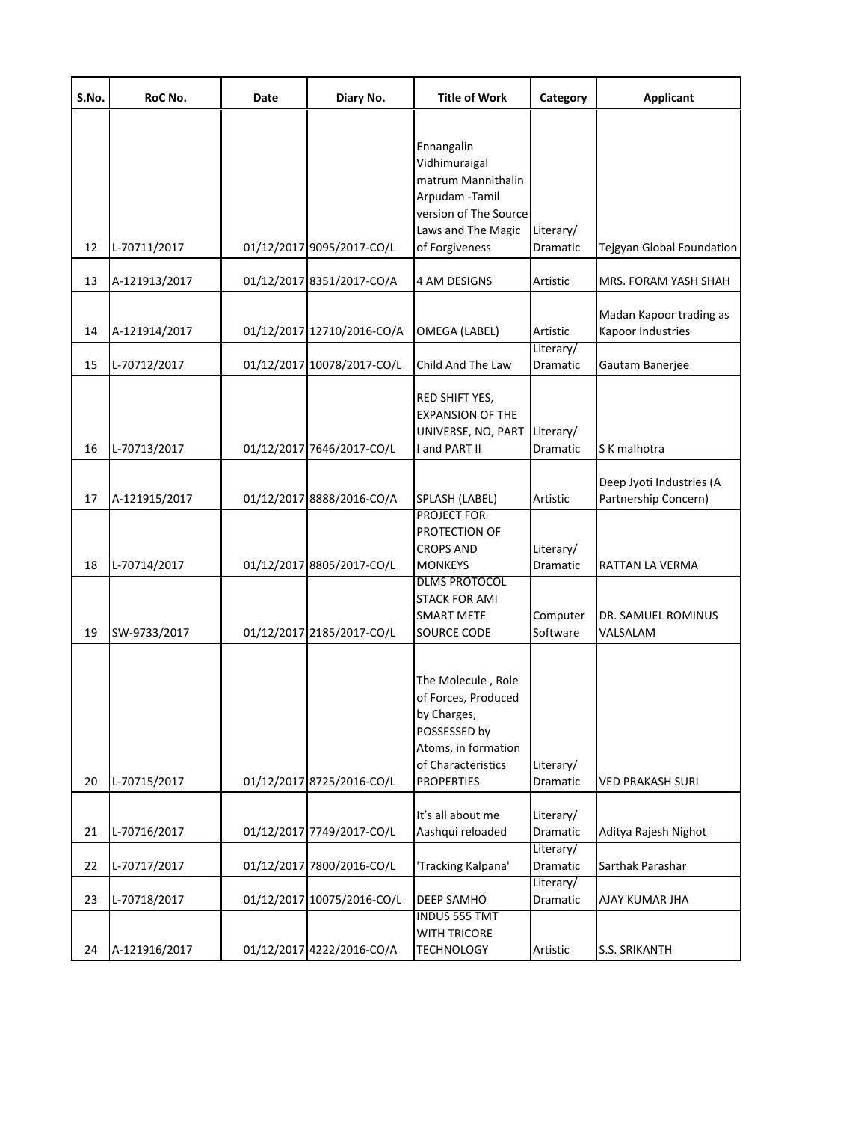| S.No.    | RoC No.                      | Date | Diary No.                                              | <b>Title of Work</b>                                                                                                                                          | Category                                             | <b>Applicant</b>                                  |
|----------|------------------------------|------|--------------------------------------------------------|---------------------------------------------------------------------------------------------------------------------------------------------------------------|------------------------------------------------------|---------------------------------------------------|
| 12       | L-70711/2017                 |      | 01/12/2017 9095/2017-CO/L                              | Ennangalin<br>Vidhimuraigal<br>matrum Mannithalin<br>Arpudam - Tamil<br>version of The Source<br>Laws and The Magic<br>of Forgiveness                         | Literary/<br>Dramatic                                | Tejgyan Global Foundation                         |
| 13       | A-121913/2017                |      | 01/12/2017 8351/2017-CO/A                              | 4 AM DESIGNS                                                                                                                                                  | Artistic                                             | MRS. FORAM YASH SHAH                              |
| 14       | A-121914/2017                |      | 01/12/2017 12710/2016-CO/A                             | OMEGA (LABEL)                                                                                                                                                 | Artistic<br>Literary/                                | Madan Kapoor trading as<br>Kapoor Industries      |
| 15       | L-70712/2017                 |      | 01/12/2017 10078/2017-CO/L                             | Child And The Law                                                                                                                                             | <b>Dramatic</b>                                      | Gautam Banerjee                                   |
| 16       | L-70713/2017                 |      | 01/12/2017 7646/2017-CO/L                              | RED SHIFT YES,<br><b>EXPANSION OF THE</b><br>UNIVERSE, NO, PART<br>I and PART II                                                                              | Literary/<br>Dramatic                                | S K malhotra                                      |
| 17       | A-121915/2017                |      | 01/12/2017 8888/2016-CO/A                              | SPLASH (LABEL)                                                                                                                                                | Artistic                                             | Deep Jyoti Industries (A<br>Partnership Concern)  |
| 18<br>19 | L-70714/2017<br>SW-9733/2017 |      | 01/12/2017 8805/2017-CO/L<br>01/12/2017 2185/2017-CO/L | PROJECT FOR<br>PROTECTION OF<br><b>CROPS AND</b><br><b>MONKEYS</b><br><b>DLMS PROTOCOL</b><br><b>STACK FOR AMI</b><br><b>SMART METE</b><br><b>SOURCE CODE</b> | Literary/<br><b>Dramatic</b><br>Computer<br>Software | RATTAN LA VERMA<br>DR. SAMUEL ROMINUS<br>VALSALAM |
| 20       | L-70715/2017                 |      | 01/12/2017 8725/2016-CO/L                              | The Molecule, Role<br>of Forces, Produced<br>by Charges,<br>POSSESSED by<br>Atoms, in formation<br>of Characteristics<br><b>PROPERTIES</b>                    | Literary/<br>Dramatic                                | <b>VED PRAKASH SURI</b>                           |
| 21       | L-70716/2017                 |      | 01/12/2017 7749/2017-CO/L                              | It's all about me<br>Aashqui reloaded                                                                                                                         | Literary/<br>Dramatic                                | Aditya Rajesh Nighot                              |
| 22       | L-70717/2017                 |      | 01/12/2017 7800/2016-CO/L                              | 'Tracking Kalpana'                                                                                                                                            | Literary/<br>Dramatic                                | Sarthak Parashar                                  |
| 23       | L-70718/2017                 |      | 01/12/2017 10075/2016-CO/L                             | <b>DEEP SAMHO</b>                                                                                                                                             | Literary/<br>Dramatic                                | AJAY KUMAR JHA                                    |
| 24       | A-121916/2017                |      | 01/12/2017 4222/2016-CO/A                              | <b>INDUS 555 TMT</b><br><b>WITH TRICORE</b><br><b>TECHNOLOGY</b>                                                                                              | Artistic                                             | S.S. SRIKANTH                                     |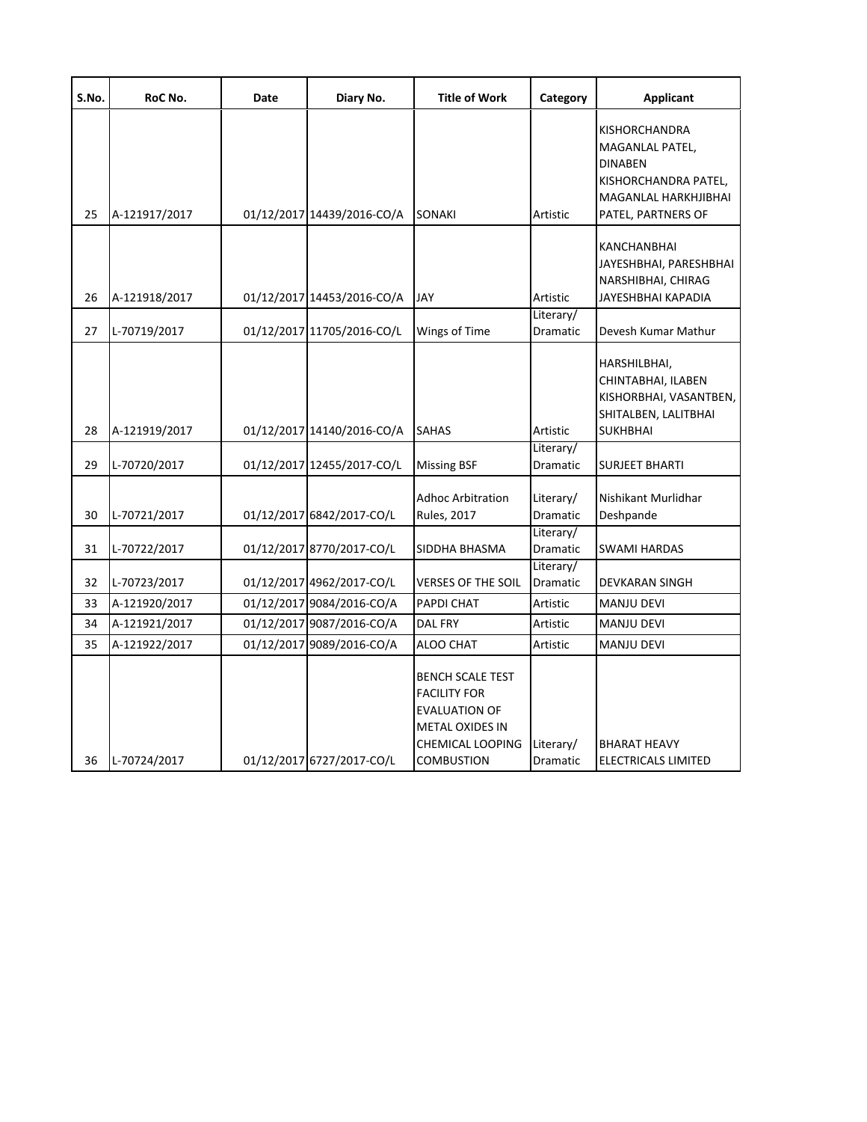| S.No. | RoC No.       | Date | Diary No.                  | <b>Title of Work</b>                                                                                                                      | Category                     | <b>Applicant</b>                                                                                                         |
|-------|---------------|------|----------------------------|-------------------------------------------------------------------------------------------------------------------------------------------|------------------------------|--------------------------------------------------------------------------------------------------------------------------|
| 25    | A-121917/2017 |      | 01/12/2017 14439/2016-CO/A | <b>SONAKI</b>                                                                                                                             | Artistic                     | KISHORCHANDRA<br>MAGANLAL PATEL,<br><b>DINABEN</b><br>KISHORCHANDRA PATEL,<br>MAGANLAL HARKHJIBHAI<br>PATEL, PARTNERS OF |
| 26    | A-121918/2017 |      | 01/12/2017 14453/2016-CO/A | <b>JAY</b>                                                                                                                                | Artistic                     | KANCHANBHAI<br>JAYESHBHAI, PARESHBHAI<br>NARSHIBHAI, CHIRAG<br>JAYESHBHAI KAPADIA                                        |
| 27    | L-70719/2017  |      | 01/12/2017 11705/2016-CO/L | Wings of Time                                                                                                                             | Literary/<br><b>Dramatic</b> | Devesh Kumar Mathur                                                                                                      |
| 28    | A-121919/2017 |      | 01/12/2017 14140/2016-CO/A | <b>SAHAS</b>                                                                                                                              | Artistic                     | HARSHILBHAI,<br>CHINTABHAI, ILABEN<br>KISHORBHAI, VASANTBEN,<br>SHITALBEN, LALITBHAI<br><b>SUKHBHAI</b>                  |
| 29    | L-70720/2017  |      | 01/12/2017 12455/2017-CO/L | <b>Missing BSF</b>                                                                                                                        | Literary/<br>Dramatic        | <b>SURJEET BHARTI</b>                                                                                                    |
| 30    | L-70721/2017  |      | 01/12/2017 6842/2017-CO/L  | <b>Adhoc Arbitration</b><br><b>Rules, 2017</b>                                                                                            | Literary/<br>Dramatic        | Nishikant Murlidhar<br>Deshpande                                                                                         |
| 31    | L-70722/2017  |      | 01/12/2017 8770/2017-CO/L  | SIDDHA BHASMA                                                                                                                             | Literary/<br>Dramatic        | SWAMI HARDAS                                                                                                             |
| 32    | L-70723/2017  |      | 01/12/2017 4962/2017-CO/L  | <b>VERSES OF THE SOIL</b>                                                                                                                 | Literary/<br>Dramatic        | <b>DEVKARAN SINGH</b>                                                                                                    |
| 33    | A-121920/2017 |      | 01/12/2017 9084/2016-CO/A  | PAPDI CHAT                                                                                                                                | Artistic                     | <b>MANJU DEVI</b>                                                                                                        |
| 34    | A-121921/2017 |      | 01/12/2017 9087/2016-CO/A  | <b>DAL FRY</b>                                                                                                                            | Artistic                     | <b>MANJU DEVI</b>                                                                                                        |
| 35    | A-121922/2017 |      | 01/12/2017 9089/2016-CO/A  | ALOO CHAT                                                                                                                                 | Artistic                     | <b>MANJU DEVI</b>                                                                                                        |
| 36    | L-70724/2017  |      | 01/12/2017 6727/2017-CO/L  | <b>BENCH SCALE TEST</b><br><b>FACILITY FOR</b><br><b>EVALUATION OF</b><br><b>METAL OXIDES IN</b><br>CHEMICAL LOOPING<br><b>COMBUSTION</b> | Literary/<br>Dramatic        | <b>BHARAT HEAVY</b><br><b>ELECTRICALS LIMITED</b>                                                                        |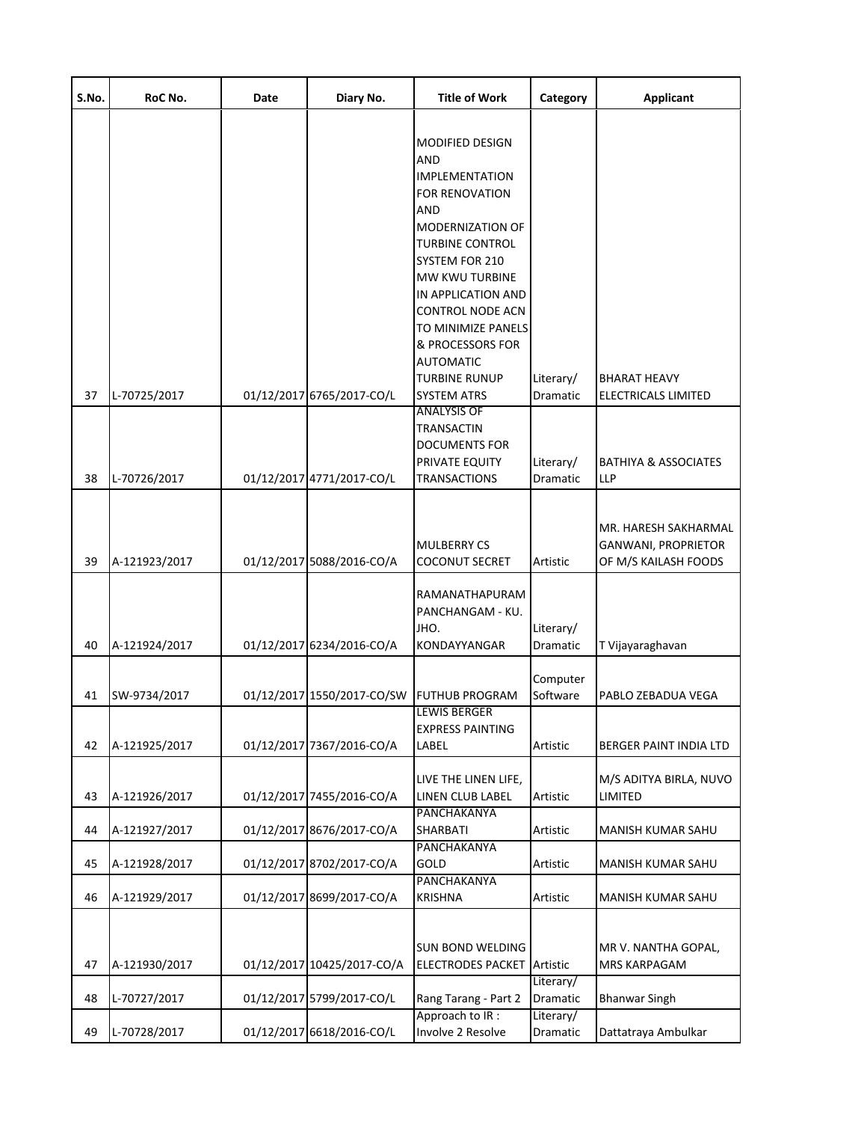| S.No. | RoC No.       | Date | Diary No.                  | <b>Title of Work</b>                                                                                                                                                                                                                                                                       | Category              | <b>Applicant</b>                                                    |
|-------|---------------|------|----------------------------|--------------------------------------------------------------------------------------------------------------------------------------------------------------------------------------------------------------------------------------------------------------------------------------------|-----------------------|---------------------------------------------------------------------|
|       |               |      |                            | MODIFIED DESIGN<br>AND<br><b>IMPLEMENTATION</b><br>FOR RENOVATION<br>AND<br>MODERNIZATION OF<br><b>TURBINE CONTROL</b><br>SYSTEM FOR 210<br>MW KWU TURBINE<br>IN APPLICATION AND<br><b>CONTROL NODE ACN</b><br>TO MINIMIZE PANELS<br>& PROCESSORS FOR<br><b>AUTOMATIC</b><br>TURBINE RUNUP | Literary/             | <b>BHARAT HEAVY</b>                                                 |
| 37    | L-70725/2017  |      | 01/12/2017 6765/2017-CO/L  | <b>SYSTEM ATRS</b>                                                                                                                                                                                                                                                                         | Dramatic              | <b>ELECTRICALS LIMITED</b>                                          |
| 38    | L-70726/2017  |      | 01/12/2017 4771/2017-CO/L  | ANALYSIS OF<br>TRANSACTIN<br><b>DOCUMENTS FOR</b><br>PRIVATE EQUITY<br><b>TRANSACTIONS</b>                                                                                                                                                                                                 | Literary/<br>Dramatic | <b>BATHIYA &amp; ASSOCIATES</b><br>LLP                              |
| 39    | A-121923/2017 |      | 01/12/2017 5088/2016-CO/A  | <b>MULBERRY CS</b><br><b>COCONUT SECRET</b>                                                                                                                                                                                                                                                | Artistic              | MR. HARESH SAKHARMAL<br>GANWANI, PROPRIETOR<br>OF M/S KAILASH FOODS |
| 40    | A-121924/2017 |      | 01/12/2017 6234/2016-CO/A  | RAMANATHAPURAM<br>PANCHANGAM - KU.<br>JHO.<br>KONDAYYANGAR                                                                                                                                                                                                                                 | Literary/<br>Dramatic | T Vijayaraghavan                                                    |
| 41    | SW-9734/2017  |      | 01/12/2017 1550/2017-CO/SW | <b>FUTHUB PROGRAM</b>                                                                                                                                                                                                                                                                      | Computer<br>Software  | PABLO ZEBADUA VEGA                                                  |
| 42    | A-121925/2017 |      | 01/12/2017 7367/2016-CO/A  | <b>LEWIS BERGER</b><br><b>EXPRESS PAINTING</b><br>LABEL                                                                                                                                                                                                                                    | Artistic              | BERGER PAINT INDIA LTD                                              |
| 43    | A-121926/2017 |      | 01/12/2017 7455/2016-CO/A  | LIVE THE LINEN LIFE,<br>LINEN CLUB LABEL                                                                                                                                                                                                                                                   | Artistic              | M/S ADITYA BIRLA, NUVO<br>LIMITED                                   |
| 44    | A-121927/2017 |      | 01/12/2017 8676/2017-CO/A  | PANCHAKANYA<br>SHARBATI                                                                                                                                                                                                                                                                    | Artistic              | MANISH KUMAR SAHU                                                   |
| 45    | A-121928/2017 |      | 01/12/2017 8702/2017-CO/A  | PANCHAKANYA<br>GOLD                                                                                                                                                                                                                                                                        | Artistic              | MANISH KUMAR SAHU                                                   |
| 46    | A-121929/2017 |      | 01/12/2017 8699/2017-CO/A  | PANCHAKANYA<br><b>KRISHNA</b>                                                                                                                                                                                                                                                              | Artistic              | MANISH KUMAR SAHU                                                   |
| 47    | A-121930/2017 |      | 01/12/2017 10425/2017-CO/A | <b>SUN BOND WELDING</b><br><b>ELECTRODES PACKET</b>                                                                                                                                                                                                                                        | Artistic<br>Literary/ | MR V. NANTHA GOPAL,<br>MRS KARPAGAM                                 |
| 48    | L-70727/2017  |      | 01/12/2017 5799/2017-CO/L  | Rang Tarang - Part 2                                                                                                                                                                                                                                                                       | Dramatic              | <b>Bhanwar Singh</b>                                                |
| 49    | L-70728/2017  |      | 01/12/2017 6618/2016-CO/L  | Approach to IR:<br>Involve 2 Resolve                                                                                                                                                                                                                                                       | Literary/<br>Dramatic | Dattatraya Ambulkar                                                 |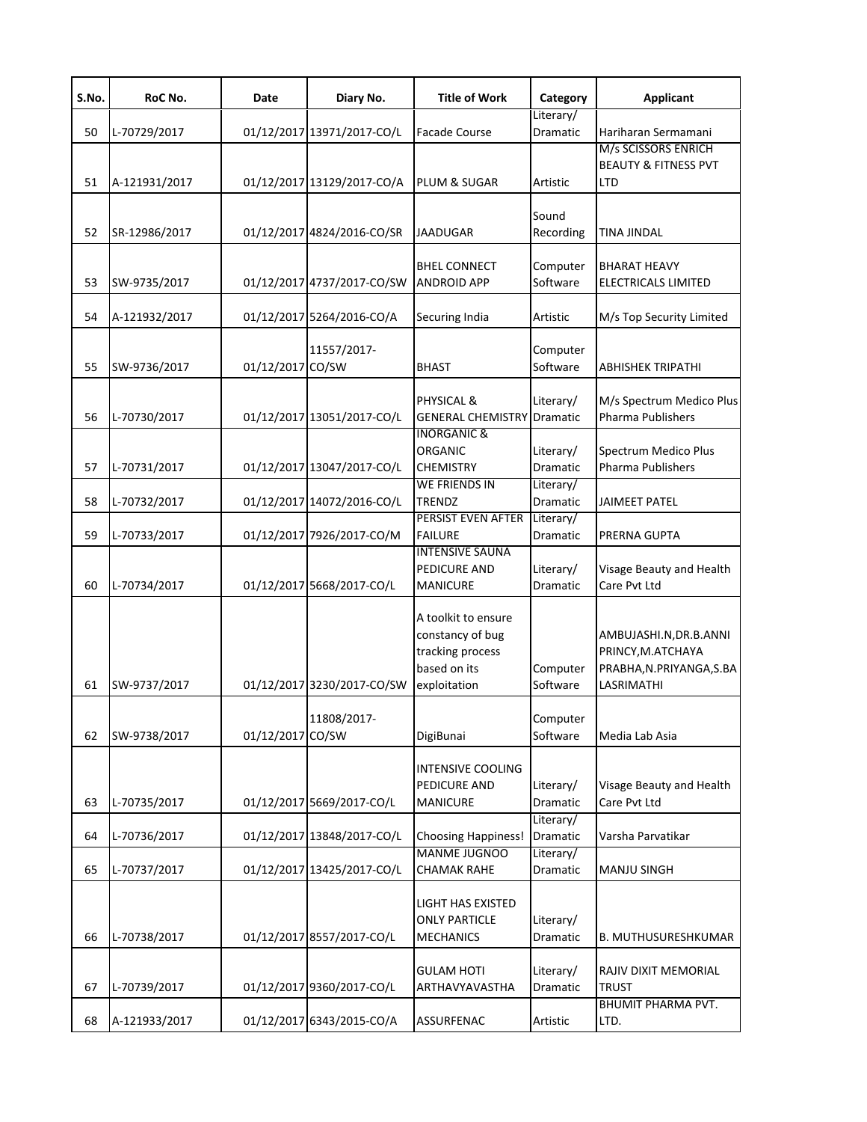| S.No. | RoC No.       | Date             | Diary No.                  | <b>Title of Work</b>                                                                        | Category              | <b>Applicant</b>                                                                      |
|-------|---------------|------------------|----------------------------|---------------------------------------------------------------------------------------------|-----------------------|---------------------------------------------------------------------------------------|
| 50    | L-70729/2017  |                  | 01/12/2017 13971/2017-CO/L | <b>Facade Course</b>                                                                        | Literary/<br>Dramatic | Hariharan Sermamani                                                                   |
| 51    | A-121931/2017 |                  | 01/12/2017 13129/2017-CO/A | PLUM & SUGAR                                                                                | Artistic              | M/s SCISSORS ENRICH<br><b>BEAUTY &amp; FITNESS PVT</b><br><b>LTD</b>                  |
| 52    | SR-12986/2017 |                  | 01/12/2017 4824/2016-CO/SR | <b>JAADUGAR</b>                                                                             | Sound<br>Recording    | <b>TINA JINDAL</b>                                                                    |
| 53    | SW-9735/2017  |                  | 01/12/2017 4737/2017-CO/SW | <b>BHEL CONNECT</b><br><b>ANDROID APP</b>                                                   | Computer<br>Software  | <b>BHARAT HEAVY</b><br>ELECTRICALS LIMITED                                            |
| 54    | A-121932/2017 |                  | 01/12/2017 5264/2016-CO/A  | Securing India                                                                              | Artistic              | M/s Top Security Limited                                                              |
| 55    | SW-9736/2017  | 01/12/2017 CO/SW | 11557/2017-                | <b>BHAST</b>                                                                                | Computer<br>Software  | ABHISHEK TRIPATHI                                                                     |
| 56    | L-70730/2017  |                  | 01/12/2017 13051/2017-CO/L | PHYSICAL &<br><b>GENERAL CHEMISTRY</b> Dramatic                                             | Literary/             | M/s Spectrum Medico Plus<br><b>Pharma Publishers</b>                                  |
| 57    | L-70731/2017  |                  | 01/12/2017 13047/2017-CO/L | <b>INORGANIC &amp;</b><br><b>ORGANIC</b><br><b>CHEMISTRY</b>                                | Literary/<br>Dramatic | Spectrum Medico Plus<br><b>Pharma Publishers</b>                                      |
| 58    | L-70732/2017  |                  | 01/12/2017 14072/2016-CO/L | <b>WE FRIENDS IN</b><br><b>TRENDZ</b>                                                       | Literary/<br>Dramatic | <b>JAIMEET PATEL</b>                                                                  |
| 59    | L-70733/2017  |                  | 01/12/2017 7926/2017-CO/M  | PERSIST EVEN AFTER<br><b>FAILURE</b>                                                        | Literary/<br>Dramatic | PRERNA GUPTA                                                                          |
| 60    | L-70734/2017  |                  | 01/12/2017 5668/2017-CO/L  | <b>INTENSIVE SAUNA</b><br>PEDICURE AND<br><b>MANICURE</b>                                   | Literary/<br>Dramatic | Visage Beauty and Health<br>Care Pvt Ltd                                              |
| 61    | SW-9737/2017  |                  | 01/12/2017 3230/2017-CO/SW | A toolkit to ensure<br>constancy of bug<br>tracking process<br>based on its<br>exploitation | Computer<br>Software  | AMBUJASHI.N, DR.B.ANNI<br>PRINCY, M.ATCHAYA<br>PRABHA, N.PRIYANGA, S.BA<br>LASRIMATHI |
| 62    | SW-9738/2017  | 01/12/2017 CO/SW | 11808/2017-                | DigiBunai                                                                                   | Computer<br>Software  | Media Lab Asia                                                                        |
| 63    | L-70735/2017  |                  | 01/12/2017 5669/2017-CO/L  | <b>INTENSIVE COOLING</b><br>PEDICURE AND<br><b>MANICURE</b>                                 | Literary/<br>Dramatic | Visage Beauty and Health<br>Care Pvt Ltd                                              |
| 64    | L-70736/2017  |                  | 01/12/2017 13848/2017-CO/L | <b>Choosing Happiness!</b>                                                                  | Literary/<br>Dramatic | Varsha Parvatikar                                                                     |
| 65    | L-70737/2017  |                  | 01/12/2017 13425/2017-CO/L | <b>MANME JUGNOO</b><br><b>CHAMAK RAHE</b>                                                   | Literary/<br>Dramatic | <b>MANJU SINGH</b>                                                                    |
| 66    | L-70738/2017  |                  | 01/12/2017 8557/2017-CO/L  | <b>LIGHT HAS EXISTED</b><br><b>ONLY PARTICLE</b><br><b>MECHANICS</b>                        | Literary/<br>Dramatic | B. MUTHUSURESHKUMAR                                                                   |
| 67    | L-70739/2017  |                  | 01/12/2017 9360/2017-CO/L  | <b>GULAM HOTI</b><br>ARTHAVYAVASTHA                                                         | Literary/<br>Dramatic | RAJIV DIXIT MEMORIAL<br><b>TRUST</b>                                                  |
| 68    | A-121933/2017 |                  | 01/12/2017 6343/2015-CO/A  | ASSURFENAC                                                                                  | Artistic              | <b>BHUMIT PHARMA PVT.</b><br>LTD.                                                     |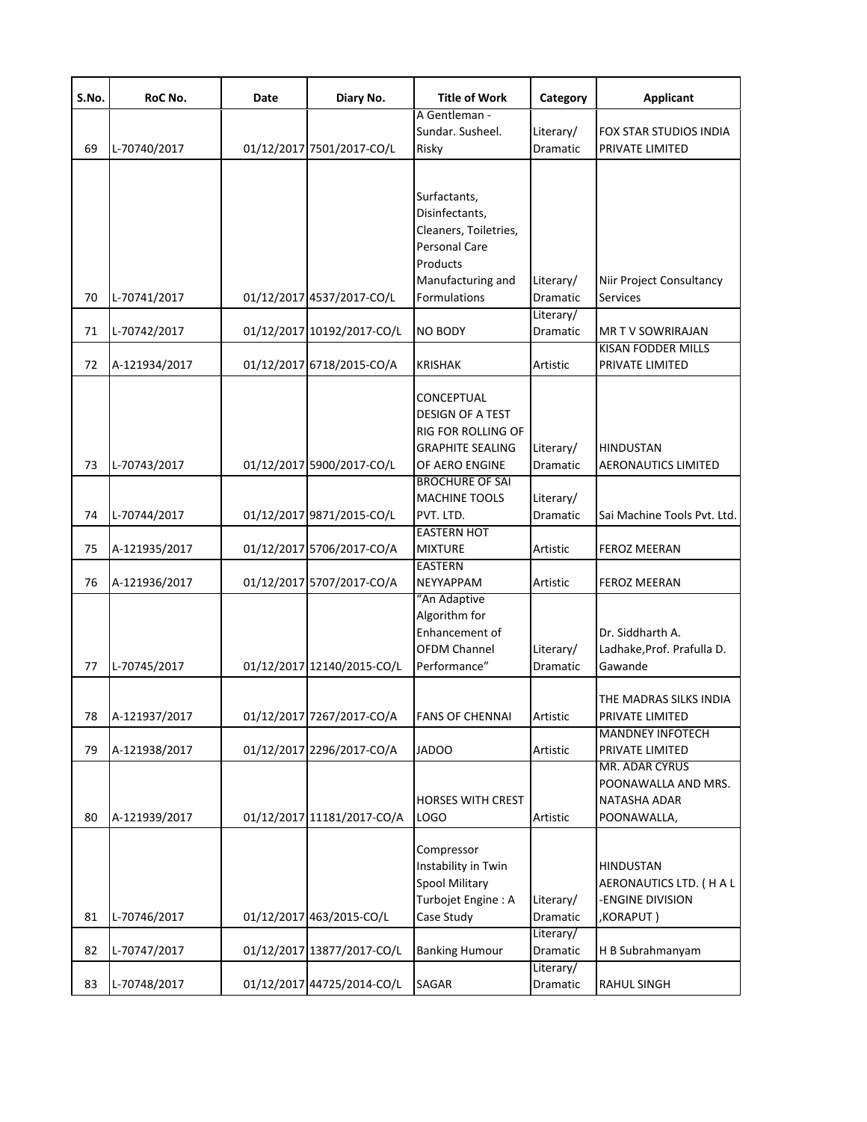| S.No. | RoC No.       | Date | Diary No.                  | <b>Title of Work</b>                                                                                                                      | Category                     | <b>Applicant</b>                                                           |
|-------|---------------|------|----------------------------|-------------------------------------------------------------------------------------------------------------------------------------------|------------------------------|----------------------------------------------------------------------------|
| 69    | L-70740/2017  |      | 01/12/2017 7501/2017-CO/L  | A Gentleman -<br>Sundar. Susheel.<br>Risky                                                                                                | Literary/<br>Dramatic        | FOX STAR STUDIOS INDIA<br>PRIVATE LIMITED                                  |
| 70    | L-70741/2017  |      | 01/12/2017 4537/2017-CO/L  | Surfactants,<br>Disinfectants,<br>Cleaners, Toiletries,<br><b>Personal Care</b><br>Products<br>Manufacturing and<br><b>Formulations</b>   | Literary/<br><b>Dramatic</b> | Niir Project Consultancy<br><b>Services</b>                                |
| 71    | L-70742/2017  |      | 01/12/2017 10192/2017-CO/L | <b>NO BODY</b>                                                                                                                            | Literary/<br>Dramatic        | <b>MR TV SOWRIRAJAN</b>                                                    |
| 72    | A-121934/2017 |      | 01/12/2017 6718/2015-CO/A  | <b>KRISHAK</b>                                                                                                                            | Artistic                     | KISAN FODDER MILLS<br>PRIVATE LIMITED                                      |
| 73    | L-70743/2017  |      | 01/12/2017 5900/2017-CO/L  | CONCEPTUAL<br><b>DESIGN OF A TEST</b><br><b>RIG FOR ROLLING OF</b><br><b>GRAPHITE SEALING</b><br>OF AERO ENGINE<br><b>BROCHURE OF SAI</b> | Literary/<br>Dramatic        | <b>HINDUSTAN</b><br><b>AERONAUTICS LIMITED</b>                             |
| 74    | L-70744/2017  |      | 01/12/2017 9871/2015-CO/L  | <b>MACHINE TOOLS</b><br>PVT. LTD.                                                                                                         | Literary/<br>Dramatic        | Sai Machine Tools Pvt. Ltd.                                                |
| 75    | A-121935/2017 |      | 01/12/2017 5706/2017-CO/A  | <b>EASTERN HOT</b><br><b>MIXTURE</b>                                                                                                      | Artistic                     | <b>FEROZ MEERAN</b>                                                        |
| 76    | A-121936/2017 |      | 01/12/2017 5707/2017-CO/A  | <b>EASTERN</b><br><b>NEYYAPPAM</b>                                                                                                        | Artistic                     | <b>FEROZ MEERAN</b>                                                        |
| 77    | L-70745/2017  |      | 01/12/2017 12140/2015-CO/L | "An Adaptive<br>Algorithm for<br>Enhancement of<br><b>OFDM Channel</b><br>Performance"                                                    | Literary/<br>Dramatic        | Dr. Siddharth A.<br>Ladhake, Prof. Prafulla D.<br>Gawande                  |
| 78    | A-121937/2017 |      | 01/12/2017 7267/2017-CO/A  | <b>FANS OF CHENNAI</b>                                                                                                                    | Artistic                     | THE MADRAS SILKS INDIA<br>PRIVATE LIMITED                                  |
| 79    | A-121938/2017 |      | 01/12/2017 2296/2017-CO/A  | <b>JADOO</b>                                                                                                                              | Artistic                     | <b>MANDNEY INFOTECH</b><br>PRIVATE LIMITED                                 |
| 80    | A-121939/2017 |      | 01/12/2017 11181/2017-CO/A | <b>HORSES WITH CREST</b><br><b>LOGO</b>                                                                                                   | Artistic                     | MR. ADAR CYRUS<br>POONAWALLA AND MRS.<br>NATASHA ADAR<br>POONAWALLA,       |
| 81    | L-70746/2017  |      | 01/12/2017 463/2015-CO/L   | Compressor<br>Instability in Twin<br><b>Spool Military</b><br>Turbojet Engine: A<br>Case Study                                            | Literary/<br>Dramatic        | <b>HINDUSTAN</b><br>AERONAUTICS LTD. (HAL<br>-ENGINE DIVISION<br>,KORAPUT) |
| 82    | L-70747/2017  |      | 01/12/2017 13877/2017-CO/L | <b>Banking Humour</b>                                                                                                                     | Literary/<br>Dramatic        | H B Subrahmanyam                                                           |
| 83    | L-70748/2017  |      | 01/12/2017 44725/2014-CO/L | SAGAR                                                                                                                                     | Literary/<br>Dramatic        | RAHUL SINGH                                                                |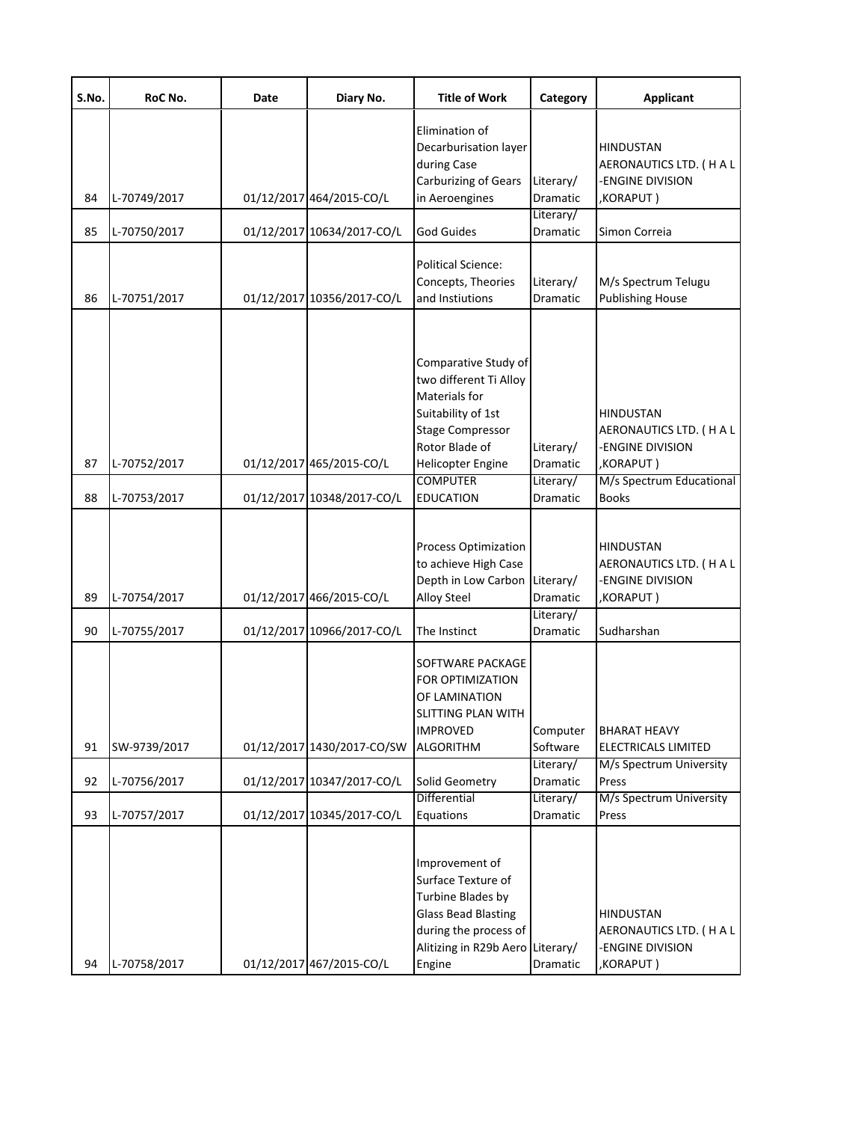| S.No.    | RoC No.                      | Date | Diary No.                                              | <b>Title of Work</b>                                                                                                                                                                           | Category                                       | <b>Applicant</b>                                                                                                       |
|----------|------------------------------|------|--------------------------------------------------------|------------------------------------------------------------------------------------------------------------------------------------------------------------------------------------------------|------------------------------------------------|------------------------------------------------------------------------------------------------------------------------|
| 84       | L-70749/2017                 |      | 01/12/2017 464/2015-CO/L                               | Elimination of<br>Decarburisation layer<br>during Case<br><b>Carburizing of Gears</b><br>in Aeroengines                                                                                        | Literary/<br>Dramatic                          | <b>HINDUSTAN</b><br>AERONAUTICS LTD. (HAL<br>-ENGINE DIVISION<br>,KORAPUT)                                             |
| 85       | L-70750/2017                 |      | 01/12/2017 10634/2017-CO/L                             | <b>God Guides</b>                                                                                                                                                                              | Literary/<br>Dramatic                          | Simon Correia                                                                                                          |
| 86       | L-70751/2017                 |      | 01/12/2017 10356/2017-CO/L                             | Political Science:<br>Concepts, Theories<br>and Instiutions                                                                                                                                    | Literary/<br>Dramatic                          | M/s Spectrum Telugu<br><b>Publishing House</b>                                                                         |
| 87<br>88 | L-70752/2017<br>L-70753/2017 |      | 01/12/2017 465/2015-CO/L<br>01/12/2017 10348/2017-CO/L | Comparative Study of<br>two different Ti Alloy<br>Materials for<br>Suitability of 1st<br><b>Stage Compressor</b><br>Rotor Blade of<br>Helicopter Engine<br><b>COMPUTER</b><br><b>EDUCATION</b> | Literary/<br>Dramatic<br>Literary/<br>Dramatic | <b>HINDUSTAN</b><br>AERONAUTICS LTD. (HAL<br>-ENGINE DIVISION<br>,KORAPUT)<br>M/s Spectrum Educational<br><b>Books</b> |
| 89       | L-70754/2017                 |      | 01/12/2017 466/2015-CO/L                               | Process Optimization<br>to achieve High Case<br>Depth in Low Carbon<br>Alloy Steel                                                                                                             | Literary/<br>Dramatic                          | <b>HINDUSTAN</b><br>AERONAUTICS LTD. (HAL<br>-ENGINE DIVISION<br>,KORAPUT)                                             |
| 90       | L-70755/2017                 |      | 01/12/2017 10966/2017-CO/L                             | The Instinct                                                                                                                                                                                   | Literary/<br>Dramatic                          | Sudharshan                                                                                                             |
| 91       | SW-9739/2017                 |      | 01/12/2017 1430/2017-CO/SW                             | SOFTWARE PACKAGE<br>FOR OPTIMIZATION<br>OF LAMINATION<br>SLITTING PLAN WITH<br><b>IMPROVED</b><br><b>ALGORITHM</b>                                                                             | Computer<br>Software                           | <b>BHARAT HEAVY</b><br><b>ELECTRICALS LIMITED</b>                                                                      |
| 92       | L-70756/2017                 |      | 01/12/2017 10347/2017-CO/L                             | Solid Geometry                                                                                                                                                                                 | Literary/<br>Dramatic                          | M/s Spectrum University<br>Press                                                                                       |
| 93       | L-70757/2017                 |      | 01/12/2017 10345/2017-CO/L                             | Differential<br>Equations                                                                                                                                                                      | Literary/<br>Dramatic                          | M/s Spectrum University<br>Press                                                                                       |
| 94       | L-70758/2017                 |      | 01/12/2017 467/2015-CO/L                               | Improvement of<br>Surface Texture of<br>Turbine Blades by<br><b>Glass Bead Blasting</b><br>during the process of<br>Alitizing in R29b Aero Literary/<br>Engine                                 | Dramatic                                       | <b>HINDUSTAN</b><br>AERONAUTICS LTD. (HAL<br>-ENGINE DIVISION<br>,KORAPUT)                                             |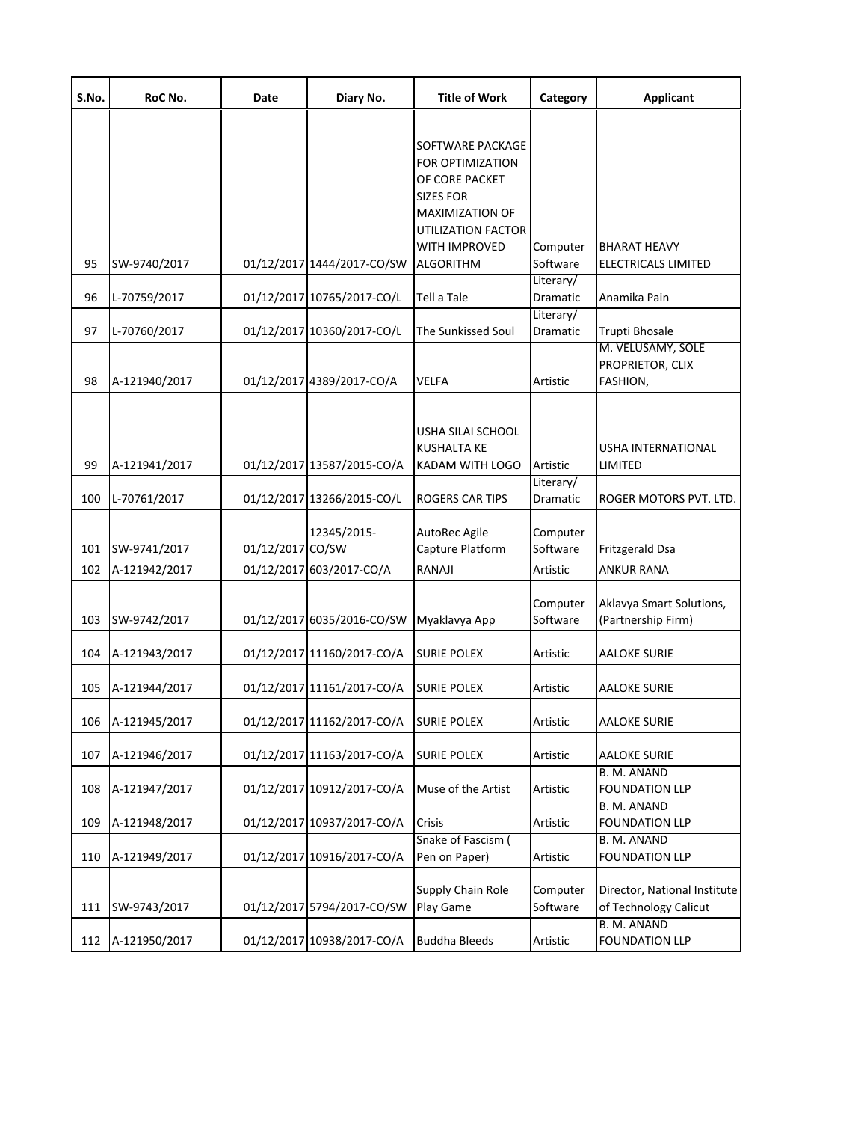| S.No.    | RoC No.                      | Date             | Diary No.                                                | <b>Title of Work</b>                                                                                                                                                    | Category                                      | <b>Applicant</b>                                           |
|----------|------------------------------|------------------|----------------------------------------------------------|-------------------------------------------------------------------------------------------------------------------------------------------------------------------------|-----------------------------------------------|------------------------------------------------------------|
| 95<br>96 | SW-9740/2017<br>L-70759/2017 |                  | 01/12/2017 1444/2017-CO/SW<br>01/12/2017 10765/2017-CO/L | SOFTWARE PACKAGE<br><b>FOR OPTIMIZATION</b><br>OF CORE PACKET<br>SIZES FOR<br>MAXIMIZATION OF<br>UTILIZATION FACTOR<br>WITH IMPROVED<br><b>ALGORITHM</b><br>Tell a Tale | Computer<br>Software<br>Literary/<br>Dramatic | <b>BHARAT HEAVY</b><br>ELECTRICALS LIMITED<br>Anamika Pain |
| 97       | L-70760/2017                 |                  | 01/12/2017 10360/2017-CO/L                               | The Sunkissed Soul                                                                                                                                                      | Literary/<br>Dramatic                         | Trupti Bhosale                                             |
| 98       | A-121940/2017                |                  | 01/12/2017 4389/2017-CO/A                                | VELFA                                                                                                                                                                   | Artistic                                      | M. VELUSAMY, SOLE<br>PROPRIETOR, CLIX<br>FASHION,          |
| 99       | A-121941/2017                |                  | 01/12/2017 13587/2015-CO/A                               | USHA SILAI SCHOOL<br><b>KUSHALTA KE</b><br>KADAM WITH LOGO                                                                                                              | Artistic                                      | <b>USHA INTERNATIONAL</b><br>LIMITED                       |
| 100      | L-70761/2017                 |                  | 01/12/2017 13266/2015-CO/L                               | <b>ROGERS CAR TIPS</b>                                                                                                                                                  | Literary/<br>Dramatic                         | ROGER MOTORS PVT. LTD.                                     |
| 101      | SW-9741/2017                 | 01/12/2017 CO/SW | 12345/2015-                                              | AutoRec Agile<br>Capture Platform                                                                                                                                       | Computer<br>Software                          | Fritzgerald Dsa                                            |
| 102      | A-121942/2017                |                  | 01/12/2017 603/2017-CO/A                                 | RANAJI                                                                                                                                                                  | Artistic                                      | <b>ANKUR RANA</b>                                          |
| 103      | SW-9742/2017                 |                  | 01/12/2017 6035/2016-CO/SW                               | Myaklavya App                                                                                                                                                           | Computer<br>Software                          | Aklavya Smart Solutions,<br>(Partnership Firm)             |
| 104      | A-121943/2017                |                  | 01/12/2017 11160/2017-CO/A                               | <b>SURIE POLEX</b>                                                                                                                                                      | Artistic                                      | <b>AALOKE SURIE</b>                                        |
| 105      | A-121944/2017                |                  | 01/12/2017 11161/2017-CO/A                               | <b>SURIE POLEX</b>                                                                                                                                                      | Artistic                                      | <b>AALOKE SURIE</b>                                        |
| 106      | A-121945/2017                |                  | 01/12/2017 11162/2017-CO/A                               | <b>SURIE POLEX</b>                                                                                                                                                      | Artistic                                      | <b>AALOKE SURIE</b>                                        |
| 107      | A-121946/2017                |                  | 01/12/2017 11163/2017-CO/A                               | <b>SURIE POLEX</b>                                                                                                                                                      | Artistic                                      | <b>AALOKE SURIE</b>                                        |
| 108      | A-121947/2017                |                  | 01/12/2017 10912/2017-CO/A                               | Muse of the Artist                                                                                                                                                      | Artistic                                      | B. M. ANAND<br><b>FOUNDATION LLP</b>                       |
| 109      | A-121948/2017                |                  | 01/12/2017 10937/2017-CO/A                               | Crisis                                                                                                                                                                  | Artistic                                      | B. M. ANAND<br><b>FOUNDATION LLP</b>                       |
| 110      | A-121949/2017                |                  | 01/12/2017 10916/2017-CO/A                               | Snake of Fascism (<br>Pen on Paper)                                                                                                                                     | Artistic                                      | B. M. ANAND<br><b>FOUNDATION LLP</b>                       |
| 111      | SW-9743/2017                 |                  | 01/12/2017 5794/2017-CO/SW                               | Supply Chain Role<br>Play Game                                                                                                                                          | Computer<br>Software                          | Director, National Institute<br>of Technology Calicut      |
| 112      | A-121950/2017                |                  | 01/12/2017 10938/2017-CO/A                               | <b>Buddha Bleeds</b>                                                                                                                                                    | Artistic                                      | B. M. ANAND<br><b>FOUNDATION LLP</b>                       |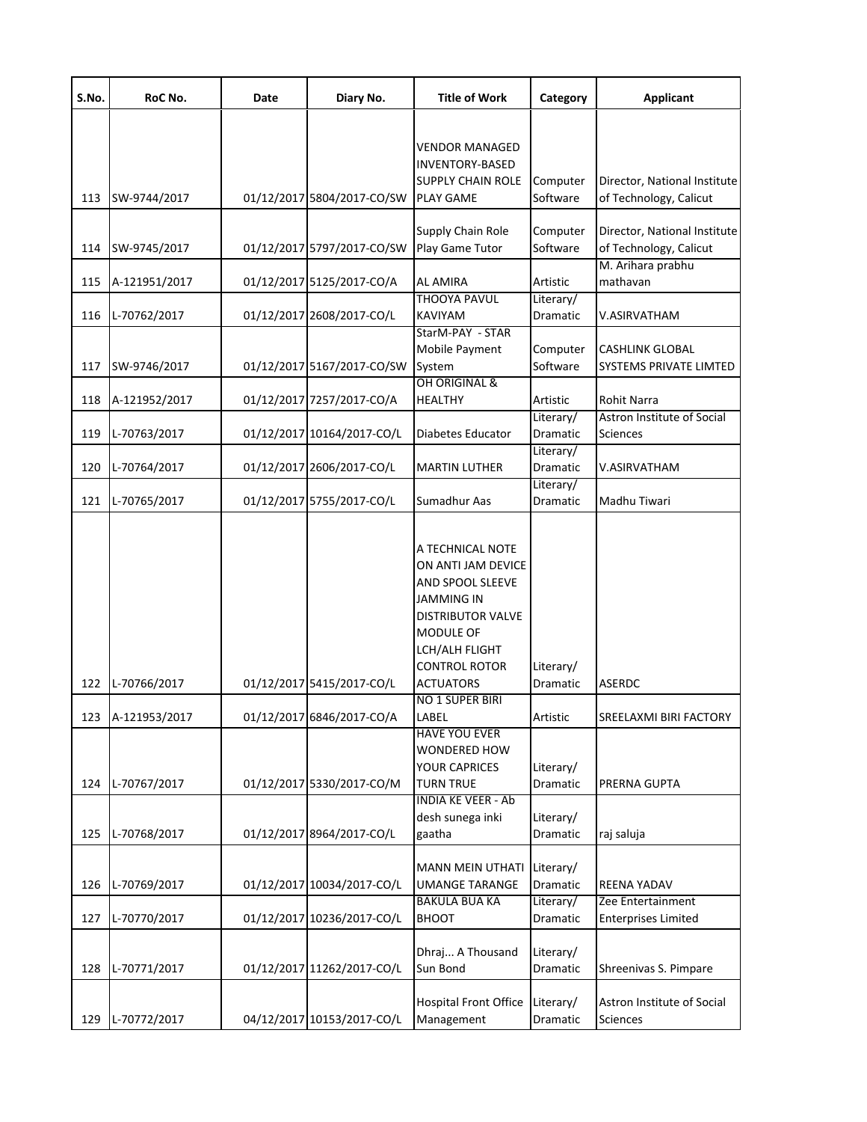| S.No. | RoC No.       | Date | Diary No.                  | <b>Title of Work</b>                                                                                                                                                                               | Category              | <b>Applicant</b>                                       |
|-------|---------------|------|----------------------------|----------------------------------------------------------------------------------------------------------------------------------------------------------------------------------------------------|-----------------------|--------------------------------------------------------|
|       |               |      |                            | VENDOR MANAGED<br>INVENTORY-BASED<br><b>SUPPLY CHAIN ROLE</b>                                                                                                                                      | Computer              | Director, National Institute                           |
| 113   | SW-9744/2017  |      | 01/12/2017 5804/2017-CO/SW | PLAY GAME                                                                                                                                                                                          | Software              | of Technology, Calicut                                 |
| 114   | SW-9745/2017  |      | 01/12/2017 5797/2017-CO/SW | Supply Chain Role<br>Play Game Tutor                                                                                                                                                               | Computer<br>Software  | Director, National Institute<br>of Technology, Calicut |
| 115   | A-121951/2017 |      | 01/12/2017 5125/2017-CO/A  | AL AMIRA                                                                                                                                                                                           | Artistic              | M. Arihara prabhu<br>mathavan                          |
| 116   | L-70762/2017  |      | 01/12/2017 2608/2017-CO/L  | THOOYA PAVUL<br>KAVIYAM                                                                                                                                                                            | Literary/<br>Dramatic | V.ASIRVATHAM                                           |
| 117   | SW-9746/2017  |      | 01/12/2017 5167/2017-CO/SW | StarM-PAY - STAR<br>Mobile Payment<br>System<br>OH ORIGINAL &                                                                                                                                      | Computer<br>Software  | <b>CASHLINK GLOBAL</b><br>SYSTEMS PRIVATE LIMTED       |
| 118   | A-121952/2017 |      | 01/12/2017 7257/2017-CO/A  | <b>HEALTHY</b>                                                                                                                                                                                     | Artistic              | Rohit Narra                                            |
| 119   | L-70763/2017  |      | 01/12/2017 10164/2017-CO/L | Diabetes Educator                                                                                                                                                                                  | Literary/<br>Dramatic | Astron Institute of Social<br>Sciences                 |
| 120   | L-70764/2017  |      | 01/12/2017 2606/2017-CO/L  | <b>MARTIN LUTHER</b>                                                                                                                                                                               | Literary/<br>Dramatic | V.ASIRVATHAM                                           |
| 121   | L-70765/2017  |      | 01/12/2017 5755/2017-CO/L  | Sumadhur Aas                                                                                                                                                                                       | Literary/<br>Dramatic | Madhu Tiwari                                           |
| 122   | L-70766/2017  |      | 01/12/2017 5415/2017-CO/L  | A TECHNICAL NOTE<br>ON ANTI JAM DEVICE<br>AND SPOOL SLEEVE<br>JAMMING IN<br><b>DISTRIBUTOR VALVE</b><br>MODULE OF<br>LCH/ALH FLIGHT<br><b>CONTROL ROTOR</b><br><b>ACTUATORS</b><br>NO 1 SUPER BIRI | Literary/<br>Dramatic | <b>ASERDC</b>                                          |
| 123   | A-121953/2017 |      | 01/12/2017 6846/2017-CO/A  | LABEL<br><b>HAVE YOU EVER</b><br>WONDERED HOW                                                                                                                                                      | Artistic              | SREELAXMI BIRI FACTORY                                 |
| 124   | L-70767/2017  |      | 01/12/2017 5330/2017-CO/M  | <b>YOUR CAPRICES</b><br><b>TURN TRUE</b><br><b>INDIA KE VEER - Ab</b>                                                                                                                              | Literary/<br>Dramatic | PRERNA GUPTA                                           |
| 125   | L-70768/2017  |      | 01/12/2017 8964/2017-CO/L  | desh sunega inki<br>gaatha                                                                                                                                                                         | Literary/<br>Dramatic | raj saluja                                             |
| 126   | L-70769/2017  |      | 01/12/2017 10034/2017-CO/L | <b>MANN MEIN UTHATI</b><br>UMANGE TARANGE                                                                                                                                                          | Literary/<br>Dramatic | <b>REENA YADAV</b>                                     |
| 127   | L-70770/2017  |      | 01/12/2017 10236/2017-CO/L | <b>BAKULA BUA KA</b><br><b>BHOOT</b>                                                                                                                                                               | Literary/<br>Dramatic | Zee Entertainment<br><b>Enterprises Limited</b>        |
| 128   | L-70771/2017  |      | 01/12/2017 11262/2017-CO/L | Dhraj A Thousand<br>Sun Bond                                                                                                                                                                       | Literary/<br>Dramatic | Shreenivas S. Pimpare                                  |
| 129   | L-70772/2017  |      | 04/12/2017 10153/2017-CO/L | <b>Hospital Front Office</b><br>Management                                                                                                                                                         | Literary/<br>Dramatic | Astron Institute of Social<br>Sciences                 |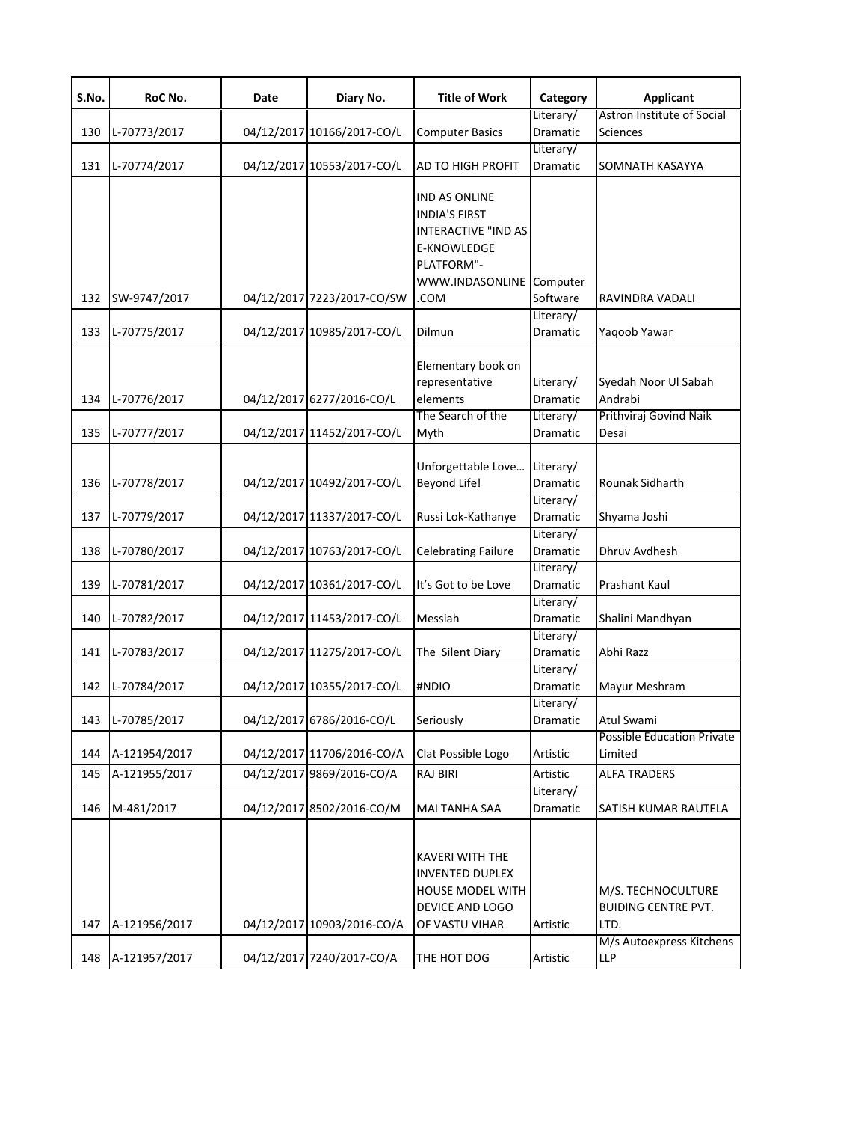| S.No.      | RoC No.                      | Date | Diary No.                                               | <b>Title of Work</b>                                                                                                                 | Category                                              | <b>Applicant</b>                                                   |
|------------|------------------------------|------|---------------------------------------------------------|--------------------------------------------------------------------------------------------------------------------------------------|-------------------------------------------------------|--------------------------------------------------------------------|
| 130        | L-70773/2017                 |      | 04/12/2017 10166/2017-CO/L                              | <b>Computer Basics</b>                                                                                                               | Literary/<br>Dramatic                                 | Astron Institute of Social<br><b>Sciences</b>                      |
| 131        | L-70774/2017                 |      | 04/12/2017 10553/2017-CO/L                              | AD TO HIGH PROFIT                                                                                                                    | Literary/<br>Dramatic                                 | SOMNATH KASAYYA                                                    |
| 132        | SW-9747/2017                 |      | 04/12/2017 7223/2017-CO/SW                              | IND AS ONLINE<br><b>INDIA'S FIRST</b><br><b>INTERACTIVE "IND AS</b><br>E-KNOWLEDGE<br>PLATFORM"-<br>WWW.INDASONLINE Computer<br>.COM | Software                                              | RAVINDRA VADALI                                                    |
| 133        | L-70775/2017                 |      | 04/12/2017 10985/2017-CO/L                              | Dilmun                                                                                                                               | Literary/<br>Dramatic                                 | Yagoob Yawar                                                       |
| 134<br>135 | L-70776/2017<br>L-70777/2017 |      | 04/12/2017 6277/2016-CO/L<br>04/12/2017 11452/2017-CO/L | Elementary book on<br>representative<br>elements<br>The Search of the<br>Myth                                                        | Literary/<br><b>Dramatic</b><br>Literary/<br>Dramatic | Syedah Noor Ul Sabah<br>Andrabi<br>Prithviraj Govind Naik<br>Desai |
| 136        | L-70778/2017                 |      | 04/12/2017 10492/2017-CO/L                              | Unforgettable Love<br>Beyond Life!                                                                                                   | Literary/<br>Dramatic                                 | Rounak Sidharth                                                    |
| 137        | L-70779/2017                 |      | 04/12/2017 11337/2017-CO/L                              | Russi Lok-Kathanye                                                                                                                   | Literary/<br>Dramatic                                 | Shyama Joshi                                                       |
| 138        | L-70780/2017                 |      | 04/12/2017 10763/2017-CO/L                              | <b>Celebrating Failure</b>                                                                                                           | Literary/<br>Dramatic                                 | Dhruv Avdhesh                                                      |
| 139        | L-70781/2017                 |      | 04/12/2017 10361/2017-CO/L                              | It's Got to be Love                                                                                                                  | Literary/<br>Dramatic                                 | Prashant Kaul                                                      |
| 140        | L-70782/2017                 |      | 04/12/2017 11453/2017-CO/L                              | Messiah                                                                                                                              | Literary/<br>Dramatic                                 | Shalini Mandhyan                                                   |
| 141        | L-70783/2017                 |      | 04/12/2017 11275/2017-CO/L                              | The Silent Diary                                                                                                                     | Literary/<br>Dramatic                                 | Abhi Razz                                                          |
| 142        | L-70784/2017                 |      | 04/12/2017 10355/2017-CO/L                              | #NDIO                                                                                                                                | Literary/<br>Dramatic                                 | Mayur Meshram                                                      |
| 143        | L-70785/2017                 |      | 04/12/2017 6786/2016-CO/L                               | Seriously                                                                                                                            | Literary/<br>Dramatic                                 | Atul Swami                                                         |
| 144        | A-121954/2017                |      | 04/12/2017 11706/2016-CO/A                              | Clat Possible Logo                                                                                                                   | Artistic                                              | <b>Possible Education Private</b><br>Limited                       |
| 145        | A-121955/2017                |      | 04/12/2017 9869/2016-CO/A                               | RAJ BIRI                                                                                                                             | Artistic                                              | <b>ALFA TRADERS</b>                                                |
| 146        | M-481/2017                   |      | 04/12/2017 8502/2016-CO/M                               | MAI TANHA SAA                                                                                                                        | Literary/<br>Dramatic                                 | SATISH KUMAR RAUTELA                                               |
| 147        | A-121956/2017                |      | 04/12/2017 10903/2016-CO/A                              | <b>KAVERI WITH THE</b><br><b>INVENTED DUPLEX</b><br>HOUSE MODEL WITH<br>DEVICE AND LOGO<br>OF VASTU VIHAR                            | Artistic                                              | M/S. TECHNOCULTURE<br><b>BUIDING CENTRE PVT.</b><br>LTD.           |
| 148        | A-121957/2017                |      | 04/12/2017 7240/2017-CO/A                               | THE HOT DOG                                                                                                                          | Artistic                                              | M/s Autoexpress Kitchens<br>LLP                                    |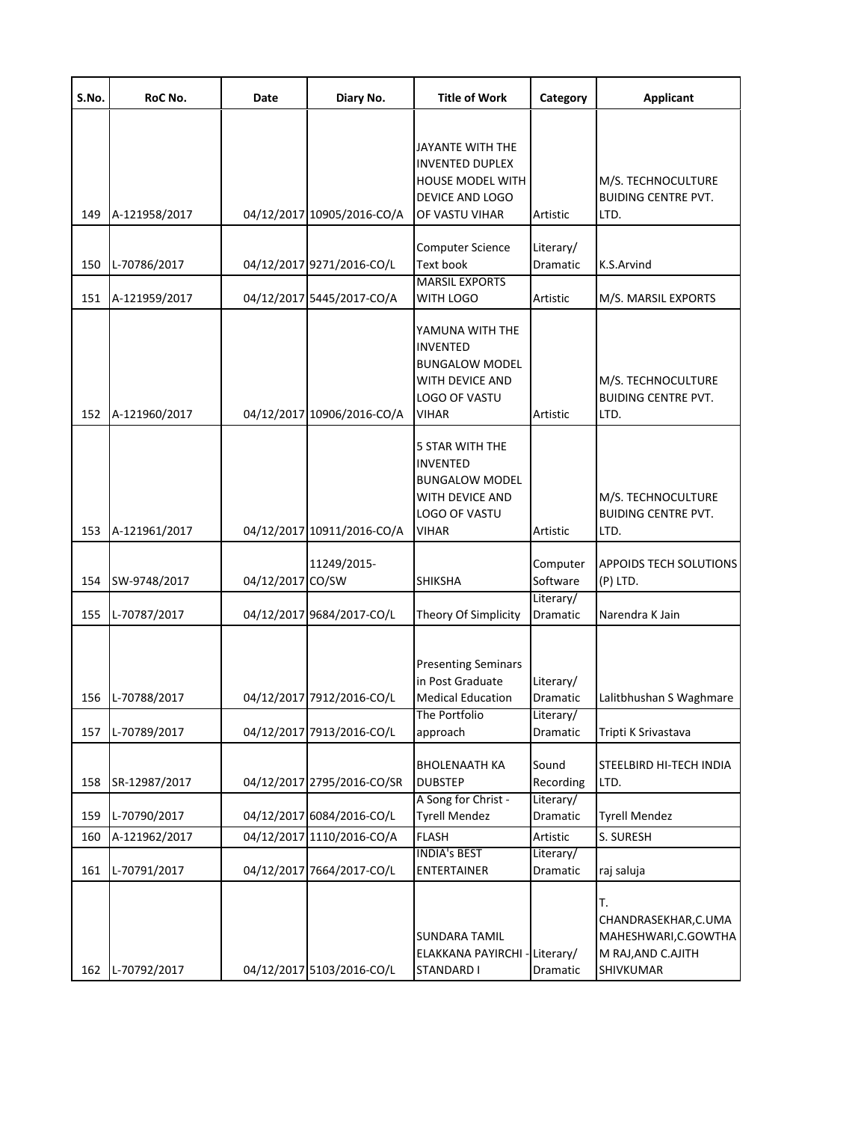| S.No. | RoC No.       | Date             | Diary No.                  | <b>Title of Work</b>                                                                                            | Category                           | <b>Applicant</b>                                                                      |
|-------|---------------|------------------|----------------------------|-----------------------------------------------------------------------------------------------------------------|------------------------------------|---------------------------------------------------------------------------------------|
| 149   | A-121958/2017 |                  | 04/12/2017 10905/2016-CO/A | JAYANTE WITH THE<br><b>INVENTED DUPLEX</b><br><b>HOUSE MODEL WITH</b><br>DEVICE AND LOGO<br>OF VASTU VIHAR      | Artistic                           | M/S. TECHNOCULTURE<br><b>BUIDING CENTRE PVT.</b><br>LTD.                              |
| 150   | L-70786/2017  |                  | 04/12/2017 9271/2016-CO/L  | <b>Computer Science</b><br><b>Text book</b>                                                                     | Literary/<br>Dramatic              | K.S.Arvind                                                                            |
| 151   | A-121959/2017 |                  | 04/12/2017 5445/2017-CO/A  | <b>MARSIL EXPORTS</b><br>WITH LOGO                                                                              | Artistic                           | M/S. MARSIL EXPORTS                                                                   |
| 152   | A-121960/2017 |                  | 04/12/2017 10906/2016-CO/A | YAMUNA WITH THE<br><b>INVENTED</b><br><b>BUNGALOW MODEL</b><br>WITH DEVICE AND<br>LOGO OF VASTU<br><b>VIHAR</b> | Artistic                           | M/S. TECHNOCULTURE<br><b>BUIDING CENTRE PVT.</b><br>LTD.                              |
| 153   | A-121961/2017 |                  | 04/12/2017 10911/2016-CO/A | 5 STAR WITH THE<br><b>INVENTED</b><br><b>BUNGALOW MODEL</b><br>WITH DEVICE AND<br>LOGO OF VASTU<br><b>VIHAR</b> | Artistic                           | M/S. TECHNOCULTURE<br><b>BUIDING CENTRE PVT.</b><br>LTD.                              |
| 154   | SW-9748/2017  | 04/12/2017 CO/SW | 11249/2015-                | <b>SHIKSHA</b>                                                                                                  | Computer<br>Software               | <b>APPOIDS TECH SOLUTIONS</b><br>$(P)$ LTD.                                           |
| 155   | L-70787/2017  |                  | 04/12/2017 9684/2017-CO/L  | Theory Of Simplicity                                                                                            | Literary/<br>Dramatic              | Narendra K Jain                                                                       |
| 156   | L-70788/2017  |                  | 04/12/2017 7912/2016-CO/L  | <b>Presenting Seminars</b><br>in Post Graduate<br><b>Medical Education</b><br>The Portfolio                     | Literary/<br>Dramatic<br>Literary/ | Lalitbhushan S Waghmare                                                               |
| 157   | L-70789/2017  |                  | 04/12/2017 7913/2016-CO/L  | approach                                                                                                        | Dramatic                           | Tripti K Srivastava                                                                   |
| 158   | SR-12987/2017 |                  | 04/12/2017 2795/2016-CO/SR | <b>BHOLENAATH KA</b><br><b>DUBSTEP</b>                                                                          | Sound<br>Recording                 | STEELBIRD HI-TECH INDIA<br>LTD.                                                       |
| 159   | L-70790/2017  |                  | 04/12/2017 6084/2016-CO/L  | A Song for Christ -<br><b>Tyrell Mendez</b>                                                                     | Literary/<br>Dramatic              | <b>Tyrell Mendez</b>                                                                  |
| 160   | A-121962/2017 |                  | 04/12/2017 1110/2016-CO/A  | <b>FLASH</b>                                                                                                    | Artistic                           | S. SURESH                                                                             |
| 161   | L-70791/2017  |                  | 04/12/2017 7664/2017-CO/L  | <b>INDIA's BEST</b><br><b>ENTERTAINER</b>                                                                       | Literary/<br>Dramatic              | raj saluja                                                                            |
| 162   | L-70792/2017  |                  | 04/12/2017 5103/2016-CO/L  | <b>SUNDARA TAMIL</b><br>ELAKKANA PAYIRCHI<br><b>STANDARD I</b>                                                  | Literary/<br>Dramatic              | т.<br>CHANDRASEKHAR, C.UMA<br>MAHESHWARI, C.GOWTHA<br>M RAJ, AND C.AJITH<br>SHIVKUMAR |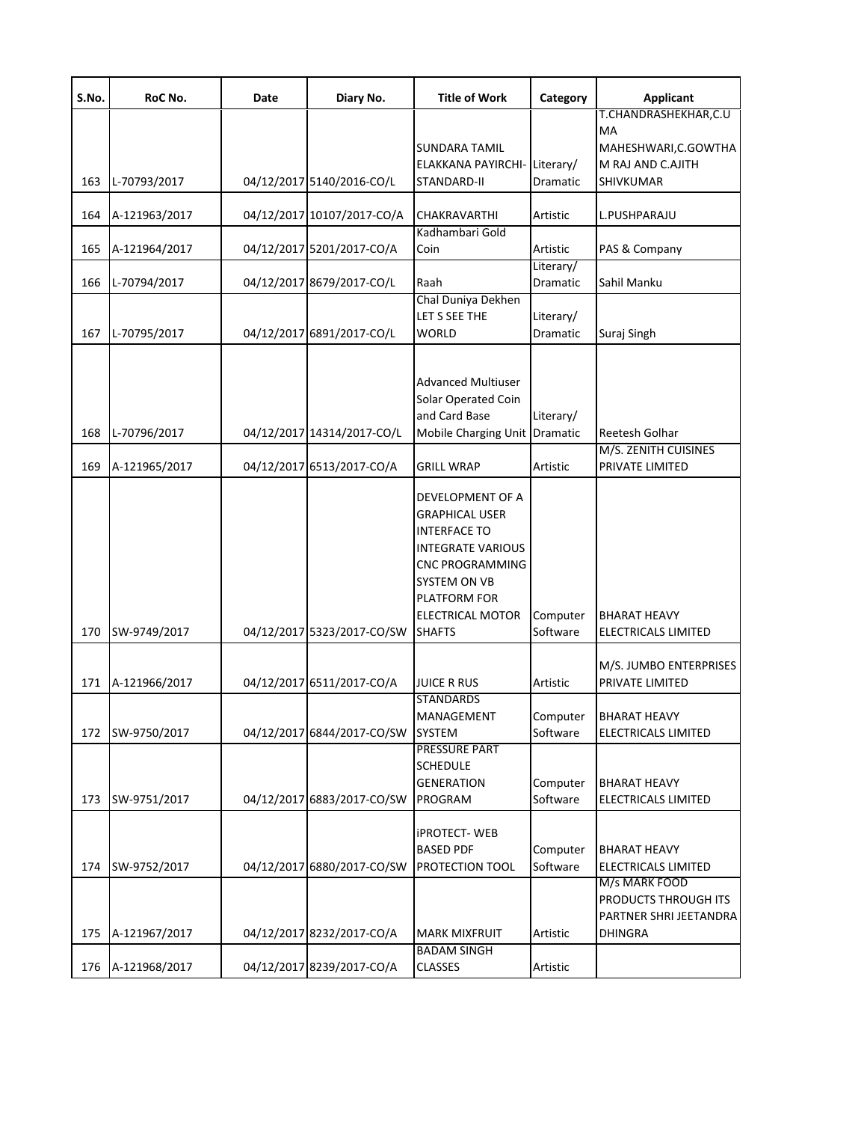| S.No. | RoC No.       | Date | Diary No.                  | <b>Title of Work</b>                   | Category                     | Applicant                                  |
|-------|---------------|------|----------------------------|----------------------------------------|------------------------------|--------------------------------------------|
|       |               |      |                            |                                        |                              | T.CHANDRASHEKHAR,C.U                       |
|       |               |      |                            | <b>SUNDARA TAMIL</b>                   |                              | МA<br>MAHESHWARI, C.GOWTHA                 |
|       |               |      |                            | ELAKKANA PAYIRCHI-Literary/            |                              | M RAJ AND C.AJITH                          |
| 163   | L-70793/2017  |      | 04/12/2017 5140/2016-CO/L  | STANDARD-II                            | Dramatic                     | SHIVKUMAR                                  |
| 164   | A-121963/2017 |      | 04/12/2017 10107/2017-CO/A | <b>CHAKRAVARTHI</b>                    | Artistic                     | L.PUSHPARAJU                               |
| 165   | A-121964/2017 |      | 04/12/2017 5201/2017-CO/A  | Kadhambari Gold<br>Coin                | Artistic                     | PAS & Company                              |
| 166   | L-70794/2017  |      | 04/12/2017 8679/2017-CO/L  | Raah                                   | Literary/<br>Dramatic        | Sahil Manku                                |
|       |               |      |                            | Chal Duniya Dekhen                     |                              |                                            |
| 167   | L-70795/2017  |      | 04/12/2017 6891/2017-CO/L  | LET S SEE THE<br><b>WORLD</b>          | Literary/<br><b>Dramatic</b> | Suraj Singh                                |
|       |               |      |                            |                                        |                              |                                            |
|       |               |      |                            | <b>Advanced Multiuser</b>              |                              |                                            |
|       |               |      |                            | Solar Operated Coin                    |                              |                                            |
|       |               |      |                            | and Card Base                          | Literary/                    |                                            |
| 168   | L-70796/2017  |      | 04/12/2017 14314/2017-CO/L | Mobile Charging Unit Dramatic          |                              | Reetesh Golhar                             |
|       |               |      |                            |                                        |                              | M/S. ZENITH CUISINES                       |
| 169   | A-121965/2017 |      | 04/12/2017 6513/2017-CO/A  | <b>GRILL WRAP</b>                      | Artistic                     | PRIVATE LIMITED                            |
|       |               |      |                            | DEVELOPMENT OF A                       |                              |                                            |
|       |               |      |                            | <b>GRAPHICAL USER</b>                  |                              |                                            |
|       |               |      |                            | <b>INTERFACE TO</b>                    |                              |                                            |
|       |               |      |                            | <b>INTEGRATE VARIOUS</b>               |                              |                                            |
|       |               |      |                            | <b>CNC PROGRAMMING</b>                 |                              |                                            |
|       |               |      |                            | SYSTEM ON VB                           |                              |                                            |
|       |               |      |                            | PLATFORM FOR<br>ELECTRICAL MOTOR       | Computer                     | <b>BHARAT HEAVY</b>                        |
| 170   | SW-9749/2017  |      | 04/12/2017 5323/2017-CO/SW | <b>SHAFTS</b>                          | Software                     | ELECTRICALS LIMITED                        |
|       |               |      |                            |                                        |                              |                                            |
|       |               |      |                            |                                        |                              | M/S. JUMBO ENTERPRISES                     |
| 171   | A-121966/2017 |      | 04/12/2017 6511/2017-CO/A  | <b>JUICE R RUS</b><br><b>STANDARDS</b> | Artistic                     | PRIVATE LIMITED                            |
|       |               |      |                            | MANAGEMENT                             |                              | Computer BHARAT HEAVY                      |
| 172   | SW-9750/2017  |      | 04/12/2017 6844/2017-CO/SW | SYSTEM                                 | Software                     | ELECTRICALS LIMITED                        |
|       |               |      |                            | PRESSURE PART                          |                              |                                            |
|       |               |      |                            | <b>SCHEDULE</b>                        |                              |                                            |
| 173   | SW-9751/2017  |      | 04/12/2017 6883/2017-CO/SW | <b>GENERATION</b><br>PROGRAM           | Computer<br>Software         | <b>BHARAT HEAVY</b><br>ELECTRICALS LIMITED |
|       |               |      |                            |                                        |                              |                                            |
|       |               |      |                            | <b>iPROTECT-WEB</b>                    |                              |                                            |
|       |               |      |                            | <b>BASED PDF</b>                       | Computer                     | <b>BHARAT HEAVY</b>                        |
| 174   | SW-9752/2017  |      | 04/12/2017 6880/2017-CO/SW | PROTECTION TOOL                        | Software                     | ELECTRICALS LIMITED                        |
|       |               |      |                            |                                        |                              | M/s MARK FOOD<br>PRODUCTS THROUGH ITS      |
|       |               |      |                            |                                        |                              | PARTNER SHRI JEETANDRA                     |
| 175   | A-121967/2017 |      | 04/12/2017 8232/2017-CO/A  | <b>MARK MIXFRUIT</b>                   | Artistic                     | <b>DHINGRA</b>                             |
|       |               |      |                            | <b>BADAM SINGH</b>                     |                              |                                            |
| 176   | A-121968/2017 |      | 04/12/2017 8239/2017-CO/A  | <b>CLASSES</b>                         | Artistic                     |                                            |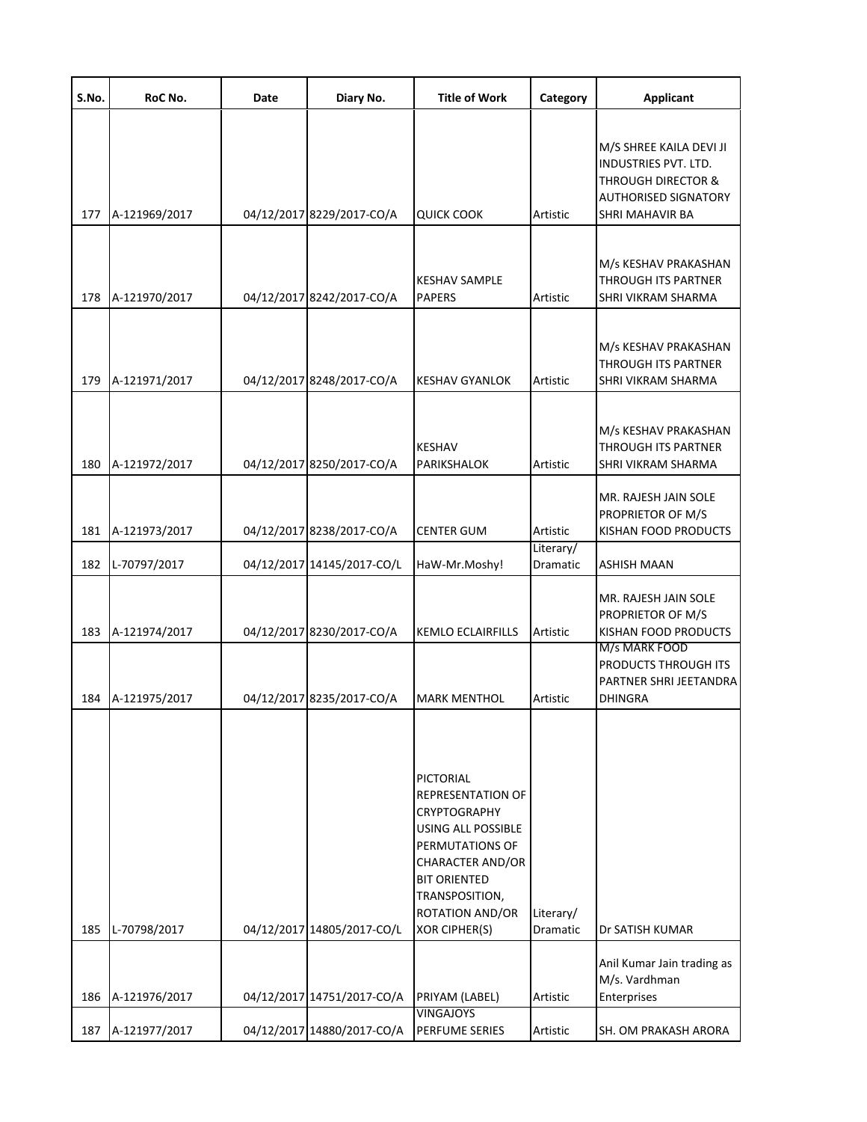| S.No. | RoC No.       | Date | Diary No.                  | <b>Title of Work</b>                                                                                                                                                                                                        | Category              | <b>Applicant</b>                                                                                                                   |
|-------|---------------|------|----------------------------|-----------------------------------------------------------------------------------------------------------------------------------------------------------------------------------------------------------------------------|-----------------------|------------------------------------------------------------------------------------------------------------------------------------|
| 177   | A-121969/2017 |      | 04/12/2017 8229/2017-CO/A  | QUICK COOK                                                                                                                                                                                                                  | Artistic              | M/S SHREE KAILA DEVI JI<br>INDUSTRIES PVT. LTD.<br><b>THROUGH DIRECTOR &amp;</b><br><b>AUTHORISED SIGNATORY</b><br>SHRI MAHAVIR BA |
| 178   | A-121970/2017 |      | 04/12/2017 8242/2017-CO/A  | <b>KESHAV SAMPLE</b><br><b>PAPERS</b>                                                                                                                                                                                       | Artistic              | M/s KESHAV PRAKASHAN<br>THROUGH ITS PARTNER<br>SHRI VIKRAM SHARMA                                                                  |
| 179   | A-121971/2017 |      | 04/12/2017 8248/2017-CO/A  | <b>KESHAV GYANLOK</b>                                                                                                                                                                                                       | Artistic              | M/s KESHAV PRAKASHAN<br>THROUGH ITS PARTNER<br>SHRI VIKRAM SHARMA                                                                  |
| 180   | A-121972/2017 |      | 04/12/2017 8250/2017-CO/A  | <b>KESHAV</b><br>PARIKSHALOK                                                                                                                                                                                                | Artistic              | M/s KESHAV PRAKASHAN<br>THROUGH ITS PARTNER<br>SHRI VIKRAM SHARMA                                                                  |
| 181   | A-121973/2017 |      | 04/12/2017 8238/2017-CO/A  | <b>CENTER GUM</b>                                                                                                                                                                                                           | Artistic<br>Literary/ | MR. RAJESH JAIN SOLE<br>PROPRIETOR OF M/S<br>KISHAN FOOD PRODUCTS                                                                  |
| 182   | L-70797/2017  |      | 04/12/2017 14145/2017-CO/L | HaW-Mr.Moshy!                                                                                                                                                                                                               | Dramatic              | ASHISH MAAN                                                                                                                        |
| 183   | A-121974/2017 |      | 04/12/2017 8230/2017-CO/A  | <b>KEMLO ECLAIRFILLS</b>                                                                                                                                                                                                    | Artistic              | MR. RAJESH JAIN SOLE<br>PROPRIETOR OF M/S<br>KISHAN FOOD PRODUCTS<br>M/s MARK FOOD<br>PRODUCTS THROUGH ITS                         |
| 184   | A-121975/2017 |      | 04/12/2017 8235/2017-CO/A  | <b>MARK MENTHOL</b>                                                                                                                                                                                                         | Artistic              | PARTNER SHRI JEETANDRA<br><b>DHINGRA</b>                                                                                           |
| 185   | L-70798/2017  |      | 04/12/2017 14805/2017-CO/L | PICTORIAL<br><b>REPRESENTATION OF</b><br><b>CRYPTOGRAPHY</b><br><b>USING ALL POSSIBLE</b><br>PERMUTATIONS OF<br><b>CHARACTER AND/OR</b><br><b>BIT ORIENTED</b><br>TRANSPOSITION,<br>ROTATION AND/OR<br><b>XOR CIPHER(S)</b> | Literary/<br>Dramatic | Dr SATISH KUMAR                                                                                                                    |
|       |               |      |                            |                                                                                                                                                                                                                             |                       | Anil Kumar Jain trading as                                                                                                         |
| 186   | A-121976/2017 |      | 04/12/2017 14751/2017-CO/A | PRIYAM (LABEL)                                                                                                                                                                                                              | Artistic              | M/s. Vardhman<br>Enterprises                                                                                                       |
| 187   | A-121977/2017 |      | 04/12/2017 14880/2017-CO/A | <b>VINGAJOYS</b><br>PERFUME SERIES                                                                                                                                                                                          | Artistic              | SH. OM PRAKASH ARORA                                                                                                               |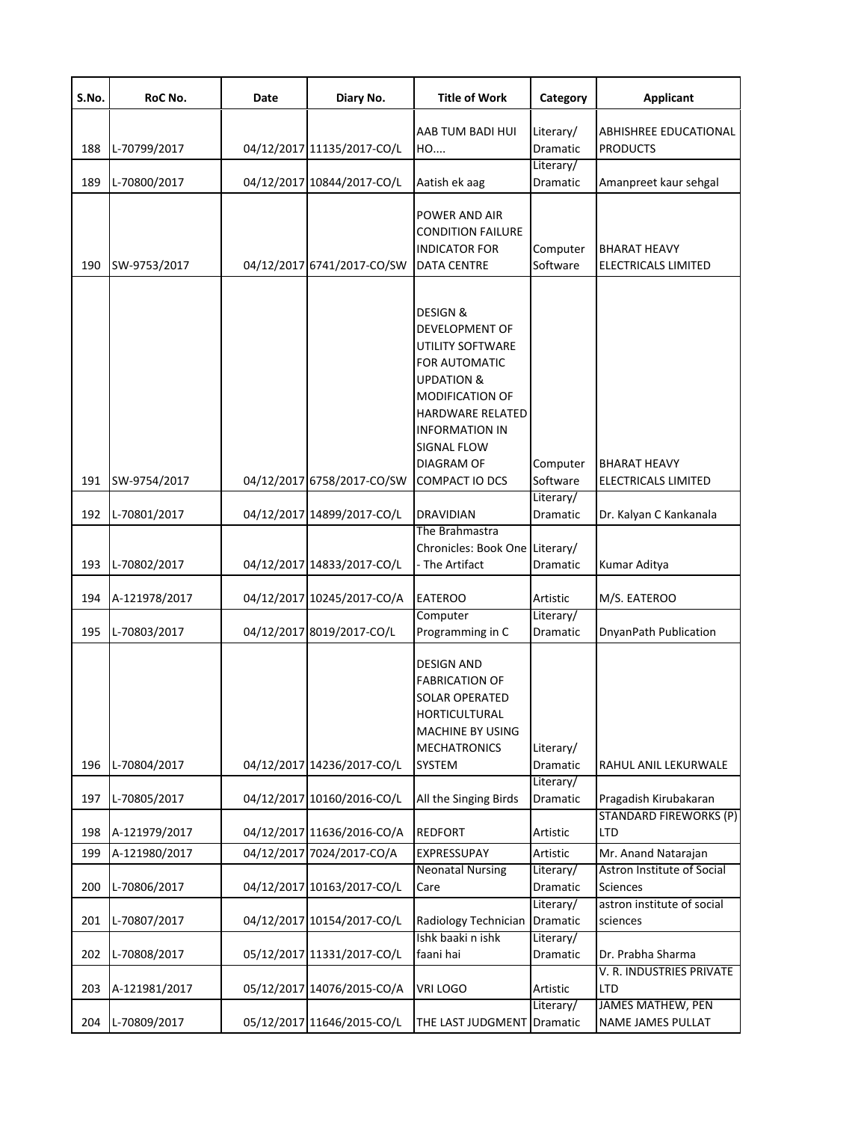| S.No. | RoC No.       | Date | Diary No.                  | <b>Title of Work</b>                                                                                                                                                                                                                                  | Category              | <b>Applicant</b>                              |
|-------|---------------|------|----------------------------|-------------------------------------------------------------------------------------------------------------------------------------------------------------------------------------------------------------------------------------------------------|-----------------------|-----------------------------------------------|
| 188   | L-70799/2017  |      | 04/12/2017 11135/2017-CO/L | AAB TUM BADI HUI<br>HO                                                                                                                                                                                                                                | Literary/<br>Dramatic | ABHISHREE EDUCATIONAL<br><b>PRODUCTS</b>      |
| 189   | L-70800/2017  |      | 04/12/2017 10844/2017-CO/L | Aatish ek aag                                                                                                                                                                                                                                         | Literary/<br>Dramatic | Amanpreet kaur sehgal                         |
| 190   | SW-9753/2017  |      | 04/12/2017 6741/2017-CO/SW | POWER AND AIR<br><b>CONDITION FAILURE</b><br>INDICATOR FOR<br><b>DATA CENTRE</b>                                                                                                                                                                      | Computer<br>Software  | <b>BHARAT HEAVY</b><br>ELECTRICALS LIMITED    |
| 191   | SW-9754/2017  |      | 04/12/2017 6758/2017-CO/SW | <b>DESIGN &amp;</b><br><b>DEVELOPMENT OF</b><br><b>UTILITY SOFTWARE</b><br>FOR AUTOMATIC<br><b>UPDATION &amp;</b><br><b>MODIFICATION OF</b><br>HARDWARE RELATED<br><b>INFORMATION IN</b><br>SIGNAL FLOW<br><b>DIAGRAM OF</b><br><b>COMPACT IO DCS</b> | Computer<br>Software  | <b>BHARAT HEAVY</b><br>ELECTRICALS LIMITED    |
| 192   | L-70801/2017  |      | 04/12/2017 14899/2017-CO/L | DRAVIDIAN                                                                                                                                                                                                                                             | Literary/<br>Dramatic | Dr. Kalyan C Kankanala                        |
| 193   | L-70802/2017  |      | 04/12/2017 14833/2017-CO/L | The Brahmastra<br>Chronicles: Book One Literary/<br>- The Artifact                                                                                                                                                                                    | Dramatic              | Kumar Aditya                                  |
| 194   | A-121978/2017 |      | 04/12/2017 10245/2017-CO/A | <b>EATEROO</b>                                                                                                                                                                                                                                        | Artistic              | M/S. EATEROO                                  |
| 195   | L-70803/2017  |      | 04/12/2017 8019/2017-CO/L  | Computer<br>Programming in C                                                                                                                                                                                                                          | Literary/<br>Dramatic | DnyanPath Publication                         |
| 196   | L-70804/2017  |      | 04/12/2017 14236/2017-CO/L | <b>DESIGN AND</b><br><b>FABRICATION OF</b><br>SOLAR OPERATED<br>HORTICULTURAL<br>MACHINE BY USING<br><b>MECHATRONICS</b><br><b>SYSTEM</b>                                                                                                             | Literary/<br>Dramatic | RAHUL ANIL LEKURWALE                          |
| 197   | L-70805/2017  |      | 04/12/2017 10160/2016-CO/L | All the Singing Birds                                                                                                                                                                                                                                 | Literary/<br>Dramatic | Pragadish Kirubakaran                         |
| 198   | A-121979/2017 |      | 04/12/2017 11636/2016-CO/A | <b>REDFORT</b>                                                                                                                                                                                                                                        | Artistic              | <b>STANDARD FIREWORKS (P)</b><br>LTD          |
| 199   | A-121980/2017 |      | 04/12/2017 7024/2017-CO/A  | <b>EXPRESSUPAY</b>                                                                                                                                                                                                                                    | Artistic              | Mr. Anand Natarajan                           |
| 200   | L-70806/2017  |      | 04/12/2017 10163/2017-CO/L | <b>Neonatal Nursing</b><br>Care                                                                                                                                                                                                                       | Literary/<br>Dramatic | Astron Institute of Social<br>Sciences        |
| 201   | L-70807/2017  |      | 04/12/2017 10154/2017-CO/L | Radiology Technician                                                                                                                                                                                                                                  | Literary/<br>Dramatic | astron institute of social<br>sciences        |
| 202   | L-70808/2017  |      | 05/12/2017 11331/2017-CO/L | Ishk baaki n ishk<br>faani hai                                                                                                                                                                                                                        | Literary/<br>Dramatic | Dr. Prabha Sharma                             |
| 203   | A-121981/2017 |      | 05/12/2017 14076/2015-CO/A | VRI LOGO                                                                                                                                                                                                                                              | Artistic              | V. R. INDUSTRIES PRIVATE<br>LTD               |
| 204   | L-70809/2017  |      | 05/12/2017 11646/2015-CO/L | THE LAST JUDGMENT                                                                                                                                                                                                                                     | Literary/<br>Dramatic | <b>JAMES MATHEW, PEN</b><br>NAME JAMES PULLAT |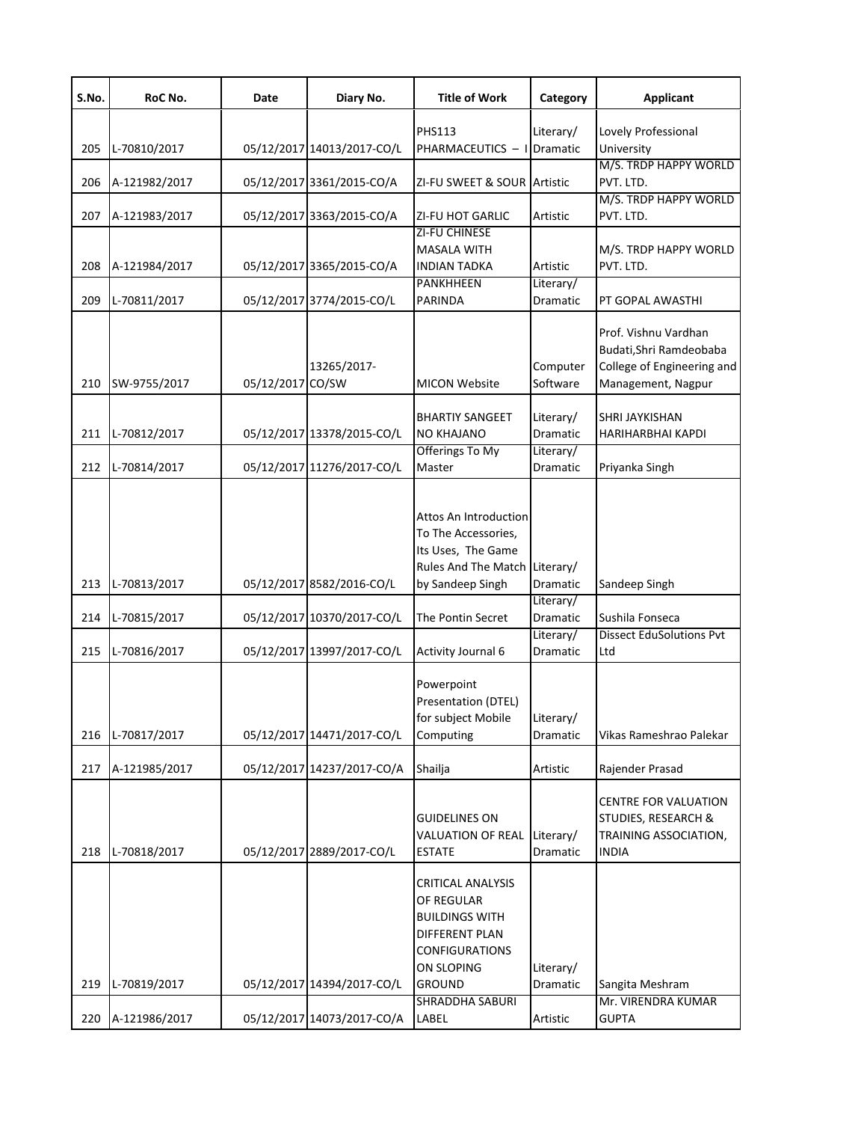| S.No. | RoC No.       | Date             | Diary No.                  | <b>Title of Work</b>                                                                                                                      | Category                     | <b>Applicant</b>                                                                                    |
|-------|---------------|------------------|----------------------------|-------------------------------------------------------------------------------------------------------------------------------------------|------------------------------|-----------------------------------------------------------------------------------------------------|
| 205   | L-70810/2017  |                  | 05/12/2017 14013/2017-CO/L | <b>PHS113</b><br>PHARMACEUTICS - I Dramatic                                                                                               | Literary/                    | Lovely Professional<br>University                                                                   |
| 206   | A-121982/2017 |                  | 05/12/2017 3361/2015-CO/A  | ZI-FU SWEET & SOUR Artistic                                                                                                               |                              | M/S. TRDP HAPPY WORLD<br>PVT. LTD.                                                                  |
| 207   | A-121983/2017 |                  | 05/12/2017 3363/2015-CO/A  | <b>ZI-FU HOT GARLIC</b>                                                                                                                   | Artistic                     | M/S. TRDP HAPPY WORLD<br>PVT. LTD.                                                                  |
| 208   | A-121984/2017 |                  | 05/12/2017 3365/2015-CO/A  | <b>ZI-FU CHINESE</b><br><b>MASALA WITH</b><br><b>INDIAN TADKA</b>                                                                         | Artistic                     | M/S. TRDP HAPPY WORLD<br>PVT. LTD.                                                                  |
| 209   | L-70811/2017  |                  | 05/12/2017 3774/2015-CO/L  | <b>PANKHHEEN</b><br><b>PARINDA</b>                                                                                                        | Literary/<br>Dramatic        | PT GOPAL AWASTHI                                                                                    |
| 210   | SW-9755/2017  | 05/12/2017 CO/SW | 13265/2017-                | <b>MICON Website</b>                                                                                                                      | Computer<br>Software         | Prof. Vishnu Vardhan<br>Budati, Shri Ramdeobaba<br>College of Engineering and<br>Management, Nagpur |
| 211   | L-70812/2017  |                  | 05/12/2017 13378/2015-CO/L | <b>BHARTIY SANGEET</b><br><b>NO KHAJANO</b>                                                                                               | Literary/<br><b>Dramatic</b> | SHRI JAYKISHAN<br>HARIHARBHAI KAPDI                                                                 |
| 212   | L-70814/2017  |                  | 05/12/2017 11276/2017-CO/L | Offerings To My<br>Master                                                                                                                 | Literary/<br>Dramatic        | Priyanka Singh                                                                                      |
| 213   | L-70813/2017  |                  | 05/12/2017 8582/2016-CO/L  | Attos An Introduction<br>To The Accessories,<br>Its Uses, The Game<br>Rules And The Match Literary/<br>by Sandeep Singh                   | Dramatic                     | Sandeep Singh                                                                                       |
| 214   | L-70815/2017  |                  | 05/12/2017 10370/2017-CO/L | The Pontin Secret                                                                                                                         | Literary/<br>Dramatic        | Sushila Fonseca                                                                                     |
| 215   | L-70816/2017  |                  | 05/12/2017 13997/2017-CO/L | <b>Activity Journal 6</b>                                                                                                                 | Literary/<br>Dramatic        | <b>Dissect EduSolutions Pvt</b><br>Ltd                                                              |
| 216   | L-70817/2017  |                  | 05/12/2017 14471/2017-CO/L | Powerpoint<br>Presentation (DTEL)<br>for subject Mobile<br>Computing                                                                      | Literary/<br>Dramatic        | Vikas Rameshrao Palekar                                                                             |
| 217   | A-121985/2017 |                  | 05/12/2017 14237/2017-CO/A | Shailja                                                                                                                                   | Artistic                     | Rajender Prasad                                                                                     |
| 218   | L-70818/2017  |                  | 05/12/2017 2889/2017-CO/L  | <b>GUIDELINES ON</b><br>VALUATION OF REAL<br><b>ESTATE</b>                                                                                | Literary/<br>Dramatic        | <b>CENTRE FOR VALUATION</b><br>STUDIES, RESEARCH &<br>TRAINING ASSOCIATION,<br>INDIA                |
| 219   | L-70819/2017  |                  | 05/12/2017 14394/2017-CO/L | CRITICAL ANALYSIS<br>OF REGULAR<br><b>BUILDINGS WITH</b><br><b>DIFFERENT PLAN</b><br><b>CONFIGURATIONS</b><br>ON SLOPING<br><b>GROUND</b> | Literary/<br>Dramatic        | Sangita Meshram<br>Mr. VIRENDRA KUMAR                                                               |
| 220   | A-121986/2017 |                  | 05/12/2017 14073/2017-CO/A | SHRADDHA SABURI<br>LABEL                                                                                                                  | Artistic                     | <b>GUPTA</b>                                                                                        |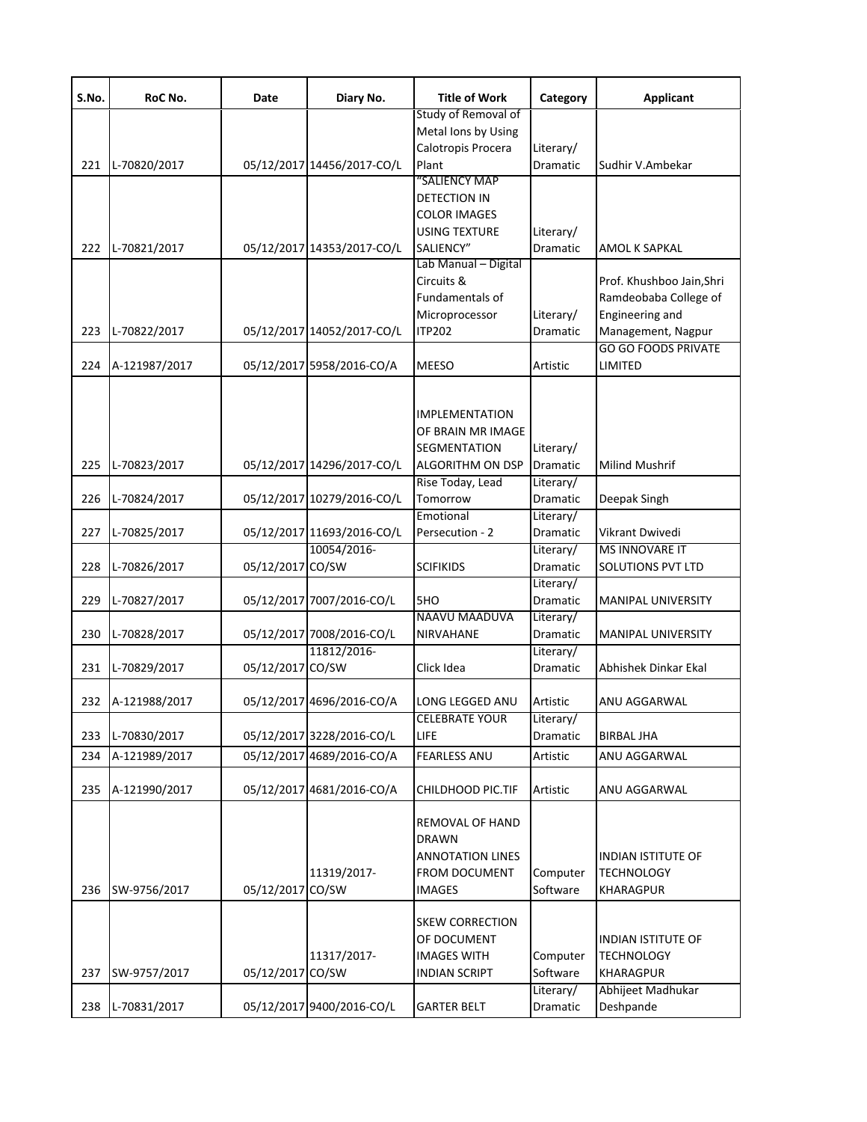| S.No. | RoC No.       | Date             | Diary No.                  | <b>Title of Work</b>                                              | Category  | <b>Applicant</b>                      |
|-------|---------------|------------------|----------------------------|-------------------------------------------------------------------|-----------|---------------------------------------|
|       |               |                  |                            | Study of Removal of                                               |           |                                       |
|       |               |                  |                            | Metal Ions by Using                                               |           |                                       |
|       |               |                  |                            | Calotropis Procera                                                | Literary/ |                                       |
| 221   | L-70820/2017  |                  | 05/12/2017 14456/2017-CO/L | Plant                                                             | Dramatic  | Sudhir V.Ambekar                      |
|       |               |                  |                            | "SALIENCY MAP                                                     |           |                                       |
|       |               |                  |                            | DETECTION IN                                                      |           |                                       |
|       |               |                  |                            | <b>COLOR IMAGES</b>                                               |           |                                       |
|       |               |                  |                            | <b>USING TEXTURE</b>                                              | Literary/ |                                       |
| 222   | L-70821/2017  |                  | 05/12/2017 14353/2017-CO/L | SALIENCY"<br>Lab Manual - Digital                                 | Dramatic  | AMOL K SAPKAL                         |
|       |               |                  |                            | Circuits &                                                        |           |                                       |
|       |               |                  |                            |                                                                   |           | Prof. Khushboo Jain, Shri             |
|       |               |                  |                            | Fundamentals of                                                   |           | Ramdeobaba College of                 |
|       |               |                  |                            | Microprocessor                                                    | Literary/ | Engineering and                       |
| 223   | L-70822/2017  |                  | 05/12/2017 14052/2017-CO/L | <b>ITP202</b>                                                     | Dramatic  | Management, Nagpur                    |
| 224   | A-121987/2017 |                  | 05/12/2017 5958/2016-CO/A  | <b>MEESO</b>                                                      | Artistic  | <b>GO GO FOODS PRIVATE</b><br>LIMITED |
|       |               |                  |                            |                                                                   |           |                                       |
|       |               |                  |                            | <b>IMPLEMENTATION</b>                                             |           |                                       |
|       |               |                  |                            |                                                                   |           |                                       |
|       |               |                  |                            | OF BRAIN MR IMAGE                                                 |           |                                       |
|       |               |                  |                            | <b>SEGMENTATION</b>                                               | Literary/ |                                       |
| 225   | L-70823/2017  |                  | 05/12/2017 14296/2017-CO/L | <b>ALGORITHM ON DSP</b>                                           | Dramatic  | Milind Mushrif                        |
|       |               |                  |                            | Rise Today, Lead                                                  | Literary/ |                                       |
| 226   | L-70824/2017  |                  | 05/12/2017 10279/2016-CO/L | Tomorrow                                                          | Dramatic  | Deepak Singh                          |
|       |               |                  |                            | Emotional                                                         | Literary/ |                                       |
| 227   | L-70825/2017  |                  | 05/12/2017 11693/2016-CO/L | Persecution - 2                                                   | Dramatic  | Vikrant Dwivedi                       |
|       |               |                  | 10054/2016-                |                                                                   | Literary/ | <b>MS INNOVARE IT</b>                 |
| 228   | L-70826/2017  | 05/12/2017 CO/SW |                            | <b>SCIFIKIDS</b>                                                  | Dramatic  | SOLUTIONS PVT LTD                     |
|       |               |                  |                            |                                                                   | Literary/ |                                       |
| 229   | L-70827/2017  |                  | 05/12/2017 7007/2016-CO/L  | 5HO                                                               | Dramatic  | <b>MANIPAL UNIVERSITY</b>             |
|       |               |                  |                            | NAAVU MAADUVA                                                     | Literary/ |                                       |
| 230   | L-70828/2017  |                  | 05/12/2017 7008/2016-CO/L  | NIRVAHANE                                                         | Dramatic  | MANIPAL UNIVERSITY                    |
|       |               |                  | 11812/2016-                |                                                                   | Literary/ |                                       |
| 231   | L-70829/2017  | 05/12/2017 CO/SW |                            | Click Idea                                                        | Dramatic  | Abhishek Dinkar Ekal                  |
| 232   | A-121988/2017 |                  | 05/12/2017 4696/2016-CO/A  | LONG LEGGED ANU                                                   | Artistic  | ANU AGGARWAL                          |
|       |               |                  |                            | <b>CELEBRATE YOUR</b>                                             | Literary/ |                                       |
| 233   | L-70830/2017  |                  | 05/12/2017 3228/2016-CO/L  | LIFE                                                              | Dramatic  | <b>BIRBAL JHA</b>                     |
| 234   | A-121989/2017 |                  | 05/12/2017 4689/2016-CO/A  | <b>FEARLESS ANU</b>                                               | Artistic  | ANU AGGARWAL                          |
|       |               |                  |                            |                                                                   |           |                                       |
| 235   | A-121990/2017 |                  | 05/12/2017 4681/2016-CO/A  | CHILDHOOD PIC.TIF                                                 | Artistic  | ANU AGGARWAL                          |
|       |               |                  |                            | <b>REMOVAL OF HAND</b><br><b>DRAWN</b><br><b>ANNOTATION LINES</b> |           | <b>INDIAN ISTITUTE OF</b>             |
|       |               |                  | 11319/2017-                | <b>FROM DOCUMENT</b>                                              | Computer  | <b>TECHNOLOGY</b>                     |
| 236   | SW-9756/2017  | 05/12/2017       | CO/SW                      | <b>IMAGES</b>                                                     | Software  | <b>KHARAGPUR</b>                      |
|       |               |                  |                            |                                                                   |           |                                       |
|       |               |                  |                            | <b>SKEW CORRECTION</b>                                            |           |                                       |
|       |               |                  |                            | OF DOCUMENT                                                       |           | <b>INDIAN ISTITUTE OF</b>             |
|       |               |                  | 11317/2017-                | <b>IMAGES WITH</b>                                                | Computer  | <b>TECHNOLOGY</b>                     |
| 237   | SW-9757/2017  | 05/12/2017 CO/SW |                            | <b>INDIAN SCRIPT</b>                                              | Software  | KHARAGPUR                             |
|       |               |                  |                            |                                                                   | Literary/ | Abhijeet Madhukar                     |
| 238   | L-70831/2017  |                  | 05/12/2017 9400/2016-CO/L  | <b>GARTER BELT</b>                                                | Dramatic  | Deshpande                             |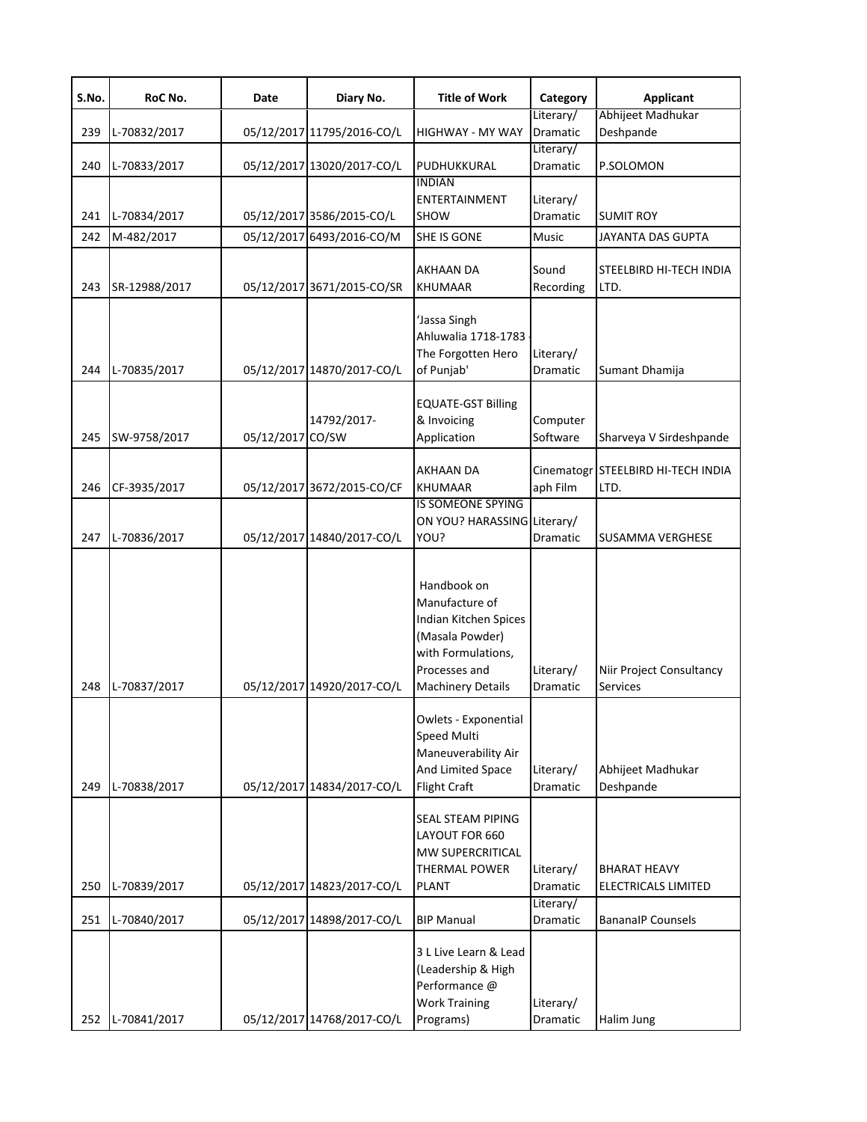| S.No. | RoC No.       | Date       | Diary No.                  | <b>Title of Work</b>                                                                                                                         | Category                     | Applicant                                         |
|-------|---------------|------------|----------------------------|----------------------------------------------------------------------------------------------------------------------------------------------|------------------------------|---------------------------------------------------|
| 239   | L-70832/2017  |            | 05/12/2017 11795/2016-CO/L | HIGHWAY - MY WAY                                                                                                                             | Literary/<br>Dramatic        | Abhijeet Madhukar<br>Deshpande                    |
| 240   | L-70833/2017  |            | 05/12/2017 13020/2017-CO/L | PUDHUKKURAL                                                                                                                                  | Literary/<br>Dramatic        | P.SOLOMON                                         |
| 241   | L-70834/2017  |            | 05/12/2017 3586/2015-CO/L  | <b>INDIAN</b><br><b>ENTERTAINMENT</b><br><b>SHOW</b>                                                                                         | Literary/<br><b>Dramatic</b> | <b>SUMIT ROY</b>                                  |
| 242   | M-482/2017    |            | 05/12/2017 6493/2016-CO/M  | SHE IS GONE                                                                                                                                  | <b>Music</b>                 | JAYANTA DAS GUPTA                                 |
| 243   | SR-12988/2017 |            | 05/12/2017 3671/2015-CO/SR | AKHAAN DA<br><b>KHUMAAR</b>                                                                                                                  | Sound<br>Recording           | STEELBIRD HI-TECH INDIA<br>LTD.                   |
| 244   | L-70835/2017  |            | 05/12/2017 14870/2017-CO/L | 'Jassa Singh<br>Ahluwalia 1718-1783<br>The Forgotten Hero<br>of Punjab'                                                                      | Literary/<br>Dramatic        | Sumant Dhamija                                    |
| 245   | SW-9758/2017  | 05/12/2017 | 14792/2017-<br>CO/SW       | <b>EQUATE-GST Billing</b><br>& Invoicing<br>Application                                                                                      | Computer<br>Software         | Sharveya V Sirdeshpande                           |
| 246   | CF-3935/2017  |            | 05/12/2017 3672/2015-CO/CF | <b>AKHAAN DA</b><br><b>KHUMAAR</b>                                                                                                           | aph Film                     | Cinematogr STEELBIRD HI-TECH INDIA<br>LTD.        |
| 247   | L-70836/2017  |            | 05/12/2017 14840/2017-CO/L | <b>IS SOMEONE SPYING</b><br>ON YOU? HARASSING Literary/<br>YOU?                                                                              | Dramatic                     | <b>SUSAMMA VERGHESE</b>                           |
| 248   | L-70837/2017  |            | 05/12/2017 14920/2017-CO/L | Handbook on<br>Manufacture of<br>Indian Kitchen Spices<br>(Masala Powder)<br>with Formulations,<br>Processes and<br><b>Machinery Details</b> | Literary/<br>Dramatic        | Niir Project Consultancy<br><b>Services</b>       |
| 249   | L-70838/2017  |            | 05/12/2017 14834/2017-CO/L | Owlets - Exponential<br><b>Speed Multi</b><br>Maneuverability Air<br>And Limited Space<br><b>Flight Craft</b>                                | Literary/<br><b>Dramatic</b> | Abhijeet Madhukar<br>Deshpande                    |
| 250   | L-70839/2017  |            | 05/12/2017 14823/2017-CO/L | SEAL STEAM PIPING<br>LAYOUT FOR 660<br><b>MW SUPERCRITICAL</b><br><b>THERMAL POWER</b><br><b>PLANT</b>                                       | Literary/<br>Dramatic        | <b>BHARAT HEAVY</b><br><b>ELECTRICALS LIMITED</b> |
| 251   | L-70840/2017  |            | 05/12/2017 14898/2017-CO/L | <b>BIP Manual</b>                                                                                                                            | Literary/<br>Dramatic        | <b>BananalP Counsels</b>                          |
| 252   | L-70841/2017  |            | 05/12/2017 14768/2017-CO/L | 3 L Live Learn & Lead<br>(Leadership & High<br>Performance @<br><b>Work Training</b><br>Programs)                                            | Literary/<br>Dramatic        | Halim Jung                                        |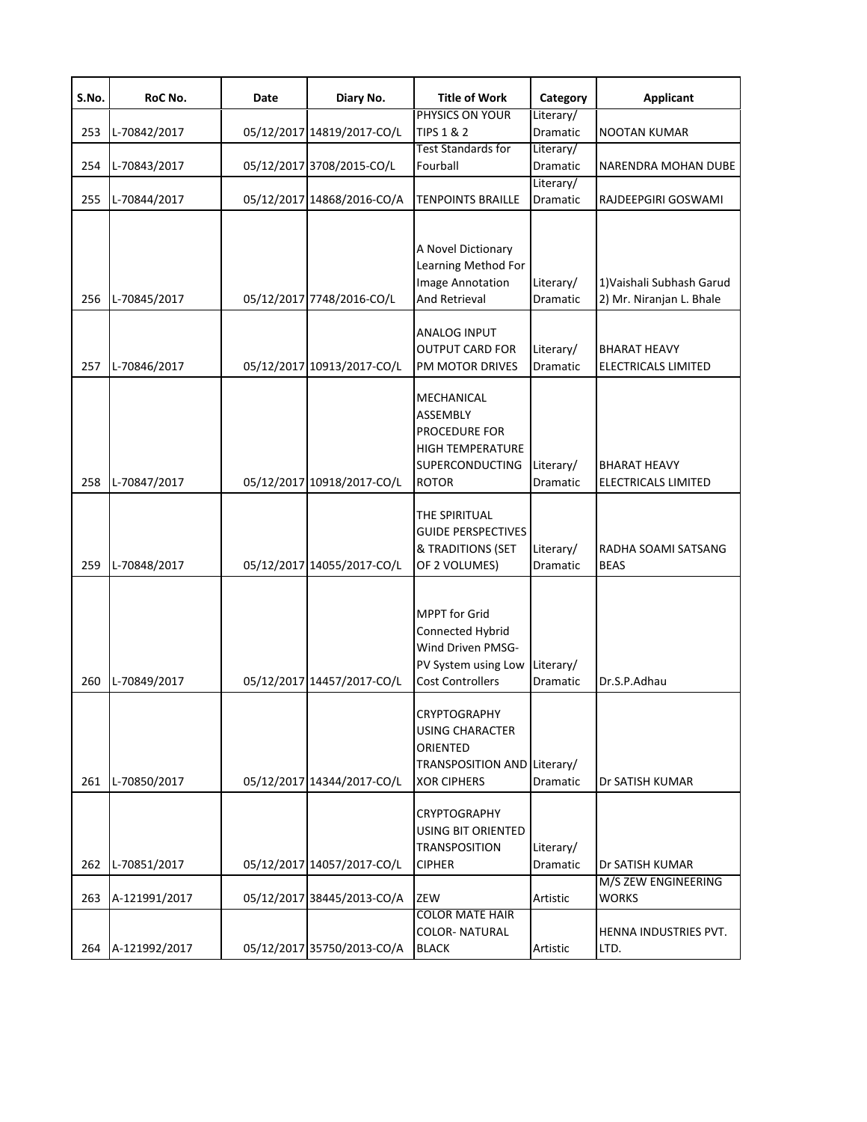| S.No. | RoC No.       | Date | Diary No.                  | <b>Title of Work</b>                                                                                            | Category              | <b>Applicant</b>                                      |
|-------|---------------|------|----------------------------|-----------------------------------------------------------------------------------------------------------------|-----------------------|-------------------------------------------------------|
| 253   | L-70842/2017  |      | 05/12/2017 14819/2017-CO/L | PHYSICS ON YOUR<br><b>TIPS 1 &amp; 2</b>                                                                        | Literary/<br>Dramatic | NOOTAN KUMAR                                          |
| 254   | L-70843/2017  |      | 05/12/2017 3708/2015-CO/L  | <b>Test Standards for</b><br>Fourball                                                                           | Literary/<br>Dramatic | NARENDRA MOHAN DUBE                                   |
| 255   | L-70844/2017  |      | 05/12/2017 14868/2016-CO/A | <b>TENPOINTS BRAILLE</b>                                                                                        | Literary/<br>Dramatic | RAJDEEPGIRI GOSWAMI                                   |
| 256   | L-70845/2017  |      | 05/12/2017 7748/2016-CO/L  | A Novel Dictionary<br>Learning Method For<br>Image Annotation<br>And Retrieval                                  | Literary/<br>Dramatic | 1) Vaishali Subhash Garud<br>2) Mr. Niranjan L. Bhale |
| 257   | L-70846/2017  |      | 05/12/2017 10913/2017-CO/L | ANALOG INPUT<br><b>OUTPUT CARD FOR</b><br>PM MOTOR DRIVES                                                       | Literary/<br>Dramatic | <b>BHARAT HEAVY</b><br>ELECTRICALS LIMITED            |
| 258   | L-70847/2017  |      | 05/12/2017 10918/2017-CO/L | MECHANICAL<br>ASSEMBLY<br>PROCEDURE FOR<br><b>HIGH TEMPERATURE</b><br><b>SUPERCONDUCTING</b><br><b>ROTOR</b>    | Literary/<br>Dramatic | <b>BHARAT HEAVY</b><br><b>ELECTRICALS LIMITED</b>     |
| 259   | L-70848/2017  |      | 05/12/2017 14055/2017-CO/L | THE SPIRITUAL<br><b>GUIDE PERSPECTIVES</b><br>& TRADITIONS (SET<br>OF 2 VOLUMES)                                | Literary/<br>Dramatic | RADHA SOAMI SATSANG<br><b>BEAS</b>                    |
| 260   | L-70849/2017  |      | 05/12/2017 14457/2017-CO/L | <b>MPPT</b> for Grid<br>Connected Hybrid<br>Wind Driven PMSG-<br>PV System using Low<br><b>Cost Controllers</b> | Literary/<br>Dramatic | Dr.S.P.Adhau                                          |
| 261   | L-70850/2017  |      | 05/12/2017 14344/2017-CO/L | CRYPTOGRAPHY<br>USING CHARACTER<br>ORIENTED<br>TRANSPOSITION AND Literary/<br><b>XOR CIPHERS</b>                | Dramatic              | Dr SATISH KUMAR                                       |
| 262   | L-70851/2017  |      | 05/12/2017 14057/2017-CO/L | CRYPTOGRAPHY<br><b>USING BIT ORIENTED</b><br><b>TRANSPOSITION</b><br><b>CIPHER</b>                              | Literary/<br>Dramatic | Dr SATISH KUMAR<br>M/S ZEW ENGINEERING                |
| 263   | A-121991/2017 |      | 05/12/2017 38445/2013-CO/A | ZEW<br><b>COLOR MATE HAIR</b>                                                                                   | Artistic              | <b>WORKS</b>                                          |
| 264   | A-121992/2017 |      | 05/12/2017 35750/2013-CO/A | <b>COLOR-NATURAL</b><br><b>BLACK</b>                                                                            | Artistic              | HENNA INDUSTRIES PVT.<br>LTD.                         |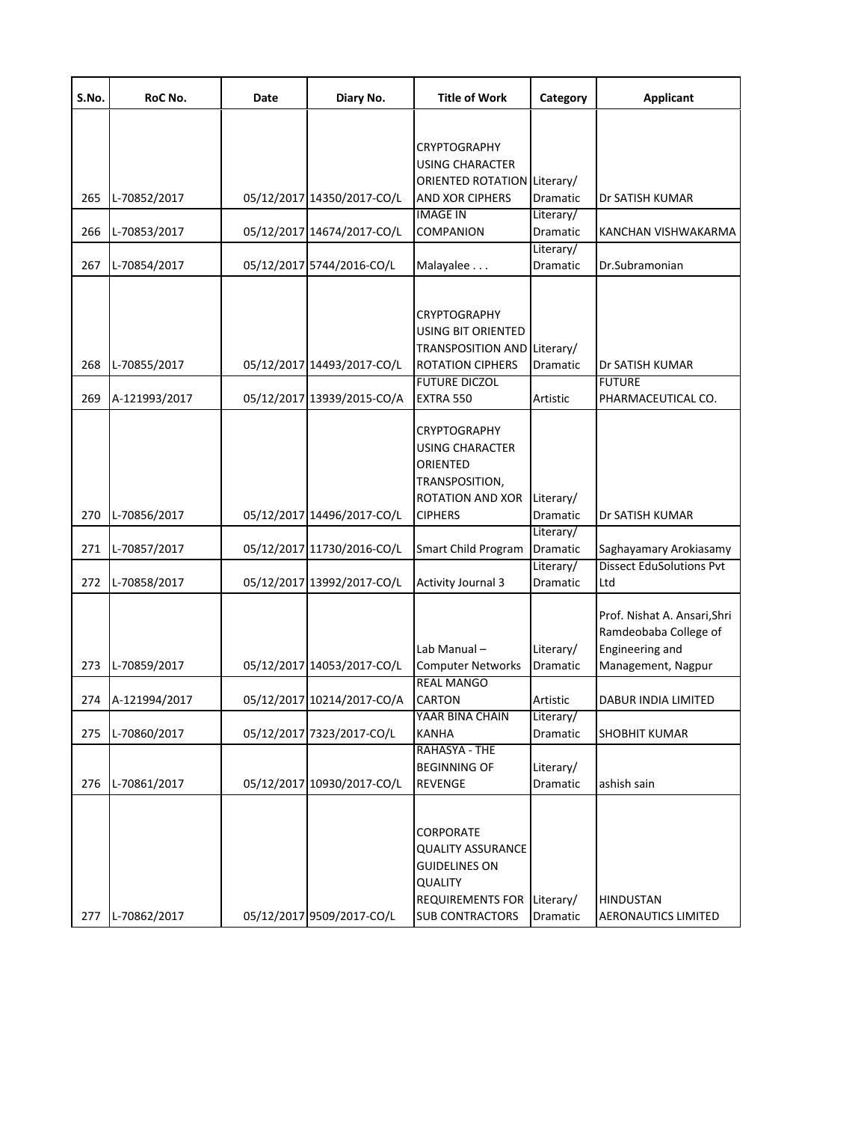| S.No. | RoC No.       | Date | Diary No.                  | <b>Title of Work</b>                          | Category              | <b>Applicant</b>                       |
|-------|---------------|------|----------------------------|-----------------------------------------------|-----------------------|----------------------------------------|
|       |               |      |                            |                                               |                       |                                        |
|       |               |      |                            | <b>CRYPTOGRAPHY</b>                           |                       |                                        |
|       |               |      |                            | <b>USING CHARACTER</b>                        |                       |                                        |
|       |               |      |                            | <b>ORIENTED ROTATION Literary/</b>            |                       | Dr SATISH KUMAR                        |
| 265   | L-70852/2017  |      | 05/12/2017 14350/2017-CO/L | <b>AND XOR CIPHERS</b><br><b>IMAGE IN</b>     | Dramatic<br>Literary/ |                                        |
| 266   | L-70853/2017  |      | 05/12/2017 14674/2017-CO/L | COMPANION                                     | Dramatic              | KANCHAN VISHWAKARMA                    |
|       |               |      |                            |                                               | Literary/             |                                        |
| 267   | L-70854/2017  |      | 05/12/2017 5744/2016-CO/L  | Malayalee                                     | Dramatic              | Dr.Subramonian                         |
|       |               |      |                            |                                               |                       |                                        |
|       |               |      |                            | CRYPTOGRAPHY<br>USING BIT ORIENTED            |                       |                                        |
|       |               |      |                            | TRANSPOSITION AND Literary/                   |                       |                                        |
| 268   | L-70855/2017  |      | 05/12/2017 14493/2017-CO/L | <b>ROTATION CIPHERS</b>                       | Dramatic              | Dr SATISH KUMAR                        |
|       |               |      |                            | <b>FUTURE DICZOL</b>                          |                       | <b>FUTURE</b>                          |
| 269   | A-121993/2017 |      | 05/12/2017 13939/2015-CO/A | EXTRA 550                                     | Artistic              | PHARMACEUTICAL CO.                     |
|       |               |      |                            |                                               |                       |                                        |
|       |               |      |                            | <b>CRYPTOGRAPHY</b><br><b>USING CHARACTER</b> |                       |                                        |
|       |               |      |                            | ORIENTED                                      |                       |                                        |
|       |               |      |                            | TRANSPOSITION,                                |                       |                                        |
|       |               |      |                            | <b>ROTATION AND XOR</b>                       | Literary/             |                                        |
| 270   | L-70856/2017  |      | 05/12/2017 14496/2017-CO/L | <b>CIPHERS</b>                                | Dramatic              | Dr SATISH KUMAR                        |
|       |               |      |                            |                                               | Literary/             |                                        |
| 271   | L-70857/2017  |      | 05/12/2017 11730/2016-CO/L | Smart Child Program                           | Dramatic              | Saghayamary Arokiasamy                 |
| 272   | L-70858/2017  |      | 05/12/2017 13992/2017-CO/L | <b>Activity Journal 3</b>                     | Literary/<br>Dramatic | <b>Dissect EduSolutions Pvt</b><br>Ltd |
|       |               |      |                            |                                               |                       |                                        |
|       |               |      |                            |                                               |                       | Prof. Nishat A. Ansari, Shri           |
|       |               |      |                            |                                               |                       | Ramdeobaba College of                  |
|       |               |      |                            | Lab Manual-                                   | Literary/             | Engineering and                        |
| 273   | L-70859/2017  |      | 05/12/2017 14053/2017-CO/L | <b>Computer Networks</b>                      | Dramatic              | Management, Nagpur                     |
| 274   | A-121994/2017 |      | 05/12/2017 10214/2017-CO/A | <b>REAL MANGO</b><br><b>CARTON</b>            | Artistic              | <b>DABUR INDIA LIMITED</b>             |
|       |               |      |                            | YAAR BINA CHAIN                               | Literary/             |                                        |
| 275   | L-70860/2017  |      | 05/12/2017 7323/2017-CO/L  | <b>KANHA</b>                                  | Dramatic              | <b>SHOBHIT KUMAR</b>                   |
|       |               |      |                            | RAHASYA - THE                                 |                       |                                        |
|       |               |      |                            | <b>BEGINNING OF</b>                           | Literary/             |                                        |
| 276   | L-70861/2017  |      | 05/12/2017 10930/2017-CO/L | <b>REVENGE</b>                                | <b>Dramatic</b>       | ashish sain                            |
|       |               |      |                            |                                               |                       |                                        |
|       |               |      |                            | CORPORATE                                     |                       |                                        |
|       |               |      |                            | <b>QUALITY ASSURANCE</b>                      |                       |                                        |
|       |               |      |                            | <b>GUIDELINES ON</b>                          |                       |                                        |
|       |               |      |                            | <b>QUALITY</b>                                |                       |                                        |
|       |               |      |                            | <b>REQUIREMENTS FOR</b>                       | Literary/             | <b>HINDUSTAN</b>                       |
| 277   | L-70862/2017  |      | 05/12/2017 9509/2017-CO/L  | <b>SUB CONTRACTORS</b>                        | Dramatic              | <b>AERONAUTICS LIMITED</b>             |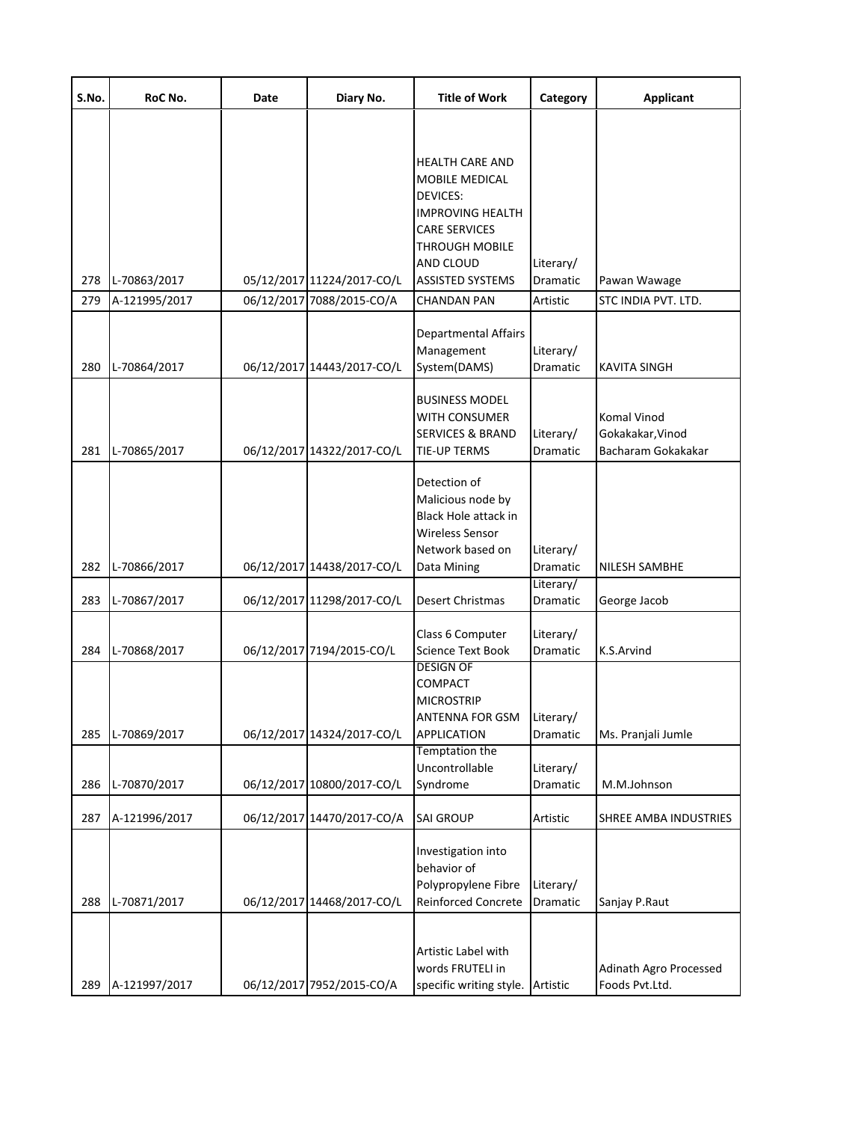| S.No.      | RoC No.                       | Date | Diary No.                                               | <b>Title of Work</b>                                                                                                                                                                    | Category                           | <b>Applicant</b>                                      |
|------------|-------------------------------|------|---------------------------------------------------------|-----------------------------------------------------------------------------------------------------------------------------------------------------------------------------------------|------------------------------------|-------------------------------------------------------|
| 278<br>279 | L-70863/2017<br>A-121995/2017 |      | 05/12/2017 11224/2017-CO/L<br>06/12/2017 7088/2015-CO/A | <b>HEALTH CARE AND</b><br>MOBILE MEDICAL<br><b>DEVICES:</b><br><b>IMPROVING HEALTH</b><br><b>CARE SERVICES</b><br>THROUGH MOBILE<br>AND CLOUD<br><b>ASSISTED SYSTEMS</b><br>CHANDAN PAN | Literary/<br>Dramatic<br>Artistic  | Pawan Wawage<br>STC INDIA PVT. LTD.                   |
| 280        | L-70864/2017                  |      | 06/12/2017 14443/2017-CO/L                              | Departmental Affairs<br>Management<br>System(DAMS)                                                                                                                                      | Literary/<br>Dramatic              | KAVITA SINGH                                          |
| 281        | L-70865/2017                  |      | 06/12/2017 14322/2017-CO/L                              | <b>BUSINESS MODEL</b><br>WITH CONSUMER<br><b>SERVICES &amp; BRAND</b><br><b>TIE-UP TERMS</b>                                                                                            | Literary/<br>Dramatic              | Komal Vinod<br>Gokakakar, Vinod<br>Bacharam Gokakakar |
| 282        | L-70866/2017                  |      | 06/12/2017 14438/2017-CO/L                              | Detection of<br>Malicious node by<br><b>Black Hole attack in</b><br><b>Wireless Sensor</b><br>Network based on<br>Data Mining                                                           | Literary/<br>Dramatic              | NILESH SAMBHE                                         |
| 283        | L-70867/2017                  |      | 06/12/2017 11298/2017-CO/L                              | <b>Desert Christmas</b>                                                                                                                                                                 | Literary/<br>Dramatic              | George Jacob                                          |
| 284        | L-70868/2017                  |      | 06/12/2017 7194/2015-CO/L                               | Class 6 Computer<br><b>Science Text Book</b><br><b>DESIGN OF</b><br>COMPACT<br><b>MICROSTRIP</b><br><b>ANTENNA FOR GSM</b>                                                              | Literary/<br>Dramatic<br>Literary/ | K.S.Arvind                                            |
| 285        | L-70869/2017                  |      | 06/12/2017 14324/2017-CO/L                              | <b>APPLICATION</b><br><b>Temptation the</b>                                                                                                                                             | Dramatic                           | Ms. Pranjali Jumle                                    |
| 286        | L-70870/2017                  |      | 06/12/2017 10800/2017-CO/L                              | Uncontrollable<br>Syndrome                                                                                                                                                              | Literary/<br>Dramatic              | M.M.Johnson                                           |
| 287        | A-121996/2017                 |      | 06/12/2017 14470/2017-CO/A                              | <b>SAI GROUP</b>                                                                                                                                                                        | Artistic                           | SHREE AMBA INDUSTRIES                                 |
| 288        | L-70871/2017                  |      | 06/12/2017 14468/2017-CO/L                              | Investigation into<br>behavior of<br>Polypropylene Fibre<br>Reinforced Concrete                                                                                                         | Literary/<br>Dramatic              | Sanjay P.Raut                                         |
| 289        | A-121997/2017                 |      | 06/12/2017 7952/2015-CO/A                               | Artistic Label with<br>words FRUTELI in<br>specific writing style.                                                                                                                      | Artistic                           | Adinath Agro Processed<br>Foods Pvt.Ltd.              |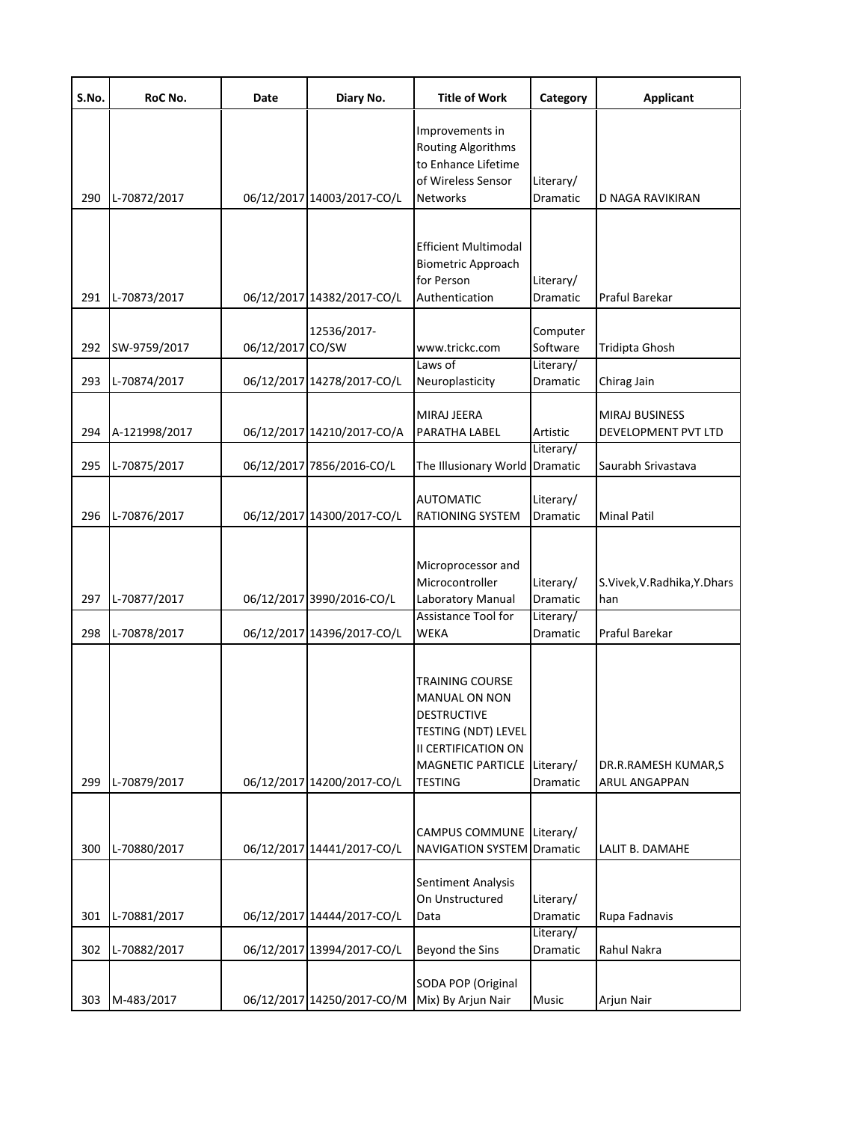| S.No.      | RoC No.                      | Date             | Diary No.                                 | <b>Title of Work</b>                                                                                                                               | Category                         | <b>Applicant</b>                            |
|------------|------------------------------|------------------|-------------------------------------------|----------------------------------------------------------------------------------------------------------------------------------------------------|----------------------------------|---------------------------------------------|
| 290        | L-70872/2017                 |                  | 06/12/2017 14003/2017-CO/L                | Improvements in<br><b>Routing Algorithms</b><br>to Enhance Lifetime<br>of Wireless Sensor<br><b>Networks</b>                                       | Literary/<br>Dramatic            | D NAGA RAVIKIRAN                            |
|            |                              |                  |                                           | <b>Efficient Multimodal</b><br><b>Biometric Approach</b><br>for Person                                                                             | Literary/                        |                                             |
| 291<br>292 | L-70873/2017<br>SW-9759/2017 | 06/12/2017 CO/SW | 06/12/2017 14382/2017-CO/L<br>12536/2017- | Authentication<br>www.trickc.com                                                                                                                   | Dramatic<br>Computer<br>Software | Praful Barekar<br>Tridipta Ghosh            |
| 293        | L-70874/2017                 |                  | 06/12/2017 14278/2017-CO/L                | Laws of<br>Neuroplasticity                                                                                                                         | Literary/<br>Dramatic            | Chirag Jain                                 |
| 294        | A-121998/2017                |                  | 06/12/2017 14210/2017-CO/A                | <b>MIRAJ JEERA</b><br>PARATHA LABEL                                                                                                                | Artistic                         | MIRAJ BUSINESS<br>DEVELOPMENT PVT LTD       |
| 295        | L-70875/2017                 |                  | 06/12/2017 7856/2016-CO/L                 | The Illusionary World                                                                                                                              | Literary/<br><b>Dramatic</b>     | Saurabh Srivastava                          |
| 296        | L-70876/2017                 |                  | 06/12/2017 14300/2017-CO/L                | <b>AUTOMATIC</b><br><b>RATIONING SYSTEM</b>                                                                                                        | Literary/<br>Dramatic            | <b>Minal Patil</b>                          |
| 297        | L-70877/2017                 |                  | 06/12/2017 3990/2016-CO/L                 | Microprocessor and<br>Microcontroller<br>Laboratory Manual                                                                                         | Literary/<br>Dramatic            | S.Vivek, V. Radhika, Y. Dhars<br>han        |
| 298        | L-70878/2017                 |                  | 06/12/2017 14396/2017-CO/L                | <b>Assistance Tool for</b><br><b>WEKA</b>                                                                                                          | Literary/<br><b>Dramatic</b>     | Praful Barekar                              |
| 299        | L-70879/2017                 |                  | 06/12/2017 14200/2017-CO/L                | TRAINING COURSE<br><b>MANUAL ON NON</b><br>DESTRUCTIVE<br><b>TESTING (NDT) LEVEL</b><br>II CERTIFICATION ON<br>MAGNETIC PARTICLE<br><b>TESTING</b> | Literary/<br>Dramatic            | DR.R.RAMESH KUMAR,S<br><b>ARUL ANGAPPAN</b> |
| 300        | L-70880/2017                 |                  | 06/12/2017 14441/2017-CO/L                | CAMPUS COMMUNE Literary/<br><b>NAVIGATION SYSTEM Dramatic</b>                                                                                      |                                  | LALIT B. DAMAHE                             |
| 301        | L-70881/2017                 |                  | 06/12/2017 14444/2017-CO/L                | Sentiment Analysis<br>On Unstructured<br>Data                                                                                                      | Literary/<br>Dramatic            | Rupa Fadnavis                               |
| 302        | L-70882/2017                 |                  | 06/12/2017 13994/2017-CO/L                | Beyond the Sins                                                                                                                                    | Literary/<br>Dramatic            | Rahul Nakra                                 |
| 303        | M-483/2017                   |                  | 06/12/2017 14250/2017-CO/M                | SODA POP (Original<br>Mix) By Arjun Nair                                                                                                           | Music                            | Arjun Nair                                  |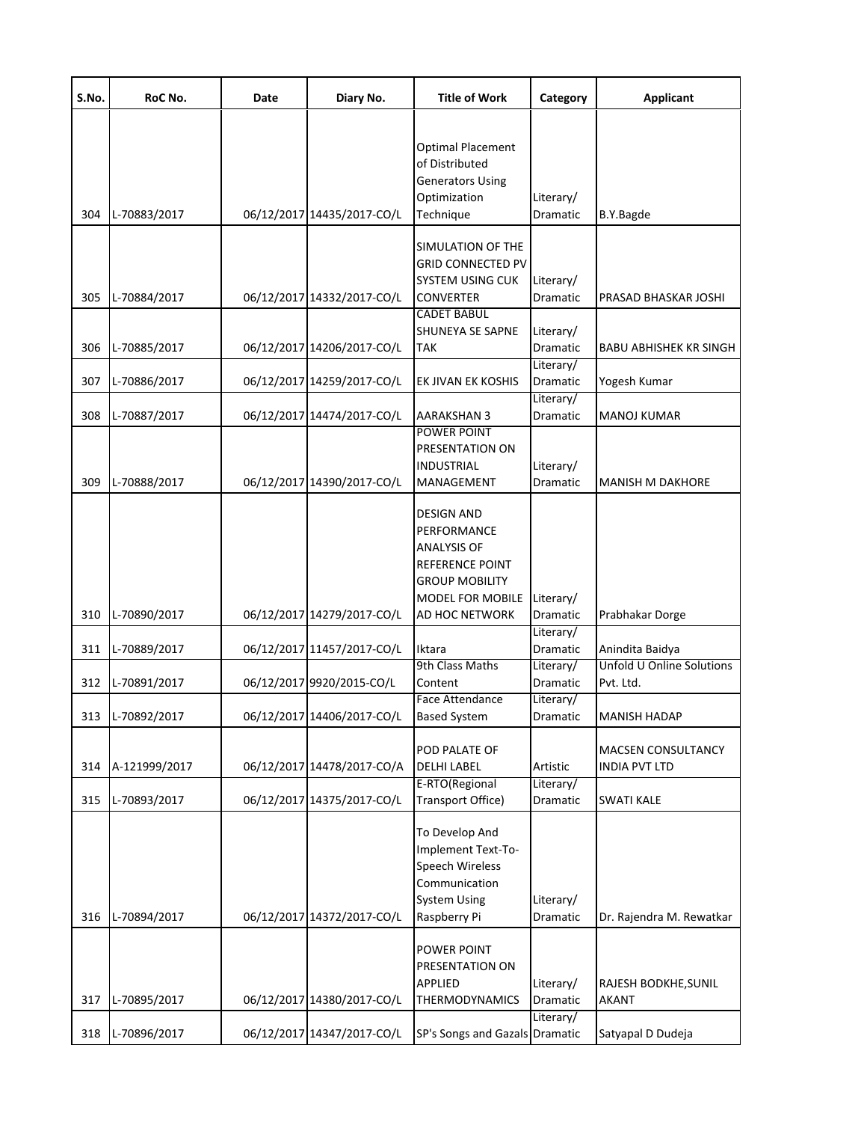| S.No. | RoC No.       | Date | Diary No.                  | <b>Title of Work</b>                                                                                            | Category                           | <b>Applicant</b>                                  |  |
|-------|---------------|------|----------------------------|-----------------------------------------------------------------------------------------------------------------|------------------------------------|---------------------------------------------------|--|
| 304   | L-70883/2017  |      | 06/12/2017 14435/2017-CO/L | <b>Optimal Placement</b><br>of Distributed<br><b>Generators Using</b><br>Optimization<br>Technique              | Literary/<br>Dramatic              | B.Y.Bagde                                         |  |
|       |               |      |                            | SIMULATION OF THE<br><b>GRID CONNECTED PV</b>                                                                   |                                    |                                                   |  |
| 305   | L-70884/2017  |      | 06/12/2017 14332/2017-CO/L | <b>SYSTEM USING CUK</b><br><b>CONVERTER</b><br><b>CADET BABUL</b>                                               | Literary/<br>Dramatic              | PRASAD BHASKAR JOSHI                              |  |
| 306   | L-70885/2017  |      | 06/12/2017 14206/2017-CO/L | <b>SHUNEYA SE SAPNE</b><br><b>TAK</b>                                                                           | Literary/<br>Dramatic<br>Literary/ | <b>BABU ABHISHEK KR SINGH</b>                     |  |
| 307   | L-70886/2017  |      | 06/12/2017 14259/2017-CO/L | EK JIVAN EK KOSHIS                                                                                              | Dramatic                           | Yogesh Kumar                                      |  |
| 308   | L-70887/2017  |      | 06/12/2017 14474/2017-CO/L | <b>AARAKSHAN 3</b>                                                                                              | Literary/<br>Dramatic              | <b>MANOJ KUMAR</b>                                |  |
| 309   | L-70888/2017  |      | 06/12/2017 14390/2017-CO/L | POWER POINT<br>PRESENTATION ON<br><b>INDUSTRIAL</b><br>MANAGEMENT                                               | Literary/<br>Dramatic              | <b>MANISH M DAKHORE</b>                           |  |
|       |               |      |                            | DESIGN AND<br>PERFORMANCE<br><b>ANALYSIS OF</b><br><b>REFERENCE POINT</b><br>GROUP MOBILITY<br>MODEL FOR MOBILE | Literary/                          |                                                   |  |
| 310   | L-70890/2017  |      | 06/12/2017 14279/2017-CO/L | AD HOC NETWORK                                                                                                  | Dramatic<br>Literary/              | Prabhakar Dorge                                   |  |
| 311   | L-70889/2017  |      | 06/12/2017 11457/2017-CO/L | Iktara                                                                                                          | Dramatic                           | Anindita Baidya                                   |  |
| 312   | L-70891/2017  |      | 06/12/2017 9920/2015-CO/L  | 9th Class Maths<br>Content                                                                                      | Literary/<br>Dramatic              | Unfold U Online Solutions<br>Pvt. Ltd.            |  |
| 313   | L-70892/2017  |      | 06/12/2017 14406/2017-CO/L | Face Attendance<br><b>Based System</b>                                                                          | Literary/<br>Dramatic              | MANISH HADAP                                      |  |
| 314   | A-121999/2017 |      | 06/12/2017 14478/2017-CO/A | POD PALATE OF<br><b>DELHI LABEL</b>                                                                             | Artistic                           | <b>MACSEN CONSULTANCY</b><br><b>INDIA PVT LTD</b> |  |
| 315   | L-70893/2017  |      | 06/12/2017 14375/2017-CO/L | E-RTO(Regional<br>Transport Office)                                                                             | Literary/<br>Dramatic              | <b>SWATI KALE</b>                                 |  |
| 316   | L-70894/2017  |      | 06/12/2017 14372/2017-CO/L | To Develop And<br>Implement Text-To-<br>Speech Wireless<br>Communication<br><b>System Using</b><br>Raspberry Pi | Literary/<br>Dramatic              | Dr. Rajendra M. Rewatkar                          |  |
| 317   | L-70895/2017  |      | 06/12/2017 14380/2017-CO/L | POWER POINT<br>PRESENTATION ON<br>APPLIED<br>THERMODYNAMICS                                                     | Literary/<br>Dramatic              | RAJESH BODKHE, SUNIL<br><b>AKANT</b>              |  |
| 318   | L-70896/2017  |      | 06/12/2017 14347/2017-CO/L | SP's Songs and Gazals Dramatic                                                                                  | Literary/                          | Satyapal D Dudeja                                 |  |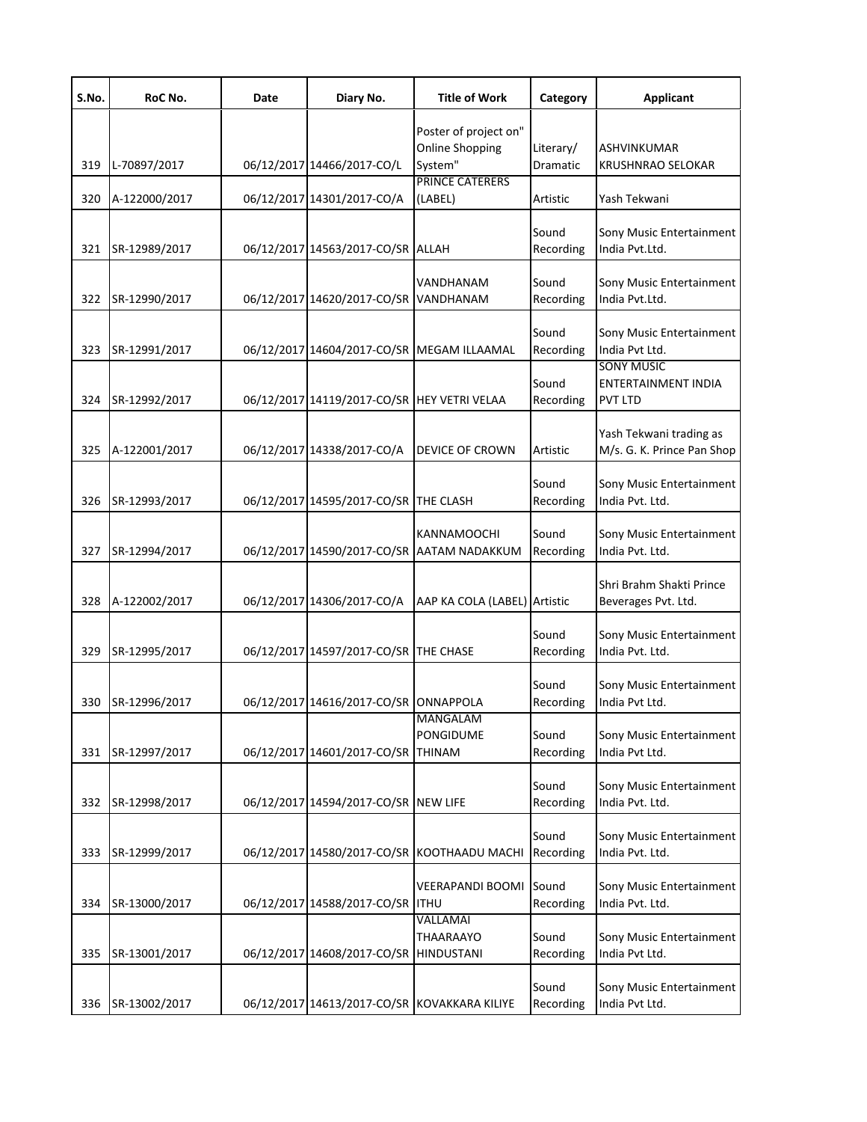| S.No. | RoC No.       | Date | Diary No.                                    | <b>Title of Work</b>                                             | Category                     | <b>Applicant</b>                                           |
|-------|---------------|------|----------------------------------------------|------------------------------------------------------------------|------------------------------|------------------------------------------------------------|
| 319   | L-70897/2017  |      | 06/12/2017 14466/2017-CO/L                   | Poster of project on"<br><b>Online Shopping</b><br>System"       | Literary/<br><b>Dramatic</b> | ASHVINKUMAR<br><b>KRUSHNRAO SELOKAR</b>                    |
| 320   | A-122000/2017 |      | 06/12/2017 14301/2017-CO/A                   | <b>PRINCE CATERERS</b><br>(LABEL)                                | Artistic                     | Yash Tekwani                                               |
| 321   | SR-12989/2017 |      | 06/12/2017 14563/2017-CO/SR ALLAH            |                                                                  | Sound<br>Recording           | Sony Music Entertainment<br>India Pvt.Ltd.                 |
| 322   | SR-12990/2017 |      | 06/12/2017 14620/2017-CO/SR VANDHANAM        | VANDHANAM                                                        | Sound<br>Recording           | Sony Music Entertainment<br>India Pvt.Ltd.                 |
| 323   | SR-12991/2017 |      | 06/12/2017 14604/2017-CO/SR MEGAM ILLAAMAL   |                                                                  | Sound<br>Recording           | Sony Music Entertainment<br>India Pvt Ltd.                 |
| 324   | SR-12992/2017 |      | 06/12/2017 14119/2017-CO/SR HEY VETRI VELAA  |                                                                  | Sound<br>Recording           | <b>SONY MUSIC</b><br>ENTERTAINMENT INDIA<br><b>PVT LTD</b> |
| 325   | A-122001/2017 |      | 06/12/2017 14338/2017-CO/A                   | <b>DEVICE OF CROWN</b>                                           | Artistic                     | Yash Tekwani trading as<br>M/s. G. K. Prince Pan Shop      |
| 326   | SR-12993/2017 |      | 06/12/2017 14595/2017-CO/SR THE CLASH        |                                                                  | Sound<br>Recording           | Sony Music Entertainment<br>India Pvt. Ltd.                |
| 327   | SR-12994/2017 |      |                                              | <b>KANNAMOOCHI</b><br>06/12/2017 14590/2017-CO/SR AATAM NADAKKUM | Sound<br>Recording           | Sony Music Entertainment<br>India Pvt. Ltd.                |
| 328   | A-122002/2017 |      | 06/12/2017 14306/2017-CO/A                   | AAP KA COLA (LABEL) Artistic                                     |                              | Shri Brahm Shakti Prince<br>Beverages Pvt. Ltd.            |
| 329   | SR-12995/2017 |      | 06/12/2017 14597/2017-CO/SR THE CHASE        |                                                                  | Sound<br>Recording           | Sony Music Entertainment<br>India Pvt. Ltd.                |
| 330   | SR-12996/2017 |      | 06/12/2017 14616/2017-CO/SR ONNAPPOLA        |                                                                  | Sound<br>Recording           | Sony Music Entertainment<br>India Pvt Ltd.                 |
| 331   | SR-12997/2017 |      | 06/12/2017 14601/2017-CO/SR THINAM           | <b>MANGALAM</b><br><b>PONGIDUME</b>                              | Sound<br>Recording           | Sony Music Entertainment<br>India Pvt Ltd.                 |
| 332   | SR-12998/2017 |      | 06/12/2017 14594/2017-CO/SR NEW LIFE         |                                                                  | Sound<br>Recording           | Sony Music Entertainment<br>India Pvt. Ltd.                |
| 333   | SR-12999/2017 |      |                                              | 06/12/2017 14580/2017-CO/SR KOOTHAADU MACHI                      | Sound<br>Recording           | Sony Music Entertainment<br>India Pvt. Ltd.                |
| 334   | SR-13000/2017 |      | 06/12/2017 14588/2017-CO/SR ITHU             | <b>VEERAPANDI BOOMI</b>                                          | Sound<br>Recording           | Sony Music Entertainment<br>India Pvt. Ltd.                |
| 335   | SR-13001/2017 |      | 06/12/2017 14608/2017-CO/SR HINDUSTANI       | VALLAMAI<br><b>THAARAAYO</b>                                     | Sound<br>Recording           | Sony Music Entertainment<br>India Pvt Ltd.                 |
| 336   | SR-13002/2017 |      | 06/12/2017 14613/2017-CO/SR KOVAKKARA KILIYE |                                                                  | Sound<br>Recording           | Sony Music Entertainment<br>India Pvt Ltd.                 |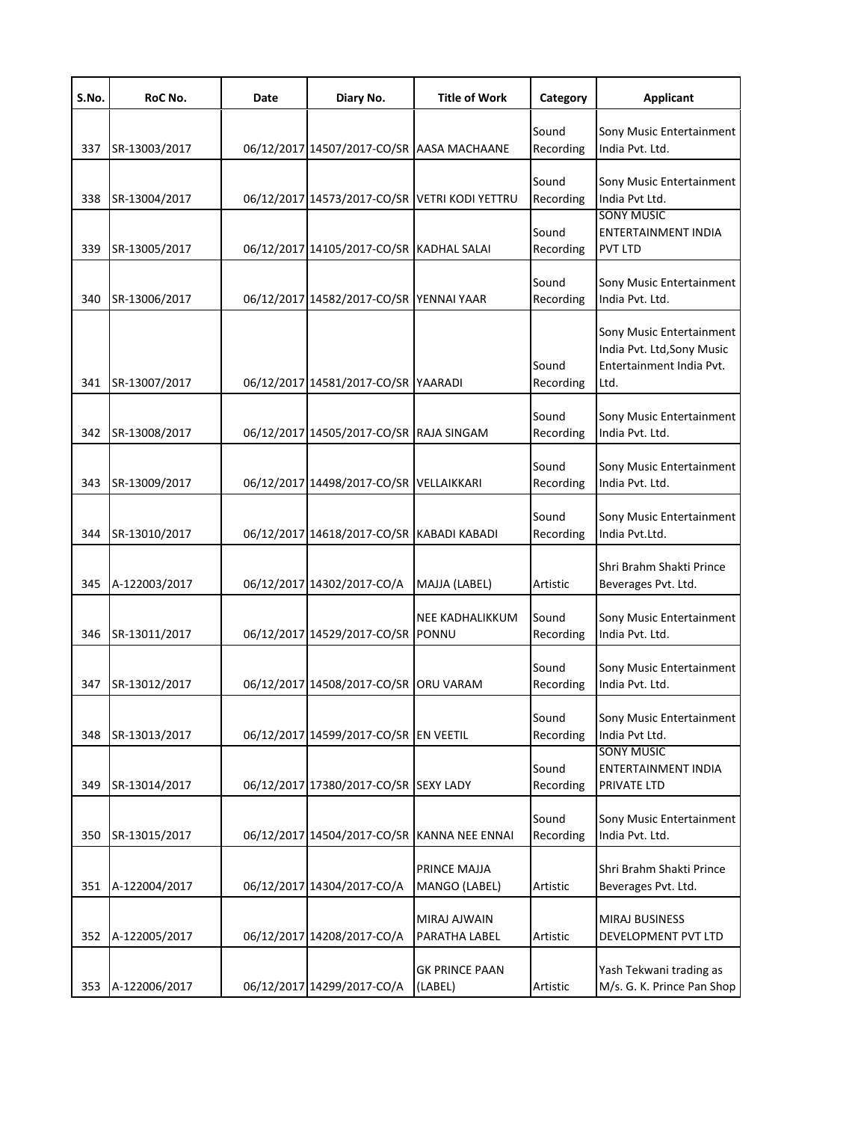| S.No. | RoC No.       | Date | Diary No.                                     | <b>Title of Work</b>             | Category           | <b>Applicant</b>                                                                           |
|-------|---------------|------|-----------------------------------------------|----------------------------------|--------------------|--------------------------------------------------------------------------------------------|
| 337   | SR-13003/2017 |      | 06/12/2017 14507/2017-CO/SR AASA MACHAANE     |                                  | Sound<br>Recording | Sony Music Entertainment<br>India Pvt. Ltd.                                                |
| 338   | SR-13004/2017 |      | 06/12/2017 14573/2017-CO/SR VETRI KODI YETTRU |                                  | Sound<br>Recording | Sony Music Entertainment<br>India Pvt Ltd.                                                 |
| 339   | SR-13005/2017 |      | 06/12/2017 14105/2017-CO/SR KADHAL SALAI      |                                  | Sound<br>Recording | <b>SONY MUSIC</b><br>ENTERTAINMENT INDIA<br><b>PVT LTD</b>                                 |
| 340   | SR-13006/2017 |      | 06/12/2017 14582/2017-CO/SR YENNAI YAAR       |                                  | Sound<br>Recording | Sony Music Entertainment<br>India Pvt. Ltd.                                                |
| 341   | SR-13007/2017 |      | 06/12/2017 14581/2017-CO/SR YAARADI           |                                  | Sound<br>Recording | Sony Music Entertainment<br>India Pvt. Ltd, Sony Music<br>Entertainment India Pvt.<br>Ltd. |
| 342   | SR-13008/2017 |      | 06/12/2017 14505/2017-CO/SR RAJA SINGAM       |                                  | Sound<br>Recording | Sony Music Entertainment<br>India Pvt. Ltd.                                                |
| 343   | SR-13009/2017 |      | 06/12/2017 14498/2017-CO/SR                   | VELLAIKKARI                      | Sound<br>Recording | Sony Music Entertainment<br>India Pvt. Ltd.                                                |
| 344   | SR-13010/2017 |      | 06/12/2017 14618/2017-CO/SR KABADI KABADI     |                                  | Sound<br>Recording | Sony Music Entertainment<br>India Pvt.Ltd.                                                 |
| 345   | A-122003/2017 |      | 06/12/2017 14302/2017-CO/A                    | MAJJA (LABEL)                    | Artistic           | Shri Brahm Shakti Prince<br>Beverages Pvt. Ltd.                                            |
| 346   | SR-13011/2017 |      | 06/12/2017 14529/2017-CO/SR                   | NEE KADHALIKKUM<br>PONNU         | Sound<br>Recording | Sony Music Entertainment<br>India Pvt. Ltd.                                                |
| 347   | SR-13012/2017 |      | 06/12/2017 14508/2017-CO/SR                   | <b>ORU VARAM</b>                 | Sound<br>Recording | Sony Music Entertainment<br>India Pvt. Ltd.                                                |
| 348   | SR-13013/2017 |      | 06/12/2017 14599/2017-CO/SR EN VEETIL         |                                  | Sound<br>Recording | Sony Music Entertainment<br>India Pvt Ltd.                                                 |
| 349   | SR-13014/2017 |      | 06/12/2017 17380/2017-CO/SR SEXY LADY         |                                  | Sound<br>Recording | <b>SONY MUSIC</b><br>ENTERTAINMENT INDIA<br>PRIVATE LTD                                    |
| 350   | SR-13015/2017 |      | 06/12/2017 14504/2017-CO/SR                   | <b>KANNA NEE ENNAI</b>           | Sound<br>Recording | Sony Music Entertainment<br>India Pvt. Ltd.                                                |
| 351   | A-122004/2017 |      | 06/12/2017 14304/2017-CO/A                    | PRINCE MAJJA<br>MANGO (LABEL)    | Artistic           | Shri Brahm Shakti Prince<br>Beverages Pvt. Ltd.                                            |
| 352   | A-122005/2017 |      | 06/12/2017 14208/2017-CO/A                    | MIRAJ AJWAIN<br>PARATHA LABEL    | Artistic           | MIRAJ BUSINESS<br>DEVELOPMENT PVT LTD                                                      |
| 353   | A-122006/2017 |      | 06/12/2017 14299/2017-CO/A                    | <b>GK PRINCE PAAN</b><br>(LABEL) | Artistic           | Yash Tekwani trading as<br>M/s. G. K. Prince Pan Shop                                      |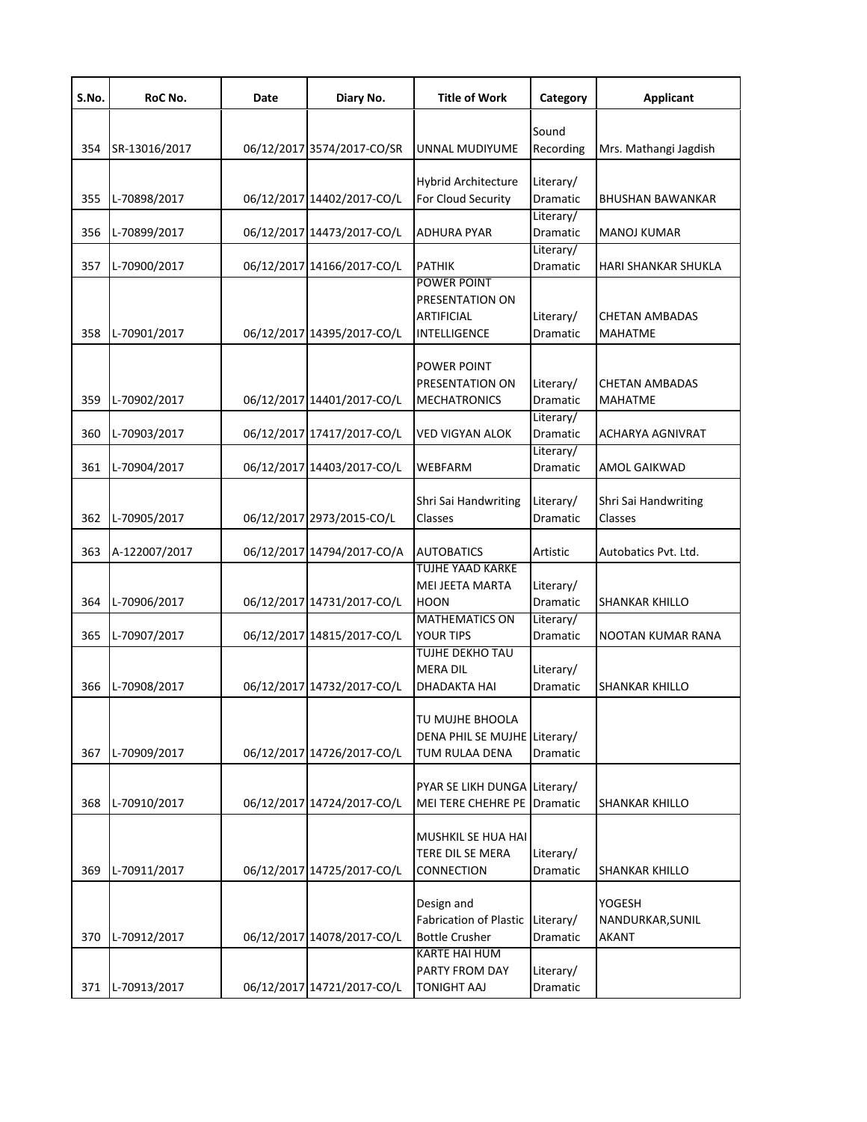| S.No. | RoC No.       | Date | Diary No.                  | <b>Title of Work</b>                                                               | Category                           | <b>Applicant</b>                           |
|-------|---------------|------|----------------------------|------------------------------------------------------------------------------------|------------------------------------|--------------------------------------------|
| 354   | SR-13016/2017 |      | 06/12/2017 3574/2017-CO/SR | UNNAL MUDIYUME                                                                     | Sound<br>Recording                 | Mrs. Mathangi Jagdish                      |
| 355   | L-70898/2017  |      | 06/12/2017 14402/2017-CO/L | <b>Hybrid Architecture</b><br>For Cloud Security                                   | Literary/<br>Dramatic              | <b>BHUSHAN BAWANKAR</b>                    |
| 356   | L-70899/2017  |      | 06/12/2017 14473/2017-CO/L | <b>ADHURA PYAR</b>                                                                 | Literary/<br>Dramatic              | <b>MANOJ KUMAR</b>                         |
| 357   | L-70900/2017  |      | 06/12/2017 14166/2017-CO/L | <b>PATHIK</b>                                                                      | Literary/<br>Dramatic              | HARI SHANKAR SHUKLA                        |
| 358   | L-70901/2017  |      | 06/12/2017 14395/2017-CO/L | POWER POINT<br>PRESENTATION ON<br><b>ARTIFICIAL</b><br>INTELLIGENCE                | Literary/<br>Dramatic              | <b>CHETAN AMBADAS</b><br><b>MAHATME</b>    |
| 359   | L-70902/2017  |      | 06/12/2017 14401/2017-CO/L | POWER POINT<br>PRESENTATION ON<br><b>MECHATRONICS</b>                              | Literary/<br>Dramatic<br>Literary/ | <b>CHETAN AMBADAS</b><br><b>MAHATME</b>    |
| 360   | L-70903/2017  |      | 06/12/2017 17417/2017-CO/L | VED VIGYAN ALOK                                                                    | Dramatic                           | ACHARYA AGNIVRAT                           |
| 361   | L-70904/2017  |      | 06/12/2017 14403/2017-CO/L | <b>WEBFARM</b>                                                                     | Literary/<br>Dramatic              | AMOL GAIKWAD                               |
| 362   | L-70905/2017  |      | 06/12/2017 2973/2015-CO/L  | Shri Sai Handwriting<br>Classes                                                    | Literary/<br>Dramatic              | Shri Sai Handwriting<br>Classes            |
| 363   | A-122007/2017 |      | 06/12/2017 14794/2017-CO/A | <b>AUTOBATICS</b>                                                                  | Artistic                           | Autobatics Pvt. Ltd.                       |
| 364   | L-70906/2017  |      | 06/12/2017 14731/2017-CO/L | <b>TUJHE YAAD KARKE</b><br>MEI JEETA MARTA<br><b>HOON</b><br><b>MATHEMATICS ON</b> | Literary/<br>Dramatic<br>Literary/ | <b>SHANKAR KHILLO</b>                      |
| 365   | L-70907/2017  |      | 06/12/2017 14815/2017-CO/L | <b>YOUR TIPS</b><br><b>TUJHE DEKHO TAU</b>                                         | Dramatic                           | NOOTAN KUMAR RANA                          |
| 366   | L-70908/2017  |      | 06/12/2017 14732/2017-CO/L | <b>MERA DIL</b><br>DHADAKTA HAI                                                    | Literary/<br>Dramatic              | SHANKAR KHILLO                             |
| 367   | L-70909/2017  |      | 06/12/2017 14726/2017-CO/L | TU MUJHE BHOOLA<br>DENA PHIL SE MUJHE Literary/<br>TUM RULAA DENA                  | Dramatic                           |                                            |
| 368   | L-70910/2017  |      | 06/12/2017 14724/2017-CO/L | PYAR SE LIKH DUNGA Literary/<br><b>MEI TERE CHEHRE PE</b>                          | Dramatic                           | SHANKAR KHILLO                             |
| 369   | L-70911/2017  |      | 06/12/2017 14725/2017-CO/L | MUSHKIL SE HUA HAI<br><b>TERE DIL SE MERA</b><br><b>CONNECTION</b>                 | Literary/<br>Dramatic              | SHANKAR KHILLO                             |
| 370   | L-70912/2017  |      | 06/12/2017 14078/2017-CO/L | Design and<br><b>Fabrication of Plastic</b><br><b>Bottle Crusher</b>               | Literary/<br>Dramatic              | YOGESH<br>NANDURKAR, SUNIL<br><b>AKANT</b> |
| 371   | L-70913/2017  |      | 06/12/2017 14721/2017-CO/L | <b>KARTE HAI HUM</b><br>PARTY FROM DAY<br><b>TONIGHT AAJ</b>                       | Literary/<br>Dramatic              |                                            |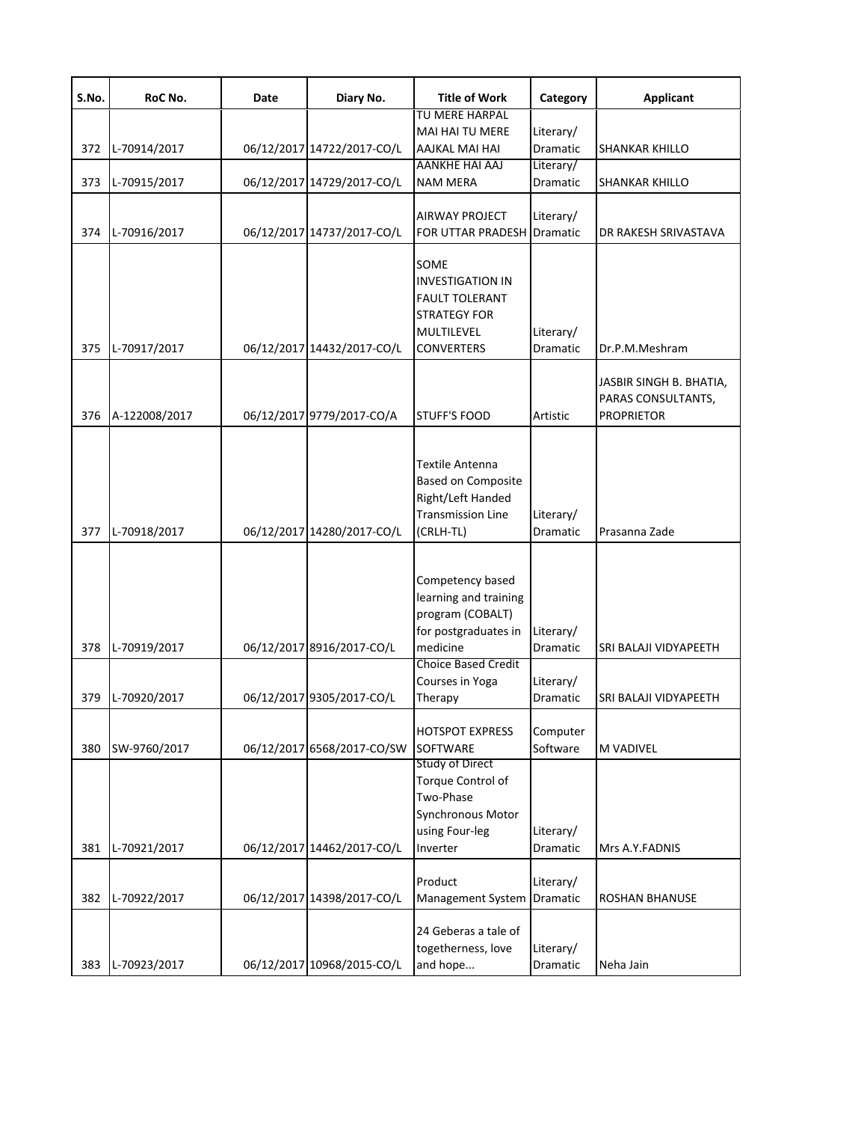| S.No. | RoC No.       | Date | Diary No.                  | <b>Title of Work</b>                                                                                                            | Category                     | <b>Applicant</b>                                                   |
|-------|---------------|------|----------------------------|---------------------------------------------------------------------------------------------------------------------------------|------------------------------|--------------------------------------------------------------------|
|       |               |      |                            | TU MERE HARPAL                                                                                                                  |                              |                                                                    |
|       |               |      |                            | <b>MAI HAI TU MERE</b>                                                                                                          | Literary/                    |                                                                    |
| 372   | L-70914/2017  |      | 06/12/2017 14722/2017-CO/L | AAJKAL MAI HAI<br>AANKHE HAI AAJ                                                                                                | Dramatic                     | <b>SHANKAR KHILLO</b>                                              |
| 373   | L-70915/2017  |      | 06/12/2017 14729/2017-CO/L | <b>NAM MERA</b>                                                                                                                 | Literary/<br>Dramatic        | <b>SHANKAR KHILLO</b>                                              |
|       |               |      |                            | AIRWAY PROJECT                                                                                                                  | Literary/                    |                                                                    |
| 374   | L-70916/2017  |      | 06/12/2017 14737/2017-CO/L | <b>FOR UTTAR PRADESH</b>                                                                                                        | Dramatic                     | DR RAKESH SRIVASTAVA                                               |
| 375   | L-70917/2017  |      | 06/12/2017 14432/2017-CO/L | SOME<br><b>INVESTIGATION IN</b><br><b>FAULT TOLERANT</b><br><b>STRATEGY FOR</b><br>MULTILEVEL<br><b>CONVERTERS</b>              | Literary/<br>Dramatic        | Dr.P.M.Meshram                                                     |
| 376   | A-122008/2017 |      | 06/12/2017 9779/2017-CO/A  | STUFF'S FOOD                                                                                                                    | Artistic                     | JASBIR SINGH B. BHATIA,<br>PARAS CONSULTANTS,<br><b>PROPRIETOR</b> |
| 377   | L-70918/2017  |      | 06/12/2017 14280/2017-CO/L | Textile Antenna<br><b>Based on Composite</b><br>Right/Left Handed<br><b>Transmission Line</b><br>(CRLH-TL)                      | Literary/<br>Dramatic        | Prasanna Zade                                                      |
| 378   | L-70919/2017  |      | 06/12/2017 8916/2017-CO/L  | Competency based<br>learning and training<br>program (COBALT)<br>for postgraduates in<br>medicine<br><b>Choice Based Credit</b> | Literary/<br>Dramatic        | SRI BALAJI VIDYAPEETH                                              |
| 379   | L-70920/2017  |      | 06/12/2017 9305/2017-CO/L  | Courses in Yoga<br>Therapy                                                                                                      | Literary/<br>Dramatic        | SRI BALAJI VIDYAPEETH                                              |
| 380   | SW-9760/2017  |      | 06/12/2017 6568/2017-CO/SW | <b>HOTSPOT EXPRESS</b><br>SOFTWARE                                                                                              | Computer<br>Software         | M VADIVEL                                                          |
| 381   | L-70921/2017  |      | 06/12/2017 14462/2017-CO/L | <b>Study of Direct</b><br>Torque Control of<br>Two-Phase<br>Synchronous Motor<br>using Four-leg<br>Inverter                     | Literary/<br>Dramatic        | Mrs A.Y.FADNIS                                                     |
| 382   | L-70922/2017  |      | 06/12/2017 14398/2017-CO/L | Product<br>Management System                                                                                                    | Literary/<br><b>Dramatic</b> | ROSHAN BHANUSE                                                     |
| 383   | L-70923/2017  |      | 06/12/2017 10968/2015-CO/L | 24 Geberas a tale of<br>togetherness, love<br>and hope                                                                          | Literary/<br>Dramatic        | Neha Jain                                                          |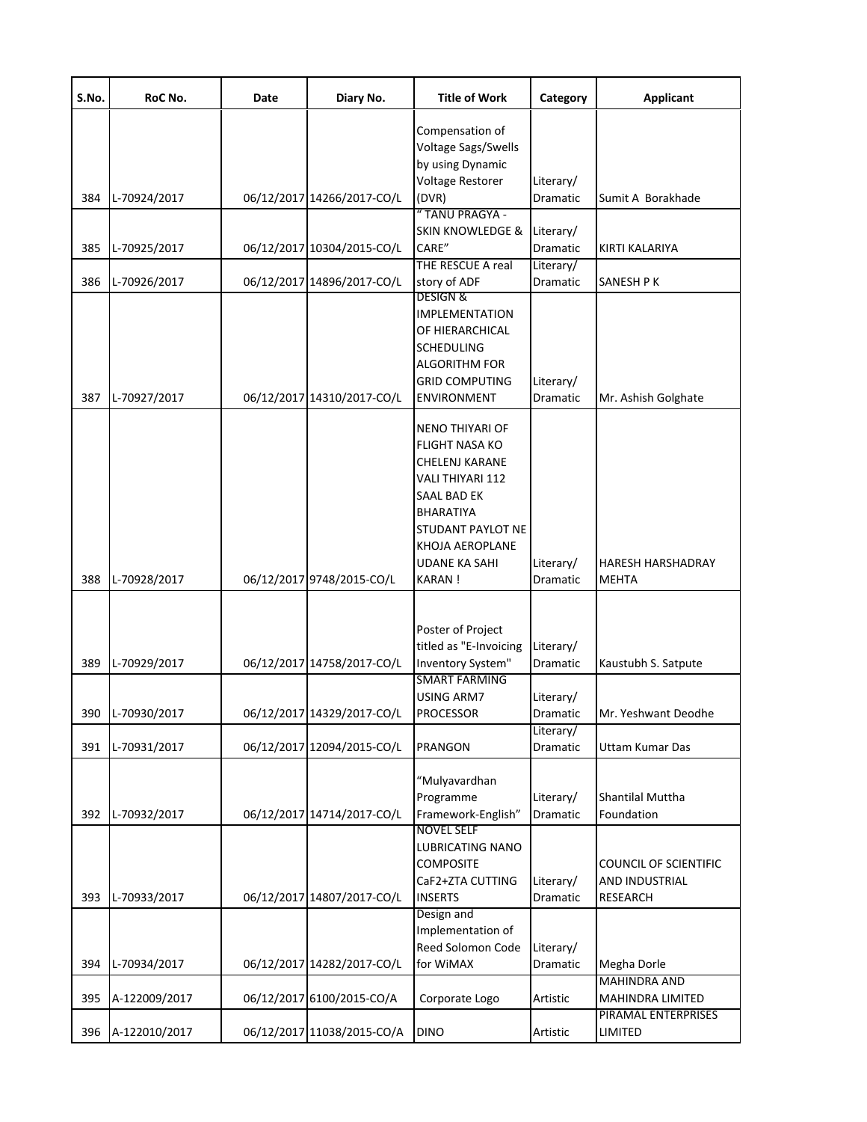| S.No. | RoC No.          | Date | Diary No.                  | <b>Title of Work</b>                                                                                                                                                | Category              | <b>Applicant</b>                               |
|-------|------------------|------|----------------------------|---------------------------------------------------------------------------------------------------------------------------------------------------------------------|-----------------------|------------------------------------------------|
|       |                  |      |                            | Compensation of<br>Voltage Sags/Swells<br>by using Dynamic<br>Voltage Restorer                                                                                      | Literary/             |                                                |
| 384   | L-70924/2017     |      | 06/12/2017 14266/2017-CO/L | (DVR)                                                                                                                                                               | Dramatic              | Sumit A Borakhade                              |
|       |                  |      |                            | "TANU PRAGYA -<br><b>SKIN KNOWLEDGE &amp;</b>                                                                                                                       | Literary/             |                                                |
| 385   | L-70925/2017     |      | 06/12/2017 10304/2015-CO/L | CARE"                                                                                                                                                               | Dramatic              | KIRTI KALARIYA                                 |
|       |                  |      |                            | THE RESCUE A real                                                                                                                                                   | Literary/             |                                                |
| 386   | L-70926/2017     |      | 06/12/2017 14896/2017-CO/L | story of ADF<br><b>DESIGN &amp;</b>                                                                                                                                 | Dramatic              | SANESH P K                                     |
| 387   | L-70927/2017     |      | 06/12/2017 14310/2017-CO/L | <b>IMPLEMENTATION</b><br>OF HIERARCHICAL<br><b>SCHEDULING</b><br><b>ALGORITHM FOR</b><br><b>GRID COMPUTING</b><br><b>ENVIRONMENT</b>                                | Literary/<br>Dramatic | Mr. Ashish Golghate                            |
|       |                  |      |                            | NENO THIYARI OF<br><b>FLIGHT NASA KO</b><br>CHELENJ KARANE<br>VALI THIYARI 112<br>SAAL BAD EK<br>BHARATIYA<br>STUDANT PAYLOT NE<br>KHOJA AEROPLANE<br>UDANE KA SAHI | Literary/             | <b>HARESH HARSHADRAY</b>                       |
| 388   | L-70928/2017     |      | 06/12/2017 9748/2015-CO/L  | <b>KARAN!</b>                                                                                                                                                       | Dramatic              | <b>MEHTA</b>                                   |
| 389   | L-70929/2017     |      | 06/12/2017 14758/2017-CO/L | Poster of Project<br>titled as "E-Invoicing<br>Inventory System"                                                                                                    | Literary/<br>Dramatic | Kaustubh S. Satpute                            |
|       |                  |      |                            | <b>SMART FARMING</b><br>USING ARM7                                                                                                                                  | Literary/             |                                                |
|       | 390 L-70930/2017 |      | 06/12/2017 14329/2017-CO/L | <b>PROCESSOR</b>                                                                                                                                                    | Dramatic              | Mr. Yeshwant Deodhe                            |
| 391   | L-70931/2017     |      | 06/12/2017 12094/2015-CO/L | <b>PRANGON</b>                                                                                                                                                      | Literary/<br>Dramatic | Uttam Kumar Das                                |
| 392   | L-70932/2017     |      | 06/12/2017 14714/2017-CO/L | "Mulyavardhan<br>Programme<br>Framework-English"                                                                                                                    | Literary/<br>Dramatic | <b>Shantilal Muttha</b><br>Foundation          |
|       |                  |      |                            | <b>NOVEL SELF</b><br>LUBRICATING NANO<br><b>COMPOSITE</b><br>CaF2+ZTA CUTTING                                                                                       | Literary/             | <b>COUNCIL OF SCIENTIFIC</b><br>AND INDUSTRIAL |
| 393   | L-70933/2017     |      | 06/12/2017 14807/2017-CO/L | <b>INSERTS</b>                                                                                                                                                      | Dramatic              | <b>RESEARCH</b>                                |
| 394   | L-70934/2017     |      | 06/12/2017 14282/2017-CO/L | Design and<br>Implementation of<br>Reed Solomon Code<br>for WiMAX                                                                                                   | Literary/<br>Dramatic | Megha Dorle                                    |
| 395   | A-122009/2017    |      | 06/12/2017 6100/2015-CO/A  | Corporate Logo                                                                                                                                                      | Artistic              | <b>MAHINDRA AND</b><br>MAHINDRA LIMITED        |
| 396   | A-122010/2017    |      | 06/12/2017 11038/2015-CO/A | <b>DINO</b>                                                                                                                                                         | Artistic              | PIRAMAL ENTERPRISES<br>LIMITED                 |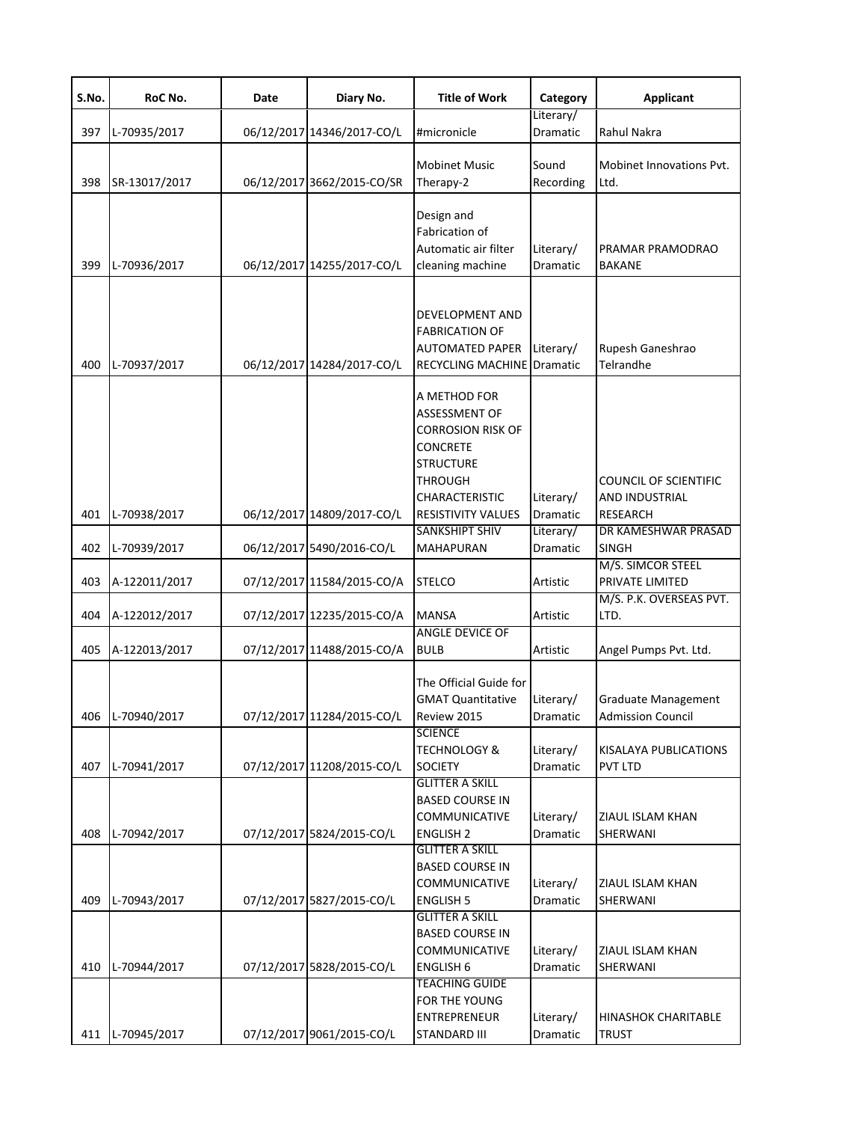| S.No. | RoC No.       | Date | Diary No.                  | <b>Title of Work</b>                                                                                                                                                            | Category              | <b>Applicant</b>                                                         |
|-------|---------------|------|----------------------------|---------------------------------------------------------------------------------------------------------------------------------------------------------------------------------|-----------------------|--------------------------------------------------------------------------|
| 397   | L-70935/2017  |      | 06/12/2017 14346/2017-CO/L | #micronicle                                                                                                                                                                     | Literary/<br>Dramatic | Rahul Nakra                                                              |
| 398   | SR-13017/2017 |      | 06/12/2017 3662/2015-CO/SR | <b>Mobinet Music</b><br>Therapy-2                                                                                                                                               | Sound<br>Recording    | Mobinet Innovations Pvt.<br>Ltd.                                         |
| 399   | L-70936/2017  |      | 06/12/2017 14255/2017-CO/L | Design and<br>Fabrication of<br>Automatic air filter<br>cleaning machine                                                                                                        | Literary/<br>Dramatic | PRAMAR PRAMODRAO<br><b>BAKANE</b>                                        |
| 400   | L-70937/2017  |      | 06/12/2017 14284/2017-CO/L | DEVELOPMENT AND<br><b>FABRICATION OF</b><br><b>AUTOMATED PAPER</b><br><b>RECYCLING MACHINE Dramatic</b>                                                                         | Literary/             | Rupesh Ganeshrao<br>Telrandhe                                            |
| 401   | L-70938/2017  |      | 06/12/2017 14809/2017-CO/L | A METHOD FOR<br><b>ASSESSMENT OF</b><br><b>CORROSION RISK OF</b><br><b>CONCRETE</b><br><b>STRUCTURE</b><br><b>THROUGH</b><br><b>CHARACTERISTIC</b><br><b>RESISTIVITY VALUES</b> | Literary/<br>Dramatic | <b>COUNCIL OF SCIENTIFIC</b><br><b>AND INDUSTRIAL</b><br><b>RESEARCH</b> |
| 402   | L-70939/2017  |      | 06/12/2017 5490/2016-CO/L  | <b>SANKSHIPT SHIV</b><br><b>MAHAPURAN</b>                                                                                                                                       | Literary/<br>Dramatic | DR KAMESHWAR PRASAD<br><b>SINGH</b>                                      |
| 403   | A-122011/2017 |      | 07/12/2017 11584/2015-CO/A | <b>STELCO</b>                                                                                                                                                                   | Artistic              | M/S. SIMCOR STEEL<br>PRIVATE LIMITED                                     |
| 404   | A-122012/2017 |      | 07/12/2017 12235/2015-CO/A | <b>MANSA</b>                                                                                                                                                                    | Artistic              | M/S. P.K. OVERSEAS PVT.<br>LTD.                                          |
| 405   | A-122013/2017 |      | 07/12/2017 11488/2015-CO/A | <b>ANGLE DEVICE OF</b><br><b>BULB</b>                                                                                                                                           | Artistic              | Angel Pumps Pvt. Ltd.                                                    |
| 406   | L-70940/2017  |      | 07/12/2017 11284/2015-CO/L | The Official Guide for<br><b>GMAT Quantitative</b><br>Review 2015                                                                                                               | Literary/<br>Dramatic | <b>Graduate Management</b><br><b>Admission Council</b>                   |
| 407   | L-70941/2017  |      | 07/12/2017 11208/2015-CO/L | <b>SCIENCE</b><br><b>TECHNOLOGY &amp;</b><br><b>SOCIETY</b>                                                                                                                     | Literary/<br>Dramatic | KISALAYA PUBLICATIONS<br><b>PVT LTD</b>                                  |
| 408   | L-70942/2017  |      | 07/12/2017 5824/2015-CO/L  | <b>GLITTER A SKILL</b><br><b>BASED COURSE IN</b><br>COMMUNICATIVE<br><b>ENGLISH 2</b>                                                                                           | Literary/<br>Dramatic | ZIAUL ISLAM KHAN<br>SHERWANI                                             |
| 409   | L-70943/2017  |      | 07/12/2017 5827/2015-CO/L  | <b>GLITTER A SKILL</b><br><b>BASED COURSE IN</b><br>COMMUNICATIVE<br><b>ENGLISH 5</b>                                                                                           | Literary/<br>Dramatic | ZIAUL ISLAM KHAN<br>SHERWANI                                             |
| 410   | L-70944/2017  |      | 07/12/2017 5828/2015-CO/L  | <b>GLITTER A SKILL</b><br><b>BASED COURSE IN</b><br>COMMUNICATIVE<br><b>ENGLISH 6</b>                                                                                           | Literary/<br>Dramatic | ZIAUL ISLAM KHAN<br>SHERWANI                                             |
| 411   | L-70945/2017  |      | 07/12/2017 9061/2015-CO/L  | <b>TEACHING GUIDE</b><br>FOR THE YOUNG<br><b>ENTREPRENEUR</b><br><b>STANDARD III</b>                                                                                            | Literary/<br>Dramatic | <b>HINASHOK CHARITABLE</b><br><b>TRUST</b>                               |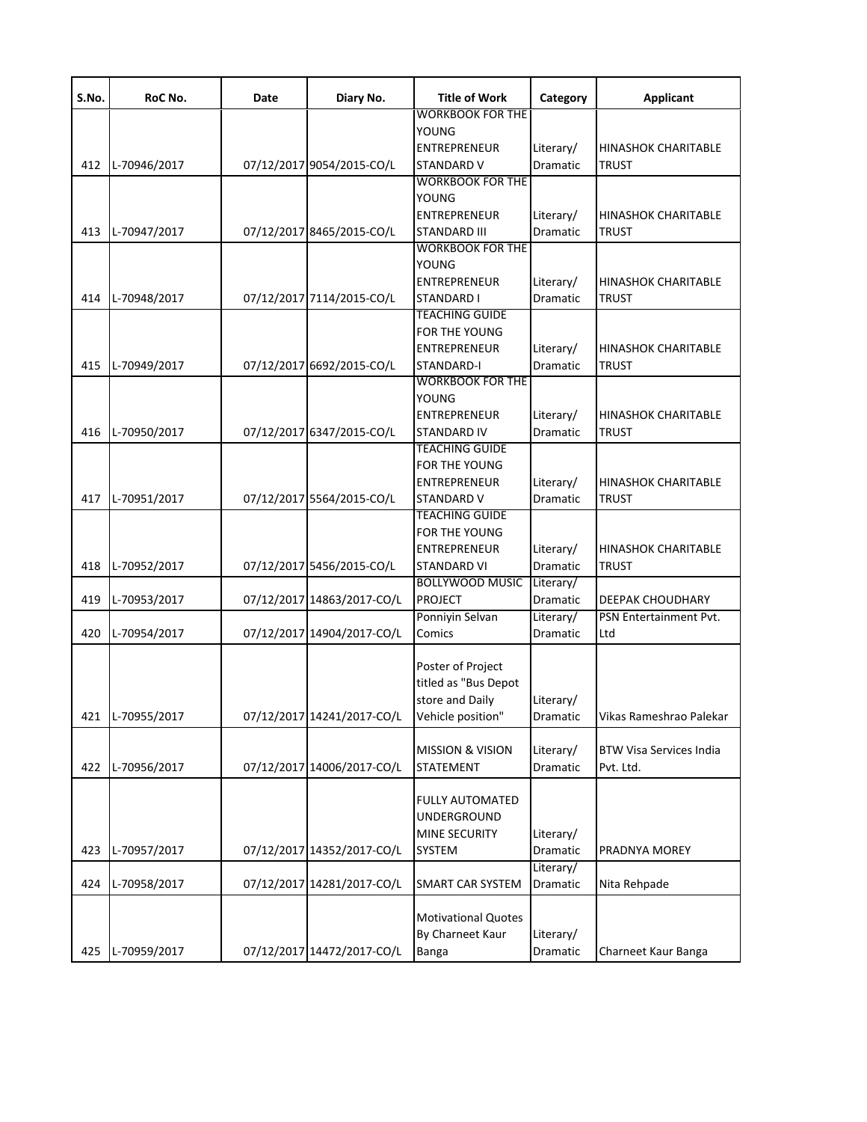| S.No. | RoC No.      | Date | Diary No.                  | <b>Title of Work</b>        | Category        | <b>Applicant</b>               |
|-------|--------------|------|----------------------------|-----------------------------|-----------------|--------------------------------|
|       |              |      |                            | <b>WORKBOOK FOR THE</b>     |                 |                                |
|       |              |      |                            | <b>YOUNG</b>                |                 |                                |
|       |              |      |                            | <b>ENTREPRENEUR</b>         | Literary/       | <b>HINASHOK CHARITABLE</b>     |
| 412   | L-70946/2017 |      | 07/12/2017 9054/2015-CO/L  | <b>STANDARD V</b>           | Dramatic        | <b>TRUST</b>                   |
|       |              |      |                            | <b>WORKBOOK FOR THE</b>     |                 |                                |
|       |              |      |                            | <b>YOUNG</b>                |                 |                                |
|       |              |      |                            | <b>ENTREPRENEUR</b>         | Literary/       | <b>HINASHOK CHARITABLE</b>     |
| 413   | L-70947/2017 |      | 07/12/2017 8465/2015-CO/L  | STANDARD III                | <b>Dramatic</b> | <b>TRUST</b>                   |
|       |              |      |                            | <b>WORKBOOK FOR THE</b>     |                 |                                |
|       |              |      |                            | YOUNG                       |                 |                                |
|       |              |      |                            | <b>ENTREPRENEUR</b>         | Literary/       | <b>HINASHOK CHARITABLE</b>     |
| 414   | L-70948/2017 |      | 07/12/2017 7114/2015-CO/L  | STANDARD I                  | Dramatic        | <b>TRUST</b>                   |
|       |              |      |                            | <b>TEACHING GUIDE</b>       |                 |                                |
|       |              |      |                            |                             |                 |                                |
|       |              |      |                            | FOR THE YOUNG               |                 |                                |
|       |              |      |                            | <b>ENTREPRENEUR</b>         | Literary/       | <b>HINASHOK CHARITABLE</b>     |
| 415   | L-70949/2017 |      | 07/12/2017 6692/2015-CO/L  | STANDARD-I                  | Dramatic        | <b>TRUST</b>                   |
|       |              |      |                            | <b>WORKBOOK FOR THE</b>     |                 |                                |
|       |              |      |                            | <b>YOUNG</b>                |                 |                                |
|       |              |      |                            | <b>ENTREPRENEUR</b>         | Literary/       | <b>HINASHOK CHARITABLE</b>     |
| 416   | L-70950/2017 |      | 07/12/2017 6347/2015-CO/L  | STANDARD IV                 | Dramatic        | <b>TRUST</b>                   |
|       |              |      |                            | <b>TEACHING GUIDE</b>       |                 |                                |
|       |              |      |                            | <b>FOR THE YOUNG</b>        |                 |                                |
|       |              |      |                            | <b>ENTREPRENEUR</b>         | Literary/       | <b>HINASHOK CHARITABLE</b>     |
| 417   | L-70951/2017 |      | 07/12/2017 5564/2015-CO/L  | STANDARD V                  | Dramatic        | <b>TRUST</b>                   |
|       |              |      |                            | <b>TEACHING GUIDE</b>       |                 |                                |
|       |              |      |                            | FOR THE YOUNG               |                 |                                |
|       |              |      |                            | <b>ENTREPRENEUR</b>         | Literary/       | <b>HINASHOK CHARITABLE</b>     |
|       |              |      |                            |                             |                 |                                |
| 418   | L-70952/2017 |      | 07/12/2017 5456/2015-CO/L  | <b>STANDARD VI</b>          | <b>Dramatic</b> | <b>TRUST</b>                   |
|       |              |      |                            | <b>BOLLYWOOD MUSIC</b>      | Literary/       |                                |
| 419   | L-70953/2017 |      | 07/12/2017 14863/2017-CO/L | <b>PROJECT</b>              | Dramatic        | DEEPAK CHOUDHARY               |
|       |              |      |                            | Ponniyin Selvan             | Literary/       | PSN Entertainment Pvt.         |
| 420   | L-70954/2017 |      | 07/12/2017 14904/2017-CO/L | Comics                      | Dramatic        | Ltd                            |
|       |              |      |                            |                             |                 |                                |
|       |              |      |                            | Poster of Project           |                 |                                |
|       |              |      |                            | titled as "Bus Depot        |                 |                                |
|       |              |      |                            | store and Daily             | Literary/       |                                |
| 421   | L-70955/2017 |      | 07/12/2017 14241/2017-CO/L | Vehicle position"           | Dramatic        | Vikas Rameshrao Palekar        |
|       |              |      |                            |                             |                 |                                |
|       |              |      |                            | <b>MISSION &amp; VISION</b> | Literary/       | <b>BTW Visa Services India</b> |
| 422   | L-70956/2017 |      | 07/12/2017 14006/2017-CO/L | <b>STATEMENT</b>            | Dramatic        | Pvt. Ltd.                      |
|       |              |      |                            |                             |                 |                                |
|       |              |      |                            | <b>FULLY AUTOMATED</b>      |                 |                                |
|       |              |      |                            |                             |                 |                                |
|       |              |      |                            | UNDERGROUND                 |                 |                                |
|       |              |      |                            | <b>MINE SECURITY</b>        | Literary/       |                                |
| 423   | L-70957/2017 |      | 07/12/2017 14352/2017-CO/L | SYSTEM                      | Dramatic        | PRADNYA MOREY                  |
|       |              |      |                            |                             | Literary/       |                                |
| 424   | L-70958/2017 |      | 07/12/2017 14281/2017-CO/L | <b>SMART CAR SYSTEM</b>     | Dramatic        | Nita Rehpade                   |
|       |              |      |                            |                             |                 |                                |
|       |              |      |                            | <b>Motivational Quotes</b>  |                 |                                |
|       |              |      |                            | By Charneet Kaur            | Literary/       |                                |
| 425   | L-70959/2017 |      | 07/12/2017 14472/2017-CO/L | Banga                       | Dramatic        | Charneet Kaur Banga            |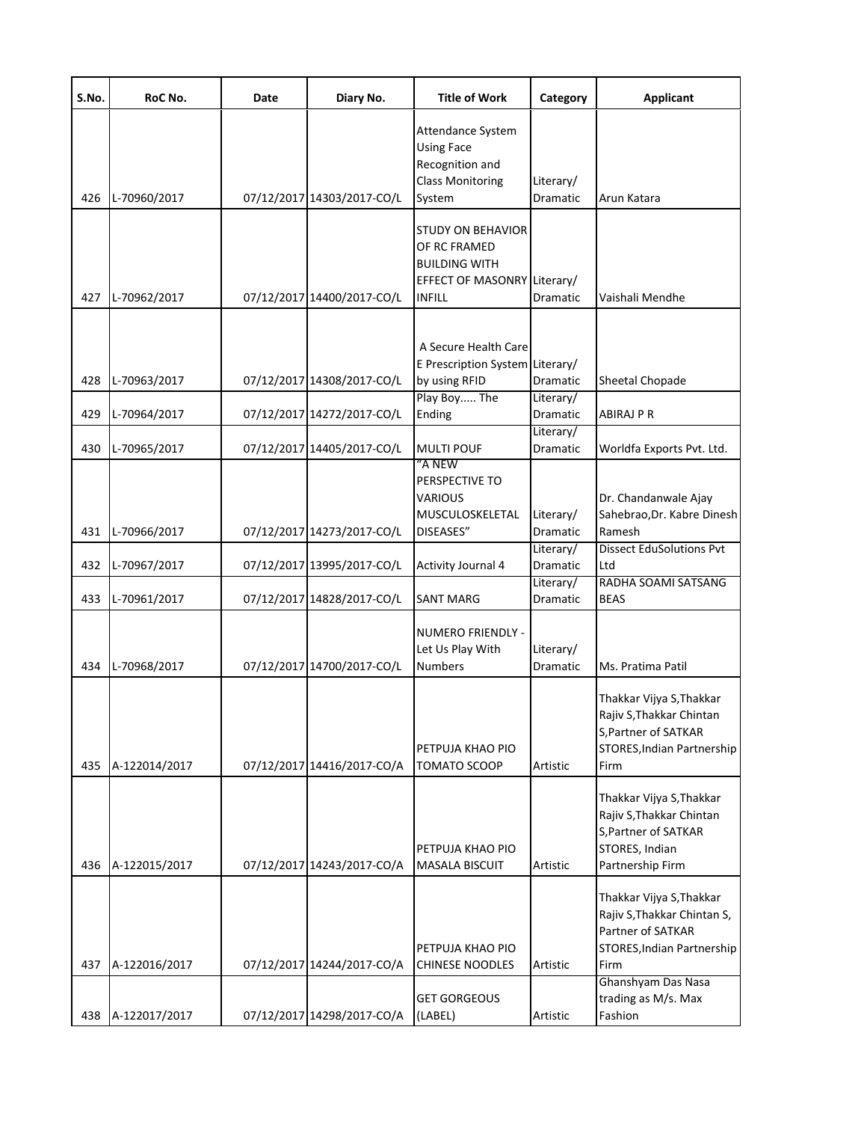| S.No. | RoC No.           | Date | Diary No.                  | <b>Title of Work</b>                                                                                             | Category                     | <b>Applicant</b>                                                                                                   |
|-------|-------------------|------|----------------------------|------------------------------------------------------------------------------------------------------------------|------------------------------|--------------------------------------------------------------------------------------------------------------------|
| 426   | L-70960/2017      |      | 07/12/2017 14303/2017-CO/L | Attendance System<br><b>Using Face</b><br>Recognition and<br><b>Class Monitoring</b><br>System                   | Literary/<br>Dramatic        | Arun Katara                                                                                                        |
| 427   | L-70962/2017      |      | 07/12/2017 14400/2017-CO/L | <b>STUDY ON BEHAVIOR</b><br>OF RC FRAMED<br><b>BUILDING WITH</b><br>EFFECT OF MASONRY Literary/<br><b>INFILL</b> | Dramatic                     | Vaishali Mendhe                                                                                                    |
| 428   | L-70963/2017      |      | 07/12/2017 14308/2017-CO/L | A Secure Health Care<br>E Prescription System Literary/<br>by using RFID                                         | Dramatic                     | Sheetal Chopade                                                                                                    |
| 429   | L-70964/2017      |      | 07/12/2017 14272/2017-CO/L | Play Boy The<br>Ending                                                                                           | Literary/<br>Dramatic        | <b>ABIRAJ P R</b>                                                                                                  |
| 430   | L-70965/2017      |      | 07/12/2017 14405/2017-CO/L | <b>MULTI POUF</b>                                                                                                | Literary/<br>Dramatic        | Worldfa Exports Pvt. Ltd.                                                                                          |
| 431   | L-70966/2017      |      | 07/12/2017 14273/2017-CO/L | "A NEW<br>PERSPECTIVE TO<br><b>VARIOUS</b><br>MUSCULOSKELETAL<br>DISEASES"                                       | Literary/<br>Dramatic        | Dr. Chandanwale Ajay<br>Sahebrao, Dr. Kabre Dinesh<br>Ramesh                                                       |
| 432   | L-70967/2017      |      | 07/12/2017 13995/2017-CO/L | <b>Activity Journal 4</b>                                                                                        | Literary/<br>Dramatic        | <b>Dissect EduSolutions Pvt</b><br>Ltd                                                                             |
| 433   | L-70961/2017      |      | 07/12/2017 14828/2017-CO/L | <b>SANT MARG</b>                                                                                                 | Literary/<br><b>Dramatic</b> | RADHA SOAMI SATSANG<br><b>BEAS</b>                                                                                 |
| 434   | L-70968/2017      |      | 07/12/2017 14700/2017-CO/L | NUMERO FRIENDLY -<br>Let Us Play With<br><b>Numbers</b>                                                          | Literary/<br>Dramatic        | Ms. Pratima Patil                                                                                                  |
| 435   | A-122014/2017     |      | 07/12/2017 14416/2017-CO/A | PETPUJA KHAO PIO<br><b>TOMATO SCOOP</b>                                                                          | Artistic                     | Thakkar Vijya S, Thakkar<br>Rajiv S, Thakkar Chintan<br>S, Partner of SATKAR<br>STORES, Indian Partnership<br>Firm |
| 436   | A-122015/2017     |      | 07/12/2017 14243/2017-CO/A | PETPUJA KHAO PIO<br><b>MASALA BISCUIT</b>                                                                        | Artistic                     | Thakkar Vijya S, Thakkar<br>Rajiv S, Thakkar Chintan<br>S, Partner of SATKAR<br>STORES, Indian<br>Partnership Firm |
| 437   | A-122016/2017     |      | 07/12/2017 14244/2017-CO/A | PETPUJA KHAO PIO<br><b>CHINESE NOODLES</b>                                                                       | Artistic                     | Thakkar Vijya S, Thakkar<br>Rajiv S, Thakkar Chintan S,<br>Partner of SATKAR<br>STORES, Indian Partnership<br>Firm |
|       | 438 A-122017/2017 |      | 07/12/2017 14298/2017-CO/A | <b>GET GORGEOUS</b><br>(LABEL)                                                                                   | Artistic                     | Ghanshyam Das Nasa<br>trading as M/s. Max<br>Fashion                                                               |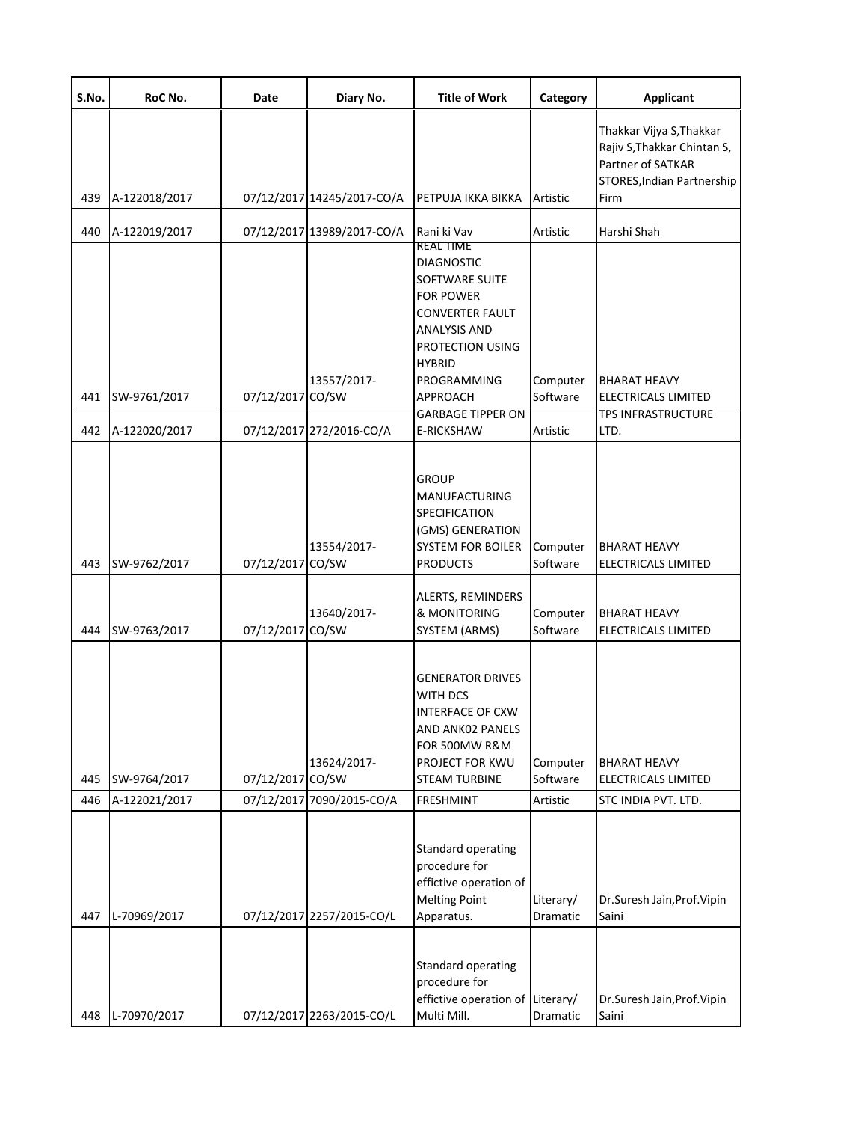| S.No. | RoC No.       | Date             | Diary No.                  | <b>Title of Work</b>                                                                                                                                                | Category              | <b>Applicant</b>                                                                                           |
|-------|---------------|------------------|----------------------------|---------------------------------------------------------------------------------------------------------------------------------------------------------------------|-----------------------|------------------------------------------------------------------------------------------------------------|
|       |               |                  |                            |                                                                                                                                                                     |                       | Thakkar Vijya S, Thakkar<br>Rajiv S, Thakkar Chintan S,<br>Partner of SATKAR<br>STORES, Indian Partnership |
| 439   | A-122018/2017 |                  | 07/12/2017 14245/2017-CO/A | PETPUJA IKKA BIKKA                                                                                                                                                  | Artistic              | Firm                                                                                                       |
| 440   | A-122019/2017 |                  | 07/12/2017 13989/2017-CO/A | Rani ki Vav<br>REAL HME                                                                                                                                             | Artistic              | Harshi Shah                                                                                                |
|       |               |                  | 13557/2017-                | <b>DIAGNOSTIC</b><br>SOFTWARE SUITE<br><b>FOR POWER</b><br><b>CONVERTER FAULT</b><br><b>ANALYSIS AND</b><br><b>PROTECTION USING</b><br><b>HYBRID</b><br>PROGRAMMING | Computer              | <b>BHARAT HEAVY</b>                                                                                        |
| 441   | SW-9761/2017  | 07/12/2017 CO/SW |                            | <b>APPROACH</b>                                                                                                                                                     | Software              | <b>ELECTRICALS LIMITED</b>                                                                                 |
| 442   | A-122020/2017 |                  | 07/12/2017 272/2016-CO/A   | <b>GARBAGE TIPPER ON</b><br><b>E-RICKSHAW</b>                                                                                                                       | Artistic              | <b>TPS INFRASTRUCTURE</b><br>LTD.                                                                          |
| 443   | SW-9762/2017  | 07/12/2017 CO/SW | 13554/2017-                | <b>GROUP</b><br><b>MANUFACTURING</b><br>SPECIFICATION<br>(GMS) GENERATION<br><b>SYSTEM FOR BOILER</b><br><b>PRODUCTS</b>                                            | Computer<br>Software  | <b>BHARAT HEAVY</b><br>ELECTRICALS LIMITED                                                                 |
| 444   | SW-9763/2017  | 07/12/2017 CO/SW | 13640/2017-                | ALERTS, REMINDERS<br>& MONITORING<br>SYSTEM (ARMS)                                                                                                                  | Computer<br>Software  | <b>BHARAT HEAVY</b><br>ELECTRICALS LIMITED                                                                 |
| 445   | SW-9764/2017  | 07/12/2017       | 13624/2017-<br>CO/SW       | <b>GENERATOR DRIVES</b><br><b>WITH DCS</b><br><b>INTERFACE OF CXW</b><br>AND ANK02 PANELS<br>FOR 500MW R&M<br>PROJECT FOR KWU<br><b>STEAM TURBINE</b>               | Computer<br>Software  | <b>BHARAT HEAVY</b><br>ELECTRICALS LIMITED                                                                 |
| 446   | A-122021/2017 | 07/12/2017       | 7090/2015-CO/A             | <b>FRESHMINT</b>                                                                                                                                                    | Artistic              | STC INDIA PVT. LTD.                                                                                        |
| 447   | L-70969/2017  |                  | 07/12/2017 2257/2015-CO/L  | <b>Standard operating</b><br>procedure for<br>effictive operation of<br><b>Melting Point</b><br>Apparatus.                                                          | Literary/<br>Dramatic | Dr.Suresh Jain, Prof. Vipin<br>Saini                                                                       |
| 448   | L-70970/2017  |                  | 07/12/2017 2263/2015-CO/L  | <b>Standard operating</b><br>procedure for<br>effictive operation of Literary/<br>Multi Mill.                                                                       | Dramatic              | Dr.Suresh Jain, Prof. Vipin<br>Saini                                                                       |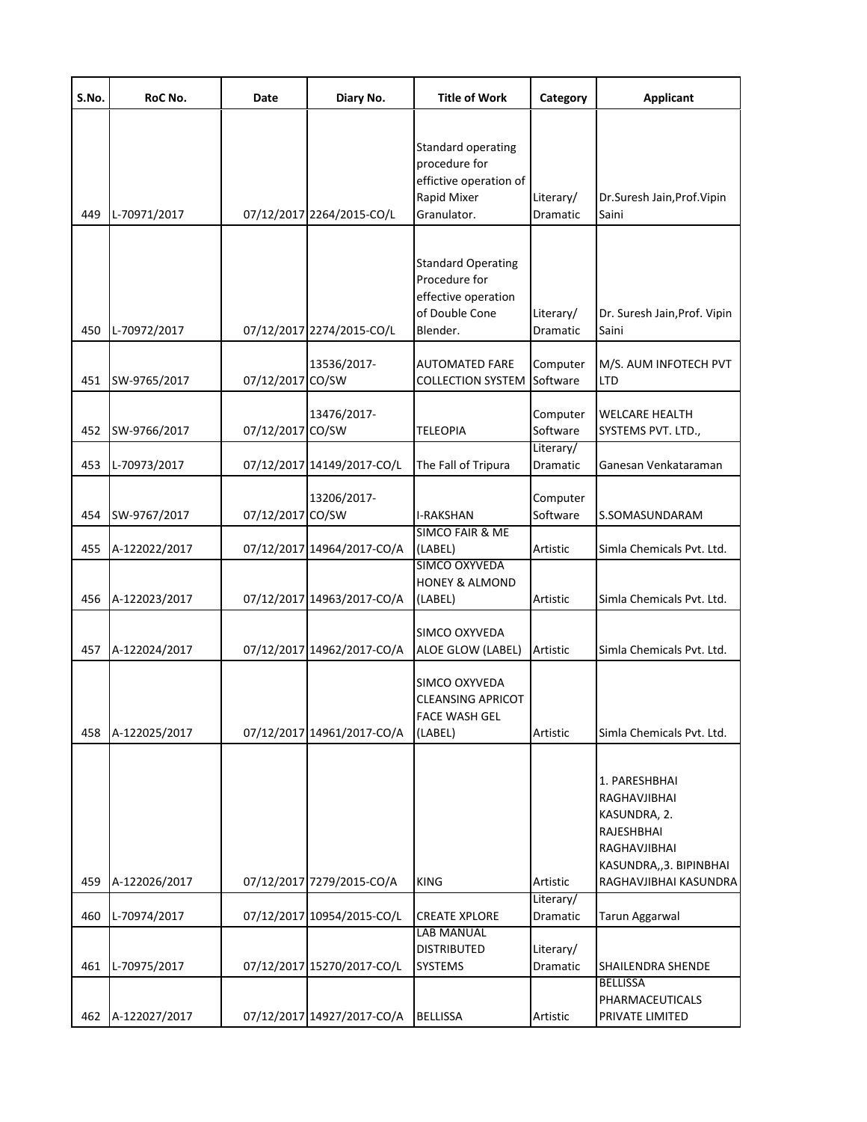| S.No. | RoC No.       | Date             | Diary No.                  | <b>Title of Work</b>                                                                            | Category              | <b>Applicant</b>                                                                                       |
|-------|---------------|------------------|----------------------------|-------------------------------------------------------------------------------------------------|-----------------------|--------------------------------------------------------------------------------------------------------|
| 449   | L-70971/2017  |                  | 07/12/2017 2264/2015-CO/L  | Standard operating<br>procedure for<br>effictive operation of<br>Rapid Mixer<br>Granulator.     | Literary/<br>Dramatic | Dr.Suresh Jain, Prof. Vipin<br>Saini                                                                   |
| 450   | L-70972/2017  |                  | 07/12/2017 2274/2015-CO/L  | <b>Standard Operating</b><br>Procedure for<br>effective operation<br>of Double Cone<br>Blender. | Literary/<br>Dramatic | Dr. Suresh Jain, Prof. Vipin<br>Saini                                                                  |
| 451   | SW-9765/2017  | 07/12/2017 CO/SW | 13536/2017-                | <b>AUTOMATED FARE</b><br><b>COLLECTION SYSTEM</b>                                               | Computer<br>Software  | M/S. AUM INFOTECH PVT<br><b>LTD</b>                                                                    |
| 452   | SW-9766/2017  | 07/12/2017 CO/SW | 13476/2017-                | <b>TELEOPIA</b>                                                                                 | Computer<br>Software  | <b>WELCARE HEALTH</b><br>SYSTEMS PVT. LTD.,                                                            |
| 453   | L-70973/2017  |                  | 07/12/2017 14149/2017-CO/L | The Fall of Tripura                                                                             | Literary/<br>Dramatic | Ganesan Venkataraman                                                                                   |
| 454   | SW-9767/2017  | 07/12/2017 CO/SW | 13206/2017-                | <b>I-RAKSHAN</b>                                                                                | Computer<br>Software  | S.SOMASUNDARAM                                                                                         |
| 455   | A-122022/2017 |                  | 07/12/2017 14964/2017-CO/A | <b>SIMCO FAIR &amp; ME</b><br>(LABEL)                                                           | Artistic              | Simla Chemicals Pvt. Ltd.                                                                              |
| 456   | A-122023/2017 |                  | 07/12/2017 14963/2017-CO/A | SIMCO OXYVEDA<br><b>HONEY &amp; ALMOND</b><br>(LABEL)                                           | Artistic              | Simla Chemicals Pvt. Ltd.                                                                              |
| 457   | A-122024/2017 |                  | 07/12/2017 14962/2017-CO/A | SIMCO OXYVEDA<br>ALOE GLOW (LABEL)                                                              | Artistic              | Simla Chemicals Pvt. Ltd.                                                                              |
| 458   | A-122025/2017 |                  | 07/12/2017 14961/2017-CO/A | SIMCO OXYVEDA<br><b>CLEANSING APRICOT</b><br><b>FACE WASH GEL</b><br>(LABEL)                    | Artistic              | Simla Chemicals Pvt. Ltd.                                                                              |
|       |               |                  |                            |                                                                                                 |                       | 1. PARESHBHAI<br>RAGHAVJIBHAI<br>KASUNDRA, 2.<br>RAJESHBHAI<br>RAGHAVJIBHAI<br>KASUNDRA,, 3. BIPINBHAI |
| 459   | A-122026/2017 |                  | 07/12/2017 7279/2015-CO/A  | <b>KING</b>                                                                                     | Artistic<br>Literary/ | RAGHAVJIBHAI KASUNDRA                                                                                  |
| 460   | L-70974/2017  |                  | 07/12/2017 10954/2015-CO/L | <b>CREATE XPLORE</b><br><b>LAB MANUAL</b>                                                       | Dramatic              | Tarun Aggarwal                                                                                         |
| 461   | L-70975/2017  |                  | 07/12/2017 15270/2017-CO/L | <b>DISTRIBUTED</b><br>SYSTEMS                                                                   | Literary/<br>Dramatic | SHAILENDRA SHENDE                                                                                      |
| 462   | A-122027/2017 |                  | 07/12/2017 14927/2017-CO/A | <b>BELLISSA</b>                                                                                 | Artistic              | <b>BELLISSA</b><br>PHARMACEUTICALS<br>PRIVATE LIMITED                                                  |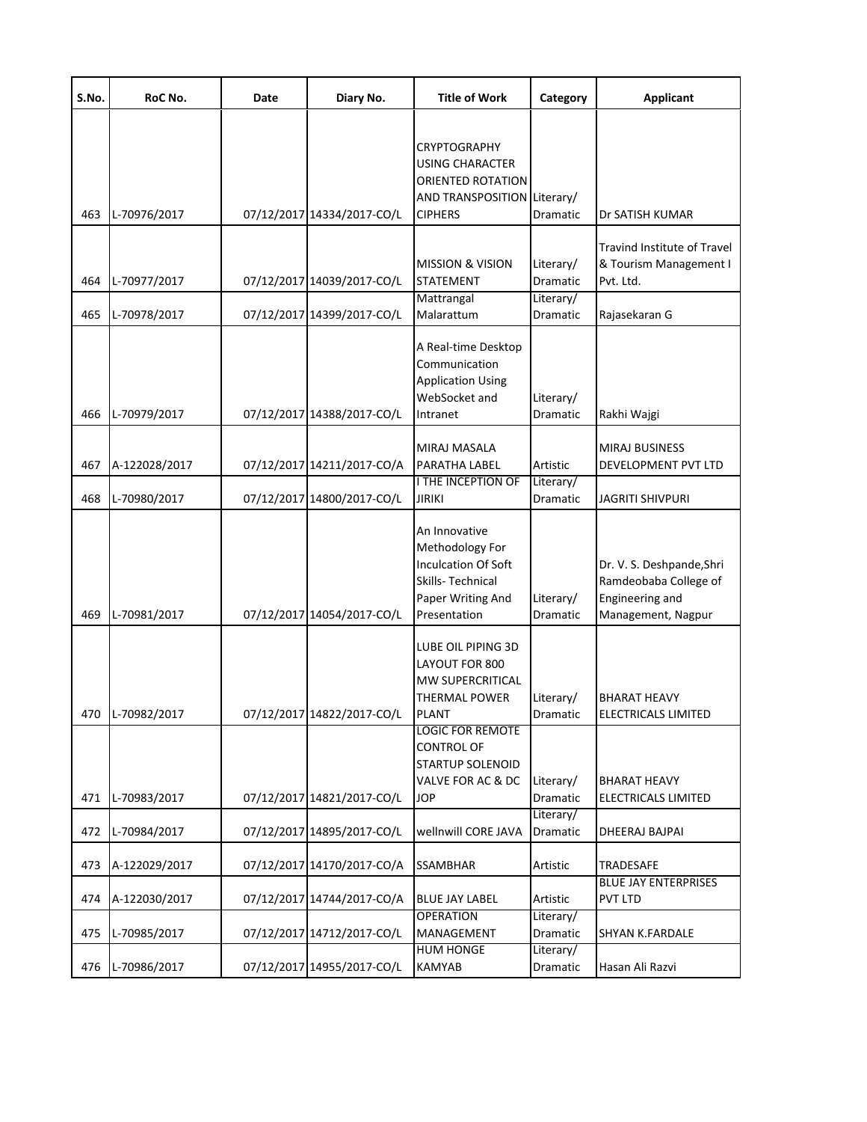| S.No. | RoC No.          | Date | Diary No.                  | <b>Title of Work</b>                                                                                                                                                        | Category                           | <b>Applicant</b>                                                                            |
|-------|------------------|------|----------------------------|-----------------------------------------------------------------------------------------------------------------------------------------------------------------------------|------------------------------------|---------------------------------------------------------------------------------------------|
| 463   | L-70976/2017     |      | 07/12/2017 14334/2017-CO/L | <b>CRYPTOGRAPHY</b><br><b>USING CHARACTER</b><br>ORIENTED ROTATION<br>AND TRANSPOSITION Literary/<br><b>CIPHERS</b>                                                         | Dramatic                           | Dr SATISH KUMAR                                                                             |
| 464   | L-70977/2017     |      | 07/12/2017 14039/2017-CO/L | <b>MISSION &amp; VISION</b><br><b>STATEMENT</b><br>Mattrangal                                                                                                               | Literary/<br>Dramatic<br>Literary/ | Travind Institute of Travel<br>& Tourism Management I<br>Pvt. Ltd.                          |
| 465   | L-70978/2017     |      | 07/12/2017 14399/2017-CO/L | Malarattum                                                                                                                                                                  | Dramatic                           | Rajasekaran G                                                                               |
| 466   | L-70979/2017     |      | 07/12/2017 14388/2017-CO/L | A Real-time Desktop<br>Communication<br><b>Application Using</b><br>WebSocket and<br>Intranet                                                                               | Literary/<br>Dramatic              | Rakhi Wajgi                                                                                 |
| 467   | A-122028/2017    |      | 07/12/2017 14211/2017-CO/A | MIRAJ MASALA<br>PARATHA LABEL                                                                                                                                               | Artistic                           | MIRAJ BUSINESS<br>DEVELOPMENT PVT LTD                                                       |
| 468   | L-70980/2017     |      | 07/12/2017 14800/2017-CO/L | <b>I THE INCEPTION OF</b><br><b>JIRIKI</b>                                                                                                                                  | Literary/<br>Dramatic              | JAGRITI SHIVPURI                                                                            |
| 469   | L-70981/2017     |      | 07/12/2017 14054/2017-CO/L | An Innovative<br>Methodology For<br><b>Inculcation Of Soft</b><br>Skills-Technical<br>Paper Writing And<br>Presentation                                                     | Literary/<br>Dramatic              | Dr. V. S. Deshpande, Shri<br>Ramdeobaba College of<br>Engineering and<br>Management, Nagpur |
|       | 470 L-70982/2017 |      | 07/12/2017 14822/2017-CO/L | LUBE OIL PIPING 3D<br>LAYOUT FOR 800<br>MW SUPERCRITICAL<br><b>THERMAL POWER</b><br><b>PLANT</b><br><b>LOGIC FOR REMOTE</b><br><b>CONTROL OF</b><br><b>STARTUP SOLENOID</b> | Literary/<br>Dramatic              | <b>BHARAT HEAVY</b><br>ELECTRICALS LIMITED                                                  |
| 471   | L-70983/2017     |      | 07/12/2017 14821/2017-CO/L | VALVE FOR AC & DC<br>JOP                                                                                                                                                    | Literary/<br>Dramatic              | <b>BHARAT HEAVY</b><br>ELECTRICALS LIMITED                                                  |
| 472   | L-70984/2017     |      | 07/12/2017 14895/2017-CO/L | wellnwill CORE JAVA                                                                                                                                                         | Literary/<br>Dramatic              | DHEERAJ BAJPAI                                                                              |
| 473   | A-122029/2017    |      | 07/12/2017 14170/2017-CO/A | SSAMBHAR                                                                                                                                                                    | Artistic                           | <b>TRADESAFE</b>                                                                            |
| 474   | A-122030/2017    |      | 07/12/2017 14744/2017-CO/A | <b>BLUE JAY LABEL</b>                                                                                                                                                       | Artistic                           | <b>BLUE JAY ENTERPRISES</b><br><b>PVT LTD</b>                                               |
| 475   | L-70985/2017     |      | 07/12/2017 14712/2017-CO/L | <b>OPERATION</b><br>MANAGEMENT<br><b>HUM HONGE</b>                                                                                                                          | Literary/<br>Dramatic<br>Literary/ | SHYAN K.FARDALE                                                                             |
| 476   | L-70986/2017     |      | 07/12/2017 14955/2017-CO/L | <b>KAMYAB</b>                                                                                                                                                               | Dramatic                           | Hasan Ali Razvi                                                                             |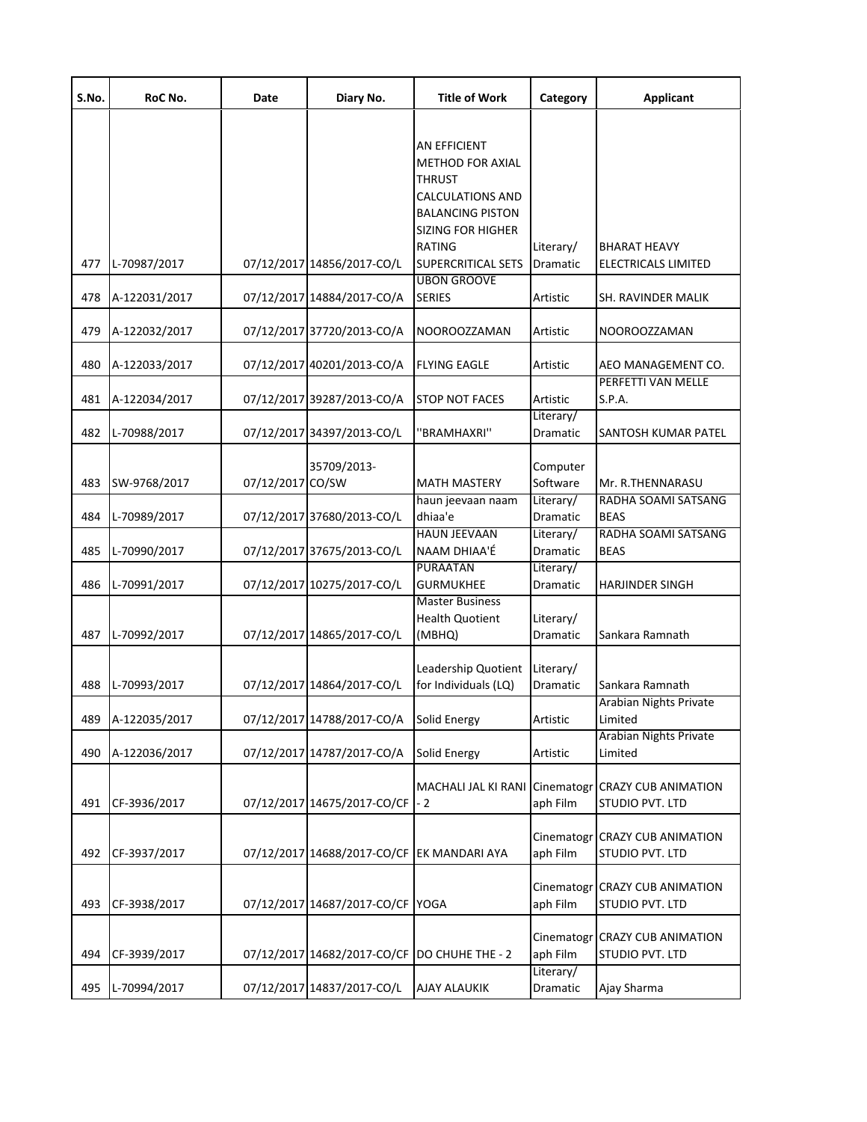| S.No. | RoC No.       | Date             | Diary No.                                    | <b>Title of Work</b>                                                                                                                                        | Category               | <b>Applicant</b>                                  |
|-------|---------------|------------------|----------------------------------------------|-------------------------------------------------------------------------------------------------------------------------------------------------------------|------------------------|---------------------------------------------------|
|       |               |                  |                                              | AN EFFICIENT<br><b>METHOD FOR AXIAL</b><br><b>THRUST</b><br><b>CALCULATIONS AND</b><br><b>BALANCING PISTON</b><br><b>SIZING FOR HIGHER</b><br><b>RATING</b> | Literary/              | <b>BHARAT HEAVY</b>                               |
| 477   | L-70987/2017  |                  | 07/12/2017 14856/2017-CO/L                   | <b>SUPERCRITICAL SETS</b><br><b>UBON GROOVE</b>                                                                                                             | Dramatic               | ELECTRICALS LIMITED                               |
| 478   | A-122031/2017 |                  | 07/12/2017 14884/2017-CO/A                   | <b>SERIES</b>                                                                                                                                               | Artistic               | SH. RAVINDER MALIK                                |
| 479   | A-122032/2017 |                  | 07/12/2017 37720/2013-CO/A                   | NOOROOZZAMAN                                                                                                                                                | Artistic               | NOOROOZZAMAN                                      |
| 480   | A-122033/2017 |                  | 07/12/2017 40201/2013-CO/A                   | <b>FLYING EAGLE</b>                                                                                                                                         | Artistic               | AEO MANAGEMENT CO.                                |
| 481   | A-122034/2017 |                  | 07/12/2017 39287/2013-CO/A                   | <b>STOP NOT FACES</b>                                                                                                                                       | Artistic               | PERFETTI VAN MELLE<br>S.P.A.                      |
| 482   | L-70988/2017  |                  | 07/12/2017 34397/2013-CO/L                   | "BRAMHAXRI"                                                                                                                                                 | Literary/<br>Dramatic  | SANTOSH KUMAR PATEL                               |
| 483   | SW-9768/2017  | 07/12/2017 CO/SW | 35709/2013-                                  | <b>MATH MASTERY</b>                                                                                                                                         | Computer<br>Software   | Mr. R.THENNARASU                                  |
| 484   | L-70989/2017  |                  | 07/12/2017 37680/2013-CO/L                   | haun jeevaan naam<br>dhiaa'e                                                                                                                                | Literary/<br>Dramatic  | RADHA SOAMI SATSANG<br><b>BEAS</b>                |
| 485   | L-70990/2017  |                  | 07/12/2017 37675/2013-CO/L                   | <b>HAUN JEEVAAN</b><br>NAAM DHIAA'É                                                                                                                         | Literary/<br>Dramatic  | RADHA SOAMI SATSANG<br><b>BEAS</b>                |
| 486   | L-70991/2017  |                  | 07/12/2017 10275/2017-CO/L                   | <b>PURAATAN</b><br><b>GURMUKHEE</b>                                                                                                                         | Literary/<br>Dramatic  | HARJINDER SINGH                                   |
| 487   | L-70992/2017  |                  | 07/12/2017 14865/2017-CO/L                   | <b>Master Business</b><br><b>Health Quotient</b><br>(MBHQ)                                                                                                  | Literary/<br>Dramatic  | Sankara Ramnath                                   |
| 488   | L-70993/2017  |                  | 07/12/2017 14864/2017-CO/L                   | Leadership Quotient<br>for Individuals (LQ)                                                                                                                 | Literary/<br>Dramatic  | Sankara Ramnath                                   |
| 489   | A-122035/2017 |                  | 07/12/2017 14788/2017-CO/A                   | <b>Solid Energy</b>                                                                                                                                         | Artistic               | Arabian Nights Private<br>Limited                 |
| 490   | A-122036/2017 |                  | 07/12/2017 14787/2017-CO/A                   | Solid Energy                                                                                                                                                | Artistic               | <b>Arabian Nights Private</b><br>Limited          |
| 491   | CF-3936/2017  |                  | 07/12/2017 14675/2017-CO/CF                  | MACHALI JAL KI RANI<br>- 2                                                                                                                                  | aph Film               | Cinematogr CRAZY CUB ANIMATION<br>STUDIO PVT. LTD |
| 492   | CF-3937/2017  |                  | 07/12/2017 14688/2017-CO/CF EK MANDARI AYA   |                                                                                                                                                             | Cinematogr<br>aph Film | CRAZY CUB ANIMATION<br>STUDIO PVT. LTD            |
| 493   | CF-3938/2017  |                  | 07/12/2017 14687/2017-CO/CF YOGA             |                                                                                                                                                             | aph Film               | Cinematogr CRAZY CUB ANIMATION<br>STUDIO PVT. LTD |
| 494   | CF-3939/2017  |                  | 07/12/2017 14682/2017-CO/CF DO CHUHE THE - 2 |                                                                                                                                                             | Cinematogr<br>aph Film | <b>CRAZY CUB ANIMATION</b><br>STUDIO PVT. LTD     |
| 495   | L-70994/2017  |                  | 07/12/2017 14837/2017-CO/L                   | <b>AJAY ALAUKIK</b>                                                                                                                                         | Literary/<br>Dramatic  | Ajay Sharma                                       |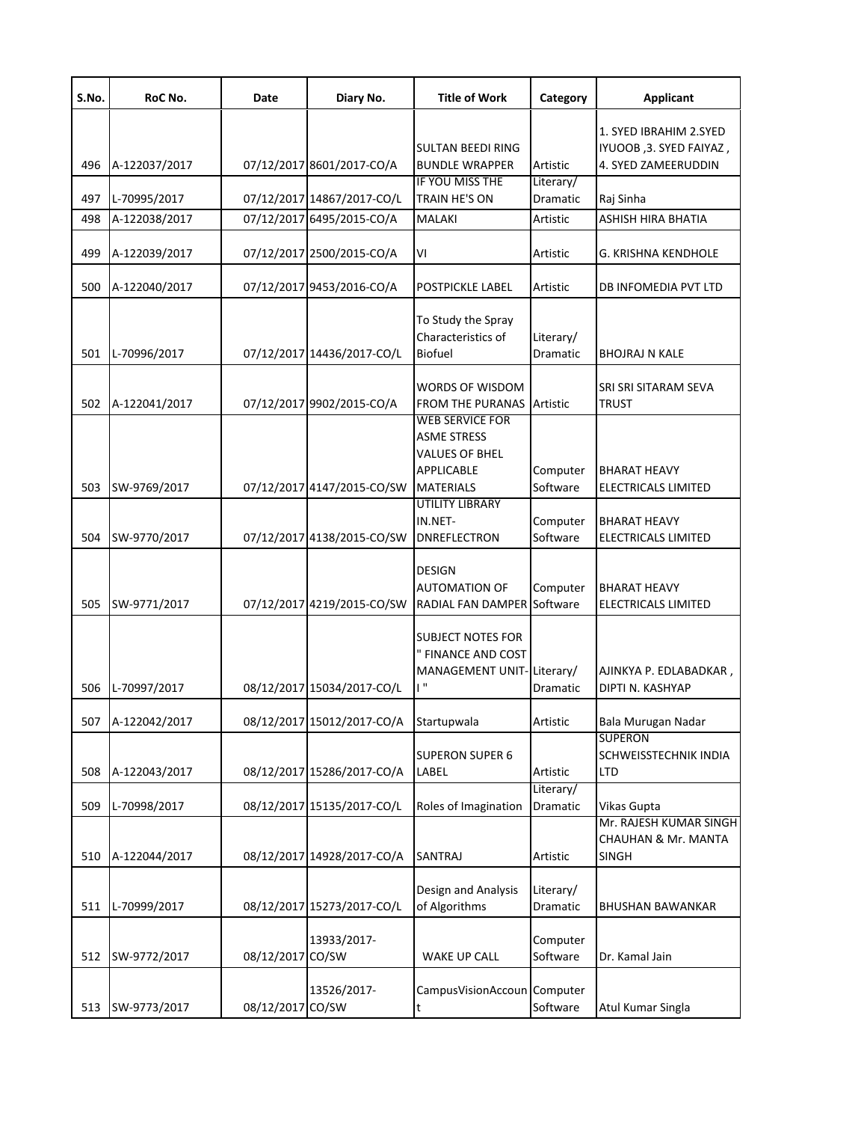| S.No. | RoC No.       | Date       | Diary No.                  | <b>Title of Work</b>                        | Category              | <b>Applicant</b>                           |
|-------|---------------|------------|----------------------------|---------------------------------------------|-----------------------|--------------------------------------------|
|       |               |            |                            |                                             |                       | 1. SYED IBRAHIM 2.SYED                     |
|       |               |            |                            | <b>SULTAN BEEDI RING</b>                    |                       | IYUOOB, 3. SYED FAIYAZ,                    |
| 496   | A-122037/2017 |            | 07/12/2017 8601/2017-CO/A  | <b>BUNDLE WRAPPER</b><br>IF YOU MISS THE    | Artistic              | 4. SYED ZAMEERUDDIN                        |
| 497   | L-70995/2017  |            | 07/12/2017 14867/2017-CO/L | TRAIN HE'S ON                               | Literary/<br>Dramatic | Raj Sinha                                  |
| 498   | A-122038/2017 |            | 07/12/2017 6495/2015-CO/A  | <b>MALAKI</b>                               | Artistic              | ASHISH HIRA BHATIA                         |
|       |               |            |                            |                                             |                       |                                            |
| 499   | A-122039/2017 |            | 07/12/2017 2500/2015-CO/A  | VI                                          | Artistic              | G. KRISHNA KENDHOLE                        |
| 500   | A-122040/2017 |            | 07/12/2017 9453/2016-CO/A  | <b>POSTPICKLE LABEL</b>                     | Artistic              | DB INFOMEDIA PVT LTD                       |
|       |               |            |                            | To Study the Spray                          |                       |                                            |
|       |               |            |                            | Characteristics of                          | Literary/             |                                            |
| 501   | L-70996/2017  |            | 07/12/2017 14436/2017-CO/L | <b>Biofuel</b>                              | Dramatic              | BHOJRAJ N KALE                             |
|       |               |            |                            | <b>WORDS OF WISDOM</b>                      |                       | SRI SRI SITARAM SEVA                       |
| 502   | A-122041/2017 |            | 07/12/2017 9902/2015-CO/A  | <b>FROM THE PURANAS Artistic</b>            |                       | <b>TRUST</b>                               |
|       |               |            |                            | <b>WEB SERVICE FOR</b>                      |                       |                                            |
|       |               |            |                            | <b>ASME STRESS</b><br><b>VALUES OF BHEL</b> |                       |                                            |
|       |               |            |                            | <b>APPLICABLE</b>                           | Computer              | <b>BHARAT HEAVY</b>                        |
| 503   | SW-9769/2017  |            | 07/12/2017 4147/2015-CO/SW | <b>MATERIALS</b>                            | Software              | ELECTRICALS LIMITED                        |
|       |               |            |                            | <b>UTILITY LIBRARY</b>                      |                       |                                            |
| 504   | SW-9770/2017  |            | 07/12/2017 4138/2015-CO/SW | IN.NET-<br><b>DNREFLECTRON</b>              | Computer<br>Software  | <b>BHARAT HEAVY</b><br>ELECTRICALS LIMITED |
|       |               |            |                            |                                             |                       |                                            |
|       |               |            |                            | <b>DESIGN</b>                               |                       |                                            |
|       |               |            |                            | <b>AUTOMATION OF</b>                        | Computer              | BHARAT HEAVY                               |
| 505   | SW-9771/2017  |            | 07/12/2017 4219/2015-CO/SW | RADIAL FAN DAMPER Software                  |                       | ELECTRICALS LIMITED                        |
|       |               |            |                            | <b>SUBJECT NOTES FOR</b>                    |                       |                                            |
|       |               |            |                            | " FINANCE AND COST                          |                       |                                            |
|       |               |            |                            | MANAGEMENT UNIT-Literary/                   |                       | AJINKYA P. EDLABADKAR,                     |
| 506   | L-70997/2017  |            | 08/12/2017 15034/2017-CO/L | i "                                         | Dramatic              | DIPTI N. KASHYAP                           |
| 507   | A-122042/2017 |            | 08/12/2017 15012/2017-CO/A | Startupwala                                 | Artistic              | Bala Murugan Nadar                         |
|       |               |            |                            |                                             |                       | <b>SUPERON</b>                             |
|       |               |            |                            | <b>SUPERON SUPER 6</b>                      |                       | SCHWEISSTECHNIK INDIA                      |
| 508   | A-122043/2017 |            | 08/12/2017 15286/2017-CO/A | LABEL                                       | Artistic<br>Literary/ | <b>LTD</b>                                 |
| 509   | L-70998/2017  |            | 08/12/2017 15135/2017-CO/L | Roles of Imagination                        | Dramatic              | Vikas Gupta                                |
|       |               |            |                            |                                             |                       | Mr. RAJESH KUMAR SINGH                     |
|       |               |            |                            |                                             |                       | <b>CHAUHAN &amp; Mr. MANTA</b>             |
| 510   | A-122044/2017 |            | 08/12/2017 14928/2017-CO/A | <b>SANTRAJ</b>                              | Artistic              | SINGH                                      |
|       |               |            |                            | Design and Analysis                         | Literary/             |                                            |
| 511   | L-70999/2017  |            | 08/12/2017 15273/2017-CO/L | of Algorithms                               | Dramatic              | BHUSHAN BAWANKAR                           |
|       |               |            |                            |                                             |                       |                                            |
|       |               |            | 13933/2017-                |                                             | Computer              |                                            |
| 512   | SW-9772/2017  | 08/12/2017 | CO/SW                      | WAKE UP CALL                                | Software              | Dr. Kamal Jain                             |
|       |               |            | 13526/2017-                | CampusVisionAccoun Computer                 |                       |                                            |
| 513   | SW-9773/2017  | 08/12/2017 | CO/SW                      | t                                           | Software              | Atul Kumar Singla                          |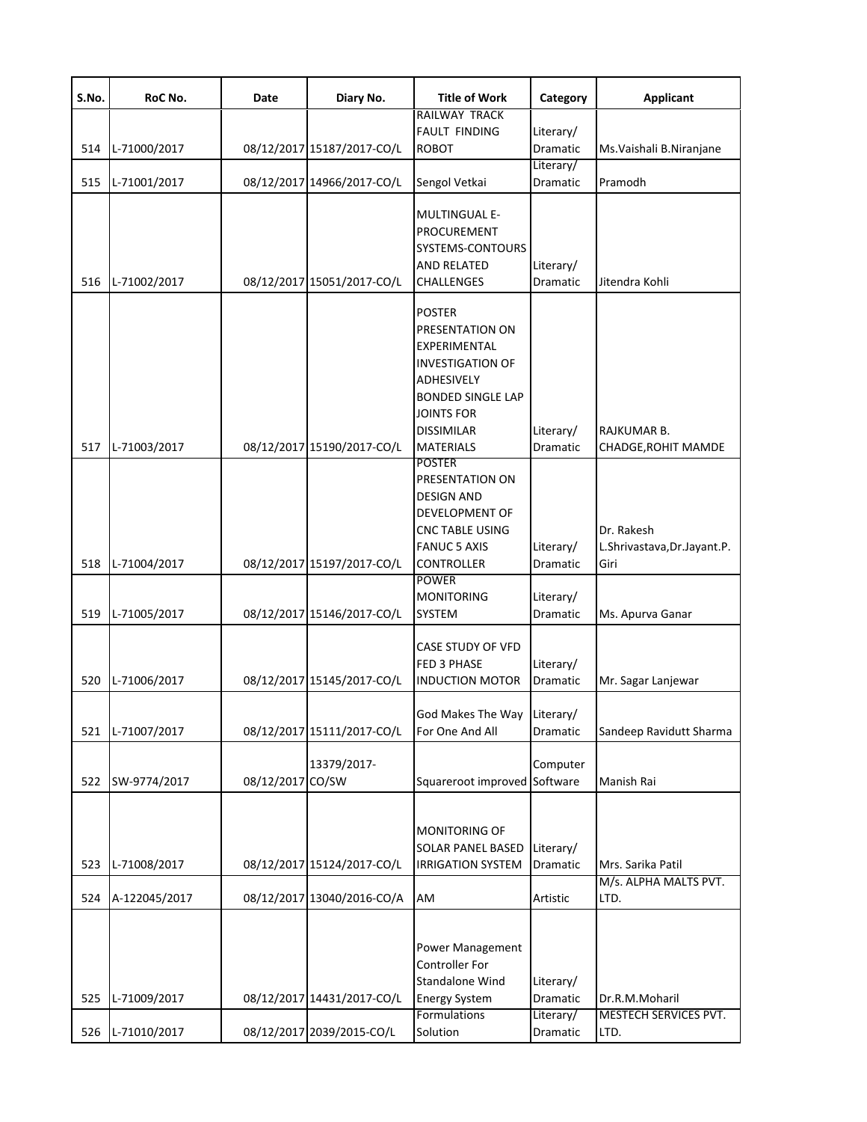| S.No. | RoC No.       | Date             | Diary No.                  | <b>Title of Work</b>              | Category              | <b>Applicant</b>            |
|-------|---------------|------------------|----------------------------|-----------------------------------|-----------------------|-----------------------------|
|       |               |                  |                            | RAILWAY TRACK                     |                       |                             |
|       |               |                  |                            | <b>FAULT FINDING</b>              | Literary/             |                             |
| 514   | L-71000/2017  |                  | 08/12/2017 15187/2017-CO/L | <b>ROBOT</b>                      | Dramatic              | Ms. Vaishali B. Niranjane   |
| 515   | L-71001/2017  |                  | 08/12/2017 14966/2017-CO/L | Sengol Vetkai                     | Literary/<br>Dramatic | Pramodh                     |
|       |               |                  |                            |                                   |                       |                             |
|       |               |                  |                            | <b>MULTINGUAL E-</b>              |                       |                             |
|       |               |                  |                            | PROCUREMENT                       |                       |                             |
|       |               |                  |                            | SYSTEMS-CONTOURS                  |                       |                             |
|       |               |                  |                            | AND RELATED                       | Literary/             |                             |
| 516   | L-71002/2017  |                  | 08/12/2017 15051/2017-CO/L | CHALLENGES                        | Dramatic              | Jitendra Kohli              |
|       |               |                  |                            |                                   |                       |                             |
|       |               |                  |                            | <b>POSTER</b>                     |                       |                             |
|       |               |                  |                            | PRESENTATION ON                   |                       |                             |
|       |               |                  |                            | EXPERIMENTAL                      |                       |                             |
|       |               |                  |                            | <b>INVESTIGATION OF</b>           |                       |                             |
|       |               |                  |                            | ADHESIVELY                        |                       |                             |
|       |               |                  |                            | <b>BONDED SINGLE LAP</b>          |                       |                             |
|       |               |                  |                            | <b>JOINTS FOR</b>                 |                       |                             |
|       |               |                  |                            | <b>DISSIMILAR</b>                 |                       | RAJKUMAR B.                 |
|       |               |                  |                            |                                   | Literary/             |                             |
| 517   | L-71003/2017  |                  | 08/12/2017 15190/2017-CO/L | <b>MATERIALS</b><br><b>POSTER</b> | Dramatic              | CHADGE, ROHIT MAMDE         |
|       |               |                  |                            | PRESENTATION ON                   |                       |                             |
|       |               |                  |                            | DESIGN AND                        |                       |                             |
|       |               |                  |                            |                                   |                       |                             |
|       |               |                  |                            | DEVELOPMENT OF                    |                       |                             |
|       |               |                  |                            | CNC TABLE USING                   |                       | Dr. Rakesh                  |
|       |               |                  |                            | <b>FANUC 5 AXIS</b>               | Literary/             | L.Shrivastava, Dr.Jayant.P. |
| 518   | L-71004/2017  |                  | 08/12/2017 15197/2017-CO/L | CONTROLLER                        | Dramatic              | Giri                        |
|       |               |                  |                            | <b>POWER</b>                      |                       |                             |
|       |               |                  |                            | <b>MONITORING</b>                 | Literary/             |                             |
| 519   | L-71005/2017  |                  | 08/12/2017 15146/2017-CO/L | SYSTEM                            | Dramatic              | Ms. Apurva Ganar            |
|       |               |                  |                            | CASE STUDY OF VFD                 |                       |                             |
|       |               |                  |                            | <b>FED 3 PHASE</b>                | Literary/             |                             |
| 520   | L-71006/2017  |                  | 08/12/2017 15145/2017-CO/L | <b>INDUCTION MOTOR</b>            | Dramatic              | Mr. Sagar Lanjewar          |
|       |               |                  |                            |                                   |                       |                             |
|       |               |                  |                            | God Makes The Way Literary/       |                       |                             |
| 521   | L-71007/2017  |                  | 08/12/2017 15111/2017-CO/L | For One And All                   | Dramatic              | Sandeep Ravidutt Sharma     |
|       |               |                  |                            |                                   |                       |                             |
|       |               |                  | 13379/2017-                |                                   | Computer              |                             |
| 522   | SW-9774/2017  | 08/12/2017 CO/SW |                            | Squareroot improved               | Software              | Manish Rai                  |
|       |               |                  |                            |                                   |                       |                             |
|       |               |                  |                            |                                   |                       |                             |
|       |               |                  |                            | MONITORING OF                     |                       |                             |
|       |               |                  |                            | SOLAR PANEL BASED                 | Literary/             |                             |
| 523   | L-71008/2017  |                  | 08/12/2017 15124/2017-CO/L | <b>IRRIGATION SYSTEM</b>          | Dramatic              | Mrs. Sarika Patil           |
|       |               |                  |                            |                                   |                       | M/s. ALPHA MALTS PVT.       |
| 524   | A-122045/2017 |                  | 08/12/2017 13040/2016-CO/A | AM                                | Artistic              | LTD.                        |
|       |               |                  |                            |                                   |                       |                             |
|       |               |                  |                            |                                   |                       |                             |
|       |               |                  |                            | Power Management                  |                       |                             |
|       |               |                  |                            | Controller For                    |                       |                             |
|       |               |                  |                            | Standalone Wind                   | Literary/             |                             |
| 525   | L-71009/2017  |                  | 08/12/2017 14431/2017-CO/L | <b>Energy System</b>              | Dramatic              | Dr.R.M.Moharil              |
|       |               |                  |                            | <b>Formulations</b>               | Literary/             | MESTECH SERVICES PVT.       |
| 526   | L-71010/2017  |                  | 08/12/2017 2039/2015-CO/L  | Solution                          | Dramatic              | LTD.                        |
|       |               |                  |                            |                                   |                       |                             |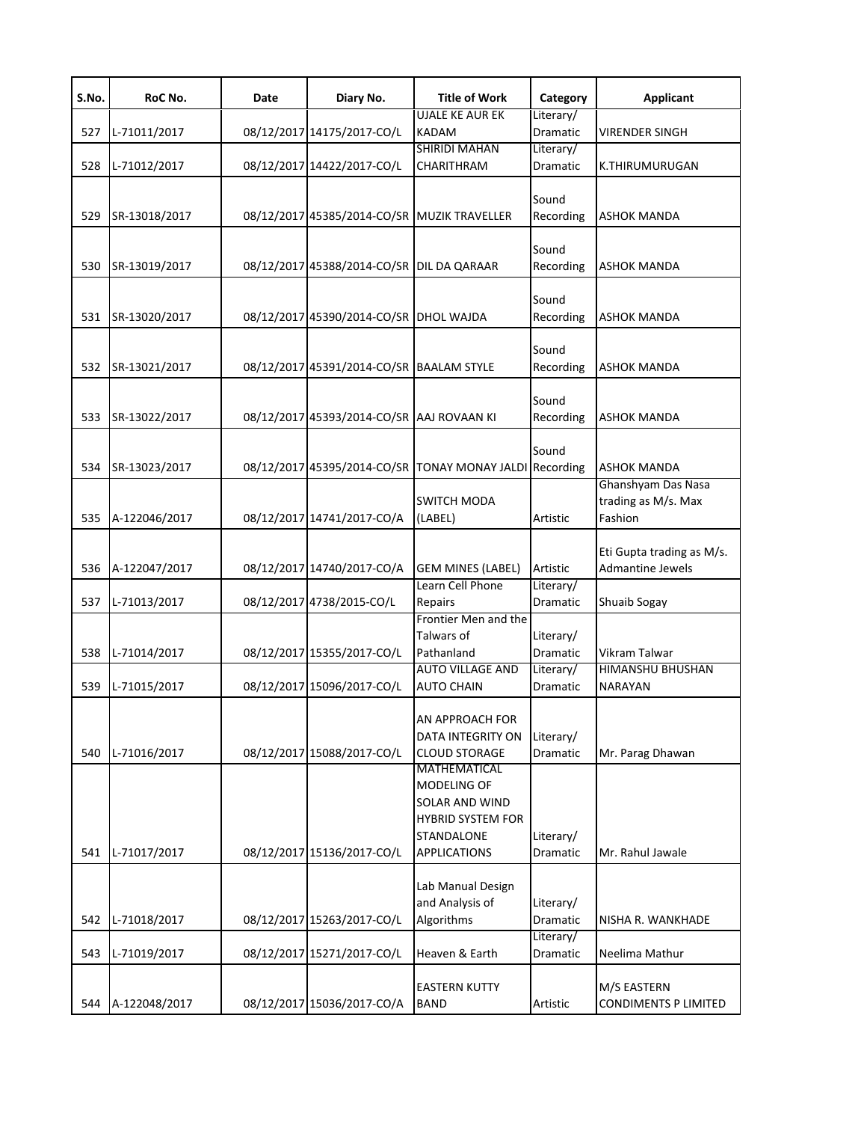| S.No. | RoC No.       | Date | Diary No.                                   | <b>Title of Work</b>                                                                | Category                           | <b>Applicant</b>                                     |
|-------|---------------|------|---------------------------------------------|-------------------------------------------------------------------------------------|------------------------------------|------------------------------------------------------|
| 527   | L-71011/2017  |      | 08/12/2017 14175/2017-CO/L                  | <b>UJALE KE AUR EK</b><br><b>KADAM</b>                                              | Literary/<br>Dramatic              | <b>VIRENDER SINGH</b>                                |
| 528   | L-71012/2017  |      | 08/12/2017 14422/2017-CO/L                  | <b>SHIRIDI MAHAN</b><br>CHARITHRAM                                                  | Literary/<br>Dramatic              | K.THIRUMURUGAN                                       |
| 529   | SR-13018/2017 |      | 08/12/2017 45385/2014-CO/SR MUZIK TRAVELLER |                                                                                     | Sound<br>Recording                 | <b>ASHOK MANDA</b>                                   |
| 530   | SR-13019/2017 |      | 08/12/2017 45388/2014-CO/SR DIL DA QARAAR   |                                                                                     | Sound<br>Recording                 | <b>ASHOK MANDA</b>                                   |
| 531   | SR-13020/2017 |      | 08/12/2017 45390/2014-CO/SR DHOL WAJDA      |                                                                                     | Sound<br>Recording                 | <b>ASHOK MANDA</b>                                   |
| 532   | SR-13021/2017 |      | 08/12/2017 45391/2014-CO/SR BAALAM STYLE    |                                                                                     | Sound<br>Recording                 | <b>ASHOK MANDA</b>                                   |
| 533   | SR-13022/2017 |      | 08/12/2017 45393/2014-CO/SR AAJ ROVAAN KI   |                                                                                     | Sound<br>Recording                 | <b>ASHOK MANDA</b>                                   |
| 534   | SR-13023/2017 |      | 08/12/2017 45395/2014-CO/SR                 | <b>TONAY MONAY JALDI</b>                                                            | Sound<br>Recording                 | <b>ASHOK MANDA</b>                                   |
| 535   | A-122046/2017 |      | 08/12/2017 14741/2017-CO/A                  | <b>SWITCH MODA</b><br>(LABEL)                                                       | Artistic                           | Ghanshyam Das Nasa<br>trading as M/s. Max<br>Fashion |
| 536   | A-122047/2017 |      | 08/12/2017 14740/2017-CO/A                  | <b>GEM MINES (LABEL)</b>                                                            | Artistic                           | Eti Gupta trading as M/s.<br><b>Admantine Jewels</b> |
| 537   | L-71013/2017  |      | 08/12/2017 4738/2015-CO/L                   | Learn Cell Phone<br>Repairs                                                         | Literary/<br>Dramatic              | Shuaib Sogay                                         |
| 538   | L-71014/2017  |      | 08/12/2017 15355/2017-CO/L                  | Frontier Men and the<br>Talwars of<br>Pathanland<br><b>AUTO VILLAGE AND</b>         | Literary/<br>Dramatic<br>Literary/ | Vikram Talwar<br>HIMANSHU BHUSHAN                    |
| 539   | L-71015/2017  |      | 08/12/2017 15096/2017-CO/L                  | <b>AUTO CHAIN</b>                                                                   | Dramatic                           | <b>NARAYAN</b>                                       |
| 540   | L-71016/2017  |      | 08/12/2017 15088/2017-CO/L                  | AN APPROACH FOR<br><b>DATA INTEGRITY ON</b><br><b>CLOUD STORAGE</b><br>MATHEMATICAL | Literary/<br>Dramatic              | Mr. Parag Dhawan                                     |
|       |               |      |                                             | MODELING OF<br>SOLAR AND WIND<br><b>HYBRID SYSTEM FOR</b><br>STANDALONE             | Literary/                          |                                                      |
| 541   | L-71017/2017  |      | 08/12/2017 15136/2017-CO/L                  | <b>APPLICATIONS</b>                                                                 | Dramatic                           | Mr. Rahul Jawale                                     |
| 542   | L-71018/2017  |      | 08/12/2017 15263/2017-CO/L                  | Lab Manual Design<br>and Analysis of<br>Algorithms                                  | Literary/<br>Dramatic              | NISHA R. WANKHADE                                    |
| 543   | L-71019/2017  |      | 08/12/2017 15271/2017-CO/L                  | Heaven & Earth                                                                      | Literary/<br>Dramatic              | Neelima Mathur                                       |
| 544   | A-122048/2017 |      | 08/12/2017 15036/2017-CO/A                  | <b>EASTERN KUTTY</b><br><b>BAND</b>                                                 | Artistic                           | M/S EASTERN<br><b>CONDIMENTS P LIMITED</b>           |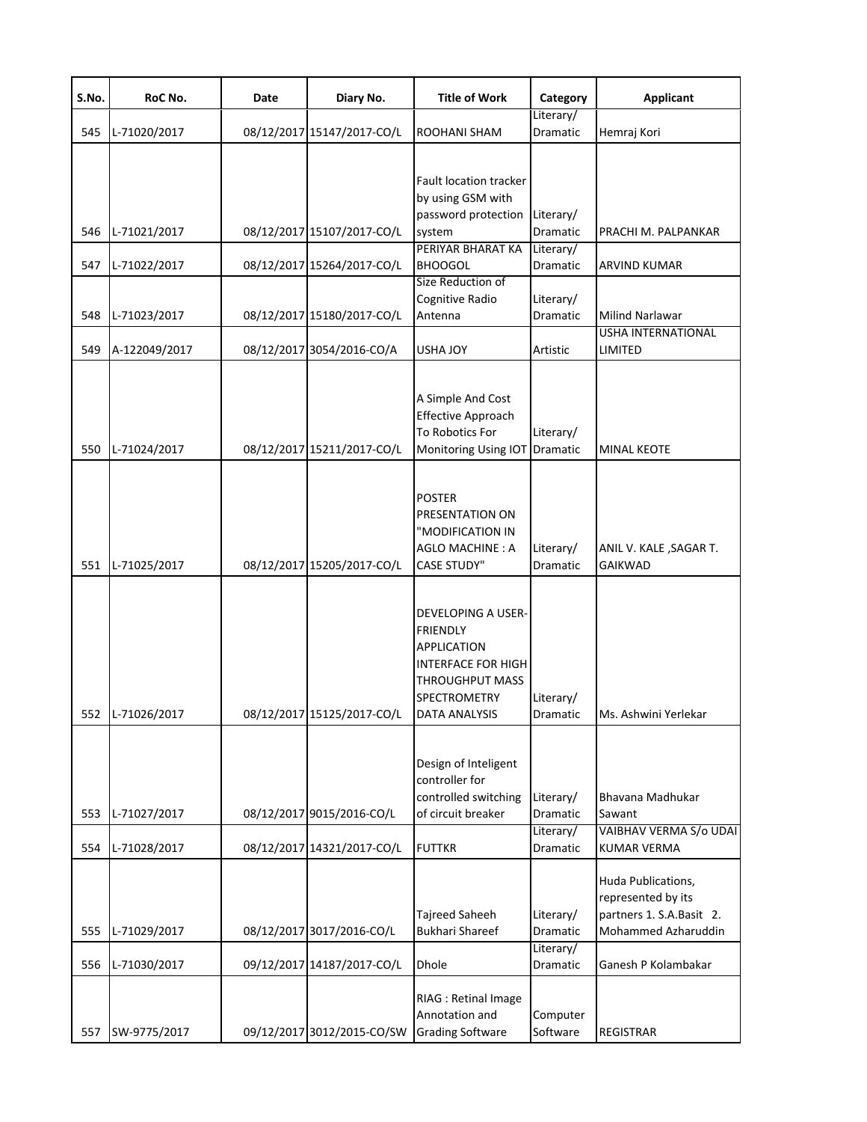| S.No.             | RoC No.                                      | Date | Diary No.                                                                             | <b>Title of Work</b>                                                                                                                         | Category                                                   | <b>Applicant</b>                                                                                                                         |
|-------------------|----------------------------------------------|------|---------------------------------------------------------------------------------------|----------------------------------------------------------------------------------------------------------------------------------------------|------------------------------------------------------------|------------------------------------------------------------------------------------------------------------------------------------------|
| 545               | L-71020/2017                                 |      | 08/12/2017 15147/2017-CO/L                                                            | ROOHANI SHAM                                                                                                                                 | Literary/<br>Dramatic                                      | Hemraj Kori                                                                                                                              |
| 546               | L-71021/2017                                 |      | 08/12/2017 15107/2017-CO/L                                                            | <b>Fault location tracker</b><br>by using GSM with<br>password protection<br>system                                                          | Literary/<br>Dramatic                                      | PRACHI M. PALPANKAR                                                                                                                      |
|                   |                                              |      |                                                                                       | PERIYAR BHARAT KA                                                                                                                            | Literary/                                                  |                                                                                                                                          |
| 547               | L-71022/2017                                 |      | 08/12/2017 15264/2017-CO/L                                                            | <b>BHOOGOL</b>                                                                                                                               | Dramatic                                                   | <b>ARVIND KUMAR</b>                                                                                                                      |
| 548               | L-71023/2017                                 |      | 08/12/2017 15180/2017-CO/L                                                            | Size Reduction of<br>Cognitive Radio<br>Antenna                                                                                              | Literary/<br>Dramatic                                      | <b>Milind Narlawar</b><br><b>USHA INTERNATIONAL</b>                                                                                      |
| 549               | A-122049/2017                                |      | 08/12/2017 3054/2016-CO/A                                                             | <b>USHA JOY</b>                                                                                                                              | Artistic                                                   | LIMITED                                                                                                                                  |
| 550               | L-71024/2017                                 |      | 08/12/2017 15211/2017-CO/L                                                            | A Simple And Cost<br><b>Effective Approach</b><br>To Robotics For<br>Monitoring Using IOT                                                    | Literary/<br>Dramatic                                      | <b>MINAL KEOTE</b>                                                                                                                       |
| 551               | L-71025/2017                                 |      | 08/12/2017 15205/2017-CO/L                                                            | <b>POSTER</b><br>PRESENTATION ON<br>"MODIFICATION IN<br>AGLO MACHINE: A<br><b>CASE STUDY"</b>                                                | Literary/<br>Dramatic                                      | ANIL V. KALE , SAGAR T.<br><b>GAIKWAD</b>                                                                                                |
| 552               | L-71026/2017                                 |      | 08/12/2017 15125/2017-CO/L                                                            | DEVELOPING A USER-<br><b>FRIENDLY</b><br><b>APPLICATION</b><br><b>INTERFACE FOR HIGH</b><br>THROUGHPUT MASS<br>SPECTROMETRY<br>DATA ANALYSIS | Literary/<br>Dramatic                                      | Ms. Ashwini Yerlekar                                                                                                                     |
| 553               | L-71027/2017                                 |      | 08/12/2017 9015/2016-CO/L                                                             | Design of Inteligent<br>controller for<br>controlled switching<br>of circuit breaker                                                         | Literary/<br><b>Dramatic</b>                               | Bhavana Madhukar<br>Sawant                                                                                                               |
|                   |                                              |      |                                                                                       |                                                                                                                                              | Literary/                                                  | VAIBHAV VERMA S/o UDAI                                                                                                                   |
| 554<br>555<br>556 | L-71028/2017<br>L-71029/2017<br>L-71030/2017 |      | 08/12/2017 14321/2017-CO/L<br>08/12/2017 3017/2016-CO/L<br>09/12/2017 14187/2017-CO/L | <b>FUTTKR</b><br>Tajreed Saheeh<br><b>Bukhari Shareef</b><br>Dhole                                                                           | Dramatic<br>Literary/<br>Dramatic<br>Literary/<br>Dramatic | <b>KUMAR VERMA</b><br>Huda Publications,<br>represented by its<br>partners 1. S.A.Basit 2.<br>Mohammed Azharuddin<br>Ganesh P Kolambakar |
| 557               | SW-9775/2017                                 |      | 09/12/2017 3012/2015-CO/SW                                                            | RIAG : Retinal Image<br>Annotation and<br><b>Grading Software</b>                                                                            | Computer<br>Software                                       | <b>REGISTRAR</b>                                                                                                                         |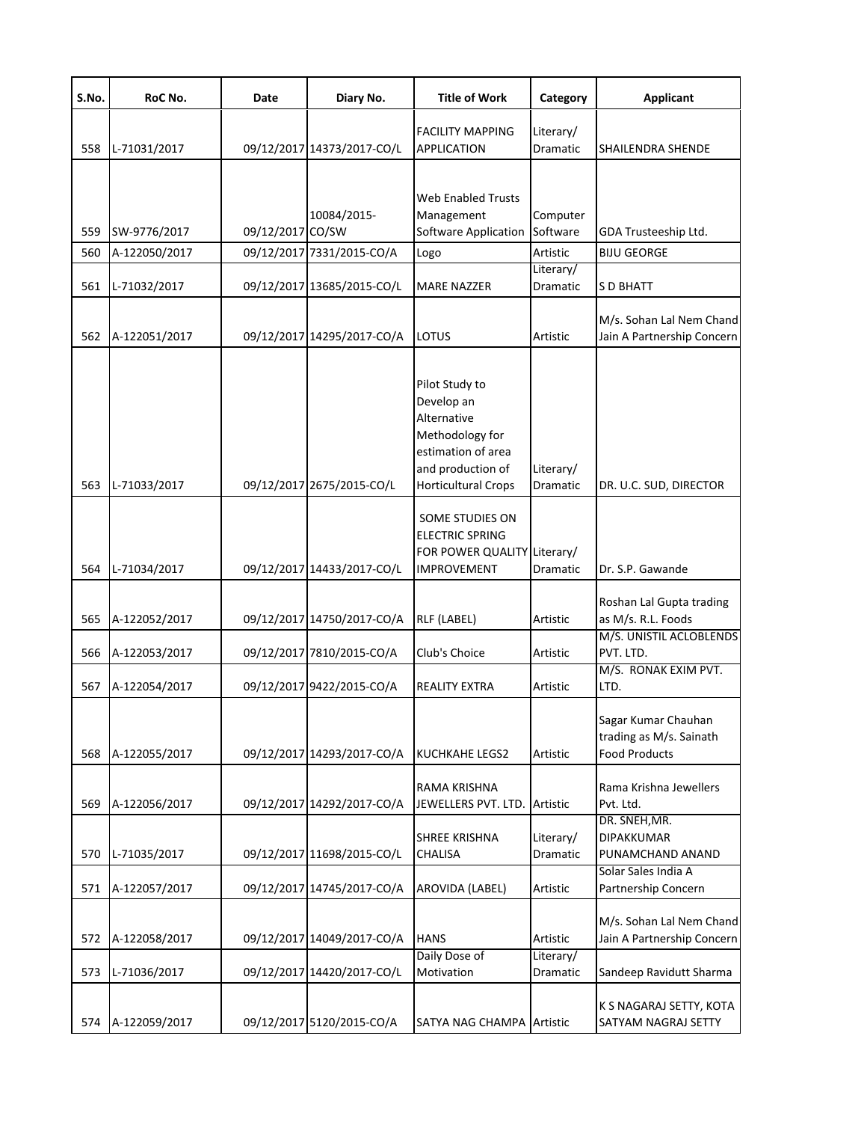| S.No. | RoC No.       | Date             | Diary No.                  | <b>Title of Work</b>                                                                                                                    | Category              | <b>Applicant</b>                                                       |
|-------|---------------|------------------|----------------------------|-----------------------------------------------------------------------------------------------------------------------------------------|-----------------------|------------------------------------------------------------------------|
| 558   | L-71031/2017  |                  | 09/12/2017 14373/2017-CO/L | <b>FACILITY MAPPING</b><br>APPLICATION                                                                                                  | Literary/<br>Dramatic | <b>SHAILENDRA SHENDE</b>                                               |
| 559   | SW-9776/2017  | 09/12/2017 CO/SW | 10084/2015-                | <b>Web Enabled Trusts</b><br>Management<br>Software Application                                                                         | Computer<br>Software  | GDA Trusteeship Ltd.                                                   |
| 560   | A-122050/2017 |                  | 09/12/2017 7331/2015-CO/A  | Logo                                                                                                                                    | Artistic              | <b>BIJU GEORGE</b>                                                     |
| 561   | L-71032/2017  |                  | 09/12/2017 13685/2015-CO/L | <b>MARE NAZZER</b>                                                                                                                      | Literary/<br>Dramatic | S D BHATT                                                              |
| 562   | A-122051/2017 |                  | 09/12/2017 14295/2017-CO/A | <b>LOTUS</b>                                                                                                                            | Artistic              | M/s. Sohan Lal Nem Chand<br>Jain A Partnership Concern                 |
| 563   | L-71033/2017  |                  | 09/12/2017 2675/2015-CO/L  | Pilot Study to<br>Develop an<br>Alternative<br>Methodology for<br>estimation of area<br>and production of<br><b>Horticultural Crops</b> | Literary/<br>Dramatic | DR. U.C. SUD, DIRECTOR                                                 |
| 564   | L-71034/2017  |                  | 09/12/2017 14433/2017-CO/L | SOME STUDIES ON<br><b>ELECTRIC SPRING</b><br>FOR POWER QUALITY Literary/<br><b>IMPROVEMENT</b>                                          | <b>Dramatic</b>       | Dr. S.P. Gawande                                                       |
| 565   | A-122052/2017 |                  | 09/12/2017 14750/2017-CO/A | RLF (LABEL)                                                                                                                             | Artistic              | Roshan Lal Gupta trading<br>as M/s. R.L. Foods                         |
| 566   | A-122053/2017 |                  | 09/12/2017 7810/2015-CO/A  | Club's Choice                                                                                                                           | Artistic              | M/S. UNISTIL ACLOBLENDS<br>PVT. LTD.                                   |
| 567   | A-122054/2017 |                  | 09/12/2017 9422/2015-CO/A  | <b>REALITY EXTRA</b>                                                                                                                    | Artistic              | M/S. RONAK EXIM PVT.<br>LTD.                                           |
| 568   | A-122055/2017 |                  | 09/12/2017 14293/2017-CO/A | <b>KUCHKAHE LEGS2</b>                                                                                                                   | Artistic              | Sagar Kumar Chauhan<br>trading as M/s. Sainath<br><b>Food Products</b> |
| 569   | A-122056/2017 |                  | 09/12/2017 14292/2017-CO/A | RAMA KRISHNA<br>JEWELLERS PVT. LTD.                                                                                                     | Artistic              | Rama Krishna Jewellers<br>Pvt. Ltd.                                    |
| 570   | L-71035/2017  |                  | 09/12/2017 11698/2015-CO/L | <b>SHREE KRISHNA</b><br>CHALISA                                                                                                         | Literary/<br>Dramatic | DR. SNEH, MR.<br>DIPAKKUMAR<br>PUNAMCHAND ANAND                        |
| 571   | A-122057/2017 |                  | 09/12/2017 14745/2017-CO/A | AROVIDA (LABEL)                                                                                                                         | Artistic              | Solar Sales India A<br>Partnership Concern                             |
| 572   | A-122058/2017 |                  | 09/12/2017 14049/2017-CO/A | <b>HANS</b>                                                                                                                             | Artistic              | M/s. Sohan Lal Nem Chand<br>Jain A Partnership Concern                 |
| 573   | L-71036/2017  |                  | 09/12/2017 14420/2017-CO/L | Daily Dose of<br>Motivation                                                                                                             | Literary/<br>Dramatic | Sandeep Ravidutt Sharma                                                |
| 574   | A-122059/2017 |                  | 09/12/2017 5120/2015-CO/A  | SATYA NAG CHAMPA Artistic                                                                                                               |                       | K S NAGARAJ SETTY, KOTA<br>SATYAM NAGRAJ SETTY                         |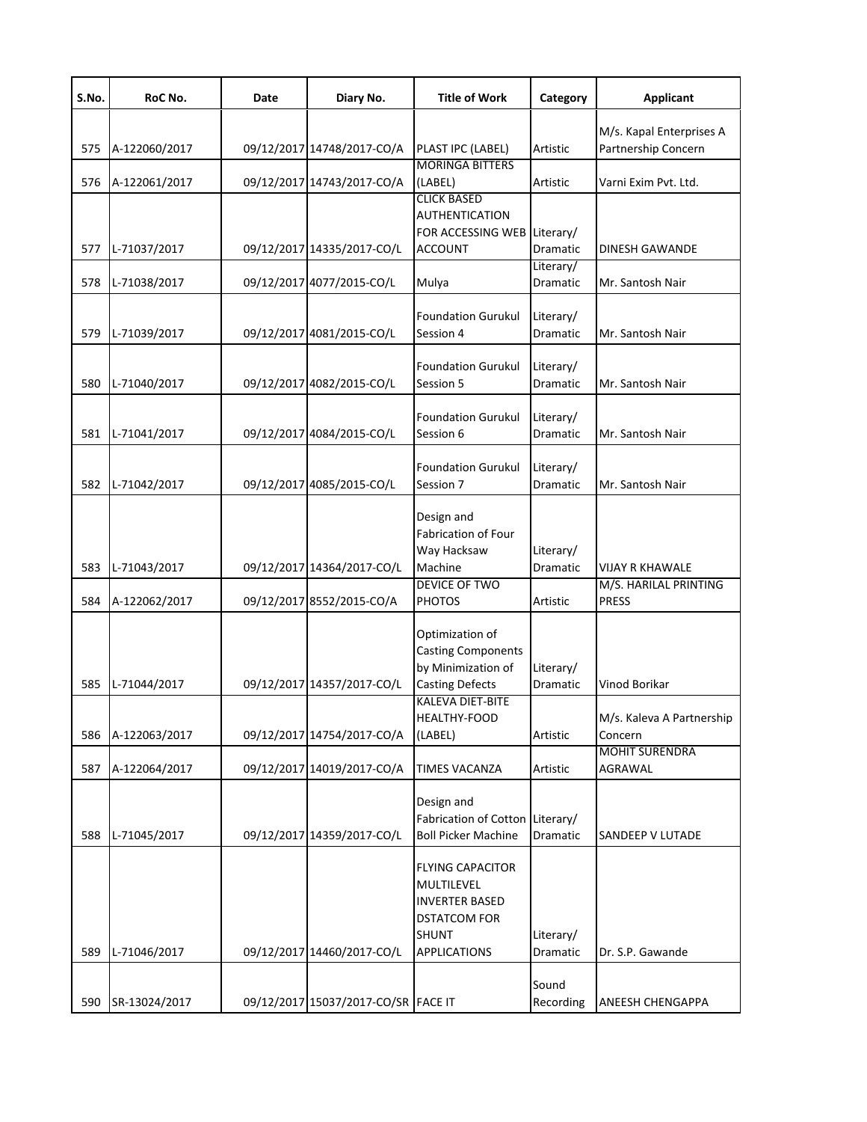| S.No. | RoC No.       | Date | Diary No.                           | <b>Title of Work</b>                                                                                                                           | Category                     | <b>Applicant</b>                                |
|-------|---------------|------|-------------------------------------|------------------------------------------------------------------------------------------------------------------------------------------------|------------------------------|-------------------------------------------------|
| 575   | A-122060/2017 |      | 09/12/2017 14748/2017-CO/A          | PLAST IPC (LABEL)                                                                                                                              | Artistic                     | M/s. Kapal Enterprises A<br>Partnership Concern |
| 576   | A-122061/2017 |      | 09/12/2017 14743/2017-CO/A          | <b>MORINGA BITTERS</b><br>(LABEL)                                                                                                              | Artistic                     | Varni Exim Pvt. Ltd.                            |
| 577   | L-71037/2017  |      | 09/12/2017 14335/2017-CO/L          | <b>CLICK BASED</b><br><b>AUTHENTICATION</b><br>FOR ACCESSING WEB Literary/<br><b>ACCOUNT</b>                                                   | Dramatic                     | <b>DINESH GAWANDE</b>                           |
| 578   | L-71038/2017  |      | 09/12/2017 4077/2015-CO/L           | Mulya                                                                                                                                          | Literary/<br>Dramatic        | Mr. Santosh Nair                                |
| 579   | L-71039/2017  |      | 09/12/2017 4081/2015-CO/L           | <b>Foundation Gurukul</b><br>Session 4                                                                                                         | Literary/<br>Dramatic        | Mr. Santosh Nair                                |
| 580   | L-71040/2017  |      | 09/12/2017 4082/2015-CO/L           | <b>Foundation Gurukul</b><br>Session 5                                                                                                         | Literary/<br><b>Dramatic</b> | Mr. Santosh Nair                                |
| 581   | L-71041/2017  |      | 09/12/2017 4084/2015-CO/L           | <b>Foundation Gurukul</b><br>Session 6                                                                                                         | Literary/<br><b>Dramatic</b> | Mr. Santosh Nair                                |
| 582   | L-71042/2017  |      | 09/12/2017 4085/2015-CO/L           | <b>Foundation Gurukul</b><br>Session 7                                                                                                         | Literary/<br>Dramatic        | Mr. Santosh Nair                                |
| 583   | L-71043/2017  |      | 09/12/2017 14364/2017-CO/L          | Design and<br><b>Fabrication of Four</b><br>Way Hacksaw<br>Machine                                                                             | Literary/<br>Dramatic        | VIJAY R KHAWALE                                 |
| 584   | A-122062/2017 |      | 09/12/2017 8552/2015-CO/A           | <b>DEVICE OF TWO</b><br><b>PHOTOS</b>                                                                                                          | Artistic                     | M/S. HARILAL PRINTING<br><b>PRESS</b>           |
| 585   | L-71044/2017  |      | 09/12/2017 14357/2017-CO/L          | Optimization of<br><b>Casting Components</b><br>by Minimization of<br><b>Casting Defects</b><br><b>KALEVA DIET-BITE</b><br><b>HEALTHY-FOOD</b> | Literary/<br>Dramatic        | Vinod Borikar<br>M/s. Kaleva A Partnership      |
| 586   | A-122063/2017 |      | 09/12/2017 14754/2017-CO/A          | (LABEL)                                                                                                                                        | Artistic                     | Concern<br><b>MOHIT SURENDRA</b>                |
| 587   | A-122064/2017 |      | 09/12/2017 14019/2017-CO/A          | <b>TIMES VACANZA</b>                                                                                                                           | Artistic                     | AGRAWAL                                         |
| 588   | L-71045/2017  |      | 09/12/2017 14359/2017-CO/L          | Design and<br>Fabrication of Cotton Literary/<br><b>Boll Picker Machine</b>                                                                    | Dramatic                     | SANDEEP V LUTADE                                |
| 589   | L-71046/2017  |      | 09/12/2017 14460/2017-CO/L          | <b>FLYING CAPACITOR</b><br>MULTILEVEL<br><b>INVERTER BASED</b><br><b>DSTATCOM FOR</b><br><b>SHUNT</b><br><b>APPLICATIONS</b>                   | Literary/<br>Dramatic        | Dr. S.P. Gawande                                |
| 590   | SR-13024/2017 |      | 09/12/2017 15037/2017-CO/SR FACE IT |                                                                                                                                                | Sound<br>Recording           | ANEESH CHENGAPPA                                |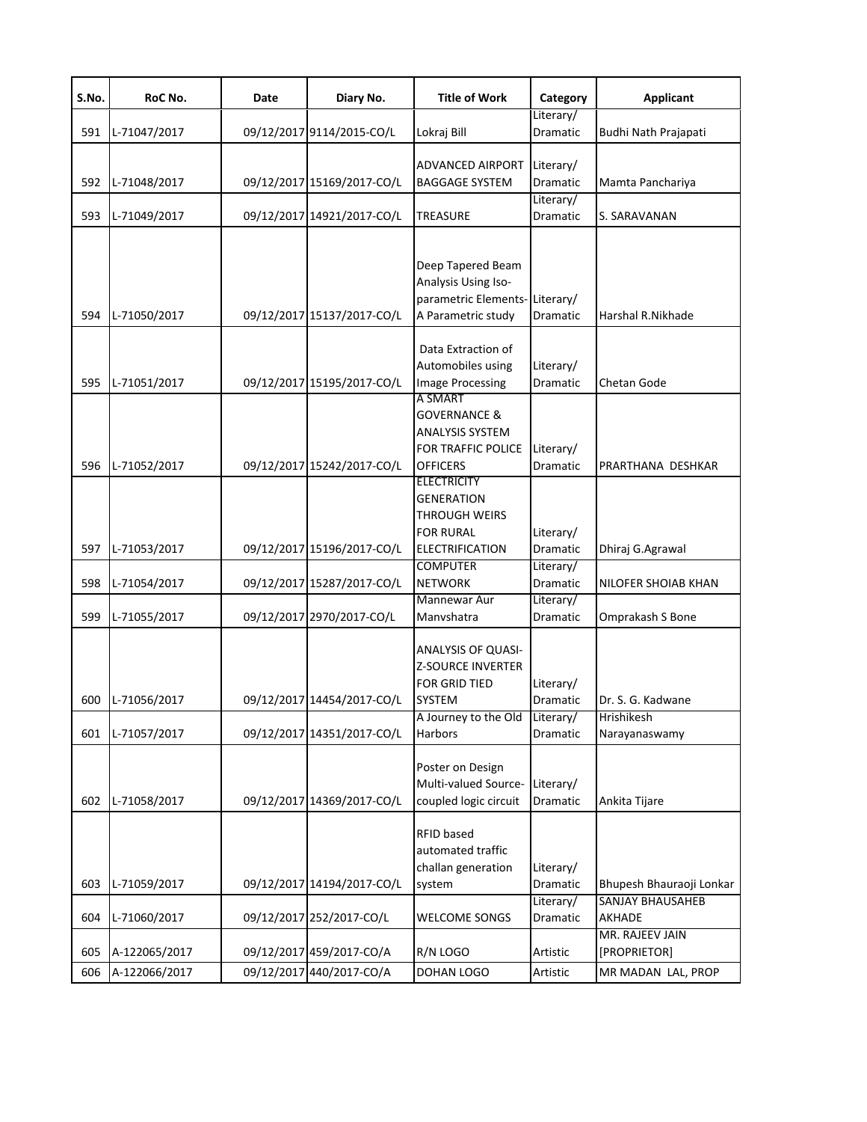| S.No. | RoC No.       | Date | Diary No.                  | <b>Title of Work</b>                                                                                       | Category                           | <b>Applicant</b>                  |
|-------|---------------|------|----------------------------|------------------------------------------------------------------------------------------------------------|------------------------------------|-----------------------------------|
| 591   | L-71047/2017  |      | 09/12/2017 9114/2015-CO/L  | Lokraj Bill                                                                                                | Literary/<br>Dramatic              | Budhi Nath Prajapati              |
| 592   | L-71048/2017  |      | 09/12/2017 15169/2017-CO/L | <b>ADVANCED AIRPORT</b><br><b>BAGGAGE SYSTEM</b>                                                           | Literary/<br>Dramatic              | Mamta Panchariya                  |
| 593   | L-71049/2017  |      | 09/12/2017 14921/2017-CO/L | <b>TREASURE</b>                                                                                            | Literary/<br>Dramatic              | S. SARAVANAN                      |
| 594   | L-71050/2017  |      | 09/12/2017 15137/2017-CO/L | Deep Tapered Beam<br>Analysis Using Iso-<br>parametric Elements-Literary/<br>A Parametric study            | Dramatic                           | Harshal R.Nikhade                 |
| 595   | L-71051/2017  |      | 09/12/2017 15195/2017-CO/L | Data Extraction of<br>Automobiles using<br><b>Image Processing</b><br>A SMART<br>GOVERNANCE &              | Literary/<br>Dramatic              | Chetan Gode                       |
| 596   | L-71052/2017  |      | 09/12/2017 15242/2017-CO/L | ANALYSIS SYSTEM<br>FOR TRAFFIC POLICE<br><b>OFFICERS</b><br><b>ELECTRICITY</b>                             | Literary/<br>Dramatic              | PRARTHANA DESHKAR                 |
| 597   | L-71053/2017  |      | 09/12/2017 15196/2017-CO/L | <b>GENERATION</b><br><b>THROUGH WEIRS</b><br><b>FOR RURAL</b><br><b>ELECTRIFICATION</b><br><b>COMPUTER</b> | Literary/<br>Dramatic<br>Literary/ | Dhiraj G.Agrawal                  |
| 598   | L-71054/2017  |      | 09/12/2017 15287/2017-CO/L | <b>NETWORK</b><br>Mannewar Aur                                                                             | Dramatic<br>Literary/              | NILOFER SHOIAB KHAN               |
| 599   | L-71055/2017  |      | 09/12/2017 2970/2017-CO/L  | Manvshatra                                                                                                 | Dramatic                           | Omprakash S Bone                  |
| 600   | L-71056/2017  |      | 09/12/2017 14454/2017-CO/L | <b>ANALYSIS OF QUASI-</b><br><b>Z-SOURCE INVERTER</b><br><b>FOR GRID TIED</b><br><b>SYSTEM</b>             | Literary/<br>Dramatic              | Dr. S. G. Kadwane<br>Hrishikesh   |
| 601   | L-71057/2017  |      | 09/12/2017 14351/2017-CO/L | A Journey to the Old<br>Harbors                                                                            | Literary/<br>Dramatic              | Narayanaswamy                     |
| 602   | L-71058/2017  |      | 09/12/2017 14369/2017-CO/L | Poster on Design<br>Multi-valued Source-<br>coupled logic circuit                                          | Literary/<br>Dramatic              | Ankita Tijare                     |
| 603   | L-71059/2017  |      | 09/12/2017 14194/2017-CO/L | RFID based<br>automated traffic<br>challan generation<br>system                                            | Literary/<br>Dramatic              | Bhupesh Bhauraoji Lonkar          |
| 604   | L-71060/2017  |      | 09/12/2017 252/2017-CO/L   | <b>WELCOME SONGS</b>                                                                                       | Literary/<br>Dramatic              | <b>SANJAY BHAUSAHEB</b><br>AKHADE |
| 605   | A-122065/2017 |      | 09/12/2017 459/2017-CO/A   | R/N LOGO                                                                                                   | Artistic                           | MR. RAJEEV JAIN<br>[PROPRIETOR]   |
| 606   | A-122066/2017 |      | 09/12/2017 440/2017-CO/A   | DOHAN LOGO                                                                                                 | Artistic                           | MR MADAN LAL, PROP                |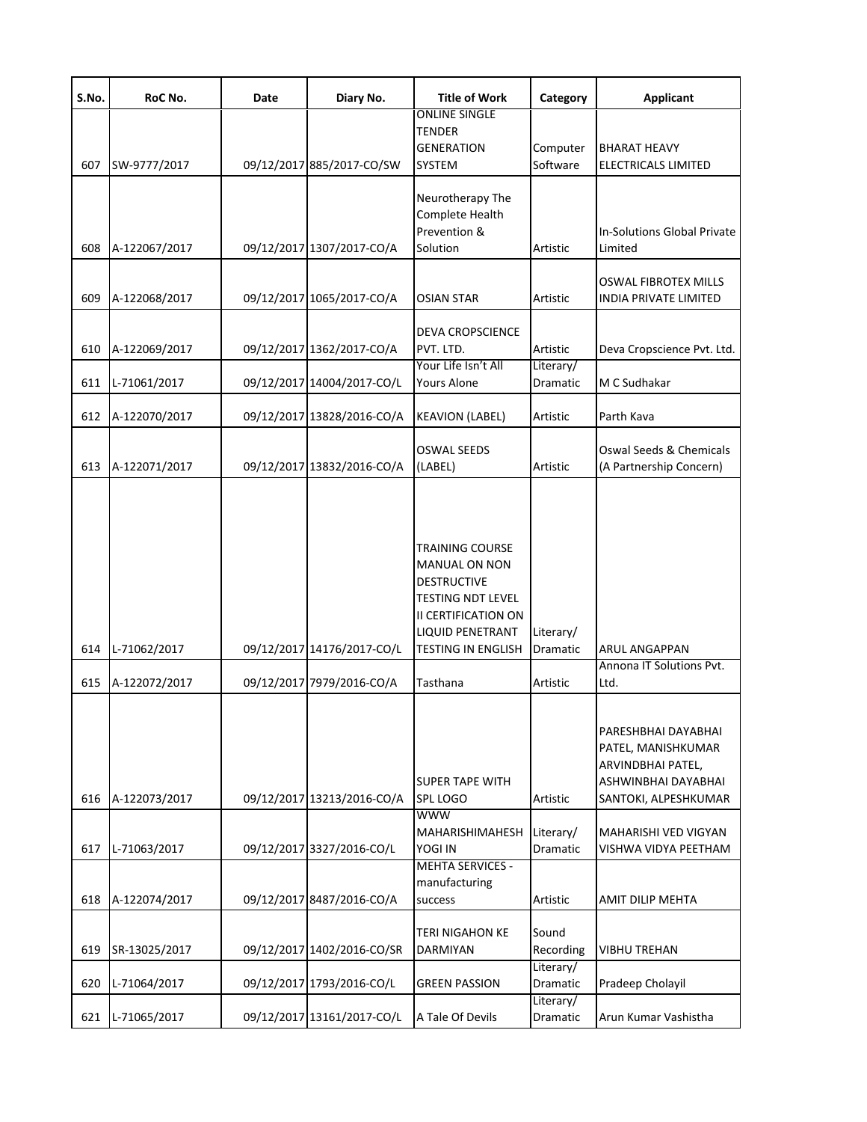| S.No. | RoC No.       | Date | Diary No.                  | <b>Title of Work</b>      | Category        | <b>Applicant</b>            |
|-------|---------------|------|----------------------------|---------------------------|-----------------|-----------------------------|
|       |               |      |                            | <b>ONLINE SINGLE</b>      |                 |                             |
|       |               |      |                            | <b>TENDER</b>             |                 |                             |
|       |               |      |                            | <b>GENERATION</b>         | Computer        | <b>BHARAT HEAVY</b>         |
| 607   | SW-9777/2017  |      | 09/12/2017 885/2017-CO/SW  | SYSTEM                    | Software        | <b>ELECTRICALS LIMITED</b>  |
|       |               |      |                            | Neurotherapy The          |                 |                             |
|       |               |      |                            | Complete Health           |                 |                             |
|       |               |      |                            | Prevention &              |                 | In-Solutions Global Private |
| 608   | A-122067/2017 |      | 09/12/2017 1307/2017-CO/A  | Solution                  | Artistic        | Limited                     |
|       |               |      |                            |                           |                 |                             |
|       |               |      |                            |                           |                 | OSWAL FIBROTEX MILLS        |
| 609   | A-122068/2017 |      | 09/12/2017 1065/2017-CO/A  | OSIAN STAR                | Artistic        | INDIA PRIVATE LIMITED       |
|       |               |      |                            |                           |                 |                             |
|       |               |      |                            | <b>DEVA CROPSCIENCE</b>   |                 |                             |
| 610   | A-122069/2017 |      | 09/12/2017 1362/2017-CO/A  | PVT. LTD.                 | Artistic        | Deva Cropscience Pvt. Ltd.  |
|       |               |      |                            | Your Life Isn't All       | Literary/       |                             |
| 611   | L-71061/2017  |      | 09/12/2017 14004/2017-CO/L | <b>Yours Alone</b>        | <b>Dramatic</b> | M C Sudhakar                |
|       |               |      |                            |                           |                 |                             |
| 612   | A-122070/2017 |      | 09/12/2017 13828/2016-CO/A | <b>KEAVION (LABEL)</b>    | Artistic        | Parth Kava                  |
|       |               |      |                            |                           |                 |                             |
|       |               |      |                            | <b>OSWAL SEEDS</b>        |                 | Oswal Seeds & Chemicals     |
| 613   | A-122071/2017 |      | 09/12/2017 13832/2016-CO/A | (LABEL)                   | Artistic        | (A Partnership Concern)     |
|       |               |      |                            |                           |                 |                             |
|       |               |      |                            |                           |                 |                             |
|       |               |      |                            | <b>TRAINING COURSE</b>    |                 |                             |
|       |               |      |                            | <b>MANUAL ON NON</b>      |                 |                             |
|       |               |      |                            | <b>DESTRUCTIVE</b>        |                 |                             |
|       |               |      |                            | <b>TESTING NDT LEVEL</b>  |                 |                             |
|       |               |      |                            | II CERTIFICATION ON       |                 |                             |
|       |               |      |                            | <b>LIQUID PENETRANT</b>   | Literary/       |                             |
| 614   | L-71062/2017  |      | 09/12/2017 14176/2017-CO/L | <b>TESTING IN ENGLISH</b> | Dramatic        | ARUL ANGAPPAN               |
|       |               |      |                            |                           |                 | Annona IT Solutions Pvt.    |
| 615   | A-122072/2017 |      | 09/12/2017 7979/2016-CO/A  | Tasthana                  | Artistic        | Ltd.                        |
|       |               |      |                            |                           |                 |                             |
|       |               |      |                            |                           |                 | PARESHBHAI DAYABHAI         |
|       |               |      |                            |                           |                 | PATEL, MANISHKUMAR          |
|       |               |      |                            |                           |                 | ARVINDBHAI PATEL,           |
|       |               |      |                            | <b>SUPER TAPE WITH</b>    |                 | ASHWINBHAI DAYABHAI         |
| 616   | A-122073/2017 |      | 09/12/2017 13213/2016-CO/A | <b>SPL LOGO</b>           | Artistic        | SANTOKI, ALPESHKUMAR        |
|       |               |      |                            | <b>WWW</b>                |                 |                             |
|       |               |      |                            | MAHARISHIMAHESH           | Literary/       | MAHARISHI VED VIGYAN        |
| 617   | L-71063/2017  |      | 09/12/2017 3327/2016-CO/L  | <b>YOGI IN</b>            | Dramatic        | VISHWA VIDYA PEETHAM        |
|       |               |      |                            | <b>MEHTA SERVICES -</b>   |                 |                             |
|       |               |      |                            | manufacturing             |                 |                             |
| 618   | A-122074/2017 |      | 09/12/2017 8487/2016-CO/A  | success                   | Artistic        | AMIT DILIP MEHTA            |
|       |               |      |                            |                           |                 |                             |
|       |               |      |                            | <b>TERI NIGAHON KE</b>    | Sound           |                             |
| 619   | SR-13025/2017 |      | 09/12/2017 1402/2016-CO/SR | <b>DARMIYAN</b>           | Recording       | <b>VIBHU TREHAN</b>         |
|       |               |      |                            |                           | Literary/       |                             |
| 620   | L-71064/2017  |      | 09/12/2017 1793/2016-CO/L  | <b>GREEN PASSION</b>      | Dramatic        | Pradeep Cholayil            |
|       |               |      |                            |                           | Literary/       |                             |
| 621   | L-71065/2017  |      | 09/12/2017 13161/2017-CO/L | A Tale Of Devils          | Dramatic        | Arun Kumar Vashistha        |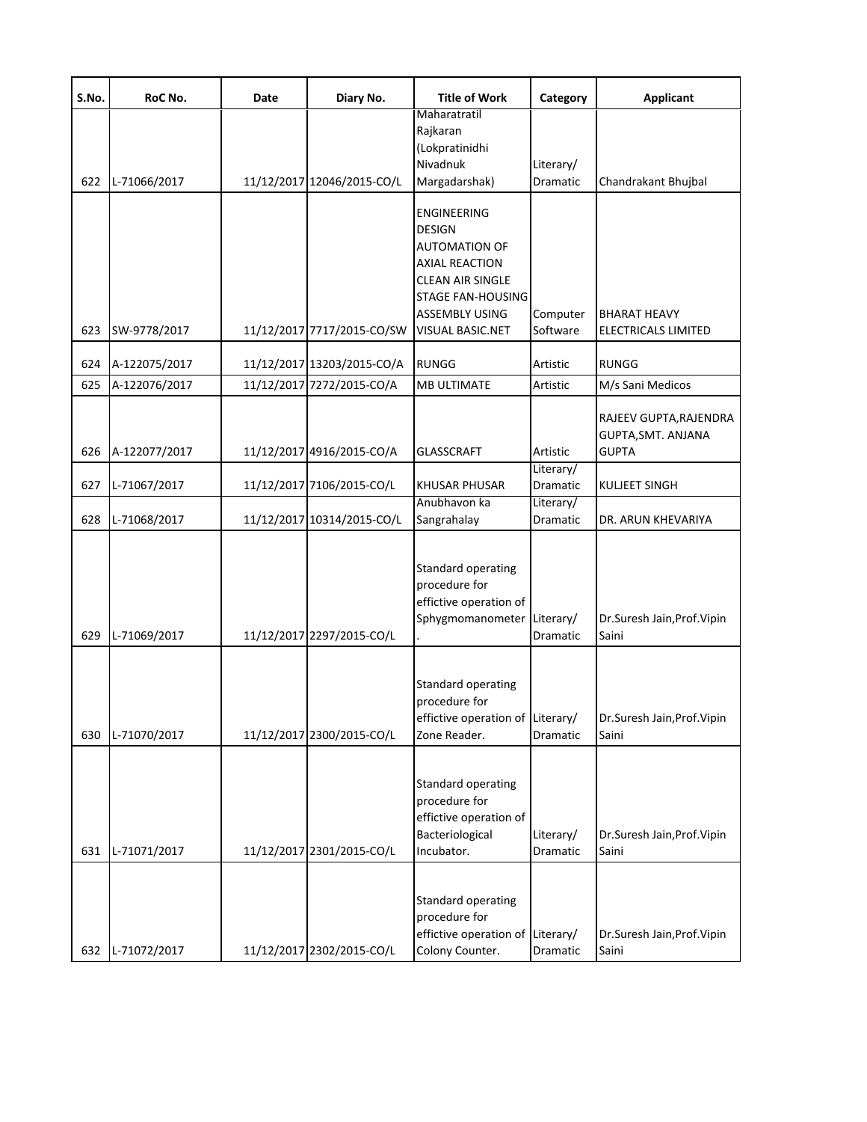| S.No. | RoC No.       | Date | Diary No.                  | <b>Title of Work</b>                                                                                                                                                                     | Category              | <b>Applicant</b>                                             |
|-------|---------------|------|----------------------------|------------------------------------------------------------------------------------------------------------------------------------------------------------------------------------------|-----------------------|--------------------------------------------------------------|
|       |               |      |                            | Maharatratil<br>Rajkaran<br>(Lokpratinidhi<br>Nivadnuk                                                                                                                                   | Literary/             |                                                              |
| 622   | L-71066/2017  |      | 11/12/2017 12046/2015-CO/L | Margadarshak)                                                                                                                                                                            | Dramatic              | Chandrakant Bhujbal                                          |
| 623   | SW-9778/2017  |      | 11/12/2017 7717/2015-CO/SW | <b>ENGINEERING</b><br><b>DESIGN</b><br><b>AUTOMATION OF</b><br><b>AXIAL REACTION</b><br><b>CLEAN AIR SINGLE</b><br><b>STAGE FAN-HOUSING</b><br><b>ASSEMBLY USING</b><br>VISUAL BASIC.NET | Computer<br>Software  | <b>BHARAT HEAVY</b><br>ELECTRICALS LIMITED                   |
| 624   | A-122075/2017 |      | 11/12/2017 13203/2015-CO/A | <b>RUNGG</b>                                                                                                                                                                             | Artistic              | <b>RUNGG</b>                                                 |
| 625   | A-122076/2017 |      | 11/12/2017 7272/2015-CO/A  | MB ULTIMATE                                                                                                                                                                              | Artistic              | M/s Sani Medicos                                             |
| 626   | A-122077/2017 |      | 11/12/2017 4916/2015-CO/A  | <b>GLASSCRAFT</b>                                                                                                                                                                        | Artistic              | RAJEEV GUPTA, RAJENDRA<br>GUPTA, SMT. ANJANA<br><b>GUPTA</b> |
| 627   | L-71067/2017  |      | 11/12/2017 7106/2015-CO/L  | <b>KHUSAR PHUSAR</b>                                                                                                                                                                     | Literary/<br>Dramatic | <b>KULJEET SINGH</b>                                         |
| 628   | L-71068/2017  |      | 11/12/2017 10314/2015-CO/L | Anubhavon ka<br>Sangrahalay                                                                                                                                                              | Literary/<br>Dramatic | DR. ARUN KHEVARIYA                                           |
| 629   | L-71069/2017  |      | 11/12/2017 2297/2015-CO/L  | <b>Standard operating</b><br>procedure for<br>effictive operation of<br>Sphygmomanometer Literary/                                                                                       | Dramatic              | Dr.Suresh Jain, Prof. Vipin<br>Saini                         |
| 630   | L-71070/2017  |      | 11/12/2017 2300/2015-CO/L  | <b>Standard operating</b><br>procedure for<br>effictive operation of Literary/<br>Zone Reader.                                                                                           | Dramatic              | Dr.Suresh Jain, Prof. Vipin<br>Saini                         |
| 631   | L-71071/2017  |      | 11/12/2017 2301/2015-CO/L  | <b>Standard operating</b><br>procedure for<br>effictive operation of<br>Bacteriological<br>Incubator.                                                                                    | Literary/<br>Dramatic | Dr.Suresh Jain, Prof. Vipin<br>Saini                         |
| 632   | L-71072/2017  |      | 11/12/2017 2302/2015-CO/L  | Standard operating<br>procedure for<br>effictive operation of Literary/<br>Colony Counter.                                                                                               | Dramatic              | Dr.Suresh Jain, Prof. Vipin<br>Saini                         |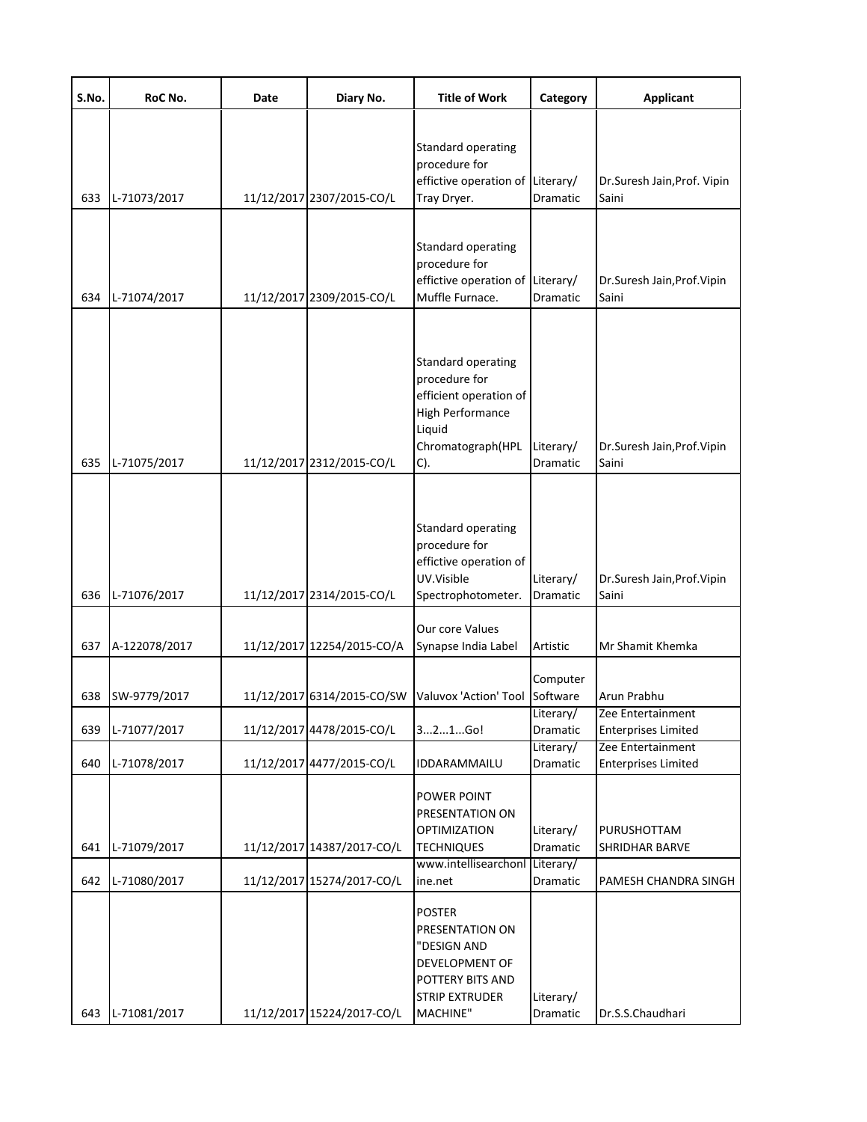| S.No. | RoC No.       | Date | Diary No.                  | <b>Title of Work</b>                                                                                                           | Category                     | <b>Applicant</b>                                |
|-------|---------------|------|----------------------------|--------------------------------------------------------------------------------------------------------------------------------|------------------------------|-------------------------------------------------|
| 633   | L-71073/2017  |      | 11/12/2017 2307/2015-CO/L  | <b>Standard operating</b><br>procedure for<br>effictive operation of Literary/<br>Tray Dryer.                                  | Dramatic                     | Dr.Suresh Jain, Prof. Vipin<br>Saini            |
| 634   | L-71074/2017  |      | 11/12/2017 2309/2015-CO/L  | Standard operating<br>procedure for<br>effictive operation of Literary/<br>Muffle Furnace.                                     | Dramatic                     | Dr.Suresh Jain, Prof. Vipin<br>Saini            |
| 635   | L-71075/2017  |      | 11/12/2017 2312/2015-CO/L  | Standard operating<br>procedure for<br>efficient operation of<br><b>High Performance</b><br>Liquid<br>Chromatograph(HPL<br>C). | Literary/<br><b>Dramatic</b> | Dr.Suresh Jain, Prof. Vipin<br>Saini            |
| 636   | L-71076/2017  |      | 11/12/2017 2314/2015-CO/L  | Standard operating<br>procedure for<br>effictive operation of<br>UV.Visible<br>Spectrophotometer.                              | Literary/<br>Dramatic        | Dr.Suresh Jain, Prof. Vipin<br>Saini            |
| 637   | A-122078/2017 |      | 11/12/2017 12254/2015-CO/A | <b>Our core Values</b><br>Synapse India Label                                                                                  | Artistic                     | Mr Shamit Khemka                                |
| 638   | SW-9779/2017  |      | 11/12/2017 6314/2015-CO/SW | Valuvox 'Action' Tool                                                                                                          | Computer<br>Software         | Arun Prabhu<br>Zee Entertainment                |
| 639   | L-71077/2017  |      | 11/12/2017 4478/2015-CO/L  | 321Go!                                                                                                                         | Literary/<br>Dramatic        | <b>Enterprises Limited</b>                      |
| 640   | L-71078/2017  |      | 11/12/2017 4477/2015-CO/L  | IDDARAMMAILU                                                                                                                   | Literary/<br>Dramatic        | Zee Entertainment<br><b>Enterprises Limited</b> |
| 641   | L-71079/2017  |      | 11/12/2017 14387/2017-CO/L | POWER POINT<br>PRESENTATION ON<br><b>OPTIMIZATION</b><br><b>TECHNIQUES</b>                                                     | Literary/<br>Dramatic        | PURUSHOTTAM<br>SHRIDHAR BARVE                   |
| 642   | L-71080/2017  |      | 11/12/2017 15274/2017-CO/L | www.intellisearchonl<br>ine.net                                                                                                | Literary/<br>Dramatic        | PAMESH CHANDRA SINGH                            |
| 643   | L-71081/2017  |      | 11/12/2017 15224/2017-CO/L | <b>POSTER</b><br>PRESENTATION ON<br>"DESIGN AND<br>DEVELOPMENT OF<br>POTTERY BITS AND<br><b>STRIP EXTRUDER</b><br>MACHINE"     | Literary/<br>Dramatic        | Dr.S.S.Chaudhari                                |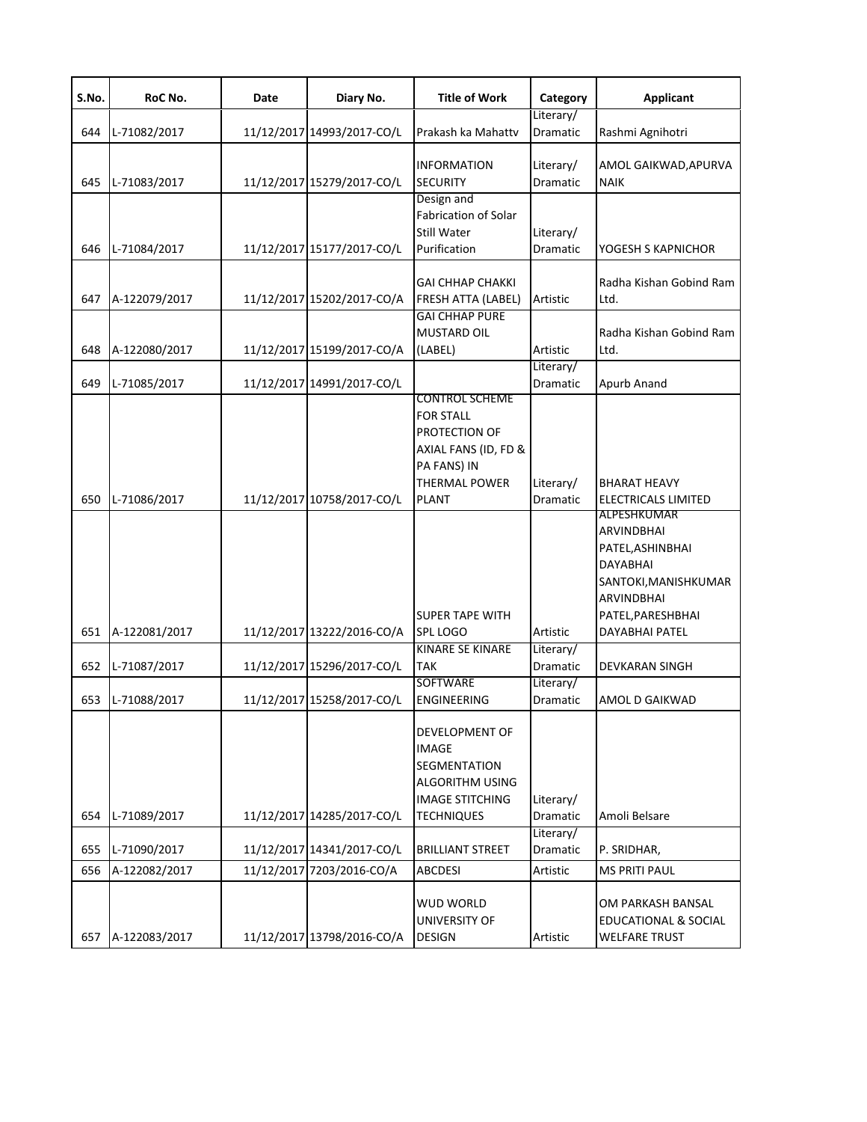| S.No. | RoC No.       | Date | Diary No.                  | <b>Title of Work</b>                                                                                                                      | Category                     | <b>Applicant</b>                                                                                                                   |
|-------|---------------|------|----------------------------|-------------------------------------------------------------------------------------------------------------------------------------------|------------------------------|------------------------------------------------------------------------------------------------------------------------------------|
| 644   | L-71082/2017  |      | 11/12/2017 14993/2017-CO/L | Prakash ka Mahattv                                                                                                                        | Literary/<br>Dramatic        | Rashmi Agnihotri                                                                                                                   |
| 645   | L-71083/2017  |      | 11/12/2017 15279/2017-CO/L | <b>INFORMATION</b><br><b>SECURITY</b>                                                                                                     | Literary/<br><b>Dramatic</b> | AMOL GAIKWAD, APURVA<br><b>NAIK</b>                                                                                                |
|       |               |      |                            | Design and<br>Fabrication of Solar<br>Still Water                                                                                         | Literary/                    |                                                                                                                                    |
| 646   | L-71084/2017  |      | 11/12/2017 15177/2017-CO/L | Purification                                                                                                                              | Dramatic                     | YOGESH S KAPNICHOR                                                                                                                 |
| 647   | A-122079/2017 |      | 11/12/2017 15202/2017-CO/A | <b>GAI CHHAP CHAKKI</b><br>FRESH ATTA (LABEL)                                                                                             | Artistic                     | Radha Kishan Gobind Ram<br>Ltd.                                                                                                    |
| 648   | A-122080/2017 |      | 11/12/2017 15199/2017-CO/A | <b>GAI CHHAP PURE</b><br>MUSTARD OIL<br>(LABEL)                                                                                           | Artistic                     | Radha Kishan Gobind Ram<br>Ltd.                                                                                                    |
| 649   | L-71085/2017  |      | 11/12/2017 14991/2017-CO/L |                                                                                                                                           | Literary/<br><b>Dramatic</b> | Apurb Anand                                                                                                                        |
| 650   | L-71086/2017  |      | 11/12/2017 10758/2017-CO/L | <b>CONTROL SCHEME</b><br><b>FOR STALL</b><br>PROTECTION OF<br>AXIAL FANS (ID, FD &<br>PA FANS) IN<br><b>THERMAL POWER</b><br><b>PLANT</b> | Literary/<br>Dramatic        | <b>BHARAT HEAVY</b><br><b>ELECTRICALS LIMITED</b>                                                                                  |
|       |               |      |                            | <b>SUPER TAPE WITH</b>                                                                                                                    |                              | ALPESHKUMAR<br><b>ARVINDBHAI</b><br>PATEL, ASHINBHAI<br>DAYABHAI<br>SANTOKI, MANISHKUMAR<br><b>ARVINDBHAI</b><br>PATEL, PARESHBHAI |
| 651   | A-122081/2017 |      | 11/12/2017 13222/2016-CO/A | <b>SPL LOGO</b><br><b>KINARE SE KINARE</b>                                                                                                | Artistic<br>Literary/        | DAYABHAI PATEL                                                                                                                     |
| 652   | L-71087/2017  |      | 11/12/2017 15296/2017-CO/L | <b>TAK</b><br><b>SOFTWARE</b>                                                                                                             | Dramatic<br>Literary/        | <b>DEVKARAN SINGH</b>                                                                                                              |
| 653   | L-71088/2017  |      | 11/12/2017 15258/2017-CO/L | <b>ENGINEERING</b>                                                                                                                        | Dramatic                     | AMOL D GAIKWAD                                                                                                                     |
|       |               |      |                            | DEVELOPMENT OF<br><b>IMAGE</b><br>SEGMENTATION<br>ALGORITHM USING<br><b>IMAGE STITCHING</b>                                               | Literary/                    |                                                                                                                                    |
| 654   | L-71089/2017  |      | 11/12/2017 14285/2017-CO/L | <b>TECHNIQUES</b>                                                                                                                         | Dramatic<br>Literary/        | Amoli Belsare                                                                                                                      |
| 655   | L-71090/2017  |      | 11/12/2017 14341/2017-CO/L | <b>BRILLIANT STREET</b>                                                                                                                   | Dramatic                     | P. SRIDHAR,                                                                                                                        |
| 656   | A-122082/2017 |      | 11/12/2017 7203/2016-CO/A  | ABCDESI                                                                                                                                   | Artistic                     | <b>MS PRITI PAUL</b>                                                                                                               |
| 657   | A-122083/2017 |      | 11/12/2017 13798/2016-CO/A | WUD WORLD<br>UNIVERSITY OF<br><b>DESIGN</b>                                                                                               | Artistic                     | OM PARKASH BANSAL<br>EDUCATIONAL & SOCIAL<br><b>WELFARE TRUST</b>                                                                  |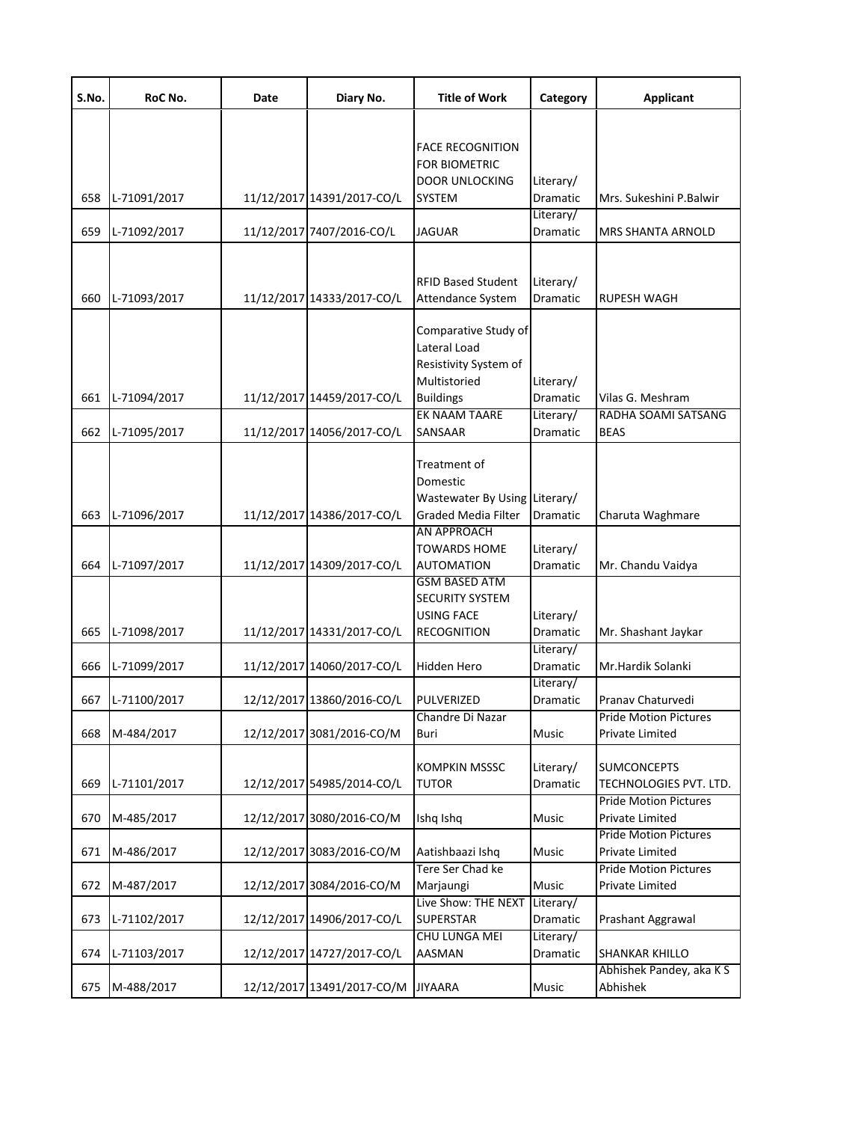| S.No.      | RoC No.                    | Date | Diary No.                                               | <b>Title of Work</b>                                                                                          | Category                           | <b>Applicant</b>                                                       |
|------------|----------------------------|------|---------------------------------------------------------|---------------------------------------------------------------------------------------------------------------|------------------------------------|------------------------------------------------------------------------|
| 658        | L-71091/2017               |      | 11/12/2017 14391/2017-CO/L                              | <b>FACE RECOGNITION</b><br>FOR BIOMETRIC<br><b>DOOR UNLOCKING</b><br><b>SYSTEM</b>                            | Literary/<br>Dramatic              | Mrs. Sukeshini P.Balwir                                                |
| 659        | L-71092/2017               |      | 11/12/2017 7407/2016-CO/L                               | <b>JAGUAR</b>                                                                                                 | Literary/<br><b>Dramatic</b>       | <b>MRS SHANTA ARNOLD</b>                                               |
| 660        | L-71093/2017               |      | 11/12/2017 14333/2017-CO/L                              | <b>RFID Based Student</b><br>Attendance System                                                                | Literary/<br>Dramatic              | RUPESH WAGH                                                            |
| 661        | L-71094/2017               |      | 11/12/2017 14459/2017-CO/L                              | Comparative Study of<br>Lateral Load<br>Resistivity System of<br>Multistoried<br><b>Buildings</b>             | Literary/<br><b>Dramatic</b>       | Vilas G. Meshram                                                       |
| 662        | L-71095/2017               |      | 11/12/2017 14056/2017-CO/L                              | EK NAAM TAARE<br>SANSAAR                                                                                      | Literary/<br>Dramatic              | RADHA SOAMI SATSANG<br><b>BEAS</b>                                     |
| 663        | L-71096/2017               |      | 11/12/2017 14386/2017-CO/L                              | Treatment of<br>Domestic<br>Wastewater By Using Literary/<br><b>Graded Media Filter</b><br><b>AN APPROACH</b> | Dramatic                           | Charuta Waghmare                                                       |
| 664        | L-71097/2017               |      | 11/12/2017 14309/2017-CO/L                              | <b>TOWARDS HOME</b><br><b>AUTOMATION</b>                                                                      | Literary/<br>Dramatic              | Mr. Chandu Vaidya                                                      |
| 665        | L-71098/2017               |      | 11/12/2017 14331/2017-CO/L                              | <b>GSM BASED ATM</b><br><b>SECURITY SYSTEM</b><br><b>USING FACE</b><br><b>RECOGNITION</b>                     | Literary/<br>Dramatic<br>Literary/ | Mr. Shashant Jaykar                                                    |
| 666        | L-71099/2017               |      | 11/12/2017 14060/2017-CO/L                              | Hidden Hero                                                                                                   | Dramatic<br>Literary/              | Mr.Hardik Solanki                                                      |
| 667        | L-71100/2017               |      | 12/12/2017 13860/2016-CO/L                              | PULVERIZED<br>Chandre Di Nazar                                                                                | Dramatic                           | Pranav Chaturvedi<br><b>Pride Motion Pictures</b>                      |
| 668<br>669 | M-484/2017<br>L-71101/2017 |      | 12/12/2017 3081/2016-CO/M<br>12/12/2017 54985/2014-CO/L | Buri<br><b>KOMPKIN MSSSC</b><br><b>TUTOR</b>                                                                  | Music<br>Literary/<br>Dramatic     | <b>Private Limited</b><br><b>SUMCONCEPTS</b><br>TECHNOLOGIES PVT. LTD. |
| 670        | M-485/2017                 |      | 12/12/2017 3080/2016-CO/M                               | Ishq Ishq                                                                                                     | Music                              | <b>Pride Motion Pictures</b><br>Private Limited                        |
| 671        | M-486/2017                 |      | 12/12/2017 3083/2016-CO/M                               | Aatishbaazi Ishq                                                                                              | Music                              | <b>Pride Motion Pictures</b><br>Private Limited                        |
| 672        | M-487/2017                 |      | 12/12/2017 3084/2016-CO/M                               | Tere Ser Chad ke<br>Marjaungi                                                                                 | Music                              | <b>Pride Motion Pictures</b><br>Private Limited                        |
| 673        | L-71102/2017               |      | 12/12/2017 14906/2017-CO/L                              | Live Show: THE NEXT<br><b>SUPERSTAR</b>                                                                       | Literary/<br>Dramatic              | Prashant Aggrawal                                                      |
| 674        | L-71103/2017               |      | 12/12/2017 14727/2017-CO/L                              | CHU LUNGA MEI<br>AASMAN                                                                                       | Literary/<br>Dramatic              | SHANKAR KHILLO                                                         |
| 675        | M-488/2017                 |      | 12/12/2017 13491/2017-CO/M                              | <b>JIYAARA</b>                                                                                                | Music                              | Abhishek Pandey, aka K S<br>Abhishek                                   |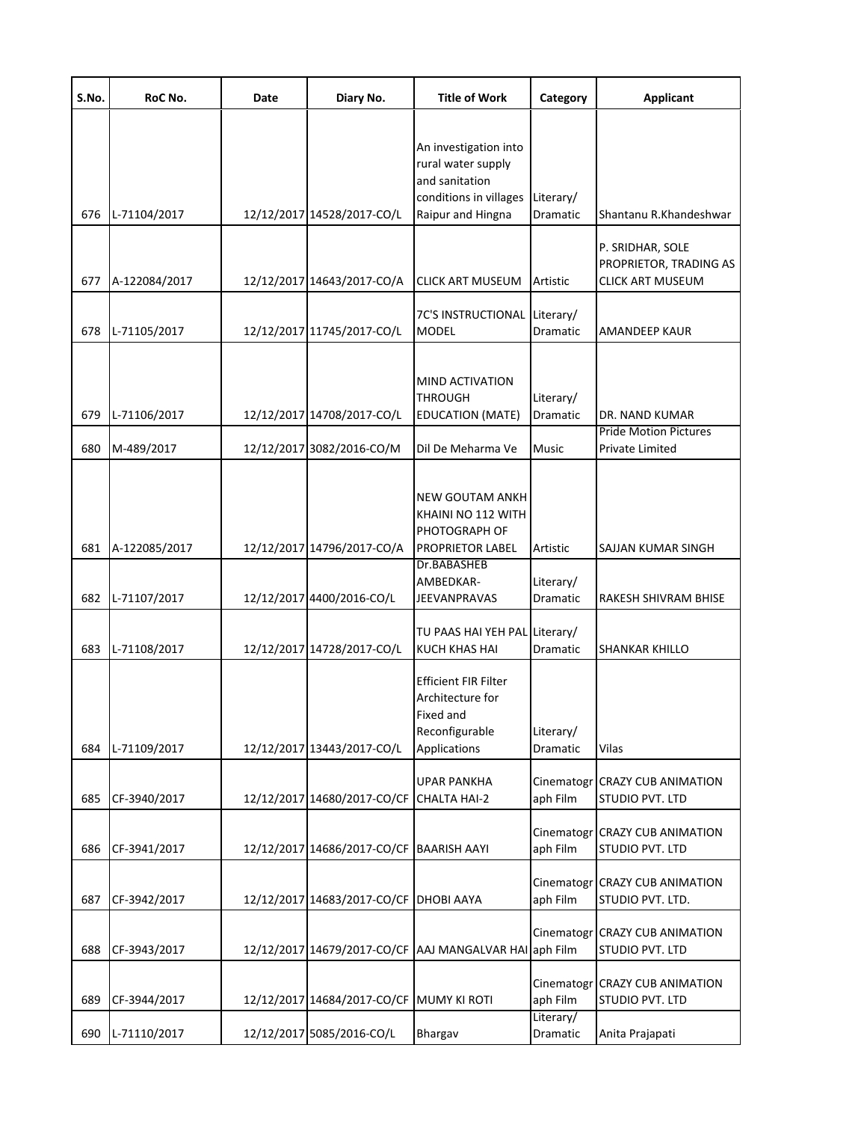| S.No.      | RoC No.                    | Date | Diary No.                                               | <b>Title of Work</b>                                                                                         | Category                       | <b>Applicant</b>                                                         |
|------------|----------------------------|------|---------------------------------------------------------|--------------------------------------------------------------------------------------------------------------|--------------------------------|--------------------------------------------------------------------------|
| 676        | L-71104/2017               |      | 12/12/2017 14528/2017-CO/L                              | An investigation into<br>rural water supply<br>and sanitation<br>conditions in villages<br>Raipur and Hingna | Literary/<br>Dramatic          | Shantanu R.Khandeshwar                                                   |
| 677        | A-122084/2017              |      | 12/12/2017 14643/2017-CO/A                              | CLICK ART MUSEUM                                                                                             | Artistic                       | P. SRIDHAR, SOLE<br>PROPRIETOR, TRADING AS<br><b>CLICK ART MUSEUM</b>    |
| 678        | L-71105/2017               |      | 12/12/2017 11745/2017-CO/L                              | 7C'S INSTRUCTIONAL Literary/<br><b>MODEL</b>                                                                 | Dramatic                       | AMANDEEP KAUR                                                            |
| 679<br>680 | L-71106/2017<br>M-489/2017 |      | 12/12/2017 14708/2017-CO/L<br>12/12/2017 3082/2016-CO/M | MIND ACTIVATION<br>THROUGH<br><b>EDUCATION (MATE)</b><br>Dil De Meharma Ve                                   | Literary/<br>Dramatic<br>Music | <b>DR. NAND KUMAR</b><br><b>Pride Motion Pictures</b><br>Private Limited |
| 681        | A-122085/2017              |      | 12/12/2017 14796/2017-CO/A                              | NEW GOUTAM ANKH<br>KHAINI NO 112 WITH<br>PHOTOGRAPH OF<br>PROPRIETOR LABEL                                   | Artistic                       | SAJJAN KUMAR SINGH                                                       |
| 682        | L-71107/2017               |      | 12/12/2017 4400/2016-CO/L                               | Dr.BABASHEB<br>AMBEDKAR-<br>JEEVANPRAVAS                                                                     | Literary/<br>Dramatic          | RAKESH SHIVRAM BHISE                                                     |
| 683        | L-71108/2017               |      | 12/12/2017 14728/2017-CO/L                              | TU PAAS HAI YEH PAL Literary/<br>KUCH KHAS HAI                                                               | Dramatic                       | SHANKAR KHILLO                                                           |
| 684        | L-71109/2017               |      | 12/12/2017 13443/2017-CO/L                              | Efficient FIR Filter<br>Architecture for<br>Fixed and<br>Reconfigurable<br><b>Applications</b>               | Literary/<br>Dramatic          | Vilas                                                                    |
| 685        | CF-3940/2017               |      | 12/12/2017 14680/2017-CO/CF                             | <b>UPAR PANKHA</b><br>CHALTA HAI-2                                                                           | Cinematogr<br>aph Film         | <b>CRAZY CUB ANIMATION</b><br>STUDIO PVT. LTD                            |
| 686        | CF-3941/2017               |      | 12/12/2017 14686/2017-CO/CF BAARISH AAYI                |                                                                                                              | Cinematogr<br>aph Film         | <b>CRAZY CUB ANIMATION</b><br>STUDIO PVT. LTD                            |
| 687        | CF-3942/2017               |      | 12/12/2017 14683/2017-CO/CF DHOBI AAYA                  |                                                                                                              | Cinematogr<br>aph Film         | <b>CRAZY CUB ANIMATION</b><br>STUDIO PVT. LTD.                           |
| 688        | CF-3943/2017               |      |                                                         | 12/12/2017 14679/2017-CO/CF AAJ MANGALVAR HAI aph Film                                                       | Cinematogr                     | <b>CRAZY CUB ANIMATION</b><br>STUDIO PVT. LTD                            |
| 689        | CF-3944/2017               |      | 12/12/2017 14684/2017-CO/CF MUMY KI ROTI                |                                                                                                              | Cinematogr<br>aph Film         | <b>CRAZY CUB ANIMATION</b><br>STUDIO PVT. LTD                            |
| 690        | L-71110/2017               |      | 12/12/2017 5085/2016-CO/L                               | Bhargav                                                                                                      | Literary/<br>Dramatic          | Anita Prajapati                                                          |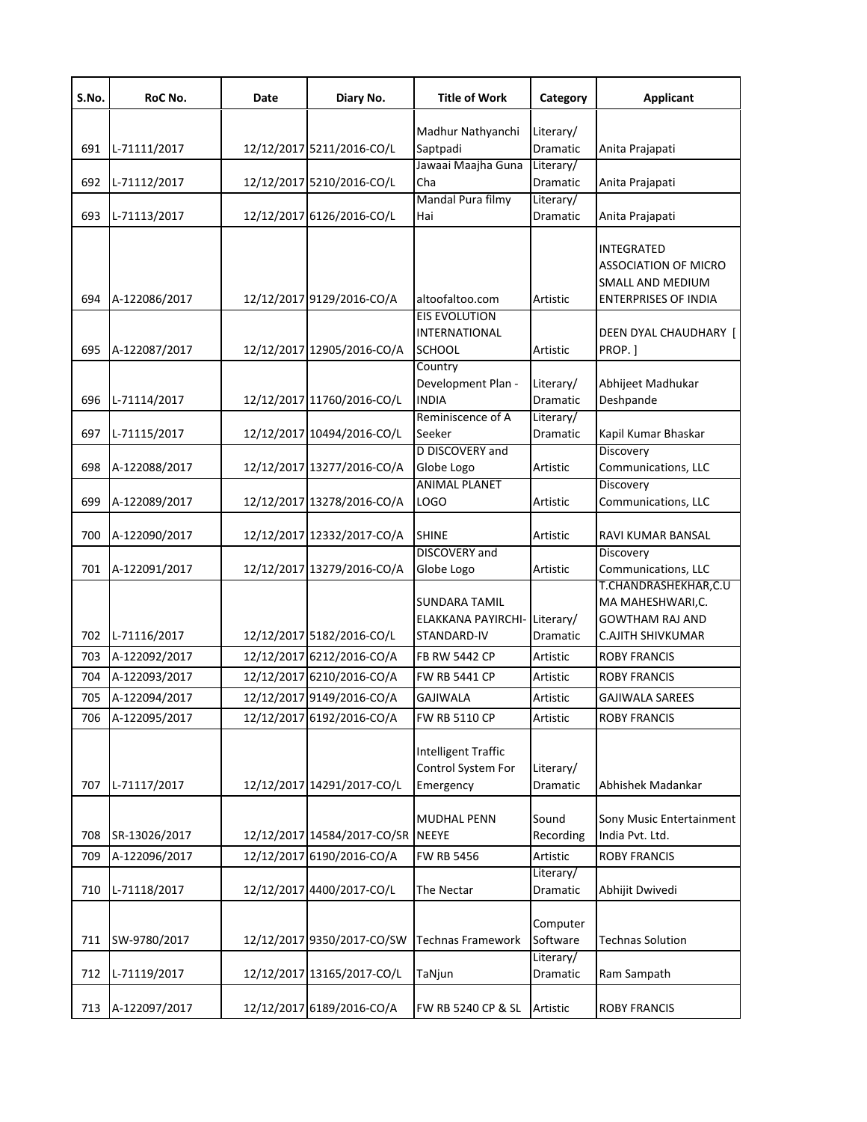| S.No. | RoC No.       | Date | Diary No.                   | <b>Title of Work</b>                       | Category              | <b>Applicant</b>                           |
|-------|---------------|------|-----------------------------|--------------------------------------------|-----------------------|--------------------------------------------|
|       |               |      |                             | Madhur Nathyanchi                          | Literary/             |                                            |
| 691   | L-71111/2017  |      | 12/12/2017 5211/2016-CO/L   | Saptpadi                                   | Dramatic              | Anita Prajapati                            |
|       |               |      |                             | Jawaai Maajha Guna                         | Literary/             |                                            |
| 692   | L-71112/2017  |      | 12/12/2017 5210/2016-CO/L   | Cha                                        | Dramatic              | Anita Prajapati                            |
| 693   | L-71113/2017  |      | 12/12/2017 6126/2016-CO/L   | Mandal Pura filmy<br>Hai                   | Literary/<br>Dramatic | Anita Prajapati                            |
|       |               |      |                             |                                            |                       |                                            |
|       |               |      |                             |                                            |                       | INTEGRATED<br><b>ASSOCIATION OF MICRO</b>  |
|       |               |      |                             |                                            |                       | SMALL AND MEDIUM                           |
| 694   | A-122086/2017 |      | 12/12/2017 9129/2016-CO/A   | altoofaltoo.com                            | Artistic              | <b>ENTERPRISES OF INDIA</b>                |
|       |               |      |                             | <b>EIS EVOLUTION</b>                       |                       |                                            |
|       |               |      |                             | <b>INTERNATIONAL</b>                       |                       | DEEN DYAL CHAUDHARY [                      |
| 695   | A-122087/2017 |      | 12/12/2017 12905/2016-CO/A  | <b>SCHOOL</b>                              | Artistic              | PROP.]                                     |
|       |               |      |                             | Country<br>Development Plan -              | Literary/             | Abhijeet Madhukar                          |
| 696   | L-71114/2017  |      | 12/12/2017 11760/2016-CO/L  | <b>INDIA</b>                               | Dramatic              | Deshpande                                  |
|       |               |      |                             | Reminiscence of A                          | Literary/             |                                            |
| 697   | L-71115/2017  |      | 12/12/2017 10494/2016-CO/L  | Seeker                                     | Dramatic              | Kapil Kumar Bhaskar                        |
|       |               |      |                             | D DISCOVERY and                            |                       | Discovery                                  |
| 698   | A-122088/2017 |      | 12/12/2017 13277/2016-CO/A  | Globe Logo                                 | Artistic              | Communications, LLC                        |
|       |               |      |                             | <b>ANIMAL PLANET</b>                       |                       | Discovery                                  |
| 699   | A-122089/2017 |      | 12/12/2017 13278/2016-CO/A  | LOGO                                       | Artistic              | Communications, LLC                        |
| 700   | A-122090/2017 |      | 12/12/2017 12332/2017-CO/A  | <b>SHINE</b>                               | Artistic              | RAVI KUMAR BANSAL                          |
|       |               |      |                             | <b>DISCOVERY</b> and                       |                       | Discovery                                  |
| 701   | A-122091/2017 |      | 12/12/2017 13279/2016-CO/A  | Globe Logo                                 | Artistic              | Communications, LLC                        |
|       |               |      |                             |                                            |                       | T.CHANDRASHEKHAR,C.U                       |
|       |               |      |                             | <b>SUNDARA TAMIL</b><br>ELAKKANA PAYIRCHI- | Literary/             | MA MAHESHWARI,C.<br><b>GOWTHAM RAJ AND</b> |
| 702   | L-71116/2017  |      | 12/12/2017 5182/2016-CO/L   | STANDARD-IV                                | Dramatic              | <b>C.AJITH SHIVKUMAR</b>                   |
| 703   | A-122092/2017 |      | 12/12/2017 6212/2016-CO/A   | <b>FB RW 5442 CP</b>                       | Artistic              | <b>ROBY FRANCIS</b>                        |
| 704   | A-122093/2017 |      | 12/12/2017 6210/2016-CO/A   | <b>FW RB 5441 CP</b>                       | Artistic              | <b>ROBY FRANCIS</b>                        |
| 705   | A-122094/2017 |      | 12/12/2017 9149/2016-CO/A   | <b>GAJIWALA</b>                            | Artistic              | <b>GAJIWALA SAREES</b>                     |
|       |               |      |                             |                                            |                       |                                            |
| 706   | A-122095/2017 |      | 12/12/2017 6192/2016-CO/A   | <b>FW RB 5110 CP</b>                       | Artistic              | <b>ROBY FRANCIS</b>                        |
|       |               |      |                             | <b>Intelligent Traffic</b>                 |                       |                                            |
|       |               |      |                             | Control System For                         | Literary/             |                                            |
| 707   | L-71117/2017  |      | 12/12/2017 14291/2017-CO/L  | Emergency                                  | Dramatic              | Abhishek Madankar                          |
|       |               |      |                             |                                            |                       |                                            |
|       |               |      | 12/12/2017 14584/2017-CO/SR | <b>MUDHAL PENN</b>                         | Sound                 | Sony Music Entertainment                   |
| 708   | SR-13026/2017 |      |                             | <b>NEEYE</b>                               | Recording             | India Pvt. Ltd.                            |
| 709   | A-122096/2017 |      | 12/12/2017 6190/2016-CO/A   | <b>FW RB 5456</b>                          | Artistic<br>Literary/ | <b>ROBY FRANCIS</b>                        |
| 710   | L-71118/2017  |      | 12/12/2017 4400/2017-CO/L   | The Nectar                                 | Dramatic              | Abhijit Dwivedi                            |
|       |               |      |                             |                                            |                       |                                            |
|       |               |      |                             |                                            | Computer              |                                            |
| 711   | SW-9780/2017  |      | 12/12/2017 9350/2017-CO/SW  | Technas Framework                          | Software              | <b>Technas Solution</b>                    |
| 712   | L-71119/2017  |      | 12/12/2017 13165/2017-CO/L  | TaNjun                                     | Literary/<br>Dramatic | Ram Sampath                                |
|       |               |      |                             |                                            |                       |                                            |
| 713   | A-122097/2017 |      | 12/12/2017 6189/2016-CO/A   | FW RB 5240 CP & SL                         | Artistic              | <b>ROBY FRANCIS</b>                        |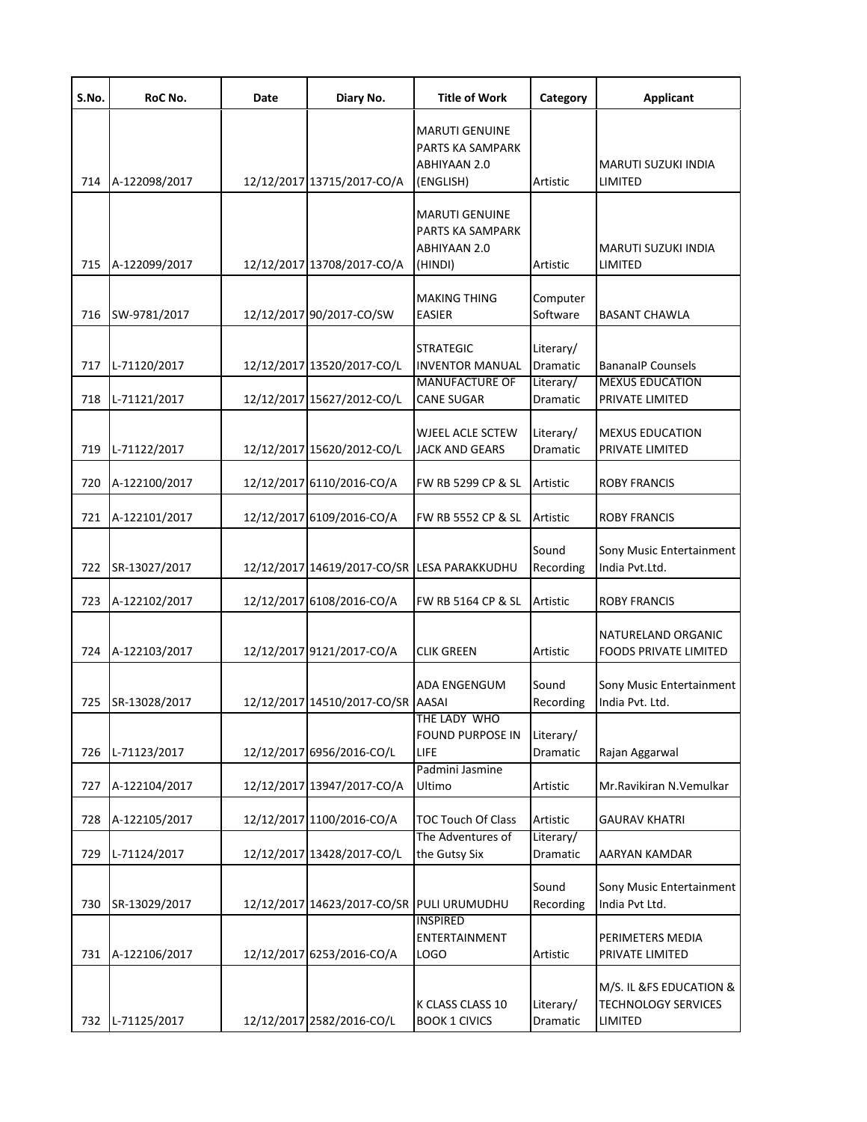| S.No.      | RoC No.                      | Date | Diary No.                                                | <b>Title of Work</b>                                                   | Category                           | <b>Applicant</b>                                             |
|------------|------------------------------|------|----------------------------------------------------------|------------------------------------------------------------------------|------------------------------------|--------------------------------------------------------------|
| 714        | A-122098/2017                |      | 12/12/2017 13715/2017-CO/A                               | <b>MARUTI GENUINE</b><br>PARTS KA SAMPARK<br>ABHIYAAN 2.0<br>(ENGLISH) | Artistic                           | MARUTI SUZUKI INDIA<br>LIMITED                               |
| 715        | A-122099/2017                |      | 12/12/2017 13708/2017-CO/A                               | <b>MARUTI GENUINE</b><br>PARTS KA SAMPARK<br>ABHIYAAN 2.0<br>(HINDI)   | Artistic                           | MARUTI SUZUKI INDIA<br>LIMITED                               |
| 716        | SW-9781/2017                 |      | 12/12/2017 90/2017-CO/SW                                 | <b>MAKING THING</b><br><b>EASIER</b>                                   | Computer<br>Software               | BASANT CHAWLA                                                |
| 717        | L-71120/2017                 |      | 12/12/2017 13520/2017-CO/L                               | <b>STRATEGIC</b><br><b>INVENTOR MANUAL</b><br><b>MANUFACTURE OF</b>    | Literary/<br>Dramatic<br>Literary/ | <b>BananalP Counsels</b><br><b>MEXUS EDUCATION</b>           |
| 718<br>719 | L-71121/2017<br>L-71122/2017 |      | 12/12/2017 15627/2012-CO/L<br>12/12/2017 15620/2012-CO/L | <b>CANE SUGAR</b><br><b>WJEEL ACLE SCTEW</b><br><b>JACK AND GEARS</b>  | Dramatic<br>Literary/<br>Dramatic  | PRIVATE LIMITED<br><b>MEXUS EDUCATION</b><br>PRIVATE LIMITED |
| 720        | A-122100/2017                |      | 12/12/2017 6110/2016-CO/A                                | FW RB 5299 CP & SL                                                     | Artistic                           | ROBY FRANCIS                                                 |
| 721        | A-122101/2017                |      | 12/12/2017 6109/2016-CO/A                                | FW RB 5552 CP & SL                                                     | Artistic                           | ROBY FRANCIS                                                 |
| 722        | SR-13027/2017                |      | 12/12/2017 14619/2017-CO/SR LESA PARAKKUDHU              |                                                                        | Sound<br>Recording                 | Sony Music Entertainment<br>India Pvt.Ltd.                   |
| 723        | A-122102/2017                |      | 12/12/2017 6108/2016-CO/A                                | FW RB 5164 CP & SL                                                     | Artistic                           | <b>ROBY FRANCIS</b>                                          |
| 724        | A-122103/2017                |      | 12/12/2017 9121/2017-CO/A                                | <b>CLIK GREEN</b>                                                      | Artistic                           | NATURELAND ORGANIC<br><b>FOODS PRIVATE LIMITED</b>           |
| 725        | SR-13028/2017                |      | 12/12/2017 14510/2017-CO/SR AASAI                        | ADA ENGENGUM                                                           | Sound<br>Recording                 | Sony Music Entertainment<br>India Pvt. Ltd.                  |
| 726        | L-71123/2017                 |      | 12/12/2017 6956/2016-CO/L                                | THE LADY WHO<br><b>FOUND PURPOSE IN</b><br>LIFE                        | Literary/<br>Dramatic              | Rajan Aggarwal                                               |
| 727        | A-122104/2017                |      | 12/12/2017 13947/2017-CO/A                               | Padmini Jasmine<br>Ultimo                                              | Artistic                           | Mr.Ravikiran N.Vemulkar                                      |
| 728        | A-122105/2017                |      | 12/12/2017 1100/2016-CO/A                                | <b>TOC Touch Of Class</b>                                              | Artistic                           | <b>GAURAV KHATRI</b>                                         |
| 729        | L-71124/2017                 |      | 12/12/2017 13428/2017-CO/L                               | The Adventures of<br>the Gutsy Six                                     | Literary/<br>Dramatic              | AARYAN KAMDAR                                                |
| 730        | SR-13029/2017                |      | 12/12/2017 14623/2017-CO/SR                              | PULI URUMUDHU                                                          | Sound<br>Recording                 | Sony Music Entertainment<br>India Pvt Ltd.                   |
| 731        | A-122106/2017                |      | 12/12/2017 6253/2016-CO/A                                | <b>INSPIRED</b><br>ENTERTAINMENT<br><b>LOGO</b>                        | Artistic                           | PERIMETERS MEDIA<br>PRIVATE LIMITED                          |
| 732        | L-71125/2017                 |      | 12/12/2017 2582/2016-CO/L                                | K CLASS CLASS 10<br><b>BOOK 1 CIVICS</b>                               | Literary/<br>Dramatic              | M/S. IL &FS EDUCATION &<br>TECHNOLOGY SERVICES<br>LIMITED    |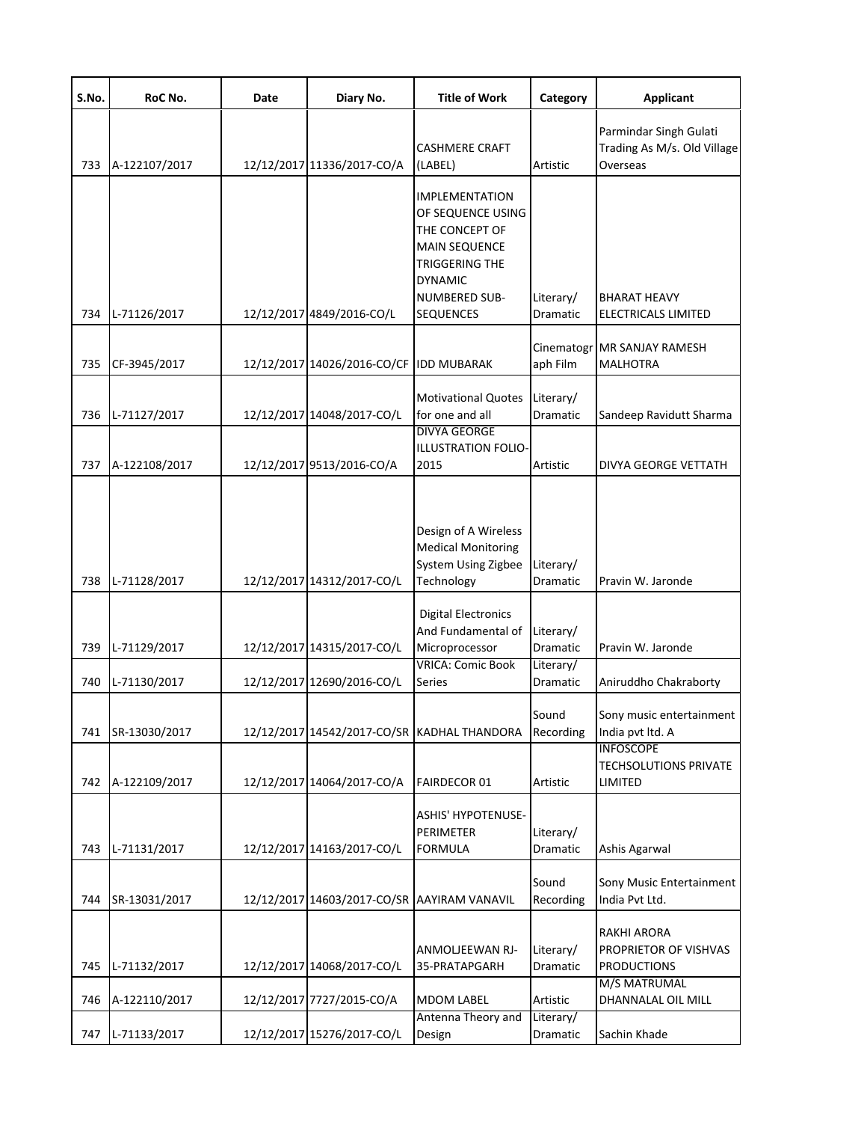| S.No. | RoC No.       | Date | Diary No.                                   | <b>Title of Work</b>                                                                                                                                                 | Category              | <b>Applicant</b>                                                  |
|-------|---------------|------|---------------------------------------------|----------------------------------------------------------------------------------------------------------------------------------------------------------------------|-----------------------|-------------------------------------------------------------------|
| 733   | A-122107/2017 |      | 12/12/2017 11336/2017-CO/A                  | <b>CASHMERE CRAFT</b><br>(LABEL)                                                                                                                                     | Artistic              | Parmindar Singh Gulati<br>Trading As M/s. Old Village<br>Overseas |
| 734   | L-71126/2017  |      | 12/12/2017 4849/2016-CO/L                   | <b>IMPLEMENTATION</b><br>OF SEQUENCE USING<br>THE CONCEPT OF<br><b>MAIN SEQUENCE</b><br><b>TRIGGERING THE</b><br><b>DYNAMIC</b><br>NUMBERED SUB-<br><b>SEQUENCES</b> | Literary/<br>Dramatic | <b>BHARAT HEAVY</b><br>ELECTRICALS LIMITED                        |
| 735   | CF-3945/2017  |      | 12/12/2017 14026/2016-CO/CF                 | <b>IDD MUBARAK</b>                                                                                                                                                   | aph Film              | Cinematogr MR SANJAY RAMESH<br><b>MALHOTRA</b>                    |
| 736   | L-71127/2017  |      | 12/12/2017 14048/2017-CO/L                  | <b>Motivational Quotes</b><br>for one and all<br><b>DIVYA GEORGE</b>                                                                                                 | Literary/<br>Dramatic | Sandeep Ravidutt Sharma                                           |
| 737   | A-122108/2017 |      | 12/12/2017 9513/2016-CO/A                   | <b>ILLUSTRATION FOLIO-</b><br>2015                                                                                                                                   | Artistic              | DIVYA GEORGE VETTATH                                              |
| 738   | L-71128/2017  |      | 12/12/2017 14312/2017-CO/L                  | Design of A Wireless<br><b>Medical Monitoring</b><br><b>System Using Zigbee</b><br>Technology                                                                        | Literary/<br>Dramatic | Pravin W. Jaronde                                                 |
| 739   | L-71129/2017  |      | 12/12/2017 14315/2017-CO/L                  | <b>Digital Electronics</b><br>And Fundamental of<br>Microprocessor                                                                                                   | Literary/<br>Dramatic | Pravin W. Jaronde                                                 |
| 740   | L-71130/2017  |      | 12/12/2017 12690/2016-CO/L                  | <b>VRICA: Comic Book</b><br>Series                                                                                                                                   | Literary/<br>Dramatic | Aniruddho Chakraborty                                             |
| 741   | SR-13030/2017 |      |                                             | 12/12/2017 14542/2017-CO/SR KADHAL THANDORA                                                                                                                          | Sound<br>Recording    | Sony music entertainment<br>India pvt ltd. A<br><b>INFOSCOPE</b>  |
| 742   | A-122109/2017 |      | 12/12/2017 14064/2017-CO/A                  | <b>FAIRDECOR 01</b>                                                                                                                                                  | Artistic              | <b>TECHSOLUTIONS PRIVATE</b><br>LIMITED                           |
| 743   | L-71131/2017  |      | 12/12/2017 14163/2017-CO/L                  | <b>ASHIS' HYPOTENUSE-</b><br><b>PERIMETER</b><br><b>FORMULA</b>                                                                                                      | Literary/<br>Dramatic | Ashis Agarwal                                                     |
| 744   | SR-13031/2017 |      | 12/12/2017 14603/2017-CO/SR AAYIRAM VANAVIL |                                                                                                                                                                      | Sound<br>Recording    | Sony Music Entertainment<br>India Pvt Ltd.                        |
| 745   | L-71132/2017  |      | 12/12/2017 14068/2017-CO/L                  | ANMOLJEEWAN RJ-<br>35-PRATAPGARH                                                                                                                                     | Literary/<br>Dramatic | <b>RAKHI ARORA</b><br>PROPRIETOR OF VISHVAS<br><b>PRODUCTIONS</b> |
| 746   | A-122110/2017 |      | 12/12/2017 7727/2015-CO/A                   | <b>MDOM LABEL</b>                                                                                                                                                    | Artistic              | M/S MATRUMAL<br>DHANNALAL OIL MILL                                |
| 747   | L-71133/2017  |      | 12/12/2017 15276/2017-CO/L                  | Antenna Theory and<br>Design                                                                                                                                         | Literary/<br>Dramatic | Sachin Khade                                                      |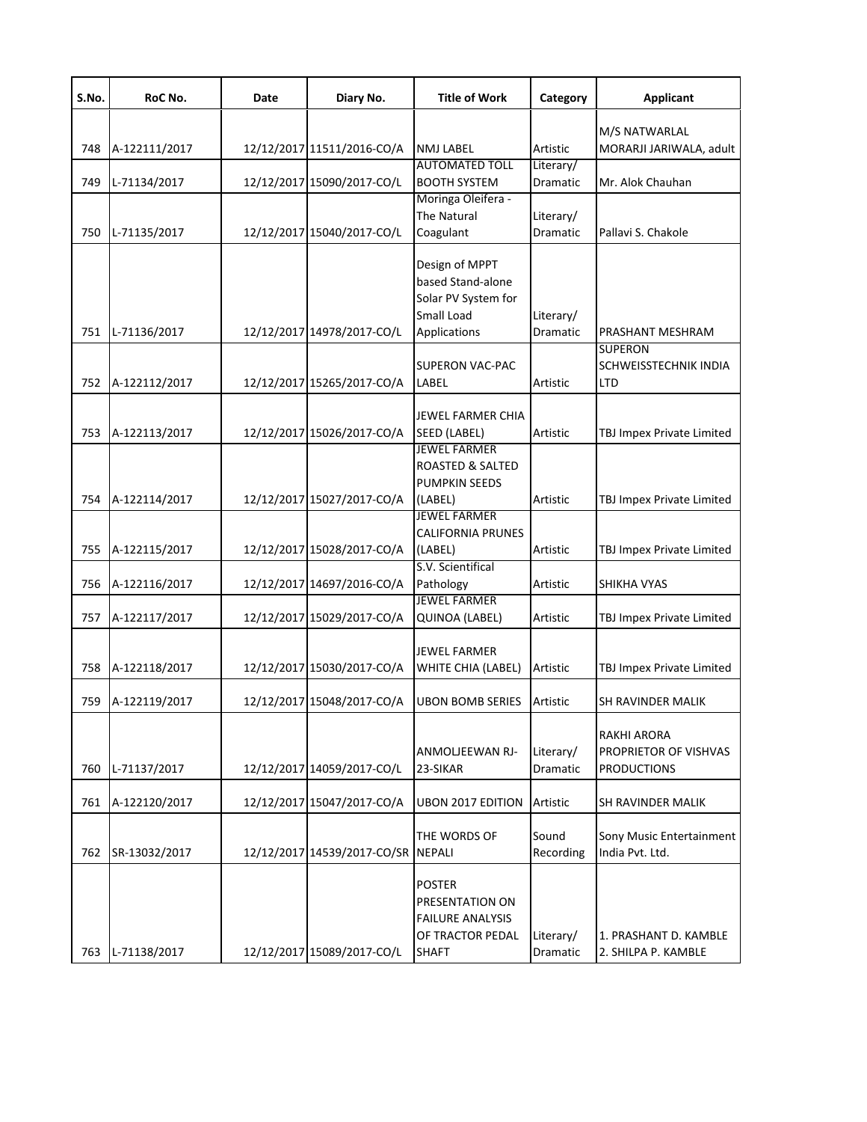| S.No. | RoC No.       | Date | Diary No.                          | <b>Title of Work</b>                                                                            | Category                     | <b>Applicant</b>                                           |
|-------|---------------|------|------------------------------------|-------------------------------------------------------------------------------------------------|------------------------------|------------------------------------------------------------|
|       |               |      |                                    |                                                                                                 |                              | M/S NATWARLAL                                              |
| 748   | A-122111/2017 |      | 12/12/2017 11511/2016-CO/A         | <b>NMJ LABEL</b>                                                                                | Artistic                     | MORARJI JARIWALA, adult                                    |
| 749   | L-71134/2017  |      | 12/12/2017 15090/2017-CO/L         | <b>AUTOMATED TOLL</b><br><b>BOOTH SYSTEM</b>                                                    | Literary/<br>Dramatic        | Mr. Alok Chauhan                                           |
|       |               |      |                                    | Moringa Oleifera -                                                                              |                              |                                                            |
|       |               |      |                                    | The Natural                                                                                     | Literary/                    |                                                            |
| 750   | L-71135/2017  |      | 12/12/2017 15040/2017-CO/L         | Coagulant                                                                                       | Dramatic                     | Pallavi S. Chakole                                         |
| 751   | L-71136/2017  |      | 12/12/2017 14978/2017-CO/L         | Design of MPPT<br>based Stand-alone<br>Solar PV System for<br>Small Load<br>Applications        | Literary/<br>Dramatic        | PRASHANT MESHRAM                                           |
|       |               |      |                                    |                                                                                                 |                              | <b>SUPERON</b>                                             |
|       |               |      |                                    | SUPERON VAC-PAC                                                                                 |                              | SCHWEISSTECHNIK INDIA                                      |
| 752   | A-122112/2017 |      | 12/12/2017 15265/2017-CO/A         | LABEL                                                                                           | Artistic                     | <b>LTD</b>                                                 |
| 753   | A-122113/2017 |      | 12/12/2017 15026/2017-CO/A         | <b>JEWEL FARMER CHIA</b><br>SEED (LABEL)                                                        | Artistic                     | TBJ Impex Private Limited                                  |
|       |               |      |                                    | <b>JEWEL FARMER</b>                                                                             |                              |                                                            |
|       |               |      |                                    | ROASTED & SALTED<br><b>PUMPKIN SEEDS</b>                                                        |                              |                                                            |
| 754   | A-122114/2017 |      | 12/12/2017 15027/2017-CO/A         | (LABEL)<br><b>JEWEL FARMER</b>                                                                  | Artistic                     | TBJ Impex Private Limited                                  |
|       |               |      |                                    | <b>CALIFORNIA PRUNES</b>                                                                        |                              |                                                            |
| 755   | A-122115/2017 |      | 12/12/2017 15028/2017-CO/A         | (LABEL)                                                                                         | Artistic                     | TBJ Impex Private Limited                                  |
|       |               |      |                                    | S.V. Scientifical                                                                               |                              |                                                            |
| 756   | A-122116/2017 |      | 12/12/2017 14697/2016-CO/A         | Pathology                                                                                       | Artistic                     | SHIKHA VYAS                                                |
|       |               |      |                                    | <b>JEWEL FARMER</b>                                                                             |                              |                                                            |
| 757   | A-122117/2017 |      | 12/12/2017 15029/2017-CO/A         | QUINOA (LABEL)                                                                                  | Artistic                     | TBJ Impex Private Limited                                  |
| 758   | A-122118/2017 |      | 12/12/2017 15030/2017-CO/A         | JEWEL FARMER<br>WHITE CHIA (LABEL)                                                              | Artistic                     | TBJ Impex Private Limited                                  |
| 759   | A-122119/2017 |      | 12/12/2017 15048/2017-CO/A         | <b>UBON BOMB SERIES</b>                                                                         | Artistic                     | SH RAVINDER MALIK                                          |
| 760   | L-71137/2017  |      | 12/12/2017 14059/2017-CO/L         | ANMOLJEEWAN RJ-<br>23-SIKAR                                                                     | Literary/<br><b>Dramatic</b> | RAKHI ARORA<br>PROPRIETOR OF VISHVAS<br><b>PRODUCTIONS</b> |
| 761   | A-122120/2017 |      | 12/12/2017 15047/2017-CO/A         | <b>UBON 2017 EDITION</b>                                                                        | Artistic                     | SH RAVINDER MALIK                                          |
|       |               |      |                                    |                                                                                                 |                              |                                                            |
| 762   | SR-13032/2017 |      | 12/12/2017 14539/2017-CO/SR NEPALI | THE WORDS OF                                                                                    | Sound<br>Recording           | Sony Music Entertainment<br>India Pvt. Ltd.                |
| 763   | L-71138/2017  |      | 12/12/2017 15089/2017-CO/L         | <b>POSTER</b><br>PRESENTATION ON<br><b>FAILURE ANALYSIS</b><br>OF TRACTOR PEDAL<br><b>SHAFT</b> | Literary/<br>Dramatic        | 1. PRASHANT D. KAMBLE<br>2. SHILPA P. KAMBLE               |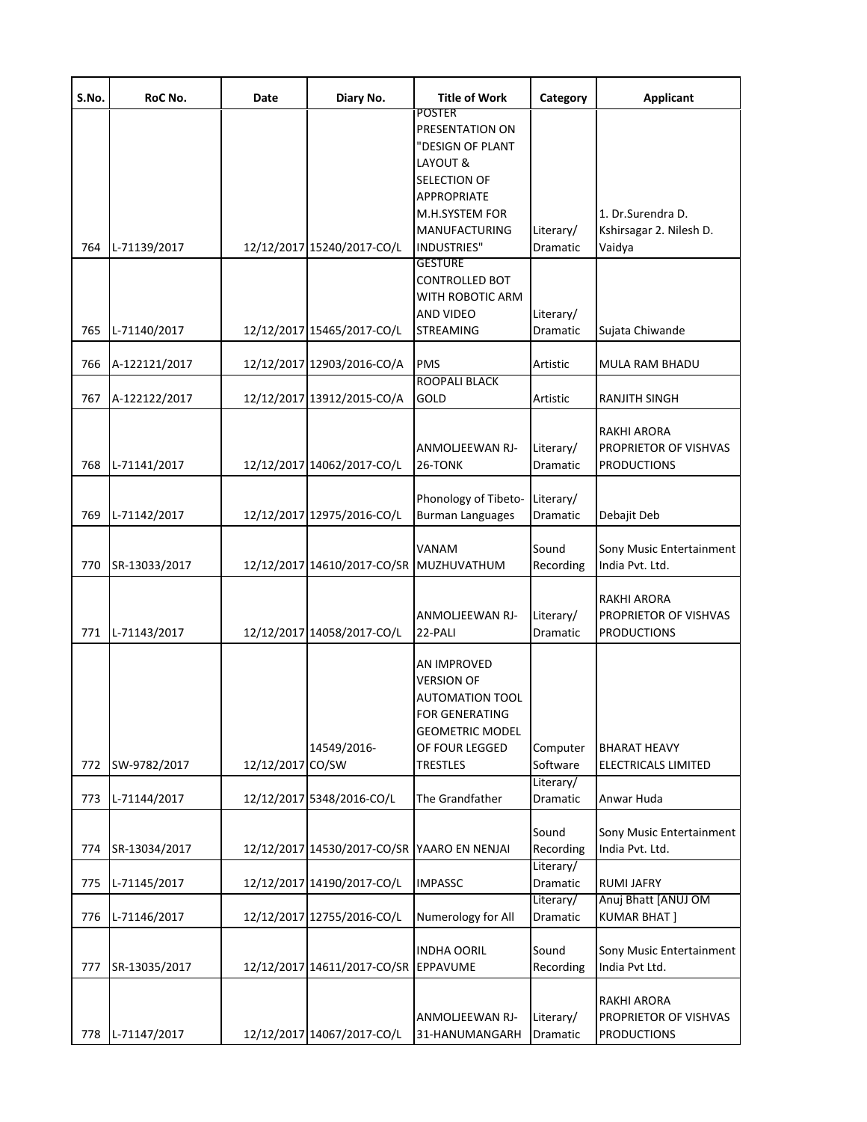| S.No. | RoC No.       | Date             | Diary No.                                   | <b>Title of Work</b>                                                                                                                               | Category                     | <b>Applicant</b>                                                  |
|-------|---------------|------------------|---------------------------------------------|----------------------------------------------------------------------------------------------------------------------------------------------------|------------------------------|-------------------------------------------------------------------|
|       |               |                  |                                             | <b>POSTER</b><br>PRESENTATION ON<br>"DESIGN OF PLANT<br>LAYOUT &<br>SELECTION OF<br><b>APPROPRIATE</b><br>M.H.SYSTEM FOR                           |                              | 1. Dr.Surendra D.                                                 |
| 764   | L-71139/2017  |                  | 12/12/2017 15240/2017-CO/L                  | MANUFACTURING<br><b>INDUSTRIES"</b>                                                                                                                | Literary/<br><b>Dramatic</b> | Kshirsagar 2. Nilesh D.<br>Vaidya                                 |
|       |               |                  |                                             | <b>GESTURE</b><br><b>CONTROLLED BOT</b><br>WITH ROBOTIC ARM<br>AND VIDEO                                                                           | Literary/                    |                                                                   |
| 765   | L-71140/2017  |                  | 12/12/2017 15465/2017-CO/L                  | <b>STREAMING</b>                                                                                                                                   | Dramatic                     | Sujata Chiwande                                                   |
| 766   | A-122121/2017 |                  | 12/12/2017 12903/2016-CO/A                  | <b>PMS</b><br><b>ROOPALI BLACK</b>                                                                                                                 | Artistic                     | <b>MULA RAM BHADU</b>                                             |
| 767   | A-122122/2017 |                  | 12/12/2017 13912/2015-CO/A                  | GOLD                                                                                                                                               | Artistic                     | <b>RANJITH SINGH</b>                                              |
| 768   | L-71141/2017  |                  | 12/12/2017 14062/2017-CO/L                  | ANMOLJEEWAN RJ-<br>26-TONK                                                                                                                         | Literary/<br>Dramatic        | <b>RAKHI ARORA</b><br>PROPRIETOR OF VISHVAS<br><b>PRODUCTIONS</b> |
| 769   | L-71142/2017  |                  | 12/12/2017 12975/2016-CO/L                  | Phonology of Tibeto-<br><b>Burman Languages</b>                                                                                                    | Literary/<br>Dramatic        | Debajit Deb                                                       |
| 770   | SR-13033/2017 |                  | 12/12/2017 14610/2017-CO/SR MUZHUVATHUM     | VANAM                                                                                                                                              | Sound<br>Recording           | Sony Music Entertainment<br>India Pvt. Ltd.                       |
| 771   | L-71143/2017  |                  | 12/12/2017 14058/2017-CO/L                  | ANMOLJEEWAN RJ-<br>22-PALI                                                                                                                         | Literary/<br>Dramatic        | RAKHI ARORA<br>PROPRIETOR OF VISHVAS<br><b>PRODUCTIONS</b>        |
| 772   | SW-9782/2017  | 12/12/2017 CO/SW | 14549/2016-                                 | AN IMPROVED<br><b>VERSION OF</b><br><b>AUTOMATION TOOL</b><br><b>FOR GENERATING</b><br><b>GEOMETRIC MODEL</b><br>OF FOUR LEGGED<br><b>TRESTLES</b> | Computer<br>Software         | <b>BHARAT HEAVY</b><br>ELECTRICALS LIMITED                        |
| 773   | L-71144/2017  |                  | 12/12/2017 5348/2016-CO/L                   | The Grandfather                                                                                                                                    | Literary/<br>Dramatic        | Anwar Huda                                                        |
| 774   | SR-13034/2017 |                  | 12/12/2017 14530/2017-CO/SR YAARO EN NENJAI |                                                                                                                                                    | Sound<br>Recording           | Sony Music Entertainment<br>India Pvt. Ltd.                       |
| 775   | L-71145/2017  |                  | 12/12/2017 14190/2017-CO/L                  | <b>IMPASSC</b>                                                                                                                                     | Literary/<br>Dramatic        | <b>RUMI JAFRY</b>                                                 |
| 776   | L-71146/2017  |                  | 12/12/2017 12755/2016-CO/L                  | Numerology for All                                                                                                                                 | Literary/<br>Dramatic        | Anuj Bhatt [ANUJ OM<br><b>KUMAR BHAT</b>                          |
| 777   | SR-13035/2017 |                  | 12/12/2017 14611/2017-CO/SR                 | <b>INDHA OORIL</b><br>EPPAVUME                                                                                                                     | Sound<br>Recording           | Sony Music Entertainment<br>India Pvt Ltd.                        |
| 778   | L-71147/2017  |                  | 12/12/2017 14067/2017-CO/L                  | ANMOLJEEWAN RJ-<br>31-HANUMANGARH                                                                                                                  | Literary/<br>Dramatic        | RAKHI ARORA<br>PROPRIETOR OF VISHVAS<br><b>PRODUCTIONS</b>        |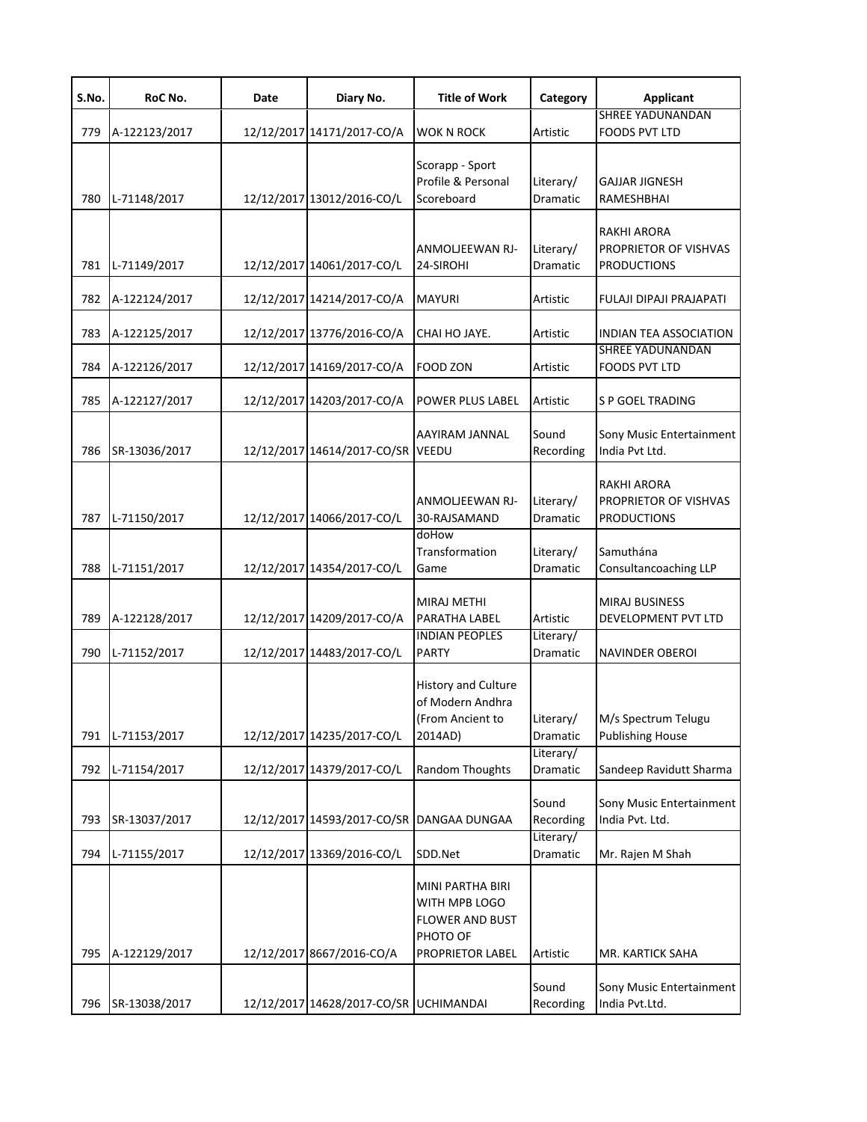| S.No. | RoC No.       | Date | Diary No.                              | <b>Title of Work</b>                                                                        | Category              | <b>Applicant</b>                                                  |
|-------|---------------|------|----------------------------------------|---------------------------------------------------------------------------------------------|-----------------------|-------------------------------------------------------------------|
| 779   | A-122123/2017 |      | 12/12/2017 14171/2017-CO/A             | WOK N ROCK                                                                                  | Artistic              | SHREE YADUNANDAN<br><b>FOODS PVT LTD</b>                          |
| 780   | L-71148/2017  |      | 12/12/2017 13012/2016-CO/L             | Scorapp - Sport<br>Profile & Personal<br>Scoreboard                                         | Literary/<br>Dramatic | <b>GAJJAR JIGNESH</b><br>RAMESHBHAI                               |
| 781   | L-71149/2017  |      | 12/12/2017 14061/2017-CO/L             | <b>ANMOLIEEWAN RJ-</b><br>24-SIROHI                                                         | Literary/<br>Dramatic | <b>RAKHI ARORA</b><br>PROPRIETOR OF VISHVAS<br><b>PRODUCTIONS</b> |
| 782   | A-122124/2017 |      | 12/12/2017 14214/2017-CO/A             | <b>MAYURI</b>                                                                               | Artistic              | FULAJI DIPAJI PRAJAPATI                                           |
| 783   | A-122125/2017 |      | 12/12/2017 13776/2016-CO/A             | CHAI HO JAYE.                                                                               | Artistic              | <b>INDIAN TEA ASSOCIATION</b>                                     |
| 784   | A-122126/2017 |      | 12/12/2017 14169/2017-CO/A             | FOOD ZON                                                                                    | Artistic              | <b>SHREE YADUNANDAN</b><br><b>FOODS PVT LTD</b>                   |
| 785   | A-122127/2017 |      | 12/12/2017 14203/2017-CO/A             | POWER PLUS LABEL                                                                            | Artistic              | S P GOEL TRADING                                                  |
| 786   | SR-13036/2017 |      | 12/12/2017 14614/2017-CO/SR            | AAYIRAM JANNAL<br><b>VEEDU</b>                                                              | Sound<br>Recording    | Sony Music Entertainment<br>India Pvt Ltd.                        |
| 787   | L-71150/2017  |      | 12/12/2017 14066/2017-CO/L             | ANMOLJEEWAN RJ-<br>30-RAJSAMAND                                                             | Literary/<br>Dramatic | <b>RAKHI ARORA</b><br>PROPRIETOR OF VISHVAS<br><b>PRODUCTIONS</b> |
| 788   | L-71151/2017  |      | 12/12/2017 14354/2017-CO/L             | doHow<br>Transformation<br>Game                                                             | Literary/<br>Dramatic | Samuthána<br>Consultancoaching LLP                                |
| 789   | A-122128/2017 |      | 12/12/2017 14209/2017-CO/A             | <b>MIRAJ METHI</b><br>PARATHA LABEL<br><b>INDIAN PEOPLES</b>                                | Artistic              | <b>MIRAJ BUSINESS</b><br>DEVELOPMENT PVT LTD                      |
| 790   | L-71152/2017  |      | 12/12/2017 14483/2017-CO/L             | <b>PARTY</b>                                                                                | Literary/<br>Dramatic | <b>NAVINDER OBEROI</b>                                            |
| 791   | L-71153/2017  |      | 12/12/2017 14235/2017-CO/L             | History and Culture<br>of Modern Andhra<br>(From Ancient to<br>2014AD)                      | Literary/<br>Dramatic | M/s Spectrum Telugu<br><b>Publishing House</b>                    |
| 792   | L-71154/2017  |      | 12/12/2017 14379/2017-CO/L             | Random Thoughts                                                                             | Literary/<br>Dramatic | Sandeep Ravidutt Sharma                                           |
| 793   | SR-13037/2017 |      | 12/12/2017 14593/2017-CO/SR            | DANGAA DUNGAA                                                                               | Sound<br>Recording    | Sony Music Entertainment<br>India Pvt. Ltd.                       |
| 794   | L-71155/2017  |      | 12/12/2017 13369/2016-CO/L             | SDD.Net                                                                                     | Literary/<br>Dramatic | Mr. Rajen M Shah                                                  |
| 795   | A-122129/2017 |      | 12/12/2017 8667/2016-CO/A              | MINI PARTHA BIRI<br>WITH MPB LOGO<br><b>FLOWER AND BUST</b><br>PHOTO OF<br>PROPRIETOR LABEL | Artistic              | MR. KARTICK SAHA                                                  |
| 796   | SR-13038/2017 |      | 12/12/2017 14628/2017-CO/SR UCHIMANDAI |                                                                                             | Sound<br>Recording    | Sony Music Entertainment<br>India Pvt.Ltd.                        |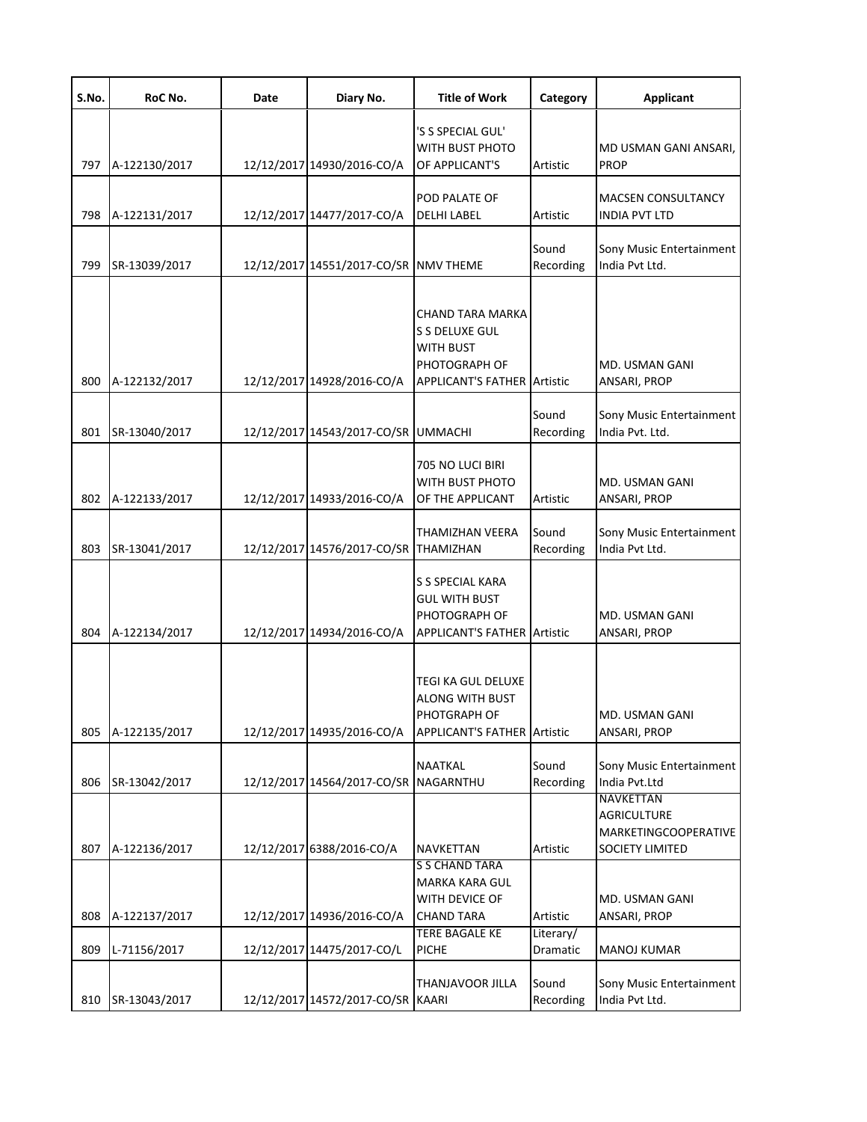| S.No. | RoC No.       | Date | Diary No.                             | <b>Title of Work</b>                                                                                   | Category              | <b>Applicant</b>                                                                         |
|-------|---------------|------|---------------------------------------|--------------------------------------------------------------------------------------------------------|-----------------------|------------------------------------------------------------------------------------------|
| 797   | A-122130/2017 |      | 12/12/2017 14930/2016-CO/A            | 'S S SPECIAL GUL'<br>WITH BUST PHOTO<br>OF APPLICANT'S                                                 | Artistic              | MD USMAN GANI ANSARI,<br><b>PROP</b>                                                     |
| 798   | A-122131/2017 |      | 12/12/2017 14477/2017-CO/A            | POD PALATE OF<br>DELHI LABEL                                                                           | Artistic              | <b>MACSEN CONSULTANCY</b><br>INDIA PVT LTD                                               |
| 799   | SR-13039/2017 |      | 12/12/2017 14551/2017-CO/SR NMV THEME |                                                                                                        | Sound<br>Recording    | Sony Music Entertainment<br>India Pvt Ltd.                                               |
| 800   | A-122132/2017 |      | 12/12/2017 14928/2016-CO/A            | CHAND TARA MARKA<br>S S DELUXE GUL<br>WITH BUST<br>PHOTOGRAPH OF<br><b>APPLICANT'S FATHER Artistic</b> |                       | MD. USMAN GANI<br>ANSARI, PROP                                                           |
| 801   | SR-13040/2017 |      | 12/12/2017 14543/2017-CO/SR UMMACHI   |                                                                                                        | Sound<br>Recording    | Sony Music Entertainment<br>India Pvt. Ltd.                                              |
| 802   | A-122133/2017 |      | 12/12/2017 14933/2016-CO/A            | 705 NO LUCI BIRI<br>WITH BUST PHOTO<br>OF THE APPLICANT                                                | Artistic              | MD. USMAN GANI<br>ANSARI, PROP                                                           |
| 803   | SR-13041/2017 |      | 12/12/2017 14576/2017-CO/SR THAMIZHAN | THAMIZHAN VEERA                                                                                        | Sound<br>Recording    | Sony Music Entertainment<br>India Pvt Ltd.                                               |
| 804   | A-122134/2017 |      | 12/12/2017 14934/2016-CO/A            | S S SPECIAL KARA<br><b>GUL WITH BUST</b><br>PHOTOGRAPH OF<br><b>APPLICANT'S FATHER Artistic</b>        |                       | MD. USMAN GANI<br>ANSARI, PROP                                                           |
| 805   | A-122135/2017 |      | 12/12/2017 14935/2016-CO/A            | TEGI KA GUL DELUXE<br>ALONG WITH BUST<br>PHOTGRAPH OF<br><b>APPLICANT'S FATHER Artistic</b>            |                       | MD. USMAN GANI<br>ANSARI, PROP                                                           |
| 806   | SR-13042/2017 |      | 12/12/2017 14564/2017-CO/SR NAGARNTHU | NAATKAL                                                                                                | Sound<br>Recording    | Sony Music Entertainment<br>India Pvt.Ltd                                                |
| 807   | A-122136/2017 |      | 12/12/2017 6388/2016-CO/A             | <b>NAVKETTAN</b>                                                                                       | Artistic              | NAVKETTAN<br><b>AGRICULTURE</b><br><b>MARKETINGCOOPERATIVE</b><br><b>SOCIETY LIMITED</b> |
| 808   | A-122137/2017 |      | 12/12/2017 14936/2016-CO/A            | S S CHAND TARA<br><b>MARKA KARA GUL</b><br>WITH DEVICE OF<br><b>CHAND TARA</b>                         | Artistic              | MD. USMAN GANI<br>ANSARI, PROP                                                           |
| 809   | L-71156/2017  |      | 12/12/2017 14475/2017-CO/L            | <b>TERE BAGALE KE</b><br><b>PICHE</b>                                                                  | Literary/<br>Dramatic | <b>MANOJ KUMAR</b>                                                                       |
| 810   | SR-13043/2017 |      | 12/12/2017 14572/2017-CO/SR KAARI     | THANJAVOOR JILLA                                                                                       | Sound<br>Recording    | Sony Music Entertainment<br>India Pvt Ltd.                                               |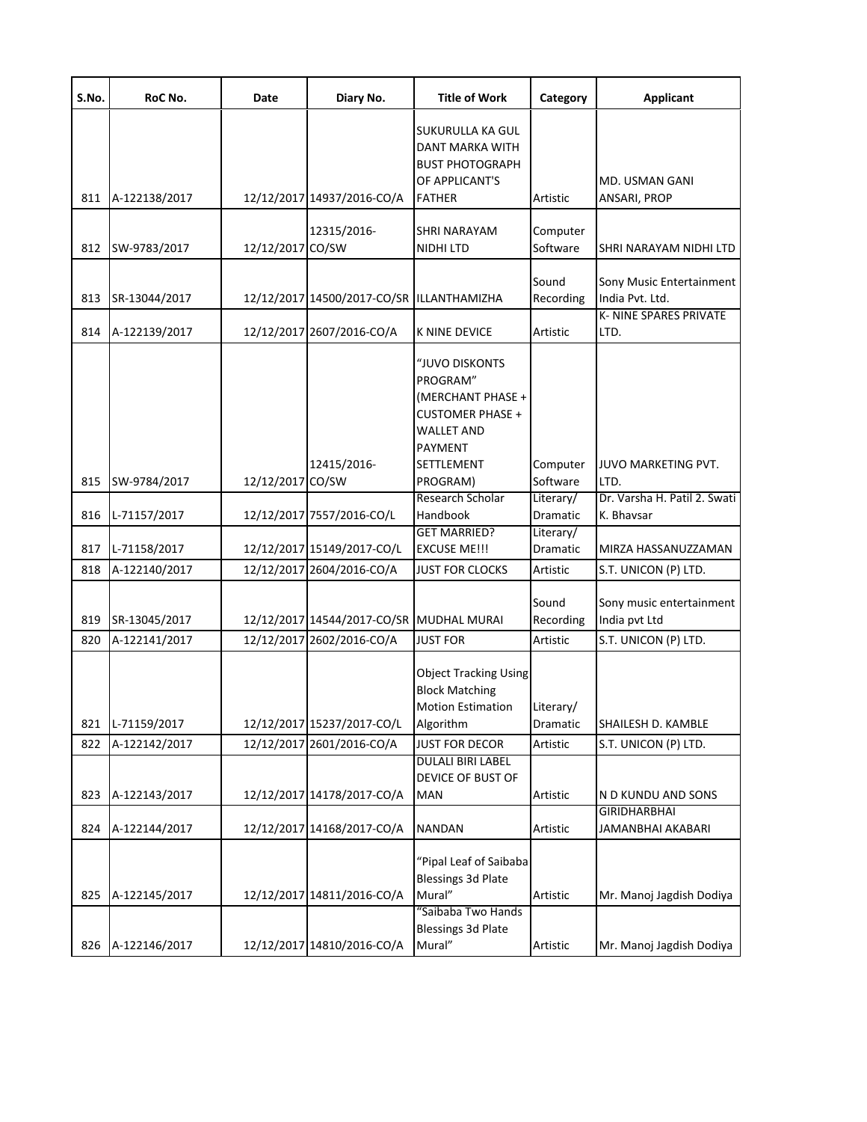| S.No.      | RoC No.                      | Date             | Diary No.                                               | <b>Title of Work</b>                                                                                                                 | Category                          | <b>Applicant</b>                            |
|------------|------------------------------|------------------|---------------------------------------------------------|--------------------------------------------------------------------------------------------------------------------------------------|-----------------------------------|---------------------------------------------|
|            |                              |                  |                                                         | SUKURULLA KA GUL<br>DANT MARKA WITH<br><b>BUST PHOTOGRAPH</b><br>OF APPLICANT'S                                                      |                                   | MD. USMAN GANI                              |
| 811        | A-122138/2017                |                  | 12/12/2017 14937/2016-CO/A                              | <b>FATHER</b>                                                                                                                        | Artistic                          | ANSARI, PROP                                |
| 812        | SW-9783/2017                 | 12/12/2017 CO/SW | 12315/2016-                                             | SHRI NARAYAM<br>NIDHI LTD                                                                                                            | Computer<br>Software              | SHRI NARAYAM NIDHI LTD                      |
| 813        | SR-13044/2017                |                  | 12/12/2017 14500/2017-CO/SR ILLANTHAMIZHA               |                                                                                                                                      | Sound<br>Recording                | Sony Music Entertainment<br>India Pvt. Ltd. |
| 814        | A-122139/2017                |                  | 12/12/2017 2607/2016-CO/A                               | K NINE DEVICE                                                                                                                        | Artistic                          | K- NINE SPARES PRIVATE<br>LTD.              |
| 815        | SW-9784/2017                 | 12/12/2017 CO/SW | 12415/2016-                                             | "JUVO DISKONTS<br>PROGRAM"<br>(MERCHANT PHASE +<br><b>CUSTOMER PHASE +</b><br><b>WALLET AND</b><br>PAYMENT<br>SETTLEMENT<br>PROGRAM) | Computer<br>Software              | JUVO MARKETING PVT.<br>LTD.                 |
|            |                              |                  |                                                         | Research Scholar                                                                                                                     | Literary/                         | Dr. Varsha H. Patil 2. Swati                |
| 816<br>817 | L-71157/2017<br>L-71158/2017 |                  | 12/12/2017 7557/2016-CO/L<br>12/12/2017 15149/2017-CO/L | Handbook<br><b>GET MARRIED?</b><br><b>EXCUSE ME!!!</b>                                                                               | Dramatic<br>Literary/<br>Dramatic | K. Bhavsar<br>MIRZA HASSANUZZAMAN           |
| 818        | A-122140/2017                |                  | 12/12/2017 2604/2016-CO/A                               | <b>JUST FOR CLOCKS</b>                                                                                                               | Artistic                          | S.T. UNICON (P) LTD.                        |
| 819        | SR-13045/2017                |                  | 12/12/2017 14544/2017-CO/SR MUDHAL MURAI                |                                                                                                                                      | Sound<br>Recording                | Sony music entertainment<br>India pvt Ltd   |
| 820        | A-122141/2017                |                  | 12/12/2017 2602/2016-CO/A                               | <b>JUST FOR</b>                                                                                                                      | Artistic                          | S.T. UNICON (P) LTD.                        |
| 821        | L-71159/2017                 |                  | 12/12/2017 15237/2017-CO/L                              | <b>Object Tracking Using</b><br><b>Block Matching</b><br><b>Motion Estimation</b><br>Algorithm                                       | Literary/<br>Dramatic             | SHAILESH D. KAMBLE                          |
| 822        | A-122142/2017                |                  | 12/12/2017 2601/2016-CO/A                               | <b>JUST FOR DECOR</b>                                                                                                                | Artistic                          | S.T. UNICON (P) LTD.                        |
|            |                              |                  |                                                         | <b>DULALI BIRI LABEL</b><br>DEVICE OF BUST OF                                                                                        |                                   |                                             |
| 823        | A-122143/2017                |                  | 12/12/2017 14178/2017-CO/A                              | <b>MAN</b>                                                                                                                           | Artistic                          | N D KUNDU AND SONS<br><b>GIRIDHARBHAI</b>   |
| 824        | A-122144/2017                |                  | 12/12/2017 14168/2017-CO/A                              | <b>NANDAN</b>                                                                                                                        | Artistic                          | <b>JAMANBHAI AKABARI</b>                    |
| 825        | A-122145/2017                |                  | 12/12/2017 14811/2016-CO/A                              | "Pipal Leaf of Saibaba<br><b>Blessings 3d Plate</b><br>Mural"                                                                        | Artistic                          | Mr. Manoj Jagdish Dodiya                    |
| 826        | A-122146/2017                |                  | 12/12/2017 14810/2016-CO/A                              | "Saibaba Two Hands<br><b>Blessings 3d Plate</b><br>Mural"                                                                            | Artistic                          | Mr. Manoj Jagdish Dodiya                    |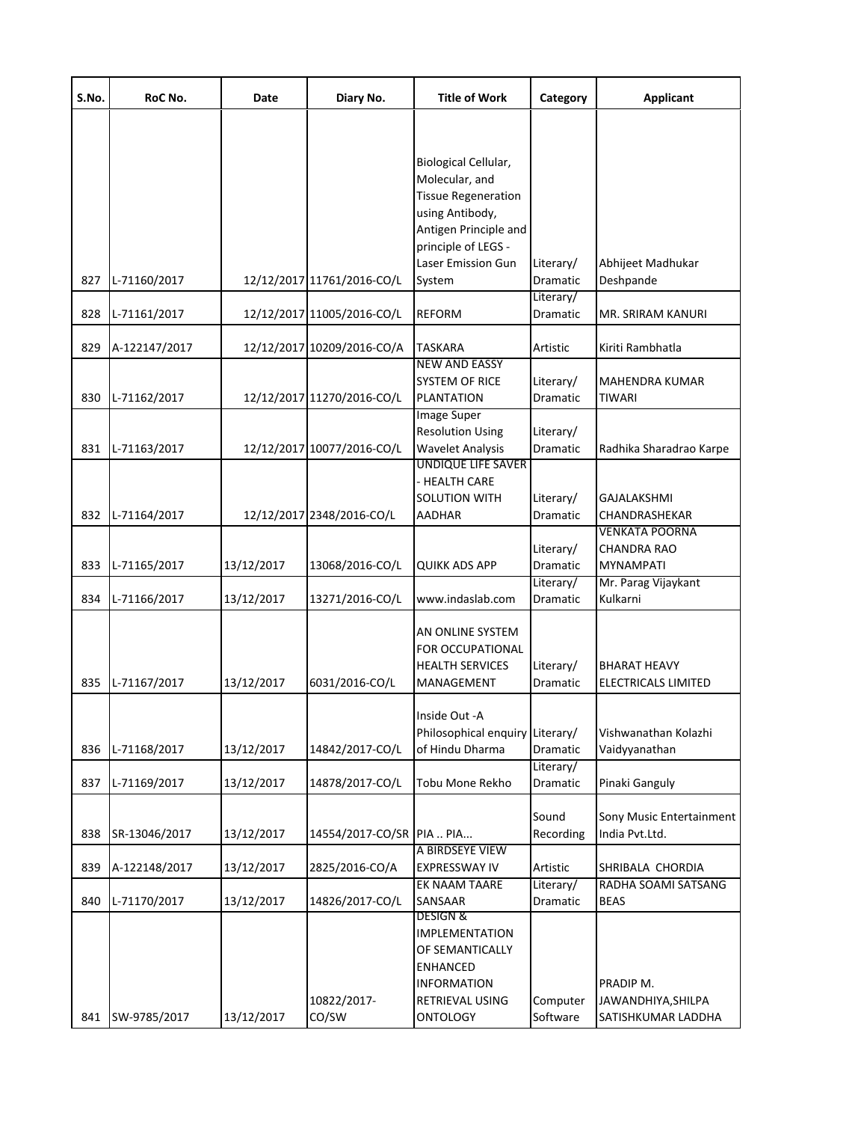| S.No. | RoC No.          | Date       | Diary No.                  | <b>Title of Work</b>       | Category              | <b>Applicant</b>         |
|-------|------------------|------------|----------------------------|----------------------------|-----------------------|--------------------------|
|       |                  |            |                            |                            |                       |                          |
|       |                  |            |                            |                            |                       |                          |
|       |                  |            |                            | Biological Cellular,       |                       |                          |
|       |                  |            |                            | Molecular, and             |                       |                          |
|       |                  |            |                            | <b>Tissue Regeneration</b> |                       |                          |
|       |                  |            |                            | using Antibody,            |                       |                          |
|       |                  |            |                            | Antigen Principle and      |                       |                          |
|       |                  |            |                            | principle of LEGS -        |                       |                          |
|       |                  |            |                            | <b>Laser Emission Gun</b>  | Literary/             | Abhijeet Madhukar        |
| 827   | L-71160/2017     |            | 12/12/2017 11761/2016-CO/L | System                     | Dramatic              | Deshpande                |
| 828   | L-71161/2017     |            | 12/12/2017 11005/2016-CO/L | <b>REFORM</b>              | Literary/<br>Dramatic | MR. SRIRAM KANURI        |
|       |                  |            |                            |                            |                       |                          |
| 829   | A-122147/2017    |            | 12/12/2017 10209/2016-CO/A | <b>TASKARA</b>             | Artistic              | Kiriti Rambhatla         |
|       |                  |            |                            | <b>NEW AND EASSY</b>       |                       |                          |
|       |                  |            |                            | <b>SYSTEM OF RICE</b>      | Literary/             | MAHENDRA KUMAR           |
| 830   | L-71162/2017     |            | 12/12/2017 11270/2016-CO/L | <b>PLANTATION</b>          | <b>Dramatic</b>       | <b>TIWARI</b>            |
|       |                  |            |                            | <b>Image Super</b>         |                       |                          |
|       |                  |            |                            | <b>Resolution Using</b>    | Literary/             |                          |
| 831   | L-71163/2017     |            | 12/12/2017 10077/2016-CO/L | <b>Wavelet Analysis</b>    | Dramatic              | Radhika Sharadrao Karpe  |
|       |                  |            |                            | <b>UNDIQUE LIFE SAVER</b>  |                       |                          |
|       |                  |            |                            | - HEALTH CARE              |                       |                          |
|       |                  |            |                            | <b>SOLUTION WITH</b>       | Literary/             | <b>GAJALAKSHMI</b>       |
|       | 832 L-71164/2017 |            | 12/12/2017 2348/2016-CO/L  | <b>AADHAR</b>              | Dramatic              | CHANDRASHEKAR            |
|       |                  |            |                            |                            |                       | <b>VENKATA POORNA</b>    |
|       |                  |            |                            |                            | Literary/             | CHANDRA RAO              |
| 833   | L-71165/2017     | 13/12/2017 | 13068/2016-CO/L            | <b>QUIKK ADS APP</b>       | Dramatic              | MYNAMPATI                |
|       |                  |            |                            |                            | Literary/             | Mr. Parag Vijaykant      |
| 834   | L-71166/2017     | 13/12/2017 | 13271/2016-CO/L            | www.indaslab.com           | Dramatic              | Kulkarni                 |
|       |                  |            |                            |                            |                       |                          |
|       |                  |            |                            | AN ONLINE SYSTEM           |                       |                          |
|       |                  |            |                            | FOR OCCUPATIONAL           |                       |                          |
|       |                  |            |                            | <b>HEALTH SERVICES</b>     | Literary/             | <b>BHARAT HEAVY</b>      |
| 835   | L-71167/2017     | 13/12/2017 | 6031/2016-CO/L             | MANAGEMENT                 | Dramatic              | ELECTRICALS LIMITED      |
|       |                  |            |                            | Inside Out -A              |                       |                          |
|       |                  |            |                            | Philosophical enquiry      | Literary/             | Vishwanathan Kolazhi     |
| 836   | L-71168/2017     | 13/12/2017 | 14842/2017-CO/L            | of Hindu Dharma            | Dramatic              | Vaidyyanathan            |
|       |                  |            |                            |                            | Literary/             |                          |
| 837   | L-71169/2017     | 13/12/2017 | 14878/2017-CO/L            | <b>Tobu Mone Rekho</b>     | Dramatic              | Pinaki Ganguly           |
|       |                  |            |                            |                            |                       |                          |
|       |                  |            |                            |                            | Sound                 | Sony Music Entertainment |
| 838   | SR-13046/2017    | 13/12/2017 | 14554/2017-CO/SR PIA  PIA  |                            | Recording             | India Pvt.Ltd.           |
|       |                  |            |                            | A BIRDSEYE VIEW            |                       |                          |
| 839   | A-122148/2017    | 13/12/2017 | 2825/2016-CO/A             | <b>EXPRESSWAY IV</b>       | Artistic              | SHRIBALA CHORDIA         |
|       |                  |            |                            | EK NAAM TAARE              | Literary/             | RADHA SOAMI SATSANG      |
| 840   | L-71170/2017     | 13/12/2017 | 14826/2017-CO/L            | SANSAAR                    | Dramatic              | <b>BEAS</b>              |
|       |                  |            |                            | <b>DESIGN &amp;</b>        |                       |                          |
|       |                  |            |                            | <b>IMPLEMENTATION</b>      |                       |                          |
|       |                  |            |                            | OF SEMANTICALLY            |                       |                          |
|       |                  |            |                            | <b>ENHANCED</b>            |                       |                          |
|       |                  |            |                            | <b>INFORMATION</b>         |                       | PRADIP M.                |
|       |                  |            | 10822/2017-                | <b>RETRIEVAL USING</b>     | Computer              | JAWANDHIYA, SHILPA       |
| 841   | SW-9785/2017     | 13/12/2017 | CO/SW                      | <b>ONTOLOGY</b>            | Software              | SATISHKUMAR LADDHA       |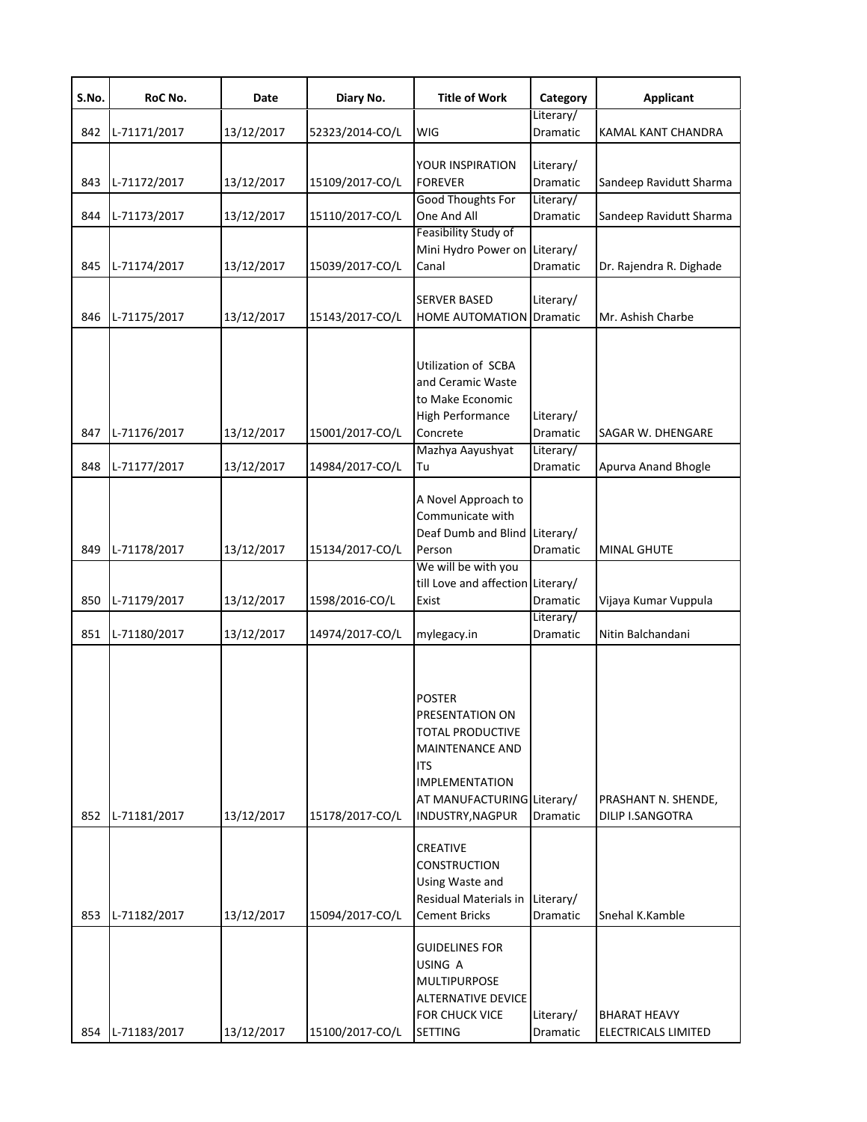| S.No.      | RoC No.                      | Date                     | Diary No.                          | <b>Title of Work</b>                                                                                                                                             | Category                                       | <b>Applicant</b>                               |
|------------|------------------------------|--------------------------|------------------------------------|------------------------------------------------------------------------------------------------------------------------------------------------------------------|------------------------------------------------|------------------------------------------------|
| 842        | L-71171/2017                 | 13/12/2017               | 52323/2014-CO/L                    | WIG                                                                                                                                                              | Literary/<br>Dramatic                          | KAMAL KANT CHANDRA                             |
| 843        | L-71172/2017                 | 13/12/2017               | 15109/2017-CO/L                    | YOUR INSPIRATION<br><b>FOREVER</b>                                                                                                                               | Literary/<br>Dramatic                          | Sandeep Ravidutt Sharma                        |
| 844        | L-71173/2017                 | 13/12/2017               | 15110/2017-CO/L                    | Good Thoughts For<br>One And All<br>Feasibility Study of                                                                                                         | Literary/<br>Dramatic                          | Sandeep Ravidutt Sharma                        |
| 845        | L-71174/2017                 | 13/12/2017               | 15039/2017-CO/L                    | Mini Hydro Power on Literary/<br>Canal                                                                                                                           | Dramatic                                       | Dr. Rajendra R. Dighade                        |
| 846        | L-71175/2017                 | 13/12/2017               | 15143/2017-CO/L                    | <b>SERVER BASED</b><br><b>HOME AUTOMATION</b>                                                                                                                    | Literary/<br><b>Dramatic</b>                   | Mr. Ashish Charbe                              |
| 847<br>848 | L-71176/2017<br>L-71177/2017 | 13/12/2017<br>13/12/2017 | 15001/2017-CO/L<br>14984/2017-CO/L | <b>Utilization of SCBA</b><br>and Ceramic Waste<br>to Make Economic<br><b>High Performance</b><br>Concrete<br>Mazhya Aayushyat<br>Tu                             | Literary/<br>Dramatic<br>Literary/<br>Dramatic | SAGAR W. DHENGARE<br>Apurva Anand Bhogle       |
|            |                              |                          |                                    | A Novel Approach to<br>Communicate with<br>Deaf Dumb and Blind Literary/                                                                                         |                                                |                                                |
| 849        | L-71178/2017                 | 13/12/2017               | 15134/2017-CO/L                    | Person<br>We will be with you                                                                                                                                    | Dramatic                                       | <b>MINAL GHUTE</b>                             |
| 850        | L-71179/2017                 | 13/12/2017               | 1598/2016-CO/L                     | till Love and affection Literary/<br>Exist                                                                                                                       | Dramatic                                       | Vijaya Kumar Vuppula                           |
| 851        | L-71180/2017                 | 13/12/2017               | 14974/2017-CO/L                    | mylegacy.in                                                                                                                                                      | Literary/<br>Dramatic                          | Nitin Balchandani                              |
| 852        | L-71181/2017                 | 13/12/2017               | 15178/2017-CO/L                    | <b>POSTER</b><br>PRESENTATION ON<br><b>TOTAL PRODUCTIVE</b><br>MAINTENANCE AND<br>ITS<br><b>IMPLEMENTATION</b><br>AT MANUFACTURING Literary/<br>INDUSTRY, NAGPUR | Dramatic                                       | PRASHANT N. SHENDE,<br><b>DILIP I.SANGOTRA</b> |
| 853        | L-71182/2017                 | 13/12/2017               | 15094/2017-CO/L                    | CREATIVE<br><b>CONSTRUCTION</b><br>Using Waste and<br>Residual Materials in<br><b>Cement Bricks</b>                                                              | Literary/<br>Dramatic                          | Snehal K.Kamble                                |
|            | 854 L-71183/2017             | 13/12/2017               | 15100/2017-CO/L                    | <b>GUIDELINES FOR</b><br>USING A<br>MULTIPURPOSE<br>ALTERNATIVE DEVICE<br>FOR CHUCK VICE<br><b>SETTING</b>                                                       | Literary/<br>Dramatic                          | <b>BHARAT HEAVY</b><br>ELECTRICALS LIMITED     |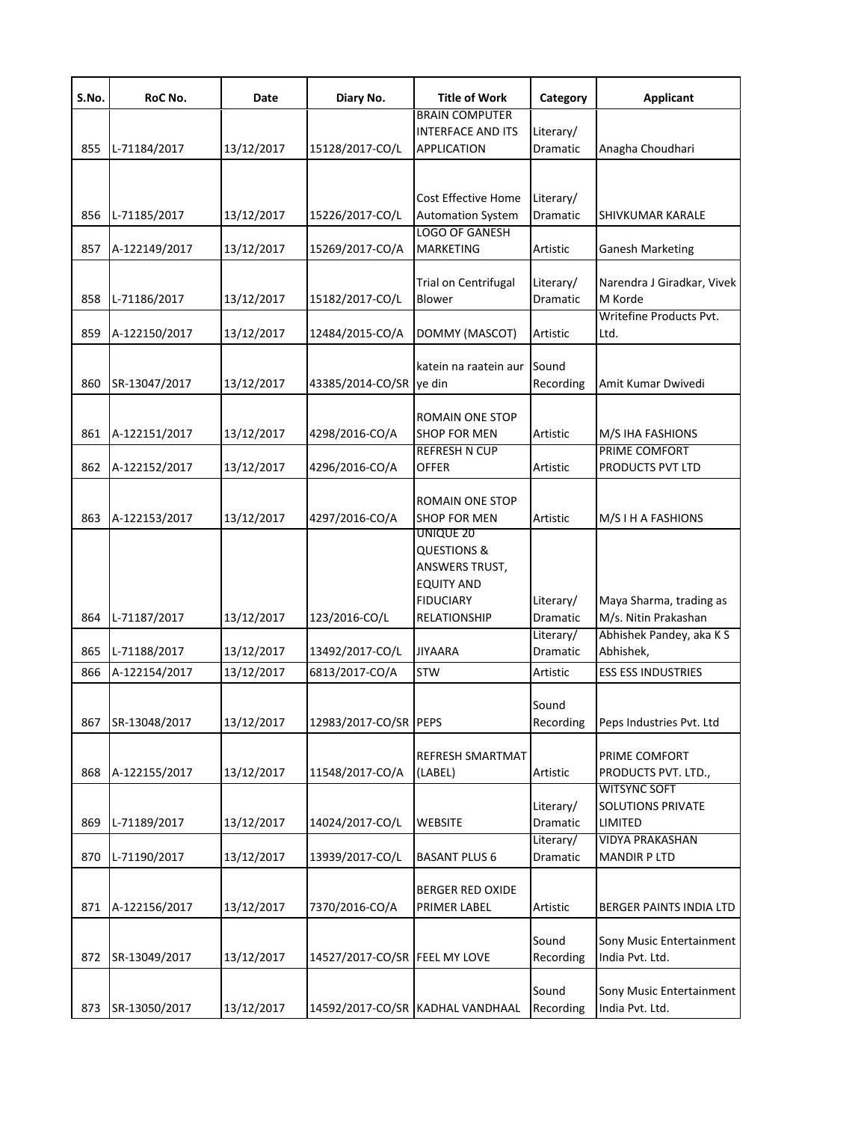| S.No. | RoC No.       | Date       | Diary No.                     | <b>Title of Work</b>                                                                                            | Category              | <b>Applicant</b>                                                  |
|-------|---------------|------------|-------------------------------|-----------------------------------------------------------------------------------------------------------------|-----------------------|-------------------------------------------------------------------|
| 855   | L-71184/2017  | 13/12/2017 | 15128/2017-CO/L               | <b>BRAIN COMPUTER</b><br><b>INTERFACE AND ITS</b><br><b>APPLICATION</b>                                         | Literary/<br>Dramatic | Anagha Choudhari                                                  |
| 856   | L-71185/2017  | 13/12/2017 | 15226/2017-CO/L               | Cost Effective Home<br><b>Automation System</b>                                                                 | Literary/<br>Dramatic | SHIVKUMAR KARALE                                                  |
| 857   | A-122149/2017 | 13/12/2017 | 15269/2017-CO/A               | <b>LOGO OF GANESH</b><br><b>MARKETING</b>                                                                       | Artistic              | <b>Ganesh Marketing</b>                                           |
| 858   | L-71186/2017  | 13/12/2017 | 15182/2017-CO/L               | <b>Trial on Centrifugal</b><br>Blower                                                                           | Literary/<br>Dramatic | Narendra J Giradkar, Vivek<br>M Korde                             |
| 859   | A-122150/2017 | 13/12/2017 | 12484/2015-CO/A               | DOMMY (MASCOT)                                                                                                  | Artistic              | Writefine Products Pvt.<br>Ltd.                                   |
| 860   | SR-13047/2017 | 13/12/2017 | 43385/2014-CO/SR              | katein na raatein aur<br>ye din                                                                                 | Sound<br>Recording    | Amit Kumar Dwivedi                                                |
| 861   | A-122151/2017 | 13/12/2017 | 4298/2016-CO/A                | ROMAIN ONE STOP<br><b>SHOP FOR MEN</b>                                                                          | Artistic              | M/S IHA FASHIONS                                                  |
| 862   | A-122152/2017 | 13/12/2017 | 4296/2016-CO/A                | <b>REFRESH N CUP</b><br><b>OFFER</b>                                                                            | Artistic              | PRIME COMFORT<br>PRODUCTS PVT LTD                                 |
| 863   | A-122153/2017 | 13/12/2017 | 4297/2016-CO/A                | ROMAIN ONE STOP<br><b>SHOP FOR MEN</b><br>UNIQUE 20                                                             | Artistic              | M/S I H A FASHIONS                                                |
| 864   | L-71187/2017  | 13/12/2017 | 123/2016-CO/L                 | <b>QUESTIONS &amp;</b><br><b>ANSWERS TRUST,</b><br><b>EQUITY AND</b><br><b>FIDUCIARY</b><br><b>RELATIONSHIP</b> | Literary/<br>Dramatic | Maya Sharma, trading as<br>M/s. Nitin Prakashan                   |
| 865   | L-71188/2017  | 13/12/2017 | 13492/2017-CO/L               | <b>JIYAARA</b>                                                                                                  | Literary/<br>Dramatic | Abhishek Pandey, aka K S<br>Abhishek,                             |
| 866   | A-122154/2017 | 13/12/2017 | 6813/2017-CO/A                | <b>STW</b>                                                                                                      | Artistic              | <b>ESS ESS INDUSTRIES</b>                                         |
| 867   | SR-13048/2017 | 13/12/2017 | 12983/2017-CO/SR PEPS         |                                                                                                                 | Sound<br>Recording    | Peps Industries Pvt. Ltd                                          |
| 868   | A-122155/2017 | 13/12/2017 | 11548/2017-CO/A               | REFRESH SMARTMAT<br>(LABEL)                                                                                     | Artistic              | PRIME COMFORT<br>PRODUCTS PVT. LTD.,                              |
| 869   | L-71189/2017  | 13/12/2017 | 14024/2017-CO/L               | <b>WEBSITE</b>                                                                                                  | Literary/<br>Dramatic | <b>WITSYNC SOFT</b><br><b>SOLUTIONS PRIVATE</b><br><b>LIMITED</b> |
| 870   | L-71190/2017  | 13/12/2017 | 13939/2017-CO/L               | <b>BASANT PLUS 6</b>                                                                                            | Literary/<br>Dramatic | <b>VIDYA PRAKASHAN</b><br><b>MANDIR P LTD</b>                     |
| 871   | A-122156/2017 | 13/12/2017 | 7370/2016-CO/A                | <b>BERGER RED OXIDE</b><br>PRIMER LABEL                                                                         | Artistic              | BERGER PAINTS INDIA LTD                                           |
| 872   | SR-13049/2017 | 13/12/2017 | 14527/2017-CO/SR FEEL MY LOVE |                                                                                                                 | Sound<br>Recording    | Sony Music Entertainment<br>India Pvt. Ltd.                       |
| 873   | SR-13050/2017 | 13/12/2017 |                               | 14592/2017-CO/SR KADHAL VANDHAAL                                                                                | Sound<br>Recording    | Sony Music Entertainment<br>India Pvt. Ltd.                       |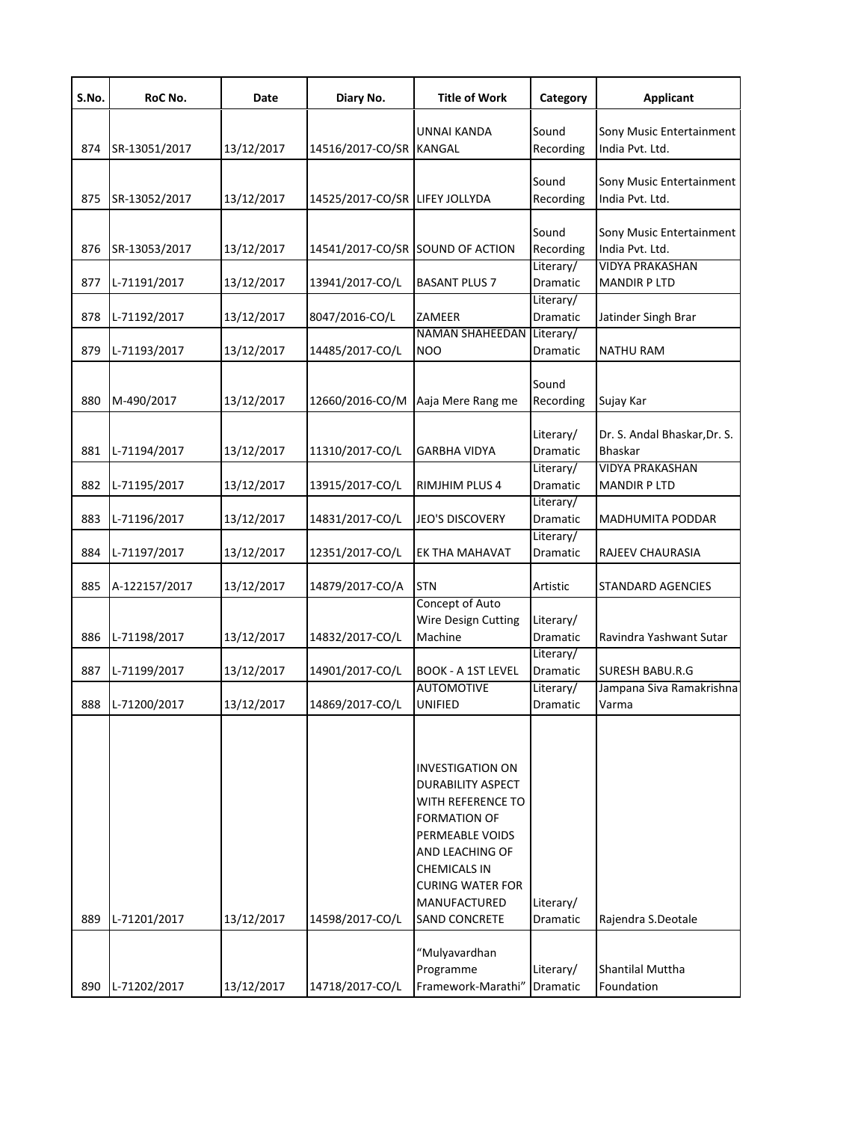| S.No. | RoC No.       | Date       | Diary No.                        | <b>Title of Work</b>                                                                                                                                                                                                     | Category              | <b>Applicant</b>                               |
|-------|---------------|------------|----------------------------------|--------------------------------------------------------------------------------------------------------------------------------------------------------------------------------------------------------------------------|-----------------------|------------------------------------------------|
| 874   | SR-13051/2017 | 13/12/2017 | 14516/2017-CO/SR                 | <b>UNNAI KANDA</b><br>KANGAL                                                                                                                                                                                             | Sound<br>Recording    | Sony Music Entertainment<br>India Pvt. Ltd.    |
| 875   | SR-13052/2017 | 13/12/2017 | 14525/2017-CO/SR LIFEY JOLLYDA   |                                                                                                                                                                                                                          | Sound<br>Recording    | Sony Music Entertainment<br>India Pvt. Ltd.    |
| 876   | SR-13053/2017 | 13/12/2017 | 14541/2017-CO/SR SOUND OF ACTION |                                                                                                                                                                                                                          | Sound<br>Recording    | Sony Music Entertainment<br>India Pvt. Ltd.    |
| 877   | L-71191/2017  | 13/12/2017 | 13941/2017-CO/L                  | <b>BASANT PLUS 7</b>                                                                                                                                                                                                     | Literary/<br>Dramatic | <b>VIDYA PRAKASHAN</b><br><b>MANDIR P LTD</b>  |
| 878   | L-71192/2017  | 13/12/2017 | 8047/2016-CO/L                   | ZAMEER                                                                                                                                                                                                                   | Literary/<br>Dramatic | Jatinder Singh Brar                            |
| 879   | L-71193/2017  | 13/12/2017 | 14485/2017-CO/L                  | <b>NAMAN SHAHEEDAN</b><br>NOO                                                                                                                                                                                            | Literary/<br>Dramatic | <b>NATHU RAM</b>                               |
| 880   | M-490/2017    | 13/12/2017 | 12660/2016-CO/M                  | Aaja Mere Rang me                                                                                                                                                                                                        | Sound<br>Recording    | Sujay Kar                                      |
| 881   | L-71194/2017  | 13/12/2017 | 11310/2017-CO/L                  | GARBHA VIDYA                                                                                                                                                                                                             | Literary/<br>Dramatic | Dr. S. Andal Bhaskar, Dr. S.<br><b>Bhaskar</b> |
| 882   | L-71195/2017  | 13/12/2017 | 13915/2017-CO/L                  | RIMJHIM PLUS 4                                                                                                                                                                                                           | Literary/<br>Dramatic | <b>VIDYA PRAKASHAN</b><br><b>MANDIR P LTD</b>  |
| 883   | L-71196/2017  | 13/12/2017 | 14831/2017-CO/L                  | <b>JEO'S DISCOVERY</b>                                                                                                                                                                                                   | Literary/<br>Dramatic | MADHUMITA PODDAR                               |
| 884   | L-71197/2017  | 13/12/2017 | 12351/2017-CO/L                  | EK THA MAHAVAT                                                                                                                                                                                                           | Literary/<br>Dramatic | RAJEEV CHAURASIA                               |
| 885   | A-122157/2017 | 13/12/2017 | 14879/2017-CO/A                  | <b>STN</b>                                                                                                                                                                                                               | Artistic              | <b>STANDARD AGENCIES</b>                       |
| 886   | L-71198/2017  | 13/12/2017 | 14832/2017-CO/L                  | Concept of Auto<br>Wire Design Cutting<br>Machine                                                                                                                                                                        | Literary/<br>Dramatic | Ravindra Yashwant Sutar                        |
| 887   | L-71199/2017  | 13/12/2017 | 14901/2017-CO/L                  | <b>BOOK - A 1ST LEVEL</b>                                                                                                                                                                                                | Literary/<br>Dramatic | SURESH BABU.R.G                                |
| 888   | L-71200/2017  | 13/12/2017 | 14869/2017-CO/L                  | <b>AUTOMOTIVE</b><br><b>UNIFIED</b>                                                                                                                                                                                      | Literary/<br>Dramatic | Jampana Siva Ramakrishna<br>Varma              |
| 889   | L-71201/2017  | 13/12/2017 | 14598/2017-CO/L                  | <b>INVESTIGATION ON</b><br><b>DURABILITY ASPECT</b><br>WITH REFERENCE TO<br><b>FORMATION OF</b><br>PERMEABLE VOIDS<br>AND LEACHING OF<br><b>CHEMICALS IN</b><br><b>CURING WATER FOR</b><br>MANUFACTURED<br>SAND CONCRETE | Literary/<br>Dramatic | Rajendra S.Deotale                             |
| 890   | L-71202/2017  | 13/12/2017 | 14718/2017-CO/L                  | "Mulyavardhan<br>Programme<br>Framework-Marathi"                                                                                                                                                                         | Literary/<br>Dramatic | <b>Shantilal Muttha</b><br>Foundation          |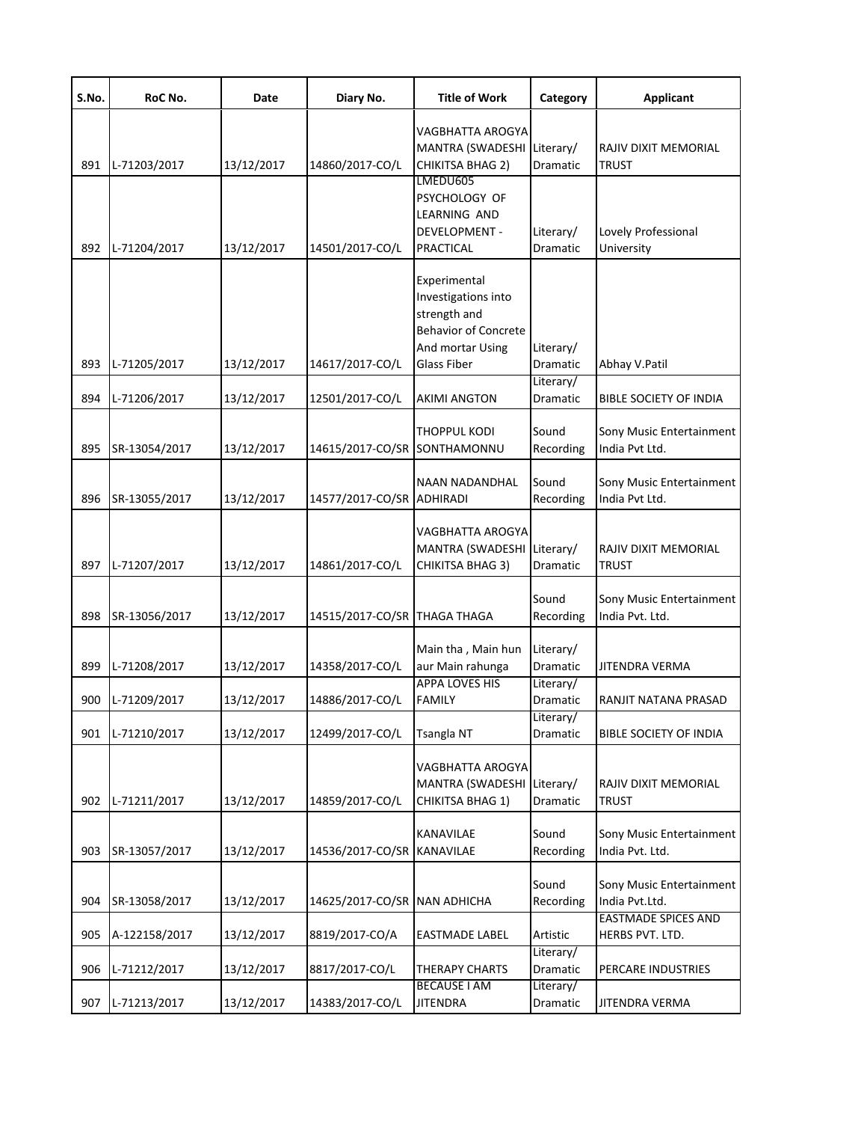| S.No. | RoC No.       | Date       | Diary No.                    | <b>Title of Work</b>                                                                                                         | Category                     | <b>Applicant</b>                              |
|-------|---------------|------------|------------------------------|------------------------------------------------------------------------------------------------------------------------------|------------------------------|-----------------------------------------------|
| 891   | L-71203/2017  | 13/12/2017 | 14860/2017-CO/L              | VAGBHATTA AROGYA<br>MANTRA (SWADESHI<br>CHIKITSA BHAG 2)<br>LMEDU605                                                         | Literary/<br>Dramatic        | RAJIV DIXIT MEMORIAL<br><b>TRUST</b>          |
| 892   | L-71204/2017  | 13/12/2017 | 14501/2017-CO/L              | PSYCHOLOGY OF<br>LEARNING AND<br><b>DEVELOPMENT -</b><br>PRACTICAL                                                           | Literary/<br>Dramatic        | Lovely Professional<br>University             |
| 893   | L-71205/2017  | 13/12/2017 | 14617/2017-CO/L              | Experimental<br>Investigations into<br>strength and<br><b>Behavior of Concrete</b><br>And mortar Using<br><b>Glass Fiber</b> | Literary/<br>Dramatic        | Abhay V.Patil                                 |
| 894   | L-71206/2017  | 13/12/2017 | 12501/2017-CO/L              | <b>AKIMI ANGTON</b>                                                                                                          | Literary/<br><b>Dramatic</b> | <b>BIBLE SOCIETY OF INDIA</b>                 |
| 895   | SR-13054/2017 | 13/12/2017 | 14615/2017-CO/SR SONTHAMONNU | THOPPUL KODI                                                                                                                 | Sound<br>Recording           | Sony Music Entertainment<br>India Pvt Ltd.    |
| 896   | SR-13055/2017 | 13/12/2017 | 14577/2017-CO/SR ADHIRADI    | NAAN NADANDHAL                                                                                                               | Sound<br>Recording           | Sony Music Entertainment<br>India Pvt Ltd.    |
| 897   | L-71207/2017  | 13/12/2017 | 14861/2017-CO/L              | VAGBHATTA AROGYA<br>MANTRA (SWADESHI Literary/<br>CHIKITSA BHAG 3)                                                           | Dramatic                     | RAJIV DIXIT MEMORIAL<br><b>TRUST</b>          |
| 898   | SR-13056/2017 | 13/12/2017 | 14515/2017-CO/SR THAGA THAGA |                                                                                                                              | Sound<br>Recording           | Sony Music Entertainment<br>India Pvt. Ltd.   |
| 899   | L-71208/2017  | 13/12/2017 | 14358/2017-CO/L              | Main tha, Main hun<br>aur Main rahunga                                                                                       | Literary/<br><b>Dramatic</b> | JITENDRA VERMA                                |
| 900   | L-71209/2017  | 13/12/2017 | 14886/2017-CO/L              | <b>APPA LOVES HIS</b><br><b>FAMILY</b>                                                                                       | Literary/<br>Dramatic        | RANJIT NATANA PRASAD                          |
| 901   | L-71210/2017  | 13/12/2017 | 12499/2017-CO/L              | <b>Tsangla NT</b>                                                                                                            | Literary/<br>Dramatic        | <b>BIBLE SOCIETY OF INDIA</b>                 |
| 902   | L-71211/2017  | 13/12/2017 | 14859/2017-CO/L              | VAGBHATTA AROGYA<br>MANTRA (SWADESHI<br>CHIKITSA BHAG 1)                                                                     | Literary/<br>Dramatic        | RAJIV DIXIT MEMORIAL<br><b>TRUST</b>          |
| 903   | SR-13057/2017 | 13/12/2017 | 14536/2017-CO/SR             | KANAVILAE<br>KANAVILAE                                                                                                       | Sound<br>Recording           | Sony Music Entertainment<br>India Pvt. Ltd.   |
| 904   | SR-13058/2017 | 13/12/2017 | 14625/2017-CO/SR NAN ADHICHA |                                                                                                                              | Sound<br>Recording           | Sony Music Entertainment<br>India Pvt.Ltd.    |
| 905   | A-122158/2017 | 13/12/2017 | 8819/2017-CO/A               | EASTMADE LABEL                                                                                                               | Artistic                     | <b>EASTMADE SPICES AND</b><br>HERBS PVT. LTD. |
| 906   | L-71212/2017  | 13/12/2017 | 8817/2017-CO/L               | THERAPY CHARTS                                                                                                               | Literary/<br>Dramatic        | PERCARE INDUSTRIES                            |
| 907   | L-71213/2017  | 13/12/2017 | 14383/2017-CO/L              | <b>BECAUSE I AM</b><br><b>JITENDRA</b>                                                                                       | Literary/<br>Dramatic        | JITENDRA VERMA                                |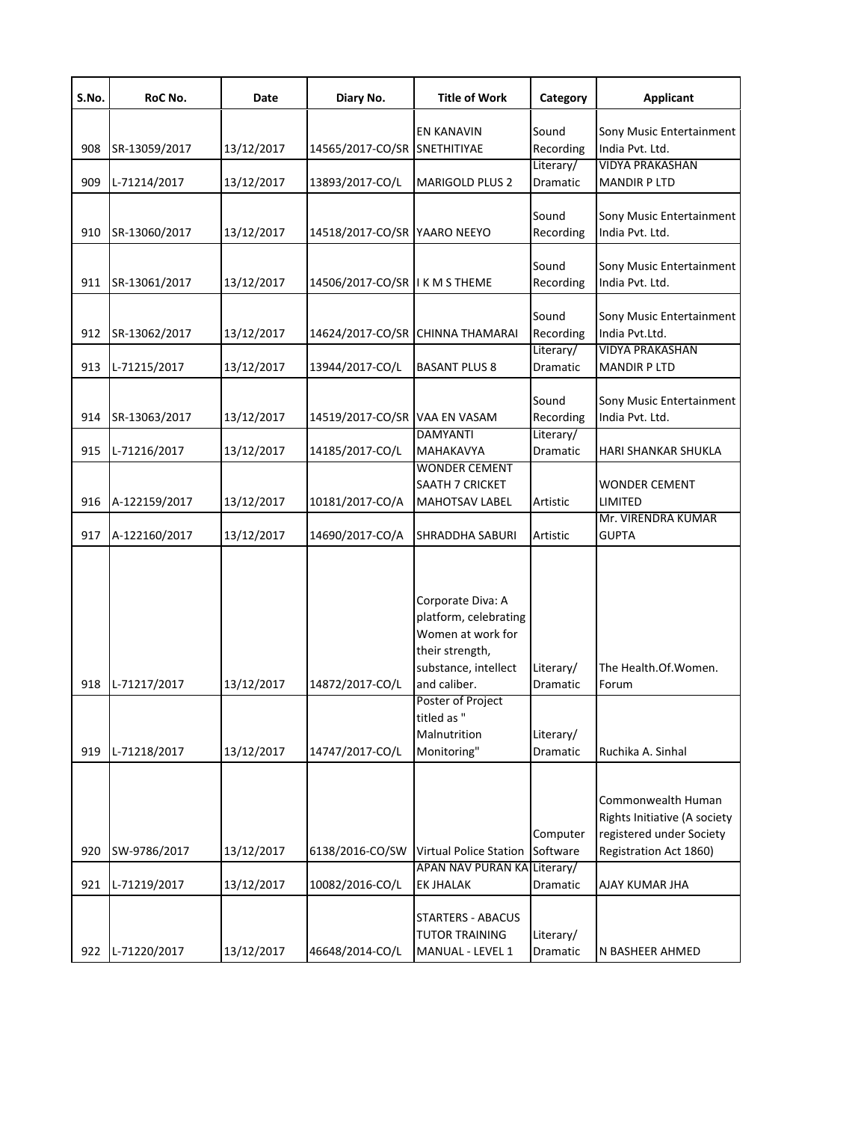| S.No. | RoC No.       | Date       | Diary No.                      | <b>Title of Work</b>                                                                                                       | Category              | <b>Applicant</b>                                                                                         |
|-------|---------------|------------|--------------------------------|----------------------------------------------------------------------------------------------------------------------------|-----------------------|----------------------------------------------------------------------------------------------------------|
| 908   | SR-13059/2017 | 13/12/2017 | 14565/2017-CO/SR               | EN KANAVIN<br>SNETHITIYAE                                                                                                  | Sound<br>Recording    | Sony Music Entertainment<br>India Pvt. Ltd.                                                              |
| 909   | L-71214/2017  | 13/12/2017 | 13893/2017-CO/L                | <b>MARIGOLD PLUS 2</b>                                                                                                     | Literary/<br>Dramatic | <b>VIDYA PRAKASHAN</b><br><b>MANDIR P LTD</b>                                                            |
| 910   | SR-13060/2017 | 13/12/2017 | 14518/2017-CO/SR YAARO NEEYO   |                                                                                                                            | Sound<br>Recording    | Sony Music Entertainment<br>India Pvt. Ltd.                                                              |
| 911   | SR-13061/2017 | 13/12/2017 | 14506/2017-CO/SR I K M S THEME |                                                                                                                            | Sound<br>Recording    | Sony Music Entertainment<br>India Pvt. Ltd.                                                              |
| 912   | SR-13062/2017 | 13/12/2017 |                                | 14624/2017-CO/SR CHINNA THAMARAI                                                                                           | Sound<br>Recording    | Sony Music Entertainment<br>India Pvt.Ltd.                                                               |
| 913   | L-71215/2017  | 13/12/2017 | 13944/2017-CO/L                | <b>BASANT PLUS 8</b>                                                                                                       | Literary/<br>Dramatic | <b>VIDYA PRAKASHAN</b><br><b>MANDIR P LTD</b>                                                            |
| 914   | SR-13063/2017 | 13/12/2017 | 14519/2017-CO/SR VAA EN VASAM  |                                                                                                                            | Sound<br>Recording    | Sony Music Entertainment<br>India Pvt. Ltd.                                                              |
| 915   | L-71216/2017  | 13/12/2017 | 14185/2017-CO/L                | <b>DAMYANTI</b><br>MAHAKAVYA                                                                                               | Literary/<br>Dramatic | HARI SHANKAR SHUKLA                                                                                      |
| 916   | A-122159/2017 | 13/12/2017 | 10181/2017-CO/A                | WONDER CEMENT<br><b>SAATH 7 CRICKET</b><br><b>MAHOTSAV LABEL</b>                                                           | Artistic              | WONDER CEMENT<br>LIMITED                                                                                 |
| 917   | A-122160/2017 | 13/12/2017 | 14690/2017-CO/A                | <b>SHRADDHA SABURI</b>                                                                                                     | Artistic              | Mr. VIRENDRA KUMAR<br><b>GUPTA</b>                                                                       |
| 918   | L-71217/2017  | 13/12/2017 | 14872/2017-CO/L                | Corporate Diva: A<br>platform, celebrating<br>Women at work for<br>their strength,<br>substance, intellect<br>and caliber. | Literary/<br>Dramatic | The Health.Of.Women.<br>Forum                                                                            |
| 919   | L-71218/2017  | 13/12/2017 | 14747/2017-CO/L                | Poster of Project<br>titled as "<br>Malnutrition<br>Monitoring"                                                            | Literary/<br>Dramatic | Ruchika A. Sinhal                                                                                        |
| 920   | SW-9786/2017  | 13/12/2017 | 6138/2016-CO/SW                | <b>Virtual Police Station</b><br>APAN NAV PURAN KA Literary/                                                               | Computer<br>Software  | Commonwealth Human<br>Rights Initiative (A society<br>registered under Society<br>Registration Act 1860) |
| 921   | L-71219/2017  | 13/12/2017 | 10082/2016-CO/L                | <b>EK JHALAK</b>                                                                                                           | Dramatic              | AJAY KUMAR JHA                                                                                           |
| 922   | L-71220/2017  | 13/12/2017 | 46648/2014-CO/L                | <b>STARTERS - ABACUS</b><br><b>TUTOR TRAINING</b><br>MANUAL - LEVEL 1                                                      | Literary/<br>Dramatic | N BASHEER AHMED                                                                                          |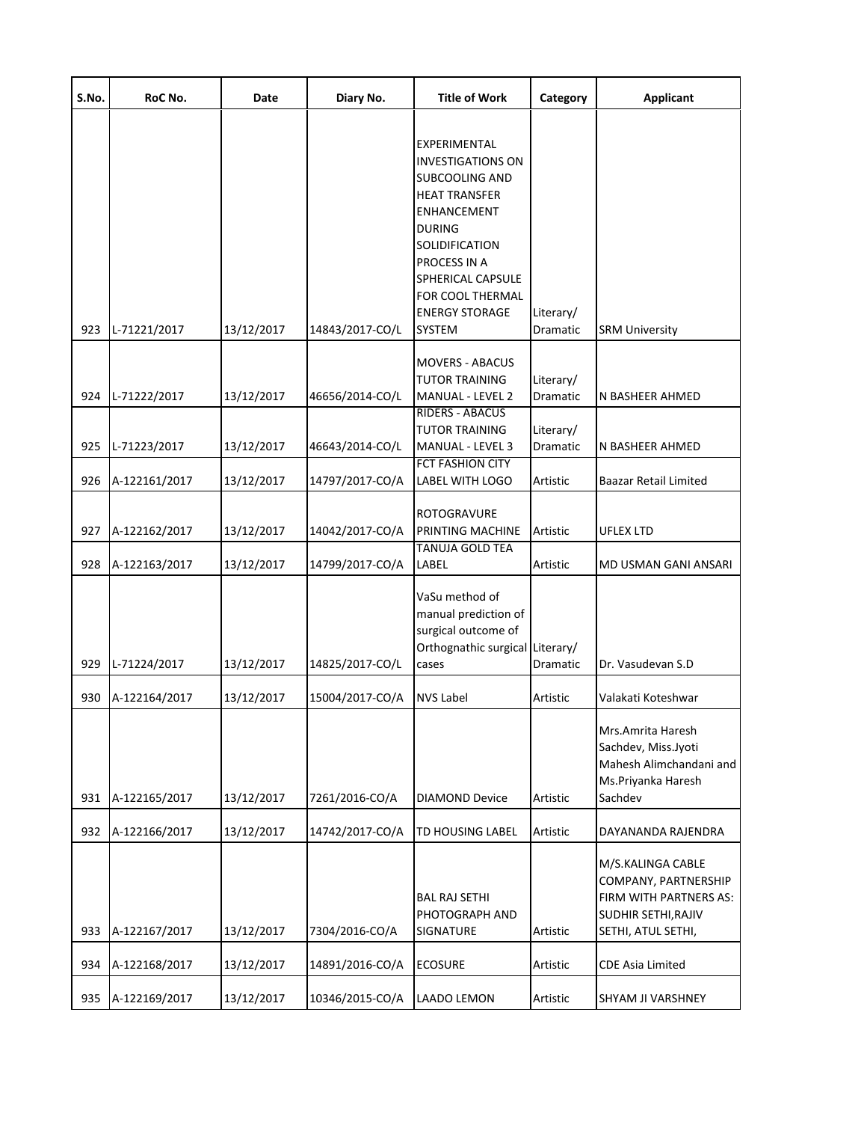| S.No. | RoC No.       | Date       | Diary No.       | <b>Title of Work</b>                                                                                                                                                                                                                                                | Category              | <b>Applicant</b>                                                                                                 |
|-------|---------------|------------|-----------------|---------------------------------------------------------------------------------------------------------------------------------------------------------------------------------------------------------------------------------------------------------------------|-----------------------|------------------------------------------------------------------------------------------------------------------|
| 923   | L-71221/2017  | 13/12/2017 | 14843/2017-CO/L | <b>EXPERIMENTAL</b><br><b>INVESTIGATIONS ON</b><br><b>SUBCOOLING AND</b><br><b>HEAT TRANSFER</b><br><b>ENHANCEMENT</b><br><b>DURING</b><br>SOLIDIFICATION<br>PROCESS IN A<br><b>SPHERICAL CAPSULE</b><br>FOR COOL THERMAL<br><b>ENERGY STORAGE</b><br><b>SYSTEM</b> | Literary/<br>Dramatic | <b>SRM University</b>                                                                                            |
|       |               |            |                 | <b>MOVERS - ABACUS</b>                                                                                                                                                                                                                                              |                       |                                                                                                                  |
| 924   | L-71222/2017  | 13/12/2017 | 46656/2014-CO/L | <b>TUTOR TRAINING</b><br><b>MANUAL - LEVEL 2</b>                                                                                                                                                                                                                    | Literary/<br>Dramatic | N BASHEER AHMED                                                                                                  |
| 925   | L-71223/2017  | 13/12/2017 | 46643/2014-CO/L | <b>RIDERS - ABACUS</b><br><b>TUTOR TRAINING</b><br><b>MANUAL - LEVEL 3</b>                                                                                                                                                                                          | Literary/<br>Dramatic | N BASHEER AHMED                                                                                                  |
| 926   | A-122161/2017 | 13/12/2017 | 14797/2017-CO/A | <b>FCT FASHION CITY</b><br><b>LABEL WITH LOGO</b>                                                                                                                                                                                                                   | Artistic              | Baazar Retail Limited                                                                                            |
| 927   | A-122162/2017 | 13/12/2017 | 14042/2017-CO/A | <b>ROTOGRAVURE</b><br>PRINTING MACHINE                                                                                                                                                                                                                              | Artistic              | UFLEX LTD                                                                                                        |
| 928   | A-122163/2017 | 13/12/2017 | 14799/2017-CO/A | <b>TANUJA GOLD TEA</b><br>LABEL                                                                                                                                                                                                                                     | Artistic              | MD USMAN GANI ANSARI                                                                                             |
| 929   | L-71224/2017  | 13/12/2017 | 14825/2017-CO/L | VaSu method of<br>manual prediction of<br>surgical outcome of<br>Orthognathic surgical<br>cases                                                                                                                                                                     | Literary/<br>Dramatic | Dr. Vasudevan S.D                                                                                                |
| 930   | A-122164/2017 | 13/12/2017 | 15004/2017-CO/A | <b>NVS Label</b>                                                                                                                                                                                                                                                    | Artistic              | Valakati Koteshwar                                                                                               |
| 931   | A-122165/2017 | 13/12/2017 | 7261/2016-CO/A  | <b>DIAMOND Device</b>                                                                                                                                                                                                                                               | Artistic              | Mrs.Amrita Haresh<br>Sachdev, Miss.Jyoti<br>Mahesh Alimchandani and<br>Ms.Priyanka Haresh<br>Sachdev             |
| 932   | A-122166/2017 | 13/12/2017 | 14742/2017-CO/A | <b>TD HOUSING LABEL</b>                                                                                                                                                                                                                                             | Artistic              | DAYANANDA RAJENDRA                                                                                               |
| 933   | A-122167/2017 | 13/12/2017 | 7304/2016-CO/A  | <b>BAL RAJ SETHI</b><br>PHOTOGRAPH AND<br>SIGNATURE                                                                                                                                                                                                                 | Artistic              | M/S.KALINGA CABLE<br>COMPANY, PARTNERSHIP<br>FIRM WITH PARTNERS AS:<br>SUDHIR SETHI, RAJIV<br>SETHI, ATUL SETHI, |
| 934   | A-122168/2017 | 13/12/2017 | 14891/2016-CO/A | <b>ECOSURE</b>                                                                                                                                                                                                                                                      | Artistic              | <b>CDE Asia Limited</b>                                                                                          |
| 935   | A-122169/2017 | 13/12/2017 | 10346/2015-CO/A | <b>LAADO LEMON</b>                                                                                                                                                                                                                                                  | Artistic              | SHYAM JI VARSHNEY                                                                                                |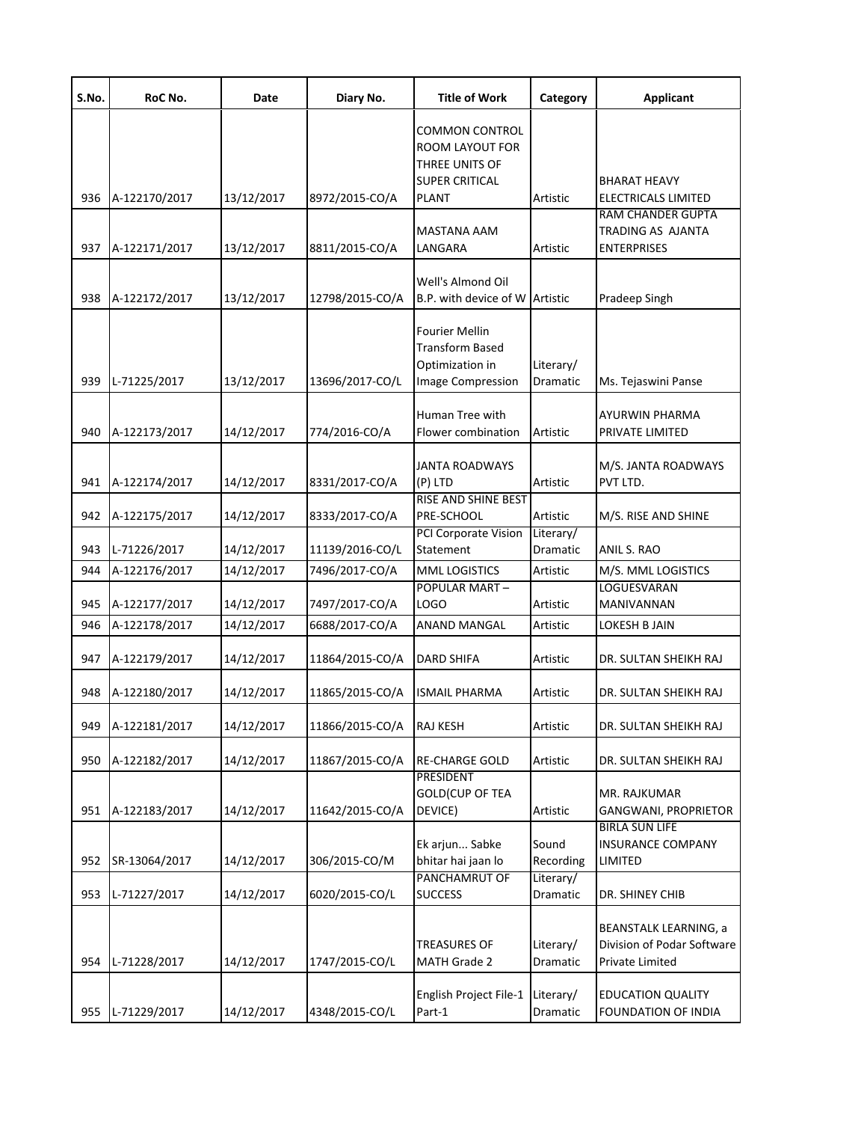| S.No. | RoC No.       | Date       | Diary No.       | <b>Title of Work</b>                                                                                | Category              | <b>Applicant</b>                                                              |
|-------|---------------|------------|-----------------|-----------------------------------------------------------------------------------------------------|-----------------------|-------------------------------------------------------------------------------|
| 936   | A-122170/2017 | 13/12/2017 | 8972/2015-CO/A  | <b>COMMON CONTROL</b><br>ROOM LAYOUT FOR<br>THREE UNITS OF<br><b>SUPER CRITICAL</b><br><b>PLANT</b> | Artistic              | <b>BHARAT HEAVY</b><br><b>ELECTRICALS LIMITED</b>                             |
| 937   | A-122171/2017 | 13/12/2017 | 8811/2015-CO/A  | MASTANA AAM<br>LANGARA                                                                              | Artistic              | <b>RAM CHANDER GUPTA</b><br>TRADING AS AJANTA<br><b>ENTERPRISES</b>           |
| 938   | A-122172/2017 | 13/12/2017 | 12798/2015-CO/A | Well's Almond Oil<br>B.P. with device of W Artistic                                                 |                       | Pradeep Singh                                                                 |
| 939   | L-71225/2017  | 13/12/2017 | 13696/2017-CO/L | Fourier Mellin<br><b>Transform Based</b><br>Optimization in<br><b>Image Compression</b>             | Literary/<br>Dramatic | Ms. Tejaswini Panse                                                           |
| 940   | A-122173/2017 | 14/12/2017 | 774/2016-CO/A   | Human Tree with<br>Flower combination                                                               | Artistic              | AYURWIN PHARMA<br>PRIVATE LIMITED                                             |
| 941   | A-122174/2017 | 14/12/2017 | 8331/2017-CO/A  | <b>JANTA ROADWAYS</b><br>(P) LTD                                                                    | Artistic              | M/S. JANTA ROADWAYS<br>PVT LTD.                                               |
| 942   | A-122175/2017 | 14/12/2017 | 8333/2017-CO/A  | RISE AND SHINE BEST<br>PRE-SCHOOL                                                                   | Artistic              | M/S. RISE AND SHINE                                                           |
| 943   | L-71226/2017  | 14/12/2017 | 11139/2016-CO/L | PCI Corporate Vision<br>Statement                                                                   | Literary/<br>Dramatic | ANIL S. RAO                                                                   |
| 944   | A-122176/2017 | 14/12/2017 | 7496/2017-CO/A  | <b>MML LOGISTICS</b>                                                                                | Artistic              | M/S. MML LOGISTICS                                                            |
| 945   | A-122177/2017 | 14/12/2017 | 7497/2017-CO/A  | POPULAR MART-<br>LOGO                                                                               | Artistic              | LOGUESVARAN<br>MANIVANNAN                                                     |
| 946   | A-122178/2017 | 14/12/2017 | 6688/2017-CO/A  | ANAND MANGAL                                                                                        | Artistic              | LOKESH B JAIN                                                                 |
| 947   | A-122179/2017 | 14/12/2017 | 11864/2015-CO/A | DARD SHIFA                                                                                          | Artistic              | DR. SULTAN SHEIKH RAJ                                                         |
| 948   | A-122180/2017 | 14/12/2017 | 11865/2015-CO/A | <b>ISMAIL PHARMA</b>                                                                                | Artistic              | DR. SULTAN SHEIKH RAJ                                                         |
| 949   | A-122181/2017 | 14/12/2017 | 11866/2015-CO/A | <b>RAJ KESH</b>                                                                                     | Artistic              | DR. SULTAN SHEIKH RAJ                                                         |
| 950   | A-122182/2017 | 14/12/2017 | 11867/2015-CO/A | <b>RE-CHARGE GOLD</b>                                                                               | Artistic              | DR. SULTAN SHEIKH RAJ                                                         |
| 951   | A-122183/2017 | 14/12/2017 | 11642/2015-CO/A | PRESIDENT<br><b>GOLD(CUP OF TEA</b><br>DEVICE)                                                      | Artistic              | MR. RAJKUMAR<br>GANGWANI, PROPRIETOR                                          |
| 952   | SR-13064/2017 | 14/12/2017 | 306/2015-CO/M   | Ek arjun Sabke<br>bhitar hai jaan lo                                                                | Sound<br>Recording    | <b>BIRLA SUN LIFE</b><br><b>INSURANCE COMPANY</b><br>LIMITED                  |
| 953   | L-71227/2017  | 14/12/2017 | 6020/2015-CO/L  | PANCHAMRUT OF<br><b>SUCCESS</b>                                                                     | Literary/<br>Dramatic | DR. SHINEY CHIB                                                               |
| 954   | L-71228/2017  | 14/12/2017 | 1747/2015-CO/L  | <b>TREASURES OF</b><br>MATH Grade 2                                                                 | Literary/<br>Dramatic | <b>BEANSTALK LEARNING, a</b><br>Division of Podar Software<br>Private Limited |
| 955   | L-71229/2017  | 14/12/2017 | 4348/2015-CO/L  | English Project File-1<br>Part-1                                                                    | Literary/<br>Dramatic | <b>EDUCATION QUALITY</b><br>FOUNDATION OF INDIA                               |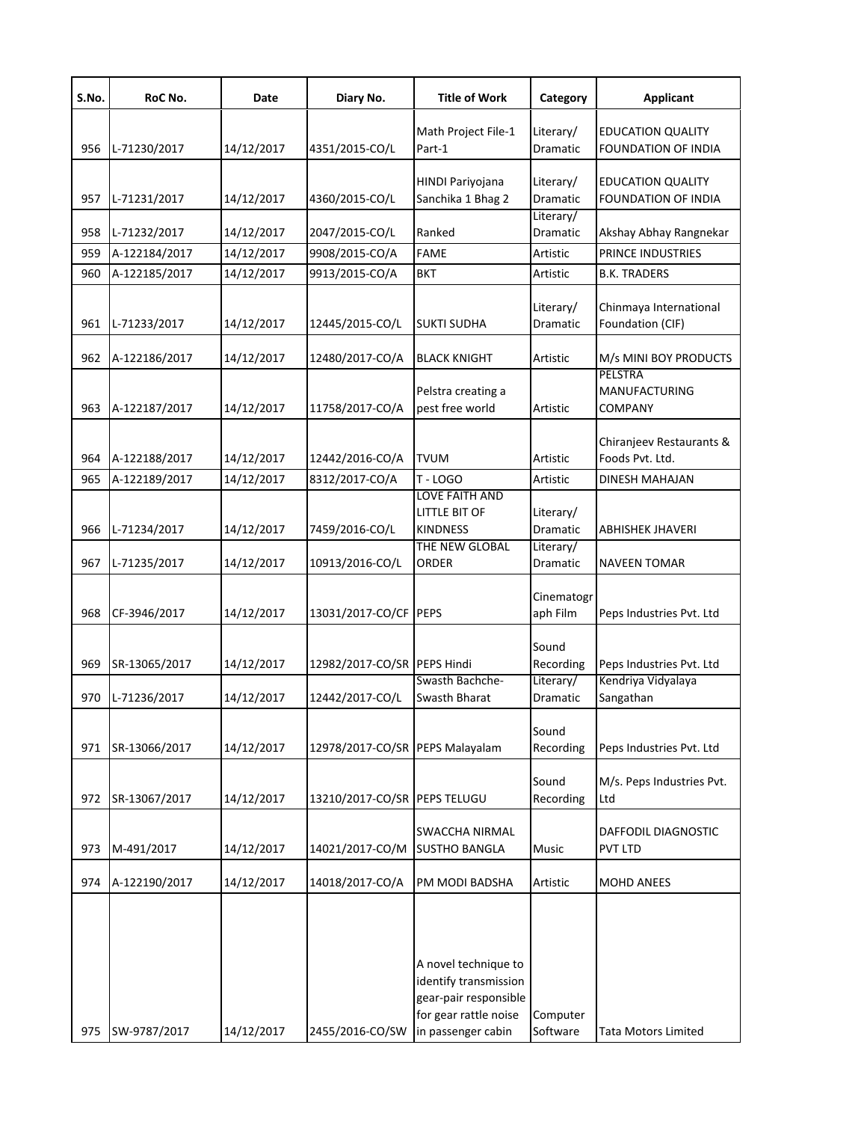| S.No. | RoC No.       | Date       | Diary No.                       | <b>Title of Work</b>                                                                                                  | Category                     | <b>Applicant</b>                                         |
|-------|---------------|------------|---------------------------------|-----------------------------------------------------------------------------------------------------------------------|------------------------------|----------------------------------------------------------|
| 956   | L-71230/2017  | 14/12/2017 | 4351/2015-CO/L                  | Math Project File-1<br>Part-1                                                                                         | Literary/<br><b>Dramatic</b> | <b>EDUCATION QUALITY</b><br><b>FOUNDATION OF INDIA</b>   |
| 957   | L-71231/2017  | 14/12/2017 | 4360/2015-CO/L                  | <b>HINDI Pariyojana</b><br>Sanchika 1 Bhag 2                                                                          | Literary/<br>Dramatic        | <b>EDUCATION QUALITY</b><br>FOUNDATION OF INDIA          |
| 958   | L-71232/2017  | 14/12/2017 | 2047/2015-CO/L                  | Ranked                                                                                                                | Literary/<br>Dramatic        | Akshay Abhay Rangnekar                                   |
| 959   | A-122184/2017 | 14/12/2017 | 9908/2015-CO/A                  | <b>FAME</b>                                                                                                           | Artistic                     | <b>PRINCE INDUSTRIES</b>                                 |
| 960   | A-122185/2017 | 14/12/2017 | 9913/2015-CO/A                  | BKT                                                                                                                   | Artistic                     | <b>B.K. TRADERS</b>                                      |
| 961   | L-71233/2017  | 14/12/2017 | 12445/2015-CO/L                 | <b>SUKTI SUDHA</b>                                                                                                    | Literary/<br>Dramatic        | Chinmaya International<br>Foundation (CIF)               |
| 962   | A-122186/2017 | 14/12/2017 | 12480/2017-CO/A                 | <b>BLACK KNIGHT</b>                                                                                                   | Artistic                     | M/s MINI BOY PRODUCTS                                    |
| 963   | A-122187/2017 | 14/12/2017 | 11758/2017-CO/A                 | Pelstra creating a<br>pest free world                                                                                 | Artistic                     | <b>PELSTRA</b><br><b>MANUFACTURING</b><br><b>COMPANY</b> |
| 964   | A-122188/2017 | 14/12/2017 | 12442/2016-CO/A                 | <b>TVUM</b>                                                                                                           | Artistic                     | Chiranjeev Restaurants &<br>Foods Pvt. Ltd.              |
| 965   | A-122189/2017 | 14/12/2017 | 8312/2017-CO/A                  | <b>T-LOGO</b>                                                                                                         | Artistic                     | <b>DINESH MAHAJAN</b>                                    |
| 966   | L-71234/2017  | 14/12/2017 | 7459/2016-CO/L                  | LOVE FAITH AND<br>LITTLE BIT OF<br><b>KINDNESS</b>                                                                    | Literary/<br>Dramatic        | ABHISHEK JHAVERI                                         |
| 967   | L-71235/2017  | 14/12/2017 | 10913/2016-CO/L                 | THE NEW GLOBAL<br>ORDER                                                                                               | Literary/<br>Dramatic        | <b>NAVEEN TOMAR</b>                                      |
| 968   | CF-3946/2017  | 14/12/2017 | 13031/2017-CO/CF PEPS           |                                                                                                                       | Cinematogr<br>aph Film       | Peps Industries Pvt. Ltd                                 |
| 969   | SR-13065/2017 | 14/12/2017 | 12982/2017-CO/SR PEPS Hindi     |                                                                                                                       | Sound<br>Recording           | Peps Industries Pvt. Ltd                                 |
| 970   | L-71236/2017  | 14/12/2017 | 12442/2017-CO/L                 | Swasth Bachche-<br>Swasth Bharat                                                                                      | Literary/<br>Dramatic        | Kendriya Vidyalaya<br>Sangathan                          |
| 971   | SR-13066/2017 | 14/12/2017 | 12978/2017-CO/SR PEPS Malayalam |                                                                                                                       | Sound<br>Recording           | Peps Industries Pvt. Ltd                                 |
| 972   | SR-13067/2017 | 14/12/2017 | 13210/2017-CO/SR PEPS TELUGU    |                                                                                                                       | Sound<br>Recording           | M/s. Peps Industries Pvt.<br>Ltd                         |
| 973   | M-491/2017    | 14/12/2017 | 14021/2017-CO/M                 | SWACCHA NIRMAL<br><b>SUSTHO BANGLA</b>                                                                                | Music                        | DAFFODIL DIAGNOSTIC<br><b>PVT LTD</b>                    |
| 974   | A-122190/2017 | 14/12/2017 | 14018/2017-CO/A                 | PM MODI BADSHA                                                                                                        | Artistic                     | <b>MOHD ANEES</b>                                        |
| 975   | SW-9787/2017  | 14/12/2017 | 2455/2016-CO/SW                 | A novel technique to<br>identify transmission<br>gear-pair responsible<br>for gear rattle noise<br>in passenger cabin | Computer<br>Software         | <b>Tata Motors Limited</b>                               |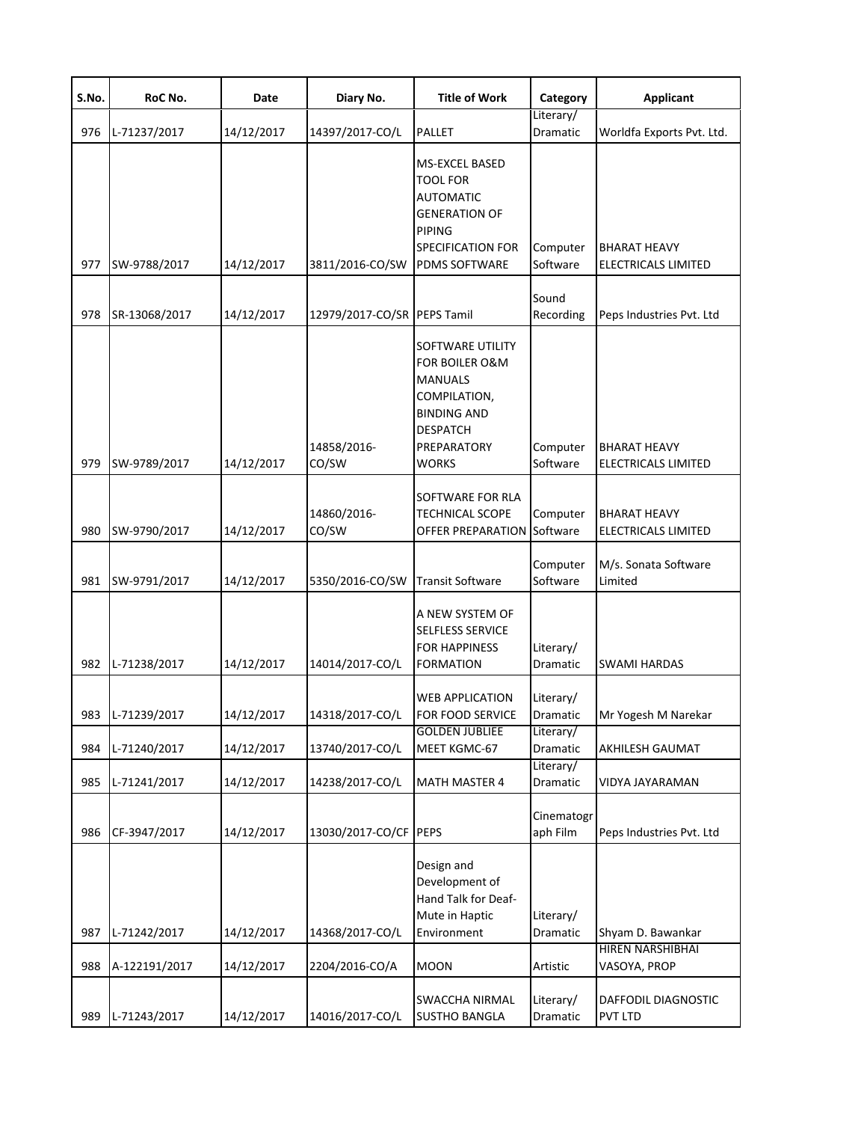| S.No.      | RoC No.                       | Date                     | Diary No.                         | <b>Title of Work</b>                                                                                                                             | Category                          | <b>Applicant</b>                                      |
|------------|-------------------------------|--------------------------|-----------------------------------|--------------------------------------------------------------------------------------------------------------------------------------------------|-----------------------------------|-------------------------------------------------------|
| 976        | L-71237/2017                  | 14/12/2017               | 14397/2017-CO/L                   | PALLET                                                                                                                                           | Literary/<br>Dramatic             | Worldfa Exports Pvt. Ltd.                             |
| 977        | SW-9788/2017                  | 14/12/2017               | 3811/2016-CO/SW                   | <b>MS-EXCEL BASED</b><br>TOOL FOR<br><b>AUTOMATIC</b><br><b>GENERATION OF</b><br><b>PIPING</b><br>SPECIFICATION FOR<br><b>PDMS SOFTWARE</b>      | Computer<br>Software              | <b>BHARAT HEAVY</b><br>ELECTRICALS LIMITED            |
| 978        | SR-13068/2017                 | 14/12/2017               | 12979/2017-CO/SR                  | <b>PEPS Tamil</b>                                                                                                                                | Sound<br>Recording                | Peps Industries Pvt. Ltd                              |
| 979        | SW-9789/2017                  | 14/12/2017               | 14858/2016-<br>CO/SW              | SOFTWARE UTILITY<br><b>FOR BOILER O&amp;M</b><br><b>MANUALS</b><br>COMPILATION,<br><b>BINDING AND</b><br><b>DESPATCH</b><br>PREPARATORY<br>WORKS | Computer<br>Software              | <b>BHARAT HEAVY</b><br>ELECTRICALS LIMITED            |
| 980        | SW-9790/2017                  | 14/12/2017               | 14860/2016-<br>CO/SW              | SOFTWARE FOR RLA<br><b>TECHNICAL SCOPE</b><br>OFFER PREPARATION                                                                                  | Computer<br>Software              | <b>BHARAT HEAVY</b><br>ELECTRICALS LIMITED            |
| 981        | SW-9791/2017                  | 14/12/2017               | 5350/2016-CO/SW                   | <b>Transit Software</b>                                                                                                                          | Computer<br>Software              | M/s. Sonata Software<br>Limited                       |
| 982        | L-71238/2017                  | 14/12/2017               | 14014/2017-CO/L                   | A NEW SYSTEM OF<br>SELFLESS SERVICE<br><b>FOR HAPPINESS</b><br><b>FORMATION</b>                                                                  | Literary/<br>Dramatic             | <b>SWAMI HARDAS</b>                                   |
|            | 983 L-71239/2017              | 14/12/2017               | 14318/2017-CO/L                   | <b>WEB APPLICATION</b><br>FOR FOOD SERVICE                                                                                                       | Literary/<br>Dramatic             | Mr Yogesh M Narekar                                   |
| 984        | L-71240/2017                  | 14/12/2017               | 13740/2017-CO/L                   | <b>GOLDEN JUBLIEE</b><br>MEET KGMC-67                                                                                                            | Literary/<br>Dramatic             | AKHILESH GAUMAT                                       |
| 985        | L-71241/2017                  | 14/12/2017               | 14238/2017-CO/L                   | <b>MATH MASTER 4</b>                                                                                                                             | Literary/<br><b>Dramatic</b>      | VIDYA JAYARAMAN                                       |
| 986        | CF-3947/2017                  | 14/12/2017               | 13030/2017-CO/CF                  | <b>PEPS</b>                                                                                                                                      | Cinematogr<br>aph Film            | Peps Industries Pvt. Ltd                              |
| 987<br>988 | L-71242/2017<br>A-122191/2017 | 14/12/2017<br>14/12/2017 | 14368/2017-CO/L<br>2204/2016-CO/A | Design and<br>Development of<br>Hand Talk for Deaf-<br>Mute in Haptic<br>Environment<br><b>MOON</b>                                              | Literary/<br>Dramatic<br>Artistic | Shyam D. Bawankar<br>HIREN NARSHIBHAI<br>VASOYA, PROP |
| 989        | L-71243/2017                  | 14/12/2017               | 14016/2017-CO/L                   | <b>SWACCHA NIRMAL</b><br><b>SUSTHO BANGLA</b>                                                                                                    | Literary/<br>Dramatic             | DAFFODIL DIAGNOSTIC<br>PVT LTD                        |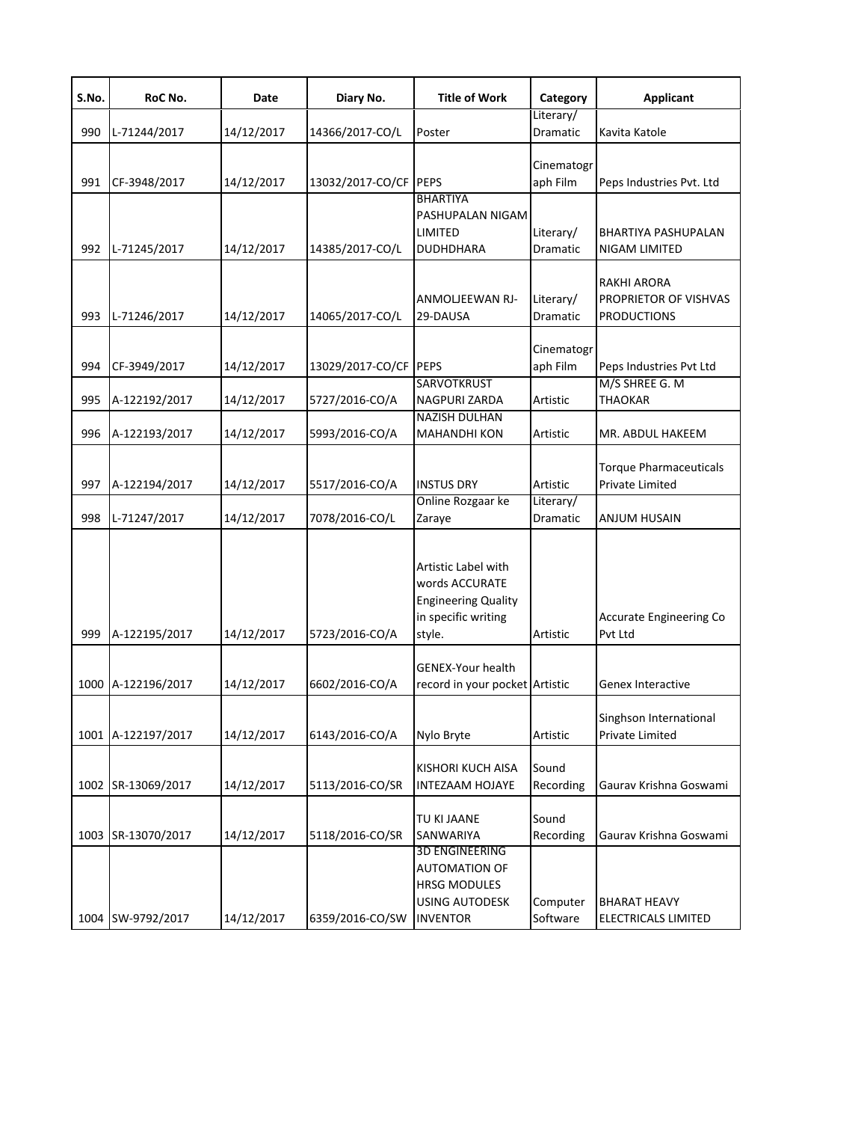| S.No. | RoC No.            | Date       | Diary No.             | <b>Title of Work</b>                                                                                             | Category               | Applicant                                                         |
|-------|--------------------|------------|-----------------------|------------------------------------------------------------------------------------------------------------------|------------------------|-------------------------------------------------------------------|
| 990   | L-71244/2017       | 14/12/2017 | 14366/2017-CO/L       | Poster                                                                                                           | Literary/<br>Dramatic  | Kavita Katole                                                     |
| 991   | CF-3948/2017       | 14/12/2017 | 13032/2017-CO/CF      | PEPS<br><b>BHARTIYA</b><br>PASHUPALAN NIGAM                                                                      | Cinematogr<br>aph Film | Peps Industries Pvt. Ltd                                          |
| 992   | L-71245/2017       | 14/12/2017 | 14385/2017-CO/L       | <b>LIMITED</b><br><b>DUDHDHARA</b>                                                                               | Literary/<br>Dramatic  | BHARTIYA PASHUPALAN<br>NIGAM LIMITED                              |
| 993   | L-71246/2017       | 14/12/2017 | 14065/2017-CO/L       | ANMOLJEEWAN RJ-<br>29-DAUSA                                                                                      | Literary/<br>Dramatic  | <b>RAKHI ARORA</b><br>PROPRIETOR OF VISHVAS<br><b>PRODUCTIONS</b> |
| 994   | CF-3949/2017       | 14/12/2017 | 13029/2017-CO/CF PEPS |                                                                                                                  | Cinematogr<br>aph Film | Peps Industries Pvt Ltd                                           |
| 995   | A-122192/2017      | 14/12/2017 | 5727/2016-CO/A        | <b>SARVOTKRUST</b><br>NAGPURI ZARDA                                                                              | Artistic               | M/S SHREE G. M<br><b>THAOKAR</b>                                  |
| 996   | A-122193/2017      | 14/12/2017 | 5993/2016-CO/A        | <b>NAZISH DULHAN</b><br><b>MAHANDHI KON</b>                                                                      | Artistic               | MR. ABDUL HAKEEM                                                  |
| 997   | A-122194/2017      | 14/12/2017 | 5517/2016-CO/A        | <b>INSTUS DRY</b>                                                                                                | Artistic               | <b>Torque Pharmaceuticals</b><br>Private Limited                  |
| 998   | L-71247/2017       | 14/12/2017 | 7078/2016-CO/L        | Online Rozgaar ke<br>Zaraye                                                                                      | Literary/<br>Dramatic  | ANJUM HUSAIN                                                      |
| 999   | A-122195/2017      | 14/12/2017 | 5723/2016-CO/A        | Artistic Label with<br>words ACCURATE<br><b>Engineering Quality</b><br>in specific writing<br>style.             | Artistic               | Accurate Engineering Co<br>Pvt Ltd                                |
|       | 1000 A-122196/2017 | 14/12/2017 | 6602/2016-CO/A        | <b>GENEX-Your health</b><br>record in your pocket Artistic                                                       |                        | Genex Interactive                                                 |
|       | 1001 A-122197/2017 | 14/12/2017 | 6143/2016-CO/A        | Nylo Bryte                                                                                                       | Artistic               | Singhson International<br>Private Limited                         |
|       | 1002 SR-13069/2017 | 14/12/2017 | 5113/2016-CO/SR       | <b>KISHORI KUCH AISA</b><br><b>INTEZAAM HOJAYE</b>                                                               | Sound<br>Recording     | Gaurav Krishna Goswami                                            |
|       | 1003 SR-13070/2017 | 14/12/2017 | 5118/2016-CO/SR       | <b>TU KI JAANE</b><br><b>SANWARIYA</b>                                                                           | Sound<br>Recording     | Gaurav Krishna Goswami                                            |
|       | 1004 SW-9792/2017  | 14/12/2017 | 6359/2016-CO/SW       | <b>3D ENGINEERING</b><br><b>AUTOMATION OF</b><br><b>HRSG MODULES</b><br><b>USING AUTODESK</b><br><b>INVENTOR</b> | Computer<br>Software   | <b>BHARAT HEAVY</b><br>ELECTRICALS LIMITED                        |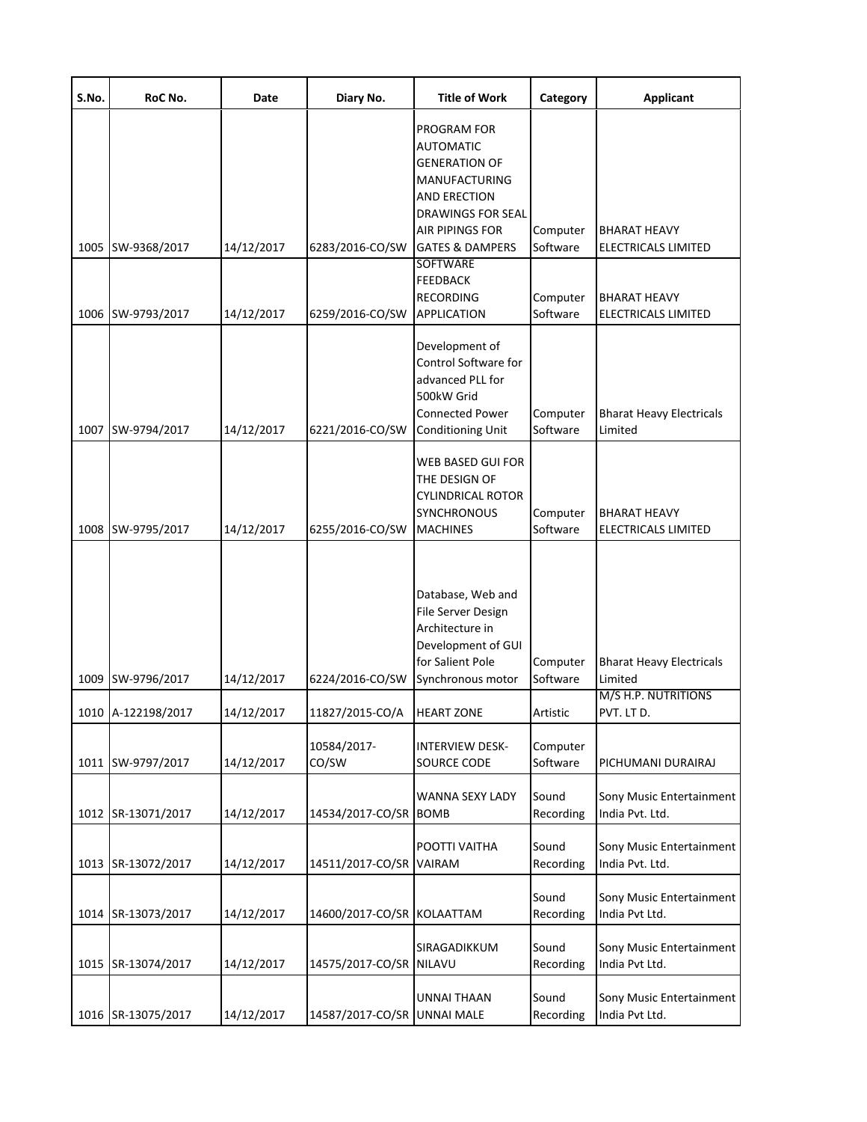| S.No. | RoC No.                            | Date                     | Diary No.                          | <b>Title of Work</b>                                                                                                                           | Category                         | <b>Applicant</b>                                                                |
|-------|------------------------------------|--------------------------|------------------------------------|------------------------------------------------------------------------------------------------------------------------------------------------|----------------------------------|---------------------------------------------------------------------------------|
|       |                                    |                          |                                    | PROGRAM FOR<br><b>AUTOMATIC</b><br><b>GENERATION OF</b><br>MANUFACTURING<br>AND ERECTION<br><b>DRAWINGS FOR SEAL</b>                           |                                  |                                                                                 |
| 1005  | SW-9368/2017                       | 14/12/2017               | 6283/2016-CO/SW                    | <b>AIR PIPINGS FOR</b><br><b>GATES &amp; DAMPERS</b>                                                                                           | Computer<br>Software             | <b>BHARAT HEAVY</b><br>ELECTRICALS LIMITED                                      |
| 1006  | SW-9793/2017                       | 14/12/2017               | 6259/2016-CO/SW                    | <b>SOFTWARE</b><br><b>FEEDBACK</b><br><b>RECORDING</b><br><b>APPLICATION</b>                                                                   | Computer<br>Software             | <b>BHARAT HEAVY</b><br><b>ELECTRICALS LIMITED</b>                               |
| 1007  | SW-9794/2017                       | 14/12/2017               | 6221/2016-CO/SW                    | Development of<br>Control Software for<br>advanced PLL for<br>500kW Grid<br><b>Connected Power</b><br><b>Conditioning Unit</b>                 | Computer<br>Software             | <b>Bharat Heavy Electricals</b><br>Limited                                      |
| 1008  | SW-9795/2017                       | 14/12/2017               | 6255/2016-CO/SW                    | WEB BASED GUI FOR<br>THE DESIGN OF<br>CYLINDRICAL ROTOR<br><b>SYNCHRONOUS</b><br><b>MACHINES</b>                                               | Computer<br>Software             | <b>BHARAT HEAVY</b><br><b>ELECTRICALS LIMITED</b>                               |
| 1009  | SW-9796/2017<br>1010 A-122198/2017 | 14/12/2017<br>14/12/2017 | 6224/2016-CO/SW<br>11827/2015-CO/A | Database, Web and<br>File Server Design<br>Architecture in<br>Development of GUI<br>for Salient Pole<br>Synchronous motor<br><b>HEART ZONE</b> | Computer<br>Software<br>Artistic | <b>Bharat Heavy Electricals</b><br>Limited<br>M/S H.P. NUTRITIONS<br>PVT. LT D. |
| 1011  | SW-9797/2017                       | 14/12/2017               | 10584/2017-<br>CO/SW               | <b>INTERVIEW DESK-</b><br><b>SOURCE CODE</b>                                                                                                   | Computer<br>Software             | PICHUMANI DURAIRAJ                                                              |
|       | 1012 SR-13071/2017                 | 14/12/2017               | 14534/2017-CO/SR                   | WANNA SEXY LADY<br><b>BOMB</b>                                                                                                                 | Sound<br>Recording               | Sony Music Entertainment<br>India Pvt. Ltd.                                     |
|       | 1013 SR-13072/2017                 | 14/12/2017               | 14511/2017-CO/SR                   | POOTTI VAITHA<br><b>VAIRAM</b>                                                                                                                 | Sound<br>Recording               | Sony Music Entertainment<br>India Pvt. Ltd.                                     |
|       | 1014 SR-13073/2017                 | 14/12/2017               | 14600/2017-CO/SR KOLAATTAM         |                                                                                                                                                | Sound<br>Recording               | Sony Music Entertainment<br>India Pvt Ltd.                                      |
|       | 1015 SR-13074/2017                 | 14/12/2017               | 14575/2017-CO/SR                   | SIRAGADIKKUM<br>NILAVU                                                                                                                         | Sound<br>Recording               | Sony Music Entertainment<br>India Pvt Ltd.                                      |
| 1016  | SR-13075/2017                      | 14/12/2017               | 14587/2017-CO/SR UNNAI MALE        | UNNAI THAAN                                                                                                                                    | Sound<br>Recording               | Sony Music Entertainment<br>India Pvt Ltd.                                      |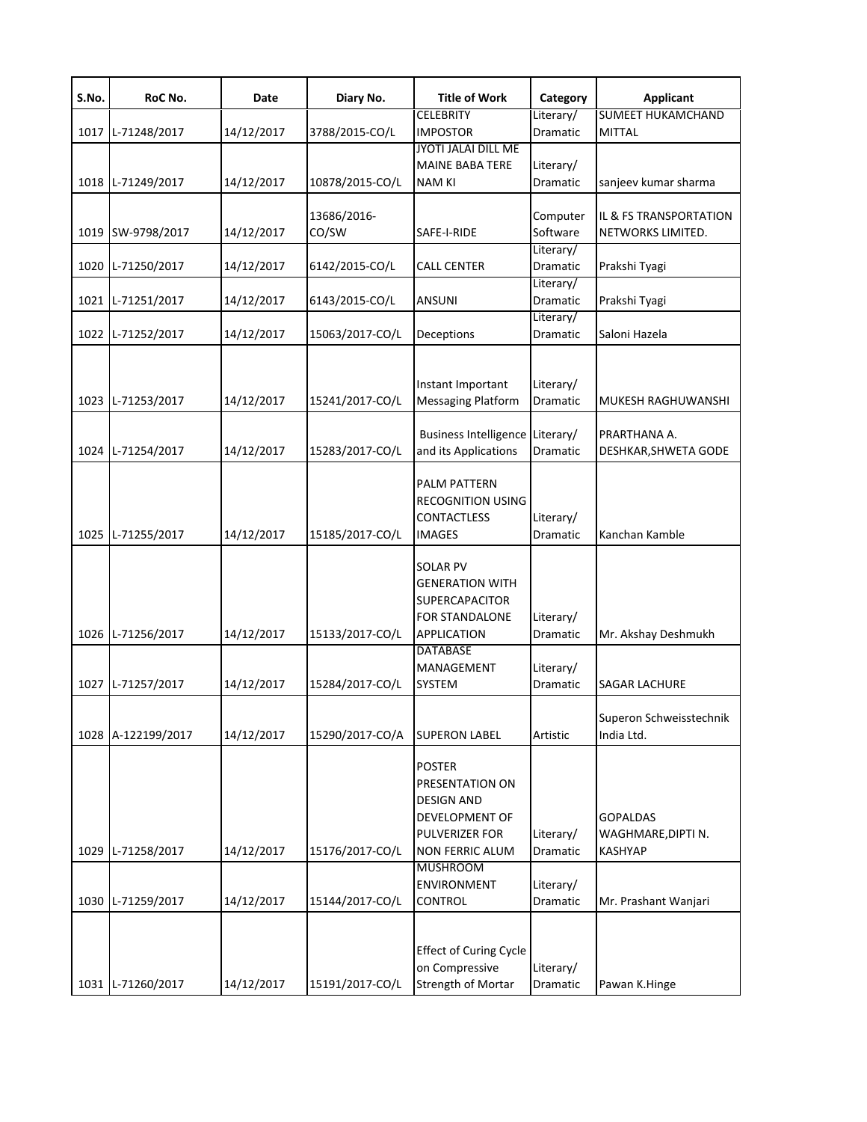| S.No. | RoC No.            | Date       | Diary No.       | <b>Title of Work</b>                            | Category              | <b>Applicant</b>                          |
|-------|--------------------|------------|-----------------|-------------------------------------------------|-----------------------|-------------------------------------------|
|       | 1017 L-71248/2017  | 14/12/2017 | 3788/2015-CO/L  | <b>CELEBRITY</b><br><b>IMPOSTOR</b>             | Literary/<br>Dramatic | <b>SUMEET HUKAMCHAND</b><br><b>MITTAL</b> |
|       |                    |            |                 | JYOTI JALAI DILL ME                             |                       |                                           |
|       |                    |            |                 | <b>MAINE BABA TERE</b>                          | Literary/             |                                           |
|       | 1018 L-71249/2017  | 14/12/2017 | 10878/2015-CO/L | <b>NAM KI</b>                                   | Dramatic              | sanjeev kumar sharma                      |
|       |                    |            | 13686/2016-     |                                                 | Computer              | IL & FS TRANSPORTATION                    |
|       | 1019 SW-9798/2017  | 14/12/2017 | CO/SW           | SAFE-I-RIDE                                     | Software              | NETWORKS LIMITED.                         |
|       |                    |            |                 |                                                 | Literary/             |                                           |
| 1020  | L-71250/2017       | 14/12/2017 | 6142/2015-CO/L  | <b>CALL CENTER</b>                              | Dramatic<br>Literary/ | Prakshi Tyagi                             |
|       | 1021 L-71251/2017  | 14/12/2017 | 6143/2015-CO/L  | <b>ANSUNI</b>                                   | Dramatic              | Prakshi Tyagi                             |
|       |                    |            |                 |                                                 | Literary/             |                                           |
|       | 1022 L-71252/2017  | 14/12/2017 | 15063/2017-CO/L | Deceptions                                      | Dramatic              | Saloni Hazela                             |
|       |                    |            |                 |                                                 |                       |                                           |
|       |                    |            |                 | Instant Important                               | Literary/             |                                           |
|       | 1023 L-71253/2017  | 14/12/2017 | 15241/2017-CO/L | <b>Messaging Platform</b>                       | Dramatic              | MUKESH RAGHUWANSHI                        |
|       |                    |            |                 | Business Intelligence Literary/                 |                       | PRARTHANA A.                              |
|       | 1024 L-71254/2017  | 14/12/2017 | 15283/2017-CO/L | and its Applications                            | Dramatic              | DESHKAR, SHWETA GODE                      |
|       |                    |            |                 |                                                 |                       |                                           |
|       |                    |            |                 | PALM PATTERN                                    |                       |                                           |
|       |                    |            |                 | <b>RECOGNITION USING</b><br><b>CONTACTLESS</b>  | Literary/             |                                           |
|       | 1025 L-71255/2017  | 14/12/2017 | 15185/2017-CO/L | <b>IMAGES</b>                                   | Dramatic              | Kanchan Kamble                            |
|       |                    |            |                 |                                                 |                       |                                           |
|       |                    |            |                 | <b>SOLAR PV</b>                                 |                       |                                           |
|       |                    |            |                 | <b>GENERATION WITH</b><br><b>SUPERCAPACITOR</b> |                       |                                           |
|       |                    |            |                 | <b>FOR STANDALONE</b>                           | Literary/             |                                           |
|       | 1026 L-71256/2017  | 14/12/2017 | 15133/2017-CO/L | <b>APPLICATION</b>                              | Dramatic              | Mr. Akshay Deshmukh                       |
|       |                    |            |                 | <b>DATABASE</b>                                 |                       |                                           |
|       | 1027 L-71257/2017  | 14/12/2017 | 15284/2017-CO/L | <b>MANAGEMENT</b><br><b>SYSTEM</b>              | Literary/<br>Dramatic | <b>SAGAR LACHURE</b>                      |
|       |                    |            |                 |                                                 |                       |                                           |
|       |                    |            |                 |                                                 |                       | Superon Schweisstechnik                   |
|       | 1028 A-122199/2017 | 14/12/2017 | 15290/2017-CO/A | <b>SUPERON LABEL</b>                            | Artistic              | India Ltd.                                |
|       |                    |            |                 | <b>POSTER</b>                                   |                       |                                           |
|       |                    |            |                 | PRESENTATION ON                                 |                       |                                           |
|       |                    |            |                 | <b>DESIGN AND</b>                               |                       |                                           |
|       |                    |            |                 | DEVELOPMENT OF                                  |                       | <b>GOPALDAS</b>                           |
|       |                    |            |                 | PULVERIZER FOR                                  | Literary/             | WAGHMARE, DIPTI N.                        |
|       | 1029 L-71258/2017  | 14/12/2017 | 15176/2017-CO/L | <b>NON FERRIC ALUM</b><br><b>MUSHROOM</b>       | Dramatic              | <b>KASHYAP</b>                            |
|       |                    |            |                 | <b>ENVIRONMENT</b>                              | Literary/             |                                           |
|       | 1030 L-71259/2017  | 14/12/2017 | 15144/2017-CO/L | <b>CONTROL</b>                                  | Dramatic              | Mr. Prashant Wanjari                      |
|       |                    |            |                 |                                                 |                       |                                           |
|       |                    |            |                 | <b>Effect of Curing Cycle</b>                   |                       |                                           |
|       |                    |            |                 | on Compressive                                  | Literary/             |                                           |
|       | 1031 L-71260/2017  | 14/12/2017 | 15191/2017-CO/L | <b>Strength of Mortar</b>                       | Dramatic              | Pawan K.Hinge                             |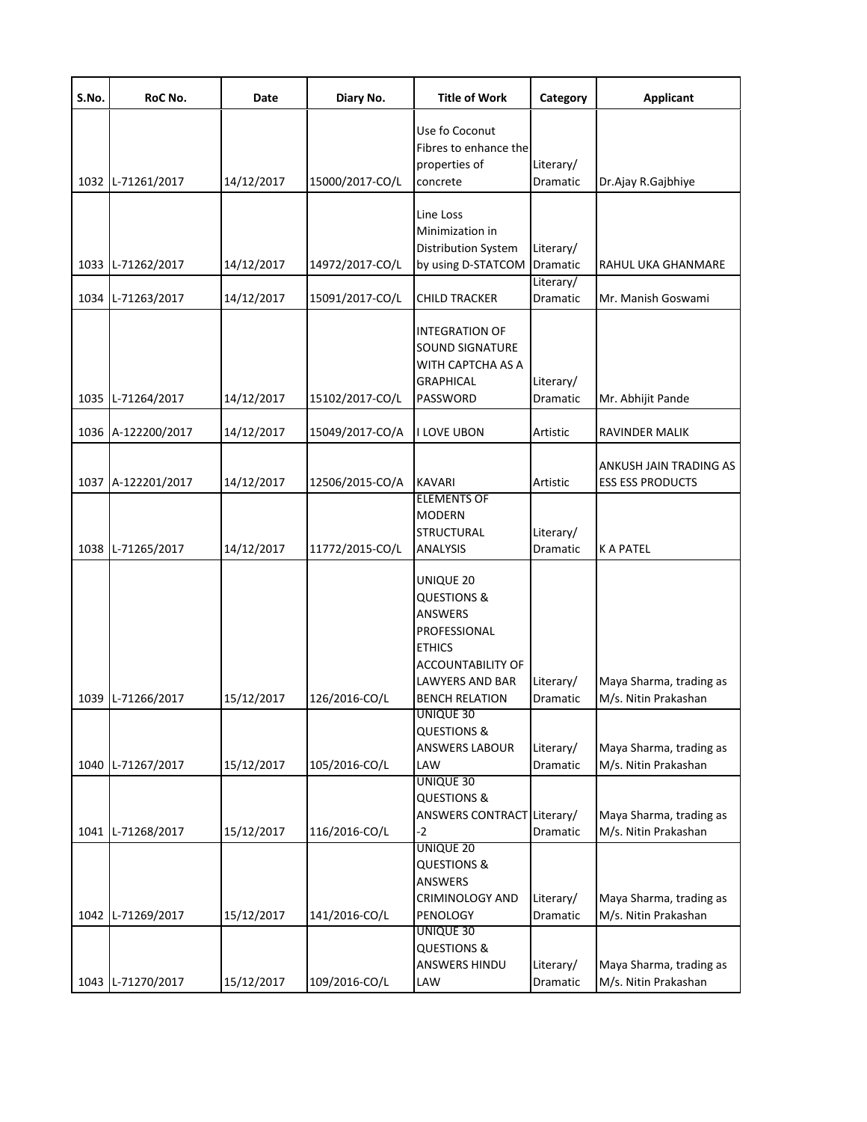| S.No. | RoC No.            | Date       | Diary No.       | <b>Title of Work</b>                                                                                                                             | Category              | <b>Applicant</b>                                  |
|-------|--------------------|------------|-----------------|--------------------------------------------------------------------------------------------------------------------------------------------------|-----------------------|---------------------------------------------------|
|       | 1032 L-71261/2017  | 14/12/2017 | 15000/2017-CO/L | Use fo Coconut<br>Fibres to enhance the<br>properties of<br>concrete                                                                             | Literary/<br>Dramatic | Dr.Ajay R.Gajbhiye                                |
| 1033  | L-71262/2017       | 14/12/2017 | 14972/2017-CO/L | Line Loss<br>Minimization in<br>Distribution System<br>by using D-STATCOM                                                                        | Literary/<br>Dramatic | RAHUL UKA GHANMARE                                |
| 1034  | L-71263/2017       | 14/12/2017 | 15091/2017-CO/L | <b>CHILD TRACKER</b>                                                                                                                             | Literary/<br>Dramatic | Mr. Manish Goswami                                |
|       | 1035 L-71264/2017  | 14/12/2017 | 15102/2017-CO/L | INTEGRATION OF<br>SOUND SIGNATURE<br>WITH CAPTCHA AS A<br>GRAPHICAL<br>PASSWORD                                                                  | Literary/<br>Dramatic | Mr. Abhijit Pande                                 |
| 1036  | A-122200/2017      | 14/12/2017 | 15049/2017-CO/A | I LOVE UBON                                                                                                                                      | Artistic              | RAVINDER MALIK                                    |
|       | 1037 A-122201/2017 | 14/12/2017 | 12506/2015-CO/A | <b>KAVARI</b>                                                                                                                                    | Artistic              | ANKUSH JAIN TRADING AS<br><b>ESS ESS PRODUCTS</b> |
|       | 1038 L-71265/2017  | 14/12/2017 | 11772/2015-CO/L | <b>ELEMENTS OF</b><br><b>MODERN</b><br><b>STRUCTURAL</b><br><b>ANALYSIS</b>                                                                      | Literary/<br>Dramatic | <b>K A PATEL</b>                                  |
|       | 1039 L-71266/2017  | 15/12/2017 | 126/2016-CO/L   | UNIQUE 20<br><b>QUESTIONS &amp;</b><br>ANSWERS<br>PROFESSIONAL<br><b>ETHICS</b><br>ACCOUNTABILITY OF<br>LAWYERS AND BAR<br><b>BENCH RELATION</b> | Literary/<br>Dramatic | Maya Sharma, trading as<br>M/s. Nitin Prakashan   |
|       |                    |            |                 | UNIQUE 30<br><b>QUESTIONS &amp;</b><br>ANSWERS LABOUR                                                                                            | Literary/             | Maya Sharma, trading as                           |
|       | 1040 L-71267/2017  | 15/12/2017 | 105/2016-CO/L   | LAW<br>UNIQUE 30<br><b>QUESTIONS &amp;</b>                                                                                                       | Dramatic              | M/s. Nitin Prakashan                              |
|       | 1041 L-71268/2017  | 15/12/2017 | 116/2016-CO/L   | ANSWERS CONTRACT Literary/<br>$-2$                                                                                                               | Dramatic              | Maya Sharma, trading as<br>M/s. Nitin Prakashan   |
|       | 1042 L-71269/2017  | 15/12/2017 | 141/2016-CO/L   | UNIQUE 20<br><b>QUESTIONS &amp;</b><br>ANSWERS<br>CRIMINOLOGY AND<br>PENOLOGY                                                                    | Literary/<br>Dramatic | Maya Sharma, trading as<br>M/s. Nitin Prakashan   |
|       | 1043 L-71270/2017  | 15/12/2017 | 109/2016-CO/L   | UNIQUE 30<br><b>QUESTIONS &amp;</b><br>ANSWERS HINDU<br>LAW                                                                                      | Literary/<br>Dramatic | Maya Sharma, trading as<br>M/s. Nitin Prakashan   |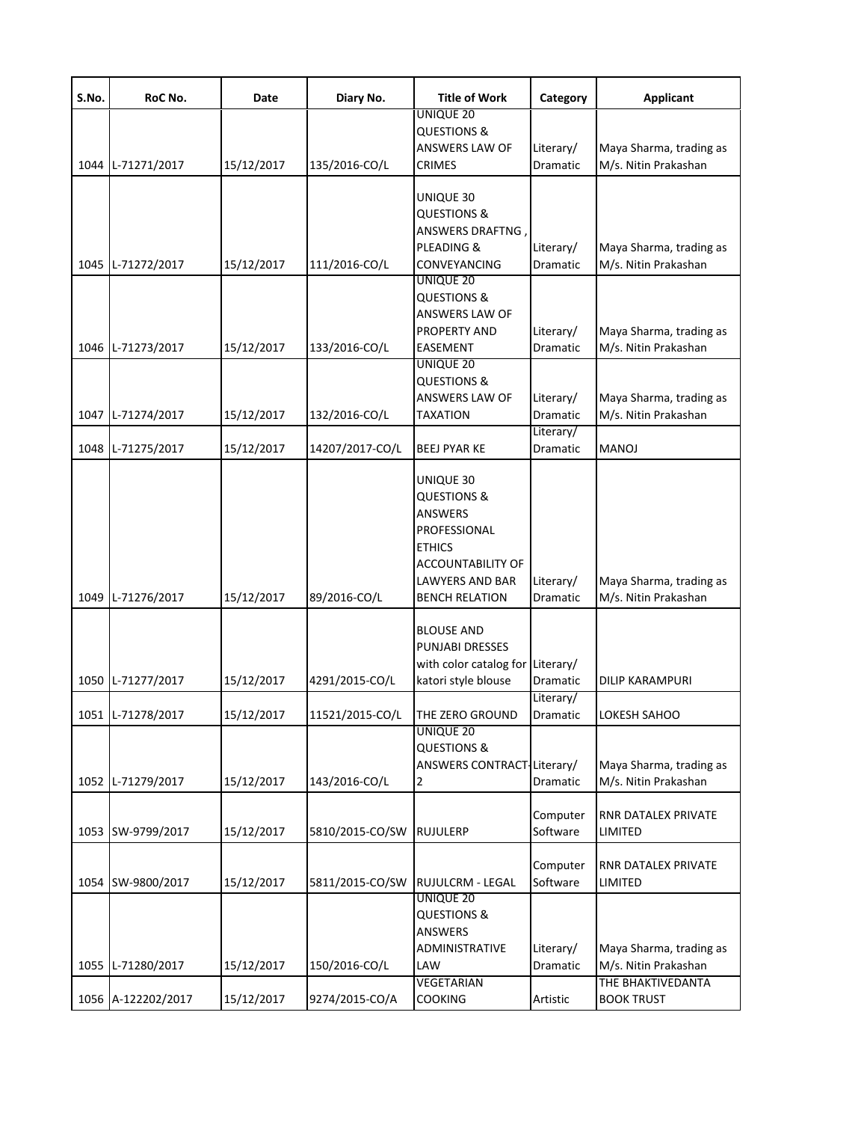| S.No. | RoC No.           | Date       | Diary No.       | <b>Title of Work</b>                                                                                                                                                  | Category              | <b>Applicant</b>                                                     |
|-------|-------------------|------------|-----------------|-----------------------------------------------------------------------------------------------------------------------------------------------------------------------|-----------------------|----------------------------------------------------------------------|
|       |                   |            |                 | UNIQUE 20<br><b>QUESTIONS &amp;</b>                                                                                                                                   |                       |                                                                      |
|       |                   |            |                 | <b>ANSWERS LAW OF</b>                                                                                                                                                 | Literary/             | Maya Sharma, trading as                                              |
| 1044  | L-71271/2017      | 15/12/2017 | 135/2016-CO/L   | <b>CRIMES</b>                                                                                                                                                         | Dramatic              | M/s. Nitin Prakashan                                                 |
| 1045  | L-71272/2017      | 15/12/2017 | 111/2016-CO/L   | UNIQUE 30<br><b>QUESTIONS &amp;</b><br><b>ANSWERS DRAFTNG</b><br>PLEADING &<br><b>CONVEYANCING</b>                                                                    | Literary/<br>Dramatic | Maya Sharma, trading as<br>M/s. Nitin Prakashan                      |
| 1046  | L-71273/2017      | 15/12/2017 | 133/2016-CO/L   | UNIQUE 20<br><b>QUESTIONS &amp;</b><br>ANSWERS LAW OF<br>PROPERTY AND<br>EASEMENT<br><b>UNIQUE 20</b>                                                                 | Literary/<br>Dramatic | Maya Sharma, trading as<br>M/s. Nitin Prakashan                      |
| 1047  | L-71274/2017      | 15/12/2017 | 132/2016-CO/L   | <b>QUESTIONS &amp;</b><br><b>ANSWERS LAW OF</b><br><b>TAXATION</b>                                                                                                    | Literary/<br>Dramatic | Maya Sharma, trading as<br>M/s. Nitin Prakashan                      |
| 1048  | L-71275/2017      | 15/12/2017 | 14207/2017-CO/L | <b>BEEJ PYAR KE</b>                                                                                                                                                   | Literary/<br>Dramatic | <b>MANOJ</b>                                                         |
|       | 1049 L-71276/2017 | 15/12/2017 | 89/2016-CO/L    | UNIQUE 30<br><b>QUESTIONS &amp;</b><br><b>ANSWERS</b><br>PROFESSIONAL<br><b>ETHICS</b><br><b>ACCOUNTABILITY OF</b><br><b>LAWYERS AND BAR</b><br><b>BENCH RELATION</b> | Literary/<br>Dramatic | Maya Sharma, trading as<br>M/s. Nitin Prakashan                      |
| 1050  | L-71277/2017      | 15/12/2017 | 4291/2015-CO/L  | <b>BLOUSE AND</b><br>PUNJABI DRESSES<br>with color catalog for Literary/<br>katori style blouse                                                                       | Dramatic              | <b>DILIP KARAMPURI</b>                                               |
|       | 1051 L-71278/2017 | 15/12/2017 | 11521/2015-CO/L | THE ZERO GROUND                                                                                                                                                       | Literary/<br>Dramatic | LOKESH SAHOO                                                         |
| 1052  | L-71279/2017      | 15/12/2017 | 143/2016-CO/L   | <b>UNIQUE 20</b><br><b>QUESTIONS &amp;</b><br>ANSWERS CONTRACT-Literary/<br>$\overline{a}$                                                                            | Dramatic              | Maya Sharma, trading as<br>M/s. Nitin Prakashan                      |
| 1053  | SW-9799/2017      | 15/12/2017 | 5810/2015-CO/SW | <b>RUJULERP</b>                                                                                                                                                       | Computer<br>Software  | RNR DATALEX PRIVATE<br>LIMITED                                       |
| 1054  | SW-9800/2017      | 15/12/2017 | 5811/2015-CO/SW | RUJULCRM - LEGAL<br><b>UNIQUE 20</b>                                                                                                                                  | Computer<br>Software  | RNR DATALEX PRIVATE<br>LIMITED                                       |
| 1055  | L-71280/2017      | 15/12/2017 | 150/2016-CO/L   | <b>QUESTIONS &amp;</b><br>ANSWERS<br>ADMINISTRATIVE<br>LAW<br>VEGETARIAN                                                                                              | Literary/<br>Dramatic | Maya Sharma, trading as<br>M/s. Nitin Prakashan<br>THE BHAKTIVEDANTA |
| 1056  | A-122202/2017     | 15/12/2017 | 9274/2015-CO/A  | <b>COOKING</b>                                                                                                                                                        | Artistic              | <b>BOOK TRUST</b>                                                    |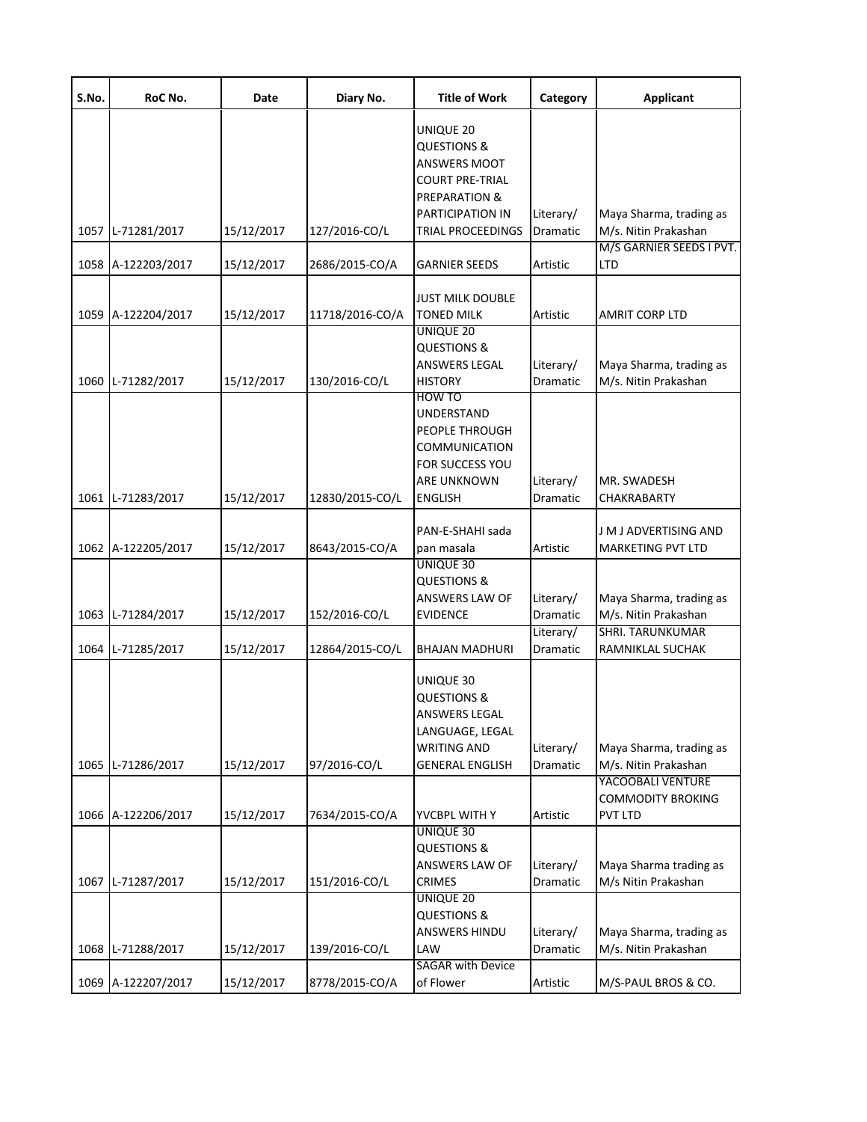| S.No. | RoC No.            | Date       | Diary No.       | <b>Title of Work</b>                                                                                                                    | Category                           | <b>Applicant</b>                                                           |
|-------|--------------------|------------|-----------------|-----------------------------------------------------------------------------------------------------------------------------------------|------------------------------------|----------------------------------------------------------------------------|
| 1057  | L-71281/2017       | 15/12/2017 | 127/2016-CO/L   | UNIQUE 20<br><b>QUESTIONS &amp;</b><br>ANSWERS MOOT<br><b>COURT PRE-TRIAL</b><br>PREPARATION &<br>PARTICIPATION IN<br>TRIAL PROCEEDINGS | Literary/<br>Dramatic              | Maya Sharma, trading as<br>M/s. Nitin Prakashan                            |
|       |                    |            |                 |                                                                                                                                         |                                    | M/S GARNIER SEEDS I PVT.                                                   |
| 1058  | A-122203/2017      | 15/12/2017 | 2686/2015-CO/A  | GARNIER SEEDS                                                                                                                           | Artistic                           | <b>LTD</b>                                                                 |
| 1059  | A-122204/2017      | 15/12/2017 | 11718/2016-CO/A | <b>JUST MILK DOUBLE</b><br><b>TONED MILK</b><br><b>UNIQUE 20</b>                                                                        | Artistic                           | <b>AMRIT CORP LTD</b>                                                      |
| 1060  | L-71282/2017       | 15/12/2017 | 130/2016-CO/L   | <b>QUESTIONS &amp;</b><br>ANSWERS LEGAL<br><b>HISTORY</b>                                                                               | Literary/<br>Dramatic              | Maya Sharma, trading as<br>M/s. Nitin Prakashan                            |
| 1061  | L-71283/2017       | 15/12/2017 | 12830/2015-CO/L | HOW TO<br>UNDERSTAND<br>PEOPLE THROUGH<br><b>COMMUNICATION</b><br>FOR SUCCESS YOU<br><b>ARE UNKNOWN</b><br><b>ENGLISH</b>               | Literary/<br>Dramatic              | MR. SWADESH<br>CHAKRABARTY                                                 |
|       | 1062 A-122205/2017 | 15/12/2017 | 8643/2015-CO/A  | PAN-E-SHAHI sada<br>pan masala                                                                                                          | Artistic                           | J M J ADVERTISING AND<br><b>MARKETING PVT LTD</b>                          |
| 1063  | L-71284/2017       | 15/12/2017 | 152/2016-CO/L   | UNIQUE 30<br>QUESTIONS &<br>ANSWERS LAW OF<br><b>EVIDENCE</b>                                                                           | Literary/<br>Dramatic<br>Literary/ | Maya Sharma, trading as<br>M/s. Nitin Prakashan<br><b>SHRI. TARUNKUMAR</b> |
| 1064  | L-71285/2017       | 15/12/2017 | 12864/2015-CO/L | <b>BHAJAN MADHURI</b>                                                                                                                   | Dramatic                           | RAMNIKLAL SUCHAK                                                           |
| 1065  | L-71286/2017       | 15/12/2017 | 97/2016-CO/L    | UNIQUE 30<br><b>QUESTIONS &amp;</b><br>ANSWERS LEGAL<br>LANGUAGE, LEGAL<br><b>WRITING AND</b><br><b>GENERAL ENGLISH</b>                 | Literary/<br>Dramatic              | Maya Sharma, trading as<br>M/s. Nitin Prakashan                            |
|       |                    |            |                 |                                                                                                                                         |                                    | YACOOBALI VENTURE                                                          |
| 1066  | A-122206/2017      | 15/12/2017 | 7634/2015-CO/A  | YVCBPL WITH Y                                                                                                                           | Artistic                           | <b>COMMODITY BROKING</b><br><b>PVT LTD</b>                                 |
| 1067  | L-71287/2017       | 15/12/2017 | 151/2016-CO/L   | UNIQUE 30<br><b>QUESTIONS &amp;</b><br>ANSWERS LAW OF<br>CRIMES                                                                         | Literary/<br>Dramatic              | Maya Sharma trading as<br>M/s Nitin Prakashan                              |
| 1068  | L-71288/2017       | 15/12/2017 | 139/2016-CO/L   | UNIQUE 20<br><b>QUESTIONS &amp;</b><br>ANSWERS HINDU<br>LAW                                                                             | Literary/<br>Dramatic              | Maya Sharma, trading as<br>M/s. Nitin Prakashan                            |
| 1069  | A-122207/2017      | 15/12/2017 | 8778/2015-CO/A  | <b>SAGAR with Device</b><br>of Flower                                                                                                   | Artistic                           | M/S-PAUL BROS & CO.                                                        |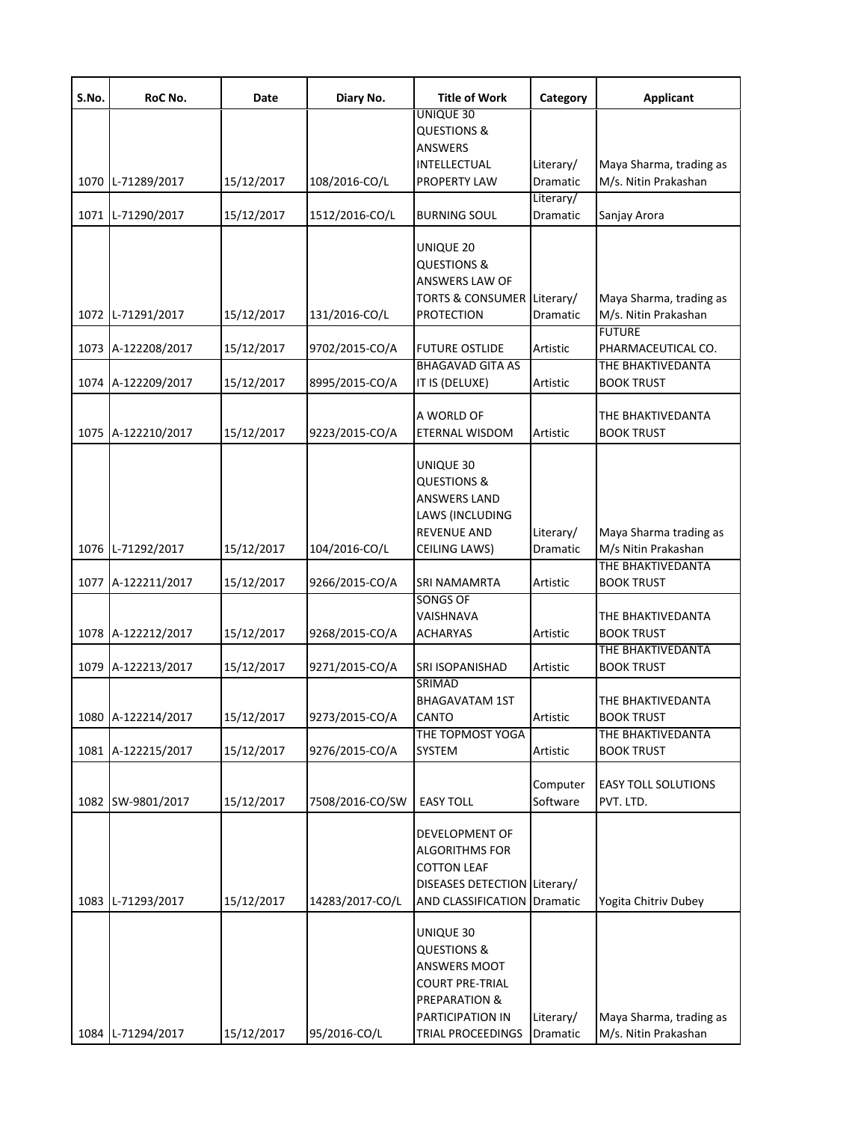| S.No. | RoC No.            | Date       | Diary No.       | Title of Work                                                                                                                           | Category              | <b>Applicant</b>                                                   |
|-------|--------------------|------------|-----------------|-----------------------------------------------------------------------------------------------------------------------------------------|-----------------------|--------------------------------------------------------------------|
| 1070  | L-71289/2017       | 15/12/2017 | 108/2016-CO/L   | UNIQUE 30<br><b>QUESTIONS &amp;</b><br><b>ANSWERS</b><br>INTELLECTUAL<br><b>PROPERTY LAW</b>                                            | Literary/<br>Dramatic | Maya Sharma, trading as<br>M/s. Nitin Prakashan                    |
| 1071  | L-71290/2017       | 15/12/2017 | 1512/2016-CO/L  | <b>BURNING SOUL</b>                                                                                                                     | Literary/<br>Dramatic | Sanjay Arora                                                       |
| 1072  | L-71291/2017       | 15/12/2017 | 131/2016-CO/L   | UNIQUE 20<br><b>QUESTIONS &amp;</b><br>ANSWERS LAW OF<br><b>TORTS &amp; CONSUMER</b><br><b>PROTECTION</b>                               | Literary/<br>Dramatic | Maya Sharma, trading as<br>M/s. Nitin Prakashan                    |
| 1073  | A-122208/2017      | 15/12/2017 | 9702/2015-CO/A  | <b>FUTURE OSTLIDE</b>                                                                                                                   | Artistic              | <b>FUTURE</b><br>PHARMACEUTICAL CO.                                |
| 1074  | A-122209/2017      | 15/12/2017 | 8995/2015-CO/A  | <b>BHAGAVAD GITA AS</b><br>IT IS (DELUXE)                                                                                               | Artistic              | THE BHAKTIVEDANTA<br><b>BOOK TRUST</b>                             |
| 1075  | A-122210/2017      | 15/12/2017 | 9223/2015-CO/A  | A WORLD OF<br>ETERNAL WISDOM                                                                                                            | Artistic              | THE BHAKTIVEDANTA<br><b>BOOK TRUST</b>                             |
| 1076  | L-71292/2017       | 15/12/2017 | 104/2016-CO/L   | UNIQUE 30<br><b>QUESTIONS &amp;</b><br><b>ANSWERS LAND</b><br>LAWS (INCLUDING<br><b>REVENUE AND</b><br>CEILING LAWS)                    | Literary/<br>Dramatic | Maya Sharma trading as<br>M/s Nitin Prakashan<br>THE BHAKTIVEDANTA |
| 1077  | A-122211/2017      | 15/12/2017 | 9266/2015-CO/A  | <b>SRI NAMAMRTA</b>                                                                                                                     | Artistic              | <b>BOOK TRUST</b>                                                  |
|       | 1078 A-122212/2017 | 15/12/2017 | 9268/2015-CO/A  | <b>SONGS OF</b><br>VAISHNAVA<br><b>ACHARYAS</b>                                                                                         | Artistic              | THE BHAKTIVEDANTA<br><b>BOOK TRUST</b>                             |
|       | 1079 A-122213/2017 | 15/12/2017 | 9271/2015-CO/A  | SRI ISOPANISHAD                                                                                                                         | Artistic              | THE BHAKTIVEDANTA<br><b>BOOK TRUST</b>                             |
|       | 1080 A-122214/2017 | 15/12/2017 | 9273/2015-CO/A  | SRIMAD<br><b>BHAGAVATAM 1ST</b><br>CANTO<br>THE TOPMOST YOGA                                                                            | Artistic              | THE BHAKTIVEDANTA<br><b>BOOK TRUST</b><br>THE BHAKTIVEDANTA        |
| 1081  | A-122215/2017      | 15/12/2017 | 9276/2015-CO/A  | <b>SYSTEM</b>                                                                                                                           | Artistic              | <b>BOOK TRUST</b>                                                  |
| 1082  | SW-9801/2017       | 15/12/2017 | 7508/2016-CO/SW | <b>EASY TOLL</b>                                                                                                                        | Computer<br>Software  | <b>EASY TOLL SOLUTIONS</b><br>PVT. LTD.                            |
| 1083  | L-71293/2017       | 15/12/2017 | 14283/2017-CO/L | DEVELOPMENT OF<br><b>ALGORITHMS FOR</b><br><b>COTTON LEAF</b><br>DISEASES DETECTION Literary/<br><b>AND CLASSIFICATION Dramatic</b>     |                       | Yogita Chitriv Dubey                                               |
|       | 1084 L-71294/2017  | 15/12/2017 | 95/2016-CO/L    | UNIQUE 30<br><b>QUESTIONS &amp;</b><br>ANSWERS MOOT<br><b>COURT PRE-TRIAL</b><br>PREPARATION &<br>PARTICIPATION IN<br>TRIAL PROCEEDINGS | Literary/<br>Dramatic | Maya Sharma, trading as<br>M/s. Nitin Prakashan                    |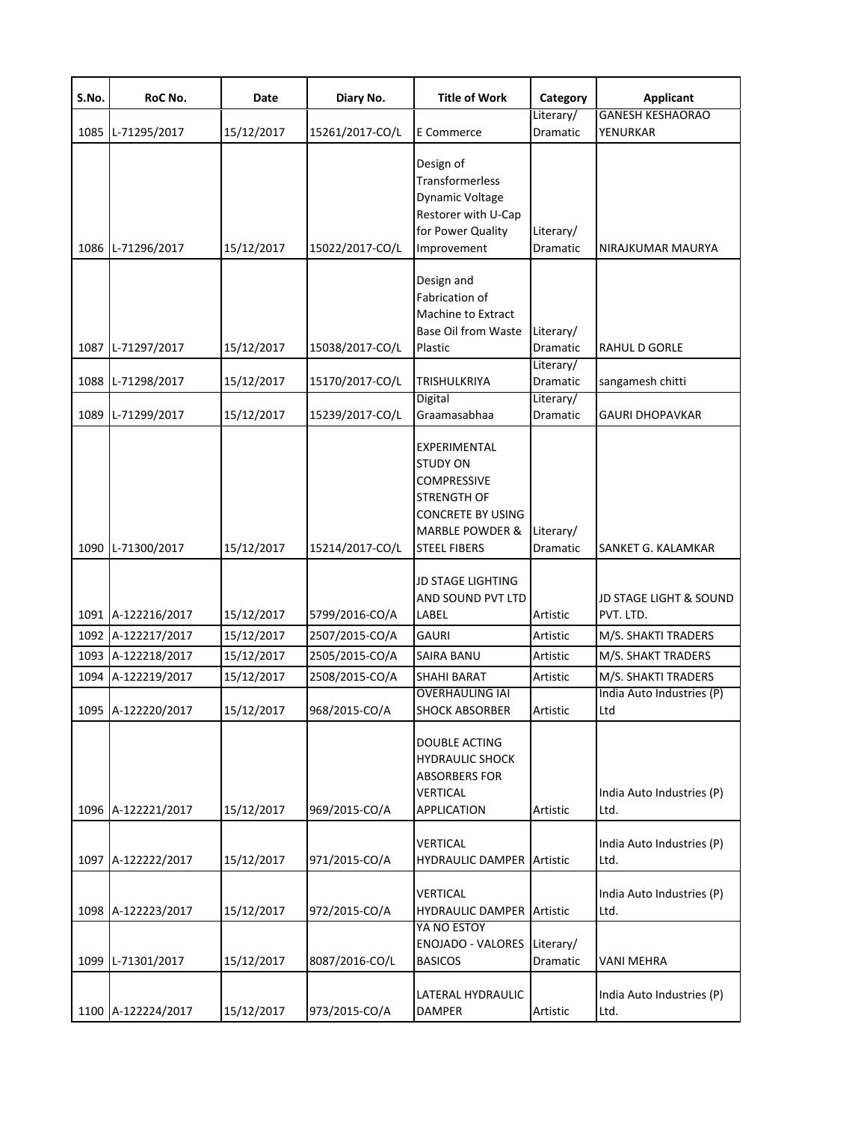| S.No. | RoC No.            | Date       | Diary No.       | <b>Title of Work</b>                                                                                                                                         | Category                           | <b>Applicant</b>                    |
|-------|--------------------|------------|-----------------|--------------------------------------------------------------------------------------------------------------------------------------------------------------|------------------------------------|-------------------------------------|
|       | 1085 L-71295/2017  | 15/12/2017 | 15261/2017-CO/L | E Commerce                                                                                                                                                   | Literary/<br>Dramatic              | <b>GANESH KESHAORAO</b><br>YENURKAR |
|       | 1086 L-71296/2017  | 15/12/2017 | 15022/2017-CO/L | Design of<br>Transformerless<br>Dynamic Voltage<br>Restorer with U-Cap<br>for Power Quality<br>Improvement                                                   | Literary/<br>Dramatic              | NIRAJKUMAR MAURYA                   |
|       | 1087 L-71297/2017  | 15/12/2017 | 15038/2017-CO/L | Design and<br>Fabrication of<br>Machine to Extract<br>Base Oil from Waste<br>Plastic                                                                         | Literary/<br>Dramatic              | RAHUL D GORLE                       |
|       | 1088 L-71298/2017  | 15/12/2017 | 15170/2017-CO/L | <b>TRISHULKRIYA</b><br><b>Digital</b>                                                                                                                        | Literary/<br>Dramatic<br>Literary/ | sangamesh chitti                    |
| 1089  | L-71299/2017       | 15/12/2017 | 15239/2017-CO/L | Graamasabhaa                                                                                                                                                 | Dramatic                           | GAURI DHOPAVKAR                     |
|       | 1090 L-71300/2017  | 15/12/2017 | 15214/2017-CO/L | EXPERIMENTAL<br><b>STUDY ON</b><br><b>COMPRESSIVE</b><br><b>STRENGTH OF</b><br><b>CONCRETE BY USING</b><br><b>MARBLE POWDER &amp;</b><br><b>STEEL FIBERS</b> | Literary/<br>Dramatic              | SANKET G. KALAMKAR                  |
|       | 1091 A-122216/2017 | 15/12/2017 | 5799/2016-CO/A  | <b>JD STAGE LIGHTING</b><br>AND SOUND PVT LTD<br>LABEL                                                                                                       | Artistic                           | JD STAGE LIGHT & SOUND<br>PVT. LTD. |
|       | 1092 A-122217/2017 | 15/12/2017 | 2507/2015-CO/A  | <b>GAURI</b>                                                                                                                                                 | Artistic                           | M/S. SHAKTI TRADERS                 |
|       | 1093 A-122218/2017 | 15/12/2017 | 2505/2015-CO/A  | SAIRA BANU                                                                                                                                                   | Artistic                           | M/S. SHAKT TRADERS                  |
| 1094  | A-122219/2017      | 15/12/2017 | 2508/2015-CO/A  | SHAHI BARAT                                                                                                                                                  | Artistic                           | M/S. SHAKTI TRADERS                 |
|       | 1095 A-122220/2017 | 15/12/2017 | 968/2015-CO/A   | <b>OVERHAULING IAI</b><br><b>SHOCK ABSORBER</b>                                                                                                              | Artistic                           | India Auto Industries (P)<br>Ltd    |
|       | 1096 A-122221/2017 | 15/12/2017 | 969/2015-CO/A   | <b>DOUBLE ACTING</b><br><b>HYDRAULIC SHOCK</b><br><b>ABSORBERS FOR</b><br>VERTICAL<br>APPLICATION                                                            | Artistic                           | India Auto Industries (P)<br>Ltd.   |
|       | 1097 A-122222/2017 | 15/12/2017 | 971/2015-CO/A   | VERTICAL<br>HYDRAULIC DAMPER Artistic                                                                                                                        |                                    | India Auto Industries (P)<br>Ltd.   |
|       | 1098 A-122223/2017 | 15/12/2017 | 972/2015-CO/A   | VERTICAL<br><b>HYDRAULIC DAMPER Artistic</b><br>YA NO ESTOY                                                                                                  |                                    | India Auto Industries (P)<br>Ltd.   |
|       | 1099 L-71301/2017  | 15/12/2017 | 8087/2016-CO/L  | <b>ENOJADO - VALORES</b><br><b>BASICOS</b>                                                                                                                   | Literary/<br>Dramatic              | <b>VANI MEHRA</b>                   |
|       | 1100 A-122224/2017 | 15/12/2017 | 973/2015-CO/A   | LATERAL HYDRAULIC<br><b>DAMPER</b>                                                                                                                           | Artistic                           | India Auto Industries (P)<br>Ltd.   |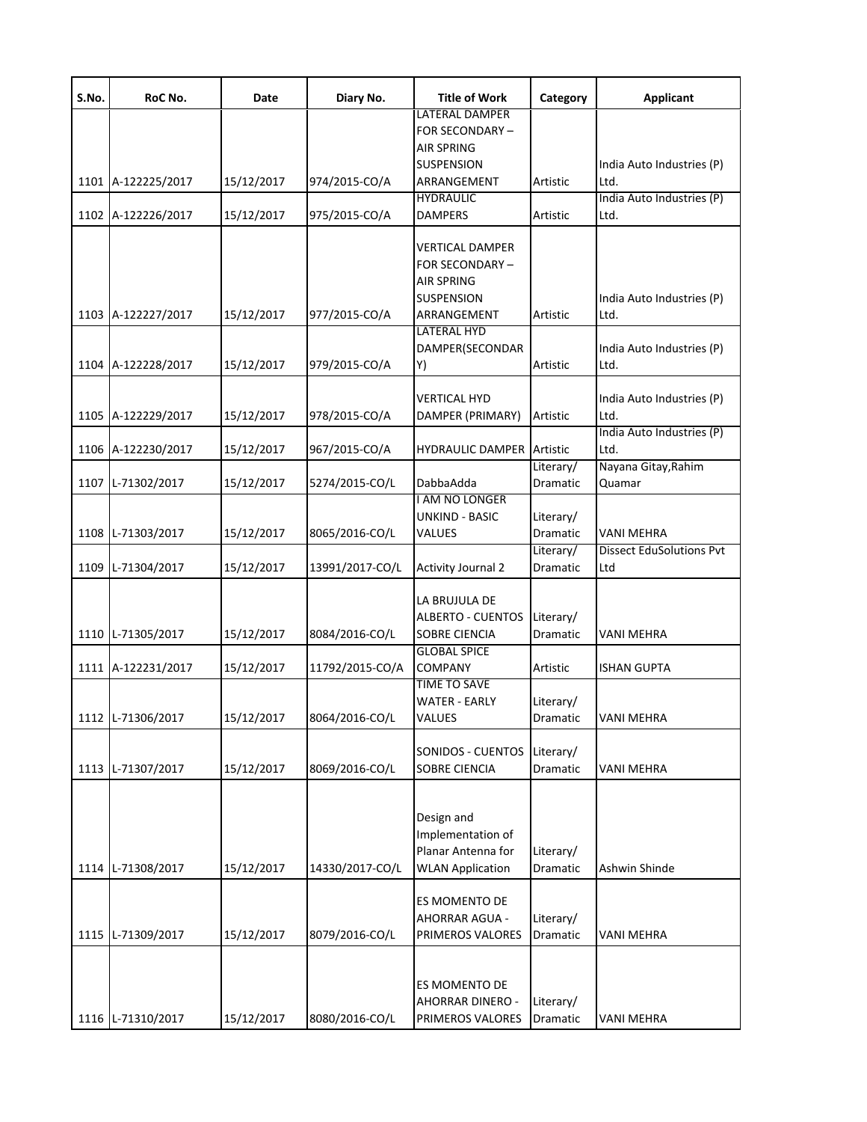| S.No. | RoC No.            | Date       | Diary No.       | <b>Title of Work</b>                                                                             | Category                     | <b>Applicant</b>                       |
|-------|--------------------|------------|-----------------|--------------------------------------------------------------------------------------------------|------------------------------|----------------------------------------|
|       | 1101 A-122225/2017 | 15/12/2017 | 974/2015-CO/A   | <b>LATERAL DAMPER</b><br>FOR SECONDARY-<br><b>AIR SPRING</b><br><b>SUSPENSION</b><br>ARRANGEMENT | Artistic                     | India Auto Industries (P)<br>Ltd.      |
|       | 1102 A-122226/2017 | 15/12/2017 | 975/2015-CO/A   | <b>HYDRAULIC</b><br><b>DAMPERS</b>                                                               | Artistic                     | India Auto Industries (P)<br>Ltd.      |
|       | 1103 A-122227/2017 | 15/12/2017 | 977/2015-CO/A   | VERTICAL DAMPER<br>FOR SECONDARY –<br>AIR SPRING<br>SUSPENSION<br>ARRANGEMENT                    | Artistic                     | India Auto Industries (P)<br>Ltd.      |
|       | 1104 A-122228/2017 | 15/12/2017 | 979/2015-CO/A   | <b>LATERAL HYD</b><br>DAMPER(SECONDAR<br>Y)                                                      | Artistic                     | India Auto Industries (P)<br>Ltd.      |
|       | 1105 A-122229/2017 | 15/12/2017 | 978/2015-CO/A   | VERTICAL HYD<br>DAMPER (PRIMARY)                                                                 | Artistic                     | India Auto Industries (P)<br>Ltd.      |
|       | 1106 A-122230/2017 | 15/12/2017 | 967/2015-CO/A   | HYDRAULIC DAMPER                                                                                 | Artistic                     | India Auto Industries (P)<br>Ltd.      |
| 1107  | L-71302/2017       | 15/12/2017 | 5274/2015-CO/L  | DabbaAdda<br>I AM NO LONGER                                                                      | Literary/<br><b>Dramatic</b> | Nayana Gitay, Rahim<br>Quamar          |
|       | 1108 L-71303/2017  | 15/12/2017 | 8065/2016-CO/L  | UNKIND - BASIC<br>VALUES                                                                         | Literary/<br>Dramatic        | <b>VANI MEHRA</b>                      |
| 1109  | L-71304/2017       | 15/12/2017 | 13991/2017-CO/L | <b>Activity Journal 2</b>                                                                        | Literary/<br>Dramatic        | <b>Dissect EduSolutions Pvt</b><br>Ltd |
|       | 1110 L-71305/2017  | 15/12/2017 | 8084/2016-CO/L  | LA BRUJULA DE<br><b>ALBERTO - CUENTOS</b><br><b>SOBRE CIENCIA</b><br><b>GLOBAL SPICE</b>         | Literary/<br>Dramatic        | VANI MEHRA                             |
|       | 1111 A-122231/2017 | 15/12/2017 | 11792/2015-CO/A | <b>COMPANY</b><br><b>TIME TO SAVE</b>                                                            | Artistic                     | <b>ISHAN GUPTA</b>                     |
|       | 1112 L-71306/2017  | 15/12/2017 | 8064/2016-CO/L  | <b>WATER - EARLY</b><br>VALUES                                                                   | Literary/<br>Dramatic        | <b>VANI MEHRA</b>                      |
|       | 1113 L-71307/2017  | 15/12/2017 | 8069/2016-CO/L  | SONIDOS - CUENTOS<br>SOBRE CIENCIA                                                               | Literary/<br>Dramatic        | VANI MEHRA                             |
| 1114  | L-71308/2017       | 15/12/2017 | 14330/2017-CO/L | Design and<br>Implementation of<br>Planar Antenna for<br><b>WLAN Application</b>                 | Literary/<br>Dramatic        | Ashwin Shinde                          |
|       | 1115 L-71309/2017  | 15/12/2017 | 8079/2016-CO/L  | ES MOMENTO DE<br><b>AHORRAR AGUA -</b><br>PRIMEROS VALORES                                       | Literary/<br>Dramatic        | VANI MEHRA                             |
|       | 1116 L-71310/2017  | 15/12/2017 | 8080/2016-CO/L  | ES MOMENTO DE<br><b>AHORRAR DINERO -</b><br>PRIMEROS VALORES                                     | Literary/<br>Dramatic        | <b>VANI MEHRA</b>                      |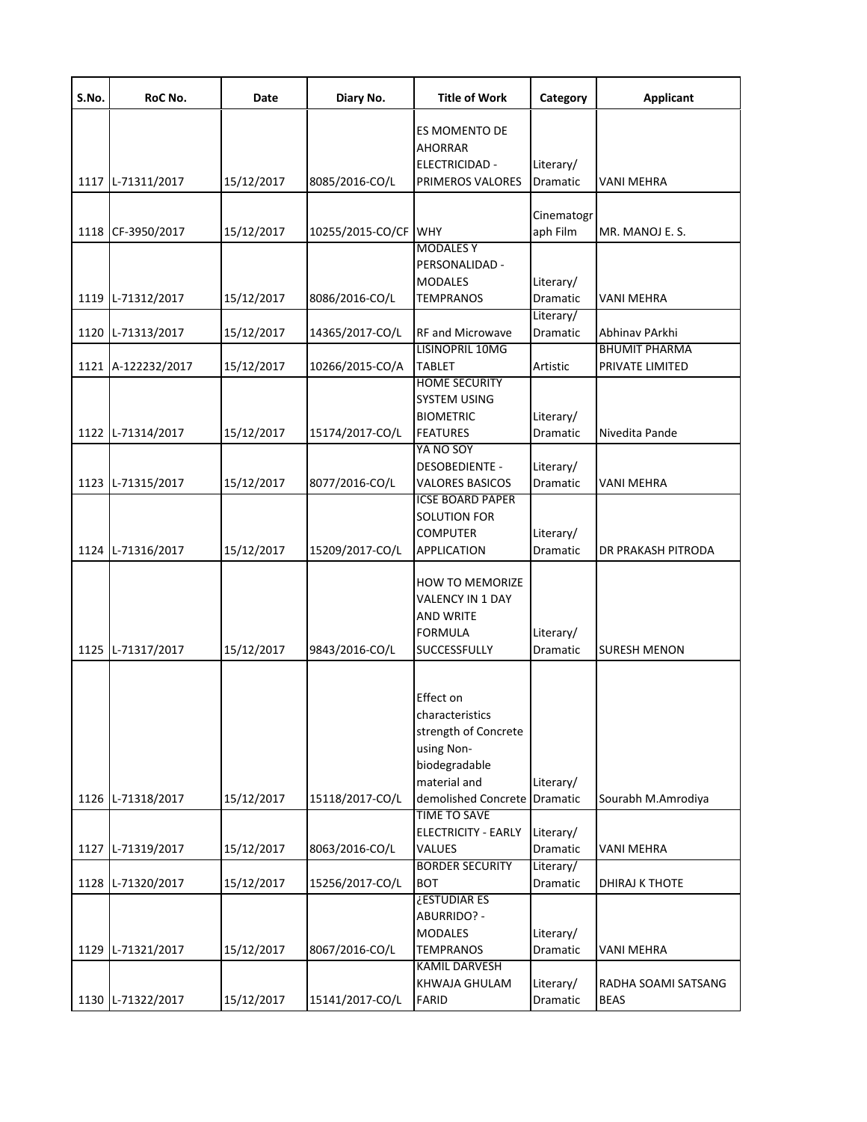| S.No. | RoC No.            | Date       | Diary No.            | <b>Title of Work</b>                                                                                                       | Category                           | <b>Applicant</b>                        |
|-------|--------------------|------------|----------------------|----------------------------------------------------------------------------------------------------------------------------|------------------------------------|-----------------------------------------|
|       |                    |            |                      | ES MOMENTO DE<br><b>AHORRAR</b><br>ELECTRICIDAD -                                                                          | Literary/                          |                                         |
|       | 1117 L-71311/2017  | 15/12/2017 | 8085/2016-CO/L       | PRIMEROS VALORES                                                                                                           | <b>Dramatic</b>                    | VANI MEHRA                              |
|       | 1118 CF-3950/2017  | 15/12/2017 | 10255/2015-CO/CF WHY | <b>MODALES Y</b>                                                                                                           | Cinematogr<br>aph Film             | MR. MANOJ E. S.                         |
| 1119  | L-71312/2017       | 15/12/2017 | 8086/2016-CO/L       | PERSONALIDAD -<br><b>MODALES</b><br><b>TEMPRANOS</b>                                                                       | Literary/<br>Dramatic<br>Literary/ | VANI MEHRA                              |
| 1120  | L-71313/2017       | 15/12/2017 | 14365/2017-CO/L      | RF and Microwave                                                                                                           | Dramatic                           | Abhinav PArkhi                          |
|       | 1121 A-122232/2017 | 15/12/2017 | 10266/2015-CO/A      | LISINOPRIL 10MG<br><b>TABLET</b>                                                                                           | Artistic                           | <b>BHUMIT PHARMA</b><br>PRIVATE LIMITED |
|       | 1122 L-71314/2017  | 15/12/2017 | 15174/2017-CO/L      | <b>HOME SECURITY</b><br><b>SYSTEM USING</b><br><b>BIOMETRIC</b><br><b>FEATURES</b>                                         | Literary/<br>Dramatic              | Nivedita Pande                          |
|       | 1123 L-71315/2017  | 15/12/2017 | 8077/2016-CO/L       | YA NO SOY<br><b>DESOBEDIENTE -</b><br><b>VALORES BASICOS</b>                                                               | Literary/<br>Dramatic              | VANI MEHRA                              |
|       | 1124 L-71316/2017  | 15/12/2017 | 15209/2017-CO/L      | <b>ICSE BOARD PAPER</b><br><b>SOLUTION FOR</b><br><b>COMPUTER</b><br><b>APPLICATION</b>                                    | Literary/<br>Dramatic              | DR PRAKASH PITRODA                      |
|       | 1125 L-71317/2017  | 15/12/2017 | 9843/2016-CO/L       | <b>HOW TO MEMORIZE</b><br>VALENCY IN 1 DAY<br><b>AND WRITE</b><br><b>FORMULA</b><br>SUCCESSFULLY                           | Literary/<br><b>Dramatic</b>       | <b>SURESH MENON</b>                     |
|       | 1126 L-71318/2017  | 15/12/2017 | 15118/2017-CO/L      | Effect on<br>characteristics<br>strength of Concrete<br>using Non-<br>biodegradable<br>material and<br>demolished Concrete | Literary/<br><b>Dramatic</b>       | Sourabh M.Amrodiya                      |
|       | 1127 L-71319/2017  | 15/12/2017 | 8063/2016-CO/L       | <b>TIME TO SAVE</b><br><b>ELECTRICITY - EARLY</b><br>VALUES                                                                | Literary/<br>Dramatic              | <b>VANI MEHRA</b>                       |
|       |                    |            |                      | <b>BORDER SECURITY</b>                                                                                                     | Literary/                          |                                         |
|       | 1128 L-71320/2017  | 15/12/2017 | 15256/2017-CO/L      | <b>BOT</b>                                                                                                                 | Dramatic                           | DHIRAJ K THOTE                          |
|       | 1129 L-71321/2017  | 15/12/2017 | 8067/2016-CO/L       | ¿ESTUDIAR ES<br>ABURRIDO? -<br><b>MODALES</b><br><b>TEMPRANOS</b>                                                          | Literary/<br>Dramatic              | <b>VANI MEHRA</b>                       |
|       | 1130 L-71322/2017  | 15/12/2017 | 15141/2017-CO/L      | <b>KAMIL DARVESH</b><br>KHWAJA GHULAM<br><b>FARID</b>                                                                      | Literary/<br>Dramatic              | RADHA SOAMI SATSANG<br><b>BEAS</b>      |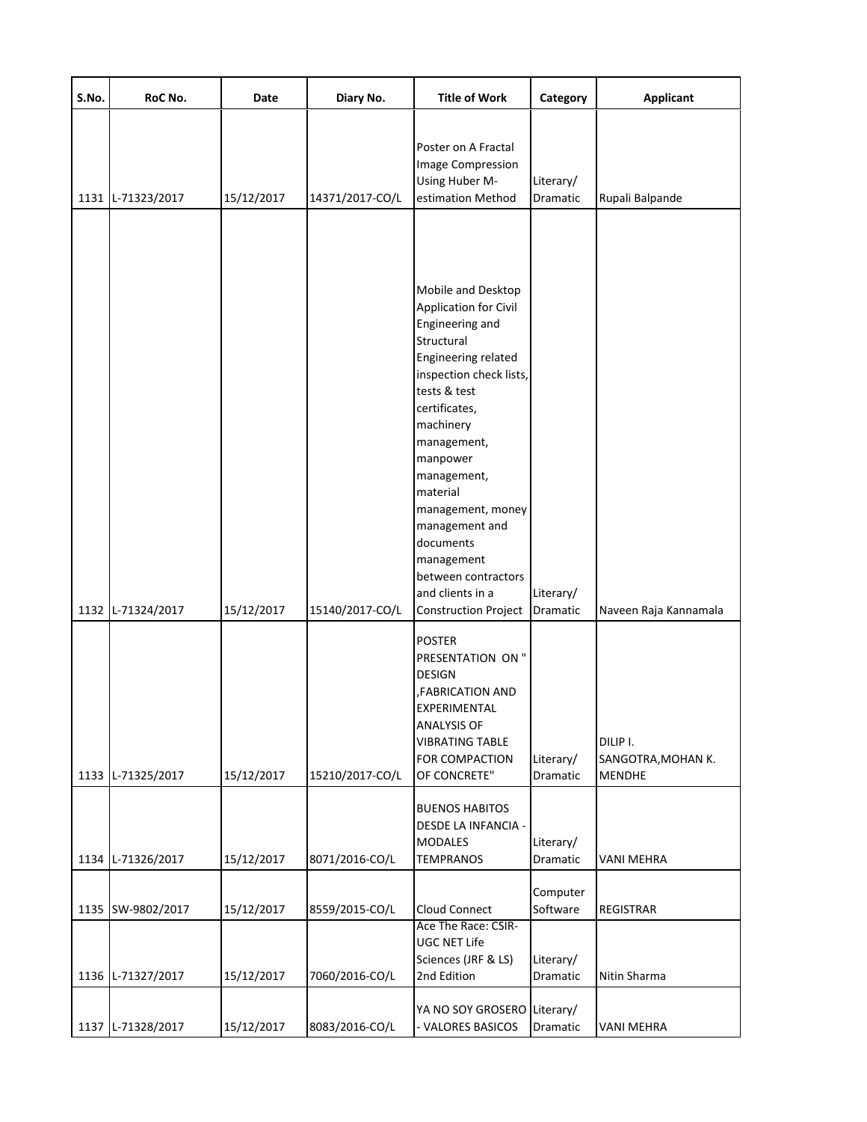| S.No. | RoC No.      | Date       | Diary No.       | <b>Title of Work</b>                                                                                                                                                                                                                                                                                                                                                           | Category                     | <b>Applicant</b>                                |
|-------|--------------|------------|-----------------|--------------------------------------------------------------------------------------------------------------------------------------------------------------------------------------------------------------------------------------------------------------------------------------------------------------------------------------------------------------------------------|------------------------------|-------------------------------------------------|
| 1131  | L-71323/2017 | 15/12/2017 | 14371/2017-CO/L | Poster on A Fractal<br>Image Compression<br>Using Huber M-<br>estimation Method                                                                                                                                                                                                                                                                                                | Literary/<br>Dramatic        | Rupali Balpande                                 |
| 1132  | L-71324/2017 | 15/12/2017 | 15140/2017-CO/L | Mobile and Desktop<br>Application for Civil<br>Engineering and<br>Structural<br>Engineering related<br>inspection check lists,<br>tests & test<br>certificates,<br>machinery<br>management,<br>manpower<br>management,<br>material<br>management, money<br>management and<br>documents<br>management<br>between contractors<br>and clients in a<br><b>Construction Project</b> | Literary/<br>Dramatic        | Naveen Raja Kannamala                           |
| 1133  | L-71325/2017 | 15/12/2017 | 15210/2017-CO/L | <b>POSTER</b><br>PRESENTATION ON "<br><b>DESIGN</b><br>,FABRICATION AND<br>EXPERIMENTAL<br><b>ANALYSIS OF</b><br><b>VIBRATING TABLE</b><br>FOR COMPACTION<br>OF CONCRETE"                                                                                                                                                                                                      | Literary/<br><b>Dramatic</b> | DILIP I.<br>SANGOTRA, MOHAN K.<br><b>MENDHE</b> |
| 1134  | L-71326/2017 | 15/12/2017 | 8071/2016-CO/L  | <b>BUENOS HABITOS</b><br>DESDE LA INFANCIA -<br><b>MODALES</b><br><b>TEMPRANOS</b>                                                                                                                                                                                                                                                                                             | Literary/<br>Dramatic        | VANI MEHRA                                      |
| 1135  | SW-9802/2017 | 15/12/2017 | 8559/2015-CO/L  | Cloud Connect                                                                                                                                                                                                                                                                                                                                                                  | Computer<br>Software         | <b>REGISTRAR</b>                                |
| 1136  | L-71327/2017 | 15/12/2017 | 7060/2016-CO/L  | Ace The Race: CSIR-<br>UGC NET Life<br>Sciences (JRF & LS)<br>2nd Edition                                                                                                                                                                                                                                                                                                      | Literary/<br>Dramatic        | Nitin Sharma                                    |
| 1137  | L-71328/2017 | 15/12/2017 | 8083/2016-CO/L  | YA NO SOY GROSERO Literary/<br>VALORES BASICOS                                                                                                                                                                                                                                                                                                                                 | Dramatic                     | <b>VANI MEHRA</b>                               |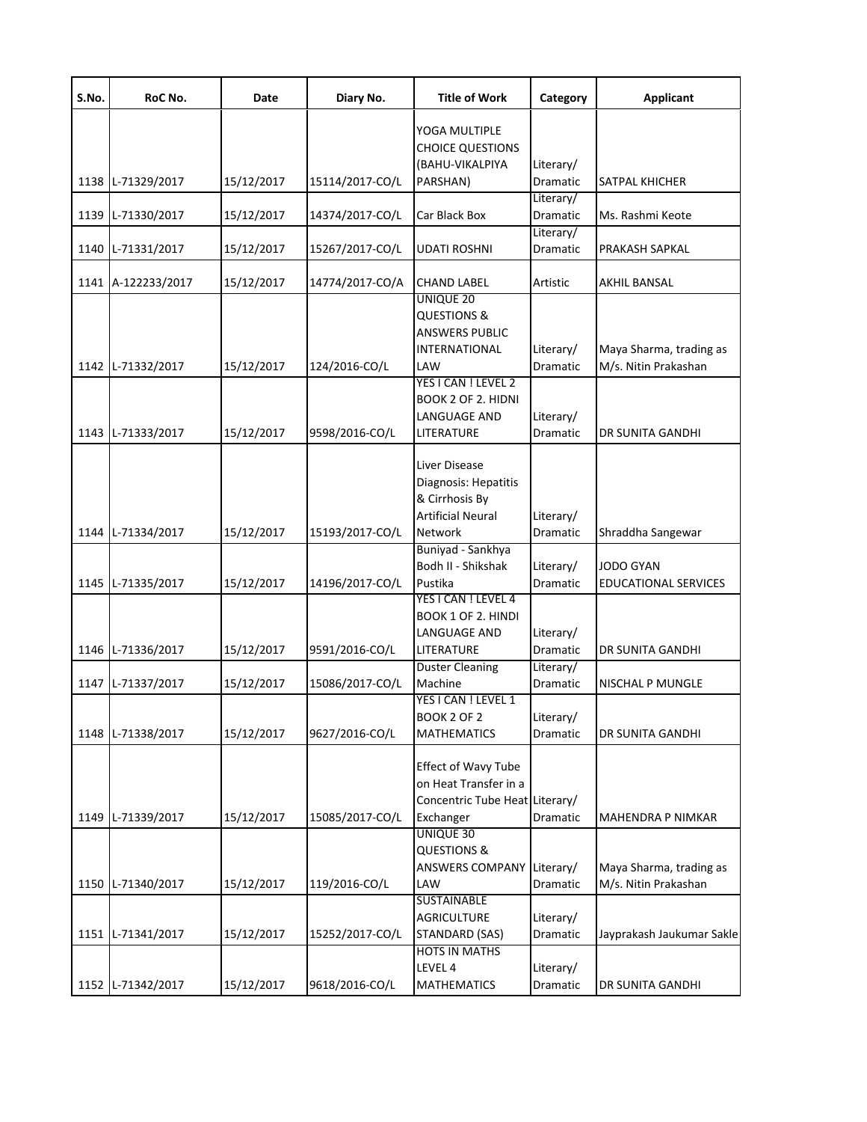| S.No. | RoC No.            | Date       | Diary No.       | <b>Title of Work</b>                                                                           | Category                     | <b>Applicant</b>                                |
|-------|--------------------|------------|-----------------|------------------------------------------------------------------------------------------------|------------------------------|-------------------------------------------------|
|       |                    |            |                 | YOGA MULTIPLE<br><b>CHOICE QUESTIONS</b>                                                       |                              |                                                 |
|       |                    |            |                 | (BAHU-VIKALPIYA                                                                                | Literary/                    |                                                 |
|       | 1138 L-71329/2017  | 15/12/2017 | 15114/2017-CO/L | PARSHAN)                                                                                       | Dramatic                     | SATPAL KHICHER                                  |
|       | 1139 L-71330/2017  | 15/12/2017 | 14374/2017-CO/L | Car Black Box                                                                                  | Literary/<br>Dramatic        | Ms. Rashmi Keote                                |
|       | 1140 L-71331/2017  | 15/12/2017 | 15267/2017-CO/L | UDATI ROSHNI                                                                                   | Literary/<br>Dramatic        | PRAKASH SAPKAL                                  |
|       | 1141 A-122233/2017 | 15/12/2017 | 14774/2017-CO/A | <b>CHAND LABEL</b>                                                                             | Artistic                     | AKHIL BANSAL                                    |
|       | 1142 L-71332/2017  | 15/12/2017 | 124/2016-CO/L   | <b>UNIQUE 20</b><br><b>QUESTIONS &amp;</b><br>ANSWERS PUBLIC<br>INTERNATIONAL<br>LAW           | Literary/<br>Dramatic        | Maya Sharma, trading as<br>M/s. Nitin Prakashan |
|       |                    |            |                 | YES I CAN ! LEVEL 2<br><b>BOOK 2 OF 2. HIDNI</b><br>LANGUAGE AND                               | Literary/                    |                                                 |
|       | 1143 L-71333/2017  | 15/12/2017 | 9598/2016-CO/L  | LITERATURE                                                                                     | Dramatic                     | DR SUNITA GANDHI                                |
|       | 1144 L-71334/2017  | 15/12/2017 | 15193/2017-CO/L | Liver Disease<br>Diagnosis: Hepatitis<br>& Cirrhosis By<br><b>Artificial Neural</b><br>Network | Literary/<br>Dramatic        | Shraddha Sangewar                               |
|       | 1145 L-71335/2017  | 15/12/2017 | 14196/2017-CO/L | Buniyad - Sankhya<br>Bodh II - Shikshak<br>Pustika                                             | Literary/<br><b>Dramatic</b> | <b>JODO GYAN</b><br><b>EDUCATIONAL SERVICES</b> |
|       |                    |            |                 | YES I CAN ! LEVEL 4<br><b>BOOK 1 OF 2. HINDI</b>                                               |                              |                                                 |
|       | 1146 L-71336/2017  | 15/12/2017 | 9591/2016-CO/L  | LANGUAGE AND<br>LITERATURE                                                                     | Literary/<br>Dramatic        | DR SUNITA GANDHI                                |
|       | 1147 L-71337/2017  | 15/12/2017 | 15086/2017-CO/L | <b>Duster Cleaning</b><br>Machine                                                              | Literary/<br>Dramatic        | NISCHAL P MUNGLE                                |
|       |                    |            |                 | YES I CAN ! LEVEL 1<br><b>BOOK 2 OF 2</b>                                                      | Literary/                    |                                                 |
|       | 1148 L-71338/2017  | 15/12/2017 | 9627/2016-CO/L  | <b>MATHEMATICS</b>                                                                             | Dramatic                     | DR SUNITA GANDHI                                |
|       | 1149 L-71339/2017  | 15/12/2017 | 15085/2017-CO/L | Effect of Wavy Tube<br>on Heat Transfer in a<br>Concentric Tube Heat Literary/<br>Exchanger    | Dramatic                     | <b>MAHENDRA P NIMKAR</b>                        |
|       |                    |            |                 | UNIQUE 30<br><b>QUESTIONS &amp;</b>                                                            |                              |                                                 |
|       |                    |            |                 | ANSWERS COMPANY                                                                                | Literary/                    | Maya Sharma, trading as                         |
|       | 1150 L-71340/2017  | 15/12/2017 | 119/2016-CO/L   | LAW                                                                                            | Dramatic                     | M/s. Nitin Prakashan                            |
|       |                    |            |                 | <b>SUSTAINABLE</b><br><b>AGRICULTURE</b>                                                       | Literary/                    |                                                 |
|       | 1151 L-71341/2017  | 15/12/2017 | 15252/2017-CO/L | <b>STANDARD (SAS)</b><br><b>HOTS IN MATHS</b>                                                  | Dramatic                     | Jayprakash Jaukumar Sakle                       |
|       | 1152 L-71342/2017  | 15/12/2017 | 9618/2016-CO/L  | LEVEL 4<br><b>MATHEMATICS</b>                                                                  | Literary/<br>Dramatic        | DR SUNITA GANDHI                                |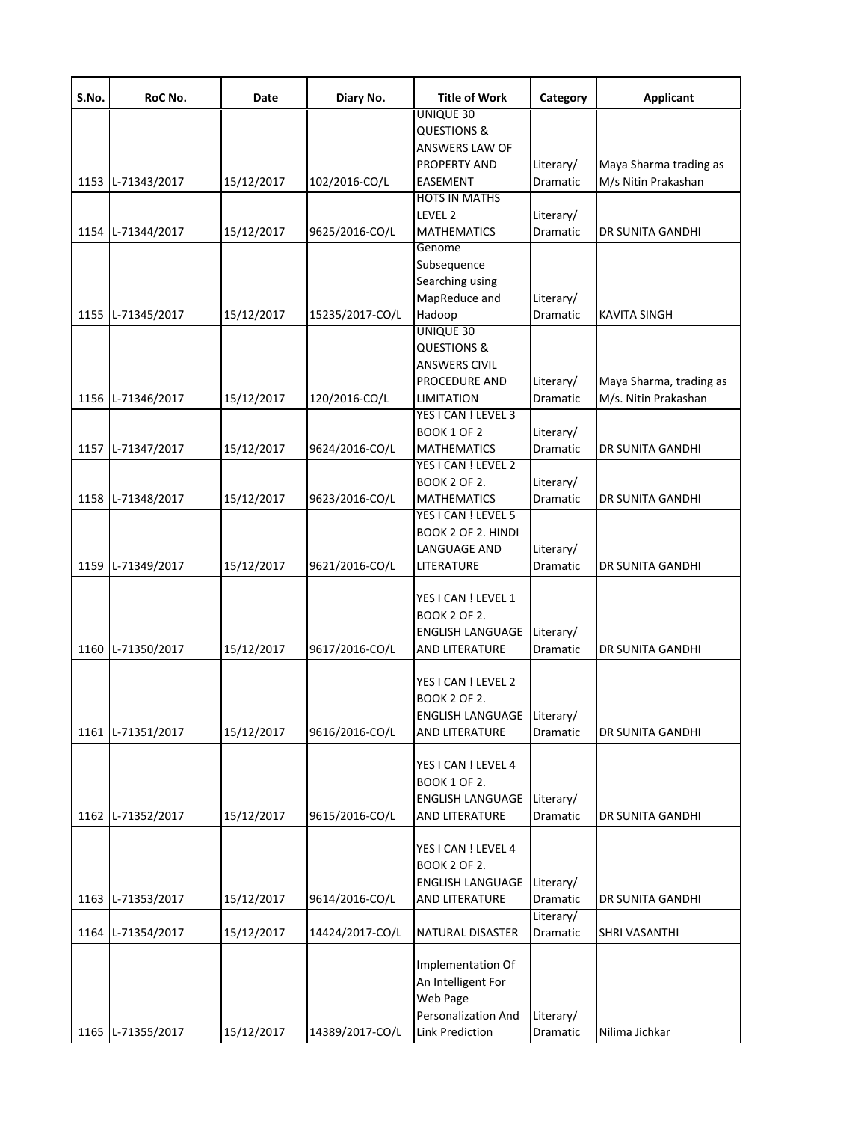| S.No. | RoC No.           | Date       | Diary No.       | <b>Title of Work</b>                                                                          | Category                     | <b>Applicant</b>                                |
|-------|-------------------|------------|-----------------|-----------------------------------------------------------------------------------------------|------------------------------|-------------------------------------------------|
|       |                   |            |                 | UNIQUE 30<br><b>QUESTIONS &amp;</b><br>ANSWERS LAW OF                                         |                              |                                                 |
|       | 1153 L-71343/2017 | 15/12/2017 | 102/2016-CO/L   | PROPERTY AND<br><b>EASEMENT</b>                                                               | Literary/<br>Dramatic        | Maya Sharma trading as<br>M/s Nitin Prakashan   |
|       | 1154 L-71344/2017 | 15/12/2017 | 9625/2016-CO/L  | <b>HOTS IN MATHS</b><br>LEVEL 2<br><b>MATHEMATICS</b>                                         | Literary/<br>Dramatic        | DR SUNITA GANDHI                                |
| 1155  | L-71345/2017      | 15/12/2017 | 15235/2017-CO/L | Genome<br>Subsequence<br>Searching using<br>MapReduce and<br>Hadoop                           | Literary/<br>Dramatic        | <b>KAVITA SINGH</b>                             |
|       | 1156 L-71346/2017 | 15/12/2017 | 120/2016-CO/L   | UNIQUE 30<br><b>QUESTIONS &amp;</b><br><b>ANSWERS CIVIL</b><br>PROCEDURE AND<br>LIMITATION    | Literary/<br>Dramatic        | Maya Sharma, trading as<br>M/s. Nitin Prakashan |
|       | 1157 L-71347/2017 | 15/12/2017 | 9624/2016-CO/L  | YES I CAN ! LEVEL 3<br><b>BOOK 1 OF 2</b><br><b>MATHEMATICS</b><br>YES I CAN ! LEVEL 2        | Literary/<br><b>Dramatic</b> | <b>DR SUNITA GANDHI</b>                         |
|       | 1158 L-71348/2017 | 15/12/2017 | 9623/2016-CO/L  | <b>BOOK 2 OF 2.</b><br><b>MATHEMATICS</b>                                                     | Literary/<br>Dramatic        | DR SUNITA GANDHI                                |
|       | 1159 L-71349/2017 | 15/12/2017 | 9621/2016-CO/L  | YES I CAN ! LEVEL 5<br>BOOK 2 OF 2. HINDI<br><b>LANGUAGE AND</b><br>LITERATURE                | Literary/<br><b>Dramatic</b> | DR SUNITA GANDHI                                |
|       | 1160 L-71350/2017 | 15/12/2017 | 9617/2016-CO/L  | YES I CAN ! LEVEL 1<br><b>BOOK 2 OF 2.</b><br><b>ENGLISH LANGUAGE</b><br>AND LITERATURE       | Literary/<br>Dramatic        | <b>DR SUNITA GANDHI</b>                         |
| 1161  | L-71351/2017      | 15/12/2017 | 9616/2016-CO/L  | YES I CAN ! LEVEL 2<br><b>BOOK 2 OF 2.</b><br><b>ENGLISH LANGUAGE</b><br>AND LITERATURE       | Literary/<br>Dramatic        | DR SUNITA GANDHI                                |
|       | 1162 L-71352/2017 | 15/12/2017 | 9615/2016-CO/L  | YES I CAN ! LEVEL 4<br><b>BOOK 1 OF 2.</b><br><b>ENGLISH LANGUAGE</b><br>AND LITERATURE       | Literary/<br>Dramatic        | DR SUNITA GANDHI                                |
|       | 1163 L-71353/2017 | 15/12/2017 | 9614/2016-CO/L  | YES I CAN ! LEVEL 4<br><b>BOOK 2 OF 2.</b><br><b>ENGLISH LANGUAGE</b><br>AND LITERATURE       | Literary/<br>Dramatic        | DR SUNITA GANDHI                                |
| 1164  | L-71354/2017      | 15/12/2017 | 14424/2017-CO/L | NATURAL DISASTER                                                                              | Literary/<br>Dramatic        | SHRI VASANTHI                                   |
|       | 1165 L-71355/2017 | 15/12/2017 | 14389/2017-CO/L | Implementation Of<br>An Intelligent For<br>Web Page<br>Personalization And<br>Link Prediction | Literary/<br>Dramatic        | Nilima Jichkar                                  |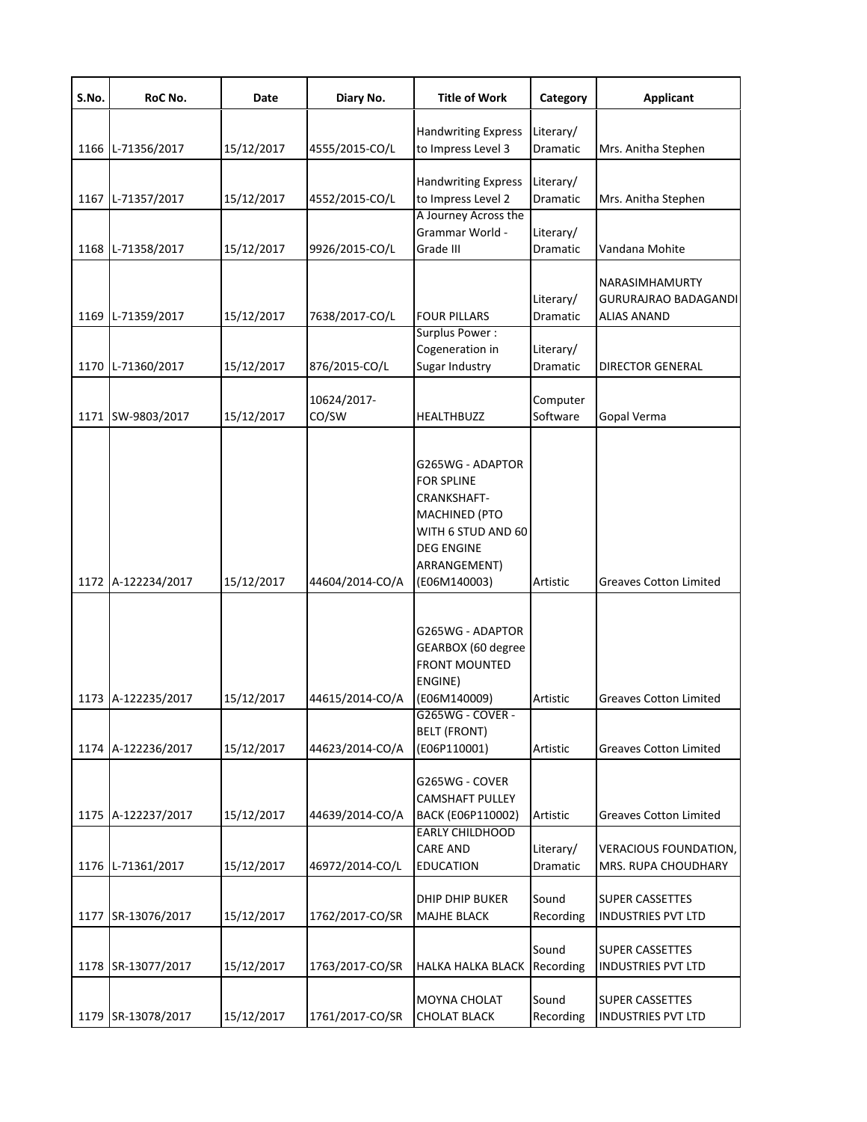| S.No. | RoC No.                                 | Date                     | Diary No.                          | <b>Title of Work</b>                                                                                                                                    | Category                          | <b>Applicant</b>                                                                     |
|-------|-----------------------------------------|--------------------------|------------------------------------|---------------------------------------------------------------------------------------------------------------------------------------------------------|-----------------------------------|--------------------------------------------------------------------------------------|
| 1166  | L-71356/2017                            | 15/12/2017               | 4555/2015-CO/L                     | <b>Handwriting Express</b><br>to Impress Level 3                                                                                                        | Literary/<br>Dramatic             | Mrs. Anitha Stephen                                                                  |
| 1167  | L-71357/2017                            | 15/12/2017               | 4552/2015-CO/L                     | <b>Handwriting Express</b><br>to Impress Level 2                                                                                                        | Literary/<br>Dramatic             | Mrs. Anitha Stephen                                                                  |
| 1168  | L-71358/2017                            | 15/12/2017               | 9926/2015-CO/L                     | A Journey Across the<br>Grammar World -<br>Grade III                                                                                                    | Literary/<br>Dramatic             | Vandana Mohite                                                                       |
| 1169  | L-71359/2017                            | 15/12/2017               | 7638/2017-CO/L                     | <b>FOUR PILLARS</b>                                                                                                                                     | Literary/<br>Dramatic             | NARASIMHAMURTY<br><b>GURURAJRAO BADAGANDI</b><br><b>ALIAS ANAND</b>                  |
|       | 1170 L-71360/2017                       | 15/12/2017               | 876/2015-CO/L                      | Surplus Power:<br>Cogeneration in<br>Sugar Industry                                                                                                     | Literary/<br>Dramatic             | DIRECTOR GENERAL                                                                     |
|       | 1171 SW-9803/2017                       | 15/12/2017               | 10624/2017-<br>CO/SW               | HEALTHBUZZ                                                                                                                                              | Computer<br>Software              | Gopal Verma                                                                          |
|       | 1172 A-122234/2017                      | 15/12/2017               | 44604/2014-CO/A                    | G265WG - ADAPTOR<br><b>FOR SPLINE</b><br>CRANKSHAFT-<br><b>MACHINED (PTO</b><br>WITH 6 STUD AND 60<br><b>DEG ENGINE</b><br>ARRANGEMENT)<br>(E06M140003) | Artistic                          | <b>Greaves Cotton Limited</b>                                                        |
|       |                                         |                          |                                    | G265WG - ADAPTOR<br>GEARBOX (60 degree<br><b>FRONT MOUNTED</b><br>ENGINE)                                                                               |                                   |                                                                                      |
|       | 1173 A-122235/2017                      | 15/12/2017               | 44615/2014-CO/A                    | (E06M140009)<br>G265WG - COVER -<br><b>BELT (FRONT)</b>                                                                                                 | Artistic                          | <b>Greaves Cotton Limited</b>                                                        |
|       | 1174 A-122236/2017                      | 15/12/2017               | 44623/2014-CO/A                    | (E06P110001)<br>G265WG - COVER<br><b>CAMSHAFT PULLEY</b>                                                                                                | Artistic                          | <b>Greaves Cotton Limited</b>                                                        |
|       | 1175 A-122237/2017<br>1176 L-71361/2017 | 15/12/2017<br>15/12/2017 | 44639/2014-CO/A<br>46972/2014-CO/L | BACK (E06P110002)<br><b>EARLY CHILDHOOD</b><br><b>CARE AND</b><br><b>EDUCATION</b>                                                                      | Artistic<br>Literary/<br>Dramatic | <b>Greaves Cotton Limited</b><br><b>VERACIOUS FOUNDATION,</b><br>MRS. RUPA CHOUDHARY |
|       | 1177 SR-13076/2017                      | 15/12/2017               | 1762/2017-CO/SR                    | DHIP DHIP BUKER<br><b>MAJHE BLACK</b>                                                                                                                   | Sound<br>Recording                | <b>SUPER CASSETTES</b><br><b>INDUSTRIES PVT LTD</b>                                  |
|       | 1178 SR-13077/2017                      | 15/12/2017               | 1763/2017-CO/SR                    | HALKA HALKA BLACK Recording                                                                                                                             | Sound                             | <b>SUPER CASSETTES</b><br><b>INDUSTRIES PVT LTD</b>                                  |
|       | 1179 SR-13078/2017                      | 15/12/2017               | 1761/2017-CO/SR                    | MOYNA CHOLAT<br><b>CHOLAT BLACK</b>                                                                                                                     | Sound<br>Recording                | <b>SUPER CASSETTES</b><br><b>INDUSTRIES PVT LTD</b>                                  |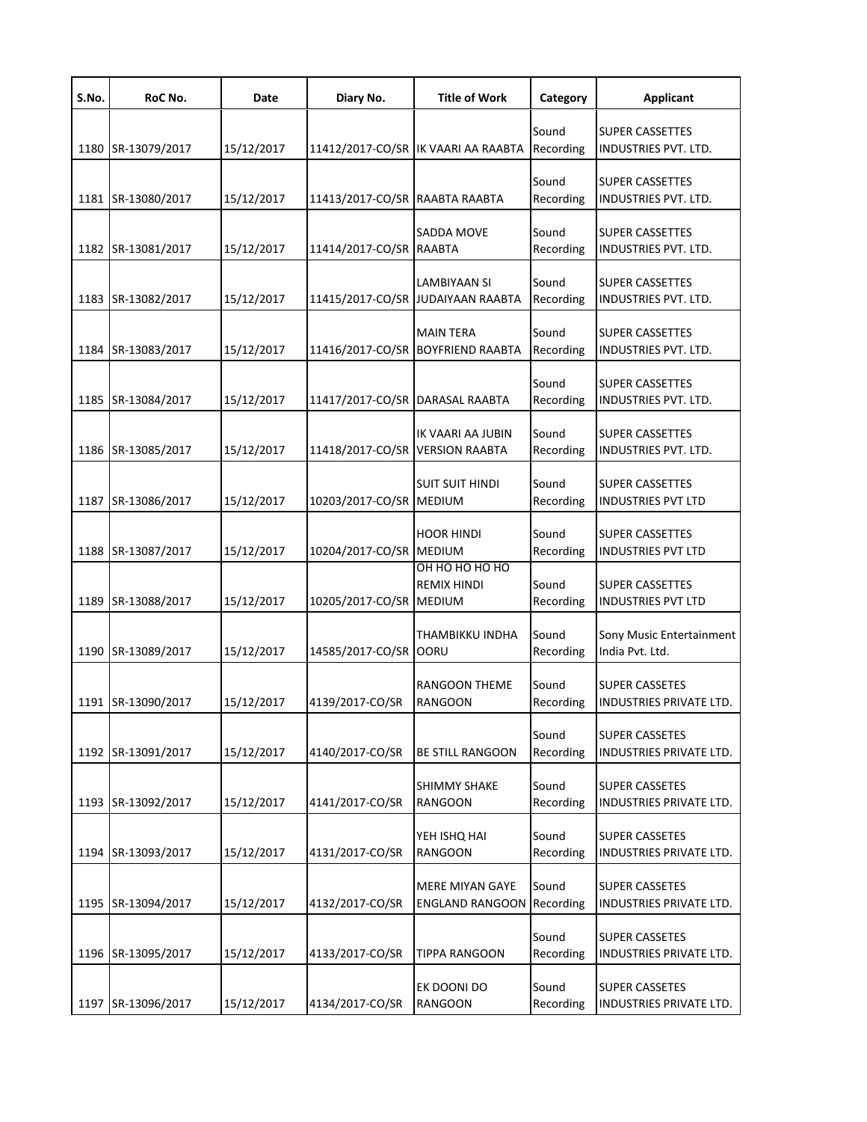| S.No. | RoC No.            | Date       | Diary No.                      | <b>Title of Work</b>                                  | Category           | <b>Applicant</b>                                    |
|-------|--------------------|------------|--------------------------------|-------------------------------------------------------|--------------------|-----------------------------------------------------|
| 1180  | SR-13079/2017      | 15/12/2017 |                                | 11412/2017-CO/SR IK VAARI AA RAABTA                   | Sound<br>Recording | <b>SUPER CASSETTES</b><br>INDUSTRIES PVT. LTD.      |
| 1181  | SR-13080/2017      | 15/12/2017 | 11413/2017-CO/SR RAABTA RAABTA |                                                       | Sound<br>Recording | <b>SUPER CASSETTES</b><br>INDUSTRIES PVT. LTD.      |
| 1182  | SR-13081/2017      | 15/12/2017 | 11414/2017-CO/SR RAABTA        | SADDA MOVE                                            | Sound<br>Recording | <b>SUPER CASSETTES</b><br>INDUSTRIES PVT. LTD.      |
| 1183  | SR-13082/2017      | 15/12/2017 |                                | LAMBIYAAN SI<br>11415/2017-CO/SR JUDAIYAAN RAABTA     | Sound<br>Recording | <b>SUPER CASSETTES</b><br>INDUSTRIES PVT. LTD.      |
|       | 1184 SR-13083/2017 | 15/12/2017 | 11416/2017-CO/SR               | <b>MAIN TERA</b><br><b>BOYFRIEND RAABTA</b>           | Sound<br>Recording | <b>SUPER CASSETTES</b><br>INDUSTRIES PVT. LTD.      |
| 1185  | SR-13084/2017      | 15/12/2017 | 11417/2017-CO/SR               | DARASAL RAABTA                                        | Sound<br>Recording | <b>SUPER CASSETTES</b><br>INDUSTRIES PVT. LTD.      |
| 1186  | SR-13085/2017      | 15/12/2017 | 11418/2017-CO/SR               | IK VAARI AA JUBIN<br><b>VERSION RAABTA</b>            | Sound<br>Recording | <b>SUPER CASSETTES</b><br>INDUSTRIES PVT. LTD.      |
| 1187  | SR-13086/2017      | 15/12/2017 | 10203/2017-CO/SR               | <b>SUIT SUIT HINDI</b><br><b>MEDIUM</b>               | Sound<br>Recording | <b>SUPER CASSETTES</b><br><b>INDUSTRIES PVT LTD</b> |
| 1188  | SR-13087/2017      | 15/12/2017 | 10204/2017-CO/SR MEDIUM        | <b>HOOR HINDI</b>                                     | Sound<br>Recording | <b>SUPER CASSETTES</b><br><b>INDUSTRIES PVT LTD</b> |
| 1189  | SR-13088/2017      | 15/12/2017 | 10205/2017-CO/SR               | ОН НО НО НО НО<br><b>REMIX HINDI</b><br><b>MEDIUM</b> | Sound<br>Recording | <b>SUPER CASSETTES</b><br><b>INDUSTRIES PVT LTD</b> |
|       | 1190 SR-13089/2017 | 15/12/2017 | 14585/2017-CO/SR OORU          | THAMBIKKU INDHA                                       | Sound<br>Recording | Sony Music Entertainment<br>India Pvt. Ltd.         |
|       | 1191 SR-13090/2017 | 15/12/2017 | 4139/2017-CO/SR                | <b>RANGOON THEME</b><br><b>RANGOON</b>                | Sound<br>Recording | <b>SUPER CASSETES</b><br>INDUSTRIES PRIVATE LTD.    |
|       | 1192 SR-13091/2017 | 15/12/2017 | 4140/2017-CO/SR                | <b>BE STILL RANGOON</b>                               | Sound<br>Recording | <b>SUPER CASSETES</b><br>INDUSTRIES PRIVATE LTD.    |
| 1193  | SR-13092/2017      | 15/12/2017 | 4141/2017-CO/SR                | <b>SHIMMY SHAKE</b><br><b>RANGOON</b>                 | Sound<br>Recording | <b>SUPER CASSETES</b><br>INDUSTRIES PRIVATE LTD.    |
| 1194  | SR-13093/2017      | 15/12/2017 | 4131/2017-CO/SR                | YEH ISHQ HAI<br><b>RANGOON</b>                        | Sound<br>Recording | <b>SUPER CASSETES</b><br>INDUSTRIES PRIVATE LTD.    |
| 1195  | SR-13094/2017      | 15/12/2017 | 4132/2017-CO/SR                | <b>MERE MIYAN GAYE</b><br><b>ENGLAND RANGOON</b>      | Sound<br>Recording | <b>SUPER CASSETES</b><br>INDUSTRIES PRIVATE LTD.    |
| 1196  | SR-13095/2017      | 15/12/2017 | 4133/2017-CO/SR                | <b>TIPPA RANGOON</b>                                  | Sound<br>Recording | <b>SUPER CASSETES</b><br>INDUSTRIES PRIVATE LTD.    |
| 1197  | SR-13096/2017      | 15/12/2017 | 4134/2017-CO/SR                | EK DOONI DO<br><b>RANGOON</b>                         | Sound<br>Recording | <b>SUPER CASSETES</b><br>INDUSTRIES PRIVATE LTD.    |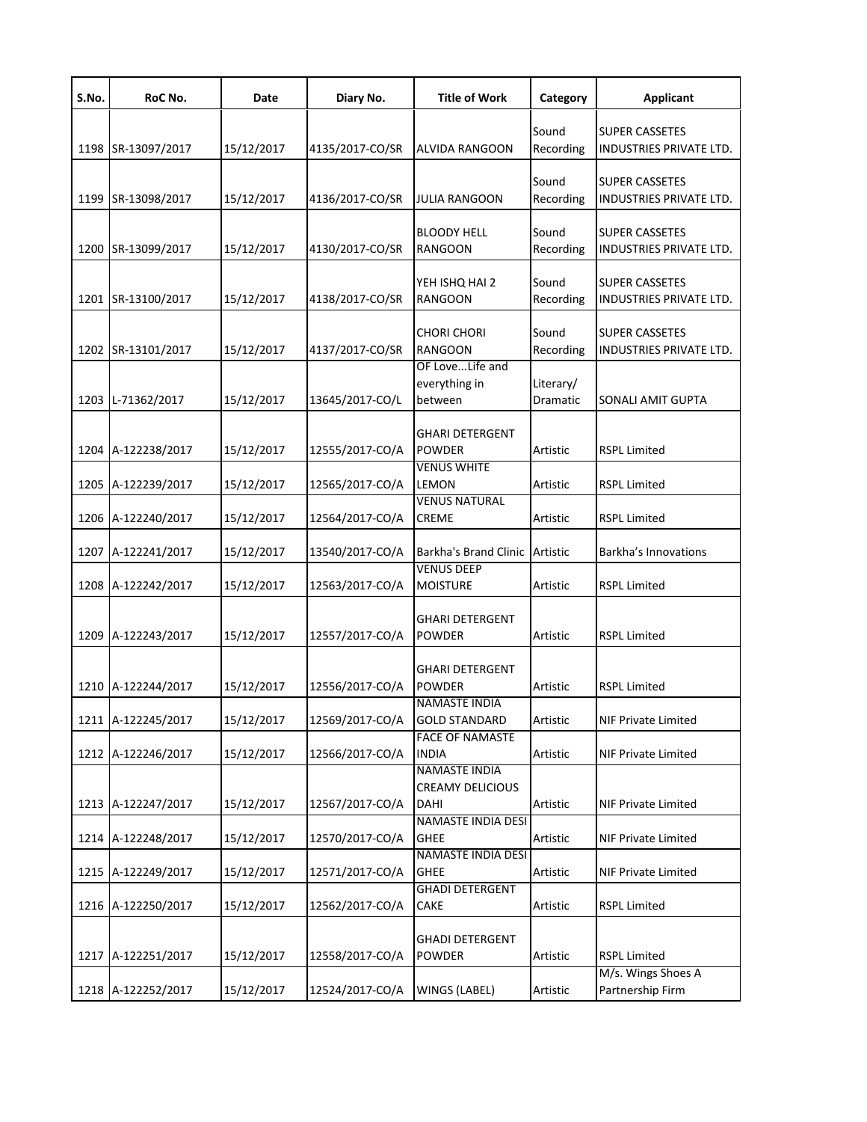| S.No. | RoC No.            | Date       | Diary No.       | <b>Title of Work</b>                                    | Category              | <b>Applicant</b>                                        |
|-------|--------------------|------------|-----------------|---------------------------------------------------------|-----------------------|---------------------------------------------------------|
|       | 1198 SR-13097/2017 | 15/12/2017 | 4135/2017-CO/SR | ALVIDA RANGOON                                          | Sound<br>Recording    | <b>SUPER CASSETES</b><br>INDUSTRIES PRIVATE LTD.        |
|       | 1199 SR-13098/2017 | 15/12/2017 | 4136/2017-CO/SR | JULIA RANGOON                                           | Sound<br>Recording    | <b>SUPER CASSETES</b><br><b>INDUSTRIES PRIVATE LTD.</b> |
| 1200  | SR-13099/2017      | 15/12/2017 | 4130/2017-CO/SR | <b>BLOODY HELL</b><br><b>RANGOON</b>                    | Sound<br>Recording    | <b>SUPER CASSETES</b><br><b>INDUSTRIES PRIVATE LTD.</b> |
|       | 1201 SR-13100/2017 | 15/12/2017 | 4138/2017-CO/SR | YEH ISHQ HAI 2<br>RANGOON                               | Sound<br>Recording    | <b>SUPER CASSETES</b><br>INDUSTRIES PRIVATE LTD.        |
|       | 1202 SR-13101/2017 | 15/12/2017 | 4137/2017-CO/SR | CHORI CHORI<br><b>RANGOON</b>                           | Sound<br>Recording    | <b>SUPER CASSETES</b><br>INDUSTRIES PRIVATE LTD.        |
|       | 1203 L-71362/2017  | 15/12/2017 | 13645/2017-CO/L | OF LoveLife and<br>everything in<br>between             | Literary/<br>Dramatic | SONALI AMIT GUPTA                                       |
|       | 1204 A-122238/2017 | 15/12/2017 | 12555/2017-CO/A | <b>GHARI DETERGENT</b><br><b>POWDER</b>                 | Artistic              | <b>RSPL Limited</b>                                     |
|       | 1205 A-122239/2017 | 15/12/2017 | 12565/2017-CO/A | <b>VENUS WHITE</b><br>LEMON                             | Artistic              | <b>RSPL Limited</b>                                     |
|       | 1206 A-122240/2017 | 15/12/2017 | 12564/2017-CO/A | <b>VENUS NATURAL</b><br><b>CREME</b>                    | Artistic              | <b>RSPL Limited</b>                                     |
|       | 1207 A-122241/2017 | 15/12/2017 | 13540/2017-CO/A | Barkha's Brand Clinic Artistic                          |                       | Barkha's Innovations                                    |
| 1208  | A-122242/2017      | 15/12/2017 | 12563/2017-CO/A | <b>VENUS DEEP</b><br><b>MOISTURE</b>                    | Artistic              | <b>RSPL Limited</b>                                     |
| 1209  | A-122243/2017      | 15/12/2017 | 12557/2017-CO/A | <b>GHARI DETERGENT</b><br>POWDER                        | Artistic              | <b>RSPL Limited</b>                                     |
|       | 1210 A-122244/2017 | 15/12/2017 | 12556/2017-CO/A | <b>GHARI DETERGENT</b><br><b>POWDER</b>                 | Artistic              | <b>RSPL Limited</b>                                     |
|       | 1211 A-122245/2017 | 15/12/2017 | 12569/2017-CO/A | <b>NAMASTE INDIA</b><br><b>GOLD STANDARD</b>            | Artistic              | <b>NIF Private Limited</b>                              |
|       | 1212 A-122246/2017 | 15/12/2017 | 12566/2017-CO/A | <b>FACE OF NAMASTE</b><br><b>INDIA</b>                  | Artistic              | <b>NIF Private Limited</b>                              |
|       | 1213 A-122247/2017 | 15/12/2017 | 12567/2017-CO/A | <b>NAMASTE INDIA</b><br><b>CREAMY DELICIOUS</b><br>DAHI | Artistic              | <b>NIF Private Limited</b>                              |
|       | 1214 A-122248/2017 | 15/12/2017 | 12570/2017-CO/A | <b>NAMASTE INDIA DESI</b><br><b>GHEE</b>                | Artistic              | <b>NIF Private Limited</b>                              |
|       | 1215 A-122249/2017 | 15/12/2017 | 12571/2017-CO/A | <b>NAMASTE INDIA DESI</b><br>GHEE                       | Artistic              | <b>NIF Private Limited</b>                              |
|       | 1216 A-122250/2017 | 15/12/2017 | 12562/2017-CO/A | <b>GHADI DETERGENT</b><br>CAKE                          | Artistic              | <b>RSPL Limited</b>                                     |
|       | 1217 A-122251/2017 | 15/12/2017 | 12558/2017-CO/A | <b>GHADI DETERGENT</b><br>POWDER                        | Artistic              | <b>RSPL Limited</b>                                     |
|       | 1218 A-122252/2017 | 15/12/2017 | 12524/2017-CO/A | WINGS (LABEL)                                           | Artistic              | M/s. Wings Shoes A<br>Partnership Firm                  |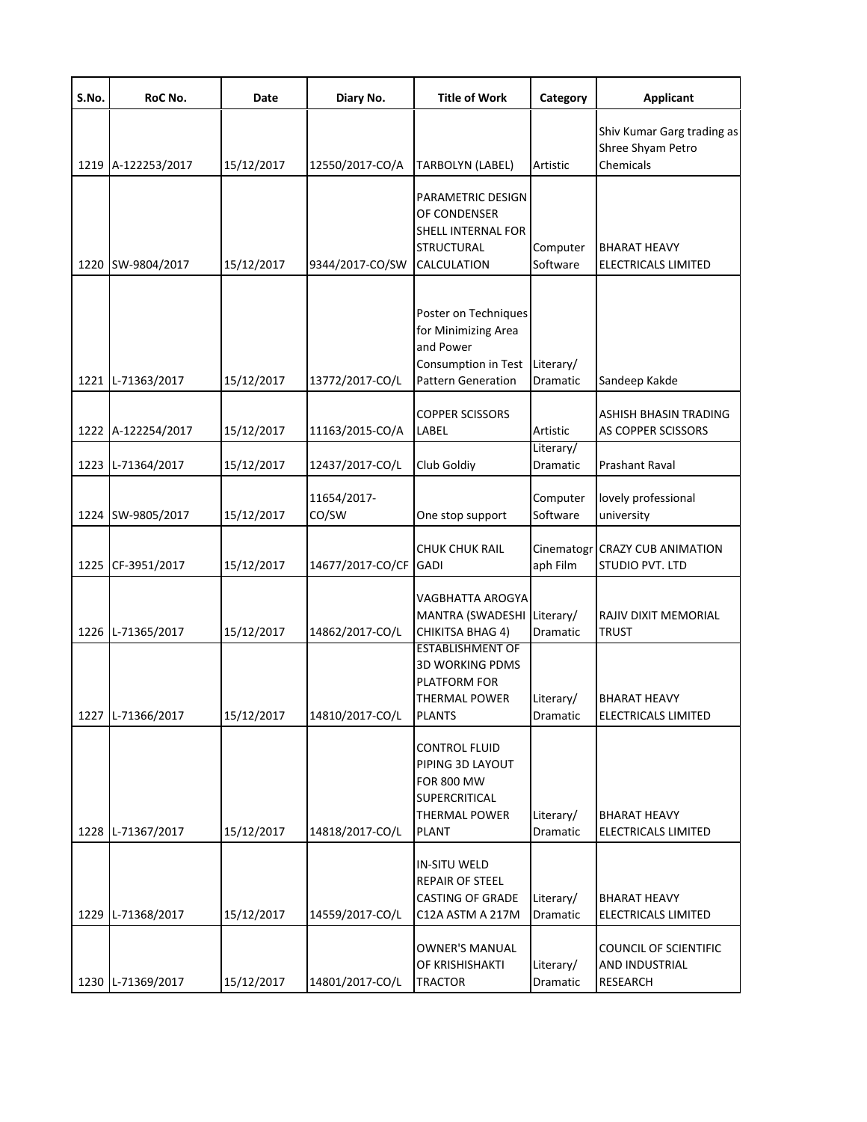| S.No. | RoC No.            | Date       | Diary No.            | <b>Title of Work</b>                                                                                                   | Category                     | <b>Applicant</b>                                                  |
|-------|--------------------|------------|----------------------|------------------------------------------------------------------------------------------------------------------------|------------------------------|-------------------------------------------------------------------|
|       | 1219 A-122253/2017 | 15/12/2017 | 12550/2017-CO/A      | TARBOLYN (LABEL)                                                                                                       | Artistic                     | Shiv Kumar Garg trading as<br>Shree Shyam Petro<br>Chemicals      |
|       | 1220 SW-9804/2017  | 15/12/2017 | 9344/2017-CO/SW      | PARAMETRIC DESIGN<br>OF CONDENSER<br>SHELL INTERNAL FOR<br>STRUCTURAL<br><b>CALCULATION</b>                            | Computer<br>Software         | <b>BHARAT HEAVY</b><br>ELECTRICALS LIMITED                        |
|       | 1221 L-71363/2017  | 15/12/2017 | 13772/2017-CO/L      | Poster on Techniques<br>for Minimizing Area<br>and Power<br>Consumption in Test<br><b>Pattern Generation</b>           | Literary/<br><b>Dramatic</b> | Sandeep Kakde                                                     |
|       | 1222 A-122254/2017 | 15/12/2017 | 11163/2015-CO/A      | <b>COPPER SCISSORS</b><br>LABEL                                                                                        | Artistic                     | ASHISH BHASIN TRADING<br>AS COPPER SCISSORS                       |
|       | 1223 L-71364/2017  | 15/12/2017 | 12437/2017-CO/L      | Club Goldiy                                                                                                            | Literary/<br>Dramatic        | <b>Prashant Raval</b>                                             |
|       | 1224 SW-9805/2017  | 15/12/2017 | 11654/2017-<br>CO/SW | One stop support                                                                                                       | Computer<br>Software         | lovely professional<br>university                                 |
|       | 1225 CF-3951/2017  | 15/12/2017 | 14677/2017-CO/CF     | <b>CHUK CHUK RAIL</b><br><b>GADI</b>                                                                                   | Cinematogr<br>aph Film       | <b>CRAZY CUB ANIMATION</b><br>STUDIO PVT. LTD                     |
|       | 1226 L-71365/2017  | 15/12/2017 | 14862/2017-CO/L      | VAGBHATTA AROGYA<br>MANTRA (SWADESHI Literary/<br><b>CHIKITSA BHAG 4)</b>                                              | Dramatic                     | RAJIV DIXIT MEMORIAL<br><b>TRUST</b>                              |
|       | 1227 L-71366/2017  | 15/12/2017 | 14810/2017-CO/L      | <b>ESTABLISHMENT OF</b><br><b>3D WORKING PDMS</b><br>PLATFORM FOR<br><b>THERMAL POWER</b><br><b>PLANTS</b>             | Literary/<br>Dramatic        | <b>BHARAT HEAVY</b><br>ELECTRICALS LIMITED                        |
|       | 1228 L-71367/2017  | 15/12/2017 | 14818/2017-CO/L      | <b>CONTROL FLUID</b><br>PIPING 3D LAYOUT<br><b>FOR 800 MW</b><br>SUPERCRITICAL<br><b>THERMAL POWER</b><br><b>PLANT</b> | Literary/<br>Dramatic        | <b>BHARAT HEAVY</b><br>ELECTRICALS LIMITED                        |
|       | 1229 L-71368/2017  | 15/12/2017 | 14559/2017-CO/L      | IN-SITU WELD<br><b>REPAIR OF STEEL</b><br><b>CASTING OF GRADE</b><br>C12A ASTM A 217M                                  | Literary/<br>Dramatic        | <b>BHARAT HEAVY</b><br>ELECTRICALS LIMITED                        |
|       | 1230 L-71369/2017  | 15/12/2017 | 14801/2017-CO/L      | <b>OWNER'S MANUAL</b><br>OF KRISHISHAKTI<br><b>TRACTOR</b>                                                             | Literary/<br>Dramatic        | <b>COUNCIL OF SCIENTIFIC</b><br><b>AND INDUSTRIAL</b><br>RESEARCH |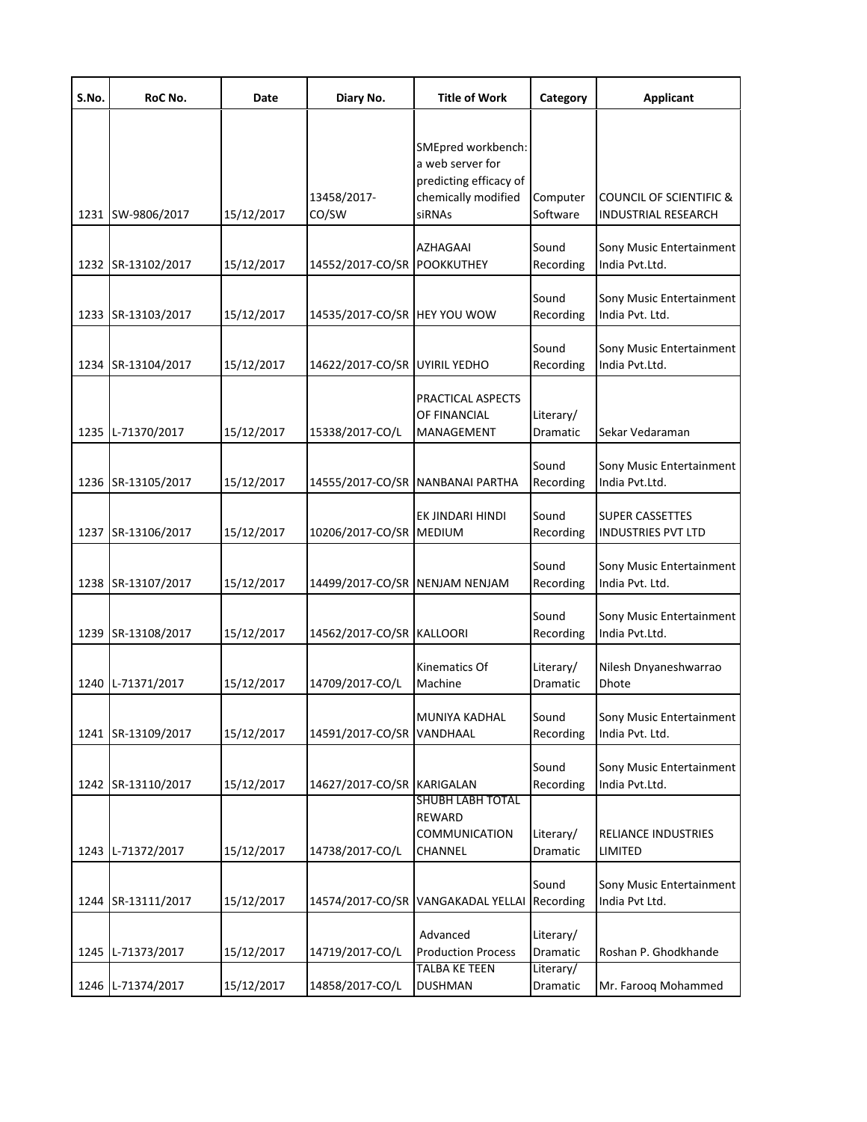| S.No. | RoC No.            | Date       | Diary No.                      | <b>Title of Work</b>                                                                              | Category                           | <b>Applicant</b>                                      |
|-------|--------------------|------------|--------------------------------|---------------------------------------------------------------------------------------------------|------------------------------------|-------------------------------------------------------|
|       | 1231 SW-9806/2017  | 15/12/2017 | 13458/2017-<br>CO/SW           | SMEpred workbench:<br>a web server for<br>predicting efficacy of<br>chemically modified<br>siRNAs | Computer<br>Software               | COUNCIL OF SCIENTIFIC &<br><b>INDUSTRIAL RESEARCH</b> |
|       | 1232 SR-13102/2017 | 15/12/2017 | 14552/2017-CO/SR               | <b>AZHAGAAI</b><br><b>POOKKUTHEY</b>                                                              | Sound<br>Recording                 | Sony Music Entertainment<br>India Pvt.Ltd.            |
|       | 1233 SR-13103/2017 | 15/12/2017 | 14535/2017-CO/SR HEY YOU WOW   |                                                                                                   | Sound<br>Recording                 | Sony Music Entertainment<br>India Pvt. Ltd.           |
|       | 1234 SR-13104/2017 | 15/12/2017 | 14622/2017-CO/SR UYIRIL YEDHO  |                                                                                                   | Sound<br>Recording                 | Sony Music Entertainment<br>India Pvt.Ltd.            |
|       | 1235 L-71370/2017  | 15/12/2017 | 15338/2017-CO/L                | PRACTICAL ASPECTS<br>OF FINANCIAL<br>MANAGEMENT                                                   | Literary/<br>Dramatic              | Sekar Vedaraman                                       |
|       | 1236 SR-13105/2017 | 15/12/2017 |                                | 14555/2017-CO/SR NANBANAI PARTHA                                                                  | Sound<br>Recording                 | Sony Music Entertainment<br>India Pvt.Ltd.            |
|       | 1237 SR-13106/2017 | 15/12/2017 | 10206/2017-CO/SR MEDIUM        | EK JINDARI HINDI                                                                                  | Sound<br>Recording                 | <b>SUPER CASSETTES</b><br><b>INDUSTRIES PVT LTD</b>   |
|       | 1238 SR-13107/2017 | 15/12/2017 | 14499/2017-CO/SR NENJAM NENJAM |                                                                                                   | Sound<br>Recording                 | Sony Music Entertainment<br>India Pvt. Ltd.           |
|       | 1239 SR-13108/2017 | 15/12/2017 | 14562/2017-CO/SR KALLOORI      |                                                                                                   | Sound<br>Recording                 | Sony Music Entertainment<br>India Pvt.Ltd.            |
|       | 1240 L-71371/2017  | 15/12/2017 | 14709/2017-CO/L                | Kinematics Of<br>Machine                                                                          | Literary/<br>Dramatic              | Nilesh Dnyaneshwarrao<br>Dhote                        |
|       | 1241 SR-13109/2017 | 15/12/2017 | 14591/2017-CO/SR VANDHAAL      | MUNIYA KADHAL                                                                                     | Sound<br>Recording                 | Sony Music Entertainment<br>India Pvt. Ltd.           |
|       | 1242 SR-13110/2017 | 15/12/2017 | 14627/2017-CO/SR KARIGALAN     |                                                                                                   | Sound<br>Recording                 | Sony Music Entertainment<br>India Pvt.Ltd.            |
|       | 1243 L-71372/2017  | 15/12/2017 | 14738/2017-CO/L                | <b>SHUBH LABH TOTAL</b><br>REWARD<br>COMMUNICATION<br>CHANNEL                                     | Literary/<br>Dramatic              | RELIANCE INDUSTRIES<br>LIMITED                        |
|       | 1244 SR-13111/2017 | 15/12/2017 |                                | 14574/2017-CO/SR VANGAKADAL YELLAI                                                                | Sound<br>Recording                 | Sony Music Entertainment<br>India Pvt Ltd.            |
|       | 1245 L-71373/2017  | 15/12/2017 | 14719/2017-CO/L                | Advanced<br><b>Production Process</b><br><b>TALBA KE TEEN</b>                                     | Literary/<br>Dramatic<br>Literary/ | Roshan P. Ghodkhande                                  |
|       | 1246 L-71374/2017  | 15/12/2017 | 14858/2017-CO/L                | <b>DUSHMAN</b>                                                                                    | Dramatic                           | Mr. Farooq Mohammed                                   |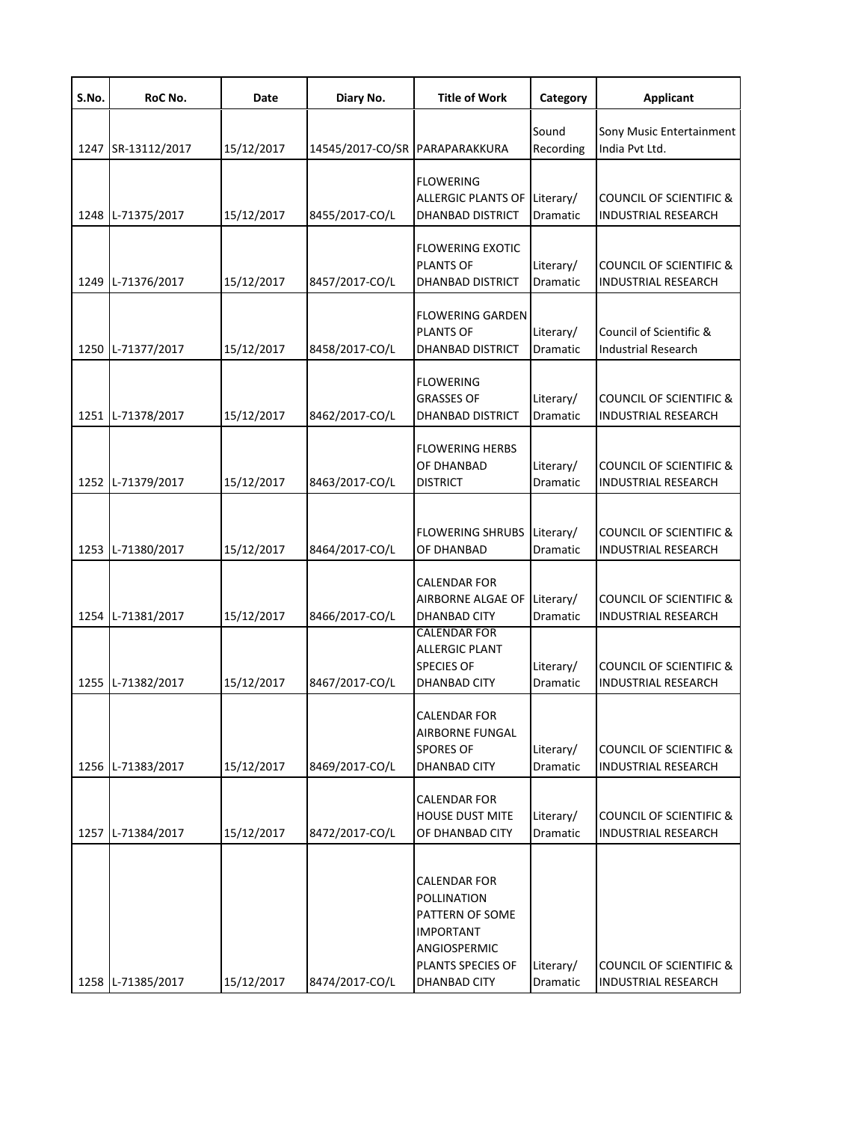| S.No. | RoC No.            | Date       | Diary No.                      | <b>Title of Work</b>                                                                                                           | Category              | <b>Applicant</b>                                                 |
|-------|--------------------|------------|--------------------------------|--------------------------------------------------------------------------------------------------------------------------------|-----------------------|------------------------------------------------------------------|
|       | 1247 SR-13112/2017 | 15/12/2017 | 14545/2017-CO/SR PARAPARAKKURA |                                                                                                                                | Sound<br>Recording    | Sony Music Entertainment<br>India Pvt Ltd.                       |
|       | 1248 L-71375/2017  | 15/12/2017 | 8455/2017-CO/L                 | <b>FLOWERING</b><br>ALLERGIC PLANTS OF<br><b>DHANBAD DISTRICT</b>                                                              | Literary/<br>Dramatic | <b>COUNCIL OF SCIENTIFIC &amp;</b><br><b>INDUSTRIAL RESEARCH</b> |
|       | 1249 L-71376/2017  | 15/12/2017 | 8457/2017-CO/L                 | <b>FLOWERING EXOTIC</b><br><b>PLANTS OF</b><br><b>DHANBAD DISTRICT</b>                                                         | Literary/<br>Dramatic | <b>COUNCIL OF SCIENTIFIC &amp;</b><br><b>INDUSTRIAL RESEARCH</b> |
|       | 1250 L-71377/2017  | 15/12/2017 | 8458/2017-CO/L                 | <b>FLOWERING GARDEN</b><br><b>PLANTS OF</b><br><b>DHANBAD DISTRICT</b>                                                         | Literary/<br>Dramatic | Council of Scientific &<br><b>Industrial Research</b>            |
|       | 1251 L-71378/2017  | 15/12/2017 | 8462/2017-CO/L                 | <b>FLOWERING</b><br><b>GRASSES OF</b><br><b>DHANBAD DISTRICT</b>                                                               | Literary/<br>Dramatic | <b>COUNCIL OF SCIENTIFIC &amp;</b><br><b>INDUSTRIAL RESEARCH</b> |
|       | 1252 L-71379/2017  | 15/12/2017 | 8463/2017-CO/L                 | <b>FLOWERING HERBS</b><br>OF DHANBAD<br><b>DISTRICT</b>                                                                        | Literary/<br>Dramatic | <b>COUNCIL OF SCIENTIFIC &amp;</b><br><b>INDUSTRIAL RESEARCH</b> |
|       | 1253 L-71380/2017  | 15/12/2017 | 8464/2017-CO/L                 | <b>FLOWERING SHRUBS</b><br>OF DHANBAD                                                                                          | Literary/<br>Dramatic | COUNCIL OF SCIENTIFIC &<br><b>INDUSTRIAL RESEARCH</b>            |
|       | 1254 L-71381/2017  | 15/12/2017 | 8466/2017-CO/L                 | <b>CALENDAR FOR</b><br>AIRBORNE ALGAE OF<br><b>DHANBAD CITY</b>                                                                | Literary/<br>Dramatic | <b>COUNCIL OF SCIENTIFIC &amp;</b><br><b>INDUSTRIAL RESEARCH</b> |
|       | 1255 L-71382/2017  | 15/12/2017 | 8467/2017-CO/L                 | <b>CALENDAR FOR</b><br><b>ALLERGIC PLANT</b><br><b>SPECIES OF</b><br><b>DHANBAD CITY</b>                                       | Literary/<br>Dramatic | <b>COUNCIL OF SCIENTIFIC &amp;</b><br><b>INDUSTRIAL RESEARCH</b> |
|       | 1256 L-71383/2017  | 15/12/2017 | 8469/2017-CO/L                 | <b>CALENDAR FOR</b><br><b>AIRBORNE FUNGAL</b><br><b>SPORES OF</b><br>DHANBAD CITY                                              | Literary/<br>Dramatic | <b>COUNCIL OF SCIENTIFIC &amp;</b><br><b>INDUSTRIAL RESEARCH</b> |
|       | 1257 L-71384/2017  | 15/12/2017 | 8472/2017-CO/L                 | CALENDAR FOR<br><b>HOUSE DUST MITE</b><br>OF DHANBAD CITY                                                                      | Literary/<br>Dramatic | <b>COUNCIL OF SCIENTIFIC &amp;</b><br><b>INDUSTRIAL RESEARCH</b> |
|       | 1258 L-71385/2017  | 15/12/2017 | 8474/2017-CO/L                 | <b>CALENDAR FOR</b><br>POLLINATION<br>PATTERN OF SOME<br><b>IMPORTANT</b><br>ANGIOSPERMIC<br>PLANTS SPECIES OF<br>DHANBAD CITY | Literary/<br>Dramatic | <b>COUNCIL OF SCIENTIFIC &amp;</b><br>INDUSTRIAL RESEARCH        |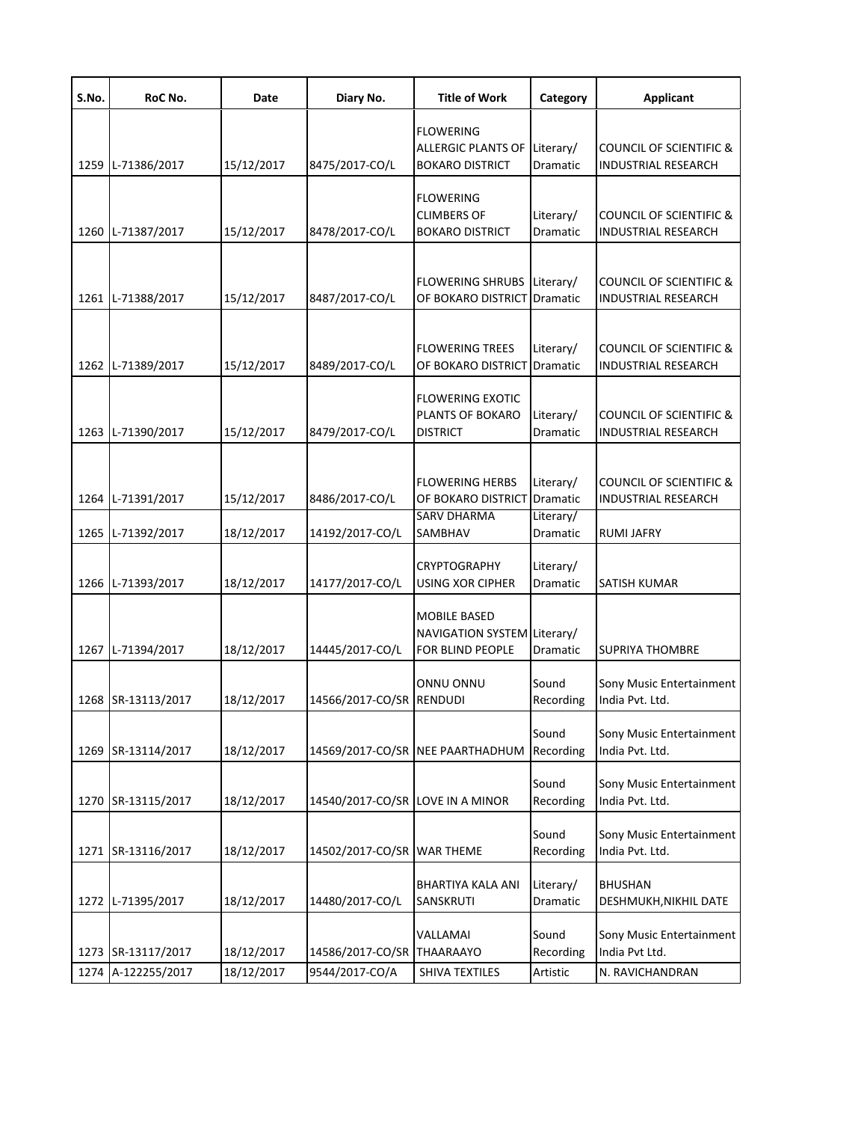| S.No. | RoC No.            | Date       | Diary No.                        | <b>Title of Work</b>                                                    | Category                           | <b>Applicant</b>                                                 |
|-------|--------------------|------------|----------------------------------|-------------------------------------------------------------------------|------------------------------------|------------------------------------------------------------------|
|       | 1259 L-71386/2017  | 15/12/2017 | 8475/2017-CO/L                   | <b>FLOWERING</b><br><b>ALLERGIC PLANTS OF</b><br><b>BOKARO DISTRICT</b> | Literary/<br>Dramatic              | <b>COUNCIL OF SCIENTIFIC &amp;</b><br>INDUSTRIAL RESEARCH        |
|       | 1260 L-71387/2017  | 15/12/2017 | 8478/2017-CO/L                   | <b>FLOWERING</b><br><b>CLIMBERS OF</b><br><b>BOKARO DISTRICT</b>        | Literary/<br>Dramatic              | <b>COUNCIL OF SCIENTIFIC &amp;</b><br><b>INDUSTRIAL RESEARCH</b> |
|       | 1261 L-71388/2017  | 15/12/2017 | 8487/2017-CO/L                   | <b>FLOWERING SHRUBS</b><br>OF BOKARO DISTRICT                           | Literary/<br>Dramatic              | <b>COUNCIL OF SCIENTIFIC &amp;</b><br><b>INDUSTRIAL RESEARCH</b> |
|       | 1262 L-71389/2017  | 15/12/2017 | 8489/2017-CO/L                   | <b>FLOWERING TREES</b><br>OF BOKARO DISTRICT                            | Literary/<br>Dramatic              | <b>COUNCIL OF SCIENTIFIC &amp;</b><br><b>INDUSTRIAL RESEARCH</b> |
|       | 1263 L-71390/2017  | 15/12/2017 | 8479/2017-CO/L                   | <b>FLOWERING EXOTIC</b><br>PLANTS OF BOKARO<br><b>DISTRICT</b>          | Literary/<br>Dramatic              | <b>COUNCIL OF SCIENTIFIC &amp;</b><br><b>INDUSTRIAL RESEARCH</b> |
|       | 1264 L-71391/2017  | 15/12/2017 | 8486/2017-CO/L                   | <b>FLOWERING HERBS</b><br>OF BOKARO DISTRICT<br><b>SARV DHARMA</b>      | Literary/<br>Dramatic<br>Literary/ | <b>COUNCIL OF SCIENTIFIC &amp;</b><br><b>INDUSTRIAL RESEARCH</b> |
|       | 1265 L-71392/2017  | 18/12/2017 | 14192/2017-CO/L                  | SAMBHAV                                                                 | Dramatic                           | <b>RUMI JAFRY</b>                                                |
|       | 1266 L-71393/2017  | 18/12/2017 | 14177/2017-CO/L                  | <b>CRYPTOGRAPHY</b><br><b>USING XOR CIPHER</b>                          | Literary/<br>Dramatic              | SATISH KUMAR                                                     |
|       | 1267 L-71394/2017  | 18/12/2017 | 14445/2017-CO/L                  | MOBILE BASED<br>NAVIGATION SYSTEM Literary/<br>FOR BLIND PEOPLE         | Dramatic                           | <b>SUPRIYA THOMBRE</b>                                           |
|       | 1268 SR-13113/2017 | 18/12/2017 | 14566/2017-CO/SR RENDUDI         | ONNU ONNU                                                               | Sound<br>Recording                 | Sony Music Entertainment<br>India Pvt. Ltd.                      |
|       | 1269 SR-13114/2017 | 18/12/2017 |                                  | 14569/2017-CO/SR NEE PAARTHADHUM                                        | Sound<br>Recording                 | Sony Music Entertainment<br>India Pvt. Ltd.                      |
|       | 1270 SR-13115/2017 | 18/12/2017 | 14540/2017-CO/SR LOVE IN A MINOR |                                                                         | Sound<br>Recording                 | Sony Music Entertainment<br>India Pvt. Ltd.                      |
|       | 1271 SR-13116/2017 | 18/12/2017 | 14502/2017-CO/SR WAR THEME       |                                                                         | Sound<br>Recording                 | Sony Music Entertainment<br>India Pvt. Ltd.                      |
|       | 1272 L-71395/2017  | 18/12/2017 | 14480/2017-CO/L                  | <b>BHARTIYA KALA ANI</b><br>SANSKRUTI                                   | Literary/<br>Dramatic              | <b>BHUSHAN</b><br>DESHMUKH, NIKHIL DATE                          |
|       | 1273 SR-13117/2017 | 18/12/2017 | 14586/2017-CO/SR THAARAAYO       | VALLAMAI                                                                | Sound<br>Recording                 | Sony Music Entertainment<br>India Pvt Ltd.                       |
|       | 1274 A-122255/2017 | 18/12/2017 | 9544/2017-CO/A                   | SHIVA TEXTILES                                                          | Artistic                           | N. RAVICHANDRAN                                                  |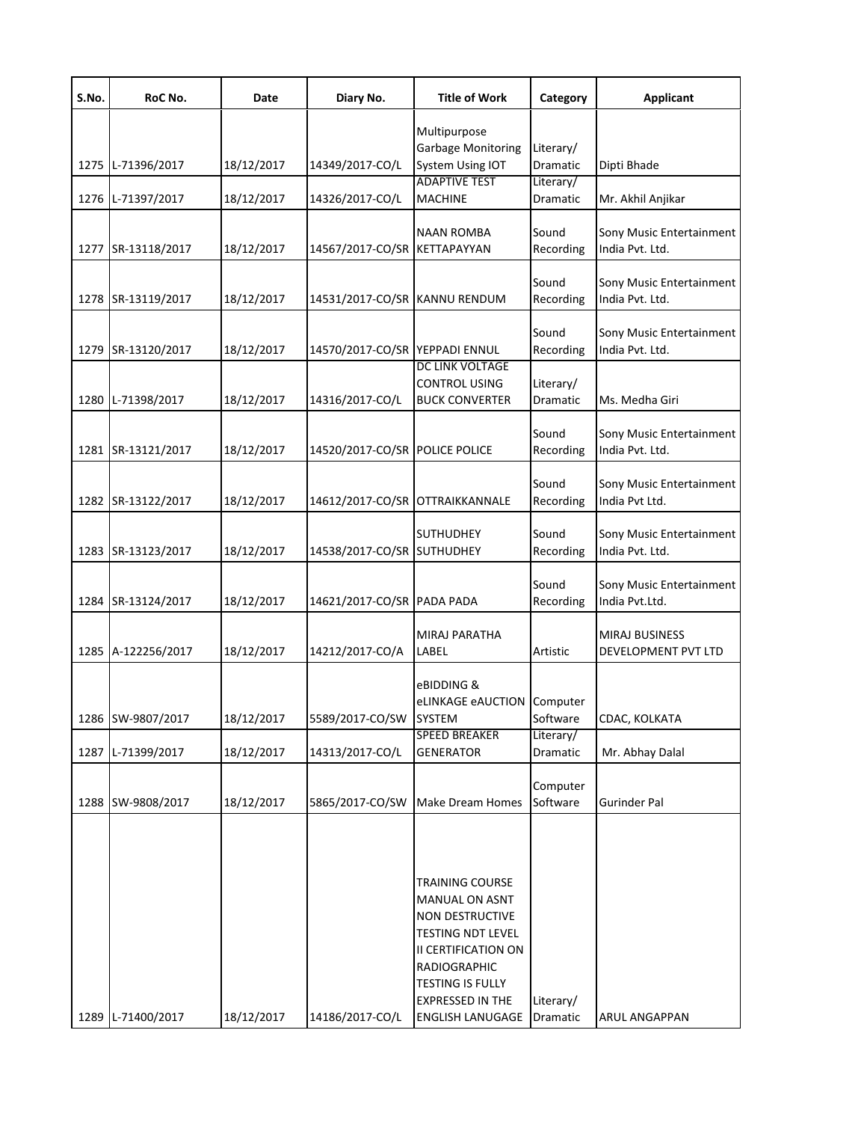| S.No. | RoC No.            | Date       | Diary No.                       | <b>Title of Work</b>                                                                                                                                    | Category              | <b>Applicant</b>                            |
|-------|--------------------|------------|---------------------------------|---------------------------------------------------------------------------------------------------------------------------------------------------------|-----------------------|---------------------------------------------|
|       |                    |            |                                 | Multipurpose<br><b>Garbage Monitoring</b>                                                                                                               | Literary/             |                                             |
| 1275  | L-71396/2017       | 18/12/2017 | 14349/2017-CO/L                 | System Using IOT                                                                                                                                        | Dramatic              | Dipti Bhade                                 |
| 1276  | L-71397/2017       | 18/12/2017 | 14326/2017-CO/L                 | <b>ADAPTIVE TEST</b><br><b>MACHINE</b>                                                                                                                  | Literary/<br>Dramatic | Mr. Akhil Anjikar                           |
|       |                    |            |                                 | <b>NAAN ROMBA</b>                                                                                                                                       | Sound                 | Sony Music Entertainment                    |
| 1277  | SR-13118/2017      | 18/12/2017 | 14567/2017-CO/SR KETTAPAYYAN    |                                                                                                                                                         | Recording             | India Pvt. Ltd.                             |
| 1278  | SR-13119/2017      | 18/12/2017 | 14531/2017-CO/SR KANNU RENDUM   |                                                                                                                                                         | Sound<br>Recording    | Sony Music Entertainment<br>India Pvt. Ltd. |
| 1279  | SR-13120/2017      | 18/12/2017 | 14570/2017-CO/SR YEPPADI ENNUL  |                                                                                                                                                         | Sound<br>Recording    | Sony Music Entertainment<br>India Pvt. Ltd. |
| 1280  | L-71398/2017       | 18/12/2017 | 14316/2017-CO/L                 | DC LINK VOLTAGE<br><b>CONTROL USING</b><br><b>BUCK CONVERTER</b>                                                                                        | Literary/<br>Dramatic | Ms. Medha Giri                              |
|       | 1281 SR-13121/2017 | 18/12/2017 | 14520/2017-CO/SR POLICE POLICE  |                                                                                                                                                         | Sound<br>Recording    | Sony Music Entertainment<br>India Pvt. Ltd. |
|       | 1282 SR-13122/2017 | 18/12/2017 | 14612/2017-CO/SR OTTRAIKKANNALE |                                                                                                                                                         | Sound<br>Recording    | Sony Music Entertainment<br>India Pvt Ltd.  |
|       | 1283 SR-13123/2017 | 18/12/2017 | 14538/2017-CO/SR                | <b>SUTHUDHEY</b><br><b>SUTHUDHEY</b>                                                                                                                    | Sound<br>Recording    | Sony Music Entertainment<br>India Pvt. Ltd. |
|       | 1284 SR-13124/2017 | 18/12/2017 | 14621/2017-CO/SR PADA PADA      |                                                                                                                                                         | Sound<br>Recording    | Sony Music Entertainment<br>India Pvt.Ltd.  |
|       | 1285 A-122256/2017 | 18/12/2017 | 14212/2017-CO/A                 | <b>MIRAJ PARATHA</b><br>LABEL                                                                                                                           | Artistic              | MIRAJ BUSINESS<br>DEVELOPMENT PVT LTD       |
|       |                    |            |                                 | eBIDDING &<br>eLINKAGE eAUCTION                                                                                                                         | Computer              |                                             |
|       | 1286 SW-9807/2017  | 18/12/2017 | 5589/2017-CO/SW SYSTEM          | <b>SPEED BREAKER</b>                                                                                                                                    | Software<br>Literary/ | CDAC, KOLKATA                               |
| 1287  | L-71399/2017       | 18/12/2017 | 14313/2017-CO/L                 | <b>GENERATOR</b>                                                                                                                                        | Dramatic              | Mr. Abhay Dalal                             |
|       | 1288 SW-9808/2017  | 18/12/2017 | 5865/2017-CO/SW                 | Make Dream Homes                                                                                                                                        | Computer<br>Software  | <b>Gurinder Pal</b>                         |
|       |                    |            |                                 | <b>TRAINING COURSE</b><br><b>MANUAL ON ASNT</b><br><b>NON DESTRUCTIVE</b>                                                                               |                       |                                             |
| 1289  | L-71400/2017       | 18/12/2017 | 14186/2017-CO/L                 | <b>TESTING NDT LEVEL</b><br>II CERTIFICATION ON<br><b>RADIOGRAPHIC</b><br><b>TESTING IS FULLY</b><br><b>EXPRESSED IN THE</b><br><b>ENGLISH LANUGAGE</b> | Literary/<br>Dramatic | ARUL ANGAPPAN                               |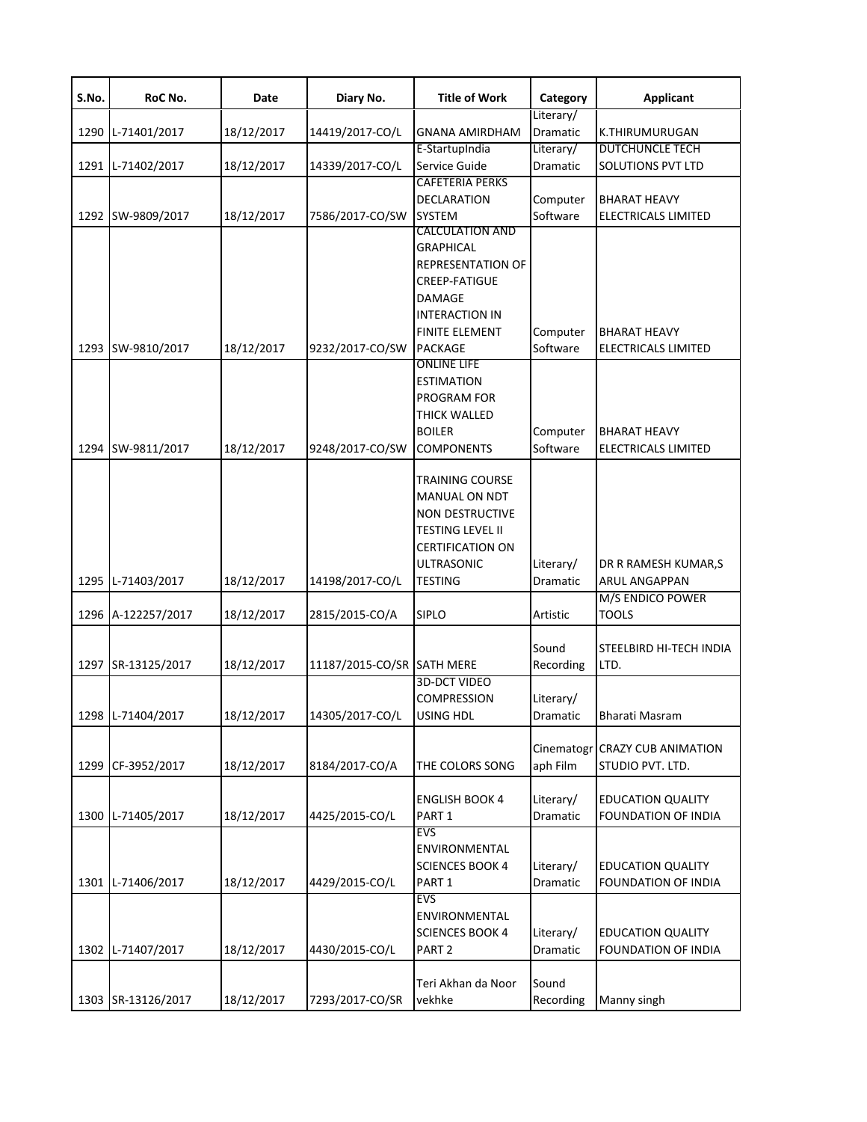| S.No. | RoC No.            | Date       | Diary No.                  | <b>Title of Work</b>                                                                                                                                                         | Category              | <b>Applicant</b>                                   |
|-------|--------------------|------------|----------------------------|------------------------------------------------------------------------------------------------------------------------------------------------------------------------------|-----------------------|----------------------------------------------------|
| 1290  | L-71401/2017       | 18/12/2017 | 14419/2017-CO/L            | <b>GNANA AMIRDHAM</b>                                                                                                                                                        | Literary/<br>Dramatic | K.THIRUMURUGAN                                     |
|       | 1291 L-71402/2017  | 18/12/2017 | 14339/2017-CO/L            | E-StartupIndia<br>Service Guide                                                                                                                                              | Literary/<br>Dramatic | <b>DUTCHUNCLE TECH</b><br>SOLUTIONS PVT LTD        |
|       | 1292 SW-9809/2017  | 18/12/2017 | 7586/2017-CO/SW            | <b>CAFETERIA PERKS</b><br><b>DECLARATION</b><br><b>SYSTEM</b>                                                                                                                | Computer<br>Software  | <b>BHARAT HEAVY</b><br><b>ELECTRICALS LIMITED</b>  |
|       | 1293 SW-9810/2017  | 18/12/2017 | 9232/2017-CO/SW            | <b>CALCULATION AND</b><br><b>GRAPHICAL</b><br><b>REPRESENTATION OF</b><br><b>CREEP-FATIGUE</b><br>DAMAGE<br><b>INTERACTION IN</b><br><b>FINITE ELEMENT</b><br><b>PACKAGE</b> | Computer<br>Software  | <b>BHARAT HEAVY</b><br>ELECTRICALS LIMITED         |
|       | 1294 SW-9811/2017  | 18/12/2017 | 9248/2017-CO/SW            | <b>ONLINE LIFE</b><br><b>ESTIMATION</b><br><b>PROGRAM FOR</b><br><b>THICK WALLED</b><br><b>BOILER</b><br><b>COMPONENTS</b>                                                   | Computer<br>Software  | <b>BHARAT HEAVY</b><br><b>ELECTRICALS LIMITED</b>  |
|       | 1295 L-71403/2017  | 18/12/2017 | 14198/2017-CO/L            | <b>TRAINING COURSE</b><br><b>MANUAL ON NDT</b><br><b>NON DESTRUCTIVE</b><br><b>TESTING LEVEL II</b><br><b>CERTIFICATION ON</b><br><b>ULTRASONIC</b><br><b>TESTING</b>        | Literary/<br>Dramatic | DR R RAMESH KUMAR,S<br>ARUL ANGAPPAN               |
|       | 1296 A-122257/2017 | 18/12/2017 | 2815/2015-CO/A             | <b>SIPLO</b>                                                                                                                                                                 | Artistic              | M/S ENDICO POWER<br><b>TOOLS</b>                   |
|       | 1297 SR-13125/2017 | 18/12/2017 | 11187/2015-CO/SR SATH MERE |                                                                                                                                                                              | Sound<br>Recording    | STEELBIRD HI-TECH INDIA<br>LTD.                    |
|       | 1298 L-71404/2017  | 18/12/2017 | 14305/2017-CO/L            | <b>3D-DCT VIDEO</b><br><b>COMPRESSION</b><br>USING HDL                                                                                                                       | Literary/<br>Dramatic | Bharati Masram                                     |
|       | 1299 CF-3952/2017  | 18/12/2017 | 8184/2017-CO/A             | THE COLORS SONG                                                                                                                                                              | aph Film              | Cinematogr CRAZY CUB ANIMATION<br>STUDIO PVT. LTD. |
|       | 1300 L-71405/2017  | 18/12/2017 | 4425/2015-CO/L             | <b>ENGLISH BOOK 4</b><br>PART <sub>1</sub>                                                                                                                                   | Literary/<br>Dramatic | <b>EDUCATION QUALITY</b><br>FOUNDATION OF INDIA    |
|       | 1301 L-71406/2017  | 18/12/2017 | 4429/2015-CO/L             | <b>EVS</b><br>ENVIRONMENTAL<br><b>SCIENCES BOOK 4</b><br>PART <sub>1</sub>                                                                                                   | Literary/<br>Dramatic | <b>EDUCATION QUALITY</b><br>FOUNDATION OF INDIA    |
|       | 1302 L-71407/2017  | 18/12/2017 | 4430/2015-CO/L             | EVS<br>ENVIRONMENTAL<br><b>SCIENCES BOOK 4</b><br>PART <sub>2</sub>                                                                                                          | Literary/<br>Dramatic | <b>EDUCATION QUALITY</b><br>FOUNDATION OF INDIA    |
|       | 1303 SR-13126/2017 | 18/12/2017 | 7293/2017-CO/SR            | Teri Akhan da Noor<br>vekhke                                                                                                                                                 | Sound<br>Recording    | Manny singh                                        |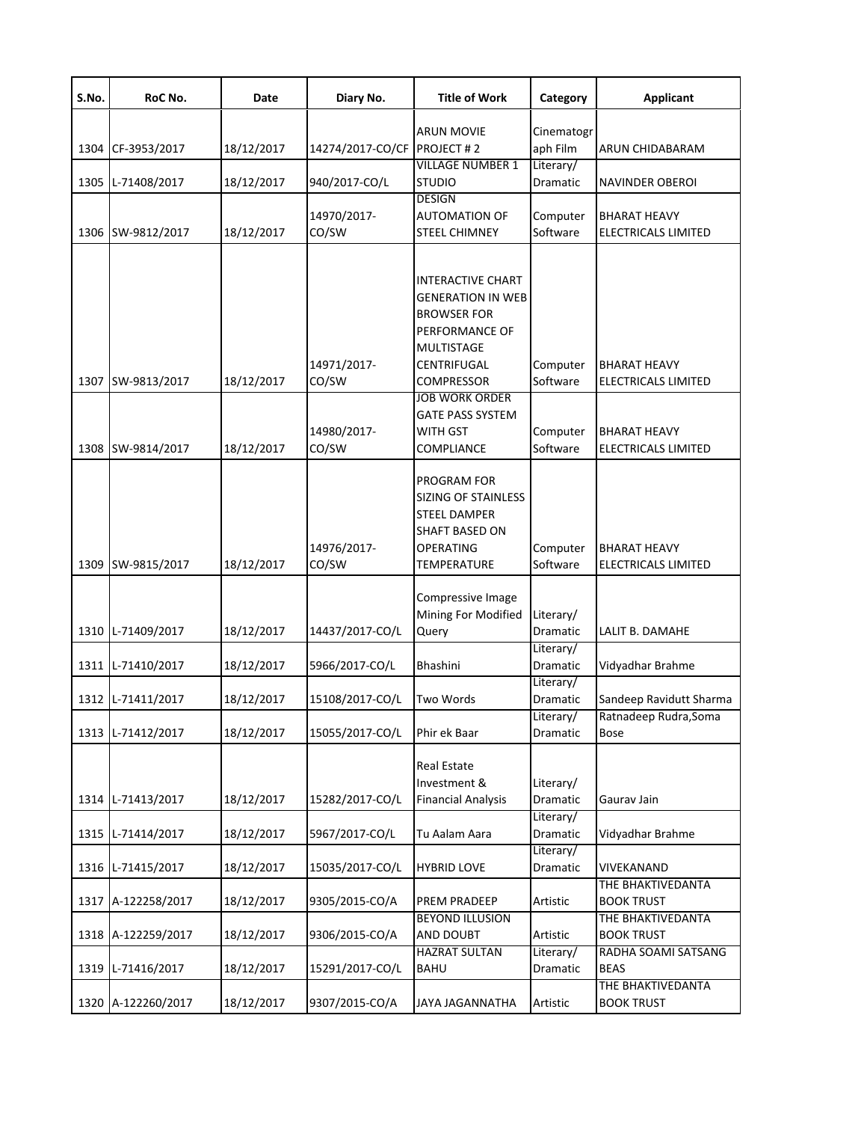| S.No. | RoC No.            | Date       | Diary No.                    | <b>Title of Work</b>                                                                                          | Category              | <b>Applicant</b>                           |
|-------|--------------------|------------|------------------------------|---------------------------------------------------------------------------------------------------------------|-----------------------|--------------------------------------------|
|       |                    |            |                              | <b>ARUN MOVIE</b>                                                                                             | Cinematogr            |                                            |
| 1304  | CF-3953/2017       | 18/12/2017 | 14274/2017-CO/CF PROJECT # 2 |                                                                                                               | aph Film              | ARUN CHIDABARAM                            |
|       |                    |            |                              | <b>VILLAGE NUMBER 1</b>                                                                                       | Literary/             |                                            |
|       | 1305 L-71408/2017  | 18/12/2017 | 940/2017-CO/L                | <b>STUDIO</b>                                                                                                 | Dramatic              | <b>NAVINDER OBEROI</b>                     |
|       |                    |            |                              | <b>DESIGN</b>                                                                                                 |                       |                                            |
|       | 1306 SW-9812/2017  | 18/12/2017 | 14970/2017-<br>CO/SW         | <b>AUTOMATION OF</b><br><b>STEEL CHIMNEY</b>                                                                  | Computer<br>Software  | BHARAT HEAVY<br><b>ELECTRICALS LIMITED</b> |
|       |                    |            |                              |                                                                                                               |                       |                                            |
|       |                    |            |                              | <b>INTERACTIVE CHART</b><br><b>GENERATION IN WEB</b>                                                          |                       |                                            |
|       |                    |            |                              | <b>BROWSER FOR</b><br>PERFORMANCE OF                                                                          |                       |                                            |
|       |                    |            |                              | <b>MULTISTAGE</b>                                                                                             |                       |                                            |
|       | 1307 SW-9813/2017  | 18/12/2017 | 14971/2017-<br>CO/SW         | <b>CENTRIFUGAL</b><br><b>COMPRESSOR</b>                                                                       | Computer<br>Software  | BHARAT HEAVY<br>ELECTRICALS LIMITED        |
|       |                    |            |                              | <b>JOB WORK ORDER</b>                                                                                         |                       |                                            |
|       |                    |            |                              | <b>GATE PASS SYSTEM</b>                                                                                       |                       |                                            |
|       |                    |            | 14980/2017-                  | WITH GST                                                                                                      | Computer              | <b>BHARAT HEAVY</b>                        |
|       | 1308 SW-9814/2017  | 18/12/2017 | CO/SW                        | <b>COMPLIANCE</b>                                                                                             | Software              | ELECTRICALS LIMITED                        |
|       |                    |            | 14976/2017-                  | PROGRAM FOR<br><b>SIZING OF STAINLESS</b><br><b>STEEL DAMPER</b><br><b>SHAFT BASED ON</b><br><b>OPERATING</b> | Computer              | BHARAT HEAVY                               |
|       | 1309 SW-9815/2017  | 18/12/2017 | CO/SW                        | TEMPERATURE                                                                                                   | Software              | ELECTRICALS LIMITED                        |
|       | 1310 L-71409/2017  | 18/12/2017 | 14437/2017-CO/L              | Compressive Image<br>Mining For Modified<br>Query                                                             | Literary/<br>Dramatic | LALIT B. DAMAHE                            |
|       |                    |            |                              |                                                                                                               | Literary/             |                                            |
|       | 1311 L-71410/2017  | 18/12/2017 | 5966/2017-CO/L               | Bhashini                                                                                                      | Dramatic              | Vidyadhar Brahme                           |
|       | 1312 L-71411/2017  | 18/12/2017 | 15108/2017-CO/L              | Two Words                                                                                                     | Literary/<br>Dramatic | Sandeep Ravidutt Sharma                    |
|       |                    |            |                              |                                                                                                               | Literary/             | Ratnadeep Rudra, Soma                      |
|       | 1313 L-71412/2017  | 18/12/2017 | 15055/2017-CO/L              | Phir ek Baar                                                                                                  | Dramatic              | Bose                                       |
|       | 1314 L-71413/2017  | 18/12/2017 | 15282/2017-CO/L              | <b>Real Estate</b><br>Investment &<br><b>Financial Analysis</b>                                               | Literary/<br>Dramatic | Gaurav Jain                                |
|       | 1315 L-71414/2017  | 18/12/2017 | 5967/2017-CO/L               | Tu Aalam Aara                                                                                                 | Literary/<br>Dramatic | Vidyadhar Brahme                           |
|       |                    |            |                              |                                                                                                               | Literary/             |                                            |
|       | 1316 L-71415/2017  | 18/12/2017 | 15035/2017-CO/L              | <b>HYBRID LOVE</b>                                                                                            | Dramatic              | VIVEKANAND                                 |
|       | 1317 A-122258/2017 | 18/12/2017 | 9305/2015-CO/A               | <b>PREM PRADEEP</b>                                                                                           | Artistic              | THE BHAKTIVEDANTA<br><b>BOOK TRUST</b>     |
|       | 1318 A-122259/2017 | 18/12/2017 | 9306/2015-CO/A               | <b>BEYOND ILLUSION</b><br>AND DOUBT                                                                           | Artistic              | THE BHAKTIVEDANTA<br><b>BOOK TRUST</b>     |
|       | 1319 L-71416/2017  | 18/12/2017 | 15291/2017-CO/L              | <b>HAZRAT SULTAN</b><br><b>BAHU</b>                                                                           | Literary/<br>Dramatic | RADHA SOAMI SATSANG<br>BEAS                |
|       | 1320 A-122260/2017 | 18/12/2017 | 9307/2015-CO/A               | JAYA JAGANNATHA                                                                                               | Artistic              | THE BHAKTIVEDANTA<br><b>BOOK TRUST</b>     |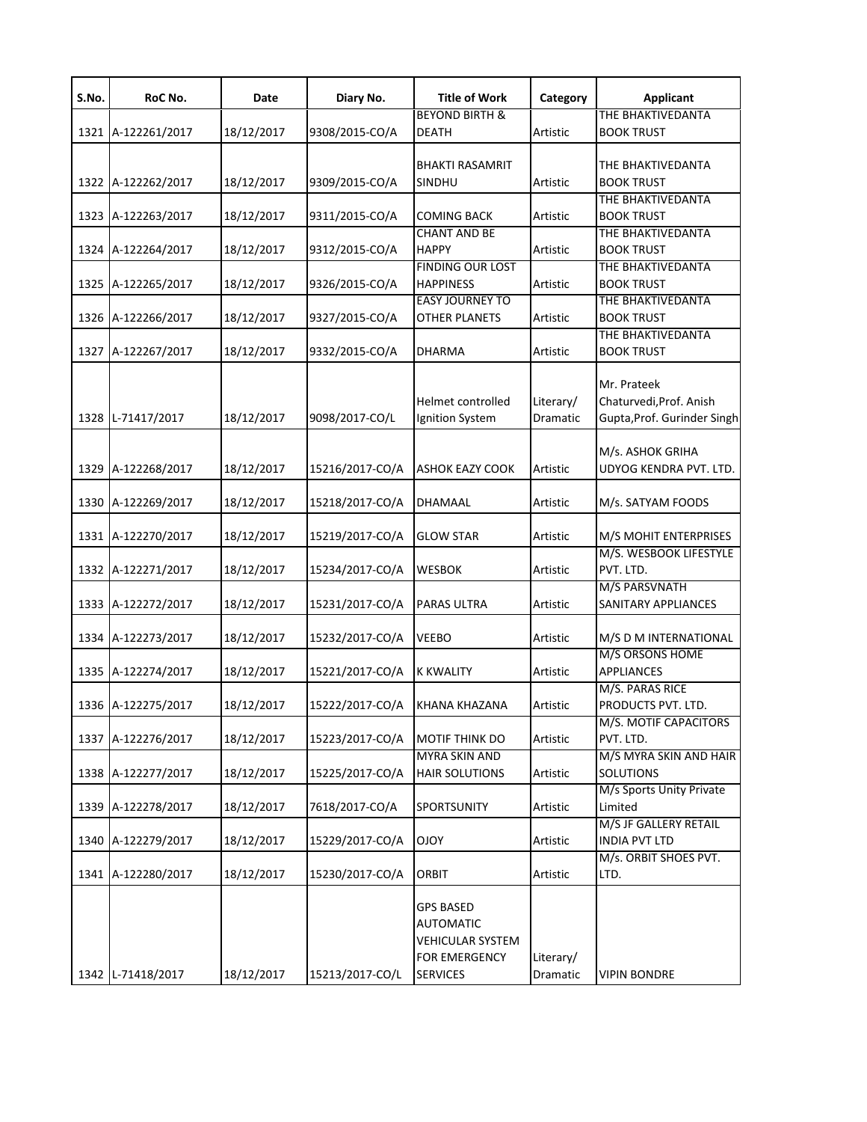| S.No. | RoC No.            | Date       | Diary No.       | <b>Title of Work</b>      | Category  | <b>Applicant</b>                       |
|-------|--------------------|------------|-----------------|---------------------------|-----------|----------------------------------------|
|       |                    |            |                 | <b>BEYOND BIRTH &amp;</b> |           | THE BHAKTIVEDANTA                      |
|       | 1321 A-122261/2017 | 18/12/2017 | 9308/2015-CO/A  | <b>DEATH</b>              | Artistic  | <b>BOOK TRUST</b>                      |
|       |                    |            |                 | <b>BHAKTI RASAMRIT</b>    |           | THE BHAKTIVEDANTA                      |
|       | 1322 A-122262/2017 | 18/12/2017 | 9309/2015-CO/A  | SINDHU                    | Artistic  | <b>BOOK TRUST</b>                      |
|       |                    |            |                 |                           |           | THE BHAKTIVEDANTA                      |
|       | 1323 A-122263/2017 | 18/12/2017 | 9311/2015-CO/A  | <b>COMING BACK</b>        | Artistic  | <b>BOOK TRUST</b>                      |
|       |                    |            |                 | <b>CHANT AND BE</b>       |           | THE BHAKTIVEDANTA                      |
|       | 1324 A-122264/2017 | 18/12/2017 | 9312/2015-CO/A  | <b>HAPPY</b>              | Artistic  | <b>BOOK TRUST</b>                      |
|       |                    |            |                 | <b>FINDING OUR LOST</b>   |           | THE BHAKTIVEDANTA                      |
|       | 1325 A-122265/2017 | 18/12/2017 | 9326/2015-CO/A  | <b>HAPPINESS</b>          | Artistic  | <b>BOOK TRUST</b>                      |
|       |                    |            |                 | <b>EASY JOURNEY TO</b>    |           | THE BHAKTIVEDANTA                      |
|       | 1326 A-122266/2017 | 18/12/2017 | 9327/2015-CO/A  | <b>OTHER PLANETS</b>      | Artistic  | <b>BOOK TRUST</b>                      |
|       | 1327 A-122267/2017 | 18/12/2017 | 9332/2015-CO/A  | <b>DHARMA</b>             | Artistic  | THE BHAKTIVEDANTA<br><b>BOOK TRUST</b> |
|       |                    |            |                 |                           |           |                                        |
|       |                    |            |                 |                           |           | Mr. Prateek                            |
|       |                    |            |                 | Helmet controlled         | Literary/ | Chaturvedi, Prof. Anish                |
|       | 1328 L-71417/2017  | 18/12/2017 | 9098/2017-CO/L  | Ignition System           | Dramatic  | Gupta, Prof. Gurinder Singh            |
|       |                    |            |                 |                           |           |                                        |
|       |                    |            |                 |                           |           | M/s. ASHOK GRIHA                       |
| 1329  | A-122268/2017      | 18/12/2017 | 15216/2017-CO/A | <b>ASHOK EAZY COOK</b>    | Artistic  | UDYOG KENDRA PVT. LTD.                 |
|       |                    |            |                 |                           |           |                                        |
|       | 1330 A-122269/2017 | 18/12/2017 | 15218/2017-CO/A | DHAMAAL                   | Artistic  | M/s. SATYAM FOODS                      |
|       | 1331 A-122270/2017 | 18/12/2017 | 15219/2017-CO/A | <b>GLOW STAR</b>          | Artistic  | M/S MOHIT ENTERPRISES                  |
|       |                    |            |                 |                           |           | M/S. WESBOOK LIFESTYLE                 |
|       | 1332 A-122271/2017 | 18/12/2017 | 15234/2017-CO/A | <b>WESBOK</b>             | Artistic  | PVT. LTD.                              |
|       |                    |            |                 |                           |           | M/S PARSVNATH                          |
|       | 1333 A-122272/2017 | 18/12/2017 | 15231/2017-CO/A | PARAS ULTRA               | Artistic  | SANITARY APPLIANCES                    |
|       |                    |            |                 |                           |           |                                        |
| 1334  | A-122273/2017      | 18/12/2017 | 15232/2017-CO/A | <b>VEEBO</b>              | Artistic  | M/S D M INTERNATIONAL                  |
|       |                    |            |                 |                           |           | M/S ORSONS HOME                        |
|       | 1335 A-122274/2017 | 18/12/2017 | 15221/2017-CO/A | <b>K KWALITY</b>          | Artistic  | <b>APPLIANCES</b><br>M/S. PARAS RICE   |
|       | 1336 A-122275/2017 | 18/12/2017 | 15222/2017-CO/A | KHANA KHAZANA             | Artistic  | PRODUCTS PVT. LTD.                     |
|       |                    |            |                 |                           |           | M/S. MOTIF CAPACITORS                  |
| 1337  | A-122276/2017      | 18/12/2017 | 15223/2017-CO/A | MOTIF THINK DO            | Artistic  | PVT. LTD.                              |
|       |                    |            |                 | <b>MYRA SKIN AND</b>      |           | M/S MYRA SKIN AND HAIR                 |
|       | 1338 A-122277/2017 | 18/12/2017 | 15225/2017-CO/A | <b>HAIR SOLUTIONS</b>     | Artistic  | SOLUTIONS                              |
|       |                    |            |                 |                           |           | M/s Sports Unity Private               |
| 1339  | A-122278/2017      | 18/12/2017 | 7618/2017-CO/A  | SPORTSUNITY               | Artistic  | Limited                                |
|       |                    |            |                 |                           |           | M/S JF GALLERY RETAIL                  |
|       | 1340 A-122279/2017 | 18/12/2017 | 15229/2017-CO/A | <b>OJOY</b>               | Artistic  | <b>INDIA PVT LTD</b>                   |
|       |                    |            |                 | <b>ORBIT</b>              |           | M/s. ORBIT SHOES PVT.                  |
|       | 1341 A-122280/2017 | 18/12/2017 | 15230/2017-CO/A |                           | Artistic  | LTD.                                   |
|       |                    |            |                 | <b>GPS BASED</b>          |           |                                        |
|       |                    |            |                 | <b>AUTOMATIC</b>          |           |                                        |
|       |                    |            |                 | <b>VEHICULAR SYSTEM</b>   |           |                                        |
|       |                    |            |                 | <b>FOR EMERGENCY</b>      | Literary/ |                                        |
|       | 1342 L-71418/2017  | 18/12/2017 | 15213/2017-CO/L | <b>SERVICES</b>           | Dramatic  | <b>VIPIN BONDRE</b>                    |
|       |                    |            |                 |                           |           |                                        |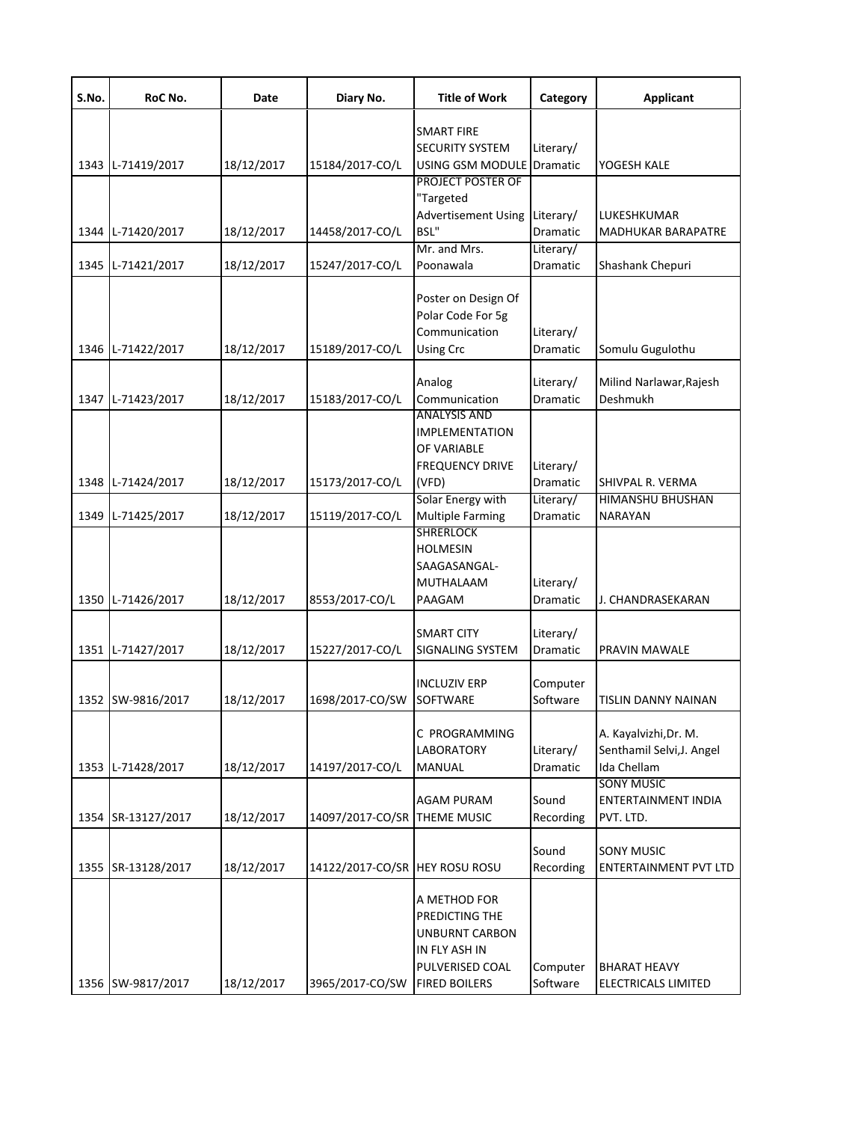| S.No. | RoC No.            | Date       | Diary No.                      | <b>Title of Work</b>                                                                                                | Category                     | <b>Applicant</b>                                                         |
|-------|--------------------|------------|--------------------------------|---------------------------------------------------------------------------------------------------------------------|------------------------------|--------------------------------------------------------------------------|
|       |                    |            |                                | <b>SMART FIRE</b>                                                                                                   |                              |                                                                          |
|       |                    |            |                                | <b>SECURITY SYSTEM</b>                                                                                              | Literary/                    |                                                                          |
|       | 1343 L-71419/2017  | 18/12/2017 | 15184/2017-CO/L                | USING GSM MODULE<br><b>PROJECT POSTER OF</b>                                                                        | Dramatic                     | YOGESH KALE                                                              |
|       | 1344 L-71420/2017  | 18/12/2017 | 14458/2017-CO/L                | "Targeted<br><b>Advertisement Using</b><br>BSL"                                                                     | Literary/<br><b>Dramatic</b> | LUKESHKUMAR<br><b>MADHUKAR BARAPATRE</b>                                 |
|       |                    |            |                                | Mr. and Mrs.                                                                                                        | Literary/                    |                                                                          |
|       | 1345 L-71421/2017  | 18/12/2017 | 15247/2017-CO/L                | Poonawala                                                                                                           | Dramatic                     | Shashank Chepuri                                                         |
|       | 1346 L-71422/2017  | 18/12/2017 | 15189/2017-CO/L                | Poster on Design Of<br>Polar Code For 5g<br>Communication<br><b>Using Crc</b>                                       | Literary/<br>Dramatic        | Somulu Gugulothu                                                         |
|       | 1347 L-71423/2017  | 18/12/2017 | 15183/2017-CO/L                | Analog<br>Communication                                                                                             | Literary/<br><b>Dramatic</b> | Milind Narlawar, Rajesh<br>Deshmukh                                      |
|       | 1348 L-71424/2017  | 18/12/2017 | 15173/2017-CO/L                | <b>ANALYSIS AND</b><br><b>IMPLEMENTATION</b><br>OF VARIABLE<br><b>FREQUENCY DRIVE</b><br>(VFD)                      | Literary/<br>Dramatic        | SHIVPAL R. VERMA                                                         |
|       | 1349 L-71425/2017  | 18/12/2017 | 15119/2017-CO/L                | Solar Energy with<br><b>Multiple Farming</b>                                                                        | Literary/<br>Dramatic        | HIMANSHU BHUSHAN<br><b>NARAYAN</b>                                       |
|       | 1350 L-71426/2017  | 18/12/2017 | 8553/2017-CO/L                 | <b>SHRERLOCK</b><br><b>HOLMESIN</b><br>SAAGASANGAL-<br>MUTHALAAM<br>PAAGAM                                          | Literary/<br>Dramatic        | J. CHANDRASEKARAN                                                        |
|       | 1351 L-71427/2017  | 18/12/2017 | 15227/2017-CO/L                | <b>SMART CITY</b><br>SIGNALING SYSTEM                                                                               | Literary/<br>Dramatic        | PRAVIN MAWALE                                                            |
|       | 1352 SW-9816/2017  | 18/12/2017 | 1698/2017-CO/SW                | <b>INCLUZIV ERP</b><br>SOFTWARE                                                                                     | Computer<br>Software         | TISLIN DANNY NAINAN                                                      |
|       | 1353 L-71428/2017  | 18/12/2017 | 14197/2017-CO/L                | C PROGRAMMING<br><b>LABORATORY</b><br>MANUAL                                                                        | Literary/<br>Dramatic        | A. Kayalvizhi, Dr. M.<br>Senthamil Selvi, J. Angel<br><b>Ida Chellam</b> |
|       | 1354 SR-13127/2017 | 18/12/2017 | 14097/2017-CO/SR THEME MUSIC   | <b>AGAM PURAM</b>                                                                                                   | Sound<br>Recording           | <b>SONY MUSIC</b><br><b>ENTERTAINMENT INDIA</b><br>PVT. LTD.             |
|       | 1355 SR-13128/2017 | 18/12/2017 | 14122/2017-CO/SR HEY ROSU ROSU |                                                                                                                     | Sound<br>Recording           | <b>SONY MUSIC</b><br><b>ENTERTAINMENT PVT LTD</b>                        |
|       | 1356 SW-9817/2017  | 18/12/2017 | 3965/2017-CO/SW                | A METHOD FOR<br>PREDICTING THE<br><b>UNBURNT CARBON</b><br>IN FLY ASH IN<br>PULVERISED COAL<br><b>FIRED BOILERS</b> | Computer<br>Software         | <b>BHARAT HEAVY</b><br>ELECTRICALS LIMITED                               |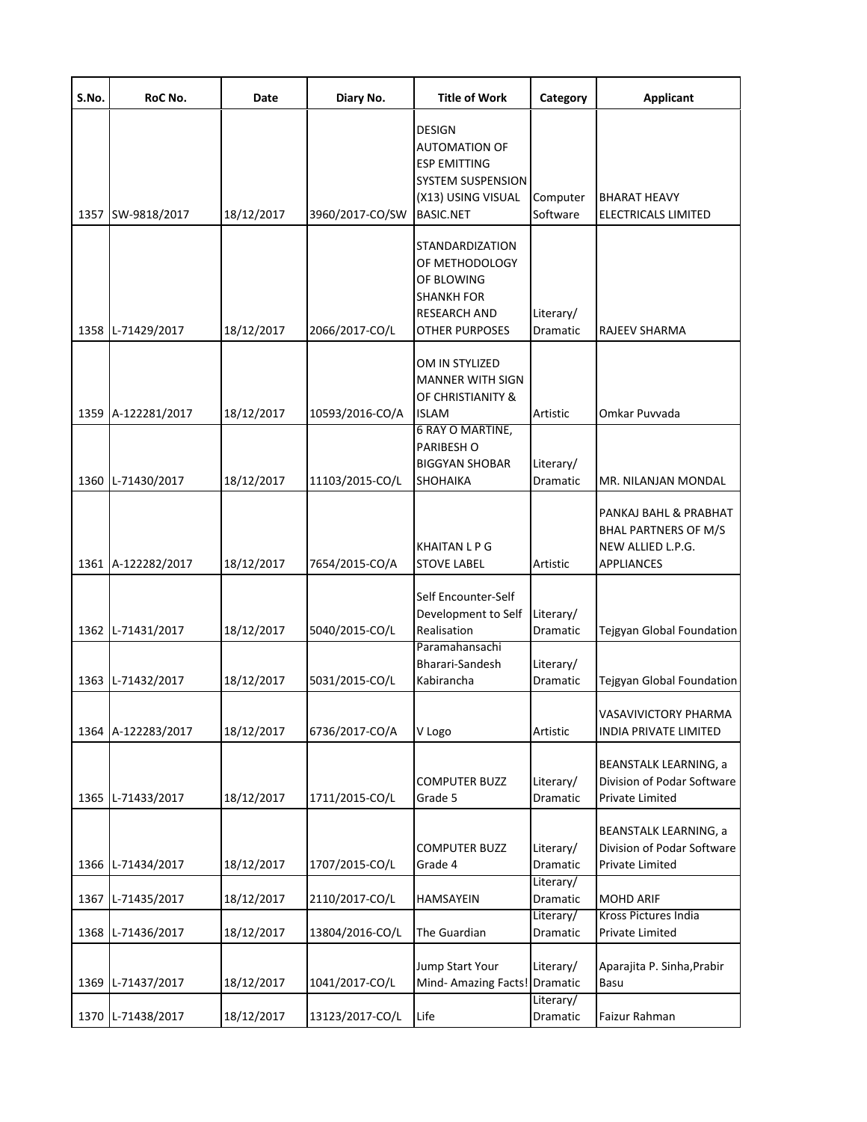| S.No. | RoC No.            | Date       | Diary No.       | <b>Title of Work</b>                                                                                                               | Category              | <b>Applicant</b>                                                                               |
|-------|--------------------|------------|-----------------|------------------------------------------------------------------------------------------------------------------------------------|-----------------------|------------------------------------------------------------------------------------------------|
|       | 1357 SW-9818/2017  | 18/12/2017 | 3960/2017-CO/SW | <b>DESIGN</b><br><b>AUTOMATION OF</b><br><b>ESP EMITTING</b><br><b>SYSTEM SUSPENSION</b><br>(X13) USING VISUAL<br><b>BASIC.NET</b> | Computer<br>Software  | <b>BHARAT HEAVY</b><br>ELECTRICALS LIMITED                                                     |
|       | 1358 L-71429/2017  | 18/12/2017 | 2066/2017-CO/L  | <b>STANDARDIZATION</b><br>OF METHODOLOGY<br>OF BLOWING<br><b>SHANKH FOR</b><br><b>RESEARCH AND</b><br><b>OTHER PURPOSES</b>        | Literary/<br>Dramatic | <b>RAJEEV SHARMA</b>                                                                           |
|       | 1359 A-122281/2017 | 18/12/2017 | 10593/2016-CO/A | OM IN STYLIZED<br><b>MANNER WITH SIGN</b><br>OF CHRISTIANITY &<br><b>ISLAM</b>                                                     | Artistic              | Omkar Puvvada                                                                                  |
|       | 1360 L-71430/2017  | 18/12/2017 | 11103/2015-CO/L | 6 RAY O MARTINE,<br>PARIBESH O<br><b>BIGGYAN SHOBAR</b><br><b>SHOHAIKA</b>                                                         | Literary/<br>Dramatic | MR. NILANJAN MONDAL                                                                            |
|       | 1361 A-122282/2017 | 18/12/2017 | 7654/2015-CO/A  | <b>KHAITAN L P G</b><br><b>STOVE LABEL</b>                                                                                         | Artistic              | PANKAJ BAHL & PRABHAT<br><b>BHAL PARTNERS OF M/S</b><br>NEW ALLIED L.P.G.<br><b>APPLIANCES</b> |
|       | 1362 L-71431/2017  | 18/12/2017 | 5040/2015-CO/L  | Self Encounter-Self<br>Development to Self<br>Realisation<br>Paramahansachi                                                        | Literary/<br>Dramatic | Tejgyan Global Foundation                                                                      |
|       | 1363 L-71432/2017  | 18/12/2017 | 5031/2015-CO/L  | Bharari-Sandesh<br>Kabirancha                                                                                                      | Literary/<br>Dramatic | Tejgyan Global Foundation                                                                      |
|       | 1364 A-122283/2017 | 18/12/2017 | 6736/2017-CO/A  | V Logo                                                                                                                             | Artistic              | VASAVIVICTORY PHARMA<br><b>INDIA PRIVATE LIMITED</b>                                           |
|       | 1365 L-71433/2017  | 18/12/2017 | 1711/2015-CO/L  | <b>COMPUTER BUZZ</b><br>Grade 5                                                                                                    | Literary/<br>Dramatic | <b>BEANSTALK LEARNING, a</b><br>Division of Podar Software<br>Private Limited                  |
|       | 1366 L-71434/2017  | 18/12/2017 | 1707/2015-CO/L  | <b>COMPUTER BUZZ</b><br>Grade 4                                                                                                    | Literary/<br>Dramatic | <b>BEANSTALK LEARNING, a</b><br>Division of Podar Software<br>Private Limited                  |
| 1367  | L-71435/2017       | 18/12/2017 | 2110/2017-CO/L  | HAMSAYEIN                                                                                                                          | Literary/<br>Dramatic | <b>MOHD ARIF</b>                                                                               |
| 1368  | L-71436/2017       | 18/12/2017 | 13804/2016-CO/L | The Guardian                                                                                                                       | Literary/<br>Dramatic | Kross Pictures India<br>Private Limited                                                        |
|       | 1369 L-71437/2017  | 18/12/2017 | 1041/2017-CO/L  | Jump Start Your<br>Mind- Amazing Facts! Dramatic                                                                                   | Literary/             | Aparajita P. Sinha, Prabir<br>Basu                                                             |
|       | 1370 L-71438/2017  | 18/12/2017 | 13123/2017-CO/L | Life                                                                                                                               | Literary/<br>Dramatic | Faizur Rahman                                                                                  |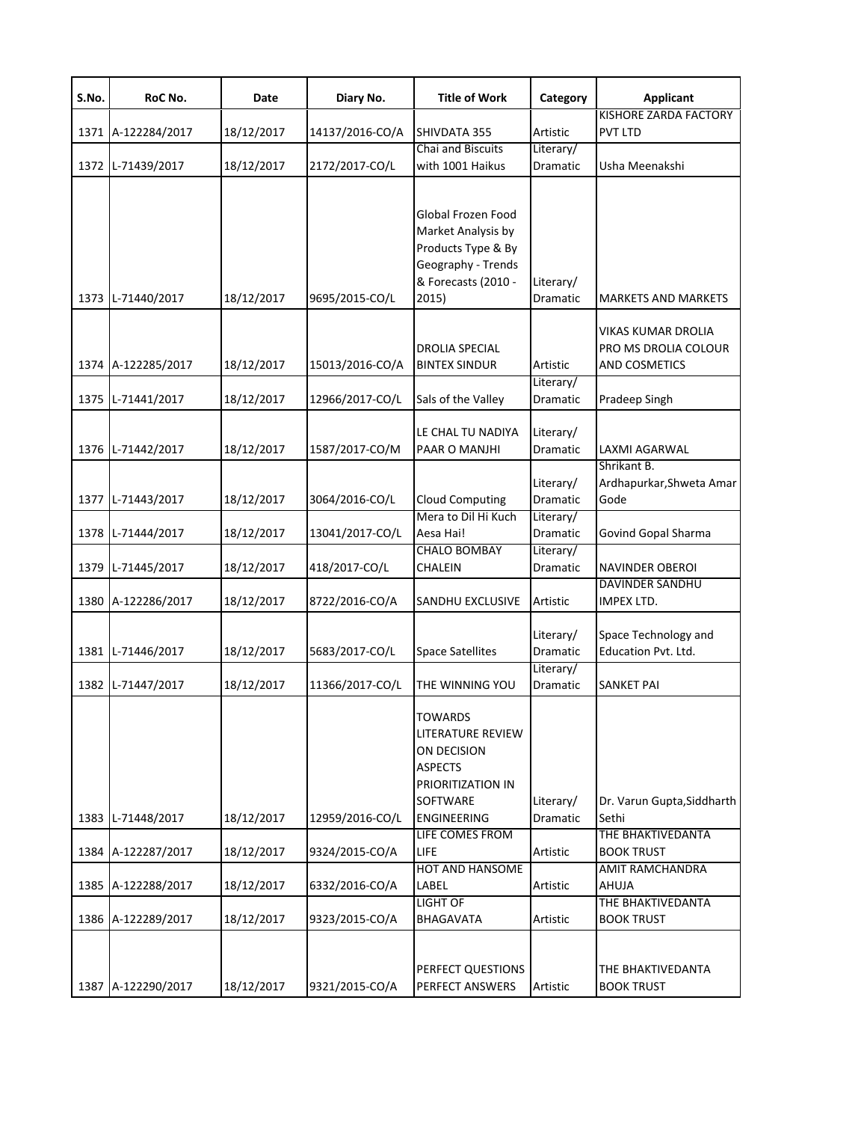| S.No. | RoC No.            | Date       | Diary No.       | <b>Title of Work</b>                                                                                                 | Category              | <b>Applicant</b>                                            |
|-------|--------------------|------------|-----------------|----------------------------------------------------------------------------------------------------------------------|-----------------------|-------------------------------------------------------------|
|       | 1371 A-122284/2017 | 18/12/2017 | 14137/2016-CO/A | SHIVDATA 355                                                                                                         | Artistic              | KISHORE ZARDA FACTORY<br>PVT LTD                            |
|       | 1372 L-71439/2017  | 18/12/2017 | 2172/2017-CO/L  | Chai and Biscuits<br>with 1001 Haikus                                                                                | Literary/<br>Dramatic | Usha Meenakshi                                              |
|       | 1373 L-71440/2017  | 18/12/2017 | 9695/2015-CO/L  | Global Frozen Food<br>Market Analysis by<br>Products Type & By<br>Geography - Trends<br>& Forecasts (2010 -<br>2015) | Literary/<br>Dramatic | <b>MARKETS AND MARKETS</b>                                  |
|       | 1374 A-122285/2017 | 18/12/2017 | 15013/2016-CO/A | <b>DROLIA SPECIAL</b><br><b>BINTEX SINDUR</b>                                                                        | Artistic              | VIKAS KUMAR DROLIA<br>PRO MS DROLIA COLOUR<br>AND COSMETICS |
| 1375  | L-71441/2017       | 18/12/2017 | 12966/2017-CO/L | Sals of the Valley                                                                                                   | Literary/<br>Dramatic | Pradeep Singh                                               |
|       | 1376 L-71442/2017  | 18/12/2017 | 1587/2017-CO/M  | LE CHAL TU NADIYA<br>PAAR O MANJHI                                                                                   | Literary/<br>Dramatic | LAXMI AGARWAL                                               |
|       | 1377 L-71443/2017  | 18/12/2017 | 3064/2016-CO/L  | <b>Cloud Computing</b>                                                                                               | Literary/<br>Dramatic | Shrikant B.<br>Ardhapurkar, Shweta Amar<br>Gode             |
|       | 1378 L-71444/2017  | 18/12/2017 | 13041/2017-CO/L | Mera to Dil Hi Kuch<br>Aesa Hai!                                                                                     | Literary/<br>Dramatic | Govind Gopal Sharma                                         |
|       | 1379 L-71445/2017  | 18/12/2017 | 418/2017-CO/L   | <b>CHALO BOMBAY</b><br><b>CHALEIN</b>                                                                                | Literary/<br>Dramatic | NAVINDER OBEROI                                             |
|       | 1380 A-122286/2017 | 18/12/2017 | 8722/2016-CO/A  | <b>SANDHU EXCLUSIVE</b>                                                                                              | Artistic              | <b>DAVINDER SANDHU</b><br>IMPEX LTD.                        |
|       | 1381 L-71446/2017  | 18/12/2017 | 5683/2017-CO/L  | <b>Space Satellites</b>                                                                                              | Literary/<br>Dramatic | Space Technology and<br><b>Education Pvt. Ltd.</b>          |
|       | 1382 L-71447/2017  | 18/12/2017 | 11366/2017-CO/L | THE WINNING YOU                                                                                                      | Literary/<br>Dramatic | <b>SANKET PAI</b>                                           |
|       |                    |            |                 | <b>TOWARDS</b><br>LITERATURE REVIEW<br>ON DECISION<br><b>ASPECTS</b><br>PRIORITIZATION IN<br><b>SOFTWARE</b>         | Literary/             | Dr. Varun Gupta, Siddharth                                  |
|       | 1383 L-71448/2017  | 18/12/2017 | 12959/2016-CO/L | <b>ENGINEERING</b><br>LIFE COMES FROM                                                                                | Dramatic              | Sethi<br>THE BHAKTIVEDANTA                                  |
|       | 1384 A-122287/2017 | 18/12/2017 | 9324/2015-CO/A  | LIFE<br><b>HOT AND HANSOME</b>                                                                                       | Artistic              | <b>BOOK TRUST</b><br><b>AMIT RAMCHANDRA</b>                 |
|       | 1385 A-122288/2017 | 18/12/2017 | 6332/2016-CO/A  | LABEL<br><b>LIGHT OF</b>                                                                                             | Artistic              | AHUJA<br>THE BHAKTIVEDANTA                                  |
|       | 1386 A-122289/2017 | 18/12/2017 | 9323/2015-CO/A  | BHAGAVATA                                                                                                            | Artistic              | <b>BOOK TRUST</b>                                           |
|       | 1387 A-122290/2017 | 18/12/2017 | 9321/2015-CO/A  | PERFECT QUESTIONS<br>PERFECT ANSWERS                                                                                 | Artistic              | THE BHAKTIVEDANTA<br><b>BOOK TRUST</b>                      |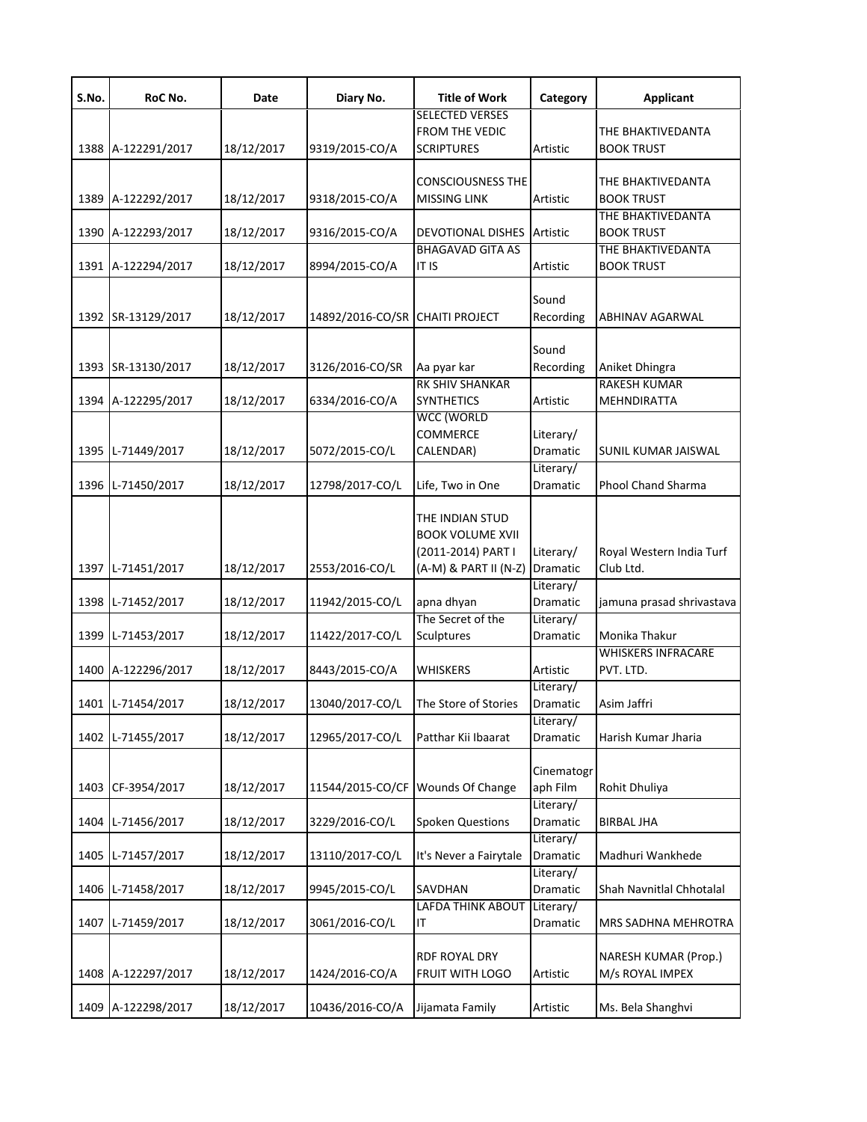| S.No. | RoC No.            | Date       | Diary No.                       | <b>Title of Work</b>                                                                      | Category                     | <b>Applicant</b>                               |
|-------|--------------------|------------|---------------------------------|-------------------------------------------------------------------------------------------|------------------------------|------------------------------------------------|
|       | 1388 A-122291/2017 | 18/12/2017 | 9319/2015-CO/A                  | <b>SELECTED VERSES</b><br><b>FROM THE VEDIC</b><br><b>SCRIPTURES</b>                      | Artistic                     | THE BHAKTIVEDANTA<br><b>BOOK TRUST</b>         |
|       | 1389 A-122292/2017 | 18/12/2017 | 9318/2015-CO/A                  | <b>CONSCIOUSNESS THE</b><br><b>MISSING LINK</b>                                           | Artistic                     | THE BHAKTIVEDANTA<br><b>BOOK TRUST</b>         |
| 1390  | A-122293/2017      | 18/12/2017 | 9316/2015-CO/A                  | DEVOTIONAL DISHES                                                                         | Artistic                     | THE BHAKTIVEDANTA<br><b>BOOK TRUST</b>         |
|       | 1391 A-122294/2017 | 18/12/2017 | 8994/2015-CO/A                  | <b>BHAGAVAD GITA AS</b><br>IT IS                                                          | Artistic                     | THE BHAKTIVEDANTA<br><b>BOOK TRUST</b>         |
|       | 1392 SR-13129/2017 | 18/12/2017 | 14892/2016-CO/SR CHAITI PROJECT |                                                                                           | Sound<br>Recording           | ABHINAV AGARWAL                                |
| 1393  | SR-13130/2017      | 18/12/2017 | 3126/2016-CO/SR                 | Aa pyar kar                                                                               | Sound<br>Recording           | Aniket Dhingra                                 |
|       | 1394 A-122295/2017 | 18/12/2017 | 6334/2016-CO/A                  | <b>RK SHIV SHANKAR</b><br><b>SYNTHETICS</b>                                               | Artistic                     | <b>RAKESH KUMAR</b><br>MEHNDIRATTA             |
|       | 1395 L-71449/2017  | 18/12/2017 | 5072/2015-CO/L                  | <b>WCC (WORLD</b><br>COMMERCE<br>CALENDAR)                                                | Literary/<br>Dramatic        | SUNIL KUMAR JAISWAL                            |
|       | 1396 L-71450/2017  | 18/12/2017 | 12798/2017-CO/L                 | Life, Two in One                                                                          | Literary/<br><b>Dramatic</b> | <b>Phool Chand Sharma</b>                      |
|       | 1397 L-71451/2017  | 18/12/2017 | 2553/2016-CO/L                  | THE INDIAN STUD<br><b>BOOK VOLUME XVII</b><br>(2011-2014) PART I<br>(A-M) & PART II (N-Z) | Literary/<br>Dramatic        | Royal Western India Turf<br>Club Ltd.          |
|       | 1398 L-71452/2017  | 18/12/2017 | 11942/2015-CO/L                 | apna dhyan                                                                                | Literary/<br>Dramatic        | jamuna prasad shrivastava                      |
| 1399  | L-71453/2017       | 18/12/2017 | 11422/2017-CO/L                 | The Secret of the<br>Sculptures                                                           | Literary/<br>Dramatic        | Monika Thakur                                  |
| 1400  | A-122296/2017      | 18/12/2017 | 8443/2015-CO/A                  | <b>WHISKERS</b>                                                                           | Artistic                     | <b>WHISKERS INFRACARE</b><br>PVT. LTD.         |
|       | 1401 L-71454/2017  | 18/12/2017 | 13040/2017-CO/L                 | The Store of Stories                                                                      | Literary/<br>Dramatic        | Asim Jaffri                                    |
| 1402  | L-71455/2017       | 18/12/2017 | 12965/2017-CO/L                 | Patthar Kii Ibaarat                                                                       | Literary/<br>Dramatic        | Harish Kumar Jharia                            |
| 1403  | CF-3954/2017       | 18/12/2017 | 11544/2015-CO/CF                | <b>Wounds Of Change</b>                                                                   | Cinematogr<br>aph Film       | Rohit Dhuliya                                  |
| 1404  | L-71456/2017       | 18/12/2017 | 3229/2016-CO/L                  | <b>Spoken Questions</b>                                                                   | Literary/<br>Dramatic        | <b>BIRBAL JHA</b>                              |
| 1405  | L-71457/2017       | 18/12/2017 | 13110/2017-CO/L                 | It's Never a Fairytale                                                                    | Literary/<br>Dramatic        | Madhuri Wankhede                               |
| 1406  | L-71458/2017       | 18/12/2017 | 9945/2015-CO/L                  | SAVDHAN                                                                                   | Literary/<br>Dramatic        | Shah Navnitlal Chhotalal                       |
| 1407  | L-71459/2017       | 18/12/2017 | 3061/2016-CO/L                  | <b>LAFDA THINK ABOUT</b><br>IT                                                            | Literary/<br>Dramatic        | MRS SADHNA MEHROTRA                            |
| 1408  | A-122297/2017      | 18/12/2017 | 1424/2016-CO/A                  | RDF ROYAL DRY<br>FRUIT WITH LOGO                                                          | Artistic                     | <b>NARESH KUMAR (Prop.)</b><br>M/s ROYAL IMPEX |
|       | 1409 A-122298/2017 | 18/12/2017 | 10436/2016-CO/A                 | Jijamata Family                                                                           | Artistic                     | Ms. Bela Shanghvi                              |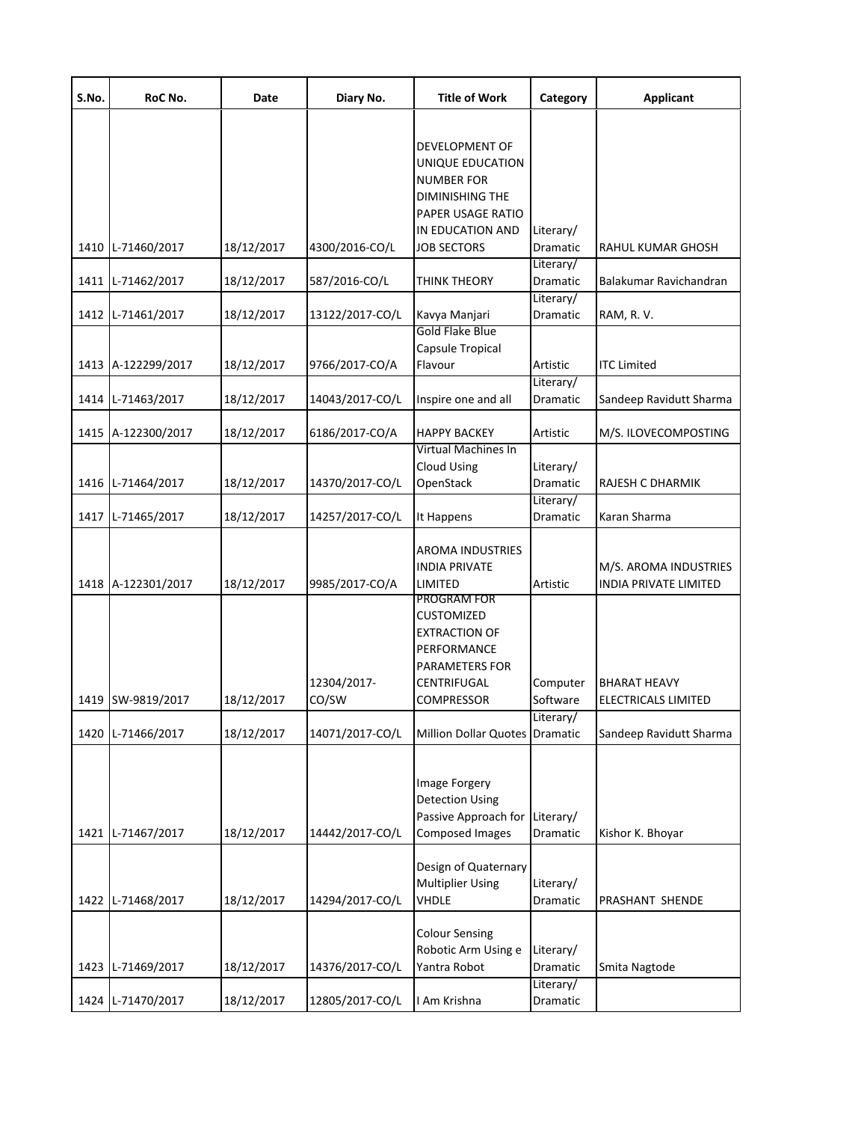| S.No. | RoC No.            | Date       | Diary No.            | <b>Title of Work</b>                                                                                                | Category              | <b>Applicant</b>                               |
|-------|--------------------|------------|----------------------|---------------------------------------------------------------------------------------------------------------------|-----------------------|------------------------------------------------|
|       |                    |            |                      | DEVELOPMENT OF<br>UNIQUE EDUCATION<br><b>NUMBER FOR</b><br>DIMINISHING THE<br>PAPER USAGE RATIO<br>IN EDUCATION AND | Literary/             |                                                |
|       | 1410 L-71460/2017  | 18/12/2017 | 4300/2016-CO/L       | <b>JOB SECTORS</b>                                                                                                  | Dramatic<br>Literary/ | RAHUL KUMAR GHOSH                              |
|       | 1411 L-71462/2017  | 18/12/2017 | 587/2016-CO/L        | THINK THEORY                                                                                                        | Dramatic<br>Literary/ | Balakumar Ravichandran                         |
|       | 1412 L-71461/2017  | 18/12/2017 | 13122/2017-CO/L      | Kavya Manjari                                                                                                       | Dramatic              | RAM, R.V.                                      |
|       | 1413 A-122299/2017 | 18/12/2017 | 9766/2017-CO/A       | Gold Flake Blue<br>Capsule Tropical<br>Flavour                                                                      | Artistic<br>Literary/ | <b>ITC Limited</b>                             |
|       | 1414 L-71463/2017  | 18/12/2017 | 14043/2017-CO/L      | Inspire one and all                                                                                                 | Dramatic              | Sandeep Ravidutt Sharma                        |
|       | 1415 A-122300/2017 | 18/12/2017 | 6186/2017-CO/A       | <b>HAPPY BACKEY</b>                                                                                                 | Artistic              | M/S. ILOVECOMPOSTING                           |
|       | 1416 L-71464/2017  | 18/12/2017 | 14370/2017-CO/L      | Virtual Machines In<br><b>Cloud Using</b><br>OpenStack                                                              | Literary/<br>Dramatic | RAJESH C DHARMIK                               |
|       | 1417 L-71465/2017  | 18/12/2017 | 14257/2017-CO/L      | It Happens                                                                                                          | Literary/<br>Dramatic | Karan Sharma                                   |
|       | 1418 A-122301/2017 | 18/12/2017 | 9985/2017-CO/A       | <b>AROMA INDUSTRIES</b><br><b>INDIA PRIVATE</b><br>LIMITED                                                          | Artistic              | M/S. AROMA INDUSTRIES<br>INDIA PRIVATE LIMITED |
|       | 1419 SW-9819/2017  | 18/12/2017 | 12304/2017-<br>CO/SW | PROGRAM FOR<br>CUSTOMIZED<br><b>EXTRACTION OF</b><br>PERFORMANCE<br>PARAMETERS FOR<br>CENTRIFUGAL<br>COMPRESSOR     | Computer<br>Software  | <b>BHARAT HEAVY</b><br>ELECTRICALS LIMITED     |
|       | 1420 L-71466/2017  | 18/12/2017 | 14071/2017-CO/L      | Million Dollar Quotes Dramatic                                                                                      | Literary/             | Sandeep Ravidutt Sharma                        |
|       | 1421 L-71467/2017  | 18/12/2017 | 14442/2017-CO/L      | Image Forgery<br><b>Detection Using</b><br>Passive Approach for Literary/<br>Composed Images                        | <b>Dramatic</b>       | Kishor K. Bhoyar                               |
|       | 1422 L-71468/2017  | 18/12/2017 | 14294/2017-CO/L      | Design of Quaternary<br><b>Multiplier Using</b><br>VHDLE                                                            | Literary/<br>Dramatic | PRASHANT SHENDE                                |
|       | 1423 L-71469/2017  | 18/12/2017 | 14376/2017-CO/L      | <b>Colour Sensing</b><br>Robotic Arm Using e<br>Yantra Robot                                                        | Literary/<br>Dramatic | Smita Nagtode                                  |
|       | 1424 L-71470/2017  | 18/12/2017 | 12805/2017-CO/L      | I Am Krishna                                                                                                        | Literary/<br>Dramatic |                                                |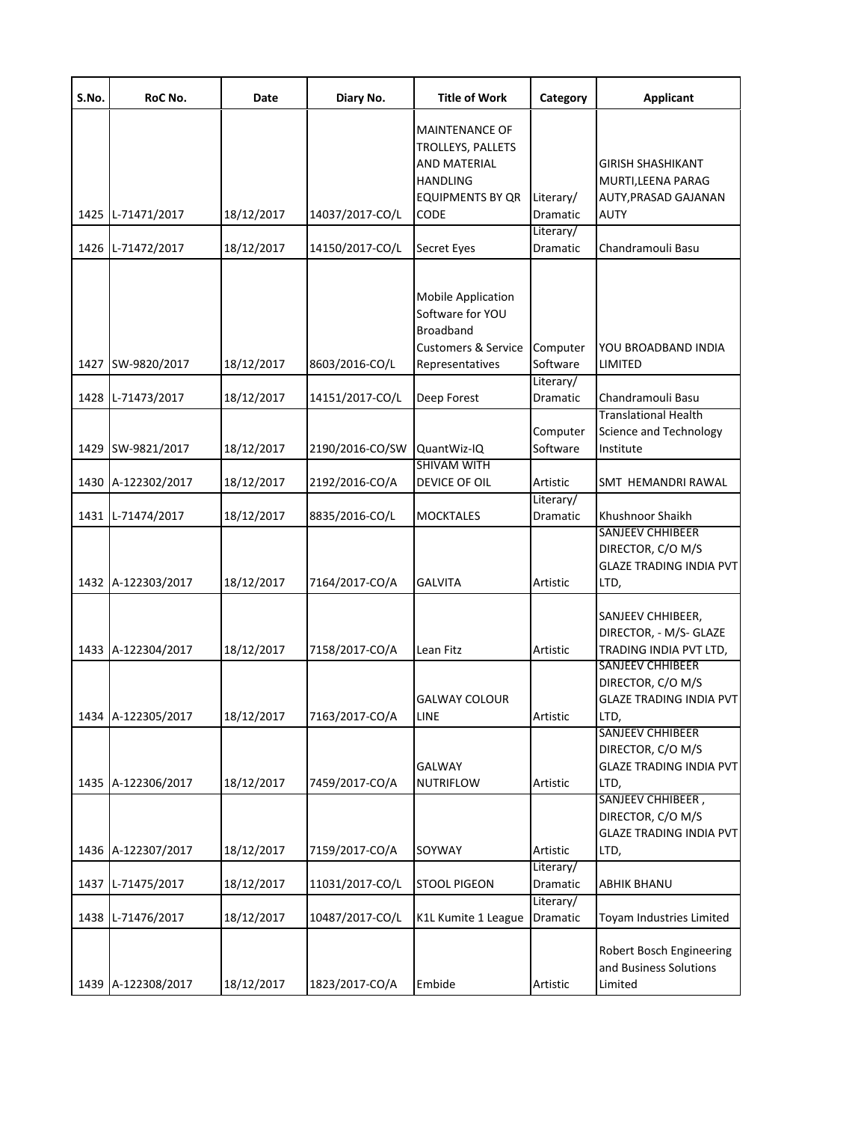| S.No. | RoC No.            | Date       | Diary No.       | <b>Title of Work</b>                                                                                                           | Category                     | <b>Applicant</b>                                                                                 |
|-------|--------------------|------------|-----------------|--------------------------------------------------------------------------------------------------------------------------------|------------------------------|--------------------------------------------------------------------------------------------------|
|       | 1425 L-71471/2017  | 18/12/2017 | 14037/2017-CO/L | <b>MAINTENANCE OF</b><br><b>TROLLEYS, PALLETS</b><br><b>AND MATERIAL</b><br><b>HANDLING</b><br><b>EQUIPMENTS BY QR</b><br>CODE | Literary/<br>Dramatic        | <b>GIRISH SHASHIKANT</b><br>MURTI, LEENA PARAG<br><b>AUTY, PRASAD GAJANAN</b><br><b>AUTY</b>     |
|       | 1426 L-71472/2017  | 18/12/2017 | 14150/2017-CO/L | <b>Secret Eyes</b>                                                                                                             | Literary/<br>Dramatic        | Chandramouli Basu                                                                                |
| 1427  | SW-9820/2017       | 18/12/2017 | 8603/2016-CO/L  | <b>Mobile Application</b><br>Software for YOU<br><b>Broadband</b><br><b>Customers &amp; Service</b><br>Representatives         | Computer<br>Software         | YOU BROADBAND INDIA<br>LIMITED                                                                   |
|       | 1428 L-71473/2017  | 18/12/2017 | 14151/2017-CO/L | Deep Forest                                                                                                                    | Literary/<br>Dramatic        | Chandramouli Basu                                                                                |
|       | 1429 SW-9821/2017  | 18/12/2017 | 2190/2016-CO/SW | QuantWiz-IQ                                                                                                                    | Computer<br>Software         | <b>Translational Health</b><br>Science and Technology<br>Institute                               |
|       | 1430 A-122302/2017 | 18/12/2017 | 2192/2016-CO/A  | <b>SHIVAM WITH</b><br>DEVICE OF OIL                                                                                            | Artistic                     | SMT HEMANDRI RAWAL                                                                               |
|       | 1431 L-71474/2017  | 18/12/2017 | 8835/2016-CO/L  | <b>MOCKTALES</b>                                                                                                               | Literary/<br><b>Dramatic</b> | Khushnoor Shaikh                                                                                 |
|       | 1432 A-122303/2017 | 18/12/2017 | 7164/2017-CO/A  | <b>GALVITA</b>                                                                                                                 | Artistic                     | <b>SANJEEV CHHIBEER</b><br>DIRECTOR, C/O M/S<br><b>GLAZE TRADING INDIA PVT</b><br>LTD,           |
|       | 1433 A-122304/2017 | 18/12/2017 | 7158/2017-CO/A  | Lean Fitz                                                                                                                      | Artistic                     | SANJEEV CHHIBEER,<br>DIRECTOR, - M/S- GLAZE<br>TRADING INDIA PVT LTD,<br><b>SANJEEV CHHIBEER</b> |
|       | 1434 A-122305/2017 | 18/12/2017 | 7163/2017-CO/A  | <b>GALWAY COLOUR</b><br>LINE                                                                                                   | Artistic                     | DIRECTOR, C/O M/S<br><b>GLAZE TRADING INDIA PVT</b><br>LTD,                                      |
|       | 1435 A-122306/2017 | 18/12/2017 | 7459/2017-CO/A  | <b>GALWAY</b><br><b>NUTRIFLOW</b>                                                                                              | Artistic                     | <b>SANJEEV CHHIBEER</b><br>DIRECTOR, C/O M/S<br><b>GLAZE TRADING INDIA PVT</b><br>LTD,           |
|       | 1436 A-122307/2017 | 18/12/2017 | 7159/2017-CO/A  | SOYWAY                                                                                                                         | Artistic                     | SANJEEV CHHIBEER,<br>DIRECTOR, C/O M/S<br><b>GLAZE TRADING INDIA PVT</b><br>LTD,                 |
| 1437  | L-71475/2017       | 18/12/2017 | 11031/2017-CO/L | <b>STOOL PIGEON</b>                                                                                                            | Literary/<br>Dramatic        | <b>ABHIK BHANU</b>                                                                               |
| 1438  | L-71476/2017       | 18/12/2017 | 10487/2017-CO/L | K1L Kumite 1 League                                                                                                            | Literary/<br>Dramatic        | Toyam Industries Limited                                                                         |
|       | 1439 A-122308/2017 | 18/12/2017 | 1823/2017-CO/A  | Embide                                                                                                                         | Artistic                     | Robert Bosch Engineering<br>and Business Solutions<br>Limited                                    |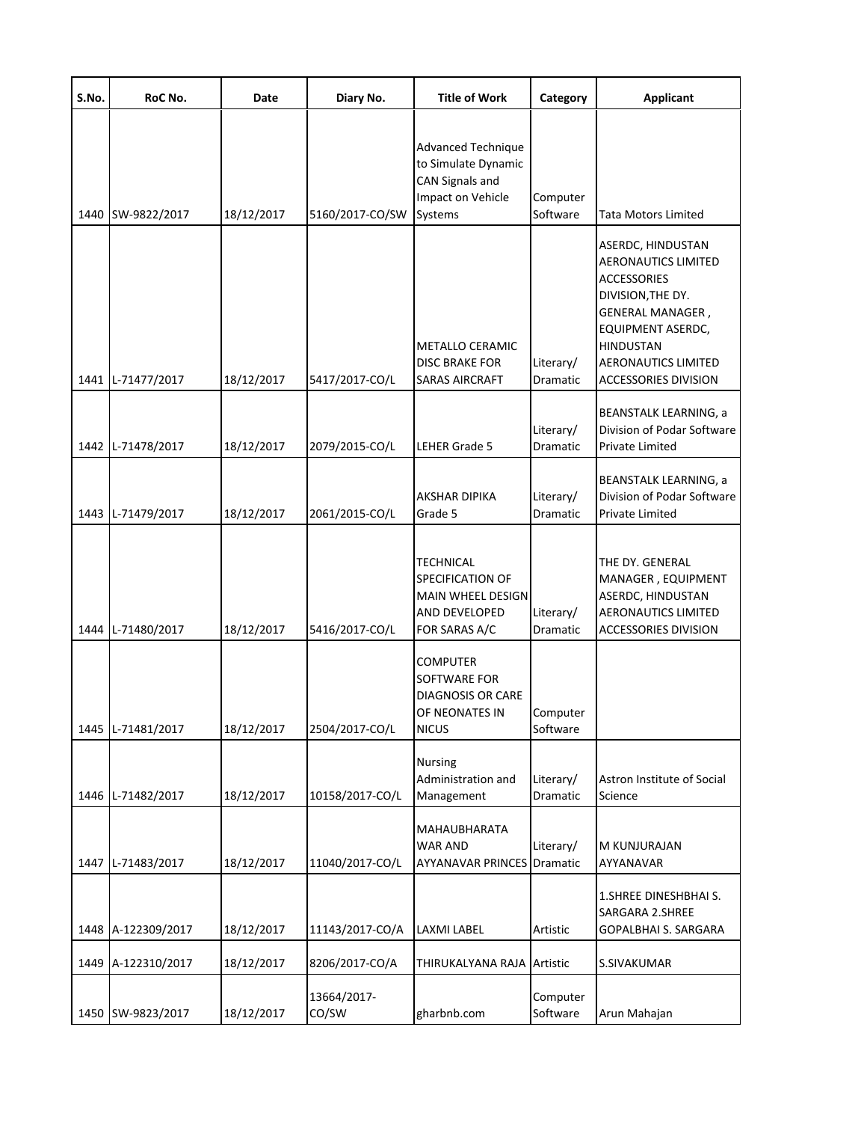| S.No. | RoC No.            | Date       | Diary No.            | <b>Title of Work</b>                                                                                | Category              | <b>Applicant</b>                                                                                                                                                                                       |
|-------|--------------------|------------|----------------------|-----------------------------------------------------------------------------------------------------|-----------------------|--------------------------------------------------------------------------------------------------------------------------------------------------------------------------------------------------------|
|       | 1440 SW-9822/2017  | 18/12/2017 | 5160/2017-CO/SW      | Advanced Technique<br>to Simulate Dynamic<br><b>CAN Signals and</b><br>Impact on Vehicle<br>Systems | Computer<br>Software  | Tata Motors Limited                                                                                                                                                                                    |
|       | 1441 L-71477/2017  | 18/12/2017 | 5417/2017-CO/L       | METALLO CERAMIC<br><b>DISC BRAKE FOR</b><br><b>SARAS AIRCRAFT</b>                                   | Literary/<br>Dramatic | ASERDC, HINDUSTAN<br>AERONAUTICS LIMITED<br><b>ACCESSORIES</b><br>DIVISION, THE DY.<br>GENERAL MANAGER,<br>EQUIPMENT ASERDC,<br><b>HINDUSTAN</b><br>AERONAUTICS LIMITED<br><b>ACCESSORIES DIVISION</b> |
|       | 1442 L-71478/2017  | 18/12/2017 | 2079/2015-CO/L       | LEHER Grade 5                                                                                       | Literary/<br>Dramatic | <b>BEANSTALK LEARNING, a</b><br>Division of Podar Software<br>Private Limited                                                                                                                          |
|       | 1443 L-71479/2017  | 18/12/2017 | 2061/2015-CO/L       | AKSHAR DIPIKA<br>Grade 5                                                                            | Literary/<br>Dramatic | BEANSTALK LEARNING, a<br>Division of Podar Software<br>Private Limited                                                                                                                                 |
|       | 1444 L-71480/2017  | 18/12/2017 | 5416/2017-CO/L       | TECHNICAL<br><b>SPECIFICATION OF</b><br>MAIN WHEEL DESIGN<br>AND DEVELOPED<br>FOR SARAS A/C         | Literary/<br>Dramatic | THE DY. GENERAL<br>MANAGER, EQUIPMENT<br>ASERDC, HINDUSTAN<br>AERONAUTICS LIMITED<br><b>ACCESSORIES DIVISION</b>                                                                                       |
|       | 1445 L-71481/2017  | 18/12/2017 | 2504/2017-CO/L       | <b>COMPUTER</b><br>SOFTWARE FOR<br><b>DIAGNOSIS OR CARE</b><br>OF NEONATES IN<br><b>NICUS</b>       | Computer<br>Software  |                                                                                                                                                                                                        |
|       | 1446 L-71482/2017  | 18/12/2017 | 10158/2017-CO/L      | <b>Nursing</b><br>Administration and<br>Management                                                  | Literary/<br>Dramatic | Astron Institute of Social<br>Science                                                                                                                                                                  |
|       | 1447 L-71483/2017  | 18/12/2017 | 11040/2017-CO/L      | MAHAUBHARATA<br>WAR AND<br><b>AYYANAVAR PRINCES Dramatic</b>                                        | Literary/             | M KUNJURAJAN<br>AYYANAVAR                                                                                                                                                                              |
|       | 1448 A-122309/2017 | 18/12/2017 | 11143/2017-CO/A      | LAXMI LABEL                                                                                         | Artistic              | 1. SHREE DINESHBHAI S.<br>SARGARA 2.SHREE<br>GOPALBHAI S. SARGARA                                                                                                                                      |
| 1449  | A-122310/2017      | 18/12/2017 | 8206/2017-CO/A       | THIRUKALYANA RAJA Artistic                                                                          |                       | S.SIVAKUMAR                                                                                                                                                                                            |
| 1450  | SW-9823/2017       | 18/12/2017 | 13664/2017-<br>CO/SW | gharbnb.com                                                                                         | Computer<br>Software  | Arun Mahajan                                                                                                                                                                                           |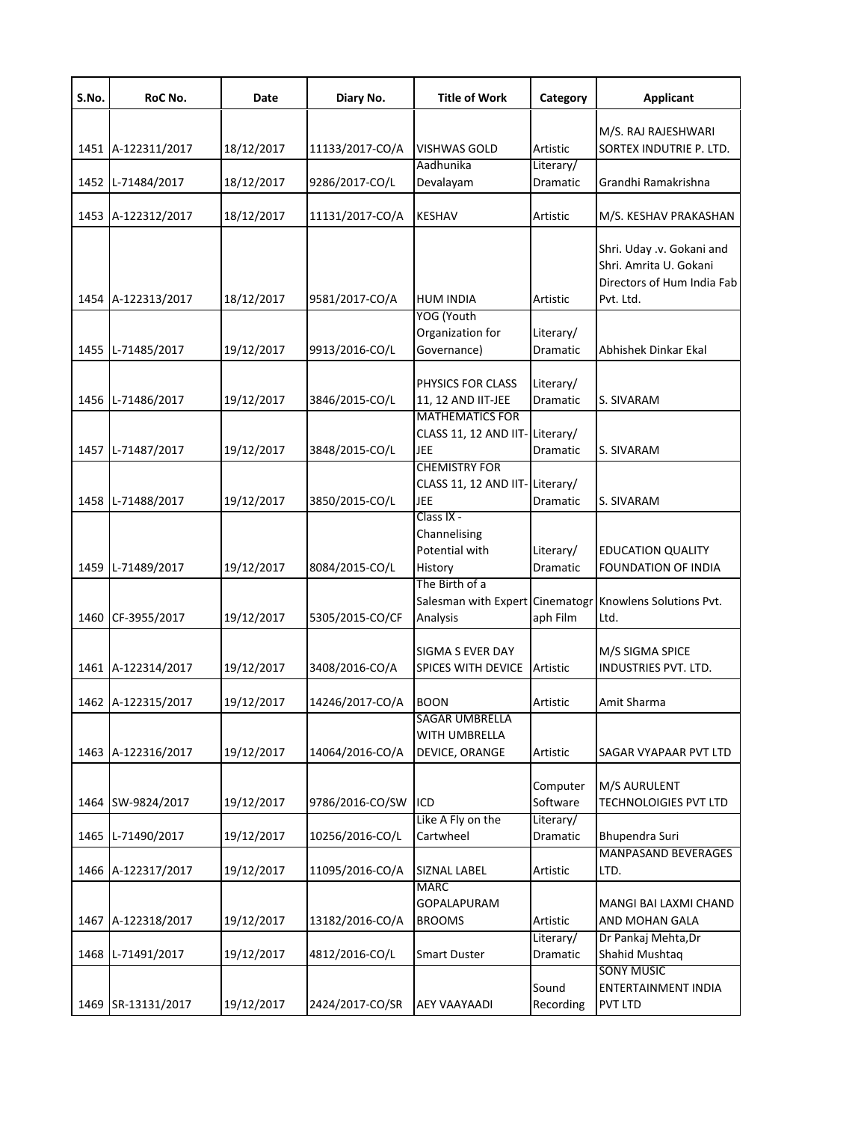| S.No. | RoC No.            | Date       | Diary No.       | <b>Title of Work</b>                                   | Category              | Applicant                                                                                      |
|-------|--------------------|------------|-----------------|--------------------------------------------------------|-----------------------|------------------------------------------------------------------------------------------------|
|       |                    |            |                 |                                                        |                       | M/S. RAJ RAJESHWARI                                                                            |
|       | 1451 A-122311/2017 | 18/12/2017 | 11133/2017-CO/A | <b>VISHWAS GOLD</b>                                    | Artistic              | SORTEX INDUTRIE P. LTD.                                                                        |
|       |                    |            |                 | Aadhunika                                              | Literary/             |                                                                                                |
|       | 1452 L-71484/2017  | 18/12/2017 | 9286/2017-CO/L  | Devalayam                                              | Dramatic              | Grandhi Ramakrishna                                                                            |
|       | 1453 A-122312/2017 | 18/12/2017 | 11131/2017-CO/A | <b>KESHAV</b>                                          | Artistic              | M/S. KESHAV PRAKASHAN                                                                          |
|       | 1454 A-122313/2017 | 18/12/2017 | 9581/2017-CO/A  | <b>HUM INDIA</b>                                       | Artistic              | Shri. Uday .v. Gokani and<br>Shri. Amrita U. Gokani<br>Directors of Hum India Fab<br>Pvt. Ltd. |
|       |                    |            |                 | YOG (Youth                                             |                       |                                                                                                |
|       | 1455 L-71485/2017  | 19/12/2017 | 9913/2016-CO/L  | Organization for<br>Governance)                        | Literary/<br>Dramatic | Abhishek Dinkar Ekal                                                                           |
|       |                    |            |                 |                                                        |                       |                                                                                                |
|       |                    |            |                 | PHYSICS FOR CLASS                                      | Literary/             |                                                                                                |
|       | 1456 L-71486/2017  | 19/12/2017 | 3846/2015-CO/L  | 11, 12 AND IIT-JEE                                     | <b>Dramatic</b>       | S. SIVARAM                                                                                     |
|       |                    |            |                 | <b>MATHEMATICS FOR</b><br><b>CLASS 11, 12 AND IIT-</b> | Literary/             |                                                                                                |
|       | 1457 L-71487/2017  | 19/12/2017 | 3848/2015-CO/L  | <b>JEE</b>                                             | Dramatic              | S. SIVARAM                                                                                     |
|       |                    |            |                 | <b>CHEMISTRY FOR</b>                                   |                       |                                                                                                |
|       |                    |            |                 | CLASS 11, 12 AND IIT-Literary/                         |                       |                                                                                                |
|       | 1458 L-71488/2017  | 19/12/2017 | 3850/2015-CO/L  | JEE                                                    | Dramatic              | S. SIVARAM                                                                                     |
|       |                    |            |                 | Class IX -<br>Channelising                             |                       |                                                                                                |
|       |                    |            |                 | Potential with                                         | Literary/             | <b>EDUCATION QUALITY</b>                                                                       |
|       | 1459 L-71489/2017  | 19/12/2017 | 8084/2015-CO/L  | History                                                | Dramatic              | FOUNDATION OF INDIA                                                                            |
|       |                    |            |                 | The Birth of a<br>Salesman with Expert Cinematogr      |                       | Knowlens Solutions Pvt.                                                                        |
|       | 1460 CF-3955/2017  | 19/12/2017 | 5305/2015-CO/CF | Analysis                                               | aph Film              | Ltd.                                                                                           |
|       |                    |            |                 |                                                        |                       |                                                                                                |
|       |                    |            |                 | SIGMA S EVER DAY                                       |                       | M/S SIGMA SPICE                                                                                |
|       | 1461 A-122314/2017 | 19/12/2017 | 3408/2016-CO/A  | SPICES WITH DEVICE                                     | Artistic              | <b>INDUSTRIES PVT. LTD.</b>                                                                    |
|       | 1462 A-122315/2017 | 19/12/2017 | 14246/2017-CO/A | <b>BOON</b>                                            | Artistic              | Amit Sharma                                                                                    |
|       |                    |            |                 | <b>SAGAR UMBRELLA</b>                                  |                       |                                                                                                |
|       |                    |            |                 | WITH UMBRELLA                                          |                       |                                                                                                |
|       | 1463 A-122316/2017 | 19/12/2017 | 14064/2016-CO/A | DEVICE, ORANGE                                         | Artistic              | SAGAR VYAPAAR PVT LTD                                                                          |
|       |                    |            |                 |                                                        | Computer              | M/S AURULENT                                                                                   |
|       | 1464 SW-9824/2017  | 19/12/2017 | 9786/2016-CO/SW | ICD                                                    | Software              | <b>TECHNOLOIGIES PVT LTD</b>                                                                   |
|       |                    |            |                 | Like A Fly on the                                      | Literary/             |                                                                                                |
|       | 1465 L-71490/2017  | 19/12/2017 | 10256/2016-CO/L | Cartwheel                                              | Dramatic              | Bhupendra Suri                                                                                 |
|       |                    |            |                 |                                                        |                       | <b>MANPASAND BEVERAGES</b>                                                                     |
|       | 1466 A-122317/2017 | 19/12/2017 | 11095/2016-CO/A | SIZNAL LABEL<br><b>MARC</b>                            | Artistic              | LTD.                                                                                           |
|       |                    |            |                 | <b>GOPALAPURAM</b>                                     |                       | MANGI BAI LAXMI CHAND                                                                          |
|       | 1467 A-122318/2017 | 19/12/2017 | 13182/2016-CO/A | <b>BROOMS</b>                                          | Artistic              | AND MOHAN GALA                                                                                 |
|       |                    |            |                 |                                                        | Literary/             | Dr Pankaj Mehta, Dr                                                                            |
|       | 1468 L-71491/2017  | 19/12/2017 | 4812/2016-CO/L  | <b>Smart Duster</b>                                    | Dramatic              | Shahid Mushtaq                                                                                 |
|       |                    |            |                 |                                                        |                       | <b>SONY MUSIC</b>                                                                              |
|       | 1469 SR-13131/2017 | 19/12/2017 | 2424/2017-CO/SR | <b>AEY VAAYAADI</b>                                    | Sound<br>Recording    | ENTERTAINMENT INDIA<br>PVT LTD                                                                 |
|       |                    |            |                 |                                                        |                       |                                                                                                |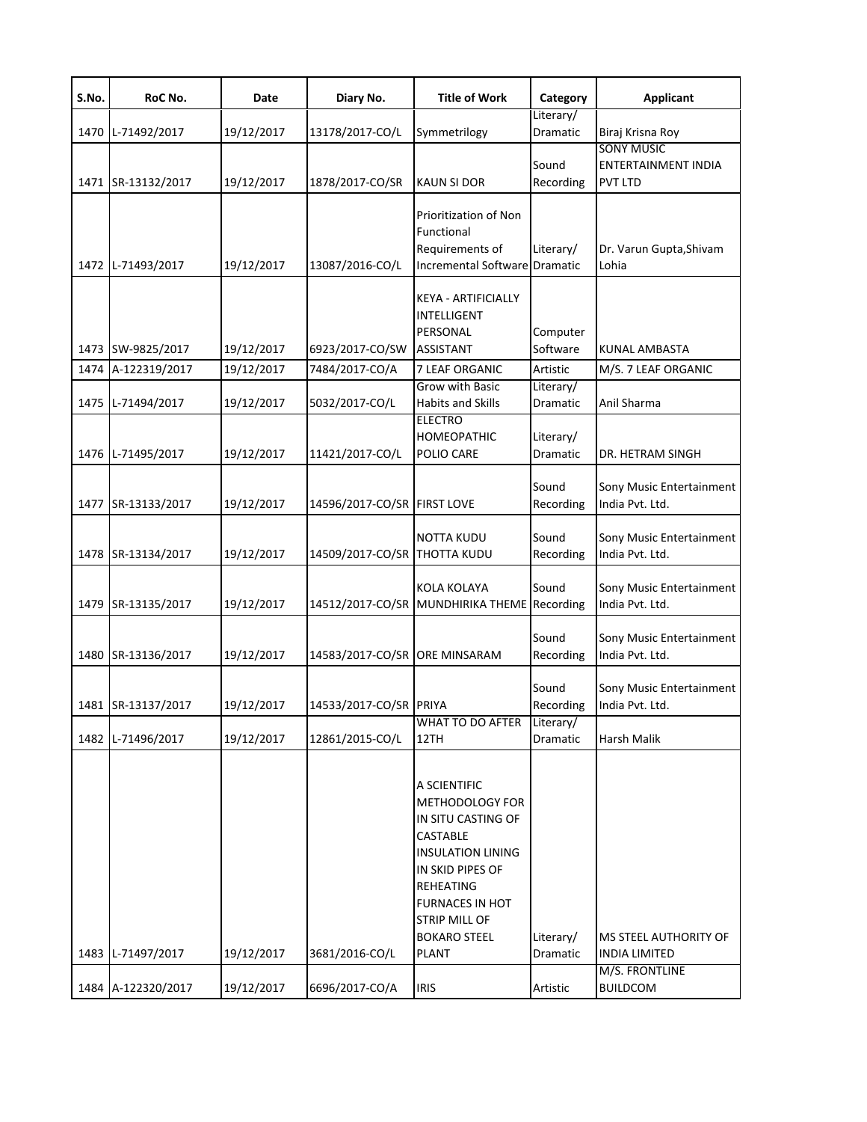| S.No. | RoC No.            | Date       | Diary No.                     | <b>Title of Work</b>                                                                                                                                                                                             | Category                     | <b>Applicant</b>                                           |
|-------|--------------------|------------|-------------------------------|------------------------------------------------------------------------------------------------------------------------------------------------------------------------------------------------------------------|------------------------------|------------------------------------------------------------|
| 1470  | L-71492/2017       | 19/12/2017 | 13178/2017-CO/L               | Symmetrilogy                                                                                                                                                                                                     | Literary/<br>Dramatic        | Biraj Krisna Roy                                           |
|       | 1471 SR-13132/2017 | 19/12/2017 | 1878/2017-CO/SR               | <b>KAUN SI DOR</b>                                                                                                                                                                                               | Sound<br>Recording           | <b>SONY MUSIC</b><br>ENTERTAINMENT INDIA<br><b>PVT LTD</b> |
|       | 1472 L-71493/2017  | 19/12/2017 | 13087/2016-CO/L               | Prioritization of Non<br>Functional<br>Requirements of<br>Incremental Software Dramatic                                                                                                                          | Literary/                    | Dr. Varun Gupta, Shivam<br>Lohia                           |
|       | 1473 SW-9825/2017  | 19/12/2017 | 6923/2017-CO/SW               | KEYA - ARTIFICIALLY<br>INTELLIGENT<br>PERSONAL<br><b>ASSISTANT</b>                                                                                                                                               | Computer<br>Software         | KUNAL AMBASTA                                              |
|       | 1474 A-122319/2017 | 19/12/2017 | 7484/2017-CO/A                | 7 LEAF ORGANIC<br><b>Grow with Basic</b>                                                                                                                                                                         | Artistic<br>Literary/        | M/S. 7 LEAF ORGANIC                                        |
|       | 1475 L-71494/2017  | 19/12/2017 | 5032/2017-CO/L                | <b>Habits and Skills</b>                                                                                                                                                                                         | Dramatic                     | Anil Sharma                                                |
|       | 1476 L-71495/2017  | 19/12/2017 | 11421/2017-CO/L               | <b>ELECTRO</b><br><b>HOMEOPATHIC</b><br>POLIO CARE                                                                                                                                                               | Literary/<br><b>Dramatic</b> | DR. HETRAM SINGH                                           |
|       | 1477 SR-13133/2017 | 19/12/2017 | 14596/2017-CO/SR FIRST LOVE   |                                                                                                                                                                                                                  | Sound<br>Recording           | Sony Music Entertainment<br>India Pvt. Ltd.                |
|       | 1478 SR-13134/2017 | 19/12/2017 | 14509/2017-CO/SR              | NOTTA KUDU<br><b>THOTTA KUDU</b>                                                                                                                                                                                 | Sound<br>Recording           | Sony Music Entertainment<br>India Pvt. Ltd.                |
|       | 1479 SR-13135/2017 | 19/12/2017 |                               | <b>KOLA KOLAYA</b><br>14512/2017-CO/SR MUNDHIRIKA THEME                                                                                                                                                          | Sound<br>Recording           | Sony Music Entertainment<br>India Pvt. Ltd.                |
|       | 1480 SR-13136/2017 | 19/12/2017 | 14583/2017-CO/SR ORE MINSARAM |                                                                                                                                                                                                                  | Sound<br>Recording           | Sony Music Entertainment<br>India Pvt. Ltd.                |
|       | 1481 SR-13137/2017 | 19/12/2017 | 14533/2017-CO/SR PRIYA        |                                                                                                                                                                                                                  | Sound<br>Recording           | Sony Music Entertainment<br>India Pvt. Ltd.                |
| 1482  | L-71496/2017       | 19/12/2017 | 12861/2015-CO/L               | WHAT TO DO AFTER<br>12TH                                                                                                                                                                                         | Literary/<br>Dramatic        | Harsh Malik                                                |
|       | 1483 L-71497/2017  | 19/12/2017 | 3681/2016-CO/L                | A SCIENTIFIC<br>METHODOLOGY FOR<br>IN SITU CASTING OF<br><b>CASTABLE</b><br>INSULATION LINING<br>IN SKID PIPES OF<br>REHEATING<br><b>FURNACES IN HOT</b><br>STRIP MILL OF<br><b>BOKARO STEEL</b><br><b>PLANT</b> | Literary/<br>Dramatic        | MS STEEL AUTHORITY OF<br><b>INDIA LIMITED</b>              |
|       | 1484 A-122320/2017 | 19/12/2017 | 6696/2017-CO/A                | <b>IRIS</b>                                                                                                                                                                                                      | Artistic                     | M/S. FRONTLINE<br><b>BUILDCOM</b>                          |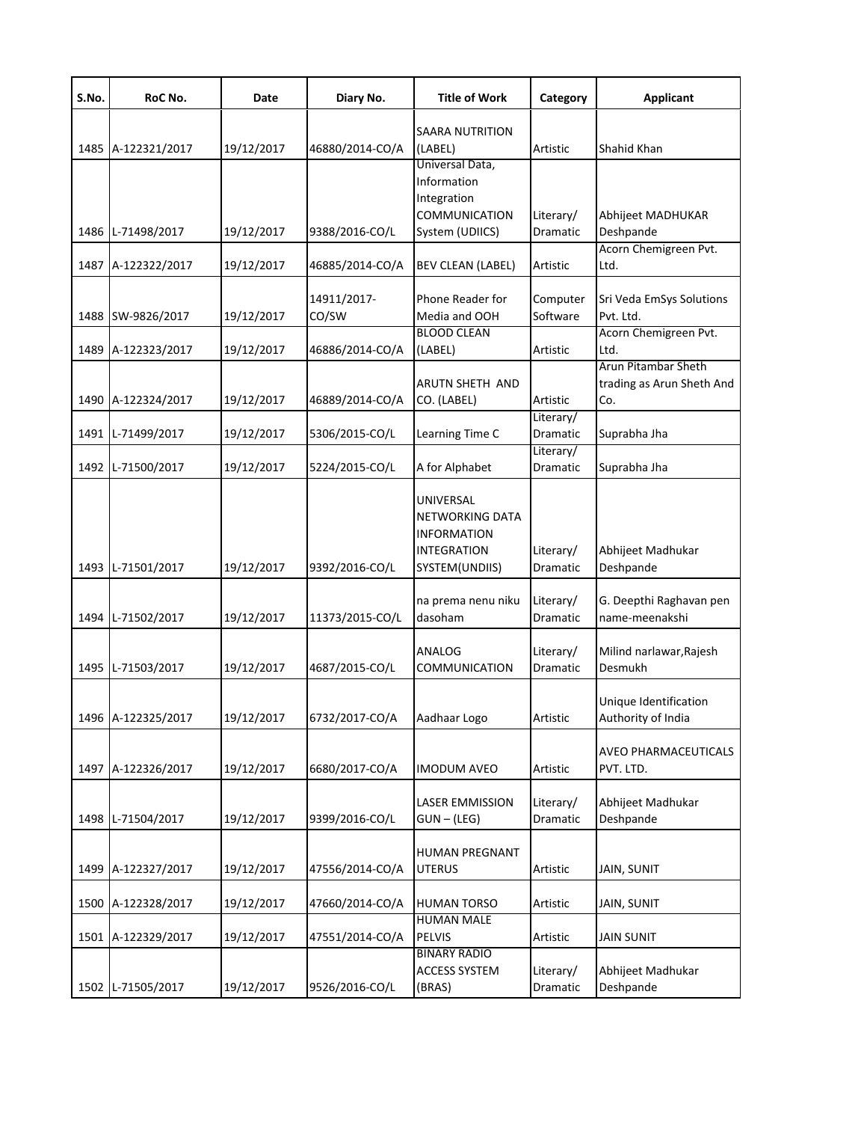| S.No. | RoC No.            | Date       | Diary No.            | <b>Title of Work</b>                                                                       | Category              | <b>Applicant</b>                                               |
|-------|--------------------|------------|----------------------|--------------------------------------------------------------------------------------------|-----------------------|----------------------------------------------------------------|
|       | 1485 A-122321/2017 | 19/12/2017 | 46880/2014-CO/A      | SAARA NUTRITION<br>(LABEL)                                                                 | Artistic              | Shahid Khan                                                    |
|       | 1486 L-71498/2017  | 19/12/2017 | 9388/2016-CO/L       | Universal Data,<br>Information<br>Integration<br><b>COMMUNICATION</b><br>System (UDIICS)   | Literary/<br>Dramatic | Abhijeet MADHUKAR<br>Deshpande                                 |
|       | 1487 A-122322/2017 | 19/12/2017 | 46885/2014-CO/A      | <b>BEV CLEAN (LABEL)</b>                                                                   | Artistic              | Acorn Chemigreen Pvt.<br>Ltd.                                  |
| 1488  | SW-9826/2017       | 19/12/2017 | 14911/2017-<br>CO/SW | Phone Reader for<br>Media and OOH<br><b>BLOOD CLEAN</b>                                    | Computer<br>Software  | Sri Veda EmSys Solutions<br>Pvt. Ltd.<br>Acorn Chemigreen Pvt. |
|       | 1489 A-122323/2017 | 19/12/2017 | 46886/2014-CO/A      | (LABEL)                                                                                    | Artistic              | Ltd.                                                           |
|       | 1490 A-122324/2017 | 19/12/2017 | 46889/2014-CO/A      | ARUTN SHETH AND<br>CO. (LABEL)                                                             | Artistic              | Arun Pitambar Sheth<br>trading as Arun Sheth And<br>Co.        |
|       | 1491 L-71499/2017  | 19/12/2017 | 5306/2015-CO/L       | Learning Time C                                                                            | Literary/<br>Dramatic | Suprabha Jha                                                   |
|       | 1492 L-71500/2017  | 19/12/2017 | 5224/2015-CO/L       | A for Alphabet                                                                             | Literary/<br>Dramatic | Suprabha Jha                                                   |
|       | 1493 L-71501/2017  | 19/12/2017 | 9392/2016-CO/L       | UNIVERSAL<br>NETWORKING DATA<br><b>INFORMATION</b><br><b>INTEGRATION</b><br>SYSTEM(UNDIIS) | Literary/<br>Dramatic | Abhijeet Madhukar<br>Deshpande                                 |
|       | 1494 L-71502/2017  | 19/12/2017 | 11373/2015-CO/L      | na prema nenu niku<br>dasoham                                                              | Literary/<br>Dramatic | G. Deepthi Raghavan pen<br>name-meenakshi                      |
|       | 1495 L-71503/2017  | 19/12/2017 | 4687/2015-CO/L       | ANALOG<br><b>COMMUNICATION</b>                                                             | Literary/<br>Dramatic | Milind narlawar, Rajesh<br>Desmukh                             |
|       | 1496 A-122325/2017 | 19/12/2017 | 6732/2017-CO/A       | Aadhaar Logo                                                                               | Artistic              | Unique Identification<br>Authority of India                    |
|       | 1497 A-122326/2017 | 19/12/2017 | 6680/2017-CO/A       | IMODUM AVEO                                                                                | Artistic              | AVEO PHARMACEUTICALS<br>PVT. LTD.                              |
|       | 1498 L-71504/2017  | 19/12/2017 | 9399/2016-CO/L       | <b>LASER EMMISSION</b><br>$GUN - (LEG)$                                                    | Literary/<br>Dramatic | Abhijeet Madhukar<br>Deshpande                                 |
|       | 1499 A-122327/2017 | 19/12/2017 | 47556/2014-CO/A      | <b>HUMAN PREGNANT</b><br>UTERUS                                                            | Artistic              | <b>JAIN, SUNIT</b>                                             |
|       | 1500 A-122328/2017 | 19/12/2017 | 47660/2014-CO/A      | <b>HUMAN TORSO</b>                                                                         | Artistic              | JAIN, SUNIT                                                    |
|       | 1501 A-122329/2017 | 19/12/2017 | 47551/2014-CO/A      | <b>HUMAN MALE</b><br><b>PELVIS</b>                                                         | Artistic              | <b>JAIN SUNIT</b>                                              |
| 1502  | L-71505/2017       | 19/12/2017 | 9526/2016-CO/L       | <b>BINARY RADIO</b><br>ACCESS SYSTEM<br>(BRAS)                                             | Literary/<br>Dramatic | Abhijeet Madhukar<br>Deshpande                                 |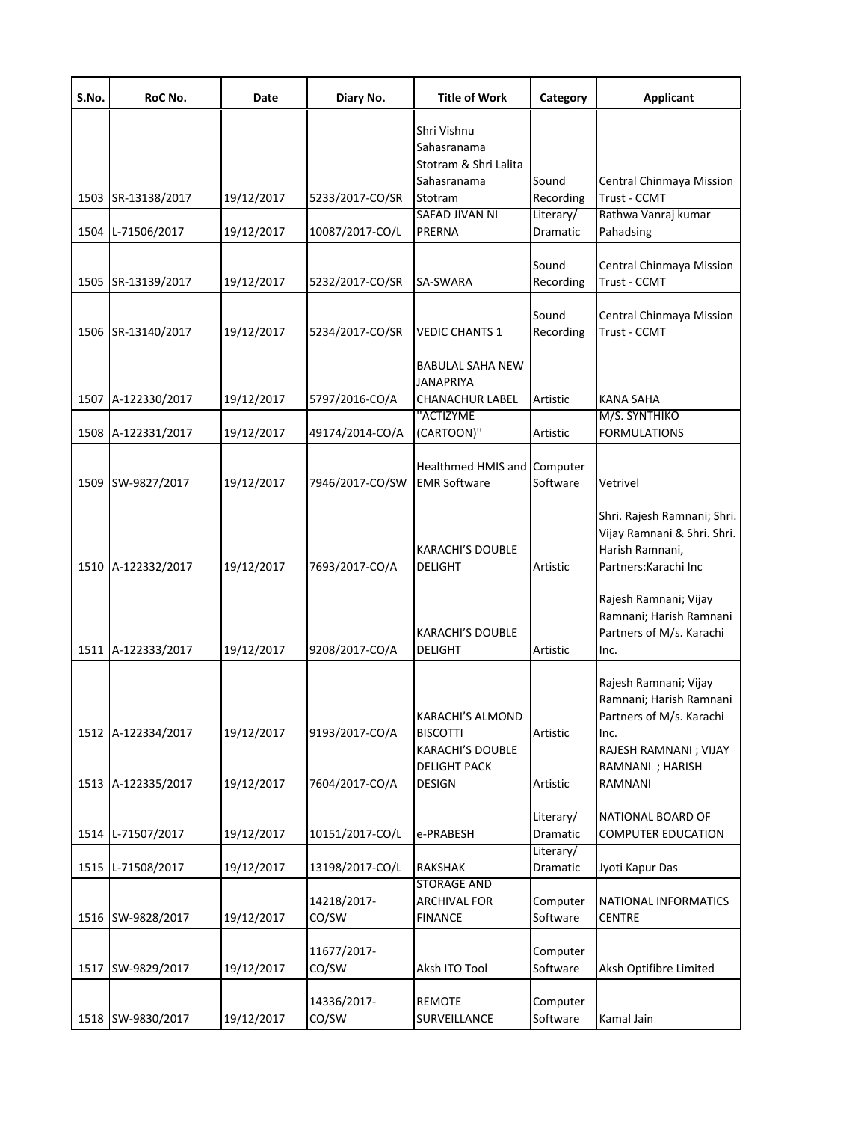| S.No. | RoC No.            | Date       | Diary No.            | <b>Title of Work</b>                                                          | Category              | <b>Applicant</b>                                                                                       |
|-------|--------------------|------------|----------------------|-------------------------------------------------------------------------------|-----------------------|--------------------------------------------------------------------------------------------------------|
|       | 1503 SR-13138/2017 | 19/12/2017 | 5233/2017-CO/SR      | Shri Vishnu<br>Sahasranama<br>Stotram & Shri Lalita<br>Sahasranama<br>Stotram | Sound<br>Recording    | Central Chinmaya Mission<br>Trust - CCMT                                                               |
|       | 1504 L-71506/2017  | 19/12/2017 | 10087/2017-CO/L      | SAFAD JIVAN NI<br>PRERNA                                                      | Literary/<br>Dramatic | Rathwa Vanraj kumar<br>Pahadsing                                                                       |
|       | 1505 SR-13139/2017 | 19/12/2017 | 5232/2017-CO/SR      | SA-SWARA                                                                      | Sound<br>Recording    | Central Chinmaya Mission<br>Trust - CCMT                                                               |
|       | 1506 SR-13140/2017 | 19/12/2017 | 5234/2017-CO/SR      | <b>VEDIC CHANTS 1</b>                                                         | Sound<br>Recording    | Central Chinmaya Mission<br>Trust - CCMT                                                               |
|       | 1507 A-122330/2017 | 19/12/2017 | 5797/2016-CO/A       | <b>BABULAL SAHA NEW</b><br>JANAPRIYA<br>CHANACHUR LABEL                       | Artistic              | <b>KANA SAHA</b>                                                                                       |
|       | 1508 A-122331/2017 | 19/12/2017 | 49174/2014-CO/A      | "ACTIZYME<br>(CARTOON)"                                                       | Artistic              | M/S. SYNTHIKO<br><b>FORMULATIONS</b>                                                                   |
|       | 1509 SW-9827/2017  | 19/12/2017 | 7946/2017-CO/SW      | Healthmed HMIS and Computer<br><b>EMR Software</b>                            | Software              | Vetrivel                                                                                               |
|       | 1510 A-122332/2017 | 19/12/2017 | 7693/2017-CO/A       | <b>KARACHI'S DOUBLE</b><br>DELIGHT                                            | Artistic              | Shri. Rajesh Ramnani; Shri.<br>Vijay Ramnani & Shri. Shri.<br>Harish Ramnani,<br>Partners: Karachi Inc |
|       | 1511 A-122333/2017 | 19/12/2017 | 9208/2017-CO/A       | <b>KARACHI'S DOUBLE</b><br><b>DELIGHT</b>                                     | Artistic              | Rajesh Ramnani; Vijay<br>Ramnani; Harish Ramnani<br>Partners of M/s. Karachi<br>Inc.                   |
|       | 1512 A-122334/2017 | 19/12/2017 | 9193/2017-CO/A       | KARACHI'S ALMOND<br><b>BISCOTTI</b>                                           | Artistic              | Rajesh Ramnani; Vijay<br>Ramnani; Harish Ramnani<br>Partners of M/s. Karachi<br>Inc.                   |
|       | 1513 A-122335/2017 | 19/12/2017 | 7604/2017-CO/A       | <b>KARACHI'S DOUBLE</b><br><b>DELIGHT PACK</b><br>DESIGN                      | Artistic              | RAJESH RAMNANI; VIJAY<br>RAMNANI ; HARISH<br>RAMNANI                                                   |
|       | 1514 L-71507/2017  | 19/12/2017 | 10151/2017-CO/L      | e-PRABESH                                                                     | Literary/<br>Dramatic | NATIONAL BOARD OF<br><b>COMPUTER EDUCATION</b>                                                         |
|       | 1515 L-71508/2017  | 19/12/2017 | 13198/2017-CO/L      | RAKSHAK                                                                       | Literary/<br>Dramatic | Jyoti Kapur Das                                                                                        |
|       | 1516 SW-9828/2017  | 19/12/2017 | 14218/2017-<br>CO/SW | <b>STORAGE AND</b><br>ARCHIVAL FOR<br><b>FINANCE</b>                          | Computer<br>Software  | NATIONAL INFORMATICS<br><b>CENTRE</b>                                                                  |
|       | 1517 SW-9829/2017  | 19/12/2017 | 11677/2017-<br>CO/SW | Aksh ITO Tool                                                                 | Computer<br>Software  | Aksh Optifibre Limited                                                                                 |
|       | 1518 SW-9830/2017  | 19/12/2017 | 14336/2017-<br>CO/SW | <b>REMOTE</b><br>SURVEILLANCE                                                 | Computer<br>Software  | Kamal Jain                                                                                             |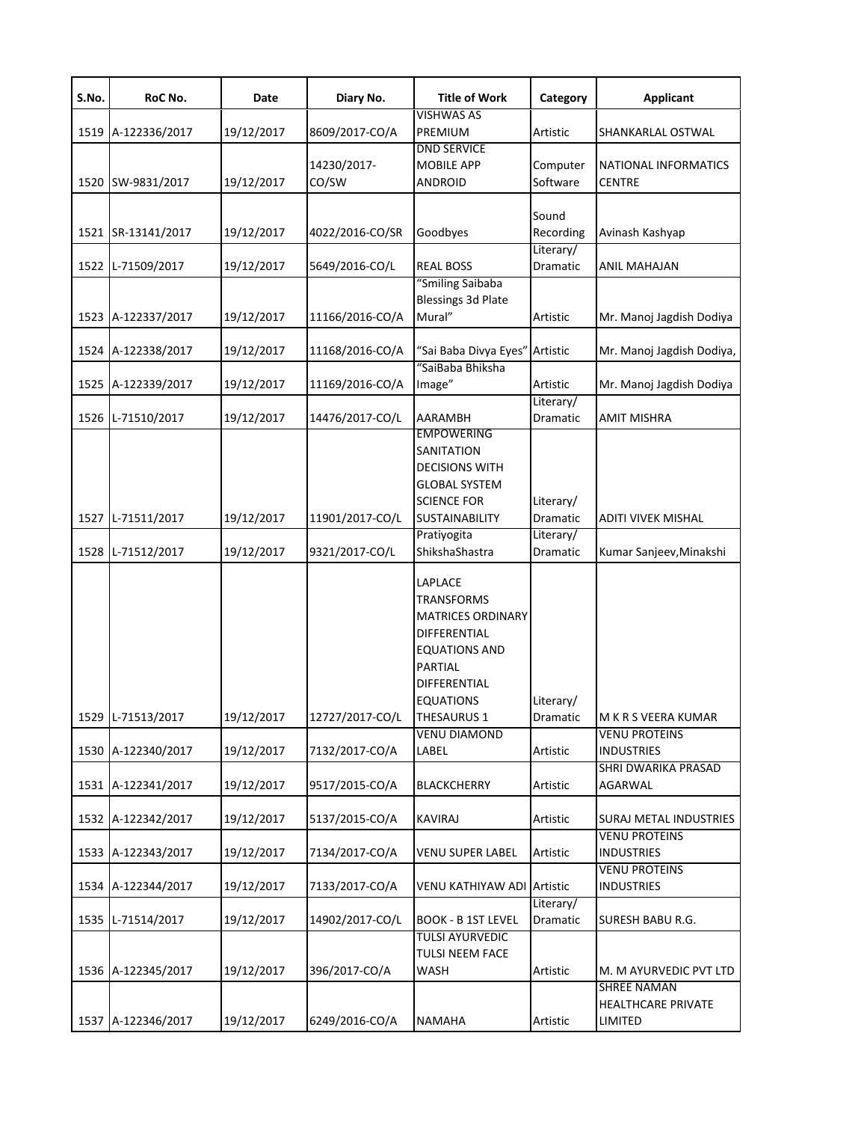| S.No. | RoC No.            | Date       | Diary No.            | <b>Title of Work</b>                                                                                                                                                         | Category              | <b>Applicant</b>                             |
|-------|--------------------|------------|----------------------|------------------------------------------------------------------------------------------------------------------------------------------------------------------------------|-----------------------|----------------------------------------------|
|       | 1519 A-122336/2017 | 19/12/2017 | 8609/2017-CO/A       | <b>VISHWAS AS</b><br>PREMIUM                                                                                                                                                 | Artistic              | SHANKARLAL OSTWAL                            |
|       | 1520 SW-9831/2017  | 19/12/2017 | 14230/2017-<br>CO/SW | <b>DND SERVICE</b><br><b>MOBILE APP</b><br><b>ANDROID</b>                                                                                                                    | Computer<br>Software  | <b>NATIONAL INFORMATICS</b><br><b>CENTRE</b> |
|       | 1521 SR-13141/2017 | 19/12/2017 | 4022/2016-CO/SR      | Goodbyes                                                                                                                                                                     | Sound<br>Recording    | Avinash Kashyap                              |
|       | 1522 L-71509/2017  | 19/12/2017 | 5649/2016-CO/L       | <b>REAL BOSS</b>                                                                                                                                                             | Literary/<br>Dramatic | <b>ANIL MAHAJAN</b>                          |
|       | 1523 A-122337/2017 | 19/12/2017 | 11166/2016-CO/A      | "Smiling Saibaba<br><b>Blessings 3d Plate</b><br>Mural"                                                                                                                      | Artistic              | Mr. Manoj Jagdish Dodiya                     |
|       | 1524 A-122338/2017 | 19/12/2017 | 11168/2016-CO/A      | "Sai Baba Divya Eyes"                                                                                                                                                        | Artistic              | Mr. Manoj Jagdish Dodiya,                    |
|       | 1525 A-122339/2017 | 19/12/2017 | 11169/2016-CO/A      | "SaiBaba Bhiksha<br>Image"                                                                                                                                                   | Artistic<br>Literary/ | Mr. Manoj Jagdish Dodiya                     |
|       | 1526 L-71510/2017  | 19/12/2017 | 14476/2017-CO/L      | AARAMBH                                                                                                                                                                      | Dramatic              | <b>AMIT MISHRA</b>                           |
|       | 1527 L-71511/2017  | 19/12/2017 | 11901/2017-CO/L      | <b>EMPOWERING</b><br>SANITATION<br><b>DECISIONS WITH</b><br><b>GLOBAL SYSTEM</b><br><b>SCIENCE FOR</b><br><b>SUSTAINABILITY</b>                                              | Literary/<br>Dramatic | ADITI VIVEK MISHAL                           |
|       | 1528 L-71512/2017  | 19/12/2017 | 9321/2017-CO/L       | Pratiyogita<br>ShikshaShastra                                                                                                                                                | Literary/<br>Dramatic | Kumar Sanjeev, Minakshi                      |
|       | 1529 L-71513/2017  | 19/12/2017 | 12727/2017-CO/L      | LAPLACE<br><b>TRANSFORMS</b><br><b>MATRICES ORDINARY</b><br>DIFFERENTIAL<br><b>EQUATIONS AND</b><br>PARTIAL<br><b>DIFFERENTIAL</b><br><b>EQUATIONS</b><br><b>THESAURUS 1</b> | Literary/<br>Dramatic | M K R S VEERA KUMAR                          |
|       | 1530 A-122340/2017 | 19/12/2017 | 7132/2017-CO/A       | <b>VENU DIAMOND</b><br>LABEL                                                                                                                                                 | Artistic              | <b>VENU PROTEINS</b><br><b>INDUSTRIES</b>    |
|       | 1531 A-122341/2017 | 19/12/2017 | 9517/2015-CO/A       | <b>BLACKCHERRY</b>                                                                                                                                                           | Artistic              | SHRI DWARIKA PRASAD<br>AGARWAL               |
|       | 1532 A-122342/2017 | 19/12/2017 | 5137/2015-CO/A       | <b>KAVIRAJ</b>                                                                                                                                                               | Artistic              | SURAJ METAL INDUSTRIES                       |
|       | 1533 A-122343/2017 | 19/12/2017 | 7134/2017-CO/A       | <b>VENU SUPER LABEL</b>                                                                                                                                                      | Artistic              | <b>VENU PROTEINS</b><br><b>INDUSTRIES</b>    |
|       | 1534 A-122344/2017 | 19/12/2017 | 7133/2017-CO/A       | <b>VENU KATHIYAW ADI LArtistic</b>                                                                                                                                           |                       | <b>VENU PROTEINS</b><br><b>INDUSTRIES</b>    |
|       | 1535 L-71514/2017  | 19/12/2017 | 14902/2017-CO/L      | <b>BOOK - B 1ST LEVEL</b>                                                                                                                                                    | Literary/<br>Dramatic | SURESH BABU R.G.                             |
|       | 1536 A-122345/2017 | 19/12/2017 | 396/2017-CO/A        | <b>TULSI AYURVEDIC</b><br>TULSI NEEM FACE<br>WASH                                                                                                                            | Artistic              | M. M AYURVEDIC PVT LTD<br><b>SHREE NAMAN</b> |
|       | 1537 A-122346/2017 | 19/12/2017 | 6249/2016-CO/A       | <b>NAMAHA</b>                                                                                                                                                                | Artistic              | <b>HEALTHCARE PRIVATE</b><br>LIMITED         |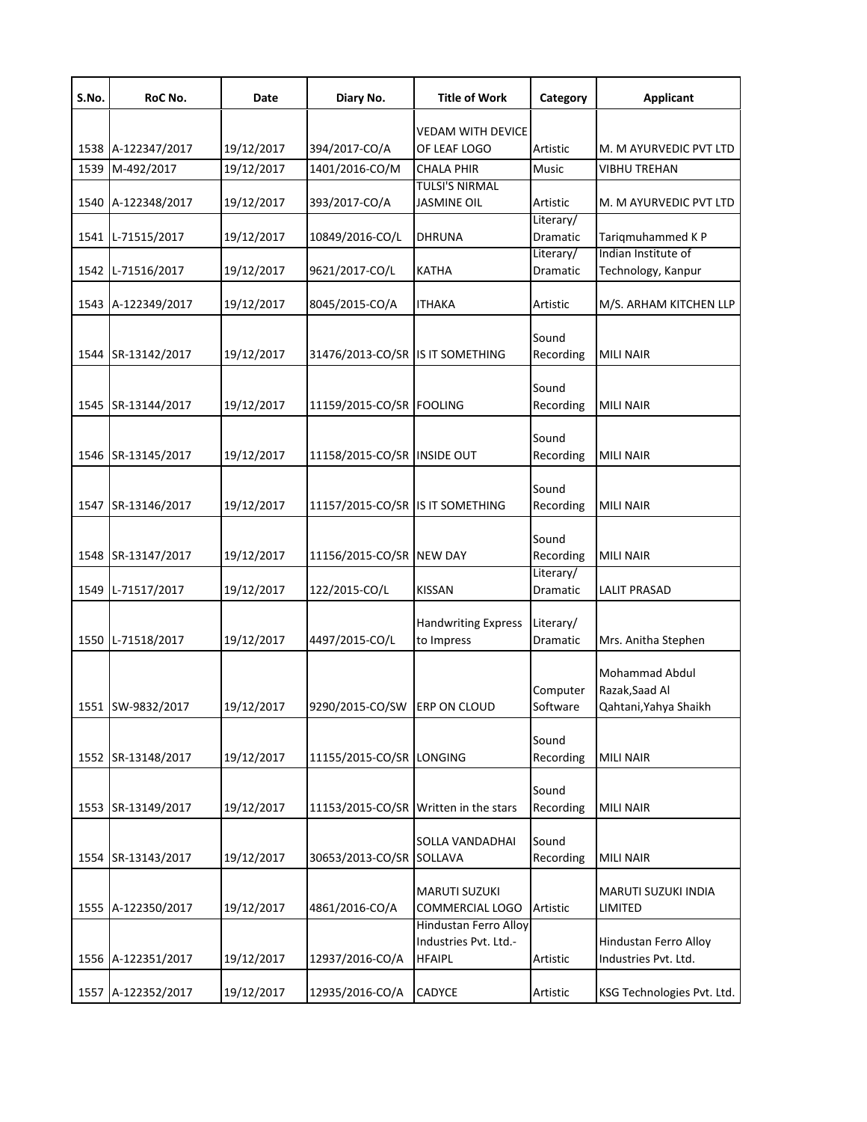| S.No. | RoC No.            | Date       | Diary No.                        | <b>Title of Work</b>                        | Category              | <b>Applicant</b>           |
|-------|--------------------|------------|----------------------------------|---------------------------------------------|-----------------------|----------------------------|
|       |                    |            |                                  | <b>VEDAM WITH DEVICE</b>                    |                       |                            |
|       | 1538 A-122347/2017 | 19/12/2017 | 394/2017-CO/A                    | OF LEAF LOGO                                | Artistic              | M. M AYURVEDIC PVT LTD     |
| 1539  | M-492/2017         | 19/12/2017 | 1401/2016-CO/M                   | <b>CHALA PHIR</b>                           | Music                 | <b>VIBHU TREHAN</b>        |
|       |                    | 19/12/2017 | 393/2017-CO/A                    | <b>TULSI'S NIRMAL</b><br><b>JASMINE OIL</b> | Artistic              | M. M AYURVEDIC PVT LTD     |
|       | 1540 A-122348/2017 |            |                                  |                                             | Literary/             |                            |
| 1541  | L-71515/2017       | 19/12/2017 | 10849/2016-CO/L                  | <b>DHRUNA</b>                               | Dramatic              | Tariqmuhammed KP           |
|       |                    |            |                                  |                                             | Literary/             | Indian Institute of        |
| 1542  | L-71516/2017       | 19/12/2017 | 9621/2017-CO/L                   | <b>KATHA</b>                                | Dramatic              | Technology, Kanpur         |
|       | 1543 A-122349/2017 | 19/12/2017 | 8045/2015-CO/A                   | ITHAKA                                      | Artistic              | M/S. ARHAM KITCHEN LLP     |
|       |                    |            |                                  |                                             |                       |                            |
| 1544  | SR-13142/2017      | 19/12/2017 | 31476/2013-CO/SR IS IT SOMETHING |                                             | Sound<br>Recording    | <b>MILI NAIR</b>           |
|       |                    |            |                                  |                                             |                       |                            |
|       |                    |            |                                  |                                             | Sound                 |                            |
|       | 1545 SR-13144/2017 | 19/12/2017 | 11159/2015-CO/SR FOOLING         |                                             | Recording             | <b>MILI NAIR</b>           |
|       |                    |            |                                  |                                             | Sound                 |                            |
|       | 1546 SR-13145/2017 | 19/12/2017 | 11158/2015-CO/SR INSIDE OUT      |                                             | Recording             | <b>MILI NAIR</b>           |
|       |                    |            |                                  |                                             |                       |                            |
| 1547  | SR-13146/2017      | 19/12/2017 | 11157/2015-CO/SR IS IT SOMETHING |                                             | Sound                 | <b>MILI NAIR</b>           |
|       |                    |            |                                  |                                             | Recording             |                            |
|       |                    |            |                                  |                                             | Sound                 |                            |
|       | 1548 SR-13147/2017 | 19/12/2017 | 11156/2015-CO/SR NEW DAY         |                                             | Recording             | <b>MILI NAIR</b>           |
| 1549  | L-71517/2017       | 19/12/2017 | 122/2015-CO/L                    | <b>KISSAN</b>                               | Literary/<br>Dramatic | <b>LALIT PRASAD</b>        |
|       |                    |            |                                  |                                             |                       |                            |
|       |                    |            |                                  | <b>Handwriting Express</b>                  | Literary/             |                            |
|       | 1550 L-71518/2017  | 19/12/2017 | 4497/2015-CO/L                   | to Impress                                  | Dramatic              | Mrs. Anitha Stephen        |
|       |                    |            |                                  |                                             |                       | <b>Mohammad Abdul</b>      |
|       |                    |            |                                  |                                             | Computer              | Razak, Saad Al             |
|       | 1551 SW-9832/2017  | 19/12/2017 | 9290/2015-CO/SW ERP ON CLOUD     |                                             | Software              | Qahtani, Yahya Shaikh      |
|       |                    |            |                                  |                                             | Sound                 |                            |
|       | 1552 SR-13148/2017 | 19/12/2017 | 11155/2015-CO/SR LONGING         |                                             | Recording             | <b>MILI NAIR</b>           |
|       |                    |            |                                  |                                             |                       |                            |
|       |                    |            |                                  |                                             | Sound                 |                            |
| 1553  | SR-13149/2017      | 19/12/2017 |                                  | 11153/2015-CO/SR Written in the stars       | Recording             | <b>MILI NAIR</b>           |
|       |                    |            |                                  | <b>SOLLA VANDADHAI</b>                      | Sound                 |                            |
| 1554  | SR-13143/2017      | 19/12/2017 | 30653/2013-CO/SR                 | SOLLAVA                                     | Recording             | <b>MILI NAIR</b>           |
|       |                    |            |                                  | <b>MARUTI SUZUKI</b>                        |                       | MARUTI SUZUKI INDIA        |
|       | 1555 A-122350/2017 | 19/12/2017 | 4861/2016-CO/A                   | COMMERCIAL LOGO                             | Artistic              | LIMITED                    |
|       |                    |            |                                  | Hindustan Ferro Alloy                       |                       |                            |
|       |                    |            |                                  | Industries Pvt. Ltd.-                       |                       | Hindustan Ferro Alloy      |
|       | 1556 A-122351/2017 | 19/12/2017 | 12937/2016-CO/A                  | <b>HFAIPL</b>                               | Artistic              | Industries Pvt. Ltd.       |
|       | 1557 A-122352/2017 | 19/12/2017 | 12935/2016-CO/A                  | <b>CADYCE</b>                               | Artistic              | KSG Technologies Pvt. Ltd. |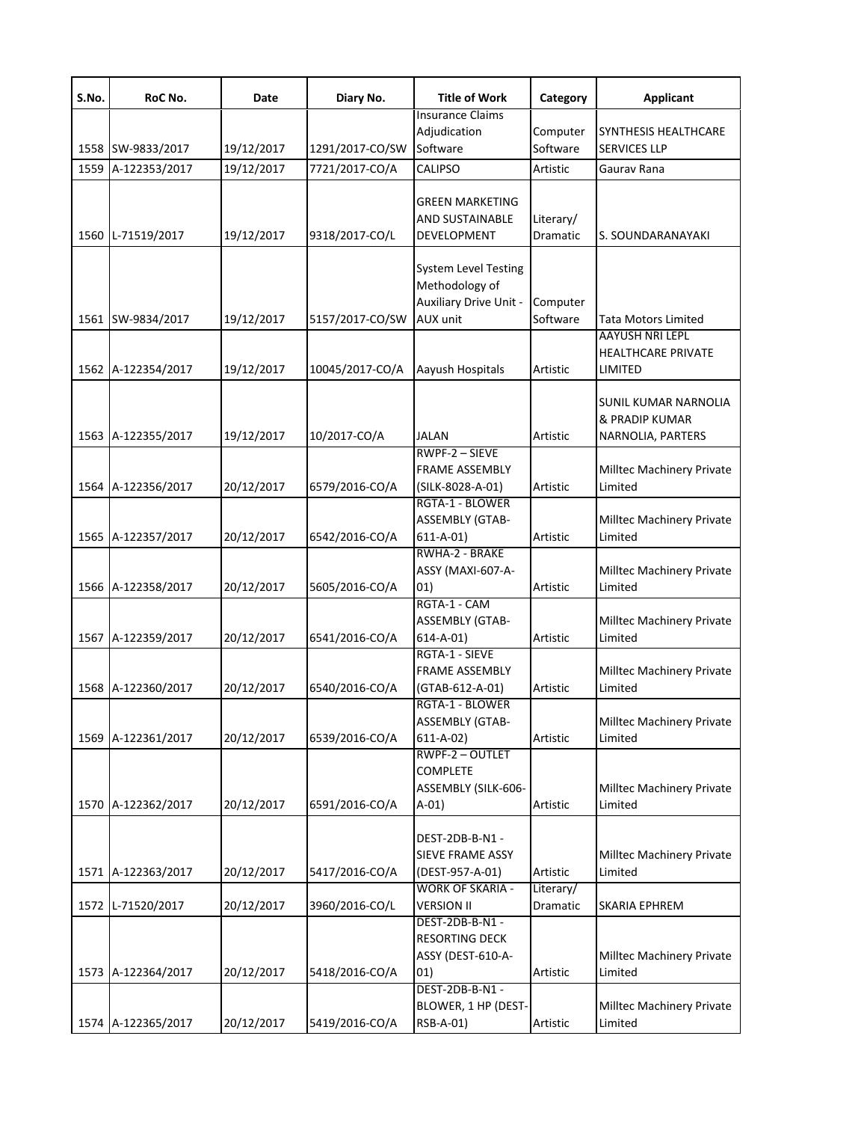| S.No. | RoC No.            | Date       | Diary No.       | <b>Title of Work</b>                      | Category  | <b>Applicant</b>                            |
|-------|--------------------|------------|-----------------|-------------------------------------------|-----------|---------------------------------------------|
|       |                    |            |                 | <b>Insurance Claims</b>                   | Computer  |                                             |
|       | 1558 SW-9833/2017  | 19/12/2017 | 1291/2017-CO/SW | Adjudication<br>Software                  | Software  | SYNTHESIS HEALTHCARE<br><b>SERVICES LLP</b> |
|       | 1559 A-122353/2017 | 19/12/2017 | 7721/2017-CO/A  | <b>CALIPSO</b>                            | Artistic  | Gaurav Rana                                 |
|       |                    |            |                 |                                           |           |                                             |
|       |                    |            |                 | GREEN MARKETING                           |           |                                             |
|       |                    |            |                 | AND SUSTAINABLE                           | Literary/ |                                             |
|       | 1560 L-71519/2017  | 19/12/2017 | 9318/2017-CO/L  | DEVELOPMENT                               | Dramatic  | S. SOUNDARANAYAKI                           |
|       |                    |            |                 | <b>System Level Testing</b>               |           |                                             |
|       |                    |            |                 | Methodology of                            |           |                                             |
|       |                    |            |                 | Auxiliary Drive Unit -                    | Computer  |                                             |
|       | 1561 SW-9834/2017  | 19/12/2017 | 5157/2017-CO/SW | AUX unit                                  | Software  | Tata Motors Limited                         |
|       |                    |            |                 |                                           |           | <b>AAYUSH NRI LEPL</b>                      |
|       |                    |            |                 |                                           |           | <b>HEALTHCARE PRIVATE</b>                   |
|       | 1562 A-122354/2017 | 19/12/2017 | 10045/2017-CO/A | Aayush Hospitals                          | Artistic  | LIMITED                                     |
|       |                    |            |                 |                                           |           | SUNIL KUMAR NARNOLIA                        |
|       |                    |            |                 |                                           |           | & PRADIP KUMAR                              |
|       | 1563 A-122355/2017 | 19/12/2017 | 10/2017-CO/A    | JALAN                                     | Artistic  | NARNOLIA, PARTERS                           |
|       |                    |            |                 | RWPF-2 - SIEVE                            |           |                                             |
|       |                    |            |                 | <b>FRAME ASSEMBLY</b>                     |           | Milltec Machinery Private                   |
|       | 1564 A-122356/2017 | 20/12/2017 | 6579/2016-CO/A  | (SILK-8028-A-01)                          | Artistic  | Limited                                     |
|       |                    |            |                 | RGTA-1 - BLOWER                           |           |                                             |
|       |                    |            |                 | <b>ASSEMBLY (GTAB-</b>                    |           | Milltec Machinery Private                   |
|       | 1565 A-122357/2017 | 20/12/2017 | 6542/2016-CO/A  | $611 - A - 01$<br>RWHA-2 - BRAKE          | Artistic  | Limited                                     |
|       |                    |            |                 | ASSY (MAXI-607-A-                         |           | Milltec Machinery Private                   |
|       | 1566 A-122358/2017 | 20/12/2017 | 5605/2016-CO/A  | 01)                                       | Artistic  | Limited                                     |
|       |                    |            |                 | RGTA-1 - CAM                              |           |                                             |
|       |                    |            |                 | <b>ASSEMBLY (GTAB-</b>                    |           | Milltec Machinery Private                   |
|       | 1567 A-122359/2017 | 20/12/2017 | 6541/2016-CO/A  | $614 - A - 01$                            | Artistic  | Limited                                     |
|       |                    |            |                 | RGTA-1 - SIEVE                            |           |                                             |
|       |                    |            |                 | <b>FRAME ASSEMBLY</b>                     |           | Milltec Machinery Private                   |
|       | 1568 A-122360/2017 | 20/12/2017 | 6540/2016-CO/A  | (GTAB-612-A-01)                           | Artistic  | Limited                                     |
|       |                    |            |                 | RGTA-1 - BLOWER<br><b>ASSEMBLY (GTAB-</b> |           | Milltec Machinery Private                   |
|       | 1569 A-122361/2017 | 20/12/2017 | 6539/2016-CO/A  | $611 - A - 02$                            | Artistic  | Limited                                     |
|       |                    |            |                 | RWPF-2-OUTLET                             |           |                                             |
|       |                    |            |                 | COMPLETE                                  |           |                                             |
|       |                    |            |                 | ASSEMBLY (SILK-606-                       |           | Milltec Machinery Private                   |
|       | 1570 A-122362/2017 | 20/12/2017 | 6591/2016-CO/A  | $A-01)$                                   | Artistic  | Limited                                     |
|       |                    |            |                 | DEST-2DB-B-N1 -                           |           |                                             |
|       |                    |            |                 | SIEVE FRAME ASSY                          |           | Milltec Machinery Private                   |
|       | 1571 A-122363/2017 | 20/12/2017 | 5417/2016-CO/A  | (DEST-957-A-01)                           | Artistic  | Limited                                     |
|       |                    |            |                 | <b>WORK OF SKARIA -</b>                   | Literary/ |                                             |
|       | 1572 L-71520/2017  | 20/12/2017 | 3960/2016-CO/L  | <b>VERSION II</b>                         | Dramatic  | SKARIA EPHREM                               |
|       |                    |            |                 | DEST-2DB-B-N1 -                           |           |                                             |
|       |                    |            |                 | RESORTING DECK                            |           |                                             |
|       |                    |            |                 | ASSY (DEST-610-A-                         |           | Milltec Machinery Private                   |
|       | 1573 A-122364/2017 | 20/12/2017 | 5418/2016-CO/A  | 01)<br>DEST-2DB-B-N1 -                    | Artistic  | Limited                                     |
|       |                    |            |                 | BLOWER, 1 HP (DEST-                       |           | Milltec Machinery Private                   |
|       | 1574 A-122365/2017 | 20/12/2017 | 5419/2016-CO/A  | RSB-A-01)                                 | Artistic  | Limited                                     |
|       |                    |            |                 |                                           |           |                                             |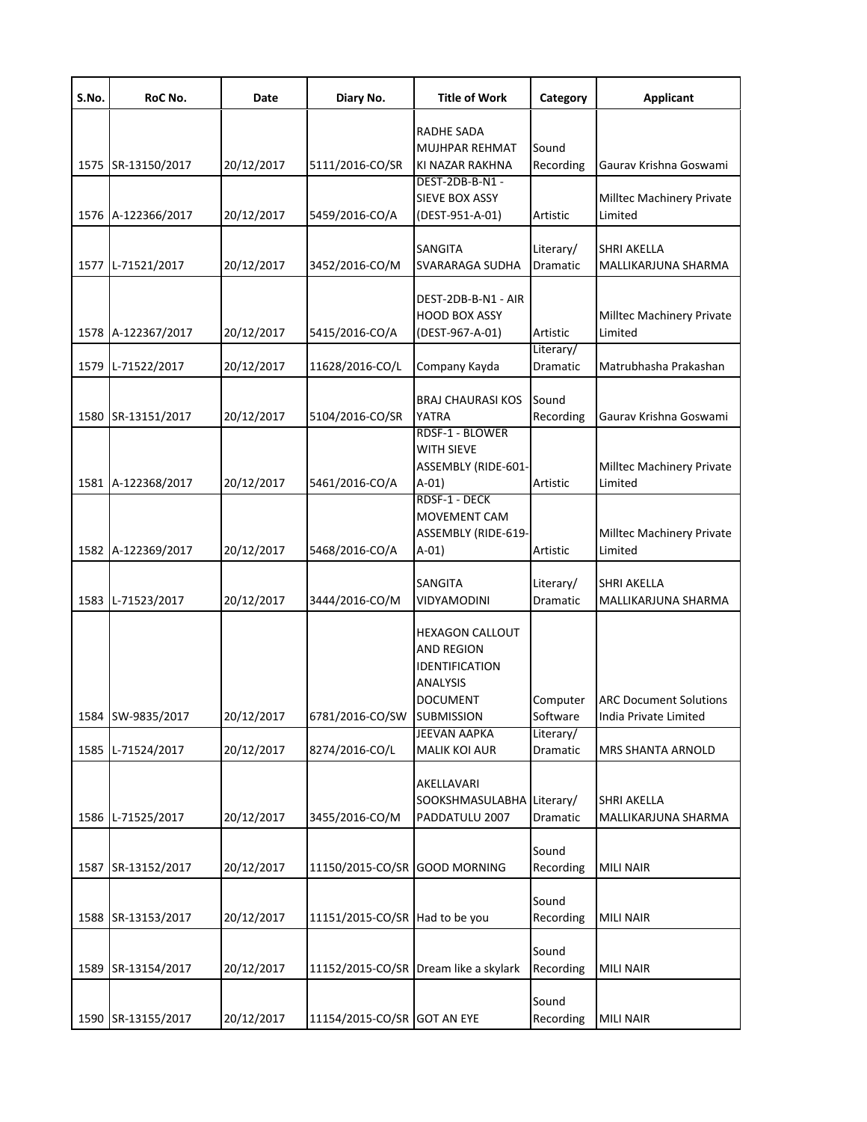| S.No. | RoC No.            | Date       | Diary No.                      | <b>Title of Work</b>                                                                                              | Category                     | <b>Applicant</b>                                       |
|-------|--------------------|------------|--------------------------------|-------------------------------------------------------------------------------------------------------------------|------------------------------|--------------------------------------------------------|
|       | 1575 SR-13150/2017 | 20/12/2017 | 5111/2016-CO/SR                | RADHE SADA<br>MUJHPAR REHMAT<br>KI NAZAR RAKHNA                                                                   | Sound<br>Recording           | Gaurav Krishna Goswami                                 |
|       | 1576 A-122366/2017 | 20/12/2017 | 5459/2016-CO/A                 | DEST-2DB-B-N1 -<br><b>SIEVE BOX ASSY</b><br>(DEST-951-A-01)                                                       | Artistic                     | Milltec Machinery Private<br>Limited                   |
|       | 1577 L-71521/2017  | 20/12/2017 | 3452/2016-CO/M                 | SANGITA<br>SVARARAGA SUDHA                                                                                        | Literary/<br>Dramatic        | <b>SHRI AKELLA</b><br>MALLIKARJUNA SHARMA              |
|       | 1578 A-122367/2017 | 20/12/2017 | 5415/2016-CO/A                 | DEST-2DB-B-N1 - AIR<br><b>HOOD BOX ASSY</b><br>(DEST-967-A-01)                                                    | Artistic                     | Milltec Machinery Private<br>Limited                   |
| 1579  | L-71522/2017       | 20/12/2017 | 11628/2016-CO/L                | Company Kayda                                                                                                     | Literary/<br>Dramatic        | Matrubhasha Prakashan                                  |
| 1580  | SR-13151/2017      | 20/12/2017 | 5104/2016-CO/SR                | <b>BRAJ CHAURASI KOS</b><br>YATRA                                                                                 | Sound<br>Recording           | Gaurav Krishna Goswami                                 |
|       | 1581 A-122368/2017 | 20/12/2017 | 5461/2016-CO/A                 | RDSF-1 - BLOWER<br><b>WITH SIEVE</b><br>ASSEMBLY (RIDE-601-<br>$A-01$                                             | Artistic                     | <b>Milltec Machinery Private</b><br>Limited            |
|       | 1582 A-122369/2017 | 20/12/2017 | 5468/2016-CO/A                 | RDSF-1 - DECK<br>MOVEMENT CAM<br>ASSEMBLY (RIDE-619-<br>$A-01)$                                                   | Artistic                     | <b>Milltec Machinery Private</b><br>Limited            |
|       | 1583 L-71523/2017  | 20/12/2017 | 3444/2016-CO/M                 | SANGITA<br>VIDYAMODINI                                                                                            | Literary/<br><b>Dramatic</b> | <b>SHRI AKELLA</b><br>MALLIKARJUNA SHARMA              |
|       | 1584 SW-9835/2017  | 20/12/2017 | 6781/2016-CO/SW                | HEXAGON CALLOUT<br><b>AND REGION</b><br><b>IDENTIFICATION</b><br>ANALYSIS<br><b>DOCUMENT</b><br><b>SUBMISSION</b> | Computer<br>Software         | <b>ARC Document Solutions</b><br>India Private Limited |
|       | 1585 L-71524/2017  | 20/12/2017 | 8274/2016-CO/L                 | <b>JEEVAN AAPKA</b><br><b>MALIK KOI AUR</b>                                                                       | Literary/<br>Dramatic        | MRS SHANTA ARNOLD                                      |
| 1586  | L-71525/2017       | 20/12/2017 | 3455/2016-CO/M                 | AKELLAVARI<br>SOOKSHMASULABHA Literary/<br>PADDATULU 2007                                                         | Dramatic                     | <b>SHRI AKELLA</b><br>MALLIKARJUNA SHARMA              |
| 1587  | SR-13152/2017      | 20/12/2017 | 11150/2015-CO/SR GOOD MORNING  |                                                                                                                   | Sound<br>Recording           | <b>MILI NAIR</b>                                       |
|       | 1588 SR-13153/2017 | 20/12/2017 | 11151/2015-CO/SR Had to be you |                                                                                                                   | Sound<br>Recording           | <b>MILI NAIR</b>                                       |
|       | 1589 SR-13154/2017 | 20/12/2017 |                                | 11152/2015-CO/SR Dream like a skylark                                                                             | Sound<br>Recording           | <b>MILI NAIR</b>                                       |
|       | 1590 SR-13155/2017 | 20/12/2017 | 11154/2015-CO/SR GOT AN EYE    |                                                                                                                   | Sound<br>Recording           | <b>MILI NAIR</b>                                       |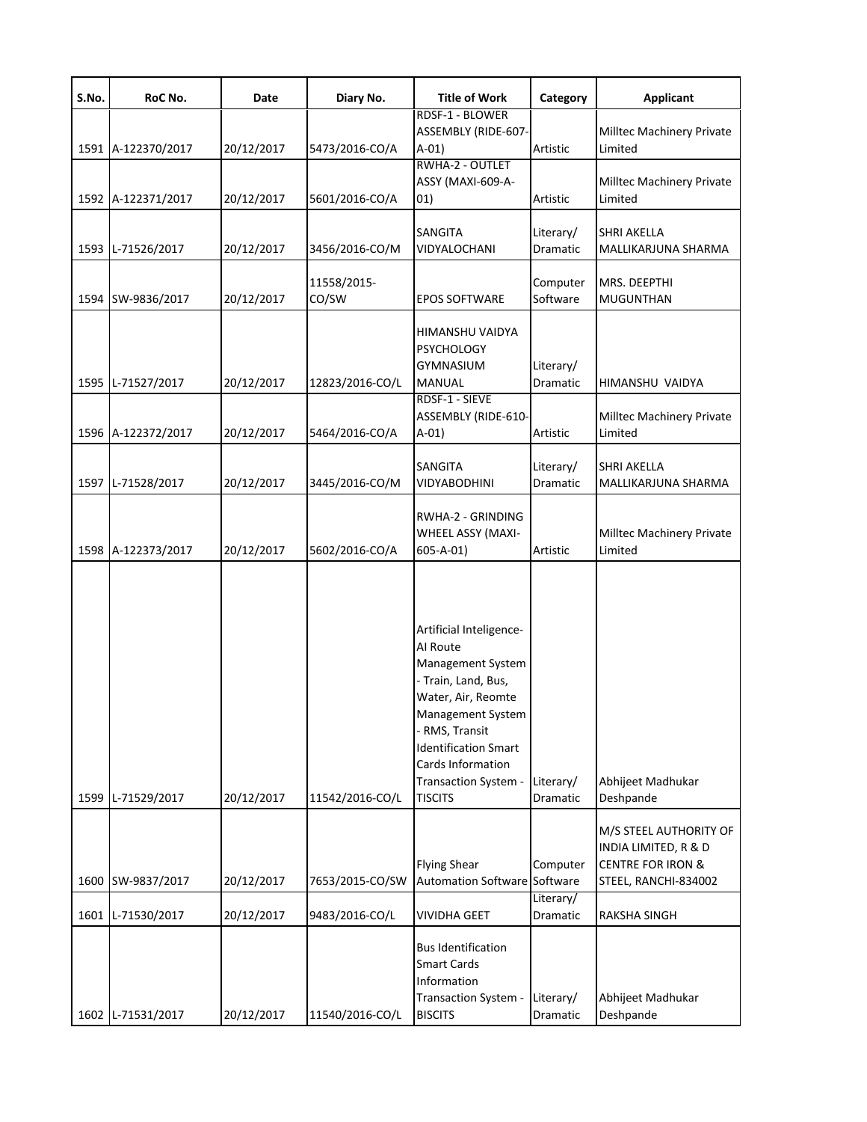| S.No. | RoC No.            | Date       | Diary No.            | <b>Title of Work</b>                                                                                                                                                                                                                       | Category              | <b>Applicant</b>                                                                                       |
|-------|--------------------|------------|----------------------|--------------------------------------------------------------------------------------------------------------------------------------------------------------------------------------------------------------------------------------------|-----------------------|--------------------------------------------------------------------------------------------------------|
|       | 1591 A-122370/2017 | 20/12/2017 | 5473/2016-CO/A       | RDSF-1 - BLOWER<br>ASSEMBLY (RIDE-607-<br>$A-01)$                                                                                                                                                                                          | Artistic              | Milltec Machinery Private<br>Limited                                                                   |
|       | 1592 A-122371/2017 | 20/12/2017 | 5601/2016-CO/A       | RWHA-2 - OUTLET<br>ASSY (MAXI-609-A-<br>01)                                                                                                                                                                                                | Artistic              | Milltec Machinery Private<br>Limited                                                                   |
|       | 1593 L-71526/2017  | 20/12/2017 | 3456/2016-CO/M       | SANGITA<br>VIDYALOCHANI                                                                                                                                                                                                                    | Literary/<br>Dramatic | <b>SHRI AKELLA</b><br>MALLIKARJUNA SHARMA                                                              |
|       | 1594 SW-9836/2017  | 20/12/2017 | 11558/2015-<br>CO/SW | <b>EPOS SOFTWARE</b>                                                                                                                                                                                                                       | Computer<br>Software  | MRS. DEEPTHI<br>MUGUNTHAN                                                                              |
|       | 1595 L-71527/2017  | 20/12/2017 | 12823/2016-CO/L      | HIMANSHU VAIDYA<br><b>PSYCHOLOGY</b><br><b>GYMNASIUM</b><br>MANUAL                                                                                                                                                                         | Literary/<br>Dramatic | HIMANSHU VAIDYA                                                                                        |
|       | 1596 A-122372/2017 | 20/12/2017 | 5464/2016-CO/A       | RDSF-1 - SIEVE<br>ASSEMBLY (RIDE-610-<br>$A-01)$                                                                                                                                                                                           | Artistic              | Milltec Machinery Private<br>Limited                                                                   |
|       | 1597 L-71528/2017  | 20/12/2017 | 3445/2016-CO/M       | SANGITA<br>VIDYABODHINI                                                                                                                                                                                                                    | Literary/<br>Dramatic | <b>SHRI AKELLA</b><br>MALLIKARJUNA SHARMA                                                              |
|       | 1598 A-122373/2017 | 20/12/2017 | 5602/2016-CO/A       | RWHA-2 - GRINDING<br>WHEEL ASSY (MAXI-<br>$605 - A - 01$                                                                                                                                                                                   | Artistic              | Milltec Machinery Private<br>Limited                                                                   |
|       | 1599 L-71529/2017  | 20/12/2017 | 11542/2016-CO/L      | Artificial Inteligence-<br>Al Route<br>Management System<br>- Train, Land, Bus,<br>Water, Air, Reomte<br>Management System<br>- RMS, Transit<br><b>Identification Smart</b><br>Cards Information<br>Transaction System -<br><b>TISCITS</b> | Literary/<br>Dramatic | Abhijeet Madhukar<br>Deshpande                                                                         |
| 1600  | SW-9837/2017       | 20/12/2017 | 7653/2015-CO/SW      | <b>Flying Shear</b><br><b>Automation Software Software</b>                                                                                                                                                                                 | Computer              | M/S STEEL AUTHORITY OF<br>INDIA LIMITED, R & D<br><b>CENTRE FOR IRON &amp;</b><br>STEEL, RANCHI-834002 |
| 1601  | L-71530/2017       | 20/12/2017 | 9483/2016-CO/L       | <b>VIVIDHA GEET</b>                                                                                                                                                                                                                        | Literary/<br>Dramatic | <b>RAKSHA SINGH</b>                                                                                    |
|       | 1602 L-71531/2017  | 20/12/2017 | 11540/2016-CO/L      | <b>Bus Identification</b><br><b>Smart Cards</b><br>Information<br>Transaction System -<br><b>BISCITS</b>                                                                                                                                   | Literary/<br>Dramatic | Abhijeet Madhukar<br>Deshpande                                                                         |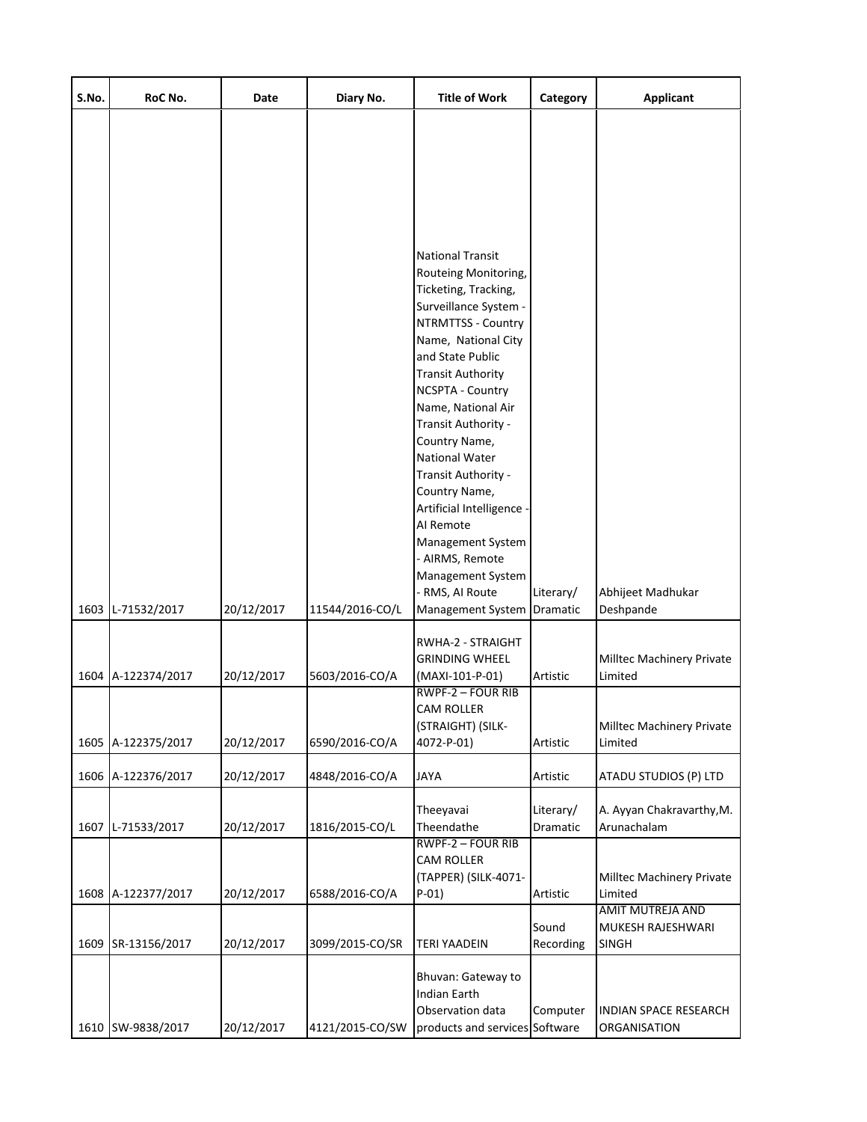| S.No. | RoC No.            | Date       | Diary No.       | <b>Title of Work</b>                                                                                                                                                                                                                                                                                                                                                                | Category              | <b>Applicant</b>                               |
|-------|--------------------|------------|-----------------|-------------------------------------------------------------------------------------------------------------------------------------------------------------------------------------------------------------------------------------------------------------------------------------------------------------------------------------------------------------------------------------|-----------------------|------------------------------------------------|
|       |                    |            |                 | <b>National Transit</b><br>Routeing Monitoring,<br>Ticketing, Tracking,<br>Surveillance System -<br>NTRMTTSS - Country<br>Name, National City<br>and State Public<br><b>Transit Authority</b><br>NCSPTA - Country<br>Name, National Air<br>Transit Authority -<br>Country Name,<br>National Water<br>Transit Authority -<br>Country Name,<br>Artificial Intelligence -<br>Al Remote |                       |                                                |
|       |                    |            |                 | Management System<br>- AIRMS, Remote<br>Management System                                                                                                                                                                                                                                                                                                                           |                       |                                                |
|       | 1603 L-71532/2017  | 20/12/2017 | 11544/2016-CO/L | - RMS, AI Route<br>Management System Dramatic                                                                                                                                                                                                                                                                                                                                       | Literary/             | Abhijeet Madhukar<br>Deshpande                 |
|       | 1604 A-122374/2017 | 20/12/2017 | 5603/2016-CO/A  | RWHA-2 - STRAIGHT<br><b>GRINDING WHEEL</b><br>(MAXI-101-P-01)<br><b>RWPF-2 - FOUR RIB</b>                                                                                                                                                                                                                                                                                           | Artistic              | Milltec Machinery Private<br>Limited           |
|       | 1605 A-122375/2017 | 20/12/2017 | 6590/2016-CO/A  | CAM ROLLER<br>(STRAIGHT) (SILK-<br>4072-P-01)                                                                                                                                                                                                                                                                                                                                       | Artistic              | Milltec Machinery Private<br>Limited           |
|       | 1606 A-122376/2017 | 20/12/2017 | 4848/2016-CO/A  | JAYA                                                                                                                                                                                                                                                                                                                                                                                | Artistic              | ATADU STUDIOS (P) LTD                          |
|       | 1607 L-71533/2017  | 20/12/2017 | 1816/2015-CO/L  | Theeyavai<br>Theendathe                                                                                                                                                                                                                                                                                                                                                             | Literary/<br>Dramatic | A. Ayyan Chakravarthy, M.<br>Arunachalam       |
|       | 1608 A-122377/2017 | 20/12/2017 | 6588/2016-CO/A  | RWPF-2 - FOUR RIB<br><b>CAM ROLLER</b><br>(TAPPER) (SILK-4071-<br>$P-01)$                                                                                                                                                                                                                                                                                                           | Artistic              | Milltec Machinery Private<br>Limited           |
|       | 1609 SR-13156/2017 | 20/12/2017 | 3099/2015-CO/SR | <b>TERI YAADEIN</b>                                                                                                                                                                                                                                                                                                                                                                 | Sound<br>Recording    | AMIT MUTREJA AND<br>MUKESH RAJESHWARI<br>SINGH |
|       | 1610 SW-9838/2017  | 20/12/2017 | 4121/2015-CO/SW | Bhuvan: Gateway to<br><b>Indian Earth</b><br>Observation data<br>products and services Software                                                                                                                                                                                                                                                                                     | Computer              | <b>INDIAN SPACE RESEARCH</b><br>ORGANISATION   |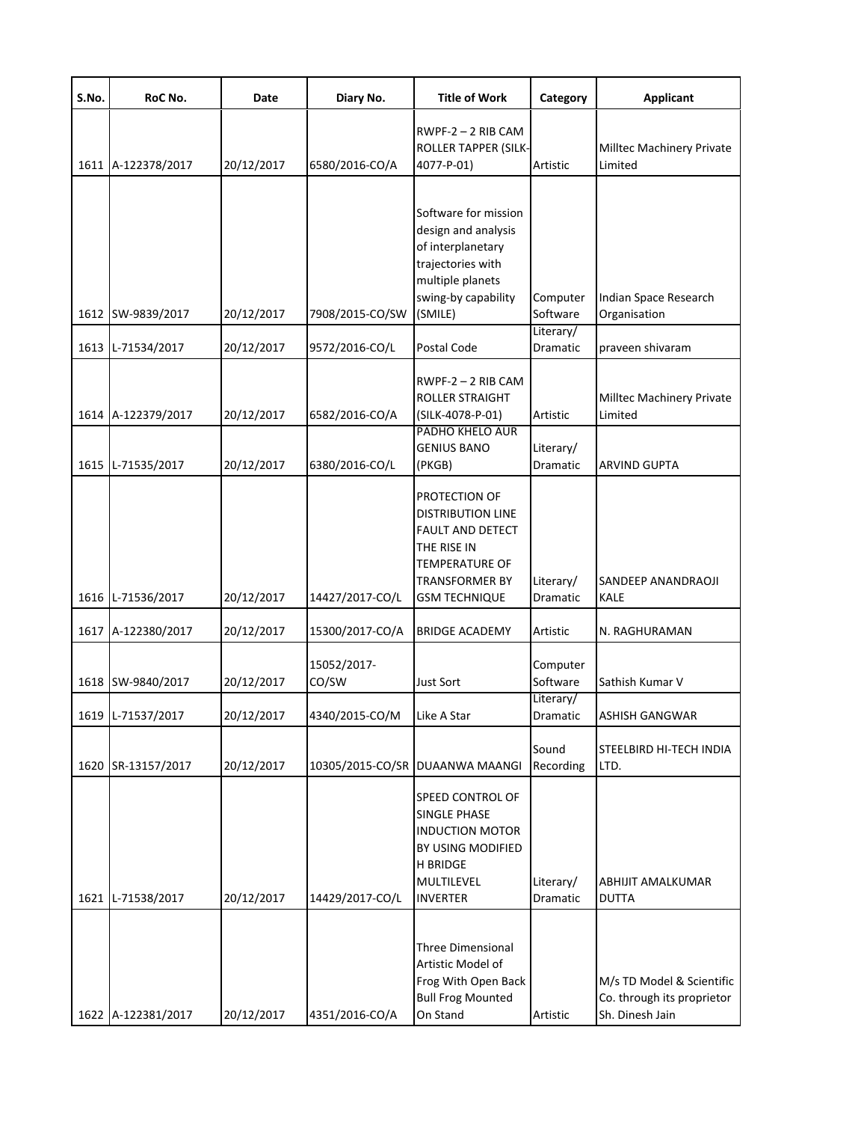| S.No. | RoC No.            | Date       | Diary No.            | <b>Title of Work</b>                                                                                                                                          | Category              | <b>Applicant</b>                                                           |
|-------|--------------------|------------|----------------------|---------------------------------------------------------------------------------------------------------------------------------------------------------------|-----------------------|----------------------------------------------------------------------------|
|       | 1611 A-122378/2017 | 20/12/2017 | 6580/2016-CO/A       | $RWPF-2 - 2 RIB CAM$<br><b>ROLLER TAPPER (SILK-</b><br>4077-P-01)                                                                                             | Artistic              | Milltec Machinery Private<br>Limited                                       |
|       | 1612 SW-9839/2017  | 20/12/2017 | 7908/2015-CO/SW      | Software for mission<br>design and analysis<br>of interplanetary<br>trajectories with<br>multiple planets<br>swing-by capability<br>(SMILE)                   | Computer<br>Software  | Indian Space Research<br>Organisation                                      |
|       | 1613 L-71534/2017  | 20/12/2017 | 9572/2016-CO/L       | Postal Code                                                                                                                                                   | Literary/<br>Dramatic | praveen shivaram                                                           |
|       | 1614 A-122379/2017 | 20/12/2017 | 6582/2016-CO/A       | $RWPF-2 - 2 RIB CAM$<br><b>ROLLER STRAIGHT</b><br>(SILK-4078-P-01)<br><b>PADHO KHELO AUR</b>                                                                  | Artistic              | Milltec Machinery Private<br>Limited                                       |
|       | 1615 L-71535/2017  | 20/12/2017 | 6380/2016-CO/L       | <b>GENIUS BANO</b><br>(PKGB)                                                                                                                                  | Literary/<br>Dramatic | <b>ARVIND GUPTA</b>                                                        |
|       | 1616 L-71536/2017  | 20/12/2017 | 14427/2017-CO/L      | PROTECTION OF<br><b>DISTRIBUTION LINE</b><br><b>FAULT AND DETECT</b><br>THE RISE IN<br><b>TEMPERATURE OF</b><br><b>TRANSFORMER BY</b><br><b>GSM TECHNIQUE</b> | Literary/<br>Dramatic | SANDEEP ANANDRAOJI<br>KALE                                                 |
|       | 1617 A-122380/2017 | 20/12/2017 | 15300/2017-CO/A      | <b>BRIDGE ACADEMY</b>                                                                                                                                         | Artistic              | N. RAGHURAMAN                                                              |
|       | 1618 SW-9840/2017  | 20/12/2017 | 15052/2017-<br>CO/SW | <b>Just Sort</b>                                                                                                                                              | Computer<br>Software  | Sathish Kumar V                                                            |
|       | 1619 L-71537/2017  | 20/12/2017 | 4340/2015-CO/M       | Like A Star                                                                                                                                                   | Literary/<br>Dramatic | ASHISH GANGWAR                                                             |
|       | 1620 SR-13157/2017 | 20/12/2017 |                      | 10305/2015-CO/SR DUAANWA MAANGI                                                                                                                               | Sound<br>Recording    | STEELBIRD HI-TECH INDIA<br>LTD.                                            |
|       | 1621 L-71538/2017  | 20/12/2017 | 14429/2017-CO/L      | <b>SPEED CONTROL OF</b><br><b>SINGLE PHASE</b><br><b>INDUCTION MOTOR</b><br>BY USING MODIFIED<br><b>H BRIDGE</b><br>MULTILEVEL<br><b>INVERTER</b>             | Literary/<br>Dramatic | ABHIJIT AMALKUMAR<br><b>DUTTA</b>                                          |
|       | 1622 A-122381/2017 | 20/12/2017 | 4351/2016-CO/A       | <b>Three Dimensional</b><br>Artistic Model of<br>Frog With Open Back<br><b>Bull Frog Mounted</b><br>On Stand                                                  | Artistic              | M/s TD Model & Scientific<br>Co. through its proprietor<br>Sh. Dinesh Jain |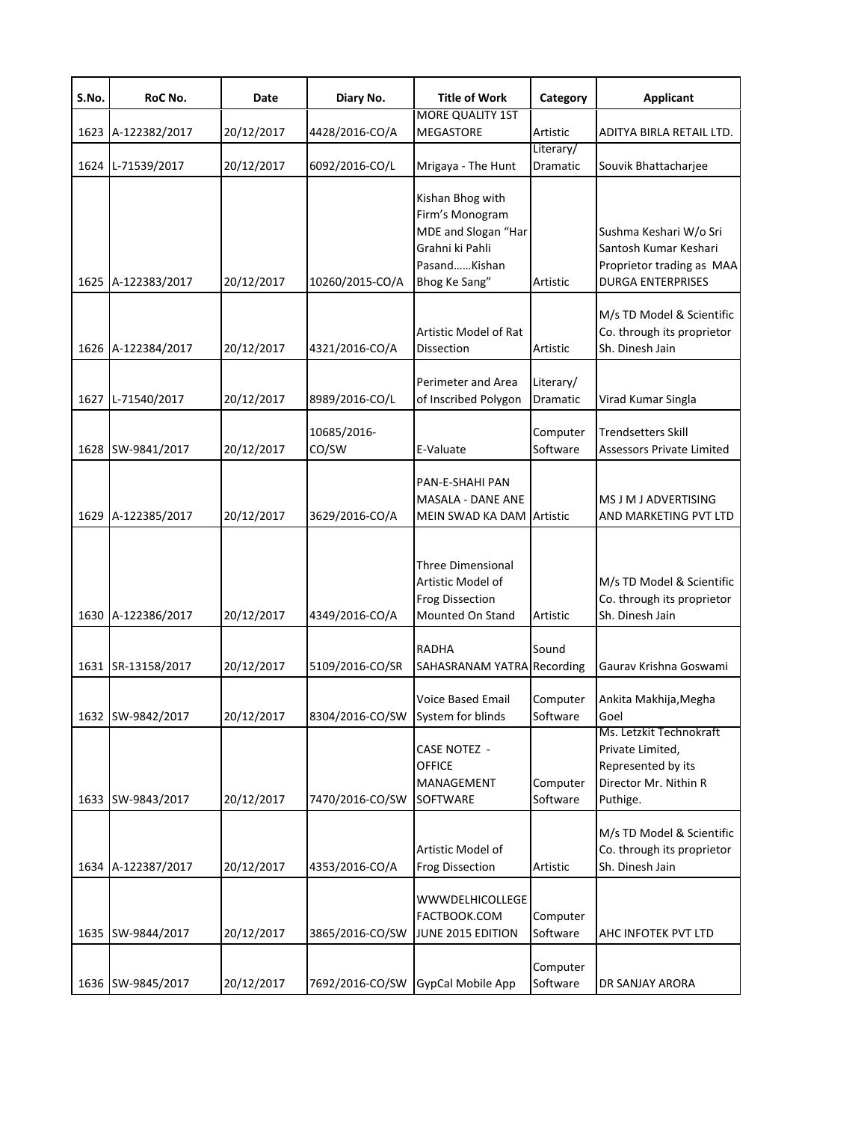| S.No. | RoC No.            | Date       | Diary No.                         | <b>Title of Work</b>                                                                                           | Category              | <b>Applicant</b>                                                                                         |
|-------|--------------------|------------|-----------------------------------|----------------------------------------------------------------------------------------------------------------|-----------------------|----------------------------------------------------------------------------------------------------------|
|       | 1623 A-122382/2017 | 20/12/2017 | 4428/2016-CO/A                    | <b>MORE QUALITY 1ST</b><br>MEGASTORE                                                                           | Artistic              | ADITYA BIRLA RETAIL LTD.                                                                                 |
|       | 1624 L-71539/2017  | 20/12/2017 | 6092/2016-CO/L                    | Mrigaya - The Hunt                                                                                             | Literary/<br>Dramatic | Souvik Bhattacharjee                                                                                     |
|       | 1625 A-122383/2017 | 20/12/2017 | 10260/2015-CO/A                   | Kishan Bhog with<br>Firm's Monogram<br>MDE and Slogan "Har<br>Grahni ki Pahli<br>PasandKishan<br>Bhog Ke Sang" | Artistic              | Sushma Keshari W/o Sri<br>Santosh Kumar Keshari<br>Proprietor trading as MAA<br><b>DURGA ENTERPRISES</b> |
|       | 1626 A-122384/2017 | 20/12/2017 | 4321/2016-CO/A                    | Artistic Model of Rat<br>Dissection                                                                            | Artistic              | M/s TD Model & Scientific<br>Co. through its proprietor<br>Sh. Dinesh Jain                               |
| 1627  | L-71540/2017       | 20/12/2017 | 8989/2016-CO/L                    | Perimeter and Area<br>of Inscribed Polygon                                                                     | Literary/<br>Dramatic | Virad Kumar Singla                                                                                       |
|       | 1628 SW-9841/2017  | 20/12/2017 | 10685/2016-<br>CO/SW              | E-Valuate                                                                                                      | Computer<br>Software  | <b>Trendsetters Skill</b><br><b>Assessors Private Limited</b>                                            |
|       | 1629 A-122385/2017 | 20/12/2017 | 3629/2016-CO/A                    | PAN-E-SHAHI PAN<br><b>MASALA - DANE ANE</b><br>MEIN SWAD KA DAM                                                | Artistic              | MS J M J ADVERTISING<br>AND MARKETING PVT LTD                                                            |
|       | 1630 A-122386/2017 | 20/12/2017 | 4349/2016-CO/A                    | <b>Three Dimensional</b><br>Artistic Model of<br><b>Frog Dissection</b><br>Mounted On Stand                    | Artistic              | M/s TD Model & Scientific<br>Co. through its proprietor<br>Sh. Dinesh Jain                               |
|       | 1631 SR-13158/2017 | 20/12/2017 | 5109/2016-CO/SR                   | RADHA<br>SAHASRANAM YATRA Recording                                                                            | Sound                 | Gaurav Krishna Goswami                                                                                   |
|       | 1632 SW-9842/2017  | 20/12/2017 | 8304/2016-CO/SW System for blinds | <b>Voice Based Email</b>                                                                                       | Computer<br>Software  | Ankita Makhija, Megha<br>Goel                                                                            |
|       | 1633 SW-9843/2017  | 20/12/2017 | 7470/2016-CO/SW                   | <b>CASE NOTEZ -</b><br><b>OFFICE</b><br>MANAGEMENT<br>SOFTWARE                                                 | Computer<br>Software  | Ms. Letzkit Technokraft<br>Private Limited,<br>Represented by its<br>Director Mr. Nithin R<br>Puthige.   |
|       | 1634 A-122387/2017 | 20/12/2017 | 4353/2016-CO/A                    | Artistic Model of<br><b>Frog Dissection</b>                                                                    | Artistic              | M/s TD Model & Scientific<br>Co. through its proprietor<br>Sh. Dinesh Jain                               |
|       | 1635 SW-9844/2017  | 20/12/2017 | 3865/2016-CO/SW                   | <b>WWWDELHICOLLEGE</b><br>FACTBOOK.COM<br>JUNE 2015 EDITION                                                    | Computer<br>Software  | AHC INFOTEK PVT LTD                                                                                      |
|       | 1636 SW-9845/2017  | 20/12/2017 | 7692/2016-CO/SW                   | GypCal Mobile App                                                                                              | Computer<br>Software  | DR SANJAY ARORA                                                                                          |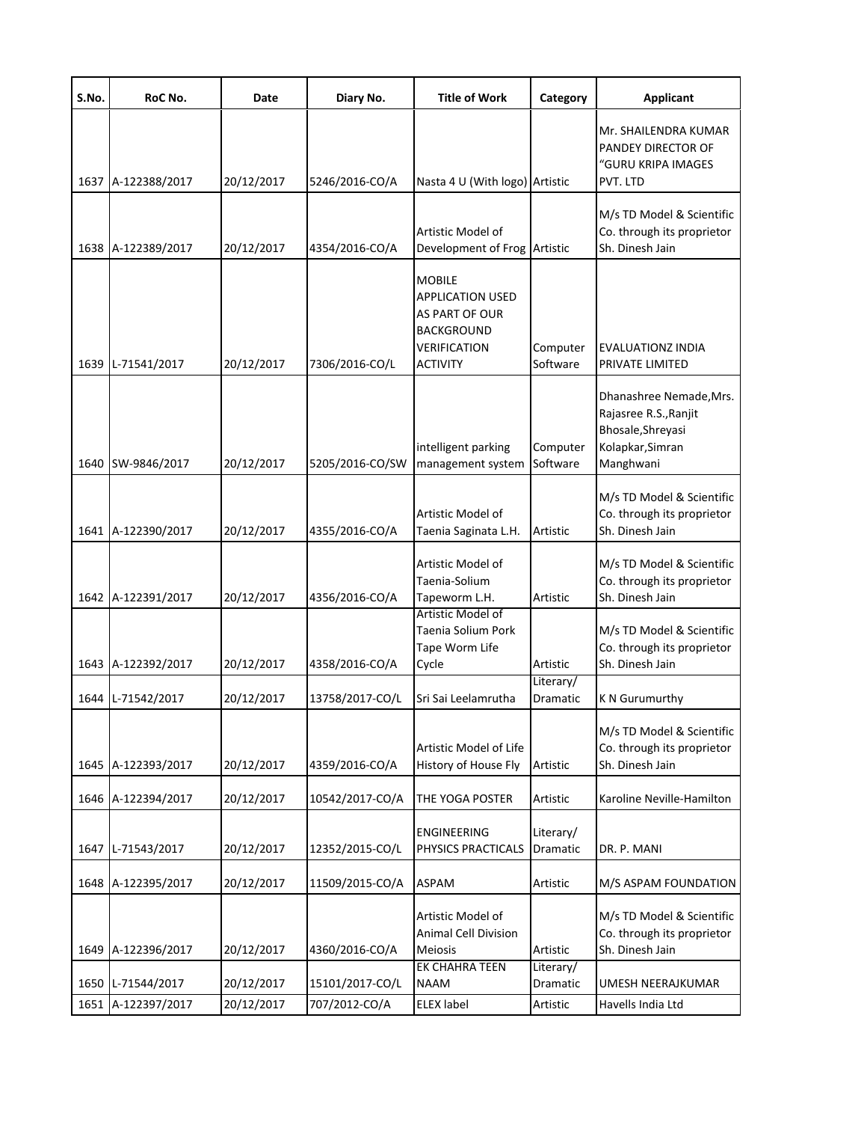| S.No. | RoC No.            | Date       | Diary No.       | <b>Title of Work</b>                                                                                                             | Category                     | <b>Applicant</b>                                                                                       |
|-------|--------------------|------------|-----------------|----------------------------------------------------------------------------------------------------------------------------------|------------------------------|--------------------------------------------------------------------------------------------------------|
|       | 1637 A-122388/2017 | 20/12/2017 | 5246/2016-CO/A  | Nasta 4 U (With logo) Artistic                                                                                                   |                              | Mr. SHAILENDRA KUMAR<br>PANDEY DIRECTOR OF<br>"GURU KRIPA IMAGES<br>PVT. LTD                           |
|       | 1638 A-122389/2017 | 20/12/2017 | 4354/2016-CO/A  | Artistic Model of<br>Development of Frog Artistic                                                                                |                              | M/s TD Model & Scientific<br>Co. through its proprietor<br>Sh. Dinesh Jain                             |
|       | 1639 L-71541/2017  | 20/12/2017 | 7306/2016-CO/L  | <b>MOBILE</b><br><b>APPLICATION USED</b><br><b>AS PART OF OUR</b><br><b>BACKGROUND</b><br><b>VERIFICATION</b><br><b>ACTIVITY</b> | Computer<br>Software         | EVALUATIONZ INDIA<br>PRIVATE LIMITED                                                                   |
|       | 1640 SW-9846/2017  | 20/12/2017 | 5205/2016-CO/SW | intelligent parking<br>management system                                                                                         | Computer<br>Software         | Dhanashree Nemade, Mrs.<br>Rajasree R.S., Ranjit<br>Bhosale, Shreyasi<br>Kolapkar, Simran<br>Manghwani |
|       | 1641 A-122390/2017 | 20/12/2017 | 4355/2016-CO/A  | Artistic Model of<br>Taenia Saginata L.H.                                                                                        | Artistic                     | M/s TD Model & Scientific<br>Co. through its proprietor<br>Sh. Dinesh Jain                             |
|       | 1642 A-122391/2017 | 20/12/2017 | 4356/2016-CO/A  | Artistic Model of<br>Taenia-Solium<br>Tapeworm L.H.                                                                              | Artistic                     | M/s TD Model & Scientific<br>Co. through its proprietor<br>Sh. Dinesh Jain                             |
|       | 1643 A-122392/2017 | 20/12/2017 | 4358/2016-CO/A  | Artistic Model of<br><b>Taenia Solium Pork</b><br>Tape Worm Life<br>Cycle                                                        | Artistic                     | M/s TD Model & Scientific<br>Co. through its proprietor<br>Sh. Dinesh Jain                             |
|       | 1644 L-71542/2017  | 20/12/2017 | 13758/2017-CO/L | Sri Sai Leelamrutha                                                                                                              | Literary/<br><b>Dramatic</b> | K N Gurumurthy                                                                                         |
|       | 1645 A-122393/2017 | 20/12/2017 | 4359/2016-CO/A  | Artistic Model of Life<br>History of House Fly                                                                                   | Artistic                     | M/s TD Model & Scientific<br>Co. through its proprietor<br>Sh. Dinesh Jain                             |
|       | 1646 A-122394/2017 | 20/12/2017 | 10542/2017-CO/A | THE YOGA POSTER                                                                                                                  | Artistic                     | Karoline Neville-Hamilton                                                                              |
|       | 1647 L-71543/2017  | 20/12/2017 | 12352/2015-CO/L | <b>ENGINEERING</b><br>PHYSICS PRACTICALS                                                                                         | Literary/<br>Dramatic        | DR. P. MANI                                                                                            |
|       | 1648 A-122395/2017 | 20/12/2017 | 11509/2015-CO/A | <b>ASPAM</b>                                                                                                                     | Artistic                     | M/S ASPAM FOUNDATION                                                                                   |
|       | 1649 A-122396/2017 | 20/12/2017 | 4360/2016-CO/A  | Artistic Model of<br><b>Animal Cell Division</b><br><b>Meiosis</b>                                                               | Artistic                     | M/s TD Model & Scientific<br>Co. through its proprietor<br>Sh. Dinesh Jain                             |
| 1650  | L-71544/2017       | 20/12/2017 | 15101/2017-CO/L | <b>EK CHAHRA TEEN</b><br><b>NAAM</b>                                                                                             | Literary/<br>Dramatic        | UMESH NEERAJKUMAR                                                                                      |
|       | 1651 A-122397/2017 | 20/12/2017 | 707/2012-CO/A   | <b>ELEX label</b>                                                                                                                | Artistic                     | Havells India Ltd                                                                                      |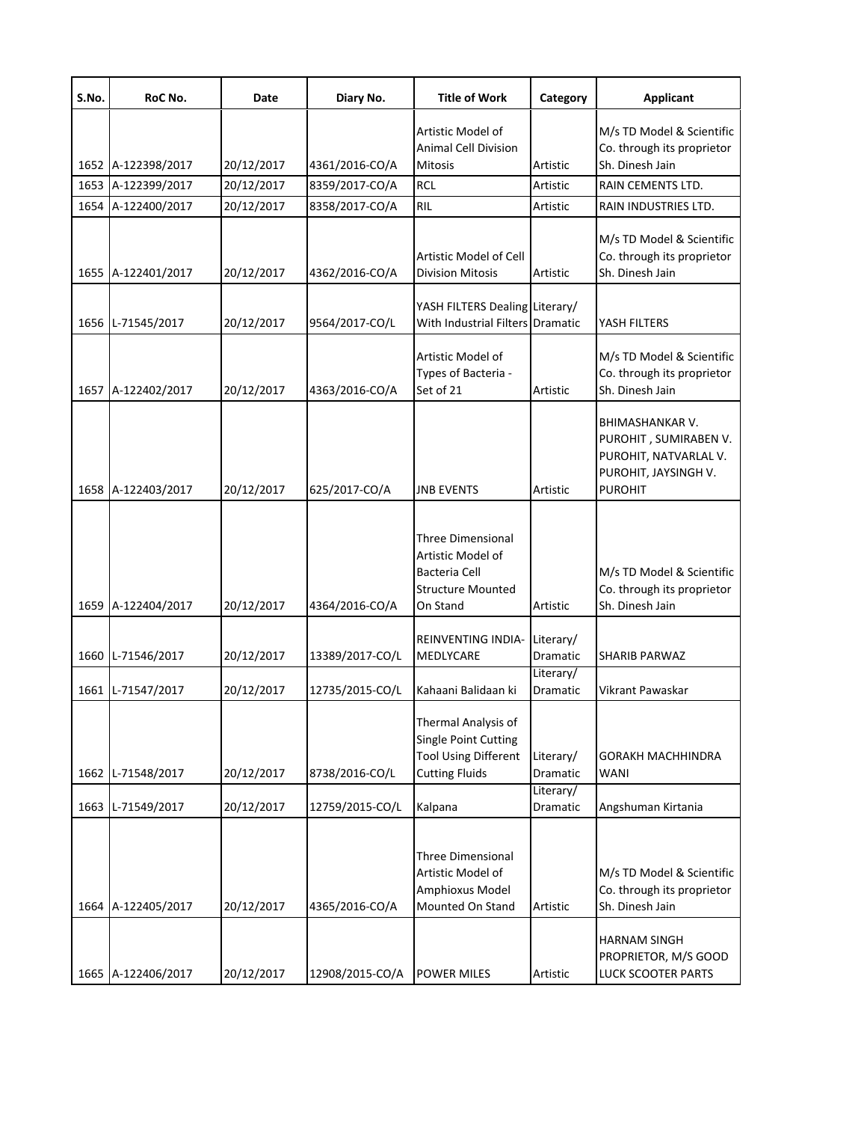| S.No. | RoC No.            | Date       | Diary No.       | <b>Title of Work</b>                                                                                       | Category              | <b>Applicant</b>                                                                                            |
|-------|--------------------|------------|-----------------|------------------------------------------------------------------------------------------------------------|-----------------------|-------------------------------------------------------------------------------------------------------------|
|       | 1652 A-122398/2017 | 20/12/2017 | 4361/2016-CO/A  | Artistic Model of<br><b>Animal Cell Division</b><br><b>Mitosis</b>                                         | Artistic              | M/s TD Model & Scientific<br>Co. through its proprietor<br>Sh. Dinesh Jain                                  |
|       | 1653 A-122399/2017 | 20/12/2017 | 8359/2017-CO/A  | <b>RCL</b>                                                                                                 | Artistic              | RAIN CEMENTS LTD.                                                                                           |
|       | 1654 A-122400/2017 | 20/12/2017 | 8358/2017-CO/A  | <b>RIL</b>                                                                                                 | Artistic              | RAIN INDUSTRIES LTD.                                                                                        |
|       | 1655 A-122401/2017 | 20/12/2017 | 4362/2016-CO/A  | Artistic Model of Cell<br><b>Division Mitosis</b>                                                          | Artistic              | M/s TD Model & Scientific<br>Co. through its proprietor<br>Sh. Dinesh Jain                                  |
|       | 1656 L-71545/2017  | 20/12/2017 | 9564/2017-CO/L  | YASH FILTERS Dealing Literary/<br>With Industrial Filters Dramatic                                         |                       | YASH FILTERS                                                                                                |
|       | 1657 A-122402/2017 | 20/12/2017 | 4363/2016-CO/A  | Artistic Model of<br>Types of Bacteria -<br>Set of 21                                                      | Artistic              | M/s TD Model & Scientific<br>Co. through its proprietor<br>Sh. Dinesh Jain                                  |
|       | 1658 A-122403/2017 | 20/12/2017 | 625/2017-CO/A   | <b>JNB EVENTS</b>                                                                                          | Artistic              | BHIMASHANKAR V.<br>PUROHIT, SUMIRABEN V.<br>PUROHIT, NATVARLAL V.<br>PUROHIT, JAYSINGH V.<br><b>PUROHIT</b> |
|       | 1659 A-122404/2017 | 20/12/2017 | 4364/2016-CO/A  | <b>Three Dimensional</b><br>Artistic Model of<br>Bacteria Cell<br><b>Structure Mounted</b><br>On Stand     | Artistic              | M/s TD Model & Scientific<br>Co. through its proprietor<br>Sh. Dinesh Jain                                  |
|       | 1660 L-71546/2017  | 20/12/2017 | 13389/2017-CO/L | <b>REINVENTING INDIA-</b><br>MEDLYCARE                                                                     | Literary/<br>Dramatic | <b>SHARIB PARWAZ</b>                                                                                        |
|       | 1661 L-71547/2017  | 20/12/2017 | 12735/2015-CO/L | Kahaani Balidaan ki                                                                                        | Literary/<br>Dramatic | Vikrant Pawaskar                                                                                            |
|       | 1662 L-71548/2017  | 20/12/2017 | 8738/2016-CO/L  | Thermal Analysis of<br><b>Single Point Cutting</b><br><b>Tool Using Different</b><br><b>Cutting Fluids</b> | Literary/<br>Dramatic | <b>GORAKH MACHHINDRA</b><br>WANI                                                                            |
|       | 1663 L-71549/2017  | 20/12/2017 | 12759/2015-CO/L | Kalpana                                                                                                    | Literary/<br>Dramatic | Angshuman Kirtania                                                                                          |
|       | 1664 A-122405/2017 | 20/12/2017 | 4365/2016-CO/A  | <b>Three Dimensional</b><br>Artistic Model of<br>Amphioxus Model<br>Mounted On Stand                       | Artistic              | M/s TD Model & Scientific<br>Co. through its proprietor<br>Sh. Dinesh Jain                                  |
|       | 1665 A-122406/2017 | 20/12/2017 | 12908/2015-CO/A | <b>POWER MILES</b>                                                                                         | Artistic              | <b>HARNAM SINGH</b><br>PROPRIETOR, M/S GOOD<br>LUCK SCOOTER PARTS                                           |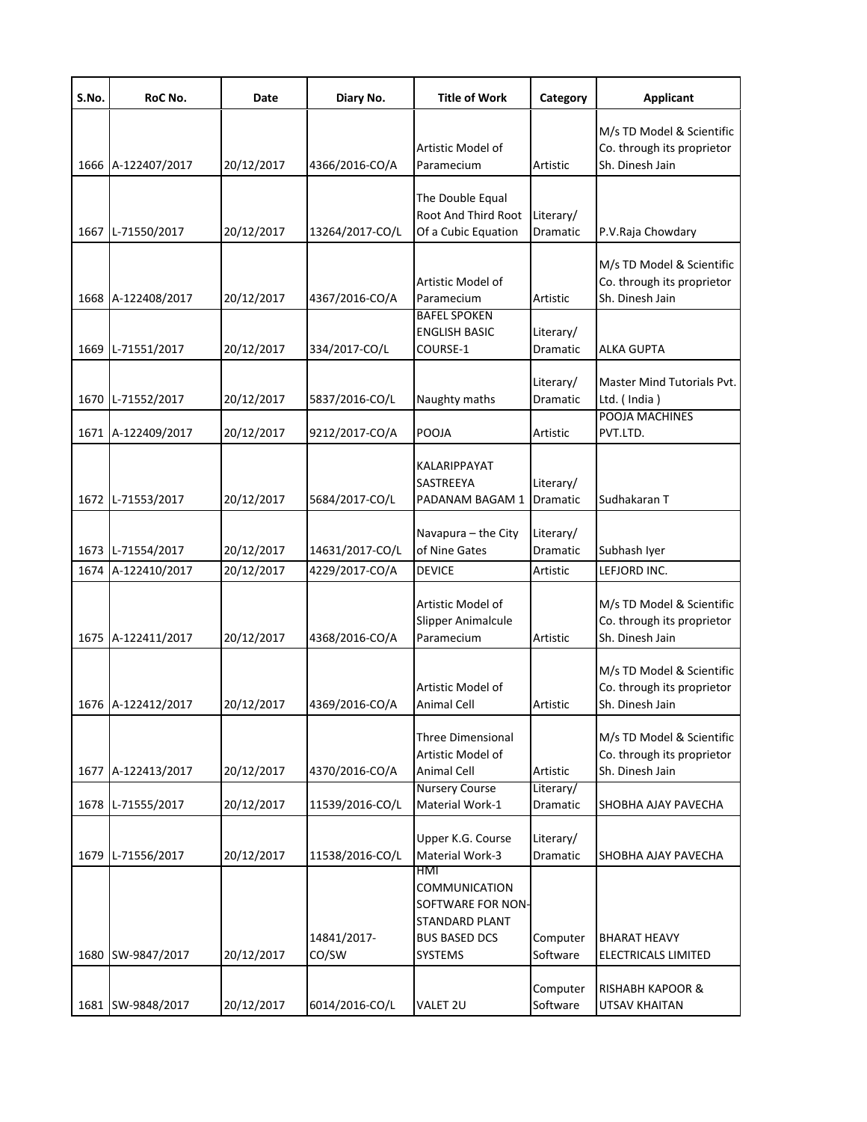| S.No. | RoC No.            | Date       | Diary No.            | <b>Title of Work</b>                                                                                                | Category                         | <b>Applicant</b>                                                           |
|-------|--------------------|------------|----------------------|---------------------------------------------------------------------------------------------------------------------|----------------------------------|----------------------------------------------------------------------------|
| 1666  | A-122407/2017      | 20/12/2017 | 4366/2016-CO/A       | Artistic Model of<br>Paramecium                                                                                     | Artistic                         | M/s TD Model & Scientific<br>Co. through its proprietor<br>Sh. Dinesh Jain |
| 1667  | L-71550/2017       | 20/12/2017 | 13264/2017-CO/L      | The Double Equal<br>Root And Third Root<br>Of a Cubic Equation                                                      | Literary/<br>Dramatic            | P.V.Raja Chowdary                                                          |
| 1668  | A-122408/2017      | 20/12/2017 | 4367/2016-CO/A       | Artistic Model of<br>Paramecium                                                                                     | Artistic                         | M/s TD Model & Scientific<br>Co. through its proprietor<br>Sh. Dinesh Jain |
| 1669  | L-71551/2017       | 20/12/2017 | 334/2017-CO/L        | <b>BAFEL SPOKEN</b><br><b>ENGLISH BASIC</b><br>COURSE-1                                                             | Literary/<br>Dramatic            | <b>ALKA GUPTA</b>                                                          |
| 1670  | L-71552/2017       | 20/12/2017 | 5837/2016-CO/L       | Naughty maths                                                                                                       | Literary/<br>Dramatic            | Master Mind Tutorials Pvt.<br>Ltd. (India)<br>POOJA MACHINES               |
| 1671  | A-122409/2017      | 20/12/2017 | 9212/2017-CO/A       | POOJA                                                                                                               | Artistic                         | PVT.LTD.                                                                   |
| 1672  | L-71553/2017       | 20/12/2017 | 5684/2017-CO/L       | KALARIPPAYAT<br>SASTREEYA<br>PADANAM BAGAM 1                                                                        | Literary/<br>Dramatic            | Sudhakaran T                                                               |
| 1673  | L-71554/2017       | 20/12/2017 | 14631/2017-CO/L      | Navapura - the City<br>of Nine Gates                                                                                | Literary/<br>Dramatic            | Subhash Iyer                                                               |
| 1674  | A-122410/2017      | 20/12/2017 | 4229/2017-CO/A       | <b>DEVICE</b>                                                                                                       | Artistic                         | LEFJORD INC.                                                               |
| 1675  | A-122411/2017      | 20/12/2017 | 4368/2016-CO/A       | Artistic Model of<br>Slipper Animalcule<br>Paramecium                                                               | Artistic                         | M/s TD Model & Scientific<br>Co. through its proprietor<br>Sh. Dinesh Jain |
|       | 1676 A-122412/2017 | 20/12/2017 | 4369/2016-CO/A       | Artistic Model of<br><b>Animal Cell</b>                                                                             | Artistic                         | M/s TD Model & Scientific<br>Co. through its proprietor<br>Sh. Dinesh Jain |
| 1677  | A-122413/2017      | 20/12/2017 | 4370/2016-CO/A       | Three Dimensional<br>Artistic Model of<br><b>Animal Cell</b>                                                        | Artistic                         | M/s TD Model & Scientific<br>Co. through its proprietor<br>Sh. Dinesh Jain |
| 1678  | L-71555/2017       | 20/12/2017 | 11539/2016-CO/L      | <b>Nursery Course</b><br>Material Work-1                                                                            | Literary/<br>Dramatic            | SHOBHA AJAY PAVECHA                                                        |
| 1679  | L-71556/2017       | 20/12/2017 | 11538/2016-CO/L      | Upper K.G. Course<br>Material Work-3                                                                                | Literary/<br>Dramatic            | SHOBHA AJAY PAVECHA                                                        |
| 1680  | SW-9847/2017       | 20/12/2017 | 14841/2017-<br>CO/SW | HMI<br><b>COMMUNICATION</b><br>SOFTWARE FOR NON-<br><b>STANDARD PLANT</b><br><b>BUS BASED DCS</b><br><b>SYSTEMS</b> | Computer<br>Software<br>Computer | <b>BHARAT HEAVY</b><br>ELECTRICALS LIMITED<br><b>RISHABH KAPOOR &amp;</b>  |
| 1681  | SW-9848/2017       | 20/12/2017 | 6014/2016-CO/L       | VALET 2U                                                                                                            | Software                         | UTSAV KHAITAN                                                              |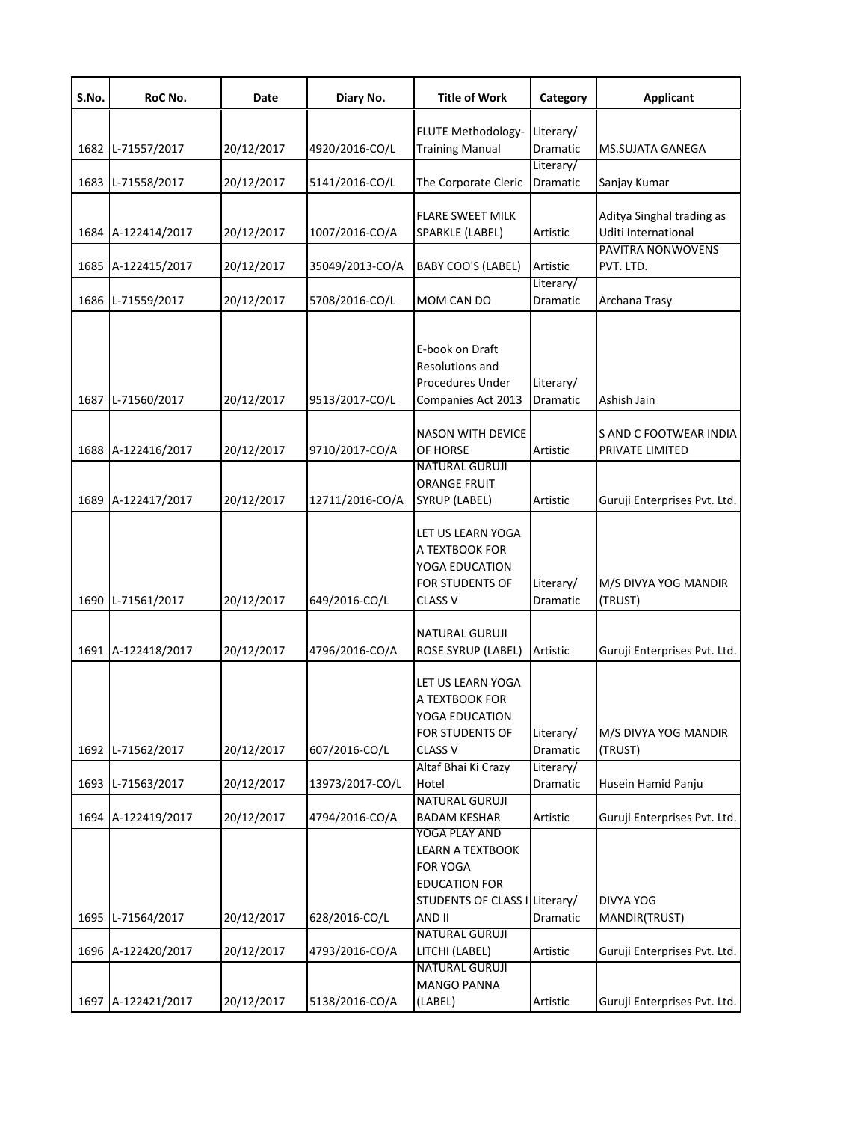| S.No. | RoC No.            | Date       | Diary No.       | <b>Title of Work</b>                                                                                                           | Category                     | <b>Applicant</b>                                 |
|-------|--------------------|------------|-----------------|--------------------------------------------------------------------------------------------------------------------------------|------------------------------|--------------------------------------------------|
|       | 1682 L-71557/2017  | 20/12/2017 | 4920/2016-CO/L  | FLUTE Methodology-<br><b>Training Manual</b>                                                                                   | Literary/<br>Dramatic        | <b>MS.SUJATA GANEGA</b>                          |
|       | 1683 L-71558/2017  | 20/12/2017 | 5141/2016-CO/L  | The Corporate Cleric                                                                                                           | Literary/<br>Dramatic        | Sanjay Kumar                                     |
|       | 1684 A-122414/2017 | 20/12/2017 | 1007/2016-CO/A  | <b>FLARE SWEET MILK</b><br>SPARKLE (LABEL)                                                                                     | Artistic                     | Aditya Singhal trading as<br>Uditi International |
|       | 1685 A-122415/2017 | 20/12/2017 | 35049/2013-CO/A | <b>BABY COO'S (LABEL)</b>                                                                                                      | Artistic                     | PAVITRA NONWOVENS<br>PVT. LTD.                   |
|       | 1686 L-71559/2017  | 20/12/2017 | 5708/2016-CO/L  | MOM CAN DO                                                                                                                     | Literary/<br>Dramatic        | Archana Trasy                                    |
|       | 1687 L-71560/2017  | 20/12/2017 | 9513/2017-CO/L  | E-book on Draft<br>Resolutions and<br><b>Procedures Under</b><br>Companies Act 2013                                            | Literary/<br><b>Dramatic</b> | Ashish Jain                                      |
|       | 1688 A-122416/2017 | 20/12/2017 | 9710/2017-CO/A  | <b>NASON WITH DEVICE</b><br>OF HORSE                                                                                           | Artistic                     | S AND C FOOTWEAR INDIA<br>PRIVATE LIMITED        |
|       | 1689 A-122417/2017 | 20/12/2017 | 12711/2016-CO/A | <b>NATURAL GURUJI</b><br><b>ORANGE FRUIT</b><br>SYRUP (LABEL)                                                                  | Artistic                     | Guruji Enterprises Pvt. Ltd.                     |
|       | 1690 L-71561/2017  | 20/12/2017 | 649/2016-CO/L   | LET US LEARN YOGA<br>A TEXTBOOK FOR<br>YOGA EDUCATION<br><b>FOR STUDENTS OF</b><br><b>CLASS V</b>                              | Literary/<br>Dramatic        | M/S DIVYA YOG MANDIR<br>(TRUST)                  |
|       | 1691 A-122418/2017 | 20/12/2017 | 4796/2016-CO/A  | <b>NATURAL GURUJI</b><br>ROSE SYRUP (LABEL)                                                                                    | Artistic                     | Guruji Enterprises Pvt. Ltd.                     |
|       | 1692 L-71562/2017  | 20/12/2017 | 607/2016-CO/L   | LET US LEARN YOGA<br>A TEXTBOOK FOR<br>YOGA EDUCATION<br>FOR STUDENTS OF<br><b>CLASS V</b>                                     | Literary/<br>Dramatic        | M/S DIVYA YOG MANDIR<br>(TRUST)                  |
|       | 1693 L-71563/2017  | 20/12/2017 | 13973/2017-CO/L | Altaf Bhai Ki Crazy<br>Hotel                                                                                                   | Literary/<br>Dramatic        | Husein Hamid Panju                               |
|       | 1694 A-122419/2017 | 20/12/2017 | 4794/2016-CO/A  | <b>NATURAL GURUJI</b><br><b>BADAM KESHAR</b>                                                                                   | Artistic                     | Guruji Enterprises Pvt. Ltd.                     |
|       | 1695 L-71564/2017  | 20/12/2017 | 628/2016-CO/L   | YOGA PLAY AND<br><b>LEARN A TEXTBOOK</b><br><b>FOR YOGA</b><br><b>EDUCATION FOR</b><br>STUDENTS OF CLASS I Literary/<br>AND II | Dramatic                     | <b>DIVYA YOG</b><br>MANDIR(TRUST)                |
|       | 1696 A-122420/2017 | 20/12/2017 | 4793/2016-CO/A  | <b>NATURAL GURUJI</b><br>LITCHI (LABEL)                                                                                        | Artistic                     | Guruji Enterprises Pvt. Ltd.                     |
|       | 1697 A-122421/2017 | 20/12/2017 | 5138/2016-CO/A  | <b>NATURAL GURUJI</b><br><b>MANGO PANNA</b><br>(LABEL)                                                                         | Artistic                     | Guruji Enterprises Pvt. Ltd.                     |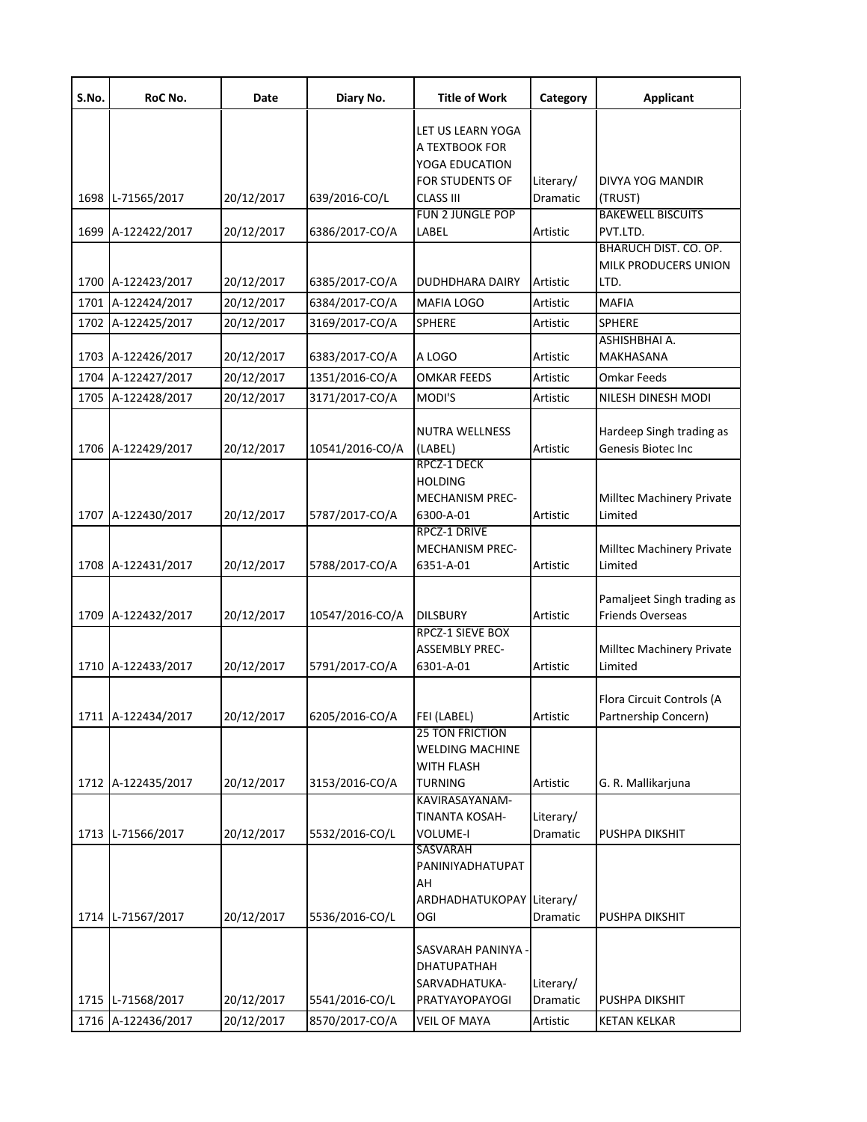| S.No. | RoC No.                                 | Date                     | Diary No.                        | <b>Title of Work</b>                                                                                | Category                          | <b>Applicant</b>                                      |
|-------|-----------------------------------------|--------------------------|----------------------------------|-----------------------------------------------------------------------------------------------------|-----------------------------------|-------------------------------------------------------|
|       | 1698 L-71565/2017                       | 20/12/2017               | 639/2016-CO/L                    | LET US LEARN YOGA<br>A TEXTBOOK FOR<br>YOGA EDUCATION<br><b>FOR STUDENTS OF</b><br><b>CLASS III</b> | Literary/<br>Dramatic             | DIVYA YOG MANDIR<br>(TRUST)                           |
|       |                                         |                          |                                  | <b>FUN 2 JUNGLE POP</b>                                                                             |                                   | <b>BAKEWELL BISCUITS</b>                              |
| 1699  | A-122422/2017                           | 20/12/2017               | 6386/2017-CO/A                   | LABEL                                                                                               | Artistic                          | PVT.LTD.                                              |
|       |                                         |                          |                                  |                                                                                                     |                                   | BHARUCH DIST. CO. OP.<br>MILK PRODUCERS UNION         |
|       | 1700 A-122423/2017                      | 20/12/2017               | 6385/2017-CO/A                   | <b>DUDHDHARA DAIRY</b>                                                                              | Artistic                          | LTD.                                                  |
|       | 1701 A-122424/2017                      | 20/12/2017               | 6384/2017-CO/A                   | <b>MAFIA LOGO</b>                                                                                   | Artistic                          | <b>MAFIA</b>                                          |
|       | 1702 A-122425/2017                      | 20/12/2017               | 3169/2017-CO/A                   | <b>SPHERE</b>                                                                                       | Artistic                          | <b>SPHERE</b>                                         |
|       | 1703 A-122426/2017                      | 20/12/2017               | 6383/2017-CO/A                   | A LOGO                                                                                              | Artistic                          | ASHISHBHAI A.<br>MAKHASANA                            |
|       | 1704 A-122427/2017                      | 20/12/2017               | 1351/2016-CO/A                   | <b>OMKAR FEEDS</b>                                                                                  | Artistic                          | <b>Omkar Feeds</b>                                    |
|       | 1705 A-122428/2017                      | 20/12/2017               | 3171/2017-CO/A                   | MODI'S                                                                                              | Artistic                          | NILESH DINESH MODI                                    |
|       | 1706 A-122429/2017                      | 20/12/2017               | 10541/2016-CO/A                  | <b>NUTRA WELLNESS</b><br>(LABEL)                                                                    | Artistic                          | Hardeep Singh trading as<br>Genesis Biotec Inc        |
|       | 1707 A-122430/2017                      | 20/12/2017               | 5787/2017-CO/A                   | RPCZ-1 DECK<br><b>HOLDING</b><br><b>MECHANISM PREC-</b><br>6300-A-01                                | Artistic                          | Milltec Machinery Private<br>Limited                  |
|       | 1708 A-122431/2017                      | 20/12/2017               | 5788/2017-CO/A                   | RPCZ-1 DRIVE<br><b>MECHANISM PREC-</b><br>6351-A-01                                                 | Artistic                          | Milltec Machinery Private<br>Limited                  |
|       | 1709 A-122432/2017                      | 20/12/2017               | 10547/2016-CO/A                  | <b>DILSBURY</b>                                                                                     | Artistic                          | Pamaljeet Singh trading as<br><b>Friends Overseas</b> |
|       | 1710 A-122433/2017                      | 20/12/2017               | 5791/2017-CO/A                   | <b>RPCZ-1 SIEVE BOX</b><br><b>ASSEMBLY PREC-</b><br>6301-A-01                                       | Artistic                          | Milltec Machinery Private<br>Limited                  |
|       | 1711 A-122434/2017                      | 20/12/2017               | 6205/2016-CO/A                   | FEI (LABEL)                                                                                         | Artistic                          | Flora Circuit Controls (A<br>Partnership Concern)     |
|       | 1712 A-122435/2017                      | 20/12/2017               | 3153/2016-CO/A                   | <b>25 TON FRICTION</b><br><b>WELDING MACHINE</b><br><b>WITH FLASH</b><br><b>TURNING</b>             | Artistic                          | G. R. Mallikarjuna                                    |
|       | 1713 L-71566/2017                       | 20/12/2017               | 5532/2016-CO/L                   | KAVIRASAYANAM-<br><b>TINANTA KOSAH-</b><br><b>VOLUME-I</b>                                          | Literary/<br>Dramatic             | PUSHPA DIKSHIT                                        |
|       | 1714 L-71567/2017                       | 20/12/2017               | 5536/2016-CO/L                   | SASVARAH<br>PANINIYADHATUPAT<br>AH<br>ARDHADHATUKOPAY Literary/<br>OGI                              | Dramatic                          | PUSHPA DIKSHIT                                        |
|       | 1715 L-71568/2017<br>1716 A-122436/2017 | 20/12/2017<br>20/12/2017 | 5541/2016-CO/L<br>8570/2017-CO/A | SASVARAH PANINYA ·<br><b>DHATUPATHAH</b><br>SARVADHATUKA-<br><b>PRATYAYOPAYOGI</b><br>VEIL OF MAYA  | Literary/<br>Dramatic<br>Artistic | PUSHPA DIKSHIT<br><b>KETAN KELKAR</b>                 |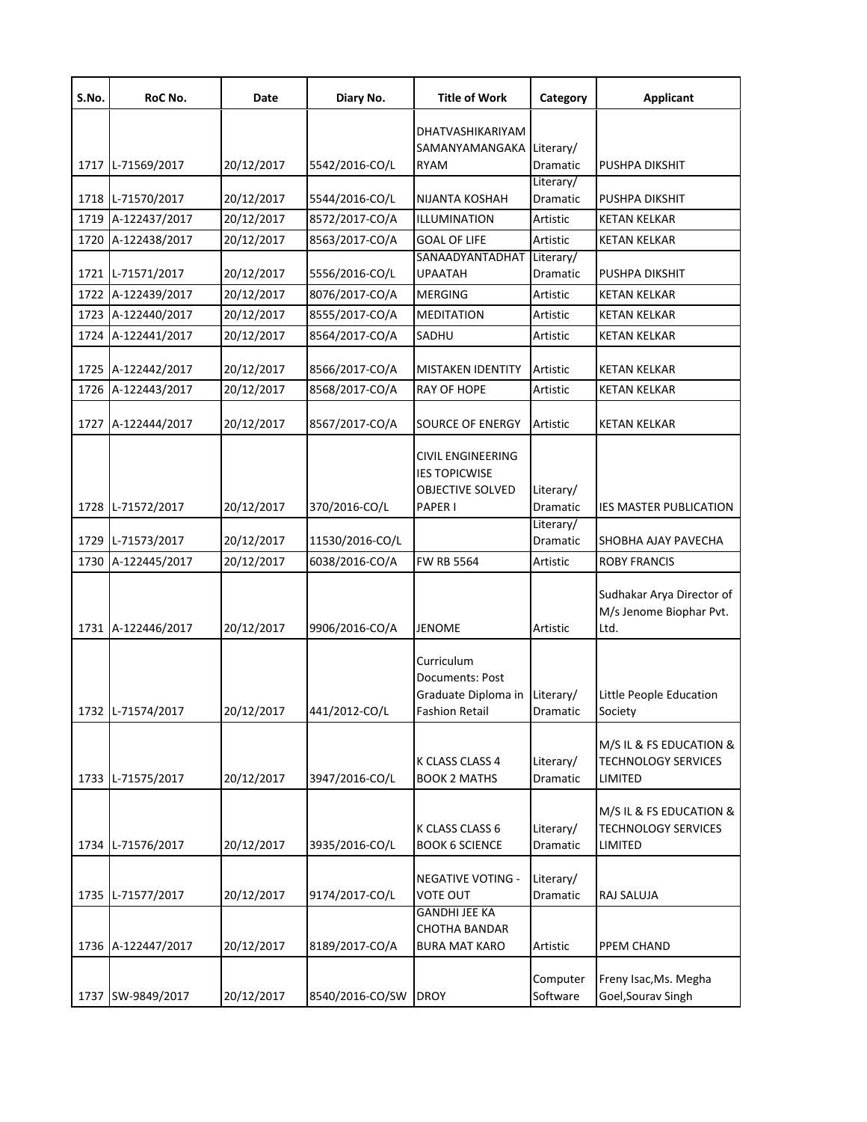| S.No. | RoC No.            | Date       | Diary No.            | <b>Title of Work</b>                                                   | Category              | <b>Applicant</b>                                                 |
|-------|--------------------|------------|----------------------|------------------------------------------------------------------------|-----------------------|------------------------------------------------------------------|
|       |                    |            |                      | DHATVASHIKARIYAM                                                       |                       |                                                                  |
|       |                    |            |                      | SAMANYAMANGAKA                                                         | Literary/             |                                                                  |
|       | 1717 L-71569/2017  | 20/12/2017 | 5542/2016-CO/L       | <b>RYAM</b>                                                            | Dramatic              | PUSHPA DIKSHIT                                                   |
|       |                    |            |                      |                                                                        | Literary/             |                                                                  |
|       | 1718 L-71570/2017  | 20/12/2017 | 5544/2016-CO/L       | NIJANTA KOSHAH                                                         | Dramatic              | PUSHPA DIKSHIT                                                   |
|       | 1719 A-122437/2017 | 20/12/2017 | 8572/2017-CO/A       | ILLUMINATION                                                           | Artistic              | <b>KETAN KELKAR</b>                                              |
| 1720  | A-122438/2017      | 20/12/2017 | 8563/2017-CO/A       | <b>GOAL OF LIFE</b>                                                    | Artistic              | <b>KETAN KELKAR</b>                                              |
|       | 1721 L-71571/2017  | 20/12/2017 | 5556/2016-CO/L       | SANAADYANTADHAT<br>UPAATAH                                             | Literary/<br>Dramatic | PUSHPA DIKSHIT                                                   |
|       | 1722 A-122439/2017 | 20/12/2017 | 8076/2017-CO/A       | <b>MERGING</b>                                                         | Artistic              | <b>KETAN KELKAR</b>                                              |
| 1723  | A-122440/2017      | 20/12/2017 | 8555/2017-CO/A       | <b>MEDITATION</b>                                                      | Artistic              | <b>KETAN KELKAR</b>                                              |
|       | 1724 A-122441/2017 | 20/12/2017 | 8564/2017-CO/A       | SADHU                                                                  | Artistic              | <b>KETAN KELKAR</b>                                              |
|       |                    |            |                      |                                                                        |                       |                                                                  |
|       | 1725 A-122442/2017 | 20/12/2017 | 8566/2017-CO/A       | <b>MISTAKEN IDENTITY</b>                                               | Artistic              | <b>KETAN KELKAR</b>                                              |
|       | 1726 A-122443/2017 | 20/12/2017 | 8568/2017-CO/A       | RAY OF HOPE                                                            | Artistic              | <b>KETAN KELKAR</b>                                              |
|       |                    |            |                      |                                                                        |                       |                                                                  |
|       | 1727 A-122444/2017 | 20/12/2017 | 8567/2017-CO/A       | SOURCE OF ENERGY                                                       | Artistic              | <b>KETAN KELKAR</b>                                              |
|       |                    |            |                      | CIVIL ENGINEERING                                                      |                       |                                                                  |
|       |                    |            |                      | <b>IES TOPICWISE</b>                                                   |                       |                                                                  |
|       | 1728 L-71572/2017  | 20/12/2017 | 370/2016-CO/L        | OBJECTIVE SOLVED<br>PAPER I                                            | Literary/<br>Dramatic | IES MASTER PUBLICATION                                           |
|       |                    |            |                      |                                                                        | Literary/             |                                                                  |
|       | 1729 L-71573/2017  | 20/12/2017 | 11530/2016-CO/L      |                                                                        | Dramatic              | SHOBHA AJAY PAVECHA                                              |
| 1730  | A-122445/2017      | 20/12/2017 | 6038/2016-CO/A       | FW RB 5564                                                             | Artistic              | <b>ROBY FRANCIS</b>                                              |
|       |                    |            |                      |                                                                        |                       | Sudhakar Arya Director of<br>M/s Jenome Biophar Pvt.             |
|       | 1731 A-122446/2017 | 20/12/2017 | 9906/2016-CO/A       | JENOME                                                                 | Artistic              | Ltd.                                                             |
|       | 1732 L-71574/2017  | 20/12/2017 | 441/2012-CO/L        | Curriculum<br>Documents: Post<br>Graduate Diploma in<br>Fashion Retail | Literary/<br>Dramatic | Little People Education<br>Society                               |
|       | 1733 L-71575/2017  | 20/12/2017 | 3947/2016-CO/L       | K CLASS CLASS 4<br><b>BOOK 2 MATHS</b>                                 | Literary/<br>Dramatic | M/S IL & FS EDUCATION &<br><b>TECHNOLOGY SERVICES</b><br>LIMITED |
|       | 1734 L-71576/2017  | 20/12/2017 | 3935/2016-CO/L       | K CLASS CLASS 6<br><b>BOOK 6 SCIENCE</b>                               | Literary/<br>Dramatic | M/S IL & FS EDUCATION &<br><b>TECHNOLOGY SERVICES</b><br>LIMITED |
|       | 1735 L-71577/2017  | 20/12/2017 | 9174/2017-CO/L       | NEGATIVE VOTING -<br><b>VOTE OUT</b>                                   | Literary/<br>Dramatic | RAJ SALUJA                                                       |
|       | 1736 A-122447/2017 | 20/12/2017 | 8189/2017-CO/A       | <b>GANDHI JEE KA</b><br><b>CHOTHA BANDAR</b><br><b>BURA MAT KARO</b>   | Artistic              | PPEM CHAND                                                       |
|       | 1737 SW-9849/2017  | 20/12/2017 | 8540/2016-CO/SW DROY |                                                                        | Computer<br>Software  | Freny Isac, Ms. Megha<br>Goel, Sourav Singh                      |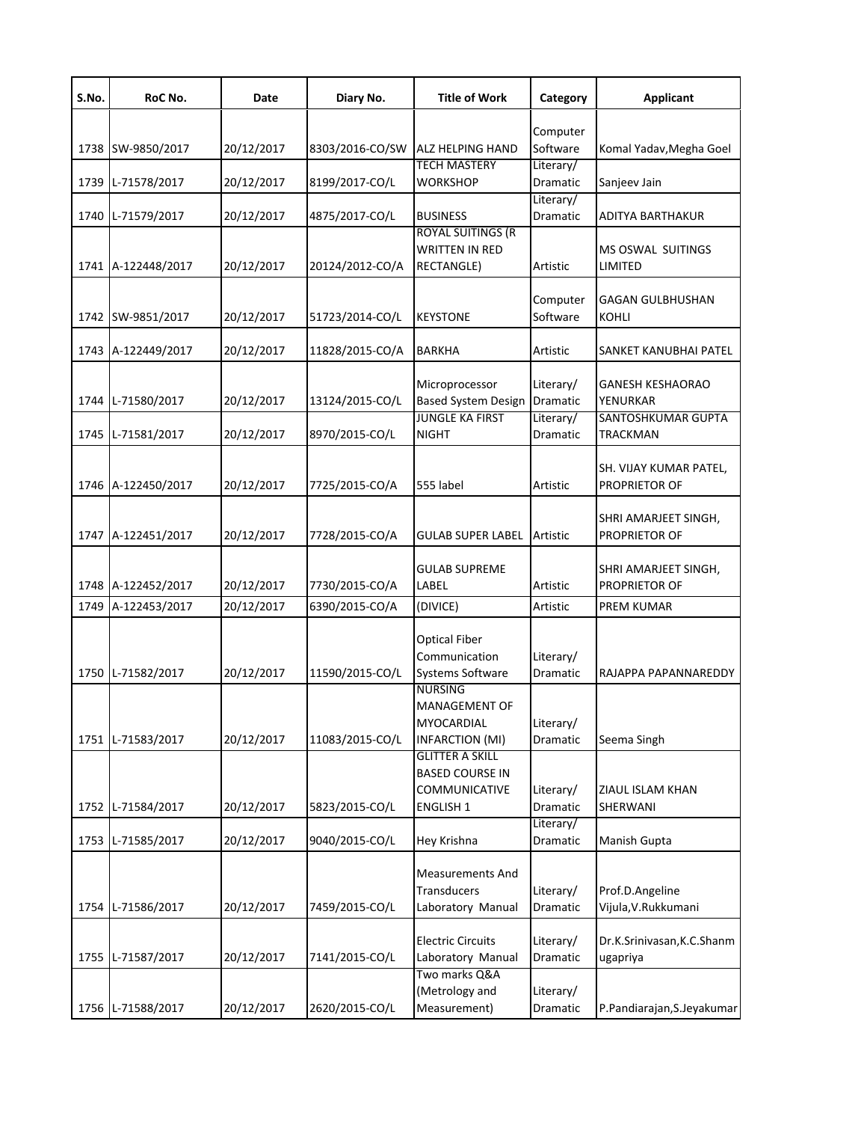| S.No. | RoC No.            | Date       | Diary No.       | <b>Title of Work</b>                             | Category              | <b>Applicant</b>           |
|-------|--------------------|------------|-----------------|--------------------------------------------------|-----------------------|----------------------------|
|       |                    |            |                 |                                                  | Computer              |                            |
|       | 1738 SW-9850/2017  | 20/12/2017 | 8303/2016-CO/SW | <b>ALZ HELPING HAND</b>                          | Software              | Komal Yadav, Megha Goel    |
|       |                    |            |                 | <b>TECH MASTERY</b>                              | Literary/             |                            |
| 1739  | L-71578/2017       | 20/12/2017 | 8199/2017-CO/L  | <b>WORKSHOP</b>                                  | Dramatic              | Sanjeev Jain               |
|       | 1740 L-71579/2017  | 20/12/2017 | 4875/2017-CO/L  | <b>BUSINESS</b>                                  | Literary/<br>Dramatic | ADITYA BARTHAKUR           |
|       |                    |            |                 | <b>ROYAL SUITINGS (R</b>                         |                       |                            |
|       |                    |            |                 | <b>WRITTEN IN RED</b>                            |                       | <b>MS OSWAL SUITINGS</b>   |
|       | 1741 A-122448/2017 | 20/12/2017 | 20124/2012-CO/A | <b>RECTANGLE)</b>                                | Artistic              | LIMITED                    |
|       |                    |            |                 |                                                  | Computer              | <b>GAGAN GULBHUSHAN</b>    |
|       | 1742 SW-9851/2017  | 20/12/2017 | 51723/2014-CO/L | <b>KEYSTONE</b>                                  | Software              | KOHLI                      |
|       |                    |            |                 |                                                  |                       |                            |
|       | 1743 A-122449/2017 | 20/12/2017 | 11828/2015-CO/A | <b>BARKHA</b>                                    | Artistic              | SANKET KANUBHAI PATEL      |
|       |                    |            |                 | Microprocessor                                   | Literary/             | <b>GANESH KESHAORAO</b>    |
| 1744  | L-71580/2017       | 20/12/2017 | 13124/2015-CO/L | <b>Based System Design</b>                       | Dramatic              | YENURKAR                   |
|       |                    |            |                 | <b>JUNGLE KA FIRST</b>                           | Literary/             | SANTOSHKUMAR GUPTA         |
|       | 1745 L-71581/2017  | 20/12/2017 | 8970/2015-CO/L  | <b>NIGHT</b>                                     | Dramatic              | <b>TRACKMAN</b>            |
|       |                    |            |                 |                                                  |                       |                            |
|       |                    |            |                 |                                                  |                       | SH. VIJAY KUMAR PATEL,     |
|       | 1746 A-122450/2017 | 20/12/2017 | 7725/2015-CO/A  | 555 label                                        | Artistic              | PROPRIETOR OF              |
|       |                    |            |                 |                                                  |                       | SHRI AMARJEET SINGH,       |
| 1747  | A-122451/2017      | 20/12/2017 | 7728/2015-CO/A  | <b>GULAB SUPER LABEL</b>                         | Artistic              | PROPRIETOR OF              |
|       |                    |            |                 |                                                  |                       |                            |
|       |                    |            |                 | <b>GULAB SUPREME</b>                             |                       | SHRI AMARJEET SINGH,       |
|       | 1748 A-122452/2017 | 20/12/2017 | 7730/2015-CO/A  | LABEL                                            | Artistic              | PROPRIETOR OF              |
| 1749  | A-122453/2017      | 20/12/2017 | 6390/2015-CO/A  | (DIVICE)                                         | Artistic              | PREM KUMAR                 |
|       |                    |            |                 | <b>Optical Fiber</b>                             |                       |                            |
|       |                    |            |                 | Communication                                    | Literary/             |                            |
| 1750  | L-71582/2017       | 20/12/2017 | 11590/2015-CO/L | <b>Systems Software</b>                          | Dramatic              | RAJAPPA PAPANNAREDDY       |
|       |                    |            |                 | <b>NURSING</b>                                   |                       |                            |
|       |                    |            |                 | MANAGEMENT OF                                    |                       |                            |
|       |                    |            |                 | MYOCARDIAL                                       | Literary/             |                            |
|       | 1751 L-71583/2017  | 20/12/2017 | 11083/2015-CO/L | <b>INFARCTION (MI)</b>                           | Dramatic              | Seema Singh                |
|       |                    |            |                 | <b>GLITTER A SKILL</b><br><b>BASED COURSE IN</b> |                       |                            |
|       |                    |            |                 | COMMUNICATIVE                                    | Literary/             | ZIAUL ISLAM KHAN           |
| 1752  | L-71584/2017       | 20/12/2017 | 5823/2015-CO/L  | <b>ENGLISH 1</b>                                 | Dramatic              | SHERWANI                   |
|       |                    |            |                 |                                                  | Literary/             |                            |
| 1753  | L-71585/2017       | 20/12/2017 | 9040/2015-CO/L  | Hey Krishna                                      | Dramatic              | Manish Gupta               |
|       |                    |            |                 |                                                  |                       |                            |
|       |                    |            |                 | <b>Measurements And</b><br>Transducers           | Literary/             | Prof.D.Angeline            |
| 1754  | L-71586/2017       | 20/12/2017 | 7459/2015-CO/L  | Laboratory Manual                                | Dramatic              | Vijula, V. Rukkumani       |
|       |                    |            |                 |                                                  |                       |                            |
|       |                    |            |                 | <b>Electric Circuits</b>                         | Literary/             | Dr.K.Srinivasan, K.C.Shanm |
| 1755  | L-71587/2017       | 20/12/2017 | 7141/2015-CO/L  | Laboratory Manual                                | Dramatic              | ugapriya                   |
|       |                    |            |                 | Two marks Q&A                                    |                       |                            |
|       |                    |            |                 | (Metrology and                                   | Literary/             |                            |
|       | 1756 L-71588/2017  | 20/12/2017 | 2620/2015-CO/L  | Measurement)                                     | Dramatic              | P.Pandiarajan, S.Jeyakumar |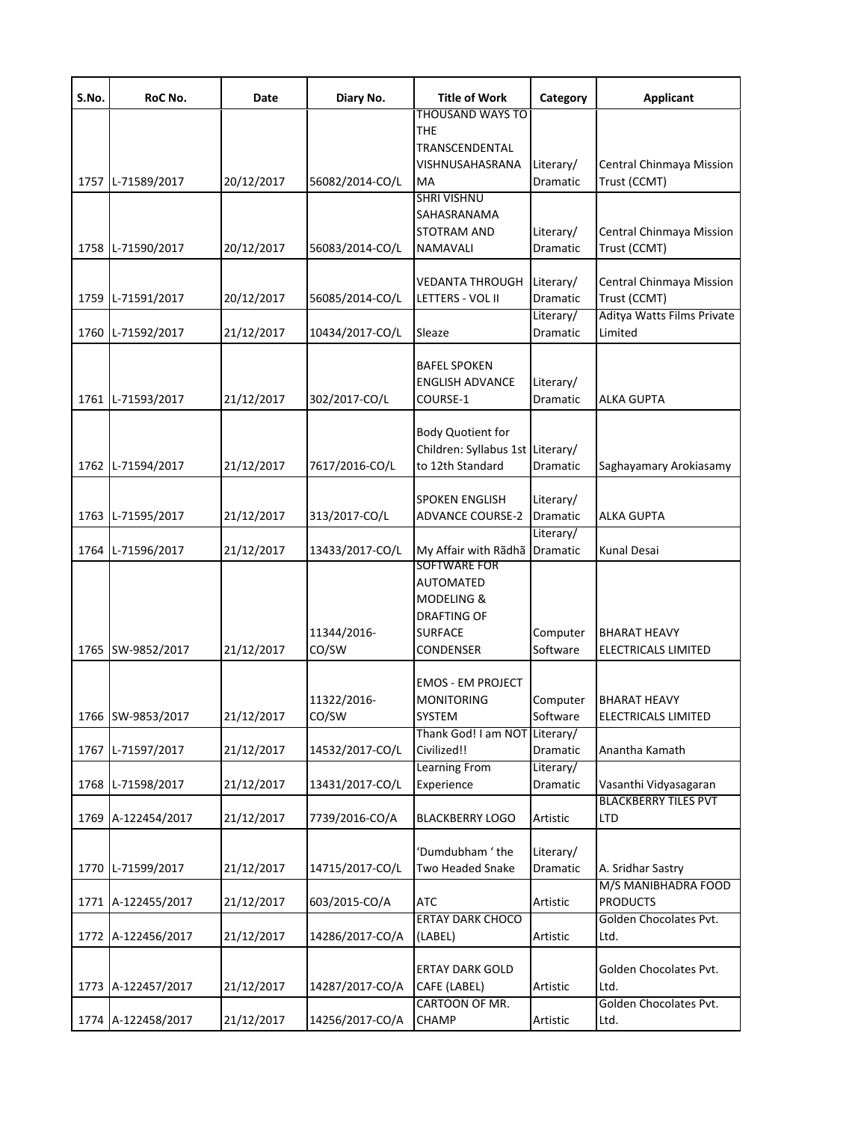| S.No. | RoC No.            | Date       | Diary No.       | <b>Title of Work</b>                         | Category                     | <b>Applicant</b>                                     |
|-------|--------------------|------------|-----------------|----------------------------------------------|------------------------------|------------------------------------------------------|
|       |                    |            |                 | <b>THOUSAND WAYS TO</b><br>THE.              |                              |                                                      |
|       |                    |            |                 | TRANSCENDENTAL                               |                              |                                                      |
|       | 1757 L-71589/2017  | 20/12/2017 | 56082/2014-CO/L | VISHNUSAHASRANA<br>МA                        | Literary/<br><b>Dramatic</b> | Central Chinmaya Mission<br>Trust (CCMT)             |
|       |                    |            |                 | <b>SHRI VISHNU</b>                           |                              |                                                      |
|       |                    |            |                 | SAHASRANAMA                                  |                              |                                                      |
|       | 1758 L-71590/2017  | 20/12/2017 | 56083/2014-CO/L | STOTRAM AND<br>NAMAVALI                      | Literary/<br>Dramatic        | Central Chinmaya Mission<br>Trust (CCMT)             |
|       |                    |            |                 |                                              |                              |                                                      |
|       |                    |            |                 | <b>VEDANTA THROUGH</b>                       | Literary/                    | Central Chinmaya Mission                             |
|       | 1759 L-71591/2017  | 20/12/2017 | 56085/2014-CO/L | LETTERS - VOL II                             | Dramatic<br>Literary/        | Trust (CCMT)<br>Aditya Watts Films Private           |
|       | 1760 L-71592/2017  | 21/12/2017 | 10434/2017-CO/L | Sleaze                                       | Dramatic                     | Limited                                              |
|       |                    |            |                 | <b>BAFEL SPOKEN</b>                          |                              |                                                      |
|       |                    |            |                 | <b>ENGLISH ADVANCE</b>                       | Literary/                    |                                                      |
|       | 1761 L-71593/2017  | 21/12/2017 | 302/2017-CO/L   | COURSE-1                                     | Dramatic                     | <b>ALKA GUPTA</b>                                    |
|       |                    |            |                 | <b>Body Quotient for</b>                     |                              |                                                      |
|       |                    |            |                 | Children: Syllabus 1st Literary/             |                              |                                                      |
|       | 1762 L-71594/2017  | 21/12/2017 | 7617/2016-CO/L  | to 12th Standard                             | Dramatic                     | Saghayamary Arokiasamy                               |
|       |                    |            |                 | <b>SPOKEN ENGLISH</b>                        | Literary/                    |                                                      |
|       | 1763 L-71595/2017  | 21/12/2017 | 313/2017-CO/L   | <b>ADVANCE COURSE-2</b>                      | Dramatic                     | <b>ALKA GUPTA</b>                                    |
|       | 1764 L-71596/2017  | 21/12/2017 | 13433/2017-CO/L | My Affair with Rãdhã                         | Literary/<br>Dramatic        | Kunal Desai                                          |
|       |                    |            |                 | SOFTWARE FOR                                 |                              |                                                      |
|       |                    |            |                 | <b>AUTOMATED</b>                             |                              |                                                      |
|       |                    |            |                 | MODELING &<br><b>DRAFTING OF</b>             |                              |                                                      |
|       |                    |            | 11344/2016-     | <b>SURFACE</b>                               | Computer                     | <b>BHARAT HEAVY</b>                                  |
|       | 1765 SW-9852/2017  | 21/12/2017 | CO/SW           | CONDENSER                                    | Software                     | ELECTRICALS LIMITED                                  |
|       |                    |            |                 | <b>EMOS - EM PROJECT</b>                     |                              |                                                      |
|       |                    |            | 11322/2016-     | MONITORING                                   | Computer                     | <b>BHARAT HEAVY</b>                                  |
|       | 1766 SW-9853/2017  | 21/12/2017 | CO/SW           | SYSTEM                                       | Software                     | ELECTRICALS LIMITED                                  |
|       | 1767 L-71597/2017  | 21/12/2017 | 14532/2017-CO/L | Thank God! I am NOT Literary/<br>Civilized!! | Dramatic                     | Anantha Kamath                                       |
|       |                    |            |                 | Learning From                                | Literary/                    |                                                      |
| 1768  | L-71598/2017       | 21/12/2017 | 13431/2017-CO/L | Experience                                   | Dramatic                     | Vasanthi Vidyasagaran<br><b>BLACKBERRY TILES PVT</b> |
|       | 1769 A-122454/2017 | 21/12/2017 | 7739/2016-CO/A  | <b>BLACKBERRY LOGO</b>                       | Artistic                     | LTD                                                  |
|       |                    |            |                 |                                              |                              |                                                      |
|       | 1770 L-71599/2017  | 21/12/2017 | 14715/2017-CO/L | 'Dumdubham ' the<br>Two Headed Snake         | Literary/<br>Dramatic        | A. Sridhar Sastry                                    |
|       |                    |            |                 |                                              |                              | M/S MANIBHADRA FOOD                                  |
|       | 1771 A-122455/2017 | 21/12/2017 | 603/2015-CO/A   | <b>ATC</b>                                   | Artistic                     | <b>PRODUCTS</b>                                      |
|       | 1772 A-122456/2017 | 21/12/2017 | 14286/2017-CO/A | <b>ERTAY DARK CHOCO</b><br>(LABEL)           | Artistic                     | Golden Chocolates Pvt.<br>Ltd.                       |
|       |                    |            |                 |                                              |                              |                                                      |
|       |                    |            |                 | <b>ERTAY DARK GOLD</b>                       |                              | Golden Chocolates Pvt.                               |
|       | 1773 A-122457/2017 | 21/12/2017 | 14287/2017-CO/A | CAFE (LABEL)<br>CARTOON OF MR.               | Artistic                     | Ltd.<br>Golden Chocolates Pvt.                       |
|       | 1774 A-122458/2017 | 21/12/2017 | 14256/2017-CO/A | CHAMP                                        | Artistic                     | Ltd.                                                 |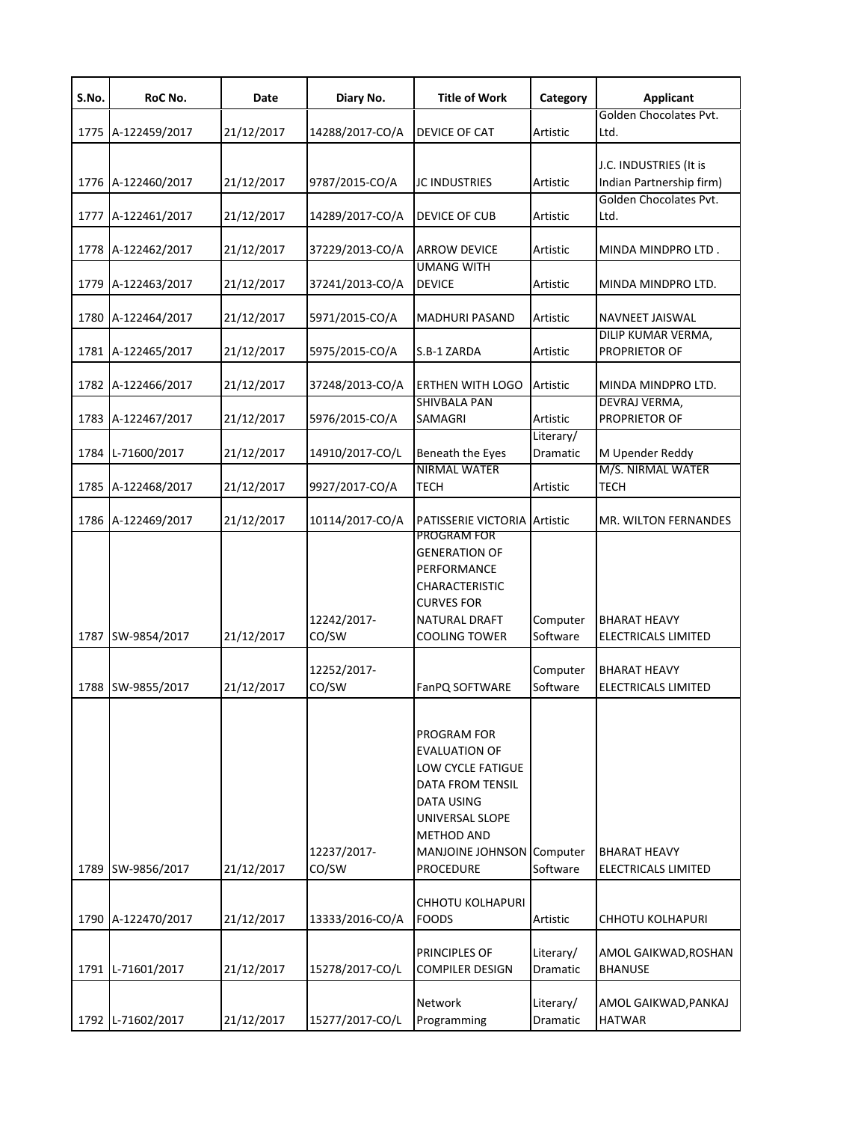| S.No. | RoC No.            | Date       | Diary No.            | <b>Title of Work</b>                                                                                                                                                                | Category              | <b>Applicant</b>                                   |
|-------|--------------------|------------|----------------------|-------------------------------------------------------------------------------------------------------------------------------------------------------------------------------------|-----------------------|----------------------------------------------------|
|       | 1775 A-122459/2017 | 21/12/2017 | 14288/2017-CO/A      | DEVICE OF CAT                                                                                                                                                                       | Artistic              | Golden Chocolates Pvt.<br>Ltd.                     |
|       | 1776 A-122460/2017 | 21/12/2017 | 9787/2015-CO/A       | <b>JC INDUSTRIES</b>                                                                                                                                                                | Artistic              | J.C. INDUSTRIES (It is<br>Indian Partnership firm) |
|       | 1777 A-122461/2017 | 21/12/2017 | 14289/2017-CO/A      | DEVICE OF CUB                                                                                                                                                                       | Artistic              | Golden Chocolates Pvt.<br>Ltd.                     |
|       | 1778 A-122462/2017 | 21/12/2017 | 37229/2013-CO/A      | <b>ARROW DEVICE</b>                                                                                                                                                                 | Artistic              | MINDA MINDPRO LTD.                                 |
|       | 1779 A-122463/2017 | 21/12/2017 | 37241/2013-CO/A      | <b>UMANG WITH</b><br><b>DEVICE</b>                                                                                                                                                  | Artistic              | MINDA MINDPRO LTD.                                 |
|       | 1780 A-122464/2017 | 21/12/2017 | 5971/2015-CO/A       | <b>MADHURI PASAND</b>                                                                                                                                                               | Artistic              | NAVNEET JAISWAL                                    |
|       | 1781 A-122465/2017 | 21/12/2017 | 5975/2015-CO/A       | S.B-1 ZARDA                                                                                                                                                                         | Artistic              | DILIP KUMAR VERMA,<br>PROPRIETOR OF                |
|       | 1782 A-122466/2017 | 21/12/2017 | 37248/2013-CO/A      | <b>ERTHEN WITH LOGO</b>                                                                                                                                                             | Artistic              | MINDA MINDPRO LTD.                                 |
|       | 1783 A-122467/2017 | 21/12/2017 | 5976/2015-CO/A       | <b>SHIVBALA PAN</b><br>SAMAGRI                                                                                                                                                      | Artistic              | DEVRAJ VERMA,<br><b>PROPRIETOR OF</b>              |
|       | 1784 L-71600/2017  | 21/12/2017 | 14910/2017-CO/L      | Beneath the Eyes                                                                                                                                                                    | Literary/<br>Dramatic | M Upender Reddy                                    |
|       | 1785 A-122468/2017 | 21/12/2017 | 9927/2017-CO/A       | NIRMAL WATER<br>TECH                                                                                                                                                                | Artistic              | M/S. NIRMAL WATER<br><b>TECH</b>                   |
|       | 1786 A-122469/2017 | 21/12/2017 | 10114/2017-CO/A      | <b>PATISSERIE VICTORIA Artistic</b><br>PROGRAM FOR                                                                                                                                  |                       | MR. WILTON FERNANDES                               |
|       | 1787 SW-9854/2017  | 21/12/2017 | 12242/2017-<br>CO/SW | <b>GENERATION OF</b><br>PERFORMANCE<br>CHARACTERISTIC<br><b>CURVES FOR</b><br>NATURAL DRAFT<br><b>COOLING TOWER</b>                                                                 | Computer<br>Software  | <b>BHARAT HEAVY</b><br>ELECTRICALS LIMITED         |
|       | 1788 SW-9855/2017  | 21/12/2017 | 12252/2017-<br>CO/SW | FanPQ SOFTWARE                                                                                                                                                                      | Computer<br>Software  | <b>BHARAT HEAVY</b><br>ELECTRICALS LIMITED         |
|       | 1789 SW-9856/2017  | 21/12/2017 | 12237/2017-<br>CO/SW | PROGRAM FOR<br><b>EVALUATION OF</b><br>LOW CYCLE FATIGUE<br><b>DATA FROM TENSIL</b><br><b>DATA USING</b><br>UNIVERSAL SLOPE<br>METHOD AND<br>MANJOINE JOHNSON Computer<br>PROCEDURE | Software              | <b>BHARAT HEAVY</b><br>ELECTRICALS LIMITED         |
|       |                    |            |                      | CHHOTU KOLHAPURI                                                                                                                                                                    |                       |                                                    |
|       | 1790 A-122470/2017 | 21/12/2017 | 13333/2016-CO/A      | <b>FOODS</b>                                                                                                                                                                        | Artistic              | CHHOTU KOLHAPURI                                   |
|       | 1791 L-71601/2017  | 21/12/2017 | 15278/2017-CO/L      | PRINCIPLES OF<br>COMPILER DESIGN                                                                                                                                                    | Literary/<br>Dramatic | AMOL GAIKWAD, ROSHAN<br><b>BHANUSE</b>             |
|       | 1792 L-71602/2017  | 21/12/2017 | 15277/2017-CO/L      | Network<br>Programming                                                                                                                                                              | Literary/<br>Dramatic | AMOL GAIKWAD, PANKAJ<br><b>HATWAR</b>              |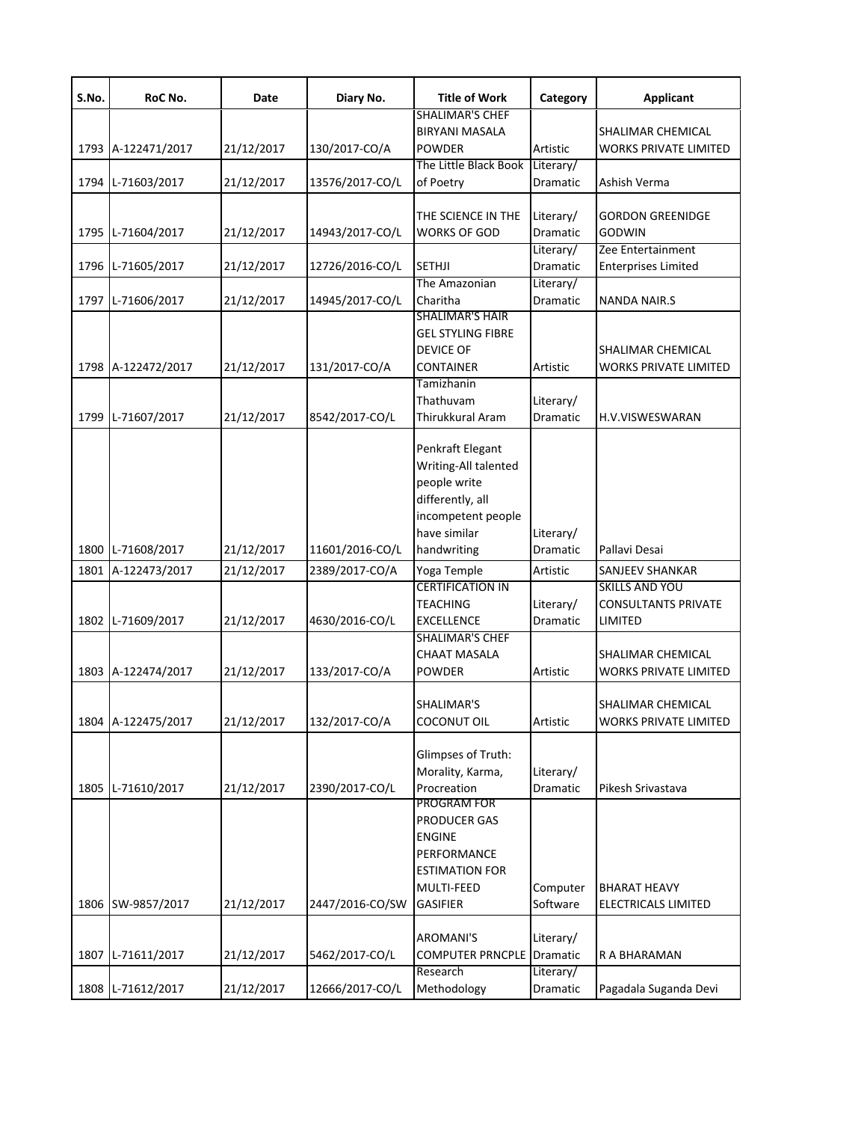| S.No. | RoC No.            | Date       | Diary No.       | <b>Title of Work</b>                                                                                                              | Category              | <b>Applicant</b>                                               |
|-------|--------------------|------------|-----------------|-----------------------------------------------------------------------------------------------------------------------------------|-----------------------|----------------------------------------------------------------|
|       | 1793 A-122471/2017 | 21/12/2017 | 130/2017-CO/A   | <b>SHALIMAR'S CHEF</b><br><b>BIRYANI MASALA</b><br><b>POWDER</b>                                                                  | Artistic              | SHALIMAR CHEMICAL<br><b>WORKS PRIVATE LIMITED</b>              |
|       | 1794 L-71603/2017  | 21/12/2017 | 13576/2017-CO/L | The Little Black Book<br>of Poetry                                                                                                | Literary/<br>Dramatic | Ashish Verma                                                   |
|       | 1795 L-71604/2017  | 21/12/2017 | 14943/2017-CO/L | THE SCIENCE IN THE<br><b>WORKS OF GOD</b>                                                                                         | Literary/<br>Dramatic | <b>GORDON GREENIDGE</b><br><b>GODWIN</b>                       |
|       | 1796 L-71605/2017  | 21/12/2017 | 12726/2016-CO/L | <b>SETHJI</b>                                                                                                                     | Literary/<br>Dramatic | Zee Entertainment<br><b>Enterprises Limited</b>                |
|       | 1797 L-71606/2017  | 21/12/2017 | 14945/2017-CO/L | The Amazonian<br>Charitha                                                                                                         | Literary/<br>Dramatic | <b>NANDA NAIR.S</b>                                            |
|       | 1798 A-122472/2017 | 21/12/2017 | 131/2017-CO/A   | <b>SHALIMAR'S HAIR</b><br><b>GEL STYLING FIBRE</b><br><b>DEVICE OF</b><br><b>CONTAINER</b>                                        | Artistic              | SHALIMAR CHEMICAL<br><b>WORKS PRIVATE LIMITED</b>              |
| 1799  | L-71607/2017       | 21/12/2017 | 8542/2017-CO/L  | Tamizhanin<br>Thathuvam<br>Thirukkural Aram                                                                                       | Literary/<br>Dramatic | H.V.VISWESWARAN                                                |
|       | 1800 L-71608/2017  | 21/12/2017 | 11601/2016-CO/L | Penkraft Elegant<br>Writing-All talented<br>people write<br>differently, all<br>incompetent people<br>have similar<br>handwriting | Literary/<br>Dramatic | Pallavi Desai                                                  |
| 1801  | A-122473/2017      | 21/12/2017 | 2389/2017-CO/A  | Yoga Temple                                                                                                                       | Artistic              | SANJEEV SHANKAR                                                |
|       | 1802 L-71609/2017  | 21/12/2017 | 4630/2016-CO/L  | <b>CERTIFICATION IN</b><br><b>TEACHING</b><br>EXCELLENCE                                                                          | Literary/<br>Dramatic | <b>SKILLS AND YOU</b><br><b>CONSULTANTS PRIVATE</b><br>LIMITED |
|       | 1803 A-122474/2017 | 21/12/2017 | 133/2017-CO/A   | <b>SHALIMAR'S CHEF</b><br><b>CHAAT MASALA</b><br><b>POWDER</b>                                                                    | Artistic              | SHALIMAR CHEMICAL<br><b>WORKS PRIVATE LIMITED</b>              |
|       | 1804 A-122475/2017 | 21/12/2017 | 132/2017-CO/A   | SHALIMAR'S<br>COCONUT OIL                                                                                                         | Artistic              | SHALIMAR CHEMICAL<br><b>WORKS PRIVATE LIMITED</b>              |
|       | 1805 L-71610/2017  | 21/12/2017 | 2390/2017-CO/L  | Glimpses of Truth:<br>Morality, Karma,<br>Procreation<br>PROGRAM FOR                                                              | Literary/<br>Dramatic | Pikesh Srivastava                                              |
|       | 1806 SW-9857/2017  | 21/12/2017 | 2447/2016-CO/SW | PRODUCER GAS<br><b>ENGINE</b><br>PERFORMANCE<br><b>ESTIMATION FOR</b><br>MULTI-FEED<br><b>GASIFIER</b>                            | Computer<br>Software  | <b>BHARAT HEAVY</b><br><b>ELECTRICALS LIMITED</b>              |
| 1807  | L-71611/2017       | 21/12/2017 | 5462/2017-CO/L  | AROMANI'S<br><b>COMPUTER PRNCPLE</b>                                                                                              | Literary/<br>Dramatic | R A BHARAMAN                                                   |
|       | 1808 L-71612/2017  | 21/12/2017 | 12666/2017-CO/L | Research<br>Methodology                                                                                                           | Literary/<br>Dramatic | Pagadala Suganda Devi                                          |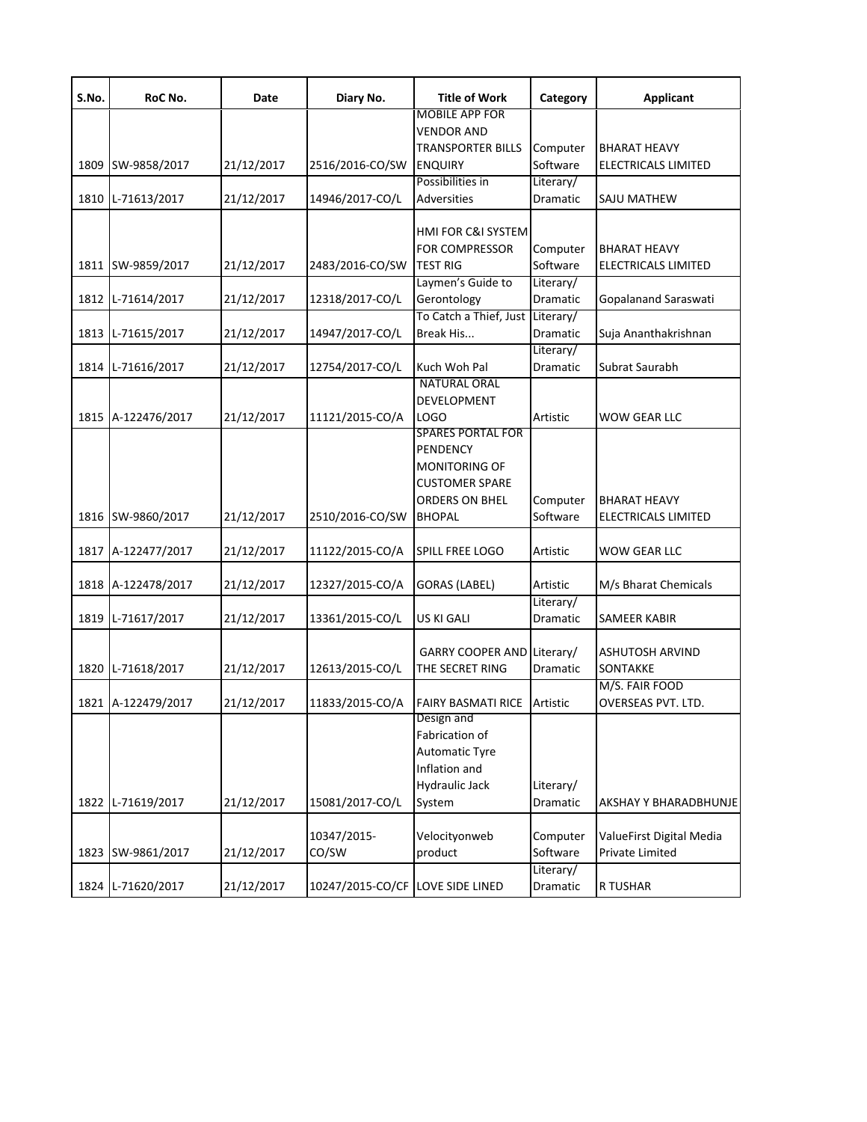| S.No. | RoC No.            | Date       | Diary No.                        | <b>Title of Work</b>       | Category  | <b>Applicant</b>           |
|-------|--------------------|------------|----------------------------------|----------------------------|-----------|----------------------------|
|       |                    |            |                                  | <b>MOBILE APP FOR</b>      |           |                            |
|       |                    |            |                                  | VENDOR AND                 |           |                            |
|       |                    |            |                                  | TRANSPORTER BILLS          | Computer  | <b>BHARAT HEAVY</b>        |
| 1809  | SW-9858/2017       | 21/12/2017 | 2516/2016-CO/SW                  | <b>ENQUIRY</b>             | Software  | <b>ELECTRICALS LIMITED</b> |
|       |                    |            |                                  | Possibilities in           | Literary/ |                            |
|       | 1810 L-71613/2017  | 21/12/2017 | 14946/2017-CO/L                  | Adversities                | Dramatic  | SAJU MATHEW                |
|       |                    |            |                                  |                            |           |                            |
|       |                    |            |                                  | HMI FOR C&I SYSTEM         |           |                            |
|       |                    |            |                                  | <b>FOR COMPRESSOR</b>      | Computer  | <b>BHARAT HEAVY</b>        |
|       | 1811 SW-9859/2017  | 21/12/2017 | 2483/2016-CO/SW                  | <b>TEST RIG</b>            | Software  | <b>ELECTRICALS LIMITED</b> |
|       |                    |            |                                  | Laymen's Guide to          | Literary/ |                            |
| 1812  | L-71614/2017       | 21/12/2017 | 12318/2017-CO/L                  | Gerontology                | Dramatic  | Gopalanand Saraswati       |
|       |                    |            |                                  | To Catch a Thief, Just     | Literary/ |                            |
|       | 1813 L-71615/2017  | 21/12/2017 | 14947/2017-CO/L                  | Break His                  | Dramatic  | Suja Ananthakrishnan       |
|       |                    |            |                                  |                            | Literary/ |                            |
| 1814  | L-71616/2017       | 21/12/2017 | 12754/2017-CO/L                  | Kuch Woh Pal               | Dramatic  | Subrat Saurabh             |
|       |                    |            |                                  | <b>NATURAL ORAL</b>        |           |                            |
|       |                    |            |                                  | DEVELOPMENT                |           |                            |
|       | 1815 A-122476/2017 | 21/12/2017 | 11121/2015-CO/A                  | LOGO                       | Artistic  | WOW GEAR LLC               |
|       |                    |            |                                  | <b>SPARES PORTAL FOR</b>   |           |                            |
|       |                    |            |                                  | PENDENCY                   |           |                            |
|       |                    |            |                                  | <b>MONITORING OF</b>       |           |                            |
|       |                    |            |                                  | <b>CUSTOMER SPARE</b>      |           |                            |
|       |                    |            |                                  | ORDERS ON BHEL             | Computer  | <b>BHARAT HEAVY</b>        |
|       | 1816 SW-9860/2017  | 21/12/2017 | 2510/2016-CO/SW                  | <b>BHOPAL</b>              | Software  | ELECTRICALS LIMITED        |
|       |                    |            |                                  |                            |           |                            |
|       | 1817 A-122477/2017 | 21/12/2017 | 11122/2015-CO/A                  | SPILL FREE LOGO            | Artistic  | WOW GEAR LLC               |
|       |                    |            |                                  |                            |           |                            |
|       | 1818 A-122478/2017 | 21/12/2017 | 12327/2015-CO/A                  | GORAS (LABEL)              | Artistic  | M/s Bharat Chemicals       |
|       |                    |            |                                  |                            | Literary/ |                            |
|       | 1819 L-71617/2017  | 21/12/2017 | 13361/2015-CO/L                  | US KI GALI                 | Dramatic  | <b>SAMEER KABIR</b>        |
|       |                    |            |                                  |                            |           |                            |
|       |                    |            |                                  | GARRY COOPER AND Literary/ |           | <b>ASHUTOSH ARVIND</b>     |
|       | 1820 L-71618/2017  | 21/12/2017 | 12613/2015-CO/L                  | THE SECRET RING            | Dramatic  | SONTAKKE                   |
|       |                    |            |                                  |                            |           | M/S. FAIR FOOD             |
|       | 1821 A-122479/2017 | 21/12/2017 | 11833/2015-CO/A                  | <b>FAIRY BASMATI RICE</b>  | Artistic  | OVERSEAS PVT. LTD.         |
|       |                    |            |                                  | Design and                 |           |                            |
|       |                    |            |                                  | Fabrication of             |           |                            |
|       |                    |            |                                  | <b>Automatic Tyre</b>      |           |                            |
|       |                    |            |                                  | Inflation and              |           |                            |
|       |                    |            |                                  | Hydraulic Jack             | Literary/ |                            |
|       | 1822 L-71619/2017  | 21/12/2017 | 15081/2017-CO/L                  |                            | Dramatic  | AKSHAY Y BHARADBHUNJE      |
|       |                    |            |                                  | System                     |           |                            |
|       |                    |            |                                  |                            |           |                            |
|       |                    |            | 10347/2015-                      | Velocityonweb              | Computer  | ValueFirst Digital Media   |
|       | 1823 SW-9861/2017  | 21/12/2017 | CO/SW                            | product                    | Software  | Private Limited            |
|       |                    |            |                                  |                            | Literary/ |                            |
|       | 1824 L-71620/2017  | 21/12/2017 | 10247/2015-CO/CF LOVE SIDE LINED |                            | Dramatic  | R TUSHAR                   |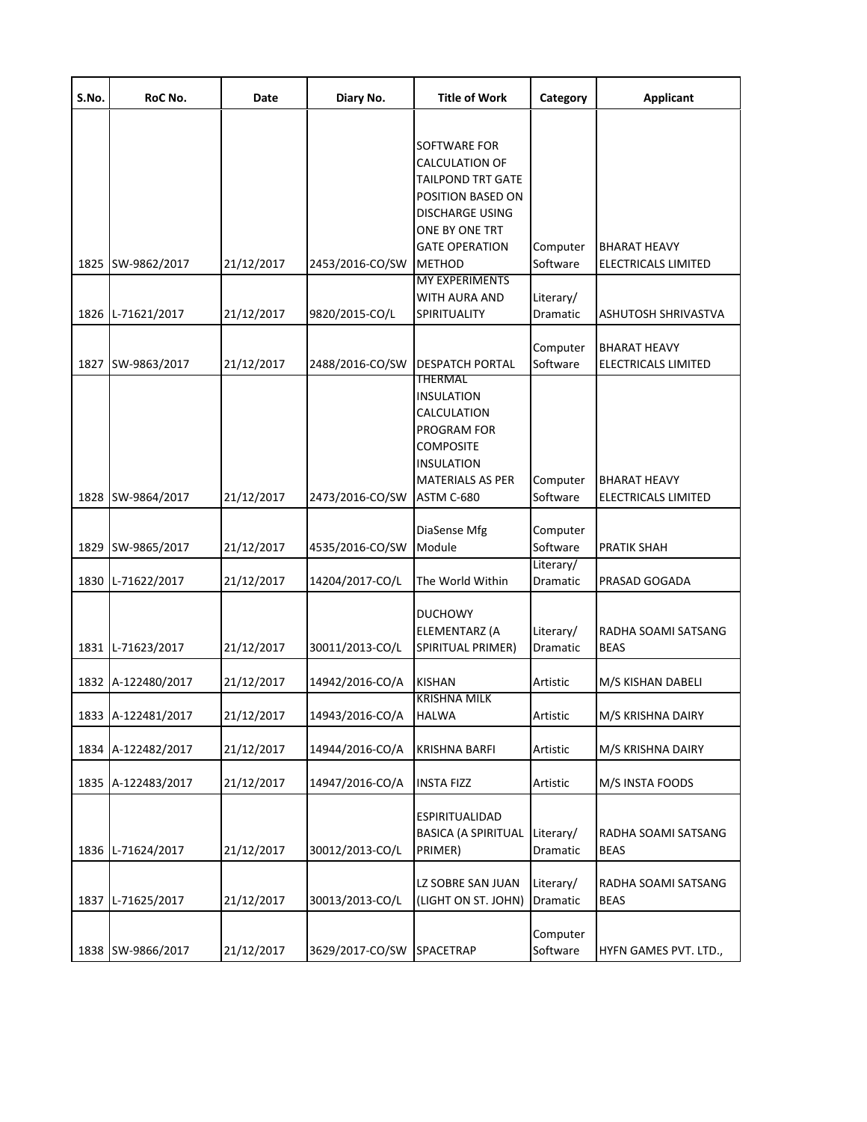| S.No. | RoC No.            | Date       | Diary No.                 | <b>Title of Work</b>                                                                                                                                                                | Category              | <b>Applicant</b>                           |
|-------|--------------------|------------|---------------------------|-------------------------------------------------------------------------------------------------------------------------------------------------------------------------------------|-----------------------|--------------------------------------------|
|       | 1825 SW-9862/2017  | 21/12/2017 | 2453/2016-CO/SW           | <b>SOFTWARE FOR</b><br><b>CALCULATION OF</b><br><b>TAILPOND TRT GATE</b><br>POSITION BASED ON<br><b>DISCHARGE USING</b><br>ONE BY ONE TRT<br><b>GATE OPERATION</b><br><b>METHOD</b> | Computer<br>Software  | <b>BHARAT HEAVY</b><br>ELECTRICALS LIMITED |
|       | 1826 L-71621/2017  | 21/12/2017 | 9820/2015-CO/L            | <b>MY EXPERIMENTS</b><br>WITH AURA AND<br>SPIRITUALITY                                                                                                                              | Literary/<br>Dramatic | ASHUTOSH SHRIVASTVA                        |
|       | 1827 SW-9863/2017  | 21/12/2017 | 2488/2016-CO/SW           | <b>DESPATCH PORTAL</b><br>THERMAL                                                                                                                                                   | Computer<br>Software  | <b>BHARAT HEAVY</b><br>ELECTRICALS LIMITED |
|       | 1828 SW-9864/2017  | 21/12/2017 | 2473/2016-CO/SW           | <b>INSULATION</b><br>CALCULATION<br>PROGRAM FOR<br><b>COMPOSITE</b><br><b>INSULATION</b><br><b>MATERIALS AS PER</b><br>ASTM C-680                                                   | Computer<br>Software  | <b>BHARAT HEAVY</b><br>ELECTRICALS LIMITED |
|       | 1829 SW-9865/2017  | 21/12/2017 | 4535/2016-CO/SW           | DiaSense Mfg<br>Module                                                                                                                                                              | Computer<br>Software  | PRATIK SHAH                                |
|       | 1830 L-71622/2017  | 21/12/2017 | 14204/2017-CO/L           | The World Within                                                                                                                                                                    | Literary/<br>Dramatic | PRASAD GOGADA                              |
|       | 1831 L-71623/2017  | 21/12/2017 | 30011/2013-CO/L           | <b>DUCHOWY</b><br>ELEMENTARZ (A<br>SPIRITUAL PRIMER)                                                                                                                                | Literary/<br>Dramatic | RADHA SOAMI SATSANG<br><b>BEAS</b>         |
|       | 1832 A-122480/2017 | 21/12/2017 | 14942/2016-CO/A           | <b>KISHAN</b>                                                                                                                                                                       | Artistic              | M/S KISHAN DABELI                          |
|       | 1833 A-122481/2017 | 21/12/2017 | 14943/2016-CO/A           | <b>KRISHNA MILK</b><br><b>HALWA</b>                                                                                                                                                 | Artistic              | M/S KRISHNA DAIRY                          |
|       | 1834 A-122482/2017 | 21/12/2017 | 14944/2016-CO/A           | <b>KRISHNA BARFI</b>                                                                                                                                                                | Artistic              | M/S KRISHNA DAIRY                          |
|       | 1835 A-122483/2017 | 21/12/2017 | 14947/2016-CO/A           | <b>INSTA FIZZ</b>                                                                                                                                                                   | Artistic              | M/S INSTA FOODS                            |
|       | 1836 L-71624/2017  | 21/12/2017 | 30012/2013-CO/L           | ESPIRITUALIDAD<br><b>BASICA (A SPIRITUAL</b><br>PRIMER)                                                                                                                             | Literary/<br>Dramatic | RADHA SOAMI SATSANG<br><b>BEAS</b>         |
|       | 1837 L-71625/2017  | 21/12/2017 | 30013/2013-CO/L           | LZ SOBRE SAN JUAN<br>(LIGHT ON ST. JOHN)                                                                                                                                            | Literary/<br>Dramatic | RADHA SOAMI SATSANG<br><b>BEAS</b>         |
|       | 1838 SW-9866/2017  | 21/12/2017 | 3629/2017-CO/SW SPACETRAP |                                                                                                                                                                                     | Computer<br>Software  | HYFN GAMES PVT. LTD.,                      |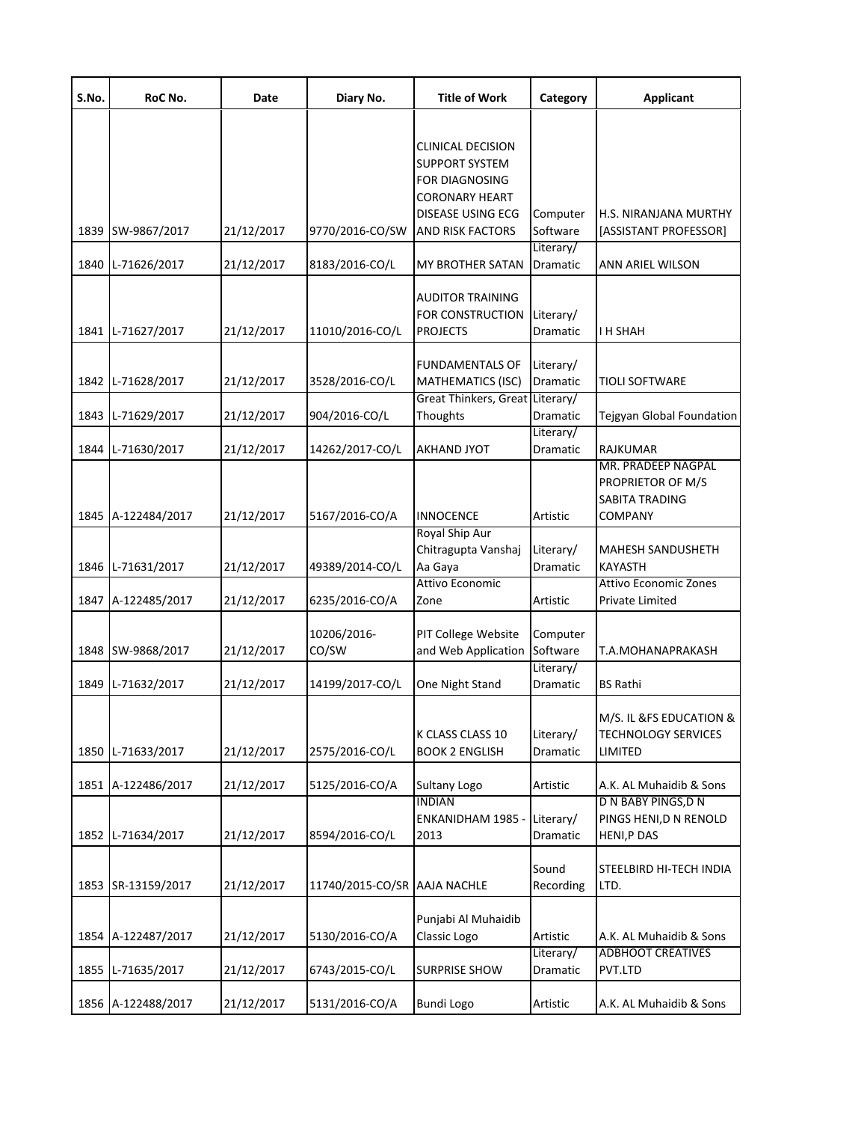| S.No. | RoC No.            | Date       | Diary No.                    | <b>Title of Work</b>                                                                                                           | Category                     | <b>Applicant</b>                                                     |
|-------|--------------------|------------|------------------------------|--------------------------------------------------------------------------------------------------------------------------------|------------------------------|----------------------------------------------------------------------|
|       | 1839 SW-9867/2017  | 21/12/2017 | 9770/2016-CO/SW              | <b>CLINICAL DECISION</b><br>SUPPORT SYSTEM<br>FOR DIAGNOSING<br><b>CORONARY HEART</b><br>DISEASE USING ECG<br>AND RISK FACTORS | Computer<br>Software         | H.S. NIRANJANA MURTHY<br>[ASSISTANT PROFESSOR]                       |
| 1840  | L-71626/2017       | 21/12/2017 | 8183/2016-CO/L               | MY BROTHER SATAN                                                                                                               | Literary/<br>Dramatic        | ANN ARIEL WILSON                                                     |
|       | 1841 L-71627/2017  | 21/12/2017 | 11010/2016-CO/L              | AUDITOR TRAINING<br>FOR CONSTRUCTION<br><b>PROJECTS</b>                                                                        | Literary/<br>Dramatic        | <b>I H SHAH</b>                                                      |
|       | 1842 L-71628/2017  | 21/12/2017 | 3528/2016-CO/L               | <b>FUNDAMENTALS OF</b><br><b>MATHEMATICS (ISC)</b><br>Great Thinkers, Great Literary/                                          | Literary/<br>Dramatic        | <b>TIOLI SOFTWARE</b>                                                |
|       | 1843 L-71629/2017  | 21/12/2017 | 904/2016-CO/L                | Thoughts                                                                                                                       | Dramatic                     | Tejgyan Global Foundation                                            |
|       | 1844 L-71630/2017  | 21/12/2017 | 14262/2017-CO/L              | <b>AKHAND JYOT</b>                                                                                                             | Literary/<br>Dramatic        | RAJKUMAR                                                             |
|       | 1845 A-122484/2017 | 21/12/2017 | 5167/2016-CO/A               | INNOCENCE                                                                                                                      | Artistic                     | MR. PRADEEP NAGPAL<br>PROPRIETOR OF M/S<br>SABITA TRADING<br>COMPANY |
|       | 1846 L-71631/2017  | 21/12/2017 | 49389/2014-CO/L              | Royal Ship Aur<br>Chitragupta Vanshaj<br>Aa Gaya                                                                               | Literary/<br>Dramatic        | <b>MAHESH SANDUSHETH</b><br><b>KAYASTH</b>                           |
|       | 1847 A-122485/2017 | 21/12/2017 | 6235/2016-CO/A               | Attivo Economic<br>Zone                                                                                                        | Artistic                     | <b>Attivo Economic Zones</b><br>Private Limited                      |
|       | 1848 SW-9868/2017  | 21/12/2017 | 10206/2016-<br>CO/SW         | PIT College Website<br>and Web Application                                                                                     | Computer<br>Software         | T.A.MOHANAPRAKASH                                                    |
|       | 1849 L-71632/2017  | 21/12/2017 | 14199/2017-CO/L              | One Night Stand                                                                                                                | Literary/<br><b>Dramatic</b> | BS Rathi                                                             |
|       | 1850 L-71633/2017  | 21/12/2017 | 2575/2016-CO/L               | K CLASS CLASS 10<br><b>BOOK 2 ENGLISH</b>                                                                                      | Literary/<br>Dramatic        | M/S. IL &FS EDUCATION &<br><b>TECHNOLOGY SERVICES</b><br>LIMITED     |
|       | 1851 A-122486/2017 | 21/12/2017 | 5125/2016-CO/A               | Sultany Logo                                                                                                                   | Artistic                     | A.K. AL Muhaidib & Sons                                              |
|       | 1852 L-71634/2017  | 21/12/2017 | 8594/2016-CO/L               | <b>INDIAN</b><br>ENKANIDHAM 1985 -<br>2013                                                                                     | Literary/<br>Dramatic        | D N BABY PINGS, D N<br>PINGS HENI, DN RENOLD<br>HENI, P DAS          |
|       | 1853 SR-13159/2017 | 21/12/2017 | 11740/2015-CO/SR AAJA NACHLE |                                                                                                                                | Sound<br>Recording           | STEELBIRD HI-TECH INDIA<br>LTD.                                      |
|       | 1854 A-122487/2017 | 21/12/2017 | 5130/2016-CO/A               | Punjabi Al Muhaidib<br>Classic Logo                                                                                            | Artistic<br>Literary/        | A.K. AL Muhaidib & Sons<br><b>ADBHOOT CREATIVES</b>                  |
| 1855  | L-71635/2017       | 21/12/2017 | 6743/2015-CO/L               | <b>SURPRISE SHOW</b>                                                                                                           | Dramatic                     | PVT.LTD                                                              |
|       | 1856 A-122488/2017 | 21/12/2017 | 5131/2016-CO/A               | Bundi Logo                                                                                                                     | Artistic                     | A.K. AL Muhaidib & Sons                                              |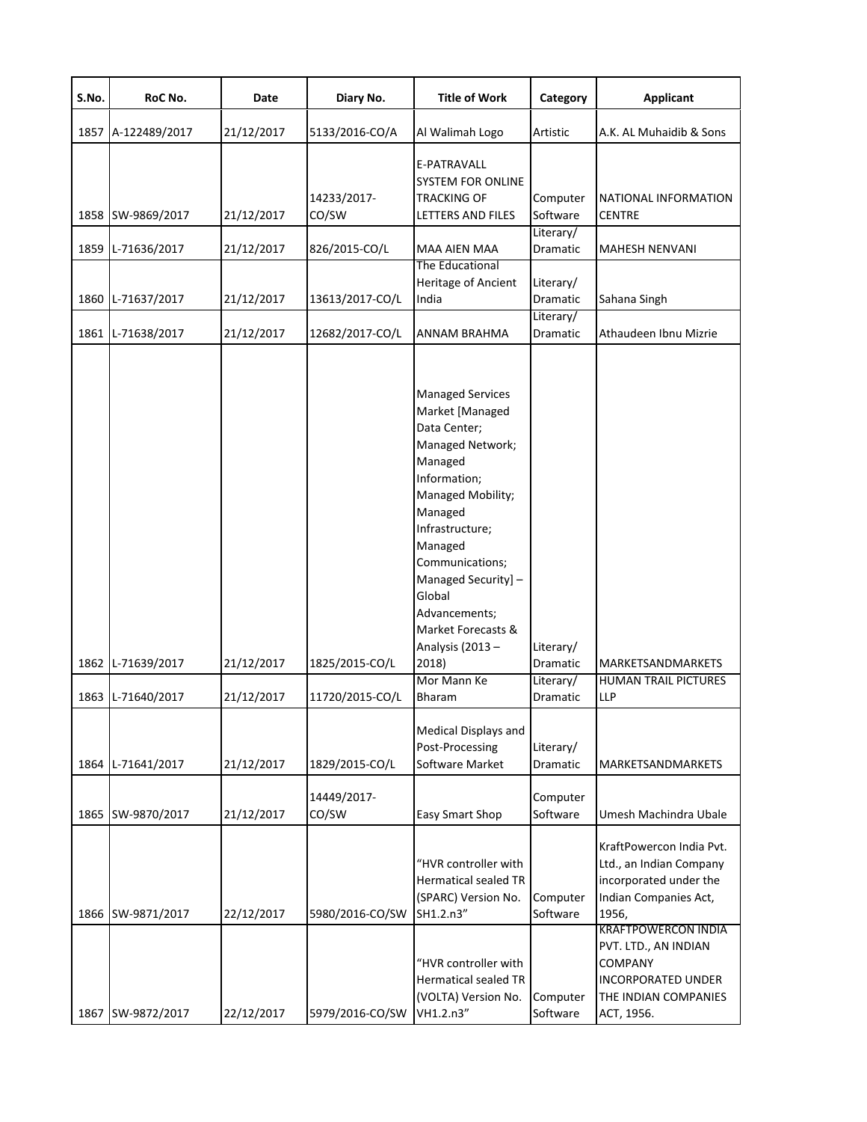| S.No. | RoC No.                                | Date                     | Diary No.                         | <b>Title of Work</b>                                                                                                                                                                                                                                                                                                     | Category                                       | <b>Applicant</b>                                                                                                                        |
|-------|----------------------------------------|--------------------------|-----------------------------------|--------------------------------------------------------------------------------------------------------------------------------------------------------------------------------------------------------------------------------------------------------------------------------------------------------------------------|------------------------------------------------|-----------------------------------------------------------------------------------------------------------------------------------------|
|       | 1857 A-122489/2017                     | 21/12/2017               | 5133/2016-CO/A                    | Al Walimah Logo                                                                                                                                                                                                                                                                                                          | Artistic                                       | A.K. AL Muhaidib & Sons                                                                                                                 |
|       | 1858 SW-9869/2017                      | 21/12/2017               | 14233/2017-<br>CO/SW              | E-PATRAVALL<br>SYSTEM FOR ONLINE<br>TRACKING OF<br>LETTERS AND FILES                                                                                                                                                                                                                                                     | Computer<br>Software                           | NATIONAL INFORMATION<br><b>CENTRE</b>                                                                                                   |
|       | 1859 L-71636/2017                      | 21/12/2017               | 826/2015-CO/L                     | MAA AIEN MAA                                                                                                                                                                                                                                                                                                             | Literary/<br>Dramatic                          | <b>MAHESH NENVANI</b>                                                                                                                   |
|       | 1860 L-71637/2017                      | 21/12/2017               | 13613/2017-CO/L                   | The Educational<br>Heritage of Ancient<br>India                                                                                                                                                                                                                                                                          | Literary/<br>Dramatic<br>Literary/             | Sahana Singh                                                                                                                            |
|       | 1861 L-71638/2017                      | 21/12/2017               | 12682/2017-CO/L                   | ANNAM BRAHMA                                                                                                                                                                                                                                                                                                             | Dramatic                                       | Athaudeen Ibnu Mizrie                                                                                                                   |
|       | 1862 L-71639/2017<br>1863 L-71640/2017 | 21/12/2017<br>21/12/2017 | 1825/2015-CO/L<br>11720/2015-CO/L | <b>Managed Services</b><br>Market [Managed<br>Data Center;<br>Managed Network;<br>Managed<br>Information;<br>Managed Mobility;<br>Managed<br>Infrastructure;<br>Managed<br>Communications;<br>Managed Security] -<br>Global<br>Advancements;<br>Market Forecasts &<br>Analysis (2013 -<br>2018)<br>Mor Mann Ke<br>Bharam | Literary/<br>Dramatic<br>Literary/<br>Dramatic | MARKETSANDMARKETS<br>HUMAN TRAIL PICTURES<br>LLP                                                                                        |
|       | 1864 L-71641/2017                      | 21/12/2017               | 1829/2015-CO/L                    | Medical Displays and<br>Post-Processing<br>Software Market                                                                                                                                                                                                                                                               | Literary/<br>Dramatic                          | MARKETSANDMARKETS                                                                                                                       |
|       | 1865 SW-9870/2017                      | 21/12/2017               | 14449/2017-<br>CO/SW              | Easy Smart Shop                                                                                                                                                                                                                                                                                                          | Computer<br>Software                           | Umesh Machindra Ubale                                                                                                                   |
|       | 1866 SW-9871/2017                      | 22/12/2017               | 5980/2016-CO/SW                   | "HVR controller with<br><b>Hermatical sealed TR</b><br>(SPARC) Version No.<br>SH1.2.n3"                                                                                                                                                                                                                                  | Computer<br>Software                           | KraftPowercon India Pvt.<br>Ltd., an Indian Company<br>incorporated under the<br>Indian Companies Act,<br>1956,                         |
|       | 1867 SW-9872/2017                      | 22/12/2017               | 5979/2016-CO/SW                   | "HVR controller with<br>Hermatical sealed TR<br>(VOLTA) Version No.<br>VH1.2.n3"                                                                                                                                                                                                                                         | Computer<br>Software                           | <b>KRAFTPOWERCON INDIA</b><br>PVT. LTD., AN INDIAN<br><b>COMPANY</b><br><b>INCORPORATED UNDER</b><br>THE INDIAN COMPANIES<br>ACT, 1956. |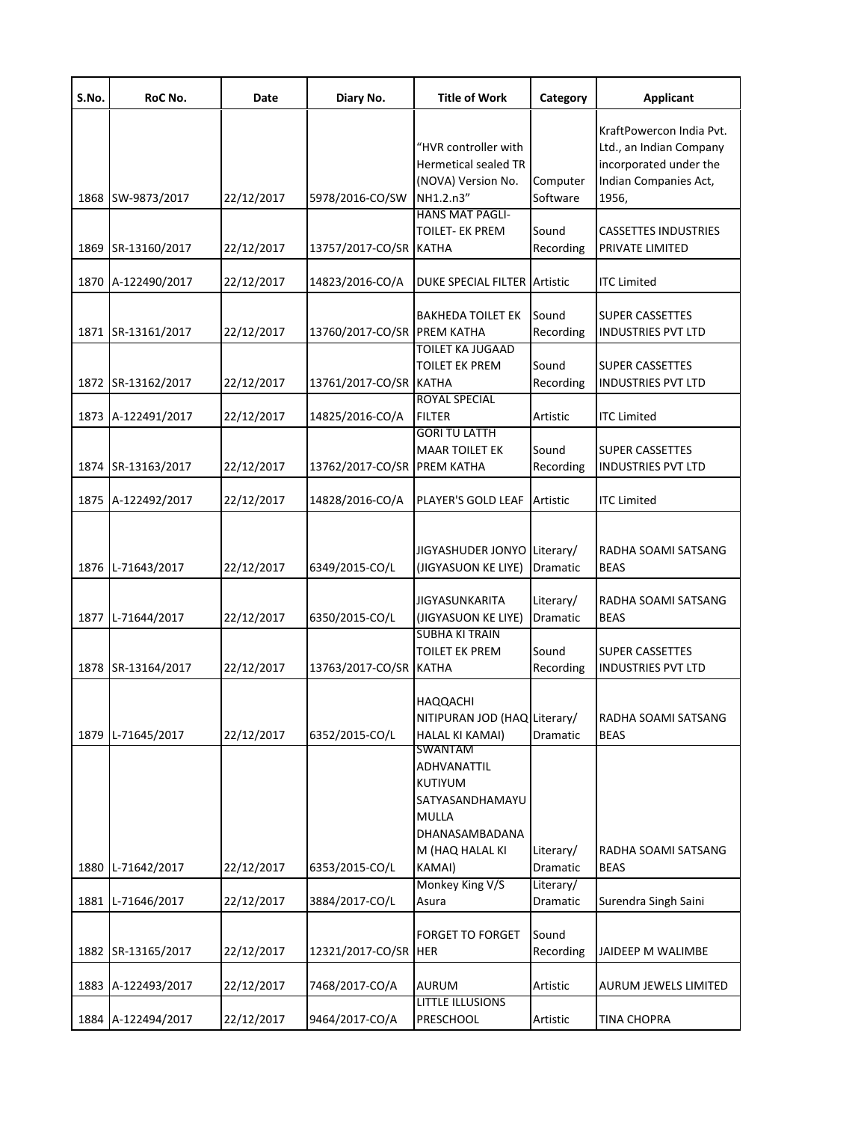| S.No. | RoC No.            | Date       | Diary No.                   | <b>Title of Work</b>                                                                                                   | Category                           | <b>Applicant</b>                                                                                                |
|-------|--------------------|------------|-----------------------------|------------------------------------------------------------------------------------------------------------------------|------------------------------------|-----------------------------------------------------------------------------------------------------------------|
| 1868  | SW-9873/2017       | 22/12/2017 | 5978/2016-CO/SW             | "HVR controller with<br><b>Hermetical sealed TR</b><br>(NOVA) Version No.<br>NH1.2.n3"                                 | Computer<br>Software               | KraftPowercon India Pvt.<br>Ltd., an Indian Company<br>incorporated under the<br>Indian Companies Act,<br>1956, |
| 1869  | SR-13160/2017      | 22/12/2017 | 13757/2017-CO/SR KATHA      | <b>HANS MAT PAGLI-</b><br><b>TOILET- EK PREM</b>                                                                       | Sound<br>Recording                 | <b>CASSETTES INDUSTRIES</b><br>PRIVATE LIMITED                                                                  |
| 1870  | A-122490/2017      | 22/12/2017 | 14823/2016-CO/A             | <b>DUKE SPECIAL FILTER</b>                                                                                             | Artistic                           | <b>ITC Limited</b>                                                                                              |
|       | 1871 SR-13161/2017 | 22/12/2017 | 13760/2017-CO/SR PREM KATHA | <b>BAKHEDA TOILET EK</b>                                                                                               | Sound<br>Recording                 | <b>SUPER CASSETTES</b><br><b>INDUSTRIES PVT LTD</b>                                                             |
|       | 1872 SR-13162/2017 | 22/12/2017 | 13761/2017-CO/SR KATHA      | <b>TOILET KA JUGAAD</b><br><b>TOILET EK PREM</b>                                                                       | Sound<br>Recording                 | <b>SUPER CASSETTES</b><br><b>INDUSTRIES PVT LTD</b>                                                             |
|       | 1873 A-122491/2017 | 22/12/2017 | 14825/2016-CO/A             | <b>ROYAL SPECIAL</b><br><b>FILTER</b>                                                                                  | Artistic                           | <b>ITC Limited</b>                                                                                              |
|       | 1874 SR-13163/2017 | 22/12/2017 | 13762/2017-CO/SR PREM KATHA | <b>GORI TU LATTH</b><br><b>MAAR TOILET EK</b>                                                                          | Sound<br>Recording                 | <b>SUPER CASSETTES</b><br><b>INDUSTRIES PVT LTD</b>                                                             |
|       | 1875 A-122492/2017 | 22/12/2017 | 14828/2016-CO/A             | PLAYER'S GOLD LEAF                                                                                                     | Artistic                           | <b>ITC Limited</b>                                                                                              |
|       | 1876 L-71643/2017  | 22/12/2017 | 6349/2015-CO/L              | JIGYASHUDER JONYO<br>(JIGYASUON KE LIYE)<br><b>JIGYASUNKARITA</b>                                                      | Literary/<br>Dramatic<br>Literary/ | RADHA SOAMI SATSANG<br><b>BEAS</b><br>RADHA SOAMI SATSANG                                                       |
|       | 1877 L-71644/2017  | 22/12/2017 | 6350/2015-CO/L              | (JIGYASUON KE LIYE)<br><b>SUBHA KI TRAIN</b>                                                                           | Dramatic                           | <b>BEAS</b>                                                                                                     |
|       | 1878 SR-13164/2017 | 22/12/2017 | 13763/2017-CO/SR KATHA      | <b>TOILET EK PREM</b>                                                                                                  | Sound<br>Recording                 | <b>SUPER CASSETTES</b><br><b>INDUSTRIES PVT LTD</b>                                                             |
|       | 1879 L-71645/2017  | 22/12/2017 | 6352/2015-CO/L              | <b>HAQQACHI</b><br>NITIPURAN JOD (HAQ Literary/<br>HALAL KI KAMAI)<br>SWANTAM                                          | Dramatic                           | RADHA SOAMI SATSANG<br><b>BEAS</b>                                                                              |
| 1880  | L-71642/2017       | 22/12/2017 | 6353/2015-CO/L              | <b>ADHVANATTIL</b><br><b>KUTIYUM</b><br>SATYASANDHAMAYU<br><b>MULLA</b><br>DHANASAMBADANA<br>M (HAQ HALAL KI<br>KAMAI) | Literary/<br>Dramatic              | RADHA SOAMI SATSANG<br><b>BEAS</b>                                                                              |
| 1881  | L-71646/2017       | 22/12/2017 | 3884/2017-CO/L              | Monkey King V/S<br>Asura                                                                                               | Literary/<br>Dramatic              | Surendra Singh Saini                                                                                            |
|       | 1882 SR-13165/2017 | 22/12/2017 | 12321/2017-CO/SR HER        | <b>FORGET TO FORGET</b>                                                                                                | Sound<br>Recording                 | JAIDEEP M WALIMBE                                                                                               |
|       | 1883 A-122493/2017 | 22/12/2017 | 7468/2017-CO/A              | <b>AURUM</b>                                                                                                           | Artistic                           | AURUM JEWELS LIMITED                                                                                            |
|       | 1884 A-122494/2017 | 22/12/2017 | 9464/2017-CO/A              | <b>LITTLE ILLUSIONS</b><br>PRESCHOOL                                                                                   | Artistic                           | <b>TINA CHOPRA</b>                                                                                              |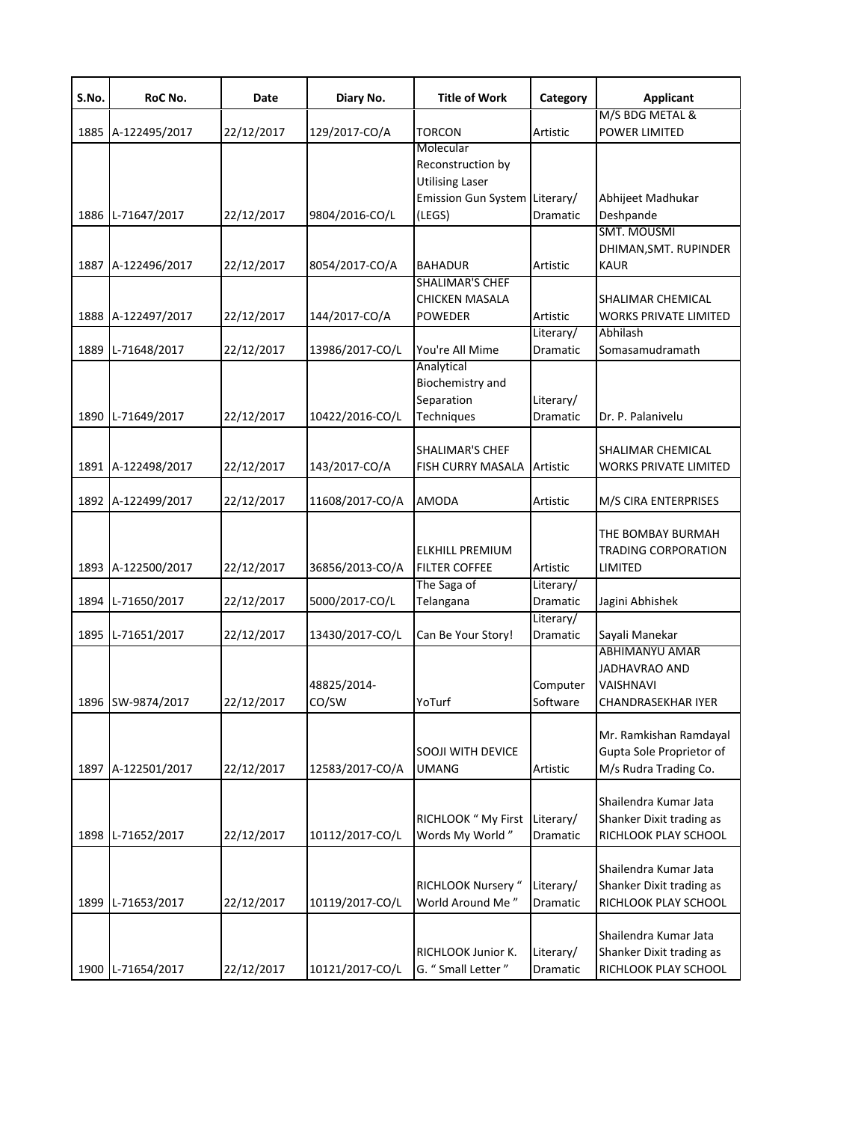| S.No. | RoC No.            | Date       | Diary No.       | <b>Title of Work</b>          | Category  | <b>Applicant</b>                 |
|-------|--------------------|------------|-----------------|-------------------------------|-----------|----------------------------------|
| 1885  | A-122495/2017      | 22/12/2017 | 129/2017-CO/A   | <b>TORCON</b>                 | Artistic  | M/S BDG METAL &<br>POWER LIMITED |
|       |                    |            |                 | Molecular                     |           |                                  |
|       |                    |            |                 | Reconstruction by             |           |                                  |
|       |                    |            |                 | <b>Utilising Laser</b>        |           |                                  |
|       |                    |            |                 | Emission Gun System Literary/ |           | Abhijeet Madhukar                |
|       | 1886 L-71647/2017  | 22/12/2017 | 9804/2016-CO/L  | (LEGS)                        | Dramatic  | Deshpande                        |
|       |                    |            |                 |                               |           | <b>SMT. MOUSMI</b>               |
|       |                    |            |                 |                               |           | DHIMAN, SMT. RUPINDER            |
|       | 1887 A-122496/2017 | 22/12/2017 | 8054/2017-CO/A  | <b>BAHADUR</b>                | Artistic  | <b>KAUR</b>                      |
|       |                    |            |                 | <b>SHALIMAR'S CHEF</b>        |           |                                  |
|       |                    |            |                 | <b>CHICKEN MASALA</b>         |           | SHALIMAR CHEMICAL                |
|       | 1888 A-122497/2017 | 22/12/2017 | 144/2017-CO/A   | POWEDER                       | Artistic  | <b>WORKS PRIVATE LIMITED</b>     |
|       |                    |            |                 |                               | Literary/ | Abhilash                         |
| 1889  | L-71648/2017       | 22/12/2017 | 13986/2017-CO/L | You're All Mime               | Dramatic  | Somasamudramath                  |
|       |                    |            |                 | Analytical                    |           |                                  |
|       |                    |            |                 | Biochemistry and              |           |                                  |
|       |                    |            |                 | Separation                    | Literary/ |                                  |
| 1890  | L-71649/2017       | 22/12/2017 | 10422/2016-CO/L | Techniques                    | Dramatic  | Dr. P. Palanivelu                |
|       |                    |            |                 |                               |           |                                  |
|       |                    |            |                 | <b>SHALIMAR'S CHEF</b>        |           | SHALIMAR CHEMICAL                |
|       | 1891 A-122498/2017 | 22/12/2017 | 143/2017-CO/A   | FISH CURRY MASALA Artistic    |           | <b>WORKS PRIVATE LIMITED</b>     |
|       |                    |            |                 |                               |           |                                  |
|       | 1892 A-122499/2017 | 22/12/2017 | 11608/2017-CO/A | <b>AMODA</b>                  | Artistic  | M/S CIRA ENTERPRISES             |
|       |                    |            |                 |                               |           |                                  |
|       |                    |            |                 |                               |           | THE BOMBAY BURMAH                |
|       |                    |            |                 | <b>ELKHILL PREMIUM</b>        |           | <b>TRADING CORPORATION</b>       |
|       | 1893 A-122500/2017 | 22/12/2017 | 36856/2013-CO/A | <b>FILTER COFFEE</b>          | Artistic  | LIMITED                          |
|       |                    |            |                 | The Saga of                   | Literary/ |                                  |
|       |                    |            |                 |                               |           |                                  |
|       | 1894 L-71650/2017  | 22/12/2017 | 5000/2017-CO/L  | Telangana                     | Dramatic  | Jagini Abhishek                  |
|       |                    |            |                 |                               | Literary/ |                                  |
| 1895  | L-71651/2017       | 22/12/2017 | 13430/2017-CO/L | Can Be Your Story!            | Dramatic  | Sayali Manekar                   |
|       |                    |            |                 |                               |           | ABHIMANYU AMAR                   |
|       |                    |            |                 |                               |           | <b>JADHAVRAO AND</b>             |
|       |                    |            | 48825/2014-     |                               | Computer  | <b>VAISHNAVI</b>                 |
|       | 1896 SW-9874/2017  | 22/12/2017 | CO/SW           | YoTurf                        | Software  | <b>CHANDRASEKHAR IYER</b>        |
|       |                    |            |                 |                               |           |                                  |
|       |                    |            |                 |                               |           | Mr. Ramkishan Ramdayal           |
|       |                    |            |                 | <b>SOOJI WITH DEVICE</b>      |           | Gupta Sole Proprietor of         |
|       | 1897 A-122501/2017 | 22/12/2017 | 12583/2017-CO/A | UMANG                         | Artistic  | M/s Rudra Trading Co.            |
|       |                    |            |                 |                               |           |                                  |
|       |                    |            |                 |                               |           | Shailendra Kumar Jata            |
|       |                    |            |                 | RICHLOOK " My First           | Literary/ | Shanker Dixit trading as         |
|       | 1898 L-71652/2017  | 22/12/2017 | 10112/2017-CO/L | Words My World"               | Dramatic  | RICHLOOK PLAY SCHOOL             |
|       |                    |            |                 |                               |           |                                  |
|       |                    |            |                 |                               |           | Shailendra Kumar Jata            |
|       |                    |            |                 | RICHLOOK Nursery "            | Literary/ | Shanker Dixit trading as         |
|       | 1899 L-71653/2017  | 22/12/2017 | 10119/2017-CO/L | World Around Me"              | Dramatic  | RICHLOOK PLAY SCHOOL             |
|       |                    |            |                 |                               |           |                                  |
|       |                    |            |                 |                               |           | Shailendra Kumar Jata            |
|       |                    |            |                 | RICHLOOK Junior K.            | Literary/ | Shanker Dixit trading as         |
| 1900  | L-71654/2017       | 22/12/2017 | 10121/2017-CO/L | G. " Small Letter "           | Dramatic  | RICHLOOK PLAY SCHOOL             |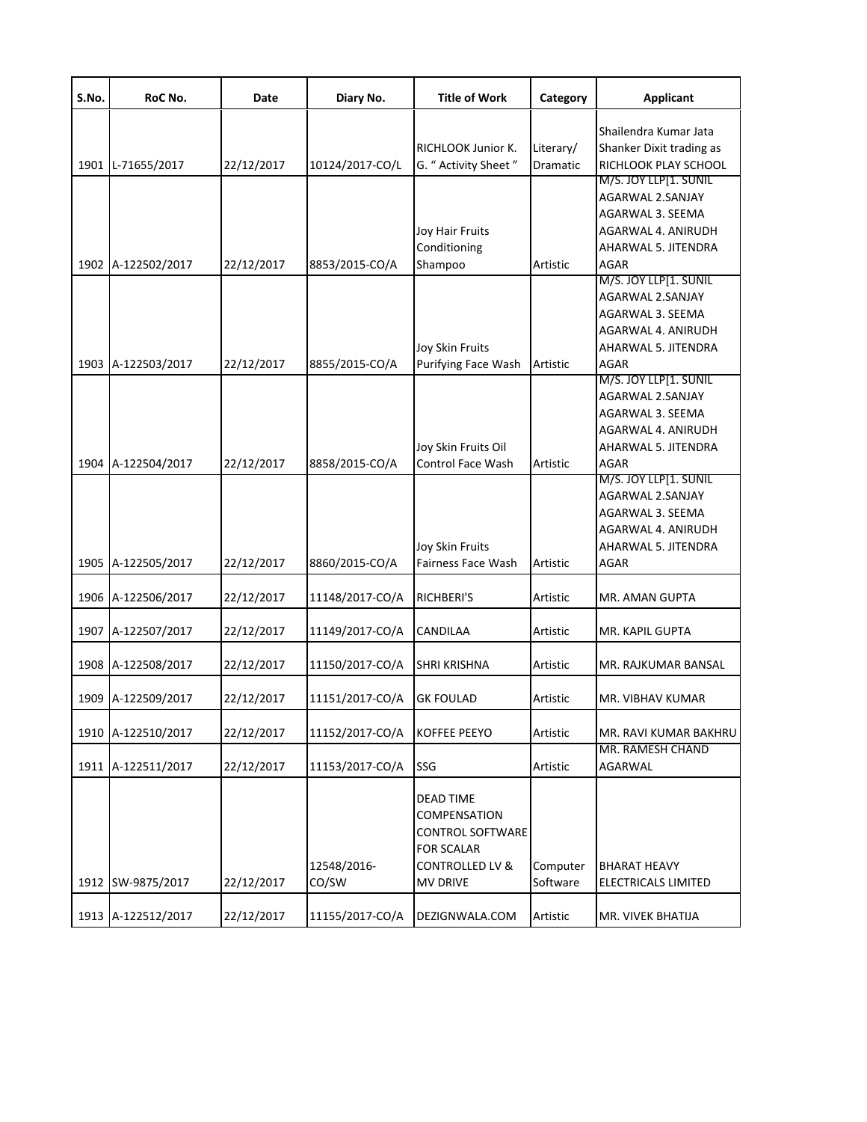| S.No. | RoC No.                                  | Date                     | Diary No.                        | <b>Title of Work</b>                                                                                                       | Category              | <b>Applicant</b>                                                                                                                  |
|-------|------------------------------------------|--------------------------|----------------------------------|----------------------------------------------------------------------------------------------------------------------------|-----------------------|-----------------------------------------------------------------------------------------------------------------------------------|
|       | 1901 L-71655/2017                        | 22/12/2017               | 10124/2017-CO/L                  | RICHLOOK Junior K.<br>G. " Activity Sheet "                                                                                | Literary/<br>Dramatic | Shailendra Kumar Jata<br>Shanker Dixit trading as<br>RICHLOOK PLAY SCHOOL                                                         |
|       | 1902 A-122502/2017                       | 22/12/2017               | 8853/2015-CO/A                   | <b>Joy Hair Fruits</b><br>Conditioning<br>Shampoo                                                                          | Artistic              | M/S. JOY LLP[1. SUNIL<br>AGARWAL 2.SANJAY<br>AGARWAL 3. SEEMA<br><b>AGARWAL 4. ANIRUDH</b><br>AHARWAL 5. JITENDRA<br>AGAR         |
|       |                                          |                          |                                  | Joy Skin Fruits                                                                                                            |                       | M/S. JOY LLP[1. SUNIL<br>AGARWAL 2.SANJAY<br>AGARWAL 3. SEEMA<br>AGARWAL 4. ANIRUDH<br>AHARWAL 5. JITENDRA                        |
|       | 1903 A-122503/2017<br>1904 A-122504/2017 | 22/12/2017<br>22/12/2017 | 8855/2015-CO/A<br>8858/2015-CO/A | Purifying Face Wash<br>Joy Skin Fruits Oil<br><b>Control Face Wash</b>                                                     | Artistic<br>Artistic  | AGAR<br>M/S. JOY LLP[1. SUNIL<br>AGARWAL 2.SANJAY<br><b>AGARWAL 3. SEEMA</b><br>AGARWAL 4. ANIRUDH<br>AHARWAL 5. JITENDRA<br>AGAR |
|       | 1905 A-122505/2017                       | 22/12/2017               | 8860/2015-CO/A                   | Joy Skin Fruits<br>Fairness Face Wash                                                                                      | Artistic              | M/S. JOY LLP[1. SUNIL<br>AGARWAL 2.SANJAY<br>AGARWAL 3. SEEMA<br>AGARWAL 4. ANIRUDH<br>AHARWAL 5. JITENDRA<br>AGAR                |
|       | 1906 A-122506/2017                       | 22/12/2017               | 11148/2017-CO/A                  | RICHBERI'S                                                                                                                 | Artistic              | MR. AMAN GUPTA                                                                                                                    |
|       | 1907 A-122507/2017                       | 22/12/2017               | 11149/2017-CO/A                  | CANDILAA                                                                                                                   | Artistic              | MR. KAPIL GUPTA                                                                                                                   |
|       | 1908 A-122508/2017                       | 22/12/2017               | 11150/2017-CO/A                  | <b>SHRI KRISHNA</b>                                                                                                        | Artistic              | MR. RAJKUMAR BANSAL                                                                                                               |
|       | 1909 A-122509/2017                       | 22/12/2017               | 11151/2017-CO/A                  | <b>GK FOULAD</b>                                                                                                           | Artistic              | MR. VIBHAV KUMAR                                                                                                                  |
|       | 1910 A-122510/2017                       | 22/12/2017               | 11152/2017-CO/A                  | <b>KOFFEE PEEYO</b>                                                                                                        | Artistic              | MR. RAVI KUMAR BAKHRU                                                                                                             |
|       | 1911 A-122511/2017                       | 22/12/2017               | 11153/2017-CO/A                  | SSG                                                                                                                        | Artistic              | MR. RAMESH CHAND<br>AGARWAL                                                                                                       |
|       | 1912 SW-9875/2017                        | 22/12/2017               | 12548/2016-<br>CO/SW             | DEAD TIME<br>COMPENSATION<br><b>CONTROL SOFTWARE</b><br><b>FOR SCALAR</b><br><b>CONTROLLED LV &amp;</b><br><b>MV DRIVE</b> | Computer<br>Software  | <b>BHARAT HEAVY</b><br><b>ELECTRICALS LIMITED</b>                                                                                 |
|       | 1913 A-122512/2017                       | 22/12/2017               | 11155/2017-CO/A                  | DEZIGNWALA.COM                                                                                                             | Artistic              | MR. VIVEK BHATIJA                                                                                                                 |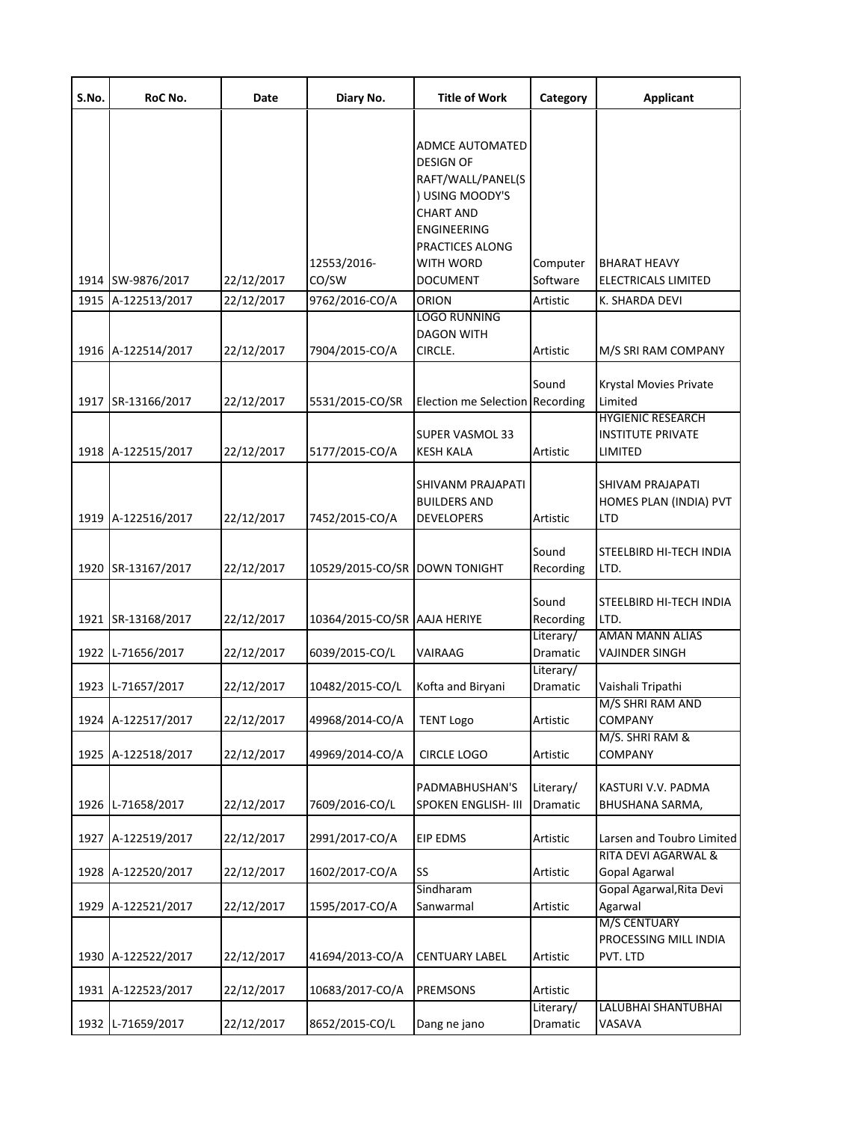| S.No. | RoC No.            | Date       | Diary No.                     | <b>Title of Work</b>                                                                                                                                                                   | Category              | <b>Applicant</b>                                                |
|-------|--------------------|------------|-------------------------------|----------------------------------------------------------------------------------------------------------------------------------------------------------------------------------------|-----------------------|-----------------------------------------------------------------|
|       | 1914 SW-9876/2017  | 22/12/2017 | 12553/2016-<br>CO/SW          | ADMCE AUTOMATED<br><b>DESIGN OF</b><br>RAFT/WALL/PANEL(S<br>) USING MOODY'S<br><b>CHART AND</b><br><b>ENGINEERING</b><br><b>PRACTICES ALONG</b><br><b>WITH WORD</b><br><b>DOCUMENT</b> | Computer<br>Software  | <b>BHARAT HEAVY</b><br>ELECTRICALS LIMITED                      |
| 1915  | A-122513/2017      | 22/12/2017 | 9762/2016-CO/A                | ORION                                                                                                                                                                                  | Artistic              | K. SHARDA DEVI                                                  |
|       | 1916 A-122514/2017 | 22/12/2017 | 7904/2015-CO/A                | <b>LOGO RUNNING</b><br><b>DAGON WITH</b><br>CIRCLE.                                                                                                                                    | Artistic              | M/S SRI RAM COMPANY                                             |
|       | 1917 SR-13166/2017 | 22/12/2017 | 5531/2015-CO/SR               | Election me Selection Recording                                                                                                                                                        | Sound                 | Krystal Movies Private<br>Limited                               |
|       | 1918 A-122515/2017 | 22/12/2017 | 5177/2015-CO/A                | <b>SUPER VASMOL 33</b><br><b>KESH KALA</b>                                                                                                                                             | Artistic              | <b>HYGIENIC RESEARCH</b><br><b>INSTITUTE PRIVATE</b><br>LIMITED |
|       | 1919 A-122516/2017 | 22/12/2017 | 7452/2015-CO/A                | SHIVANM PRAJAPATI<br><b>BUILDERS AND</b><br><b>DEVELOPERS</b>                                                                                                                          | Artistic              | SHIVAM PRAJAPATI<br>HOMES PLAN (INDIA) PVT<br><b>LTD</b>        |
|       | 1920 SR-13167/2017 | 22/12/2017 | 10529/2015-CO/SR DOWN TONIGHT |                                                                                                                                                                                        | Sound<br>Recording    | STEELBIRD HI-TECH INDIA<br>LTD.                                 |
|       | 1921 SR-13168/2017 | 22/12/2017 | 10364/2015-CO/SR AAJA HERIYE  |                                                                                                                                                                                        | Sound<br>Recording    | STEELBIRD HI-TECH INDIA<br>LTD.                                 |
| 1922  | L-71656/2017       | 22/12/2017 | 6039/2015-CO/L                | VAIRAAG                                                                                                                                                                                | Literary/<br>Dramatic | <b>AMAN MANN ALIAS</b><br>VAJINDER SINGH                        |
|       | 1923 L-71657/2017  | 22/12/2017 | 10482/2015-CO/L               | Kofta and Biryani                                                                                                                                                                      | Literary/<br>Dramatic | Vaishali Tripathi<br>M/S SHRI RAM AND                           |
|       | 1924 A-122517/2017 | 22/12/2017 | 49968/2014-CO/A               | <b>TENT Logo</b>                                                                                                                                                                       | Artistic              | <b>COMPANY</b>                                                  |
| 1925  | A-122518/2017      | 22/12/2017 | 49969/2014-CO/A               | <b>CIRCLE LOGO</b>                                                                                                                                                                     | Artistic              | M/S. SHRI RAM &<br>COMPANY                                      |
|       | 1926 L-71658/2017  | 22/12/2017 | 7609/2016-CO/L                | PADMABHUSHAN'S<br><b>SPOKEN ENGLISH- III</b>                                                                                                                                           | Literary/<br>Dramatic | KASTURI V.V. PADMA<br>BHUSHANA SARMA,                           |
|       | 1927 A-122519/2017 | 22/12/2017 | 2991/2017-CO/A                | <b>EIP EDMS</b>                                                                                                                                                                        | Artistic              | Larsen and Toubro Limited                                       |
|       | 1928 A-122520/2017 | 22/12/2017 | 1602/2017-CO/A                | SS<br>Sindharam                                                                                                                                                                        | Artistic              | <b>RITA DEVI AGARWAL &amp;</b><br>Gopal Agarwal                 |
|       | 1929 A-122521/2017 | 22/12/2017 | 1595/2017-CO/A                | Sanwarmal                                                                                                                                                                              | Artistic              | Gopal Agarwal, Rita Devi<br>Agarwal                             |
|       | 1930 A-122522/2017 | 22/12/2017 | 41694/2013-CO/A               | <b>CENTUARY LABEL</b>                                                                                                                                                                  | Artistic              | M/S CENTUARY<br>PROCESSING MILL INDIA<br>PVT. LTD               |
|       | 1931 A-122523/2017 | 22/12/2017 | 10683/2017-CO/A               | <b>PREMSONS</b>                                                                                                                                                                        | Artistic              |                                                                 |
|       | 1932 L-71659/2017  | 22/12/2017 | 8652/2015-CO/L                | Dang ne jano                                                                                                                                                                           | Literary/<br>Dramatic | LALUBHAI SHANTUBHAI<br>VASAVA                                   |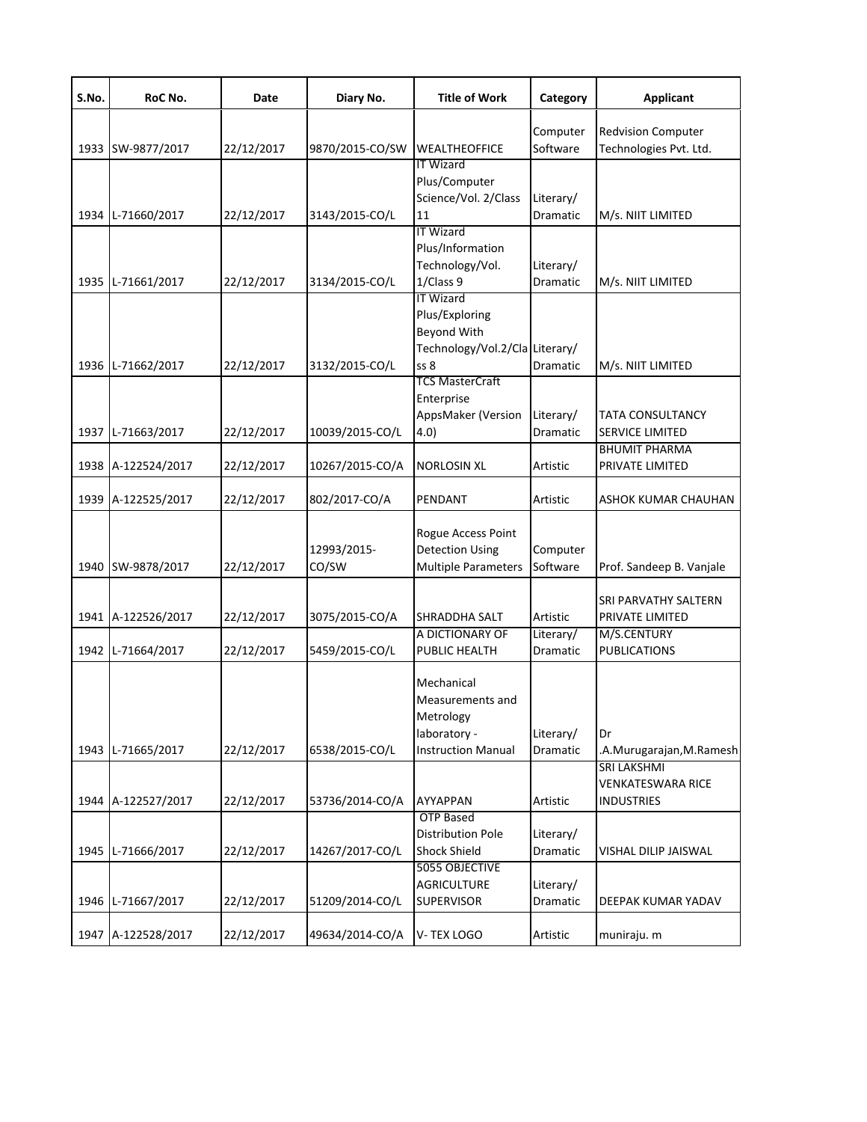| S.No. | RoC No.            | Date       | Diary No.            | <b>Title of Work</b>                                                                                     | Category              | <b>Applicant</b>                                             |
|-------|--------------------|------------|----------------------|----------------------------------------------------------------------------------------------------------|-----------------------|--------------------------------------------------------------|
|       | 1933 SW-9877/2017  | 22/12/2017 | 9870/2015-CO/SW      | <b>WEALTHEOFFICE</b>                                                                                     | Computer<br>Software  | <b>Redvision Computer</b><br>Technologies Pvt. Ltd.          |
|       | 1934 L-71660/2017  | 22/12/2017 | 3143/2015-CO/L       | <b>IT Wizard</b><br>Plus/Computer<br>Science/Vol. 2/Class<br>11                                          | Literary/<br>Dramatic | M/s. NIIT LIMITED                                            |
|       |                    |            |                      | <b>IT Wizard</b><br>Plus/Information<br>Technology/Vol.                                                  | Literary/             |                                                              |
|       | 1935 L-71661/2017  | 22/12/2017 | 3134/2015-CO/L       | 1/Class 9<br><b>IT Wizard</b>                                                                            | <b>Dramatic</b>       | M/s. NIIT LIMITED                                            |
|       | 1936 L-71662/2017  | 22/12/2017 | 3132/2015-CO/L       | Plus/Exploring<br><b>Beyond With</b><br>Technology/Vol.2/Cla Literary/<br>ss 8<br><b>TCS MasterCraft</b> | Dramatic              | M/s. NIIT LIMITED                                            |
|       | 1937 L-71663/2017  | 22/12/2017 | 10039/2015-CO/L      | Enterprise<br>AppsMaker (Version<br>(4.0)                                                                | Literary/<br>Dramatic | <b>TATA CONSULTANCY</b><br>SERVICE LIMITED                   |
|       | 1938 A-122524/2017 | 22/12/2017 | 10267/2015-CO/A      | <b>NORLOSIN XL</b>                                                                                       | Artistic              | <b>BHUMIT PHARMA</b><br>PRIVATE LIMITED                      |
|       | 1939 A-122525/2017 | 22/12/2017 | 802/2017-CO/A        | PENDANT                                                                                                  | Artistic              | ASHOK KUMAR CHAUHAN                                          |
|       | 1940 SW-9878/2017  | 22/12/2017 | 12993/2015-<br>CO/SW | Rogue Access Point<br><b>Detection Using</b><br><b>Multiple Parameters</b>                               | Computer<br>Software  | Prof. Sandeep B. Vanjale                                     |
|       | 1941 A-122526/2017 | 22/12/2017 | 3075/2015-CO/A       | <b>SHRADDHA SALT</b>                                                                                     | Artistic              | SRI PARVATHY SALTERN<br>PRIVATE LIMITED                      |
|       | 1942 L-71664/2017  | 22/12/2017 | 5459/2015-CO/L       | A DICTIONARY OF<br>PUBLIC HEALTH                                                                         | Literary/<br>Dramatic | M/S.CENTURY<br><b>PUBLICATIONS</b>                           |
|       | 1943 L-71665/2017  | 22/12/2017 | 6538/2015-CO/L       | Mechanical<br>Measurements and<br>Metrology<br>laboratory -<br><b>Instruction Manual</b>                 | Literary/<br>Dramatic | Dr<br>.A. Murugarajan, M. Ramesh                             |
|       | 1944 A-122527/2017 | 22/12/2017 | 53736/2014-CO/A      | <b>AYYAPPAN</b>                                                                                          | Artistic              | <b>SRI LAKSHMI</b><br>VENKATESWARA RICE<br><b>INDUSTRIES</b> |
|       | 1945 L-71666/2017  | 22/12/2017 | 14267/2017-CO/L      | <b>OTP Based</b><br><b>Distribution Pole</b><br><b>Shock Shield</b>                                      | Literary/<br>Dramatic | VISHAL DILIP JAISWAL                                         |
|       | 1946 L-71667/2017  | 22/12/2017 | 51209/2014-CO/L      | 5055 OBJECTIVE<br><b>AGRICULTURE</b><br><b>SUPERVISOR</b>                                                | Literary/<br>Dramatic | DEEPAK KUMAR YADAV                                           |
|       | 1947 A-122528/2017 | 22/12/2017 | 49634/2014-CO/A      | V-TEX LOGO                                                                                               | Artistic              | muniraju. m                                                  |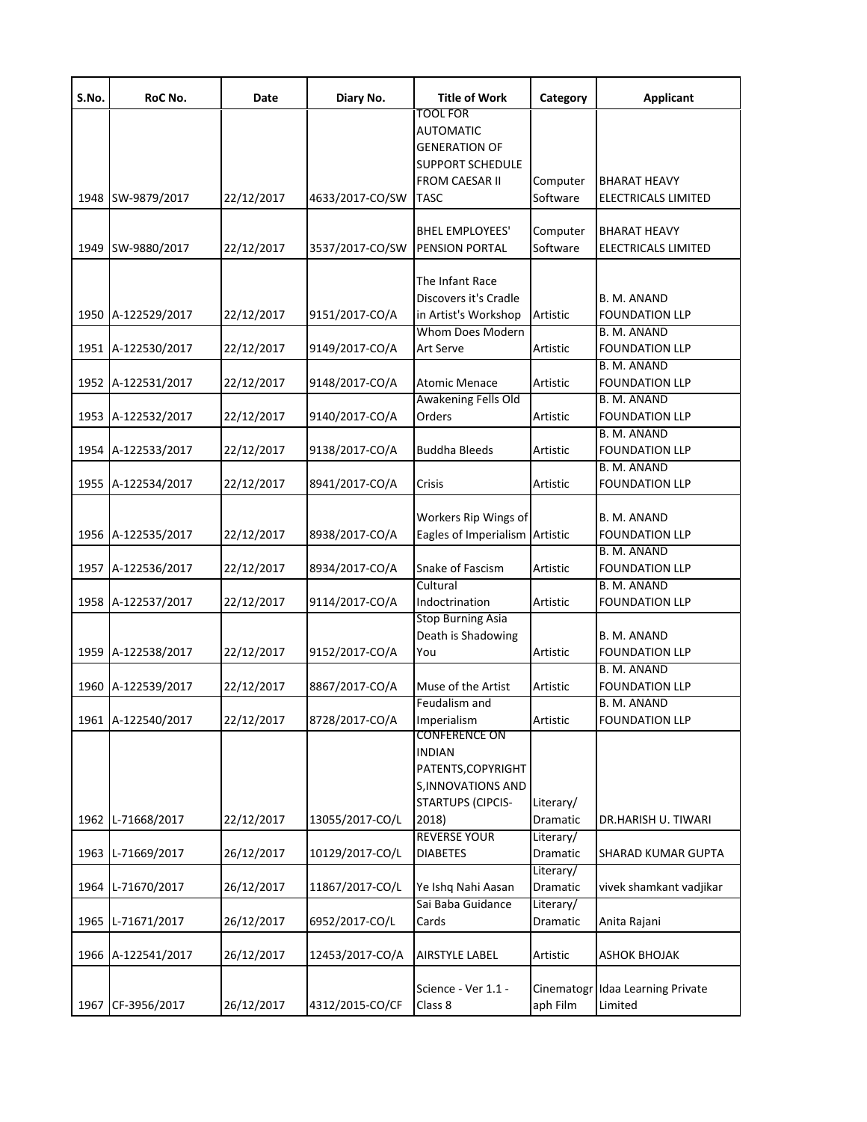| S.No. | RoC No.            | Date       | Diary No.       | <b>Title of Work</b>                  | Category   | <b>Applicant</b>                     |
|-------|--------------------|------------|-----------------|---------------------------------------|------------|--------------------------------------|
|       |                    |            |                 | TOOL FOR<br><b>AUTOMATIC</b>          |            |                                      |
|       |                    |            |                 | <b>GENERATION OF</b>                  |            |                                      |
|       |                    |            |                 | <b>SUPPORT SCHEDULE</b>               |            |                                      |
|       |                    |            |                 | FROM CAESAR II                        | Computer   | <b>BHARAT HEAVY</b>                  |
| 1948  | SW-9879/2017       | 22/12/2017 | 4633/2017-CO/SW | <b>TASC</b>                           | Software   | ELECTRICALS LIMITED                  |
|       |                    |            |                 | <b>BHEL EMPLOYEES'</b>                | Computer   | <b>BHARAT HEAVY</b>                  |
| 1949  | SW-9880/2017       | 22/12/2017 | 3537/2017-CO/SW | PENSION PORTAL                        | Software   | ELECTRICALS LIMITED                  |
|       |                    |            |                 |                                       |            |                                      |
|       |                    |            |                 | The Infant Race                       |            |                                      |
|       |                    |            |                 | Discovers it's Cradle                 |            | B. M. ANAND                          |
| 1950  | A-122529/2017      | 22/12/2017 | 9151/2017-CO/A  | in Artist's Workshop                  | Artistic   | <b>FOUNDATION LLP</b>                |
|       |                    |            |                 | Whom Does Modern                      |            | B. M. ANAND                          |
| 1951  | A-122530/2017      | 22/12/2017 | 9149/2017-CO/A  | <b>Art Serve</b>                      | Artistic   | <b>FOUNDATION LLP</b>                |
| 1952  | A-122531/2017      |            | 9148/2017-CO/A  | <b>Atomic Menace</b>                  | Artistic   | B. M. ANAND<br><b>FOUNDATION LLP</b> |
|       |                    | 22/12/2017 |                 | Awakening Fells Old                   |            | B. M. ANAND                          |
| 1953  | A-122532/2017      | 22/12/2017 | 9140/2017-CO/A  | Orders                                | Artistic   | <b>FOUNDATION LLP</b>                |
|       |                    |            |                 |                                       |            | B. M. ANAND                          |
| 1954  | A-122533/2017      | 22/12/2017 | 9138/2017-CO/A  | <b>Buddha Bleeds</b>                  | Artistic   | <b>FOUNDATION LLP</b>                |
|       |                    |            |                 |                                       |            | B. M. ANAND                          |
| 1955  | A-122534/2017      | 22/12/2017 | 8941/2017-CO/A  | Crisis                                | Artistic   | <b>FOUNDATION LLP</b>                |
|       |                    |            |                 |                                       |            |                                      |
|       |                    |            |                 | Workers Rip Wings of                  |            | B. M. ANAND                          |
| 1956  | A-122535/2017      | 22/12/2017 | 8938/2017-CO/A  | Eagles of Imperialism                 | Artistic   | <b>FOUNDATION LLP</b>                |
|       |                    |            |                 |                                       |            | B. M. ANAND                          |
| 1957  | A-122536/2017      | 22/12/2017 | 8934/2017-CO/A  | Snake of Fascism<br>Cultural          | Artistic   | <b>FOUNDATION LLP</b><br>B. M. ANAND |
| 1958  | A-122537/2017      | 22/12/2017 | 9114/2017-CO/A  | Indoctrination                        | Artistic   | <b>FOUNDATION LLP</b>                |
|       |                    |            |                 | <b>Stop Burning Asia</b>              |            |                                      |
|       |                    |            |                 | Death is Shadowing                    |            | B. M. ANAND                          |
| 1959  | A-122538/2017      | 22/12/2017 | 9152/2017-CO/A  | You                                   | Artistic   | <b>FOUNDATION LLP</b>                |
|       |                    |            |                 |                                       |            | B. M. ANAND                          |
| 1960  | A-122539/2017      | 22/12/2017 | 8867/2017-CO/A  | Muse of the Artist                    | Artistic   | <b>FOUNDATION LLP</b>                |
|       |                    |            |                 | Feudalism and                         |            | B. M. ANAND                          |
|       | 1961 A-122540/2017 | 22/12/2017 | 8728/2017-CO/A  | Imperialism                           | Artistic   | <b>FOUNDATION LLP</b>                |
|       |                    |            |                 | <b>CONFERENCE ON</b><br><b>INDIAN</b> |            |                                      |
|       |                    |            |                 | PATENTS, COPYRIGHT                    |            |                                      |
|       |                    |            |                 | <b>S, INNOVATIONS AND</b>             |            |                                      |
|       |                    |            |                 | <b>STARTUPS (CIPCIS-</b>              | Literary/  |                                      |
| 1962  | L-71668/2017       | 22/12/2017 | 13055/2017-CO/L | 2018)                                 | Dramatic   | DR.HARISH U. TIWARI                  |
|       |                    |            |                 | <b>REVERSE YOUR</b>                   | Literary/  |                                      |
| 1963  | L-71669/2017       | 26/12/2017 | 10129/2017-CO/L | <b>DIABETES</b>                       | Dramatic   | SHARAD KUMAR GUPTA                   |
|       |                    |            |                 |                                       | Literary/  |                                      |
| 1964  | L-71670/2017       | 26/12/2017 | 11867/2017-CO/L | Ye Ishq Nahi Aasan                    | Dramatic   | vivek shamkant vadjikar              |
|       |                    |            |                 | Sai Baba Guidance                     | Literary/  |                                      |
| 1965  | L-71671/2017       | 26/12/2017 | 6952/2017-CO/L  | Cards                                 | Dramatic   | Anita Rajani                         |
| 1966  | A-122541/2017      | 26/12/2017 | 12453/2017-CO/A | <b>AIRSTYLE LABEL</b>                 | Artistic   | <b>ASHOK BHOJAK</b>                  |
|       |                    |            |                 |                                       |            |                                      |
|       |                    |            |                 | Science - Ver 1.1 -                   | Cinematogr | Idaa Learning Private                |
| 1967  | CF-3956/2017       | 26/12/2017 | 4312/2015-CO/CF | Class 8                               | aph Film   | Limited                              |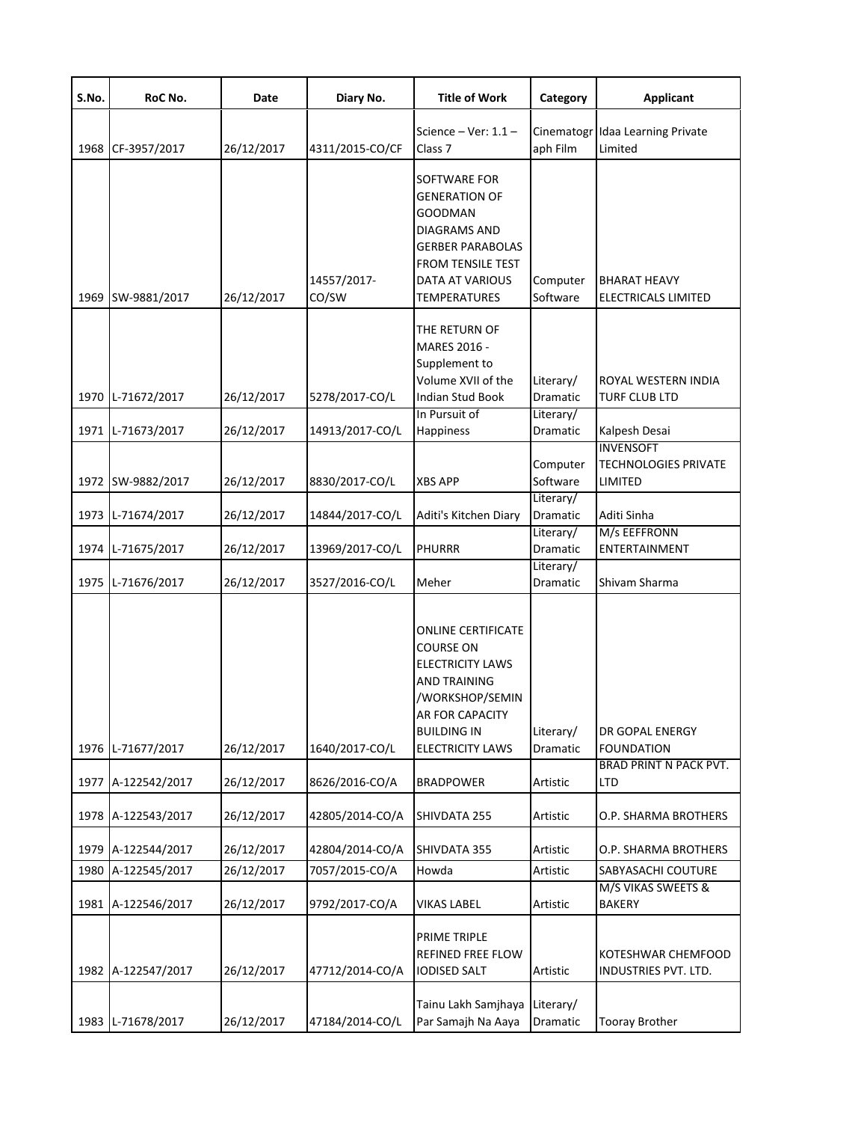| S.No. | RoC No.            | Date       | Diary No.            | <b>Title of Work</b>                                                                                                                                                                   | Category               | <b>Applicant</b>                                           |
|-------|--------------------|------------|----------------------|----------------------------------------------------------------------------------------------------------------------------------------------------------------------------------------|------------------------|------------------------------------------------------------|
| 1968  | CF-3957/2017       | 26/12/2017 | 4311/2015-CO/CF      | Science - Ver: $1.1$ -<br>Class <sub>7</sub>                                                                                                                                           | Cinematogi<br>aph Film | Idaa Learning Private<br>Limited                           |
| 1969  | SW-9881/2017       | 26/12/2017 | 14557/2017-<br>CO/SW | SOFTWARE FOR<br><b>GENERATION OF</b><br><b>GOODMAN</b><br>DIAGRAMS AND<br><b>GERBER PARABOLAS</b><br>FROM TENSILE TEST<br>DATA AT VARIOUS<br><b>TEMPERATURES</b>                       | Computer<br>Software   | <b>BHARAT HEAVY</b><br>ELECTRICALS LIMITED                 |
|       | 1970 L-71672/2017  | 26/12/2017 | 5278/2017-CO/L       | THE RETURN OF<br>MARES 2016 -<br>Supplement to<br>Volume XVII of the<br>Indian Stud Book                                                                                               | Literary/<br>Dramatic  | ROYAL WESTERN INDIA<br>TURF CLUB LTD                       |
|       | 1971 L-71673/2017  | 26/12/2017 | 14913/2017-CO/L      | In Pursuit of<br>Happiness                                                                                                                                                             | Literary/<br>Dramatic  | Kalpesh Desai                                              |
|       | 1972 SW-9882/2017  | 26/12/2017 | 8830/2017-CO/L       | <b>XBS APP</b>                                                                                                                                                                         | Computer<br>Software   | <b>INVENSOFT</b><br><b>TECHNOLOGIES PRIVATE</b><br>LIMITED |
|       | 1973 L-71674/2017  | 26/12/2017 | 14844/2017-CO/L      | Aditi's Kitchen Diary                                                                                                                                                                  | Literary/<br>Dramatic  | Aditi Sinha                                                |
|       | 1974 L-71675/2017  | 26/12/2017 | 13969/2017-CO/L      | <b>PHURRR</b>                                                                                                                                                                          | Literary/<br>Dramatic  | M/s EEFFRONN<br>ENTERTAINMENT                              |
|       | 1975 L-71676/2017  | 26/12/2017 | 3527/2016-CO/L       | Meher                                                                                                                                                                                  | Literary/<br>Dramatic  | Shivam Sharma                                              |
|       | 1976 L-71677/2017  | 26/12/2017 | 1640/2017-CO/L       | <b>ONLINE CERTIFICATE</b><br><b>COURSE ON</b><br><b>ELECTRICITY LAWS</b><br><b>AND TRAINING</b><br>/WORKSHOP/SEMIN<br>AR FOR CAPACITY<br><b>BUILDING IN</b><br><b>ELECTRICITY LAWS</b> | Literary/<br>Dramatic  | DR GOPAL ENERGY<br><b>FOUNDATION</b>                       |
| 1977  | A-122542/2017      | 26/12/2017 | 8626/2016-CO/A       | <b>BRADPOWER</b>                                                                                                                                                                       | Artistic               | BRAD PRINT N PACK PVT.<br>LTD                              |
|       | 1978 A-122543/2017 | 26/12/2017 | 42805/2014-CO/A      | SHIVDATA 255                                                                                                                                                                           | Artistic               | O.P. SHARMA BROTHERS                                       |
| 1979  | A-122544/2017      | 26/12/2017 | 42804/2014-CO/A      | SHIVDATA 355                                                                                                                                                                           | Artistic               | O.P. SHARMA BROTHERS                                       |
| 1980  | A-122545/2017      | 26/12/2017 | 7057/2015-CO/A       | Howda                                                                                                                                                                                  | Artistic               | SABYASACHI COUTURE                                         |
|       | 1981 A-122546/2017 | 26/12/2017 | 9792/2017-CO/A       | <b>VIKAS LABEL</b>                                                                                                                                                                     | Artistic               | M/S VIKAS SWEETS &<br><b>BAKERY</b>                        |
|       | 1982 A-122547/2017 | 26/12/2017 | 47712/2014-CO/A      | PRIME TRIPLE<br>REFINED FREE FLOW<br><b>IODISED SALT</b>                                                                                                                               | Artistic               | KOTESHWAR CHEMFOOD<br>INDUSTRIES PVT. LTD.                 |
|       | 1983 L-71678/2017  | 26/12/2017 | 47184/2014-CO/L      | Tainu Lakh Samjhaya<br>Par Samajh Na Aaya                                                                                                                                              | Literary/<br>Dramatic  | <b>Tooray Brother</b>                                      |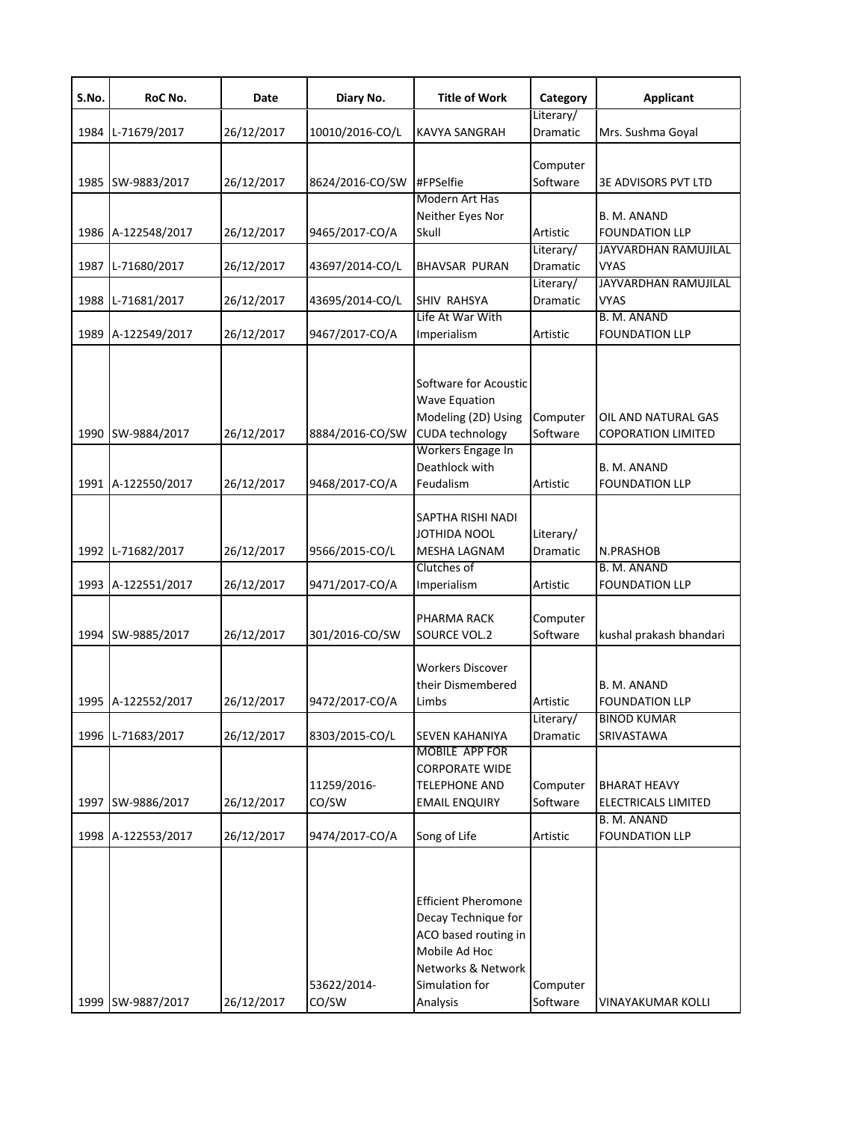| S.No. | RoC No.            | Date       | Diary No.            | <b>Title of Work</b>                                                                                                                           | Category              | <b>Applicant</b>                                  |
|-------|--------------------|------------|----------------------|------------------------------------------------------------------------------------------------------------------------------------------------|-----------------------|---------------------------------------------------|
| 1984  | L-71679/2017       | 26/12/2017 | 10010/2016-CO/L      | <b>KAVYA SANGRAH</b>                                                                                                                           | Literary/<br>Dramatic | Mrs. Sushma Goyal                                 |
| 1985  | SW-9883/2017       | 26/12/2017 | 8624/2016-CO/SW      | #FPSelfie                                                                                                                                      | Computer<br>Software  | 3E ADVISORS PVT LTD                               |
|       | 1986 A-122548/2017 | 26/12/2017 | 9465/2017-CO/A       | Modern Art Has<br>Neither Eyes Nor<br>Skull                                                                                                    | Artistic              | B. M. ANAND<br><b>FOUNDATION LLP</b>              |
| 1987  | L-71680/2017       | 26/12/2017 | 43697/2014-CO/L      | <b>BHAVSAR PURAN</b>                                                                                                                           | Literary/<br>Dramatic | JAYVARDHAN RAMUJILAL<br><b>VYAS</b>               |
| 1988  | L-71681/2017       | 26/12/2017 | 43695/2014-CO/L      | <b>SHIV RAHSYA</b>                                                                                                                             | Literary/<br>Dramatic | JAYVARDHAN RAMUJILAL<br><b>VYAS</b>               |
|       | 1989 A-122549/2017 | 26/12/2017 | 9467/2017-CO/A       | Life At War With<br>Imperialism                                                                                                                | Artistic              | <b>B. M. ANAND</b><br><b>FOUNDATION LLP</b>       |
| 1990  | SW-9884/2017       | 26/12/2017 | 8884/2016-CO/SW      | Software for Acoustic<br><b>Wave Equation</b><br>Modeling (2D) Using<br><b>CUDA</b> technology                                                 | Computer<br>Software  | OIL AND NATURAL GAS<br><b>COPORATION LIMITED</b>  |
|       | 1991 A-122550/2017 | 26/12/2017 | 9468/2017-CO/A       | Workers Engage In<br>Deathlock with<br>Feudalism                                                                                               | Artistic              | B. M. ANAND<br><b>FOUNDATION LLP</b>              |
| 1992  | L-71682/2017       | 26/12/2017 | 9566/2015-CO/L       | SAPTHA RISHI NADI<br>JOTHIDA NOOL<br>MESHA LAGNAM                                                                                              | Literary/<br>Dramatic | N.PRASHOB                                         |
| 1993  | A-122551/2017      | 26/12/2017 | 9471/2017-CO/A       | Clutches of<br>Imperialism                                                                                                                     | Artistic              | B. M. ANAND<br><b>FOUNDATION LLP</b>              |
| 1994  | SW-9885/2017       | 26/12/2017 | 301/2016-CO/SW       | PHARMA RACK<br>SOURCE VOL.2                                                                                                                    | Computer<br>Software  | kushal prakash bhandari                           |
|       | 1995 A-122552/2017 | 26/12/2017 | 9472/2017-CO/A       | <b>Workers Discover</b><br>their Dismembered<br>Limbs                                                                                          | Artistic              | B. M. ANAND<br><b>FOUNDATION LLP</b>              |
| 1996  | L-71683/2017       | 26/12/2017 | 8303/2015-CO/L       | <b>SEVEN KAHANIYA</b>                                                                                                                          | Literary/<br>Dramatic | <b>BINOD KUMAR</b><br>SRIVASTAWA                  |
| 1997  | SW-9886/2017       | 26/12/2017 | 11259/2016-<br>CO/SW | <b>MOBILE APP FOR</b><br><b>CORPORATE WIDE</b><br><b>TELEPHONE AND</b><br><b>EMAIL ENQUIRY</b>                                                 | Computer<br>Software  | <b>BHARAT HEAVY</b><br><b>ELECTRICALS LIMITED</b> |
|       | 1998 A-122553/2017 | 26/12/2017 | 9474/2017-CO/A       | Song of Life                                                                                                                                   | Artistic              | B. M. ANAND<br><b>FOUNDATION LLP</b>              |
| 1999  | SW-9887/2017       | 26/12/2017 | 53622/2014-<br>CO/SW | <b>Efficient Pheromone</b><br>Decay Technique for<br>ACO based routing in<br>Mobile Ad Hoc<br>Networks & Network<br>Simulation for<br>Analysis | Computer<br>Software  | VINAYAKUMAR KOLLI                                 |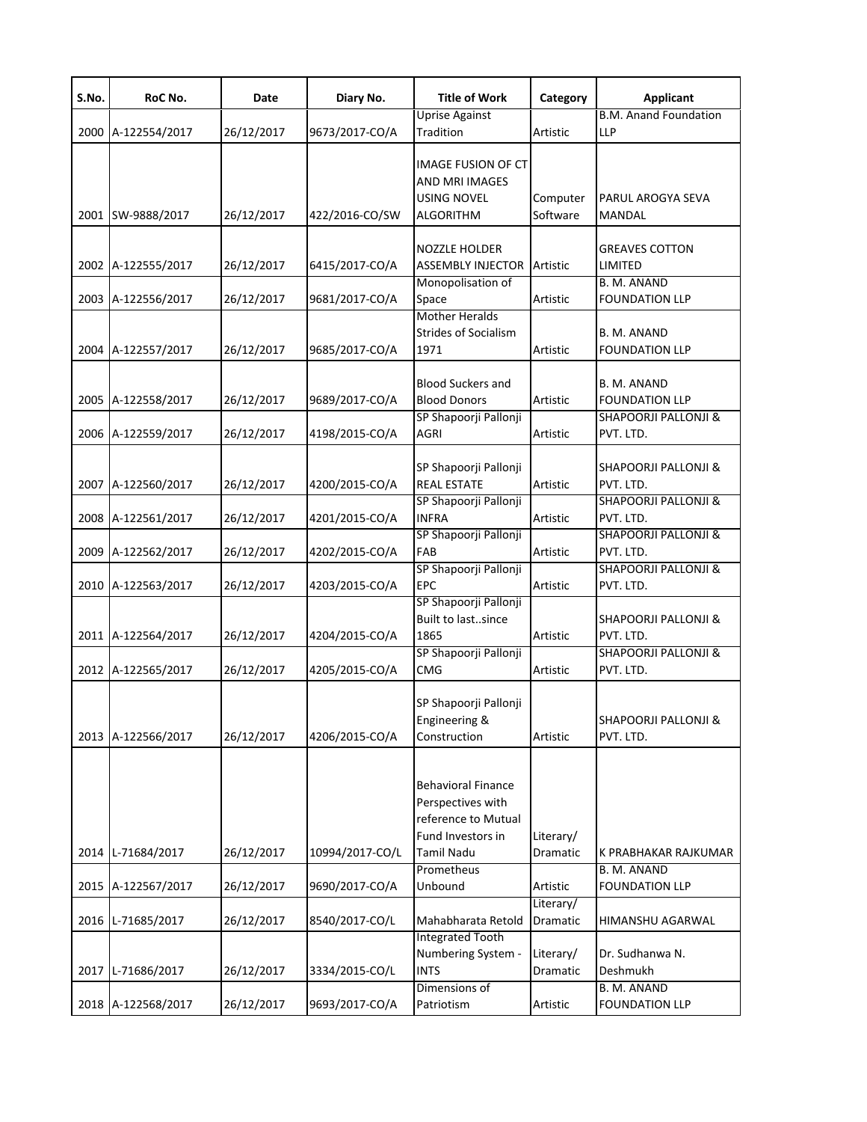| S.No. | RoC No.            | Date       | Diary No.       | <b>Title of Work</b>                                                                              | Category              | <b>Applicant</b>                                                        |
|-------|--------------------|------------|-----------------|---------------------------------------------------------------------------------------------------|-----------------------|-------------------------------------------------------------------------|
|       | 2000 A-122554/2017 | 26/12/2017 | 9673/2017-CO/A  | <b>Uprise Against</b><br>Tradition                                                                | Artistic              | <b>B.M. Anand Foundation</b><br><b>LLP</b>                              |
|       | 2001 SW-9888/2017  | 26/12/2017 | 422/2016-CO/SW  | <b>IMAGE FUSION OF CT</b><br>AND MRI IMAGES<br><b>USING NOVEL</b><br><b>ALGORITHM</b>             | Computer<br>Software  | PARUL AROGYA SEVA<br>MANDAL                                             |
|       | 2002 A-122555/2017 | 26/12/2017 | 6415/2017-CO/A  | <b>NOZZLE HOLDER</b><br><b>ASSEMBLY INJECTOR</b>                                                  | Artistic              | <b>GREAVES COTTON</b><br>LIMITED                                        |
|       | 2003 A-122556/2017 | 26/12/2017 | 9681/2017-CO/A  | Monopolisation of<br>Space                                                                        | Artistic              | B. M. ANAND<br><b>FOUNDATION LLP</b>                                    |
|       | 2004 A-122557/2017 | 26/12/2017 | 9685/2017-CO/A  | <b>Mother Heralds</b><br><b>Strides of Socialism</b><br>1971                                      | Artistic              | B. M. ANAND<br><b>FOUNDATION LLP</b>                                    |
|       | 2005 A-122558/2017 | 26/12/2017 | 9689/2017-CO/A  | <b>Blood Suckers and</b><br><b>Blood Donors</b><br>SP Shapoorji Pallonji                          | Artistic              | B. M. ANAND<br><b>FOUNDATION LLP</b><br><b>SHAPOORJI PALLONJI &amp;</b> |
|       | 2006 A-122559/2017 | 26/12/2017 | 4198/2015-CO/A  | AGRI                                                                                              | Artistic              | PVT. LTD.                                                               |
|       | 2007 A-122560/2017 | 26/12/2017 | 4200/2015-CO/A  | SP Shapoorji Pallonji<br><b>REAL ESTATE</b>                                                       | Artistic              | <b>SHAPOORJI PALLONJI &amp;</b><br>PVT. LTD.                            |
|       | 2008 A-122561/2017 | 26/12/2017 | 4201/2015-CO/A  | SP Shapoorji Pallonji<br><b>INFRA</b>                                                             | Artistic              | <b>SHAPOORJI PALLONJI &amp;</b><br>PVT. LTD.                            |
|       | 2009 A-122562/2017 | 26/12/2017 | 4202/2015-CO/A  | SP Shapoorji Pallonji<br>FAB                                                                      | Artistic              | <b>SHAPOORJI PALLONJI &amp;</b><br>PVT. LTD.                            |
|       | 2010 A-122563/2017 | 26/12/2017 | 4203/2015-CO/A  | SP Shapoorji Pallonji<br>EPC                                                                      | Artistic              | <b>SHAPOORJI PALLONJI &amp;</b><br>PVT. LTD.                            |
|       | 2011 A-122564/2017 | 26/12/2017 | 4204/2015-CO/A  | SP Shapoorji Pallonji<br>Built to lastsince<br>1865                                               | Artistic              | <b>SHAPOORJI PALLONJI &amp;</b><br>PVT. LTD.                            |
|       | 2012 A-122565/2017 | 26/12/2017 | 4205/2015-CO/A  | SP Shapoorji Pallonji<br><b>CMG</b>                                                               | Artistic              | <b>SHAPOORJI PALLONJI &amp;</b><br>PVT. LTD.                            |
|       | 2013 A-122566/2017 | 26/12/2017 | 4206/2015-CO/A  | SP Shapoorji Pallonji<br>Engineering &<br>Construction                                            | Artistic              | <b>SHAPOORJI PALLONJI &amp;</b><br>PVT. LTD.                            |
|       | 2014 L-71684/2017  | 26/12/2017 | 10994/2017-CO/L | Behavioral Finance<br>Perspectives with<br>reference to Mutual<br>Fund Investors in<br>Tamil Nadu | Literary/<br>Dramatic | K PRABHAKAR RAJKUMAR                                                    |
|       |                    |            |                 | Prometheus                                                                                        |                       | B. M. ANAND                                                             |
|       | 2015 A-122567/2017 | 26/12/2017 | 9690/2017-CO/A  | Unbound                                                                                           | Artistic<br>Literary/ | <b>FOUNDATION LLP</b>                                                   |
|       | 2016 L-71685/2017  | 26/12/2017 | 8540/2017-CO/L  | Mahabharata Retold<br><b>Integrated Tooth</b>                                                     | Dramatic              | HIMANSHU AGARWAL                                                        |
|       | 2017 L-71686/2017  | 26/12/2017 | 3334/2015-CO/L  | Numbering System -<br>INTS                                                                        | Literary/<br>Dramatic | Dr. Sudhanwa N.<br>Deshmukh                                             |
|       | 2018 A-122568/2017 | 26/12/2017 | 9693/2017-CO/A  | Dimensions of<br>Patriotism                                                                       | Artistic              | B. M. ANAND<br><b>FOUNDATION LLP</b>                                    |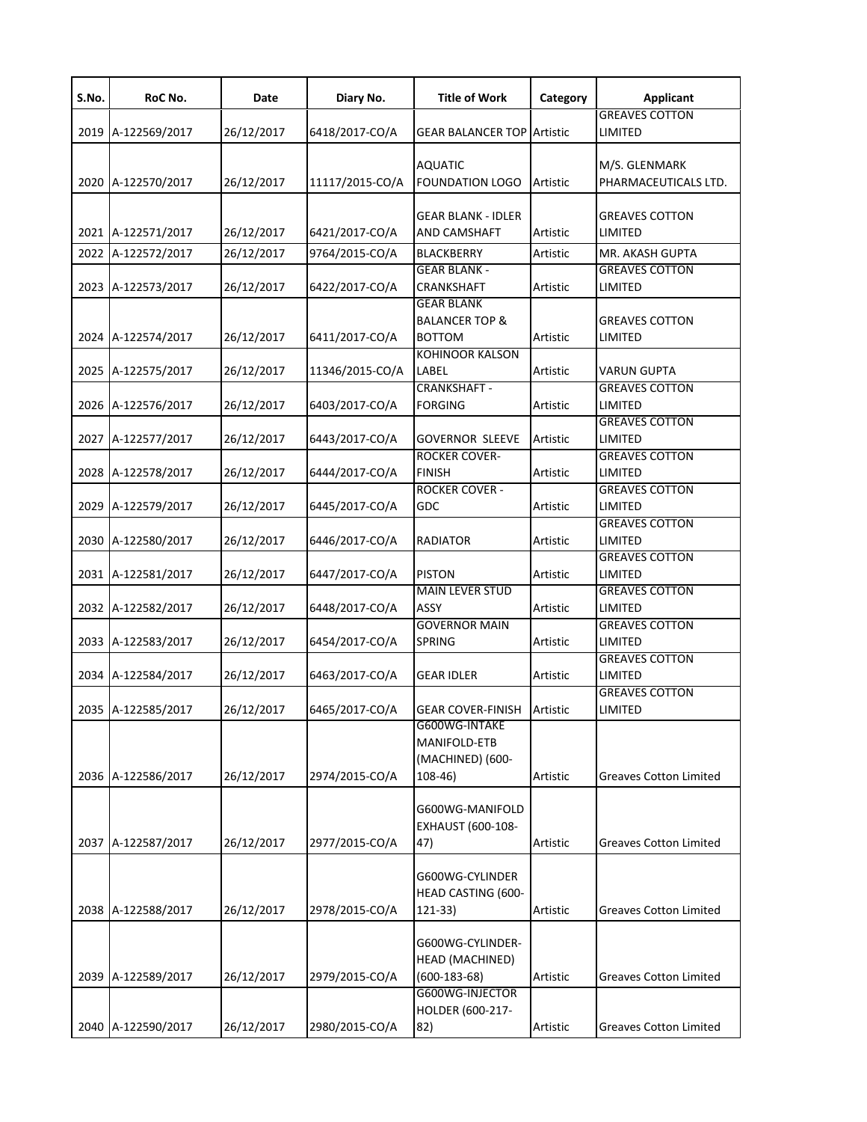| S.No. | RoC No.            | Date       | Diary No.       | <b>Title of Work</b>                                            | Category | <b>Applicant</b>                      |
|-------|--------------------|------------|-----------------|-----------------------------------------------------------------|----------|---------------------------------------|
| 2019  | A-122569/2017      | 26/12/2017 | 6418/2017-CO/A  | <b>GEAR BALANCER TOP Artistic</b>                               |          | <b>GREAVES COTTON</b><br>LIMITED      |
| 2020  | A-122570/2017      | 26/12/2017 | 11117/2015-CO/A | <b>AQUATIC</b><br><b>FOUNDATION LOGO</b>                        | Artistic | M/S. GLENMARK<br>PHARMACEUTICALS LTD. |
| 2021  | A-122571/2017      | 26/12/2017 | 6421/2017-CO/A  | <b>GEAR BLANK - IDLER</b><br><b>AND CAMSHAFT</b>                | Artistic | <b>GREAVES COTTON</b><br>LIMITED      |
| 2022  | A-122572/2017      | 26/12/2017 | 9764/2015-CO/A  | <b>BLACKBERRY</b>                                               | Artistic | MR. AKASH GUPTA                       |
| 2023  | A-122573/2017      | 26/12/2017 | 6422/2017-CO/A  | <b>GEAR BLANK -</b><br>CRANKSHAFT                               | Artistic | GREAVES COTTON<br>LIMITED             |
| 2024  | A-122574/2017      | 26/12/2017 | 6411/2017-CO/A  | <b>GEAR BLANK</b><br><b>BALANCER TOP &amp;</b><br><b>BOTTOM</b> | Artistic | <b>GREAVES COTTON</b><br>LIMITED      |
| 2025  | A-122575/2017      | 26/12/2017 | 11346/2015-CO/A | <b>KOHINOOR KALSON</b><br>LABEL                                 | Artistic | <b>VARUN GUPTA</b>                    |
| 2026  | A-122576/2017      | 26/12/2017 | 6403/2017-CO/A  | <b>CRANKSHAFT -</b><br><b>FORGING</b>                           | Artistic | <b>GREAVES COTTON</b><br>LIMITED      |
| 2027  | A-122577/2017      | 26/12/2017 | 6443/2017-CO/A  | <b>GOVERNOR SLEEVE</b>                                          | Artistic | <b>GREAVES COTTON</b><br>LIMITED      |
| 2028  | A-122578/2017      | 26/12/2017 | 6444/2017-CO/A  | <b>ROCKER COVER-</b><br><b>FINISH</b>                           | Artistic | <b>GREAVES COTTON</b><br>LIMITED      |
| 2029  | A-122579/2017      | 26/12/2017 | 6445/2017-CO/A  | <b>ROCKER COVER -</b><br>GDC                                    | Artistic | <b>GREAVES COTTON</b><br>LIMITED      |
| 2030  | A-122580/2017      | 26/12/2017 | 6446/2017-CO/A  | <b>RADIATOR</b>                                                 | Artistic | <b>GREAVES COTTON</b><br>LIMITED      |
| 2031  | A-122581/2017      | 26/12/2017 | 6447/2017-CO/A  | <b>PISTON</b>                                                   | Artistic | <b>GREAVES COTTON</b><br>LIMITED      |
| 2032  | A-122582/2017      | 26/12/2017 | 6448/2017-CO/A  | <b>MAIN LEVER STUD</b><br>ASSY                                  | Artistic | <b>GREAVES COTTON</b><br>LIMITED      |
| 2033  | A-122583/2017      | 26/12/2017 | 6454/2017-CO/A  | <b>GOVERNOR MAIN</b><br><b>SPRING</b>                           | Artistic | <b>GREAVES COTTON</b><br>LIMITED      |
| 2034  | A-122584/2017      | 26/12/2017 | 6463/2017-CO/A  | <b>GEAR IDLER</b>                                               | Artistic | <b>GREAVES COTTON</b><br>LIMITED      |
|       | 2035 A-122585/2017 | 26/12/2017 | 6465/2017-CO/A  | GEAR COVER-FINISH Artistic                                      |          | <b>GREAVES COTTON</b><br>LIMITED      |
|       | 2036 A-122586/2017 | 26/12/2017 | 2974/2015-CO/A  | G600WG-INTAKE<br>MANIFOLD-ETB<br>(MACHINED) (600-<br>$108-46$   | Artistic | <b>Greaves Cotton Limited</b>         |
| 2037  | A-122587/2017      | 26/12/2017 | 2977/2015-CO/A  | G600WG-MANIFOLD<br>EXHAUST (600-108-<br>47)                     | Artistic | <b>Greaves Cotton Limited</b>         |
| 2038  | A-122588/2017      | 26/12/2017 | 2978/2015-CO/A  | G600WG-CYLINDER<br><b>HEAD CASTING (600-</b><br>121-33)         | Artistic | <b>Greaves Cotton Limited</b>         |
| 2039  | A-122589/2017      | 26/12/2017 | 2979/2015-CO/A  | G600WG-CYLINDER-<br>HEAD (MACHINED)<br>$(600-183-68)$           | Artistic | <b>Greaves Cotton Limited</b>         |
|       | 2040 A-122590/2017 | 26/12/2017 | 2980/2015-CO/A  | G600WG-INJECTOR<br>HOLDER (600-217-<br>82)                      | Artistic | <b>Greaves Cotton Limited</b>         |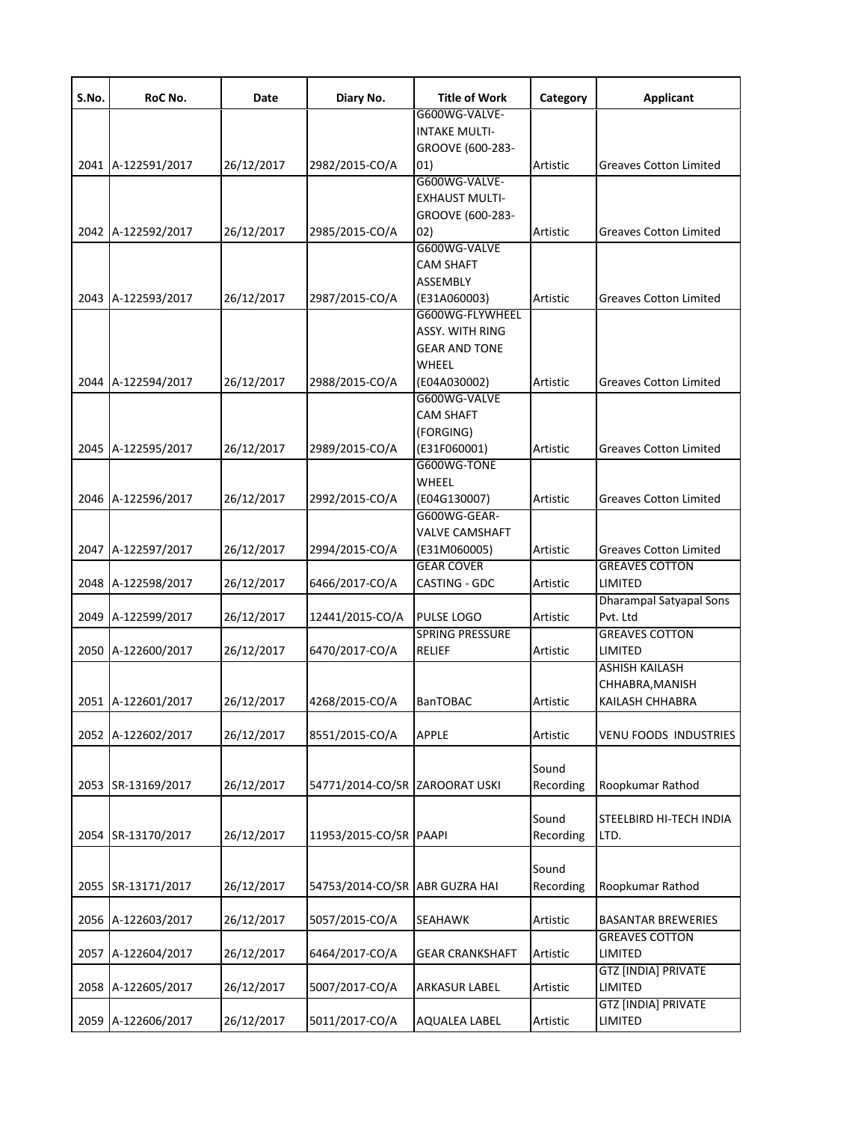| S.No. | RoC No.            | Date       | Diary No.                      | <b>Title of Work</b>   | Category  | <b>Applicant</b>              |
|-------|--------------------|------------|--------------------------------|------------------------|-----------|-------------------------------|
|       |                    |            |                                | G600WG-VALVE-          |           |                               |
|       |                    |            |                                | <b>INTAKE MULTI-</b>   |           |                               |
|       |                    |            |                                | GROOVE (600-283-       |           |                               |
|       | 2041 A-122591/2017 | 26/12/2017 | 2982/2015-CO/A                 | 01)                    | Artistic  | <b>Greaves Cotton Limited</b> |
|       |                    |            |                                | G600WG-VALVE-          |           |                               |
|       |                    |            |                                | <b>EXHAUST MULTI-</b>  |           |                               |
|       |                    |            |                                | GROOVE (600-283-       |           |                               |
|       | 2042 A-122592/2017 | 26/12/2017 | 2985/2015-CO/A                 | (02)                   | Artistic  | <b>Greaves Cotton Limited</b> |
|       |                    |            |                                | G600WG-VALVE           |           |                               |
|       |                    |            |                                | <b>CAM SHAFT</b>       |           |                               |
|       |                    |            |                                | ASSEMBLY               |           |                               |
|       | 2043 A-122593/2017 | 26/12/2017 | 2987/2015-CO/A                 | (E31A060003)           | Artistic  | <b>Greaves Cotton Limited</b> |
|       |                    |            |                                | G600WG-FLYWHEEL        |           |                               |
|       |                    |            |                                | ASSY. WITH RING        |           |                               |
|       |                    |            |                                | <b>GEAR AND TONE</b>   |           |                               |
|       |                    |            |                                | WHEEL                  |           |                               |
|       | 2044 A-122594/2017 | 26/12/2017 | 2988/2015-CO/A                 | (E04A030002)           | Artistic  | <b>Greaves Cotton Limited</b> |
|       |                    |            |                                | G600WG-VALVE           |           |                               |
|       |                    |            |                                | <b>CAM SHAFT</b>       |           |                               |
|       |                    |            |                                |                        |           |                               |
|       |                    |            |                                | (FORGING)              |           |                               |
|       | 2045 A-122595/2017 | 26/12/2017 | 2989/2015-CO/A                 | (E31F060001)           | Artistic  | <b>Greaves Cotton Limited</b> |
|       |                    |            |                                | G600WG-TONE            |           |                               |
|       |                    |            |                                | WHEEL                  |           |                               |
|       | 2046 A-122596/2017 | 26/12/2017 | 2992/2015-CO/A                 | (E04G130007)           | Artistic  | <b>Greaves Cotton Limited</b> |
|       |                    |            |                                | G600WG-GEAR-           |           |                               |
|       |                    |            |                                | VALVE CAMSHAFT         |           |                               |
|       | 2047 A-122597/2017 | 26/12/2017 | 2994/2015-CO/A                 | (E31M060005)           | Artistic  | <b>Greaves Cotton Limited</b> |
|       |                    |            |                                | <b>GEAR COVER</b>      |           | <b>GREAVES COTTON</b>         |
|       | 2048 A-122598/2017 | 26/12/2017 | 6466/2017-CO/A                 | CASTING - GDC          | Artistic  | LIMITED                       |
|       |                    |            |                                |                        |           | Dharampal Satyapal Sons       |
|       | 2049 A-122599/2017 | 26/12/2017 | 12441/2015-CO/A                | <b>PULSE LOGO</b>      | Artistic  | Pvt. Ltd                      |
|       |                    |            |                                | <b>SPRING PRESSURE</b> |           | <b>GREAVES COTTON</b>         |
|       | 2050 A-122600/2017 | 26/12/2017 | 6470/2017-CO/A                 | RELIEF                 | Artistic  | LIMITED                       |
|       |                    |            |                                |                        |           | <b>ASHISH KAILASH</b>         |
|       |                    |            |                                |                        |           | CHHABRA,MANISH                |
|       | 2051 A-122601/2017 |            | 4268/2015-CO/A                 | <b>BanTOBAC</b>        | Artistic  | KAILASH CHHABRA               |
|       |                    | 26/12/2017 |                                |                        |           |                               |
|       |                    |            |                                | <b>APPLE</b>           | Artistic  | <b>VENU FOODS INDUSTRIES</b>  |
|       | 2052 A-122602/2017 | 26/12/2017 | 8551/2015-CO/A                 |                        |           |                               |
|       |                    |            |                                |                        |           |                               |
|       |                    |            |                                |                        | Sound     |                               |
|       | 2053 SR-13169/2017 | 26/12/2017 | 54771/2014-CO/SR ZAROORAT USKI |                        | Recording | Roopkumar Rathod              |
|       |                    |            |                                |                        |           |                               |
|       |                    |            |                                |                        | Sound     | STEELBIRD HI-TECH INDIA       |
|       | 2054 SR-13170/2017 | 26/12/2017 | 11953/2015-CO/SR PAAPI         |                        | Recording | LTD.                          |
|       |                    |            |                                |                        |           |                               |
|       |                    |            |                                |                        | Sound     |                               |
|       | 2055 SR-13171/2017 | 26/12/2017 | 54753/2014-CO/SR ABR GUZRA HAI |                        | Recording | Roopkumar Rathod              |
|       |                    |            |                                |                        |           |                               |
|       | 2056 A-122603/2017 | 26/12/2017 | 5057/2015-CO/A                 | <b>SEAHAWK</b>         | Artistic  | <b>BASANTAR BREWERIES</b>     |
|       |                    |            |                                |                        |           | <b>GREAVES COTTON</b>         |
|       | 2057 A-122604/2017 | 26/12/2017 | 6464/2017-CO/A                 | <b>GEAR CRANKSHAFT</b> | Artistic  | LIMITED                       |
|       |                    |            |                                |                        |           | <b>GTZ [INDIA] PRIVATE</b>    |
|       | 2058 A-122605/2017 | 26/12/2017 | 5007/2017-CO/A                 | <b>ARKASUR LABEL</b>   | Artistic  | LIMITED                       |
|       |                    |            |                                |                        |           | GTZ [INDIA] PRIVATE           |
|       | 2059 A-122606/2017 | 26/12/2017 | 5011/2017-CO/A                 | <b>AQUALEA LABEL</b>   | Artistic  | LIMITED                       |
|       |                    |            |                                |                        |           |                               |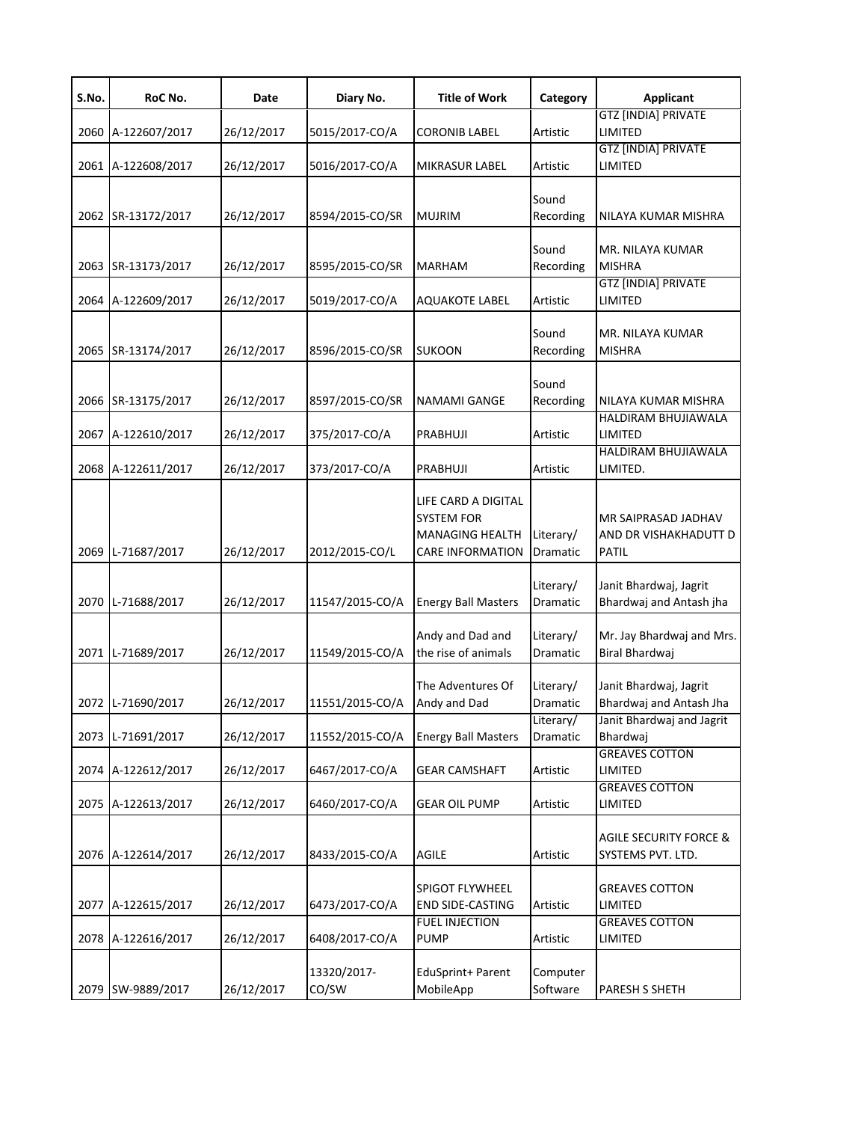| S.No. | RoC No.            | Date       | Diary No.            | <b>Title of Work</b>                                                                          | Category              | <b>Applicant</b>                                             |
|-------|--------------------|------------|----------------------|-----------------------------------------------------------------------------------------------|-----------------------|--------------------------------------------------------------|
|       | 2060 A-122607/2017 | 26/12/2017 | 5015/2017-CO/A       | <b>CORONIB LABEL</b>                                                                          | Artistic              | <b>GTZ [INDIA] PRIVATE</b><br>LIMITED                        |
|       | 2061 A-122608/2017 | 26/12/2017 | 5016/2017-CO/A       | <b>MIKRASUR LABEL</b>                                                                         | Artistic              | GTZ [INDIA] PRIVATE<br>LIMITED                               |
|       | 2062 SR-13172/2017 | 26/12/2017 | 8594/2015-CO/SR      | <b>MUJRIM</b>                                                                                 | Sound<br>Recording    | NILAYA KUMAR MISHRA                                          |
|       | 2063 SR-13173/2017 | 26/12/2017 | 8595/2015-CO/SR      | MARHAM                                                                                        | Sound<br>Recording    | MR. NILAYA KUMAR<br><b>MISHRA</b>                            |
|       | 2064 A-122609/2017 | 26/12/2017 | 5019/2017-CO/A       | <b>AQUAKOTE LABEL</b>                                                                         | Artistic              | <b>GTZ [INDIA] PRIVATE</b><br>LIMITED                        |
|       | 2065 SR-13174/2017 | 26/12/2017 | 8596/2015-CO/SR      | <b>SUKOON</b>                                                                                 | Sound<br>Recording    | MR. NILAYA KUMAR<br><b>MISHRA</b>                            |
|       | 2066 SR-13175/2017 | 26/12/2017 | 8597/2015-CO/SR      | NAMAMI GANGE                                                                                  | Sound<br>Recording    | NILAYA KUMAR MISHRA<br>HALDIRAM BHUJIAWALA                   |
|       | 2067 A-122610/2017 | 26/12/2017 | 375/2017-CO/A        | PRABHUJI                                                                                      | Artistic              | LIMITED                                                      |
|       | 2068 A-122611/2017 | 26/12/2017 | 373/2017-CO/A        | PRABHUJI                                                                                      | Artistic              | HALDIRAM BHUJIAWALA<br>LIMITED.                              |
|       | 2069 L-71687/2017  | 26/12/2017 | 2012/2015-CO/L       | LIFE CARD A DIGITAL<br><b>SYSTEM FOR</b><br><b>MANAGING HEALTH</b><br><b>CARE INFORMATION</b> | Literary/<br>Dramatic | MR SAIPRASAD JADHAV<br>AND DR VISHAKHADUTT D<br><b>PATIL</b> |
|       | 2070 L-71688/2017  | 26/12/2017 | 11547/2015-CO/A      | <b>Energy Ball Masters</b>                                                                    | Literary/<br>Dramatic | Janit Bhardwaj, Jagrit<br>Bhardwaj and Antash jha            |
|       | 2071 L-71689/2017  | 26/12/2017 | 11549/2015-CO/A      | Andy and Dad and<br>the rise of animals                                                       | Literary/<br>Dramatic | Mr. Jay Bhardwaj and Mrs.<br>Biral Bhardwaj                  |
|       | 2072 L-71690/2017  | 26/12/2017 | 11551/2015-CO/A      | The Adventures Of<br>Andy and Dad                                                             | Literary/<br>Dramatic | Janit Bhardwaj, Jagrit<br>Bhardwaj and Antash Jha            |
|       | 2073 L-71691/2017  | 26/12/2017 | 11552/2015-CO/A      | <b>Energy Ball Masters</b>                                                                    | Literary/<br>Dramatic | Janit Bhardwaj and Jagrit<br>Bhardwai                        |
|       | 2074 A-122612/2017 | 26/12/2017 | 6467/2017-CO/A       | <b>GEAR CAMSHAFT</b>                                                                          | Artistic              | <b>GREAVES COTTON</b><br>LIMITED                             |
|       | 2075 A-122613/2017 | 26/12/2017 | 6460/2017-CO/A       | <b>GEAR OIL PUMP</b>                                                                          | Artistic              | <b>GREAVES COTTON</b><br>LIMITED                             |
|       | 2076 A-122614/2017 | 26/12/2017 | 8433/2015-CO/A       | <b>AGILE</b>                                                                                  | Artistic              | <b>AGILE SECURITY FORCE &amp;</b><br>SYSTEMS PVT. LTD.       |
|       | 2077 A-122615/2017 | 26/12/2017 | 6473/2017-CO/A       | <b>SPIGOT FLYWHEEL</b><br><b>END SIDE-CASTING</b>                                             | Artistic              | <b>GREAVES COTTON</b><br>LIMITED                             |
|       | 2078 A-122616/2017 | 26/12/2017 | 6408/2017-CO/A       | <b>FUEL INJECTION</b><br><b>PUMP</b>                                                          | Artistic              | <b>GREAVES COTTON</b><br>LIMITED                             |
|       | 2079 SW-9889/2017  | 26/12/2017 | 13320/2017-<br>CO/SW | EduSprint+ Parent<br>MobileApp                                                                | Computer<br>Software  | <b>PARESH S SHETH</b>                                        |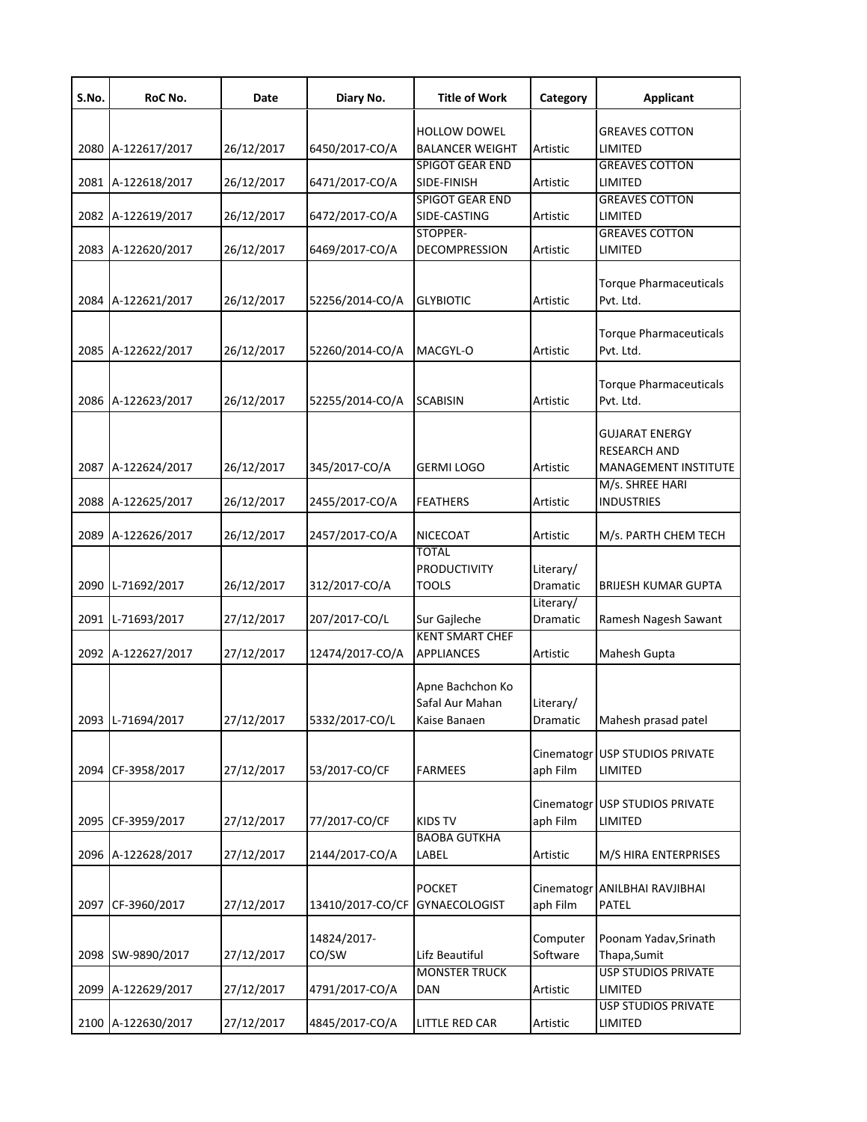| S.No. | RoC No.            | Date       | Diary No.            | <b>Title of Work</b>                                | Category               | <b>Applicant</b>                                                            |
|-------|--------------------|------------|----------------------|-----------------------------------------------------|------------------------|-----------------------------------------------------------------------------|
|       | 2080 A-122617/2017 | 26/12/2017 | 6450/2017-CO/A       | <b>HOLLOW DOWEL</b><br><b>BALANCER WEIGHT</b>       | Artistic               | <b>GREAVES COTTON</b><br>LIMITED                                            |
|       | 2081 A-122618/2017 | 26/12/2017 | 6471/2017-CO/A       | <b>SPIGOT GEAR END</b><br>SIDE-FINISH               | Artistic               | <b>GREAVES COTTON</b><br>LIMITED                                            |
|       | 2082 A-122619/2017 | 26/12/2017 | 6472/2017-CO/A       | <b>SPIGOT GEAR END</b><br>SIDE-CASTING              | Artistic               | <b>GREAVES COTTON</b><br>LIMITED                                            |
|       | 2083 A-122620/2017 | 26/12/2017 | 6469/2017-CO/A       | STOPPER-<br><b>DECOMPRESSION</b>                    | Artistic               | <b>GREAVES COTTON</b><br>LIMITED                                            |
|       | 2084 A-122621/2017 | 26/12/2017 | 52256/2014-CO/A      | <b>GLYBIOTIC</b>                                    | Artistic               | <b>Torque Pharmaceuticals</b><br>Pvt. Ltd.                                  |
|       | 2085 A-122622/2017 | 26/12/2017 | 52260/2014-CO/A      | MACGYL-O                                            | Artistic               | <b>Torque Pharmaceuticals</b><br>Pvt. Ltd.                                  |
|       | 2086 A-122623/2017 | 26/12/2017 | 52255/2014-CO/A      | SCABISIN                                            | Artistic               | <b>Torque Pharmaceuticals</b><br>Pvt. Ltd.                                  |
|       | 2087 A-122624/2017 | 26/12/2017 | 345/2017-CO/A        | GERMI LOGO                                          | Artistic               | <b>GUJARAT ENERGY</b><br><b>RESEARCH AND</b><br><b>MANAGEMENT INSTITUTE</b> |
|       | 2088 A-122625/2017 | 26/12/2017 | 2455/2017-CO/A       | <b>FEATHERS</b>                                     | Artistic               | M/s. SHREE HARI<br><b>INDUSTRIES</b>                                        |
|       | 2089 A-122626/2017 | 26/12/2017 | 2457/2017-CO/A       | NICECOAT                                            | Artistic               | M/s. PARTH CHEM TECH                                                        |
|       | 2090 L-71692/2017  | 26/12/2017 | 312/2017-CO/A        | <b>TOTAL</b><br><b>PRODUCTIVITY</b><br><b>TOOLS</b> | Literary/<br>Dramatic  | <b>BRIJESH KUMAR GUPTA</b>                                                  |
|       | 2091 L-71693/2017  | 27/12/2017 | 207/2017-CO/L        | Sur Gajleche                                        | Literary/<br>Dramatic  | Ramesh Nagesh Sawant                                                        |
|       | 2092 A-122627/2017 | 27/12/2017 | 12474/2017-CO/A      | <b>KENT SMART CHEF</b><br><b>APPLIANCES</b>         | Artistic               | Mahesh Gupta                                                                |
|       | 2093 L-71694/2017  | 27/12/2017 | 5332/2017-CO/L       | Apne Bachchon Ko<br>Safal Aur Mahan<br>Kaise Banaen | Literary/<br>Dramatic  | Mahesh prasad patel                                                         |
| 2094  | CF-3958/2017       | 27/12/2017 | 53/2017-CO/CF        | <b>FARMEES</b>                                      | aph Film               | Cinematogr USP STUDIOS PRIVATE<br>LIMITED                                   |
| 2095  | CF-3959/2017       | 27/12/2017 | 77/2017-CO/CF        | <b>KIDS TV</b>                                      | aph Film               | Cinematogr USP STUDIOS PRIVATE<br>LIMITED                                   |
|       | 2096 A-122628/2017 | 27/12/2017 | 2144/2017-CO/A       | <b>BAOBA GUTKHA</b><br>LABEL                        | Artistic               | M/S HIRA ENTERPRISES                                                        |
| 2097  | CF-3960/2017       | 27/12/2017 | 13410/2017-CO/CF     | <b>POCKET</b><br><b>GYNAECOLOGIST</b>               | Cinematogr<br>aph Film | ANILBHAI RAVJIBHAI<br>PATEL                                                 |
| 2098  | SW-9890/2017       | 27/12/2017 | 14824/2017-<br>CO/SW | Lifz Beautiful                                      | Computer<br>Software   | Poonam Yadav, Srinath<br>Thapa, Sumit                                       |
|       | 2099 A-122629/2017 | 27/12/2017 | 4791/2017-CO/A       | <b>MONSTER TRUCK</b><br>DAN                         | Artistic               | <b>USP STUDIOS PRIVATE</b><br>LIMITED                                       |
|       | 2100 A-122630/2017 | 27/12/2017 | 4845/2017-CO/A       | LITTLE RED CAR                                      | Artistic               | <b>USP STUDIOS PRIVATE</b><br>LIMITED                                       |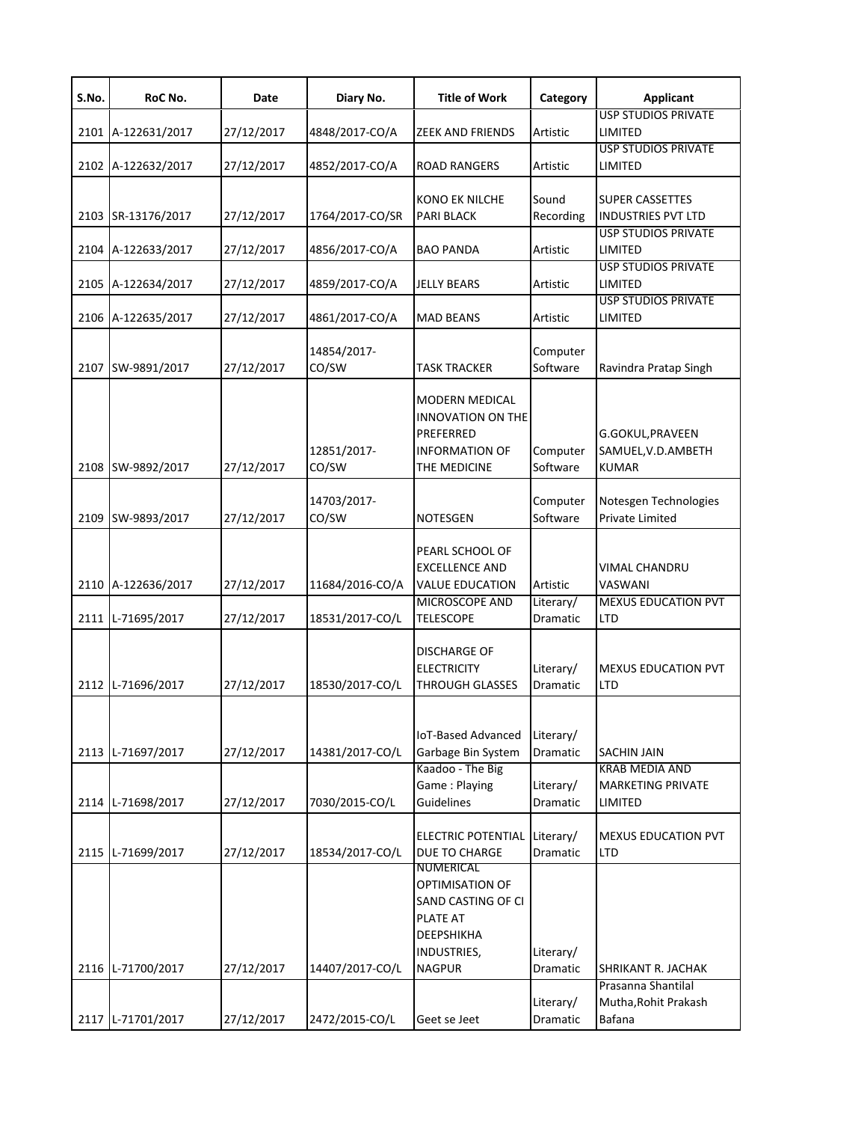| S.No.        | RoC No.                       | Date                     | Diary No.                          | <b>Title of Work</b>                                                                                         | Category                          | Applicant                                                            |
|--------------|-------------------------------|--------------------------|------------------------------------|--------------------------------------------------------------------------------------------------------------|-----------------------------------|----------------------------------------------------------------------|
| 2101         | A-122631/2017                 | 27/12/2017               | 4848/2017-CO/A                     | <b>ZEEK AND FRIENDS</b>                                                                                      | Artistic                          | <b>USP STUDIOS PRIVATE</b><br>LIMITED                                |
| 2102         | A-122632/2017                 | 27/12/2017               | 4852/2017-CO/A                     | <b>ROAD RANGERS</b>                                                                                          | Artistic                          | <b>USP STUDIOS PRIVATE</b><br>LIMITED                                |
| 2103         | SR-13176/2017                 | 27/12/2017               | 1764/2017-CO/SR                    | <b>KONO EK NILCHE</b><br><b>PARI BLACK</b>                                                                   | Sound<br>Recording                | <b>SUPER CASSETTES</b><br><b>INDUSTRIES PVT LTD</b>                  |
| 2104         | A-122633/2017                 | 27/12/2017               | 4856/2017-CO/A                     | <b>BAO PANDA</b>                                                                                             | Artistic                          | <b>USP STUDIOS PRIVATE</b><br>LIMITED                                |
| 2105         | A-122634/2017                 | 27/12/2017               | 4859/2017-CO/A                     | <b>JELLY BEARS</b>                                                                                           | Artistic                          | <b>USP STUDIOS PRIVATE</b><br>LIMITED                                |
| 2106         | A-122635/2017                 | 27/12/2017               | 4861/2017-CO/A                     | <b>MAD BEANS</b>                                                                                             | Artistic                          | <b>USP STUDIOS PRIVATE</b><br>LIMITED                                |
| 2107         | SW-9891/2017                  | 27/12/2017               | 14854/2017-<br>CO/SW               | <b>TASK TRACKER</b>                                                                                          | Computer<br>Software              | Ravindra Pratap Singh                                                |
| 2108         | SW-9892/2017                  | 27/12/2017               | 12851/2017-<br>CO/SW               | MODERN MEDICAL<br><b>INNOVATION ON THE</b><br>PREFERRED<br><b>INFORMATION OF</b><br>THE MEDICINE             | Computer<br>Software              | G.GOKUL, PRAVEEN<br>SAMUEL, V.D. AMBETH<br><b>KUMAR</b>              |
| 2109         | SW-9893/2017                  | 27/12/2017               | 14703/2017-<br>CO/SW               | <b>NOTESGEN</b>                                                                                              | Computer<br>Software              | Notesgen Technologies<br><b>Private Limited</b>                      |
| 2110<br>2111 | A-122636/2017<br>L-71695/2017 | 27/12/2017<br>27/12/2017 | 11684/2016-CO/A<br>18531/2017-CO/L | PEARL SCHOOL OF<br><b>EXCELLENCE AND</b><br><b>VALUE EDUCATION</b><br>MICROSCOPE AND<br><b>TELESCOPE</b>     | Artistic<br>Literary/<br>Dramatic | <b>VIMAL CHANDRU</b><br>VASWANI<br><b>MEXUS EDUCATION PVT</b><br>LTD |
| 2112         | L-71696/2017                  | 27/12/2017               | 18530/2017-CO/L                    | <b>DISCHARGE OF</b><br><b>ELECTRICITY</b><br><b>THROUGH GLASSES</b>                                          | Literary/<br>Dramatic             | <b>MEXUS EDUCATION PVT</b><br>LTD                                    |
| 2113         | L-71697/2017                  | 27/12/2017               | 14381/2017-CO/L                    | IoT-Based Advanced<br>Garbage Bin System<br>Kaadoo - The Big                                                 | Literary/<br>Dramatic             | <b>SACHIN JAIN</b><br><b>KRAB MEDIA AND</b>                          |
| 2114         | L-71698/2017                  | 27/12/2017               | 7030/2015-CO/L                     | Game: Playing<br>Guidelines                                                                                  | Literary/<br>Dramatic             | <b>MARKETING PRIVATE</b><br>LIMITED                                  |
| 2115         | L-71699/2017                  | 27/12/2017               | 18534/2017-CO/L                    | <b>ELECTRIC POTENTIAL</b><br><b>DUE TO CHARGE</b>                                                            | Literary/<br>Dramatic             | <b>MEXUS EDUCATION PVT</b><br><b>LTD</b>                             |
| 2116         | L-71700/2017                  | 27/12/2017               | 14407/2017-CO/L                    | NUMERICAL<br>OPTIMISATION OF<br>SAND CASTING OF CI<br>PLATE AT<br>DEEPSHIKHA<br>INDUSTRIES,<br><b>NAGPUR</b> | Literary/<br>Dramatic             | SHRIKANT R. JACHAK<br>Prasanna Shantilal                             |
| 2117         | L-71701/2017                  | 27/12/2017               | 2472/2015-CO/L                     | Geet se Jeet                                                                                                 | Literary/<br>Dramatic             | Mutha, Rohit Prakash<br>Bafana                                       |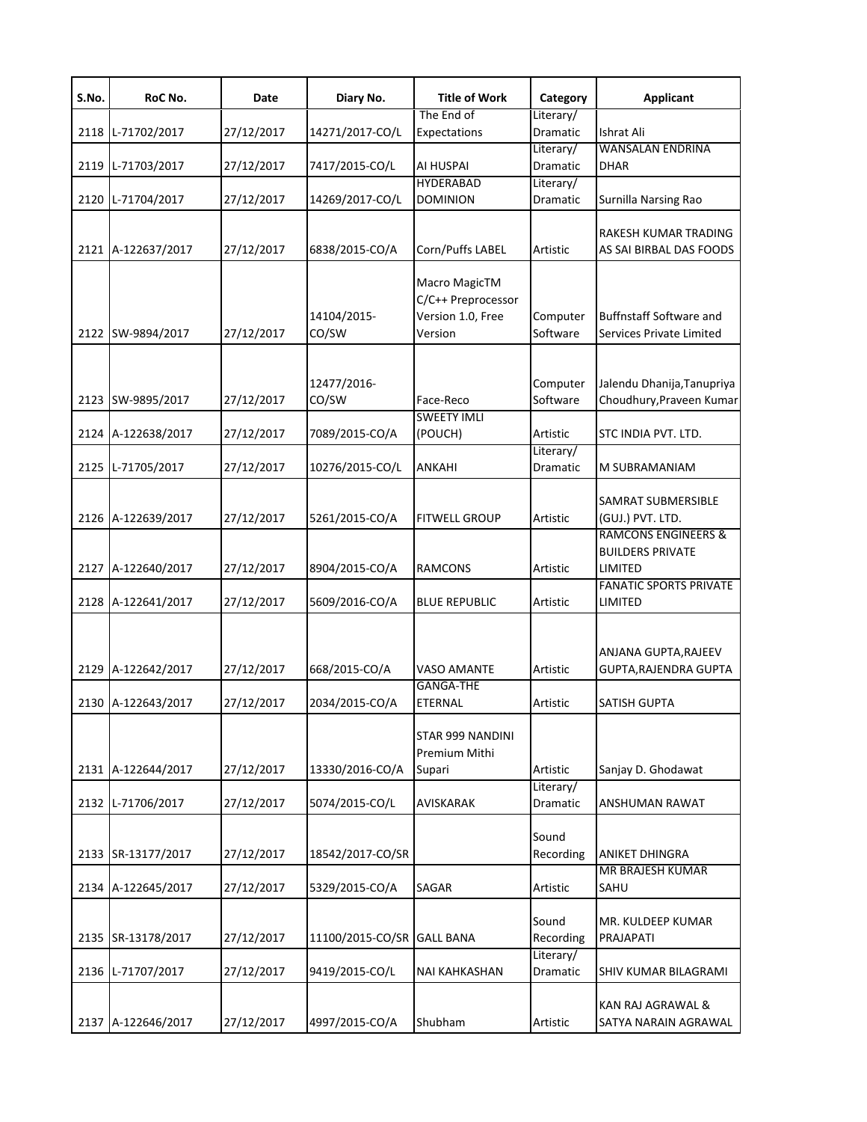| S.No. | RoC No.            | Date       | Diary No.            | <b>Title of Work</b>                                                | Category              | <b>Applicant</b>                                                     |
|-------|--------------------|------------|----------------------|---------------------------------------------------------------------|-----------------------|----------------------------------------------------------------------|
|       | 2118 L-71702/2017  | 27/12/2017 | 14271/2017-CO/L      | The End of<br>Expectations                                          | Literary/<br>Dramatic | Ishrat Ali                                                           |
|       | 2119 L-71703/2017  | 27/12/2017 | 7417/2015-CO/L       | AI HUSPAI                                                           | Literary/<br>Dramatic | <b>WANSALAN ENDRINA</b><br><b>DHAR</b>                               |
|       |                    |            |                      | <b>HYDERABAD</b>                                                    | Literary/             |                                                                      |
|       | 2120 L-71704/2017  | 27/12/2017 | 14269/2017-CO/L      | <b>DOMINION</b>                                                     | Dramatic              | Surnilla Narsing Rao                                                 |
|       | 2121 A-122637/2017 | 27/12/2017 | 6838/2015-CO/A       | Corn/Puffs LABEL                                                    | Artistic              | RAKESH KUMAR TRADING<br>AS SAI BIRBAL DAS FOODS                      |
|       | 2122 SW-9894/2017  | 27/12/2017 | 14104/2015-<br>CO/SW | Macro MagicTM<br>C/C++ Preprocessor<br>Version 1.0, Free<br>Version | Computer<br>Software  | <b>Buffnstaff Software and</b><br>Services Private Limited           |
|       | 2123 SW-9895/2017  | 27/12/2017 | 12477/2016-<br>CO/SW | Face-Reco                                                           | Computer<br>Software  | Jalendu Dhanija, Tanupriya<br>Choudhury, Praveen Kumar               |
|       | 2124 A-122638/2017 | 27/12/2017 | 7089/2015-CO/A       | <b>SWEETY IMLI</b><br>(POUCH)                                       | Artistic              | STC INDIA PVT. LTD.                                                  |
|       | 2125 L-71705/2017  | 27/12/2017 | 10276/2015-CO/L      | ANKAHI                                                              | Literary/<br>Dramatic | M SUBRAMANIAM                                                        |
|       | 2126 A-122639/2017 | 27/12/2017 | 5261/2015-CO/A       | <b>FITWELL GROUP</b>                                                | Artistic              | SAMRAT SUBMERSIBLE<br>(GUJ.) PVT. LTD.                               |
|       | 2127 A-122640/2017 | 27/12/2017 | 8904/2015-CO/A       | <b>RAMCONS</b>                                                      | Artistic              | <b>RAMCONS ENGINEERS &amp;</b><br><b>BUILDERS PRIVATE</b><br>LIMITED |
|       | 2128 A-122641/2017 | 27/12/2017 | 5609/2016-CO/A       | <b>BLUE REPUBLIC</b>                                                | Artistic              | <b>FANATIC SPORTS PRIVATE</b><br>LIMITED                             |
|       | 2129 A-122642/2017 | 27/12/2017 | 668/2015-CO/A        | <b>VASO AMANTE</b>                                                  | Artistic              | ANJANA GUPTA, RAJEEV<br><b>GUPTA, RAJENDRA GUPTA</b>                 |
|       | 2130 A-122643/2017 | 27/12/2017 | 2034/2015-CO/A       | <b>GANGA-THE</b><br>ETERNAL                                         | Artistic              | <b>SATISH GUPTA</b>                                                  |
|       | 2131 A-122644/2017 | 27/12/2017 | 13330/2016-CO/A      | STAR 999 NANDINI<br>Premium Mithi<br>Supari                         | Artistic              | Sanjay D. Ghodawat                                                   |
|       | 2132 L-71706/2017  | 27/12/2017 | 5074/2015-CO/L       | <b>AVISKARAK</b>                                                    | Literary/<br>Dramatic | <b>ANSHUMAN RAWAT</b>                                                |
|       | 2133 SR-13177/2017 | 27/12/2017 | 18542/2017-CO/SR     |                                                                     | Sound<br>Recording    | <b>ANIKET DHINGRA</b>                                                |
|       | 2134 A-122645/2017 | 27/12/2017 | 5329/2015-CO/A       | SAGAR                                                               | Artistic              | <b>MR BRAJESH KUMAR</b><br>SAHU                                      |
|       | 2135 SR-13178/2017 | 27/12/2017 | 11100/2015-CO/SR     | <b>GALL BANA</b>                                                    | Sound<br>Recording    | MR. KULDEEP KUMAR<br>PRAJAPATI                                       |
|       | 2136 L-71707/2017  | 27/12/2017 | 9419/2015-CO/L       | <b>NAI KAHKASHAN</b>                                                | Literary/<br>Dramatic | SHIV KUMAR BILAGRAMI                                                 |
|       | 2137 A-122646/2017 | 27/12/2017 | 4997/2015-CO/A       | Shubham                                                             | Artistic              | KAN RAJ AGRAWAL &<br>SATYA NARAIN AGRAWAL                            |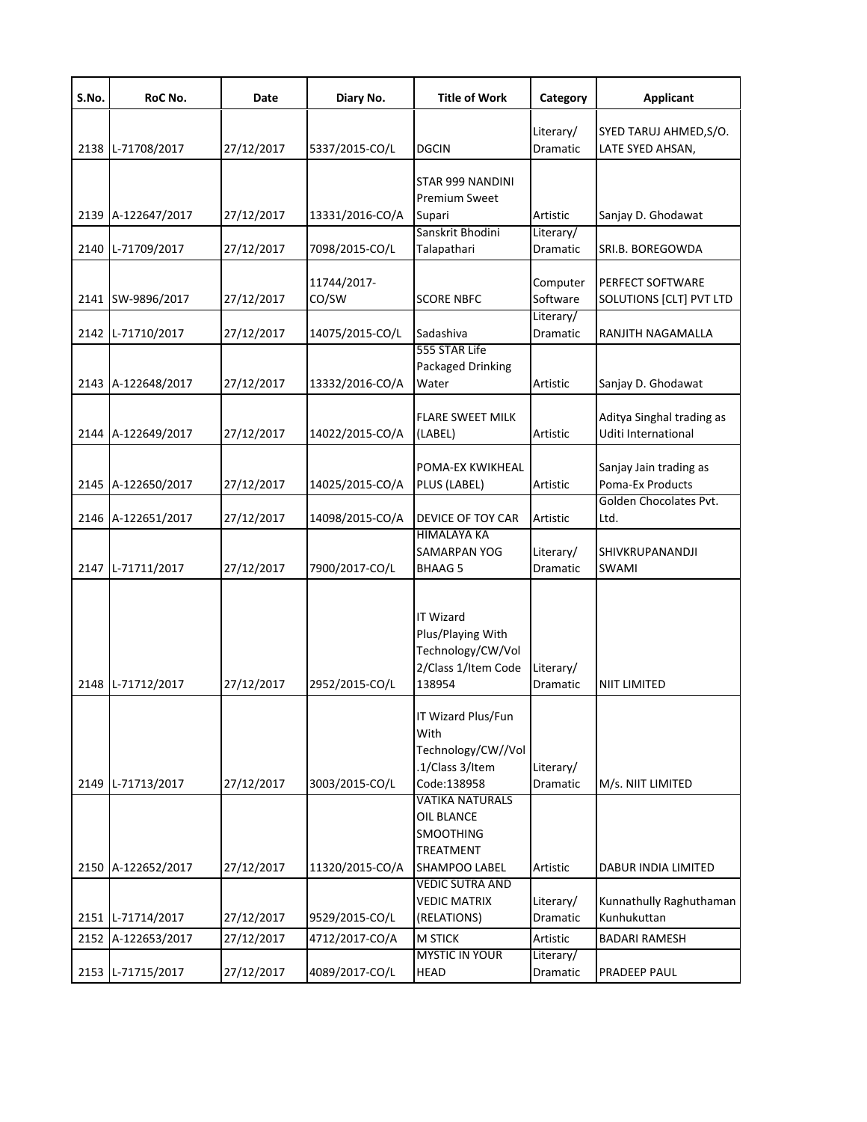| S.No. | RoC No.                            | Date                     | Diary No.                        | <b>Title of Work</b>                                                                        | Category              | <b>Applicant</b>                                 |
|-------|------------------------------------|--------------------------|----------------------------------|---------------------------------------------------------------------------------------------|-----------------------|--------------------------------------------------|
|       | 2138 L-71708/2017                  | 27/12/2017               | 5337/2015-CO/L                   | <b>DGCIN</b>                                                                                | Literary/<br>Dramatic | SYED TARUJ AHMED, S/O.<br>LATE SYED AHSAN,       |
|       | 2139 A-122647/2017                 | 27/12/2017               | 13331/2016-CO/A                  | STAR 999 NANDINI<br><b>Premium Sweet</b><br>Supari                                          | Artistic              | Sanjay D. Ghodawat                               |
|       | 2140 L-71709/2017                  | 27/12/2017               | 7098/2015-CO/L                   | Sanskrit Bhodini<br>Talapathari                                                             | Literary/<br>Dramatic | SRI.B. BOREGOWDA                                 |
|       | 2141 SW-9896/2017                  | 27/12/2017               | 11744/2017-<br>CO/SW             | <b>SCORE NBFC</b>                                                                           | Computer<br>Software  | PERFECT SOFTWARE<br>SOLUTIONS [CLT] PVT LTD      |
| 2142  | L-71710/2017                       | 27/12/2017               | 14075/2015-CO/L                  | Sadashiva                                                                                   | Literary/<br>Dramatic | RANJITH NAGAMALLA                                |
|       | 2143 A-122648/2017                 | 27/12/2017               | 13332/2016-CO/A                  | 555 STAR Life<br>Packaged Drinking<br>Water                                                 | Artistic              | Sanjay D. Ghodawat                               |
|       | 2144 A-122649/2017                 | 27/12/2017               | 14022/2015-CO/A                  | <b>FLARE SWEET MILK</b><br>(LABEL)                                                          | Artistic              | Aditya Singhal trading as<br>Uditi International |
|       | 2145 A-122650/2017                 | 27/12/2017               | 14025/2015-CO/A                  | POMA-EX KWIKHEAL<br>PLUS (LABEL)                                                            | Artistic              | Sanjay Jain trading as<br>Poma-Ex Products       |
|       | 2146 A-122651/2017                 | 27/12/2017               | 14098/2015-CO/A                  | DEVICE OF TOY CAR                                                                           | Artistic              | Golden Chocolates Pvt.<br>Ltd.                   |
|       | 2147 L-71711/2017                  | 27/12/2017               | 7900/2017-CO/L                   | <b>HIMALAYA KA</b><br><b>SAMARPAN YOG</b><br><b>BHAAG5</b>                                  | Literary/<br>Dramatic | SHIVKRUPANANDJI<br>SWAMI                         |
|       | 2148 L-71712/2017                  | 27/12/2017               | 2952/2015-CO/L                   | <b>IT Wizard</b><br>Plus/Playing With<br>Technology/CW/Vol<br>2/Class 1/Item Code<br>138954 | Literary/<br>Dramatic | <b>NIIT LIMITED</b>                              |
|       | 2149 L-71713/2017                  | 27/12/2017               | 3003/2015-CO/L                   | <b>IT Wizard Plus/Fun</b><br>With<br>Technology/CW//Vol<br>.1/Class 3/Item<br>Code:138958   | Literary/<br>Dramatic | M/s. NIIT LIMITED                                |
|       |                                    |                          |                                  | <b>VATIKA NATURALS</b><br>OIL BLANCE<br><b>SMOOTHING</b><br><b>TREATMENT</b>                |                       |                                                  |
|       | 2150 A-122652/2017                 | 27/12/2017               | 11320/2015-CO/A                  | SHAMPOO LABEL<br><b>VEDIC SUTRA AND</b><br><b>VEDIC MATRIX</b>                              | Artistic<br>Literary/ | DABUR INDIA LIMITED<br>Kunnathully Raghuthaman   |
| 2152  | 2151 L-71714/2017<br>A-122653/2017 | 27/12/2017<br>27/12/2017 | 9529/2015-CO/L<br>4712/2017-CO/A | (RELATIONS)<br><b>M STICK</b>                                                               | Dramatic<br>Artistic  | Kunhukuttan<br><b>BADARI RAMESH</b>              |
|       | 2153 L-71715/2017                  | 27/12/2017               | 4089/2017-CO/L                   | <b>MYSTIC IN YOUR</b><br><b>HEAD</b>                                                        | Literary/<br>Dramatic | <b>PRADEEP PAUL</b>                              |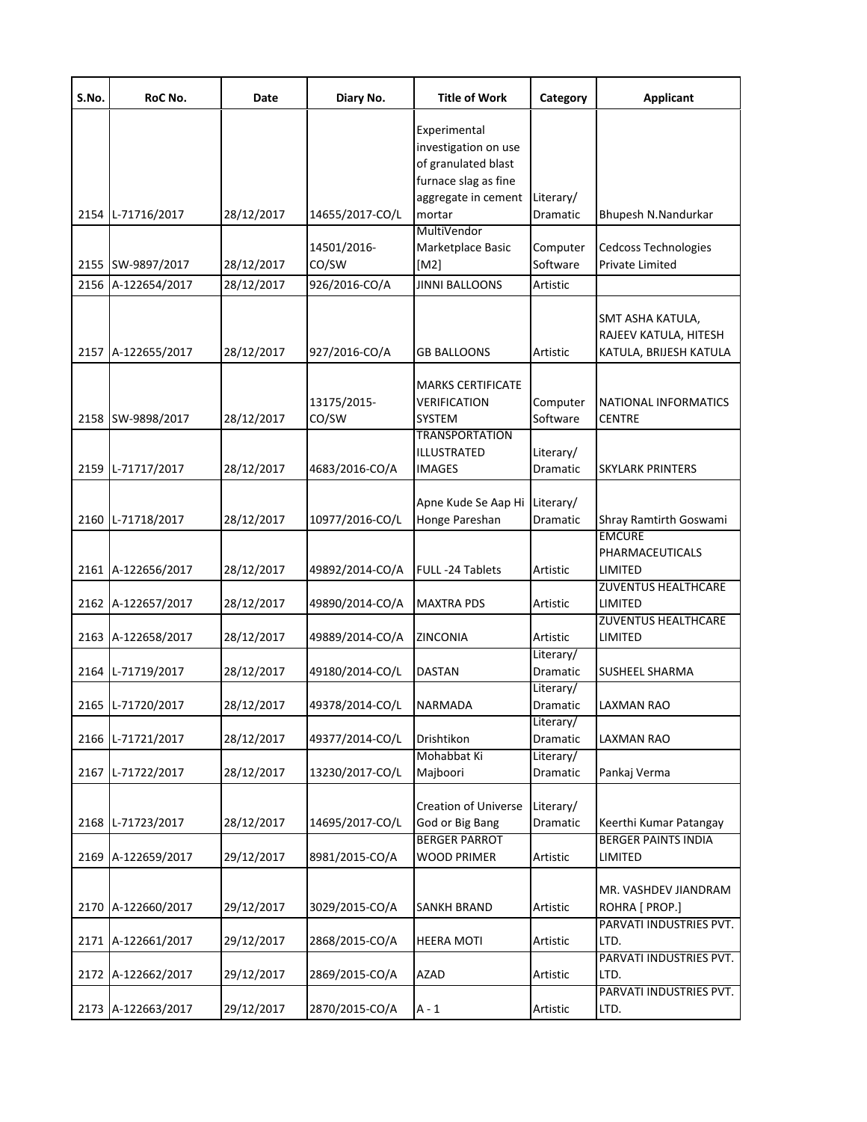| S.No. | RoC No.            | Date       | Diary No.            | <b>Title of Work</b>                                                                                       | Category              | Applicant                                                           |
|-------|--------------------|------------|----------------------|------------------------------------------------------------------------------------------------------------|-----------------------|---------------------------------------------------------------------|
|       |                    |            |                      | Experimental<br>investigation on use<br>of granulated blast<br>furnace slag as fine<br>aggregate in cement | Literary/             |                                                                     |
|       | 2154 L-71716/2017  | 28/12/2017 | 14655/2017-CO/L      | mortar                                                                                                     | Dramatic              | Bhupesh N.Nandurkar                                                 |
|       | 2155 SW-9897/2017  | 28/12/2017 | 14501/2016-<br>CO/SW | MultiVendor<br>Marketplace Basic<br>[M2]                                                                   | Computer<br>Software  | Cedcoss Technologies<br>Private Limited                             |
|       | 2156 A-122654/2017 | 28/12/2017 | 926/2016-CO/A        | <b>JINNI BALLOONS</b>                                                                                      | Artistic              |                                                                     |
|       | 2157 A-122655/2017 | 28/12/2017 | 927/2016-CO/A        | <b>GB BALLOONS</b>                                                                                         | Artistic              | SMT ASHA KATULA,<br>RAJEEV KATULA, HITESH<br>KATULA, BRIJESH KATULA |
|       | 2158 SW-9898/2017  | 28/12/2017 | 13175/2015-<br>CO/SW | <b>MARKS CERTIFICATE</b><br><b>VERIFICATION</b><br><b>SYSTEM</b>                                           | Computer<br>Software  | NATIONAL INFORMATICS<br><b>CENTRE</b>                               |
|       | 2159 L-71717/2017  | 28/12/2017 | 4683/2016-CO/A       | <b>TRANSPORTATION</b><br>ILLUSTRATED<br><b>IMAGES</b>                                                      | Literary/<br>Dramatic | <b>SKYLARK PRINTERS</b>                                             |
|       | 2160 L-71718/2017  | 28/12/2017 | 10977/2016-CO/L      | Apne Kude Se Aap Hi<br>Honge Pareshan                                                                      | Literary/<br>Dramatic | Shray Ramtirth Goswami<br><b>EMCURE</b>                             |
|       | 2161 A-122656/2017 | 28/12/2017 | 49892/2014-CO/A      | FULL-24 Tablets                                                                                            | Artistic              | PHARMACEUTICALS<br>LIMITED                                          |
|       | 2162 A-122657/2017 | 28/12/2017 | 49890/2014-CO/A      | <b>MAXTRA PDS</b>                                                                                          | Artistic              | <b>ZUVENTUS HEALTHCARE</b><br>LIMITED                               |
|       | 2163 A-122658/2017 | 28/12/2017 | 49889/2014-CO/A      | <b>ZINCONIA</b>                                                                                            | Artistic              | <b>ZUVENTUS HEALTHCARE</b><br>LIMITED                               |
|       | 2164 L-71719/2017  | 28/12/2017 | 49180/2014-CO/L      | <b>DASTAN</b>                                                                                              | Literary/<br>Dramatic | SUSHEEL SHARMA                                                      |
|       | 2165 L-71720/2017  | 28/12/2017 | 49378/2014-CO/L      | <b>NARMADA</b>                                                                                             | Literary/<br>Dramatic | LAXMAN RAO                                                          |
|       | 2166 L-71721/2017  | 28/12/2017 | 49377/2014-CO/L      | Drishtikon                                                                                                 | Literary/<br>Dramatic | LAXMAN RAO                                                          |
| 2167  | L-71722/2017       | 28/12/2017 | 13230/2017-CO/L      | Mohabbat Ki<br>Majboori                                                                                    | Literary/<br>Dramatic | Pankaj Verma                                                        |
|       | 2168 L-71723/2017  | 28/12/2017 | 14695/2017-CO/L      | <b>Creation of Universe</b><br>God or Big Bang                                                             | Literary/<br>Dramatic | Keerthi Kumar Patangay                                              |
| 2169  | A-122659/2017      | 29/12/2017 | 8981/2015-CO/A       | <b>BERGER PARROT</b><br><b>WOOD PRIMER</b>                                                                 | Artistic              | <b>BERGER PAINTS INDIA</b><br>LIMITED                               |
|       | 2170 A-122660/2017 | 29/12/2017 | 3029/2015-CO/A       | <b>SANKH BRAND</b>                                                                                         | Artistic              | MR. VASHDEV JIANDRAM<br>ROHRA [ PROP.]                              |
| 2171  | A-122661/2017      | 29/12/2017 | 2868/2015-CO/A       | <b>HEERA MOTI</b>                                                                                          | Artistic              | PARVATI INDUSTRIES PVT.<br>LTD.                                     |
|       | 2172 A-122662/2017 | 29/12/2017 | 2869/2015-CO/A       | <b>AZAD</b>                                                                                                | Artistic              | PARVATI INDUSTRIES PVT.<br>LTD.                                     |
|       | 2173 A-122663/2017 | 29/12/2017 | 2870/2015-CO/A       | $A - 1$                                                                                                    | Artistic              | PARVATI INDUSTRIES PVT.<br>LTD.                                     |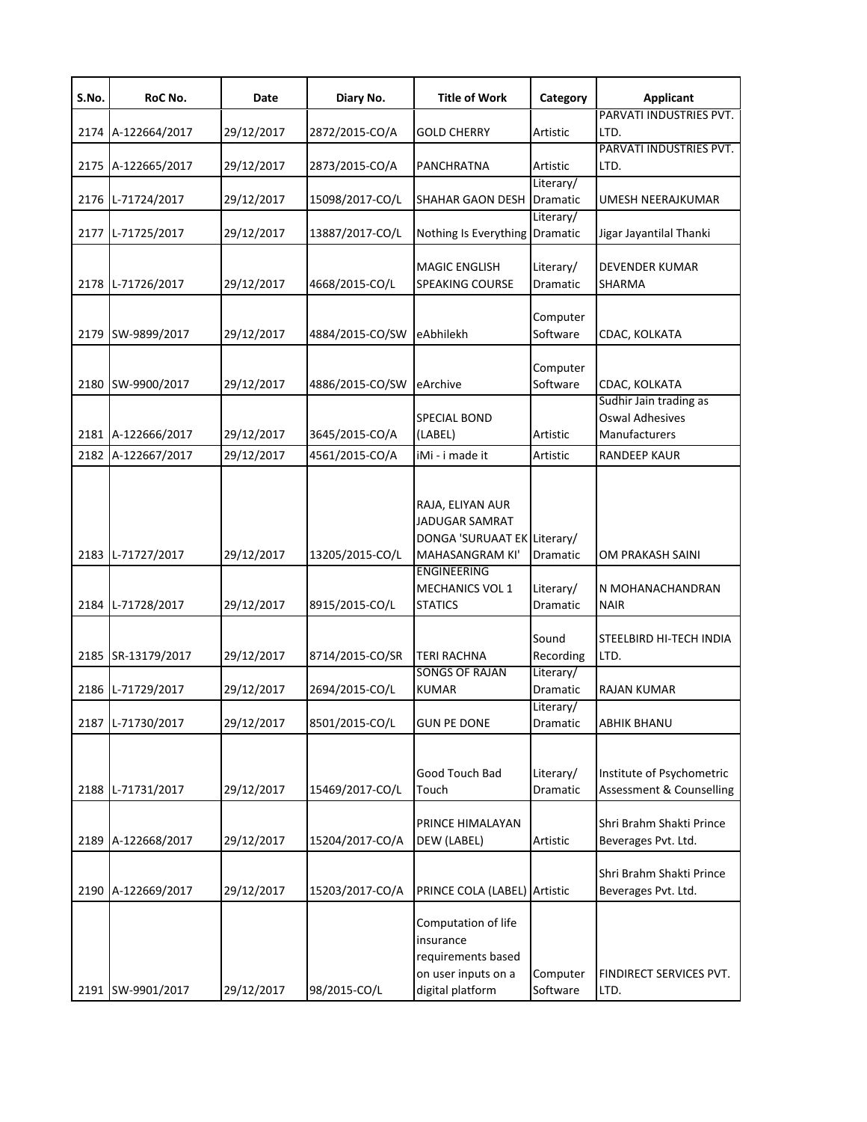| S.No. | RoC No.            | Date       | Diary No.       | <b>Title of Work</b>                                                                                                     | Category              | <b>Applicant</b>                                                  |
|-------|--------------------|------------|-----------------|--------------------------------------------------------------------------------------------------------------------------|-----------------------|-------------------------------------------------------------------|
|       | 2174 A-122664/2017 | 29/12/2017 | 2872/2015-CO/A  | <b>GOLD CHERRY</b>                                                                                                       | Artistic              | PARVATI INDUSTRIES PVT.<br>LTD.                                   |
|       | 2175 A-122665/2017 | 29/12/2017 | 2873/2015-CO/A  | <b>PANCHRATNA</b>                                                                                                        | Artistic              | PARVATI INDUSTRIES PVT.<br>LTD.                                   |
|       | 2176 L-71724/2017  | 29/12/2017 | 15098/2017-CO/L | <b>SHAHAR GAON DESH</b>                                                                                                  | Literary/<br>Dramatic | UMESH NEERAJKUMAR                                                 |
| 2177  | L-71725/2017       | 29/12/2017 | 13887/2017-CO/L | Nothing Is Everything                                                                                                    | Literary/<br>Dramatic | Jigar Jayantilal Thanki                                           |
|       | 2178 L-71726/2017  | 29/12/2017 | 4668/2015-CO/L  | <b>MAGIC ENGLISH</b><br><b>SPEAKING COURSE</b>                                                                           | Literary/<br>Dramatic | <b>DEVENDER KUMAR</b><br>SHARMA                                   |
|       | 2179 SW-9899/2017  | 29/12/2017 | 4884/2015-CO/SW | eAbhilekh                                                                                                                | Computer<br>Software  | CDAC, KOLKATA                                                     |
|       | 2180 SW-9900/2017  | 29/12/2017 | 4886/2015-CO/SW | eArchive                                                                                                                 | Computer<br>Software  | CDAC, KOLKATA                                                     |
|       | 2181 A-122666/2017 | 29/12/2017 | 3645/2015-CO/A  | <b>SPECIAL BOND</b><br>(LABEL)                                                                                           | Artistic              | Sudhir Jain trading as<br><b>Oswal Adhesives</b><br>Manufacturers |
|       | 2182 A-122667/2017 | 29/12/2017 | 4561/2015-CO/A  | iMi - i made it                                                                                                          | Artistic              | <b>RANDEEP KAUR</b>                                               |
|       | 2183 L-71727/2017  | 29/12/2017 | 13205/2015-CO/L | RAJA, ELIYAN AUR<br><b>JADUGAR SAMRAT</b><br>DONGA 'SURUAAT EK Literary/<br><b>MAHASANGRAM KI'</b><br><b>ENGINEERING</b> | Dramatic              | OM PRAKASH SAINI                                                  |
|       | 2184 L-71728/2017  | 29/12/2017 | 8915/2015-CO/L  | MECHANICS VOL 1<br><b>STATICS</b>                                                                                        | Literary/<br>Dramatic | N MOHANACHANDRAN<br><b>NAIR</b>                                   |
|       | 2185 SR-13179/2017 | 29/12/2017 | 8714/2015-CO/SR | <b>TERI RACHNA</b>                                                                                                       | Sound<br>Recording    | STEELBIRD HI-TECH INDIA<br>LTD.                                   |
|       | 2186 L-71729/2017  | 29/12/2017 | 2694/2015-CO/L  | <b>SONGS OF RAJAN</b><br><b>KUMAR</b>                                                                                    | Literary/<br>Dramatic | <b>RAJAN KUMAR</b>                                                |
|       | 2187 L-71730/2017  | 29/12/2017 | 8501/2015-CO/L  | <b>GUN PE DONE</b>                                                                                                       | Literary/<br>Dramatic | <b>ABHIK BHANU</b>                                                |
|       | 2188 L-71731/2017  | 29/12/2017 | 15469/2017-CO/L | Good Touch Bad<br>Touch                                                                                                  | Literary/<br>Dramatic | Institute of Psychometric<br><b>Assessment &amp; Counselling</b>  |
|       | 2189 A-122668/2017 | 29/12/2017 | 15204/2017-CO/A | PRINCE HIMALAYAN<br>DEW (LABEL)                                                                                          | Artistic              | Shri Brahm Shakti Prince<br>Beverages Pvt. Ltd.                   |
|       | 2190 A-122669/2017 | 29/12/2017 | 15203/2017-CO/A | PRINCE COLA (LABEL) Artistic                                                                                             |                       | Shri Brahm Shakti Prince<br>Beverages Pvt. Ltd.                   |
|       | 2191 SW-9901/2017  | 29/12/2017 | 98/2015-CO/L    | Computation of life<br>insurance<br>requirements based<br>on user inputs on a<br>digital platform                        | Computer<br>Software  | FINDIRECT SERVICES PVT.<br>LTD.                                   |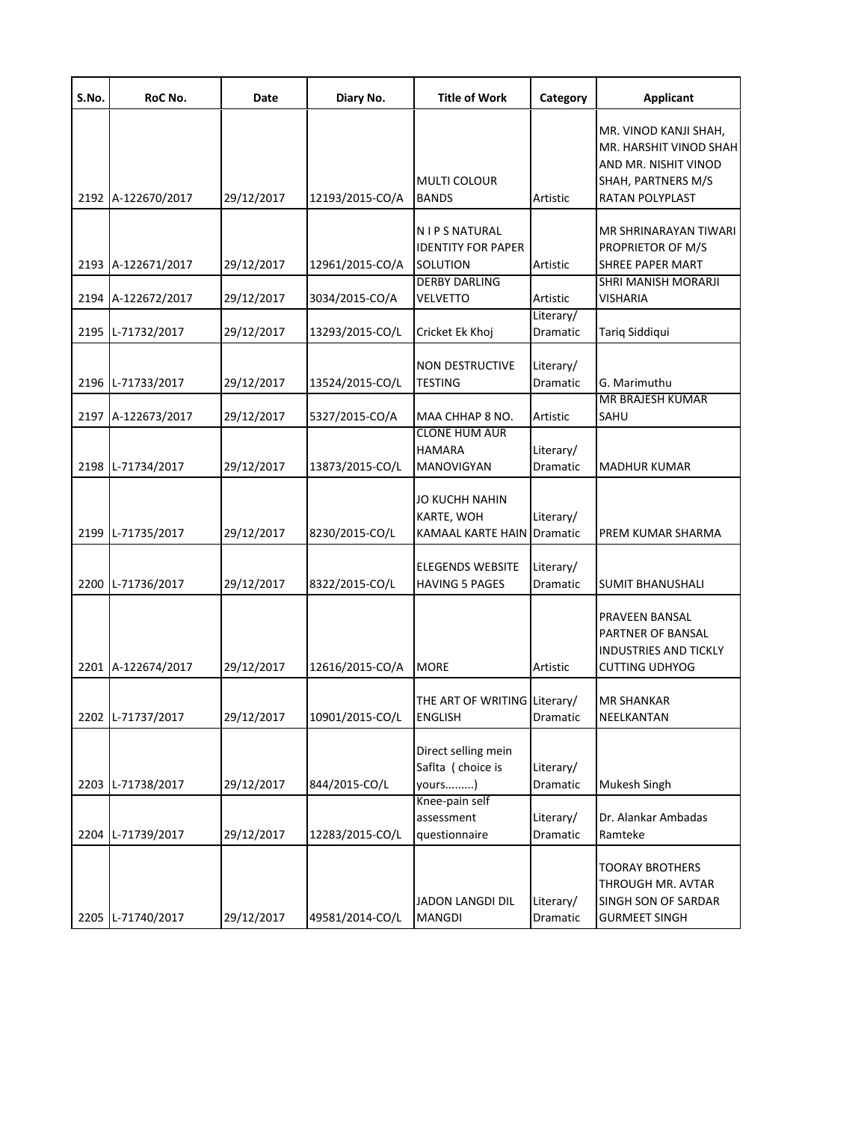| S.No. | RoC No.            | Date       | Diary No.       | <b>Title of Work</b>                                                            | Category                     | <b>Applicant</b>                                                                                                 |
|-------|--------------------|------------|-----------------|---------------------------------------------------------------------------------|------------------------------|------------------------------------------------------------------------------------------------------------------|
|       | 2192 A-122670/2017 | 29/12/2017 | 12193/2015-CO/A | <b>MULTI COLOUR</b><br><b>BANDS</b>                                             | Artistic                     | MR. VINOD KANJI SHAH,<br>MR. HARSHIT VINOD SHAH<br>AND MR. NISHIT VINOD<br>SHAH, PARTNERS M/S<br>RATAN POLYPLAST |
|       |                    |            |                 |                                                                                 |                              |                                                                                                                  |
|       |                    |            |                 | <b>NIPS NATURAL</b><br><b>IDENTITY FOR PAPER</b>                                |                              | MR SHRINARAYAN TIWARI<br>PROPRIETOR OF M/S                                                                       |
|       | 2193 A-122671/2017 | 29/12/2017 | 12961/2015-CO/A | SOLUTION                                                                        | Artistic                     | <b>SHREE PAPER MART</b>                                                                                          |
|       | 2194 A-122672/2017 | 29/12/2017 | 3034/2015-CO/A  | <b>DERBY DARLING</b><br><b>VELVETTO</b>                                         | Artistic                     | <b>SHRI MANISH MORARJI</b><br>VISHARIA                                                                           |
|       |                    |            |                 |                                                                                 | Literary/                    |                                                                                                                  |
|       | 2195 L-71732/2017  | 29/12/2017 | 13293/2015-CO/L | Cricket Ek Khoj                                                                 | Dramatic                     | Tariq Siddiqui                                                                                                   |
|       | 2196 L-71733/2017  | 29/12/2017 | 13524/2015-CO/L | <b>NON DESTRUCTIVE</b><br><b>TESTING</b>                                        | Literary/<br><b>Dramatic</b> | G. Marimuthu                                                                                                     |
|       |                    |            |                 |                                                                                 |                              | <b>MR BRAJESH KUMAR</b>                                                                                          |
|       | 2197 A-122673/2017 | 29/12/2017 | 5327/2015-CO/A  | MAA CHHAP 8 NO.<br><b>CLONE HUM AUR</b>                                         | Artistic                     | SAHU                                                                                                             |
|       | 2198 L-71734/2017  | 29/12/2017 | 13873/2015-CO/L | <b>HAMARA</b><br><b>MANOVIGYAN</b>                                              | Literary/<br>Dramatic        | <b>MADHUR KUMAR</b>                                                                                              |
|       | 2199 L-71735/2017  | 29/12/2017 | 8230/2015-CO/L  | <b>JO KUCHH NAHIN</b><br><b>KARTE, WOH</b><br><b>KAMAAL KARTE HAIN Dramatic</b> | Literary/                    | PREM KUMAR SHARMA                                                                                                |
|       | 2200 L-71736/2017  | 29/12/2017 | 8322/2015-CO/L  | <b>ELEGENDS WEBSITE</b><br><b>HAVING 5 PAGES</b>                                | Literary/<br>Dramatic        | <b>SUMIT BHANUSHALI</b>                                                                                          |
|       | 2201 A-122674/2017 | 29/12/2017 | 12616/2015-CO/A | <b>MORE</b>                                                                     | Artistic                     | PRAVEEN BANSAL<br>PARTNER OF BANSAL<br><b>INDUSTRIES AND TICKLY</b><br><b>CUTTING UDHYOG</b>                     |
|       | 2202 L-71737/2017  | 29/12/2017 | 10901/2015-CO/L | THE ART OF WRITING Literary/<br><b>ENGLISH</b>                                  | Dramatic                     | <b>MR SHANKAR</b><br>NEELKANTAN                                                                                  |
|       | 2203 L-71738/2017  | 29/12/2017 | 844/2015-CO/L   | Direct selling mein<br>Saflta (choice is<br>yours)                              | Literary/<br>Dramatic        | Mukesh Singh                                                                                                     |
|       | 2204 L-71739/2017  | 29/12/2017 | 12283/2015-CO/L | Knee-pain self<br>assessment<br>questionnaire                                   | Literary/<br>Dramatic        | Dr. Alankar Ambadas<br>Ramteke                                                                                   |
|       | 2205 L-71740/2017  | 29/12/2017 | 49581/2014-CO/L | JADON LANGDI DIL<br><b>MANGDI</b>                                               | Literary/<br>Dramatic        | <b>TOORAY BROTHERS</b><br>THROUGH MR. AVTAR<br>SINGH SON OF SARDAR<br><b>GURMEET SINGH</b>                       |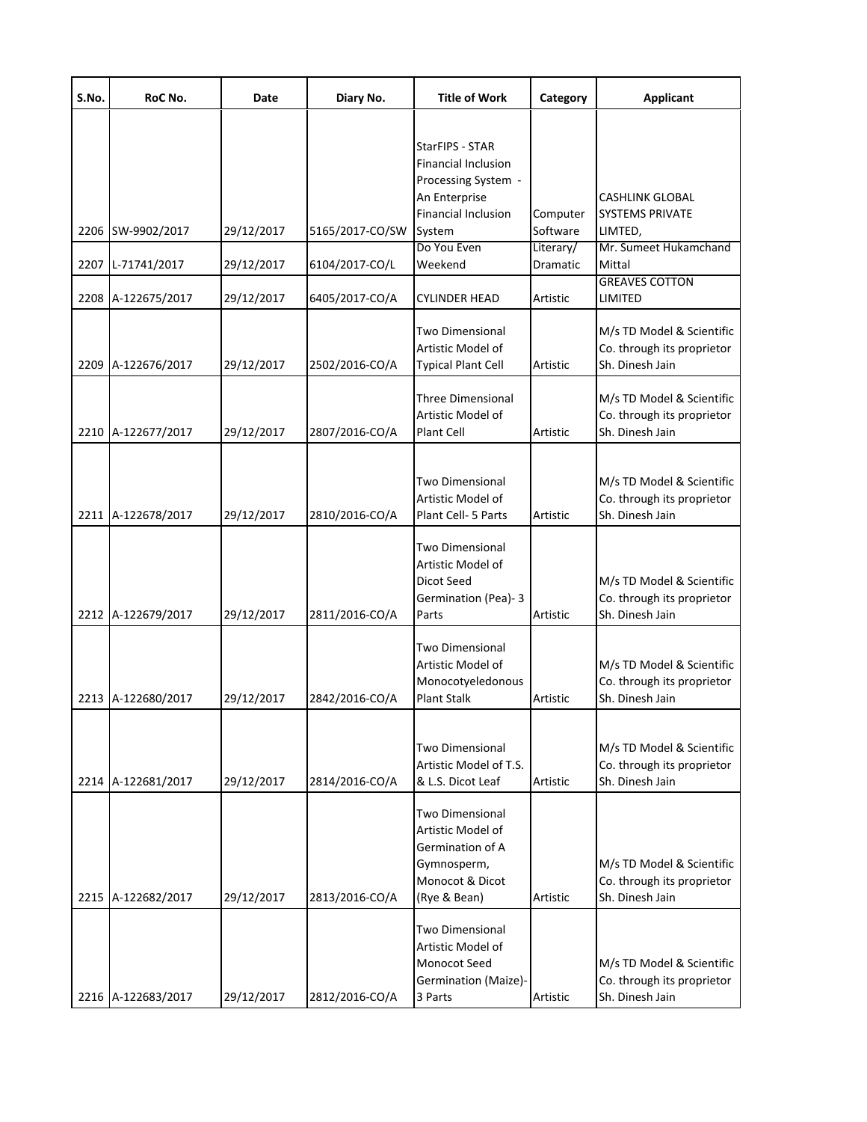| S.No. | RoC No.            | Date       | Diary No.       | <b>Title of Work</b>                                                                                              | Category              | <b>Applicant</b>                                                           |
|-------|--------------------|------------|-----------------|-------------------------------------------------------------------------------------------------------------------|-----------------------|----------------------------------------------------------------------------|
|       |                    |            |                 | StarFIPS - STAR<br><b>Financial Inclusion</b><br>Processing System -<br>An Enterprise                             |                       | <b>CASHLINK GLOBAL</b>                                                     |
| 2206  | SW-9902/2017       | 29/12/2017 | 5165/2017-CO/SW | Financial Inclusion<br>System                                                                                     | Computer<br>Software  | <b>SYSTEMS PRIVATE</b><br>LIMTED,                                          |
|       | 2207 L-71741/2017  | 29/12/2017 | 6104/2017-CO/L  | Do You Even<br>Weekend                                                                                            | Literary/<br>Dramatic | Mr. Sumeet Hukamchand<br>Mittal                                            |
|       | 2208 A-122675/2017 | 29/12/2017 | 6405/2017-CO/A  | CYLINDER HEAD                                                                                                     | Artistic              | <b>GREAVES COTTON</b><br>LIMITED                                           |
|       | 2209 A-122676/2017 | 29/12/2017 | 2502/2016-CO/A  | Two Dimensional<br>Artistic Model of<br><b>Typical Plant Cell</b>                                                 | Artistic              | M/s TD Model & Scientific<br>Co. through its proprietor<br>Sh. Dinesh Jain |
|       | 2210 A-122677/2017 | 29/12/2017 | 2807/2016-CO/A  | <b>Three Dimensional</b><br>Artistic Model of<br>Plant Cell                                                       | Artistic              | M/s TD Model & Scientific<br>Co. through its proprietor<br>Sh. Dinesh Jain |
|       | 2211 A-122678/2017 | 29/12/2017 | 2810/2016-CO/A  | Two Dimensional<br>Artistic Model of<br>Plant Cell- 5 Parts                                                       | Artistic              | M/s TD Model & Scientific<br>Co. through its proprietor<br>Sh. Dinesh Jain |
|       | 2212 A-122679/2017 | 29/12/2017 | 2811/2016-CO/A  | Two Dimensional<br>Artistic Model of<br>Dicot Seed<br>Germination (Pea)-3<br>Parts                                | Artistic              | M/s TD Model & Scientific<br>Co. through its proprietor<br>Sh. Dinesh Jain |
|       | 2213 A-122680/2017 | 29/12/2017 | 2842/2016-CO/A  | Two Dimensional<br>Artistic Model of<br>Monocotyeledonous<br><b>Plant Stalk</b>                                   | Artistic              | M/s TD Model & Scientific<br>Co. through its proprietor<br>Sh. Dinesh Jain |
|       | 2214 A-122681/2017 | 29/12/2017 | 2814/2016-CO/A  | <b>Two Dimensional</b><br>Artistic Model of T.S.<br>& L.S. Dicot Leaf                                             | Artistic              | M/s TD Model & Scientific<br>Co. through its proprietor<br>Sh. Dinesh Jain |
|       | 2215 A-122682/2017 | 29/12/2017 | 2813/2016-CO/A  | <b>Two Dimensional</b><br>Artistic Model of<br>Germination of A<br>Gymnosperm,<br>Monocot & Dicot<br>(Rye & Bean) | Artistic              | M/s TD Model & Scientific<br>Co. through its proprietor<br>Sh. Dinesh Jain |
|       | 2216 A-122683/2017 | 29/12/2017 | 2812/2016-CO/A  | Two Dimensional<br>Artistic Model of<br>Monocot Seed<br>Germination (Maize)-<br>3 Parts                           | Artistic              | M/s TD Model & Scientific<br>Co. through its proprietor<br>Sh. Dinesh Jain |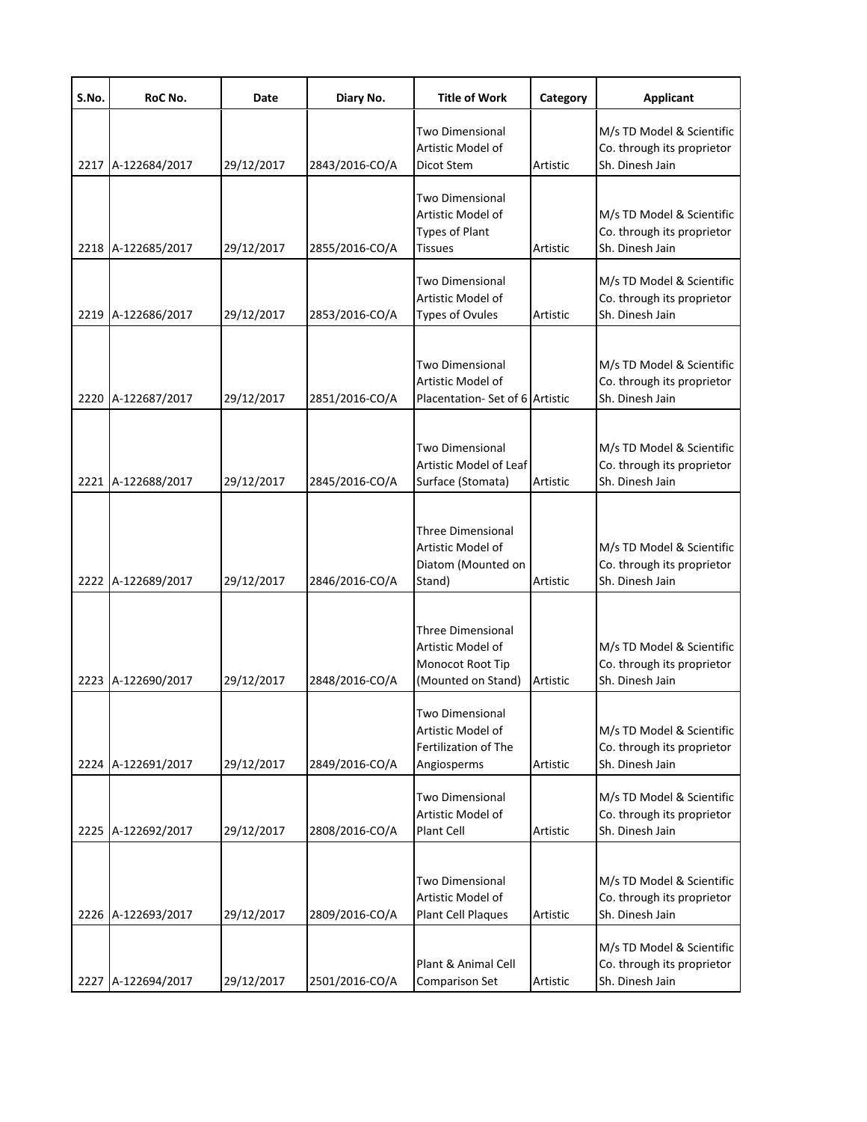| S.No. | RoC No.            | Date       | Diary No.      | <b>Title of Work</b>                                                                    | Category | <b>Applicant</b>                                                           |
|-------|--------------------|------------|----------------|-----------------------------------------------------------------------------------------|----------|----------------------------------------------------------------------------|
|       | 2217 A-122684/2017 | 29/12/2017 | 2843/2016-CO/A | <b>Two Dimensional</b><br>Artistic Model of<br>Dicot Stem                               | Artistic | M/s TD Model & Scientific<br>Co. through its proprietor<br>Sh. Dinesh Jain |
|       | 2218 A-122685/2017 | 29/12/2017 | 2855/2016-CO/A | Two Dimensional<br>Artistic Model of<br><b>Types of Plant</b><br>Tissues                | Artistic | M/s TD Model & Scientific<br>Co. through its proprietor<br>Sh. Dinesh Jain |
|       | 2219 A-122686/2017 | 29/12/2017 | 2853/2016-CO/A | Two Dimensional<br>Artistic Model of<br><b>Types of Ovules</b>                          | Artistic | M/s TD Model & Scientific<br>Co. through its proprietor<br>Sh. Dinesh Jain |
|       | 2220 A-122687/2017 | 29/12/2017 | 2851/2016-CO/A | Two Dimensional<br>Artistic Model of<br>Placentation-Set of 6 Artistic                  |          | M/s TD Model & Scientific<br>Co. through its proprietor<br>Sh. Dinesh Jain |
|       | 2221 A-122688/2017 | 29/12/2017 | 2845/2016-CO/A | <b>Two Dimensional</b><br>Artistic Model of Leaf<br>Surface (Stomata)                   | Artistic | M/s TD Model & Scientific<br>Co. through its proprietor<br>Sh. Dinesh Jain |
|       | 2222 A-122689/2017 | 29/12/2017 | 2846/2016-CO/A | <b>Three Dimensional</b><br>Artistic Model of<br>Diatom (Mounted on<br>Stand)           | Artistic | M/s TD Model & Scientific<br>Co. through its proprietor<br>Sh. Dinesh Jain |
|       | 2223 A-122690/2017 | 29/12/2017 | 2848/2016-CO/A | <b>Three Dimensional</b><br>Artistic Model of<br>Monocot Root Tip<br>(Mounted on Stand) | Artistic | M/s TD Model & Scientific<br>Co. through its proprietor<br>Sh. Dinesh Jain |
|       | 2224 A-122691/2017 | 29/12/2017 | 2849/2016-CO/A | Two Dimensional<br>Artistic Model of<br>Fertilization of The<br>Angiosperms             | Artistic | M/s TD Model & Scientific<br>Co. through its proprietor<br>Sh. Dinesh Jain |
|       | 2225 A-122692/2017 | 29/12/2017 | 2808/2016-CO/A | Two Dimensional<br>Artistic Model of<br>Plant Cell                                      | Artistic | M/s TD Model & Scientific<br>Co. through its proprietor<br>Sh. Dinesh Jain |
|       | 2226 A-122693/2017 | 29/12/2017 | 2809/2016-CO/A | <b>Two Dimensional</b><br>Artistic Model of<br>Plant Cell Plaques                       | Artistic | M/s TD Model & Scientific<br>Co. through its proprietor<br>Sh. Dinesh Jain |
|       | 2227 A-122694/2017 | 29/12/2017 | 2501/2016-CO/A | Plant & Animal Cell<br>Comparison Set                                                   | Artistic | M/s TD Model & Scientific<br>Co. through its proprietor<br>Sh. Dinesh Jain |